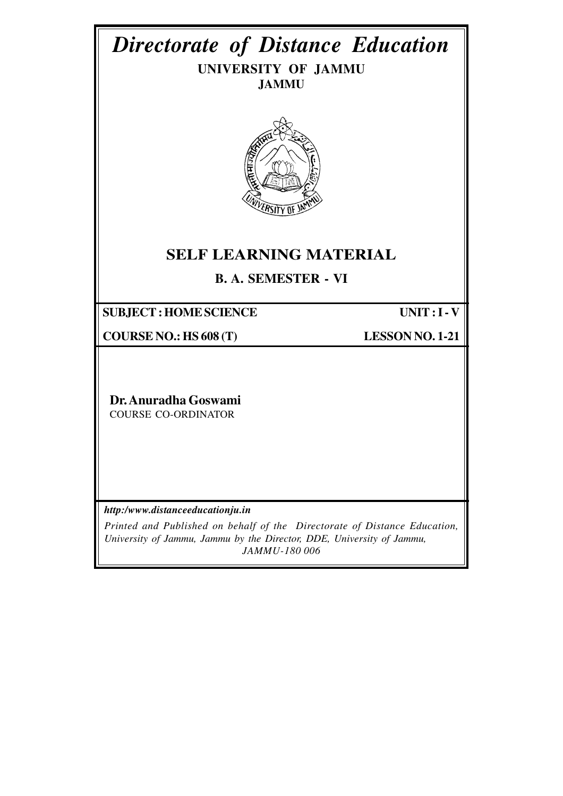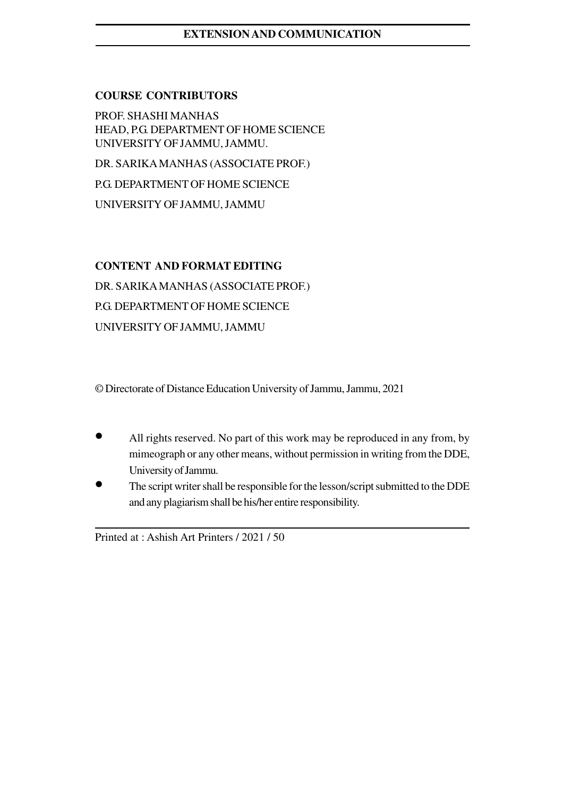# **EXTENSION AND COMMUNICATION**

### **COURSE CONTRIBUTORS**

PROF. SHASHI MANHAS HEAD, P.G. DEPARTMENT OF HOME SCIENCE UNIVERSITY OF JAMMU, JAMMU.

DR. SARIKA MANHAS (ASSOCIATE PROF.)

P.G. DEPARTMENT OF HOME SCIENCE

UNIVERSITY OF JAMMU, JAMMU

## **CONTENT AND FORMAT EDITING**

DR. SARIKA MANHAS (ASSOCIATE PROF.) P.G. DEPARTMENT OF HOME SCIENCE UNIVERSITY OF JAMMU, JAMMU

© Directorate of Distance Education University of Jammu, Jammu, 2021

- All rights reserved. No part of this work may be reproduced in any from, by mimeograph or any other means, without permission in writing from the DDE, University of Jammu.
- The script writer shall be responsible for the lesson/script submitted to the DDE and any plagiarism shall be his/her entire responsibility.

Printed at : Ashish Art Printers / 2021 / 50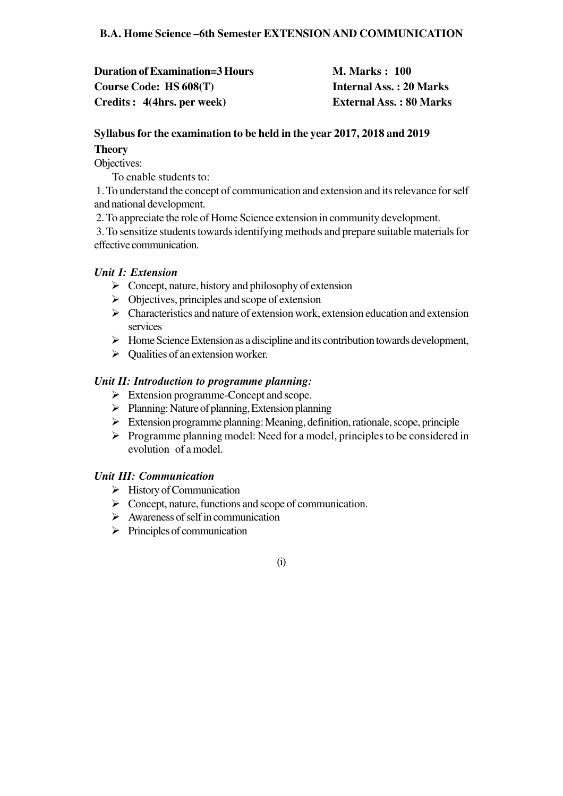**Duration of Examination=3 Hours M. Marks : 100 Course Code: HS 608(T) Internal Ass. : 20 Marks Credits : 4(4hrs. per week) External Ass. : 80 Marks**

# **Syllabus for the examination to be held in the year 2017, 2018 and 2019 Theory**

Objectives:

To enable students to:

 1. To understand the concept of communication and extension and its relevance for self and national development.

2. To appreciate the role of Home Science extension in community development.

 3. To sensitize students towards identifying methods and prepare suitable materials for effective communication.

# *Unit I: Extension*

- $\triangleright$  Concept, nature, history and philosophy of extension
- $\triangleright$  Objectives, principles and scope of extension
- $\triangleright$  Characteristics and nature of extension work, extension education and extension services
- $\triangleright$  Home Science Extension as a discipline and its contribution towards development,
- $\triangleright$  Qualities of an extension worker.

# *Unit II: Introduction to programme planning:*

- $\triangleright$  Extension programme-Concept and scope.
- $\triangleright$  Planning: Nature of planning, Extension planning
- $\triangleright$  Extension programme planning: Meaning, definition, rationale, scope, principle
- $\triangleright$  Programme planning model: Need for a model, principles to be considered in evolution of a model.

# *Unit III: Communication*

- $\triangleright$  History of Communication
- $\triangleright$  Concept, nature, functions and scope of communication.
- $\triangleright$  Awareness of self in communication
- $\triangleright$  Principles of communication

 $(i)$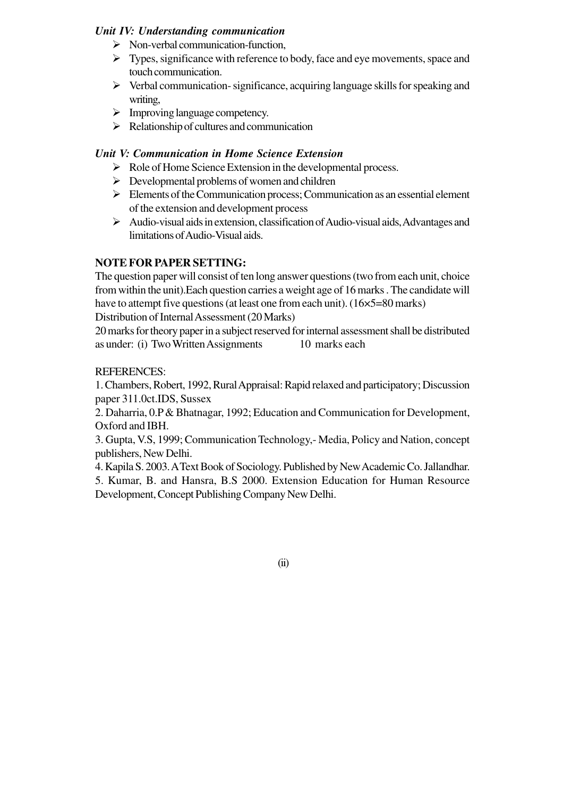## *Unit IV: Understanding communication*

- $\triangleright$  Non-verbal communication-function,
- $\triangleright$  Types, significance with reference to body, face and eye movements, space and touch communication.
- $\triangleright$  Verbal communication- significance, acquiring language skills for speaking and writing,
- $\triangleright$  Improving language competency.
- $\triangleright$  Relationship of cultures and communication

### *Unit V: Communication in Home Science Extension*

- $\triangleright$  Role of Home Science Extension in the developmental process.
- $\triangleright$  Developmental problems of women and children
- $\triangleright$  Elements of the Communication process; Communication as an essential element of the extension and development process
- $\triangleright$  Audio-visual aids in extension, classification of Audio-visual aids, Advantages and limitations of Audio-Visual aids.

### **NOTE FOR PAPER SETTING:**

The question paper will consist of ten long answer questions (two from each unit, choice from within the unit).Each question carries a weight age of 16 marks . The candidate will have to attempt five questions (at least one from each unit). (16×5=80 marks)

Distribution of Internal Assessment (20 Marks)

20 marks for theory paper in a subject reserved for internal assessment shall be distributed as under: (i) Two Written Assignments 10 marks each

### REFERENCES:

1. Chambers, Robert, 1992, Rural Appraisal: Rapid relaxed and participatory; Discussion paper 311.0ct.IDS, Sussex

2. Daharria, 0.P & Bhatnagar, 1992; Education and Communication for Development, Oxford and IBH.

3. Gupta, V.S, 1999; Communication Technology,- Media, Policy and Nation, concept publishers, New Delhi.

4. Kapila S. 2003. A Text Book of Sociology. Published by New Academic Co. Jallandhar.

5. Kumar, B. and Hansra, B.S 2000. Extension Education for Human Resource Development, Concept Publishing Company New Delhi.

 $\overline{3}$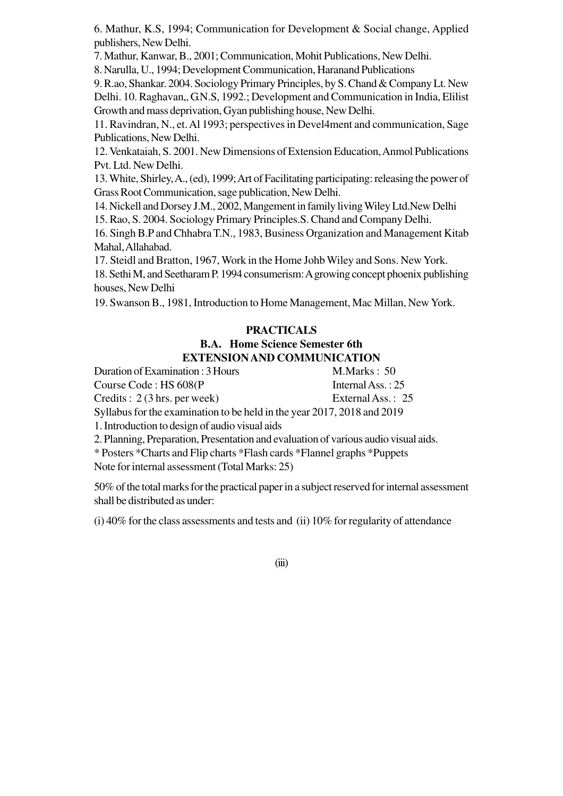6. Mathur, K.S, 1994; Communication for Development & Social change, Applied publishers, New Delhi.

7. Mathur, Kanwar, B., 2001; Communication, Mohit Publications, New Delhi.

8. Narulla, U., 1994; Development Communication, Haranand Publications

9. R.ao, Shankar. 2004. Sociology Primary Principles, by S. Chand & Company Lt. New Delhi. 10. Raghavan,, G.N.S, 1992.; Development and Communication in India, Elilist Growth and mass deprivation, Gyan publishing house, New Delhi.

11. Ravindran, N., et. Al 1993; perspectives in Devel4ment and communication, Sage Publications, New Delhi.

12. Venkataiah, S. 2001. New Dimensions of Extension Education, Anmol Publications Pvt. Ltd. New Delhi.

13. White, Shirley, A., (ed), 1999; Art of Facilitating participating: releasing the power of Grass Root Communication, sage publication, New Delhi.

14. Nickell and Dorsey J.M., 2002, Mangement in family living Wiley Ltd.New Delhi

15. Rao, S. 2004. Sociology Primary Principles.S. Chand and Company Delhi.

16. Singh B.P and Chhabra T.N., 1983, Business Organization and Management Kitab Mahal, Allahabad.

17. Steidl and Bratton, 1967, Work in the Home Johb Wiley and Sons. New York. 18. Sethi M, and Seetharam P. 1994 consumerism: A growing concept phoenix publishing houses, New Delhi

19. Swanson B., 1981, Introduction to Home Management, Mac Millan, New York.

# **PRACTICALS B.A. Home Science Semester 6th EXTENSION AND COMMUNICATION**

Duration of Examination : 3 Hours M.Marks : 50 Course Code : HS 608(P Internal Ass. : 25 Credits : 2 (3 hrs. per week) External Ass. : 25 Syllabus for the examination to be held in the year 2017, 2018 and 2019 1. Introduction to design of audio visual aids

2. Planning, Preparation, Presentation and evaluation of various audio visual aids.

\* Posters \*Charts and Flip charts \*Flash cards \*Flannel graphs \*Puppets

Note for internal assessment (Total Marks: 25)

50% of the total marks for the practical paper in a subject reserved for internal assessment shall be distributed as under:

(i) 40% for the class assessments and tests and (ii) 10% for regularity of attendance

 $(iii)$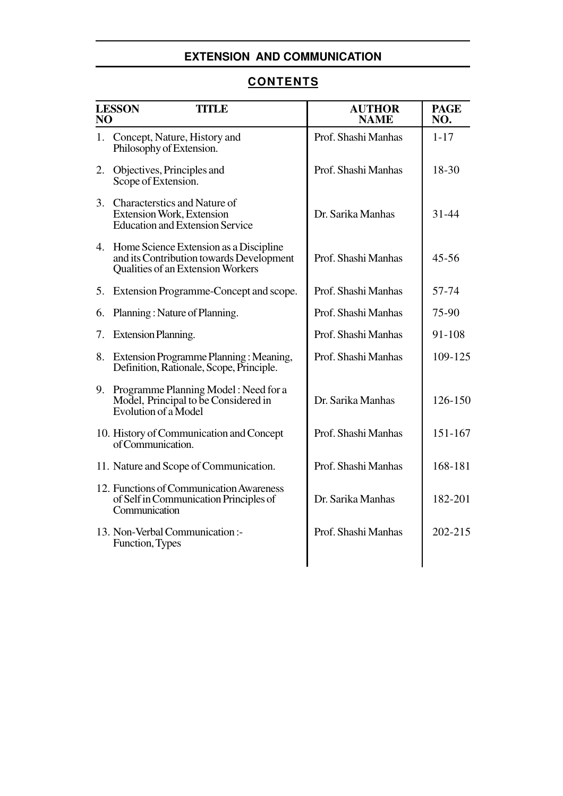# **EXTENSION AND COMMUNICATION**

# **CONTENTS**

| <b>LESSON</b><br><b>TITLE</b><br>N <sub>O</sub> |                                                                                                                            | <b>AUTHOR</b><br><b>NAME</b> | <b>PAGE</b><br>NO. |
|-------------------------------------------------|----------------------------------------------------------------------------------------------------------------------------|------------------------------|--------------------|
|                                                 | 1. Concept, Nature, History and<br>Philosophy of Extension.                                                                | Prof. Shashi Manhas          | $1 - 17$           |
| 2.                                              | Objectives, Principles and<br>Scope of Extension.                                                                          | Prof. Shashi Manhas          | 18-30              |
|                                                 | 3. Characterstics and Nature of<br>Extension Work, Extension<br><b>Education and Extension Service</b>                     | Dr. Sarika Manhas            | $31 - 44$          |
|                                                 | 4. Home Science Extension as a Discipline<br>and its Contribution towards Development<br>Qualities of an Extension Workers | Prof. Shashi Manhas          | $45 - 56$          |
| 5.                                              | Extension Programme-Concept and scope.                                                                                     | Prof. Shashi Manhas          | 57-74              |
| 6.                                              | Planning: Nature of Planning.                                                                                              | Prof. Shashi Manhas          | 75-90              |
| 7.                                              | <b>Extension Planning.</b>                                                                                                 | Prof. Shashi Manhas          | 91-108             |
|                                                 | 8. Extension Programme Planning: Meaning,<br>Definition, Rationale, Scope, Principle.                                      | Prof. Shashi Manhas          | 109-125            |
| 9.                                              | Programme Planning Model: Need for a<br>Model, Principal to be Considered in<br>Evolution of a Model                       | Dr. Sarika Manhas            | 126-150            |
|                                                 | 10. History of Communication and Concept<br>of Communication.                                                              | Prof. Shashi Manhas          | 151-167            |
|                                                 | 11. Nature and Scope of Communication.                                                                                     | Prof. Shashi Manhas          | 168-181            |
|                                                 | 12. Functions of Communication Awareness<br>of Self in Communication Principles of<br>Communication                        | Dr. Sarika Manhas            | 182-201            |
|                                                 | 13. Non-Verbal Communication:-<br>Function, Types                                                                          | Prof. Shashi Manhas          | $202 - 215$        |
|                                                 |                                                                                                                            |                              |                    |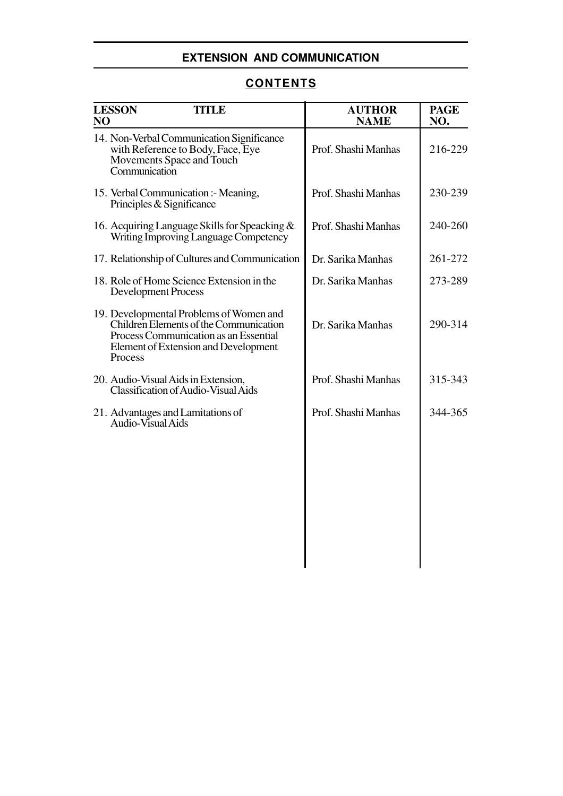# **EXTENSION AND COMMUNICATION**

# **CONTENTS**

| <b>LESSON</b><br><b>TITLE</b><br>NO                                                                                                                                           | <b>AUTHOR</b><br><b>NAME</b> | <b>PAGE</b><br>NO. |
|-------------------------------------------------------------------------------------------------------------------------------------------------------------------------------|------------------------------|--------------------|
| 14. Non-Verbal Communication Significance<br>with Reference to Body, Face, Eye<br>Movements Space and Touch<br>Communication                                                  | Prof. Shashi Manhas          | 216-229            |
| 15. Verbal Communication :- Meaning,<br>Principles & Significance                                                                                                             | Prof. Shashi Manhas          | 230-239            |
| 16. Acquiring Language Skills for Speacking &<br>Writing Improving Language Competency                                                                                        | Prof. Shashi Manhas          | 240-260            |
| 17. Relationship of Cultures and Communication                                                                                                                                | Dr. Sarika Manhas            | 261-272            |
| 18. Role of Home Science Extension in the<br><b>Development Process</b>                                                                                                       | Dr. Sarika Manhas            | 273-289            |
| 19. Developmental Problems of Women and<br>Children Elements of the Communication<br>Process Communication as an Essential<br>Element of Extension and Development<br>Process | Dr. Sarika Manhas            | 290-314            |
| 20. Audio-Visual Aids in Extension,<br><b>Classification of Audio-Visual Aids</b>                                                                                             | Prof. Shashi Manhas          | 315-343            |
| 21. Advantages and Lamitations of<br>Audio-Visual Aids                                                                                                                        | Prof. Shashi Manhas          | 344-365            |
|                                                                                                                                                                               |                              |                    |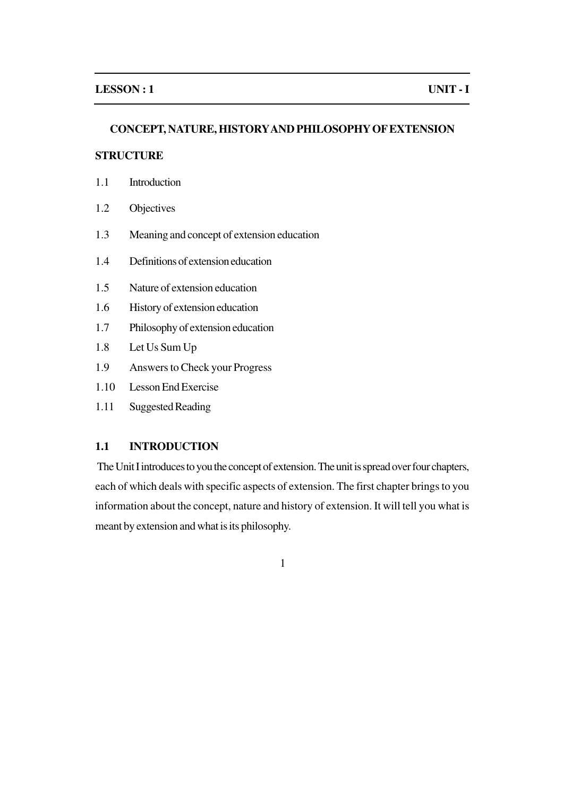#### **CONCEPT, NATURE, HISTORY AND PHILOSOPHY OF EXTENSION**

### **STRUCTURE**

- 1.1 Introduction
- 1.2 Objectives
- 1.3 Meaning and concept of extension education
- 1.4 Definitions of extension education
- 1.5 Nature of extension education
- 1.6 History of extension education
- 1.7 Philosophy of extension education
- 1.8 Let Us Sum Up
- 1.9 Answers to Check your Progress
- 1.10 Lesson End Exercise
- 1.11 Suggested Reading

### **1.1 INTRODUCTION**

The Unit I introduces to you the concept of extension. The unit is spread over four chapters, each of which deals with specific aspects of extension. The first chapter brings to you information about the concept, nature and history of extension. It will tell you what is meant by extension and what is its philosophy.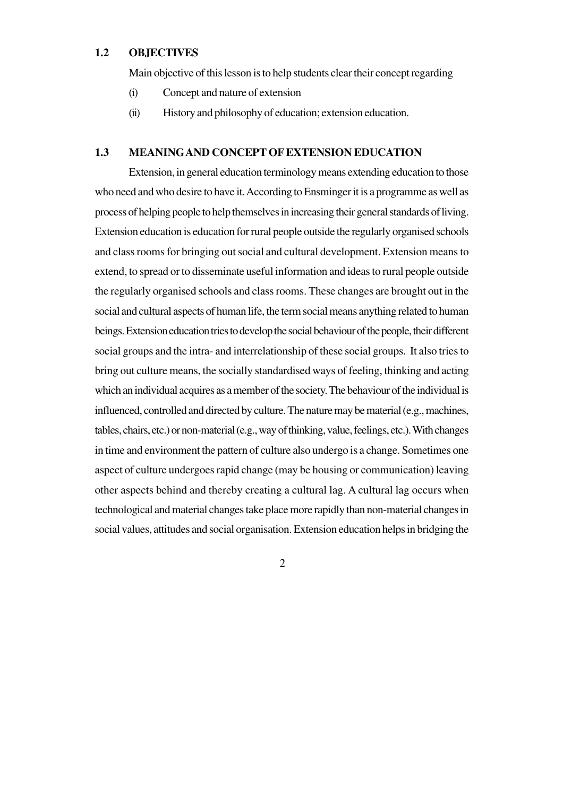### **1.2 OBJECTIVES**

Main objective of this lesson is to help students clear their concept regarding

- (i) Concept and nature of extension
- (ii) History and philosophy of education; extension education.

#### **1.3 MEANINGAND CONCEPT OF EXTENSION EDUCATION**

Extension, in general education terminology means extending education to those who need and who desire to have it. According to Ensminger it is a programme as well as process of helping people to help themselves in increasing their general standards of living. Extension education is education for rural people outside the regularly organised schools and class rooms for bringing out social and cultural development. Extension means to extend, to spread or to disseminate useful information and ideas to rural people outside the regularly organised schools and class rooms. These changes are brought out in the social and cultural aspects of human life, the term social means anything related to human beings. Extension education tries to develop the social behaviour of the people, their different social groups and the intra- and interrelationship of these social groups. It also tries to bring out culture means, the socially standardised ways of feeling, thinking and acting which an individual acquires as a member of the society. The behaviour of the individual is influenced, controlled and directed by culture. The nature may be material (e.g., machines, tables, chairs, etc.) or non-material (e.g., way of thinking, value, feelings, etc.). With changes in time and environment the pattern of culture also undergo is a change. Sometimes one aspect of culture undergoes rapid change (may be housing or communication) leaving other aspects behind and thereby creating a cultural lag. A cultural lag occurs when technological and material changes take place more rapidly than non-material changes in social values, attitudes and social organisation. Extension education helps in bridging the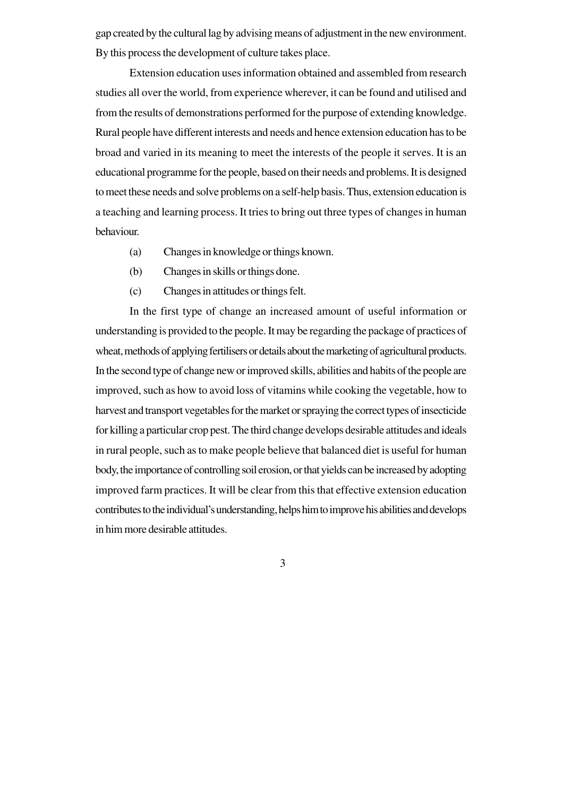gap created by the cultural lag by advising means of adjustment in the new environment. By this process the development of culture takes place.

Extension education uses information obtained and assembled from research studies all over the world, from experience wherever, it can be found and utilised and from the results of demonstrations performed for the purpose of extending knowledge. Rural people have different interests and needs and hence extension education has to be broad and varied in its meaning to meet the interests of the people it serves. It is an educational programme for the people, based on their needs and problems. It is designed to meet these needs and solve problems on a self-help basis. Thus, extension education is a teaching and learning process. It tries to bring out three types of changes in human behaviour.

- (a) Changes in knowledge or things known.
- (b) Changes in skills or things done.
- (c) Changes in attitudes or things felt.

In the first type of change an increased amount of useful information or understanding is provided to the people. It may be regarding the package of practices of wheat, methods of applying fertilisers or details about the marketing of agricultural products. In the second type of change new or improved skills, abilities and habits of the people are improved, such as how to avoid loss of vitamins while cooking the vegetable, how to harvest and transport vegetables for the market or spraying the correct types of insecticide for killing a particular crop pest. The third change develops desirable attitudes and ideals in rural people, such as to make people believe that balanced diet is useful for human body, the importance of controlling soil erosion, or that yields can be increased by adopting improved farm practices. It will be clear from this that effective extension education contributes to the individual's understanding, helps him to improve his abilities and develops in him more desirable attitudes.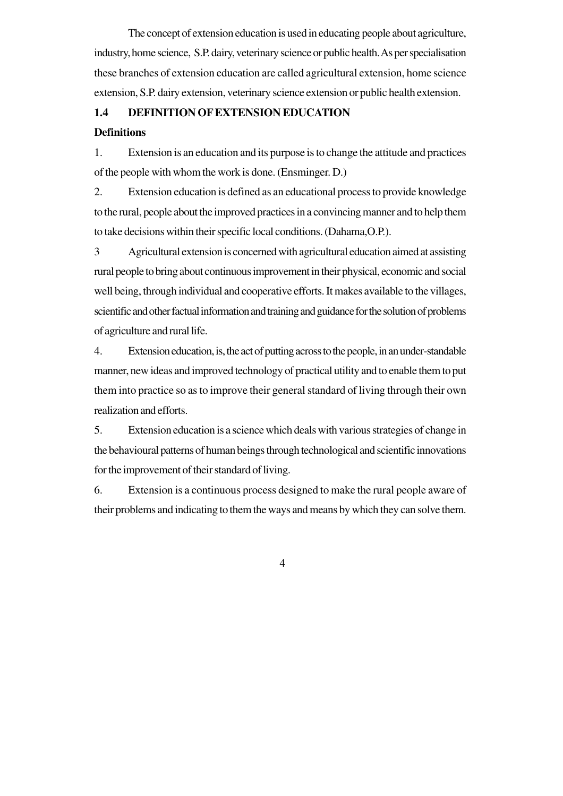The concept of extension education is used in educating people about agriculture, industry, home science, S.P. dairy, veterinary science or public health. As per specialisation these branches of extension education are called agricultural extension, home science extension, S.P. dairy extension, veterinary science extension or public health extension.

#### **1.4 DEFINITION OF EXTENSION EDUCATION**

### **Definitions**

1. Extension is an education and its purpose is to change the attitude and practices of the people with whom the work is done. (Ensminger. D.)

2. Extension education is defined as an educational process to provide knowledge to the rural, people about the improved practices in a convincing manner and to help them to take decisions within their specific local conditions. (Dahama,O.P.).

3 Agricultural extension is concerned with agricultural education aimed at assisting rural people to bring about continuous improvement in their physical, economic and social well being, through individual and cooperative efforts. It makes available to the villages, scientific and other factual information and training and guidance for the solution of problems of agriculture and rural life.

4. Extension education, is, the act of putting across to the people, in an under-standable manner, new ideas and improved technology of practical utility and to enable them to put them into practice so as to improve their general standard of living through their own realization and efforts.

5. Extension education is a science which deals with various strategies of change in the behavioural patterns of human beings through technological and scientific innovations for the improvement of their standard of living.

6. Extension is a continuous process designed to make the rural people aware of their problems and indicating to them the ways and means by which they can solve them.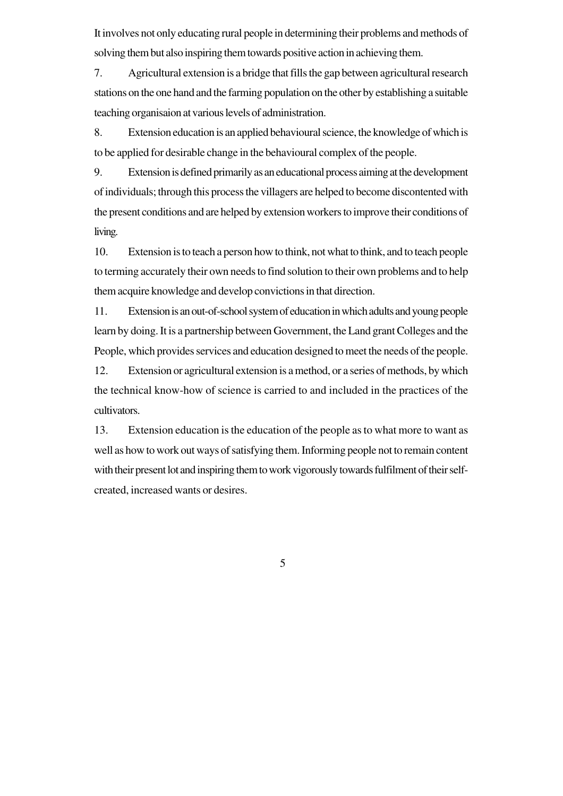It involves not only educating rural people in determining their problems and methods of solving them but also inspiring them towards positive action in achieving them.

7. Agricultural extension is a bridge that fills the gap between agricultural research stations on the one hand and the farming population on the other by establishing a suitable teaching organisaion at various levels of administration.

8. Extension education is an applied behavioural science, the knowledge of which is to be applied for desirable change in the behavioural complex of the people.

9. Extension is defined primarily as an educational process aiming at the development of individuals; through this process the villagers are helped to become discontented with the present conditions and are helped by extension workers to improve their conditions of living.

10. Extension is to teach a person how to think, not what to think, and to teach people to terming accurately their own needs to find solution to their own problems and to help them acquire knowledge and develop convictions in that direction.

11. Extension is an out-of-school system of education in which adults and young people learn by doing. It is a partnership between Government, the Land grant Colleges and the People, which provides services and education designed to meet the needs of the people.

12. Extension or agricultural extension is a method, or a series of methods, by which the technical know-how of science is carried to and included in the practices of the cultivators.

13. Extension education is the education of the people as to what more to want as well as how to work out ways of satisfying them. Informing people not to remain content with their present lot and inspiring them to work vigorously towards fulfilment of their selfcreated, increased wants or desires.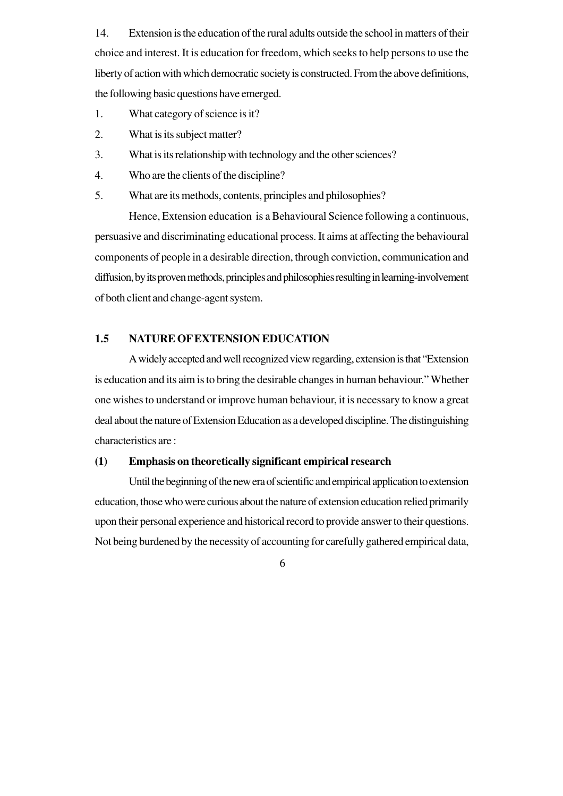14. Extension is the education of the rural adults outside the school in matters of their choice and interest. It is education for freedom, which seeks to help persons to use the liberty of action with which democratic society is constructed. From the above definitions, the following basic questions have emerged.

- 1. What category of science is it?
- 2. What is its subject matter?
- 3. What is its relationship with technology and the other sciences?
- 4. Who are the clients of the discipline?
- 5. What are its methods, contents, principles and philosophies?

Hence, Extension education is a Behavioural Science following a continuous, persuasive and discriminating educational process. It aims at affecting the behavioural components of people in a desirable direction, through conviction, communication and diffusion, by its proven methods, principles and philosophies resulting in learning-involvement of both client and change-agent system.

### **1.5 NATURE OF EXTENSION EDUCATION**

A widely accepted and well recognized view regarding, extension is that "Extension is education and its aim is to bring the desirable changes in human behaviour." Whether one wishes to understand or improve human behaviour, it is necessary to know a great deal about the nature of Extension Education as a developed discipline. The distinguishing characteristics are :

### **(1) Emphasis on theoretically significant empirical research**

Until the beginning of the new era of scientific and empirical application to extension education, those who were curious about the nature of extension education relied primarily upon their personal experience and historical record to provide answer to their questions. Not being burdened by the necessity of accounting for carefully gathered empirical data,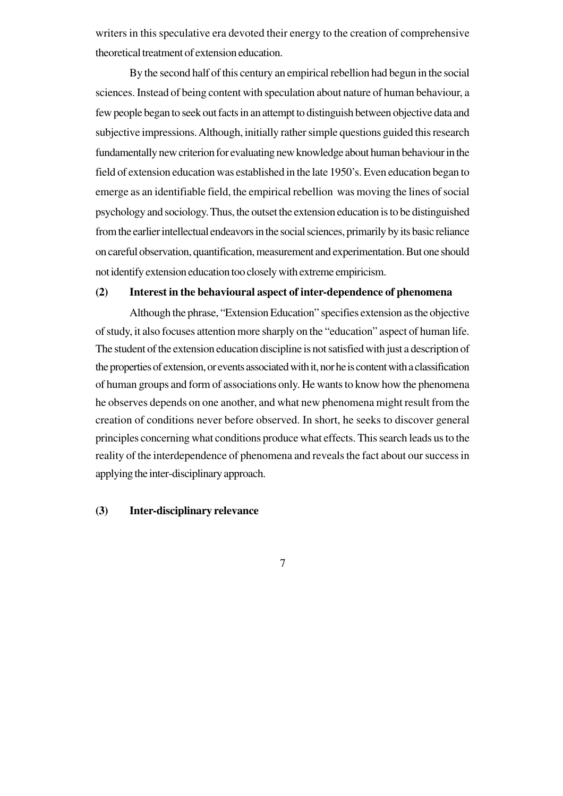writers in this speculative era devoted their energy to the creation of comprehensive theoretical treatment of extension education.

By the second half of this century an empirical rebellion had begun in the social sciences. Instead of being content with speculation about nature of human behaviour, a few people began to seek out facts in an attempt to distinguish between objective data and subjective impressions. Although, initially rather simple questions guided this research fundamentally new criterion for evaluating new knowledge about human behaviour in the field of extension education was established in the late 1950's. Even education began to emerge as an identifiable field, the empirical rebellion was moving the lines of social psychology and sociology. Thus, the outset the extension education is to be distinguished from the earlier intellectual endeavors in the social sciences, primarily by its basic reliance on careful observation, quantification, measurement and experimentation. But one should not identify extension education too closely with extreme empiricism.

#### **(2) Interest in the behavioural aspect of inter-dependence of phenomena**

Although the phrase, "Extension Education" specifies extension as the objective of study, it also focuses attention more sharply on the "education" aspect of human life. The student of the extension education discipline is not satisfied with just a description of the properties of extension, or events associated with it, nor he is content with a classification of human groups and form of associations only. He wants to know how the phenomena he observes depends on one another, and what new phenomena might result from the creation of conditions never before observed. In short, he seeks to discover general principles concerning what conditions produce what effects. This search leads us to the reality of the interdependence of phenomena and reveals the fact about our success in applying the inter-disciplinary approach.

#### **(3) Inter-disciplinary relevance**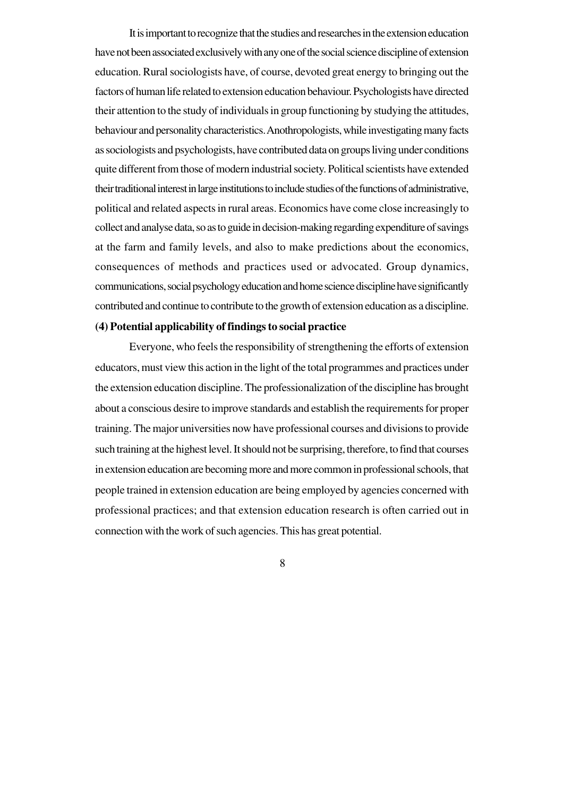It is important to recognize that the studies and researches in the extension education have not been associated exclusively with any one of the social science discipline of extension education. Rural sociologists have, of course, devoted great energy to bringing out the factors of human life related to extension education behaviour. Psychologists have directed their attention to the study of individuals in group functioning by studying the attitudes, behaviour and personality characteristics. Anothropologists, while investigating many facts as sociologists and psychologists, have contributed data on groups living under conditions quite different from those of modern industrial society. Political scientists have extended their traditional interest in large institutions to include studies of the functions of administrative, political and related aspects in rural areas. Economics have come close increasingly to collect and analyse data, so as to guide in decision-making regarding expenditure of savings at the farm and family levels, and also to make predictions about the economics, consequences of methods and practices used or advocated. Group dynamics, communications, social psychology education and home science discipline have significantly contributed and continue to contribute to the growth of extension education as a discipline.

#### **(4) Potential applicability of findings to social practice**

Everyone, who feels the responsibility of strengthening the efforts of extension educators, must view this action in the light of the total programmes and practices under the extension education discipline. The professionalization of the discipline has brought about a conscious desire to improve standards and establish the requirements for proper training. The major universities now have professional courses and divisions to provide such training at the highest level. It should not be surprising, therefore, to find that courses in extension education are becoming more and more common in professional schools, that people trained in extension education are being employed by agencies concerned with professional practices; and that extension education research is often carried out in connection with the work of such agencies. This has great potential.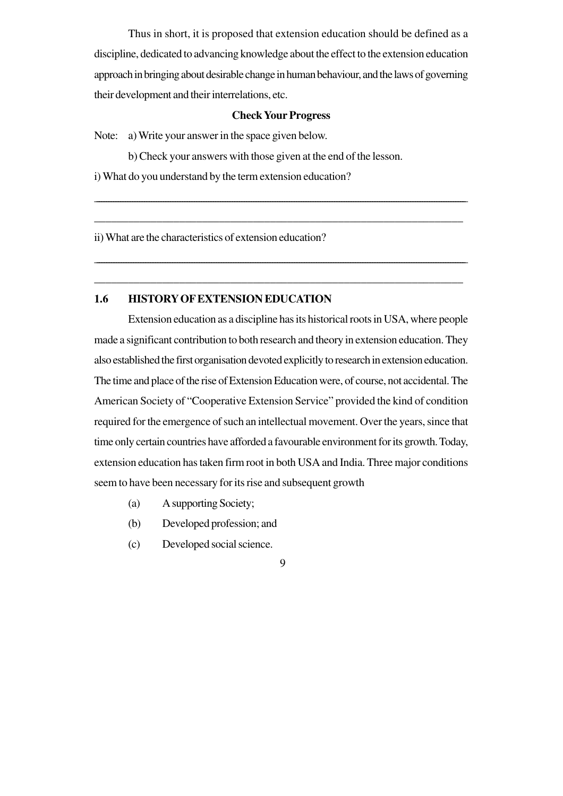Thus in short, it is proposed that extension education should be defined as a discipline, dedicated to advancing knowledge about the effect to the extension education approach in bringing about desirable change in human behaviour, and the laws of governing their development and their interrelations, etc.

#### **Check Your Progress**

\_\_\_\_\_\_\_\_\_\_\_\_\_\_\_\_\_\_\_\_\_\_\_\_\_\_\_\_\_\_\_\_\_\_\_\_\_\_\_\_\_\_\_\_\_\_\_\_\_\_\_\_\_\_\_\_\_\_\_\_\_\_\_\_\_\_\_\_\_\_\_\_\_\_\_\_\_\_\_\_\_\_\_\_\_\_\_\_\_\_\_\_\_\_\_\_\_\_\_\_\_\_\_\_\_\_\_\_\_\_\_\_\_\_\_\_\_\_\_\_\_\_\_\_\_\_\_\_\_\_\_\_\_\_\_\_\_\_\_\_\_\_\_\_\_\_\_\_\_\_\_\_\_\_\_\_

\_\_\_\_\_\_\_\_\_\_\_\_\_\_\_\_\_\_\_\_\_\_\_\_\_\_\_\_\_\_\_\_\_\_\_\_\_\_\_\_\_\_\_\_\_\_\_\_\_\_\_\_\_\_\_\_\_\_\_\_\_\_\_\_\_

\_\_\_\_\_\_\_\_\_\_\_\_\_\_\_\_\_\_\_\_\_\_\_\_\_\_\_\_\_\_\_\_\_\_\_\_\_\_\_\_\_\_\_\_\_\_\_\_\_\_\_\_\_\_\_\_\_\_\_\_\_\_\_\_\_\_\_\_\_\_\_\_\_\_\_\_\_\_\_\_\_\_\_\_\_\_\_\_\_\_\_\_\_\_\_\_\_\_\_\_\_\_\_\_\_\_\_\_\_\_\_\_\_\_\_\_\_\_\_\_\_\_\_\_\_\_\_\_\_\_\_\_\_\_\_\_\_\_\_\_\_\_\_\_\_\_\_\_\_\_\_\_

\_\_\_\_\_\_\_\_\_\_\_\_\_\_\_\_\_\_\_\_\_\_\_\_\_\_\_\_\_\_\_\_\_\_\_\_\_\_\_\_\_\_\_\_\_\_\_\_\_\_\_\_\_\_\_\_\_\_\_\_\_\_\_\_\_

Note: a) Write your answer in the space given below.

b) Check your answers with those given at the end of the lesson.

i) What do you understand by the term extension education?

ii) What are the characteristics of extension education?

### **1.6 HISTORY OF EXTENSION EDUCATION**

Extension education as a discipline has its historical roots in USA, where people made a significant contribution to both research and theory in extension education. They also established the first organisation devoted explicitly to research in extension education. The time and place of the rise of Extension Education were, of course, not accidental. The American Society of "Cooperative Extension Service" provided the kind of condition required for the emergence of such an intellectual movement. Over the years, since that time only certain countries have afforded a favourable environment for its growth. Today, extension education has taken firm root in both USA and India. Three major conditions seem to have been necessary for its rise and subsequent growth

- (a) A supporting Society;
- (b) Developed profession; and
- (c) Developed social science.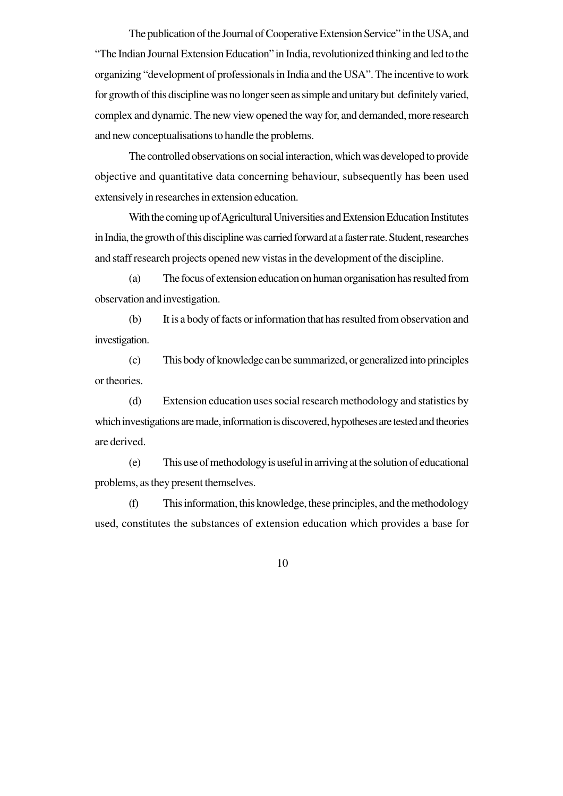The publication of the Journal of Cooperative Extension Service" in the USA, and "The Indian Journal Extension Education" in India, revolutionized thinking and led to the organizing "development of professionals in India and the USA". The incentive to work for growth of this discipline was no longer seen as simple and unitary but definitely varied, complex and dynamic. The new view opened the way for, and demanded, more research and new conceptualisations to handle the problems.

The controlled observations on social interaction, which was developed to provide objective and quantitative data concerning behaviour, subsequently has been used extensively in researches in extension education.

With the coming up of Agricultural Universities and Extension Education Institutes in India, the growth of this discipline was carried forward at a faster rate. Student, researches and staff research projects opened new vistas in the development of the discipline.

(a) The focus of extension education on human organisation has resulted from observation and investigation.

(b) It is a body of facts or information that has resulted from observation and investigation.

(c) This body of knowledge can be summarized, or generalized into principles or theories.

(d) Extension education uses social research methodology and statistics by which investigations are made, information is discovered, hypotheses are tested and theories are derived.

(e) This use of methodology is useful in arriving at the solution of educational problems, as they present themselves.

(f) This information, this knowledge, these principles, and the methodology used, constitutes the substances of extension education which provides a base for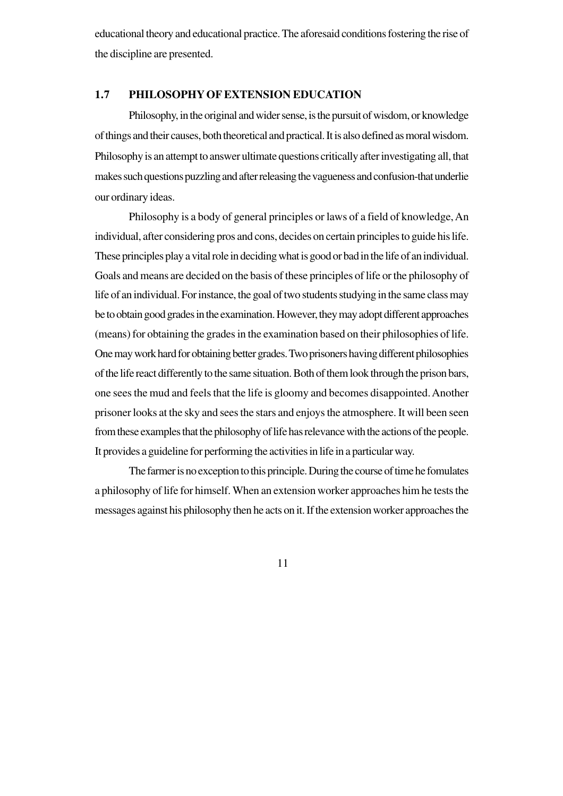educational theory and educational practice. The aforesaid conditions fostering the rise of the discipline are presented.

#### **1.7 PHILOSOPHY OF EXTENSION EDUCATION**

Philosophy, in the original and wider sense, is the pursuit of wisdom, or knowledge of things and their causes, both theoretical and practical. It is also defined as moral wisdom. Philosophy is an attempt to answer ultimate questions critically after investigating all, that makes such questions puzzling and after releasing the vagueness and confusion-that underlie our ordinary ideas.

Philosophy is a body of general principles or laws of a field of knowledge, An individual, after considering pros and cons, decides on certain principles to guide his life. These principles play a vital role in deciding what is good or bad in the life of an individual. Goals and means are decided on the basis of these principles of life or the philosophy of life of an individual. For instance, the goal of two students studying in the same class may be to obtain good grades in the examination. However, they may adopt different approaches (means) for obtaining the grades in the examination based on their philosophies of life. One may work hard for obtaining better grades. Two prisoners having different philosophies of the life react differently to the same situation. Both of them look through the prison bars, one sees the mud and feels that the life is gloomy and becomes disappointed. Another prisoner looks at the sky and sees the stars and enjoys the atmosphere. It will been seen from these examples that the philosophy of life has relevance with the actions of the people. It provides a guideline for performing the activities in life in a particular way.

The farmer is no exception to this principle. During the course of time he fomulates a philosophy of life for himself. When an extension worker approaches him he tests the messages against his philosophy then he acts on it. If the extension worker approaches the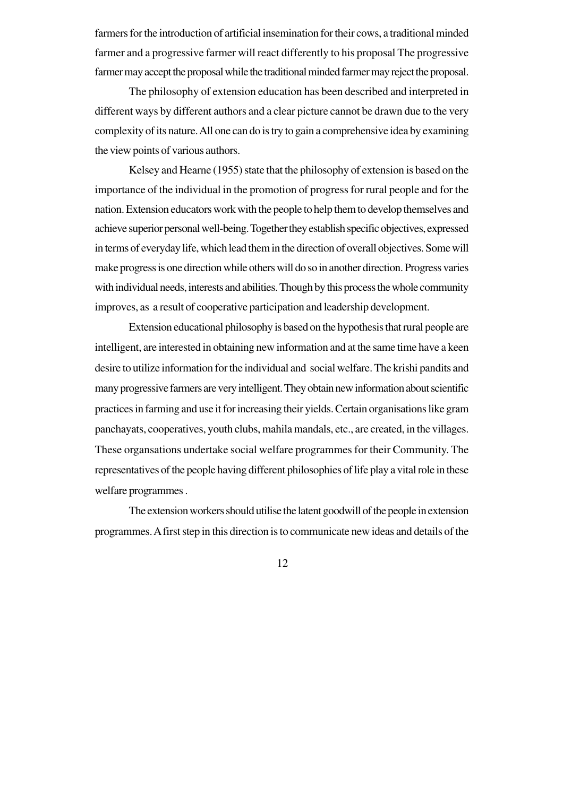farmers for the introduction of artificial insemination for their cows, a traditional minded farmer and a progressive farmer will react differently to his proposal The progressive farmer may accept the proposal while the traditional minded farmer may reject the proposal.

The philosophy of extension education has been described and interpreted in different ways by different authors and a clear picture cannot be drawn due to the very complexity of its nature. All one can do is try to gain a comprehensive idea by examining the view points of various authors.

Kelsey and Hearne (1955) state that the philosophy of extension is based on the importance of the individual in the promotion of progress for rural people and for the nation. Extension educators work with the people to help them to develop themselves and achieve superior personal well-being. Together they establish specific objectives, expressed in terms of everyday life, which lead them in the direction of overall objectives. Some will make progress is one direction while others will do so in another direction. Progress varies with individual needs, interests and abilities. Though by this process the whole community improves, as a result of cooperative participation and leadership development.

Extension educational philosophy is based on the hypothesis that rural people are intelligent, are interested in obtaining new information and at the same time have a keen desire to utilize information for the individual and social welfare. The krishi pandits and many progressive farmers are very intelligent. They obtain new information about scientific practices in farming and use it for increasing their yields. Certain organisations like gram panchayats, cooperatives, youth clubs, mahila mandals, etc., are created, in the villages. These organsations undertake social welfare programmes for their Community. The representatives of the people having different philosophies of life play a vital role in these welfare programmes .

The extension workers should utilise the latent goodwill of the people in extension programmes. A first step in this direction is to communicate new ideas and details of the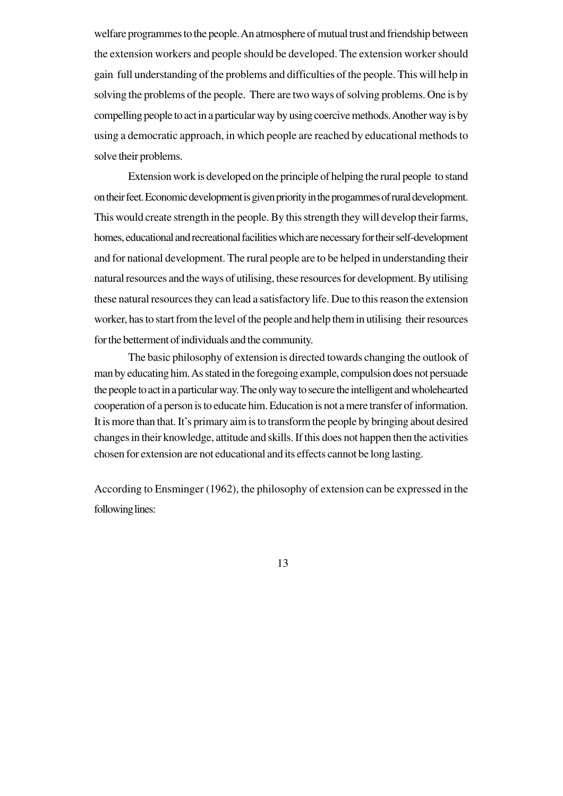welfare programmes to the people. An atmosphere of mutual trust and friendship between the extension workers and people should be developed. The extension worker should gain full understanding of the problems and difficulties of the people. This will help in solving the problems of the people. There are two ways of solving problems. One is by compelling people to act in a particular way by using coercive methods. Another way is by using a democratic approach, in which people are reached by educational methods to solve their problems.

Extension work is developed on the principle of helping the rural people to stand on their feet. Economic development is given priority in the progammes of rural development. This would create strength in the people. By this strength they will develop their farms, homes, educational and recreational facilities which are necessary for their self-development and for national development. The rural people are to be helped in understanding their natural resources and the ways of utilising, these resources for development. By utilising these natural resources they can lead a satisfactory life. Due to this reason the extension worker, has to start from the level of the people and help them in utilising their resources for the betterment of individuals and the community.

The basic philosophy of extension is directed towards changing the outlook of man by educating him. As stated in the foregoing example, compulsion does not persuade the people to act in a particular way. The only way to secure the intelligent and wholehearted cooperation of a person is to educate him. Education is not a mere transfer of information. It is more than that. It's primary aim is to transform the people by bringing about desired changes in their knowledge, attitude and skills. If this does not happen then the activities chosen for extension are not educational and its effects cannot be long lasting.

According to Ensminger (1962), the philosophy of extension can be expressed in the following lines: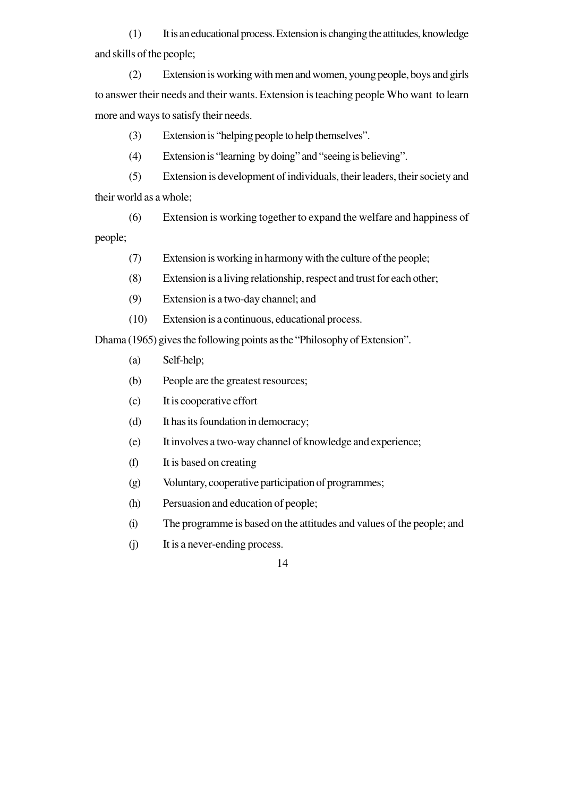(1) It is an educational process. Extension is changing the attitudes, knowledge and skills of the people;

(2) Extension is working with men and women, young people, boys and girls to answer their needs and their wants. Extension is teaching people Who want to learn more and ways to satisfy their needs.

(3) Extension is "helping people to help themselves".

(4) Extension is "learning by doing" and "seeing is believing".

(5) Extension is development of individuals, their leaders, their society and their world as a whole;

(6) Extension is working together to expand the welfare and happiness of people;

- (7) Extension is working in harmony with the culture of the people;
- (8) Extension is a living relationship, respect and trust for each other;
- (9) Extension is a two-day channel; and
- (10) Extension is a continuous, educational process.

Dhama (1965) gives the following points as the "Philosophy of Extension".

- (a) Self-help;
- (b) People are the greatest resources;
- (c) It is cooperative effort
- (d) It has its foundation in democracy;
- (e) It involves a two-way channel of knowledge and experience;
- (f) It is based on creating
- (g) Voluntary, cooperative participation of programmes;
- (h) Persuasion and education of people;
- (i) The programme is based on the attitudes and values of the people; and
- (j) It is a never-ending process.
	- 14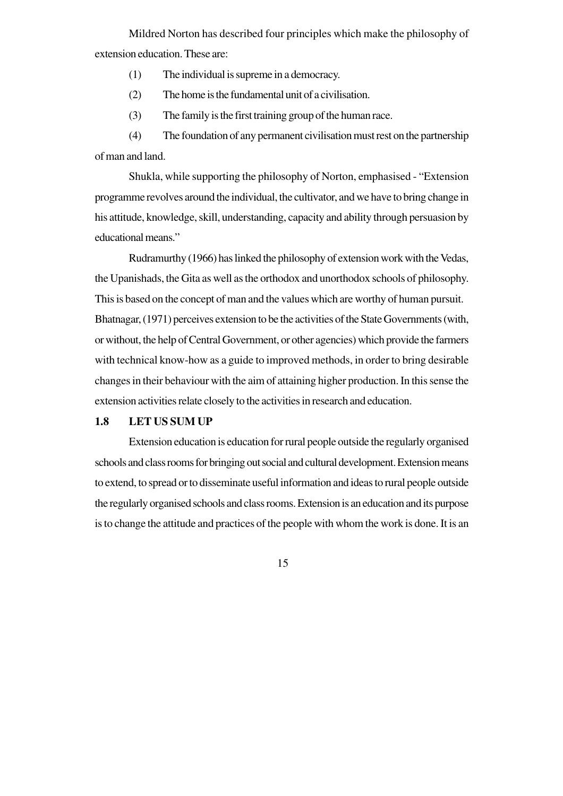Mildred Norton has described four principles which make the philosophy of extension education. These are:

(1) The individual is supreme in a democracy.

- (2) The home is the fundamental unit of a civilisation.
- (3) The family is the first training group of the human race.

(4) The foundation of any permanent civilisation must rest on the partnership of man and land.

Shukla, while supporting the philosophy of Norton, emphasised - "Extension programme revolves around the individual, the cultivator, and we have to bring change in his attitude, knowledge, skill, understanding, capacity and ability through persuasion by educational means."

Rudramurthy (1966) has linked the philosophy of extension work with the Vedas, the Upanishads, the Gita as well as the orthodox and unorthodox schools of philosophy. This is based on the concept of man and the values which are worthy of human pursuit. Bhatnagar, (1971) perceives extension to be the activities of the State Governments (with, or without, the help of Central Government, or other agencies) which provide the farmers with technical know-how as a guide to improved methods, in order to bring desirable changes in their behaviour with the aim of attaining higher production. In this sense the extension activities relate closely to the activities in research and education.

#### **1.8 LET US SUM UP**

Extension education is education for rural people outside the regularly organised schools and class rooms for bringing out social and cultural development. Extension means to extend, to spread or to disseminate useful information and ideas to rural people outside the regularly organised schools and class rooms. Extension is an education and its purpose is to change the attitude and practices of the people with whom the work is done. It is an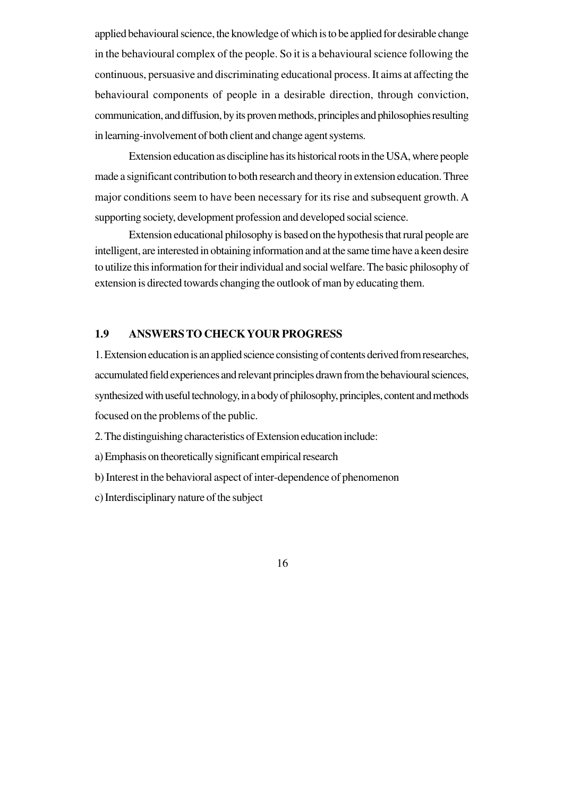applied behavioural science, the knowledge of which is to be applied for desirable change in the behavioural complex of the people. So it is a behavioural science following the continuous, persuasive and discriminating educational process. It aims at affecting the behavioural components of people in a desirable direction, through conviction, communication, and diffusion, by its proven methods, principles and philosophies resulting in learning-involvement of both client and change agent systems.

Extension education as discipline has its historical roots in the USA, where people made a significant contribution to both research and theory in extension education. Three major conditions seem to have been necessary for its rise and subsequent growth. A supporting society, development profession and developed social science.

Extension educational philosophy is based on the hypothesis that rural people are intelligent, are interested in obtaining information and at the same time have a keen desire to utilize this information for their individual and social welfare. The basic philosophy of extension is directed towards changing the outlook of man by educating them.

#### **1.9 ANSWERS TO CHECK YOUR PROGRESS**

1. Extension education is an applied science consisting of contents derived from researches, accumulated field experiences and relevant principles drawn from the behavioural sciences, synthesized with useful technology, in a body of philosophy, principles, content and methods focused on the problems of the public.

- 2. The distinguishing characteristics of Extension education include:
- a) Emphasis on theoretically significant empirical research
- b) Interest in the behavioral aspect of inter-dependence of phenomenon
- c) Interdisciplinary nature of the subject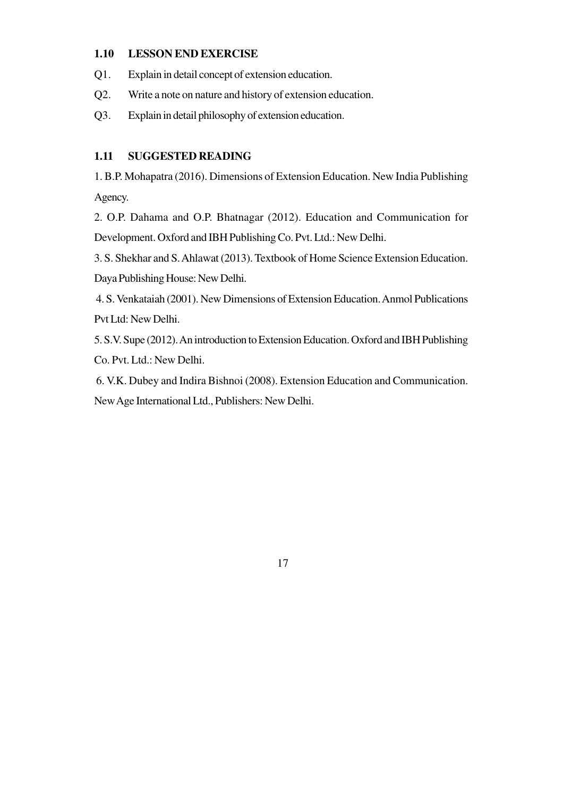### **1.10 LESSON END EXERCISE**

- Q1. Explain in detail concept of extension education.
- Q2. Write a note on nature and history of extension education.
- Q3. Explain in detail philosophy of extension education.

# **1.11 SUGGESTED READING**

1. B.P. Mohapatra (2016). Dimensions of Extension Education. New India Publishing Agency.

2. O.P. Dahama and O.P. Bhatnagar (2012). Education and Communication for Development. Oxford and IBH Publishing Co. Pvt. Ltd.: New Delhi.

3. S. Shekhar and S. Ahlawat (2013). Textbook of Home Science Extension Education. Daya Publishing House: New Delhi.

 4. S. Venkataiah (2001). New Dimensions of Extension Education. Anmol Publications Pvt Ltd: New Delhi.

5. S.V. Supe (2012). An introduction to Extension Education. Oxford and IBH Publishing Co. Pvt. Ltd.: New Delhi.

 6. V.K. Dubey and Indira Bishnoi (2008). Extension Education and Communication. New Age International Ltd., Publishers: New Delhi.

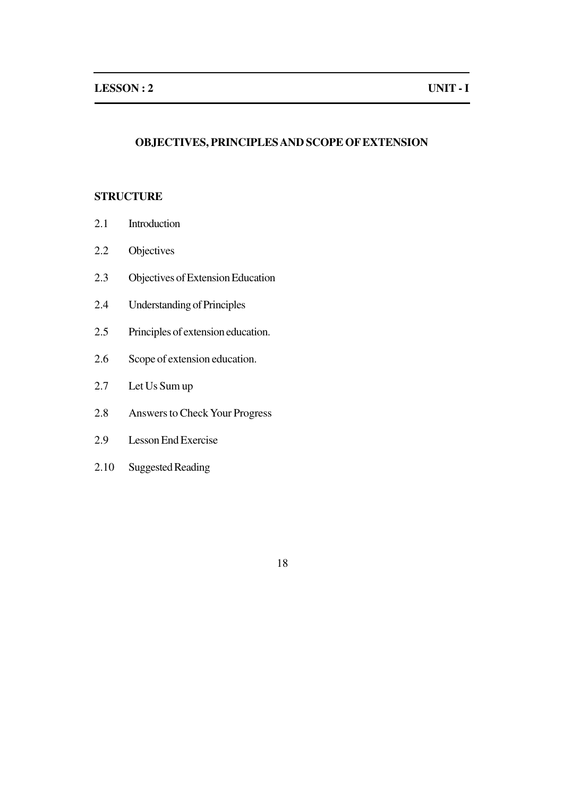# **OBJECTIVES, PRINCIPLES AND SCOPE OF EXTENSION**

## **STRUCTURE**

- 2.1 Introduction
- 2.2 Objectives
- 2.3 Objectives of Extension Education
- 2.4 Understanding of Principles
- 2.5 Principles of extension education.
- 2.6 Scope of extension education.
- 2.7 Let Us Sum up
- 2.8 Answers to Check Your Progress
- 2.9 Lesson End Exercise
- 2.10 Suggested Reading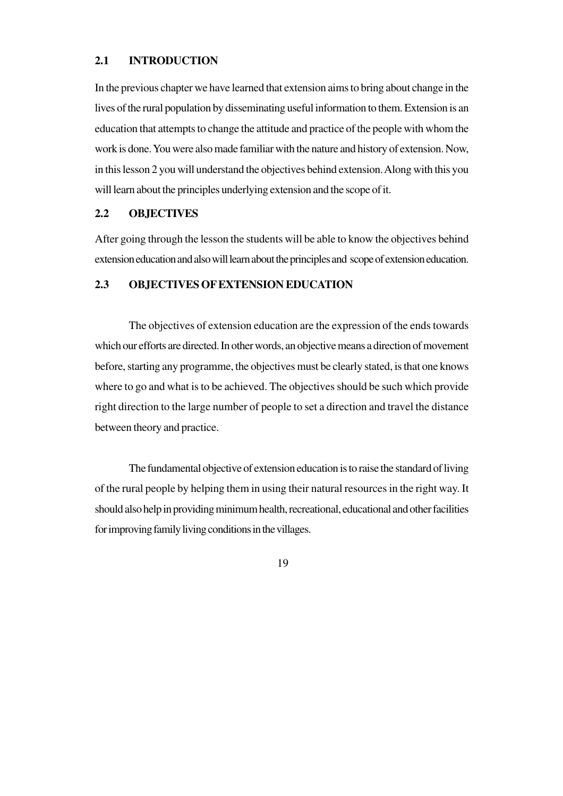#### **2.1 INTRODUCTION**

In the previous chapter we have learned that extension aims to bring about change in the lives of the rural population by disseminating useful information to them. Extension is an education that attempts to change the attitude and practice of the people with whom the work is done. You were also made familiar with the nature and history of extension. Now, in this lesson 2 you will understand the objectives behind extension. Along with this you will learn about the principles underlying extension and the scope of it.

#### **2.2 OBJECTIVES**

After going through the lesson the students will be able to know the objectives behind extension education and also will learn about the principles and scope of extension education.

### **2.3 OBJECTIVES OF EXTENSION EDUCATION**

The objectives of extension education are the expression of the ends towards which our efforts are directed. In other words, an objective means a direction of movement before, starting any programme, the objectives must be clearly stated, is that one knows where to go and what is to be achieved. The objectives should be such which provide right direction to the large number of people to set a direction and travel the distance between theory and practice.

The fundamental objective of extension education is to raise the standard of living of the rural people by helping them in using their natural resources in the right way. It should also help in providing minimum health, recreational, educational and other facilities for improving family living conditions in the villages.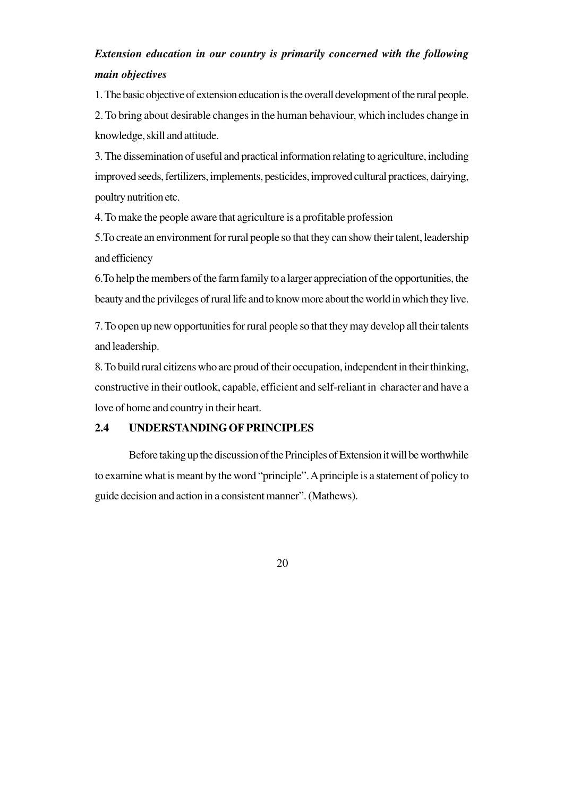# *Extension education in our country is primarily concerned with the following main objectives*

1. The basic objective of extension education is the overall development of the rural people.

2. To bring about desirable changes in the human behaviour, which includes change in knowledge, skill and attitude.

3. The dissemination of useful and practical information relating to agriculture, including improved seeds, fertilizers, implements, pesticides, improved cultural practices, dairying, poultry nutrition etc.

4. To make the people aware that agriculture is a profitable profession

5.To create an environment for rural people so that they can show their talent, leadership and efficiency

6.To help the members of the farm family to a larger appreciation of the opportunities, the beauty and the privileges of rural life and to know more about the world in which they live.

7. To open up new opportunities for rural people so that they may develop all their talents and leadership.

8. To build rural citizens who are proud of their occupation, independent in their thinking, constructive in their outlook, capable, efficient and self-reliant in character and have a love of home and country in their heart.

### **2.4 UNDERSTANDING OF PRINCIPLES**

Before taking up the discussion of the Principles of Extension it will be worthwhile to examine what is meant by the word "principle". A principle is a statement of policy to guide decision and action in a consistent manner". (Mathews).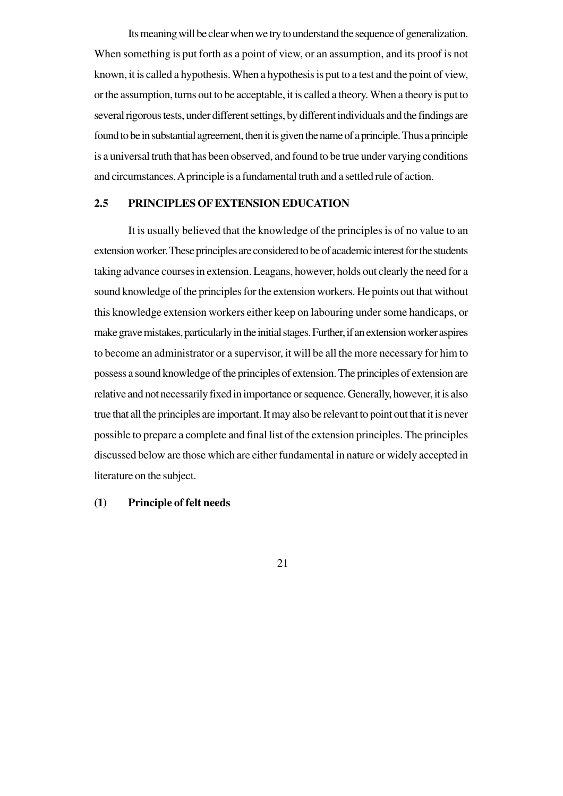Its meaning will be clear when we try to understand the sequence of generalization. When something is put forth as a point of view, or an assumption, and its proof is not known, it is called a hypothesis. When a hypothesis is put to a test and the point of view, or the assumption, turns out to be acceptable, it is called a theory. When a theory is put to several rigorous tests, under different settings, by different individuals and the findings are found to be in substantial agreement, then it is given the name of a principle. Thus a principle is a universal truth that has been observed, and found to be true under varying conditions and circumstances. A principle is a fundamental truth and a settled rule of action.

## **2.5 PRINCIPLES OF EXTENSION EDUCATION**

It is usually believed that the knowledge of the principles is of no value to an extension worker. These principles are considered to be of academic interest for the students taking advance courses in extension. Leagans, however, holds out clearly the need for a sound knowledge of the principles for the extension workers. He points out that without this knowledge extension workers either keep on labouring under some handicaps, or make grave mistakes, particularly in the initial stages. Further, if an extension worker aspires to become an administrator or a supervisor, it will be all the more necessary for him to possess a sound knowledge of the principles of extension. The principles of extension are relative and not necessarily fixed in importance or sequence. Generally, however, it is also true that all the principles are important. It may also be relevant to point out that it is never possible to prepare a complete and final list of the extension principles. The principles discussed below are those which are either fundamental in nature or widely accepted in literature on the subject.

### **(1) Principle of felt needs**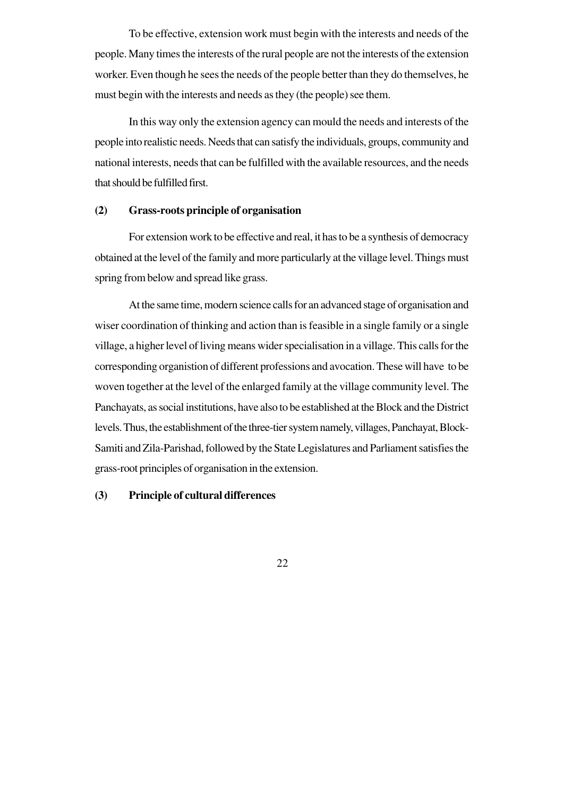To be effective, extension work must begin with the interests and needs of the people. Many times the interests of the rural people are not the interests of the extension worker. Even though he sees the needs of the people better than they do themselves, he must begin with the interests and needs as they (the people) see them.

In this way only the extension agency can mould the needs and interests of the people into realistic needs. Needs that can satisfy the individuals, groups, community and national interests, needs that can be fulfilled with the available resources, and the needs that should be fulfilled first.

#### **(2) Grass-roots principle of organisation**

For extension work to be effective and real, it has to be a synthesis of democracy obtained at the level of the family and more particularly at the village level. Things must spring from below and spread like grass.

At the same time, modern science calls for an advanced stage of organisation and wiser coordination of thinking and action than is feasible in a single family or a single village, a higher level of living means wider specialisation in a village. This calls for the corresponding organistion of different professions and avocation. These will have to be woven together at the level of the enlarged family at the village community level. The Panchayats, as social institutions, have also to be established at the Block and the District levels. Thus, the establishment of the three-tier system namely, villages, Panchayat, Block-Samiti and Zila-Parishad, followed by the State Legislatures and Parliament satisfies the grass-root principles of organisation in the extension.

### **(3) Principle of cultural differences**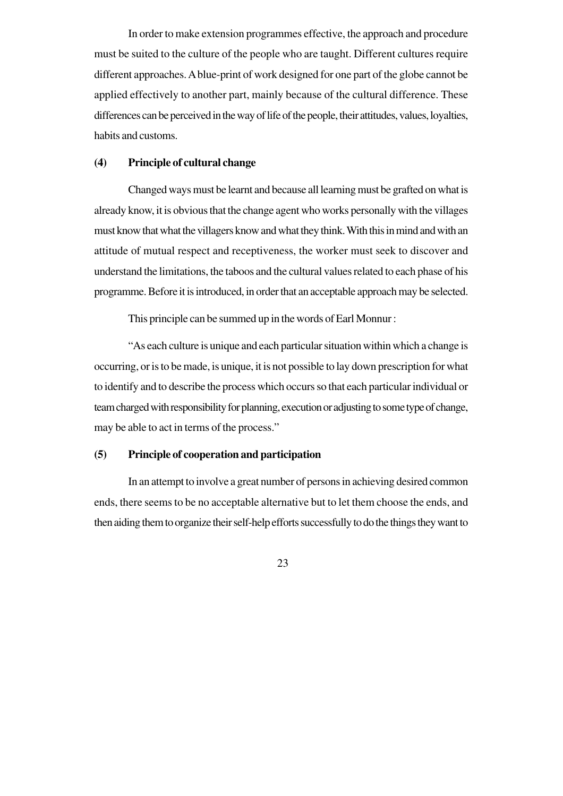In order to make extension programmes effective, the approach and procedure must be suited to the culture of the people who are taught. Different cultures require different approaches. A blue-print of work designed for one part of the globe cannot be applied effectively to another part, mainly because of the cultural difference. These differences can be perceived in the way of life of the people, their attitudes, values, loyalties, habits and customs.

### **(4) Principle of cultural change**

Changed ways must be learnt and because all learning must be grafted on what is already know, it is obvious that the change agent who works personally with the villages must know that what the villagers know and what they think. With this in mind and with an attitude of mutual respect and receptiveness, the worker must seek to discover and understand the limitations, the taboos and the cultural values related to each phase of his programme. Before it is introduced, in order that an acceptable approach may be selected.

This principle can be summed up in the words of Earl Monnur :

"As each culture is unique and each particular situation within which a change is occurring, or is to be made, is unique, it is not possible to lay down prescription for what to identify and to describe the process which occurs so that each particular individual or team charged with responsibility for planning, execution or adjusting to some type of change, may be able to act in terms of the process."

### **(5) Principle of cooperation and participation**

In an attempt to involve a great number of persons in achieving desired common ends, there seems to be no acceptable alternative but to let them choose the ends, and then aiding them to organize their self-help efforts successfully to do the things they want to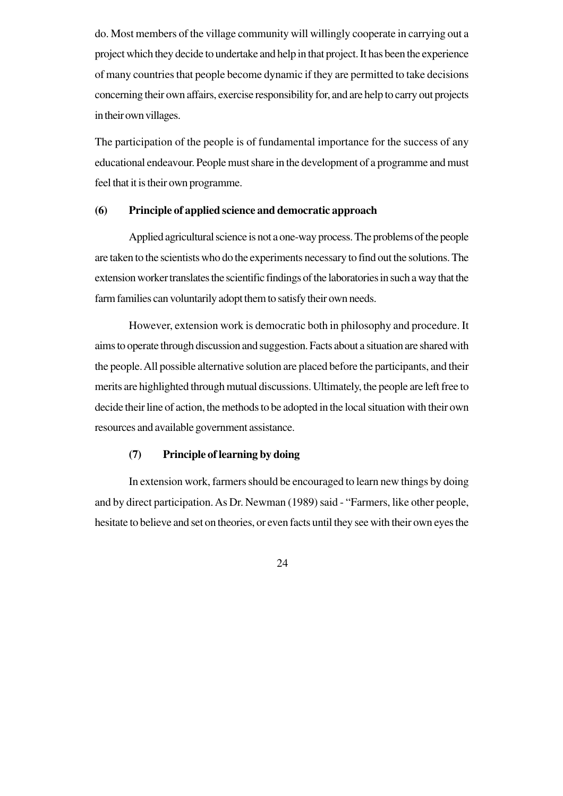do. Most members of the village community will willingly cooperate in carrying out a project which they decide to undertake and help in that project. It has been the experience of many countries that people become dynamic if they are permitted to take decisions concerning their own affairs, exercise responsibility for, and are help to carry out projects in their own villages.

The participation of the people is of fundamental importance for the success of any educational endeavour. People must share in the development of a programme and must feel that it is their own programme.

#### **(6) Principle of applied science and democratic approach**

Applied agricultural science is not a one-way process. The problems of the people are taken to the scientists who do the experiments necessary to find out the solutions. The extension worker translates the scientific findings of the laboratories in such a way that the farm families can voluntarily adopt them to satisfy their own needs.

However, extension work is democratic both in philosophy and procedure. It aims to operate through discussion and suggestion. Facts about a situation are shared with the people. All possible alternative solution are placed before the participants, and their merits are highlighted through mutual discussions. Ultimately, the people are left free to decide their line of action, the methods to be adopted in the local situation with their own resources and available government assistance.

### **(7) Principle of learning by doing**

In extension work, farmers should be encouraged to learn new things by doing and by direct participation. As Dr. Newman (1989) said - "Farmers, like other people, hesitate to believe and set on theories, or even facts until they see with their own eyes the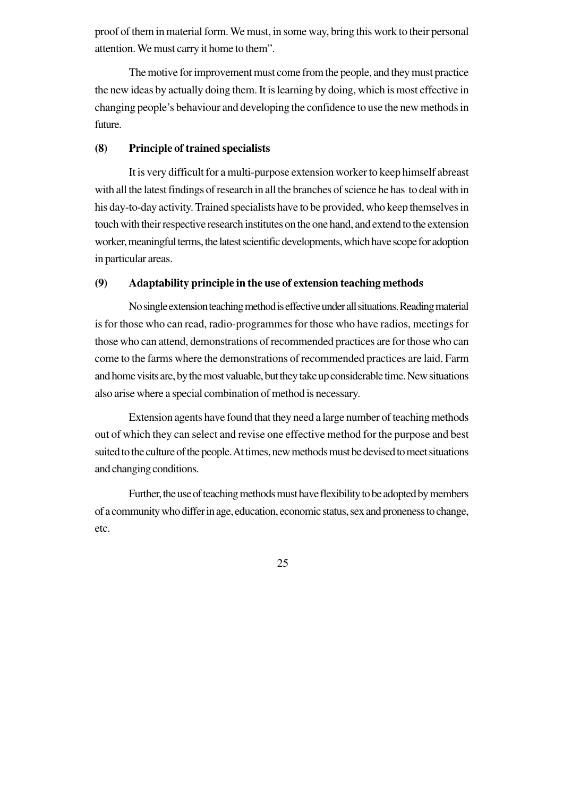proof of them in material form. We must, in some way, bring this work to their personal attention. We must carry it home to them".

The motive for improvement must come from the people, and they must practice the new ideas by actually doing them. It is learning by doing, which is most effective in changing people's behaviour and developing the confidence to use the new methods in future.

#### **(8) Principle of trained specialists**

It is very difficult for a multi-purpose extension worker to keep himself abreast with all the latest findings of research in all the branches of science he has to deal with in his day-to-day activity. Trained specialists have to be provided, who keep themselves in touch with their respective research institutes on the one hand, and extend to the extension worker, meaningful terms, the latest scientific developments, which have scope for adoption in particular areas.

#### **(9) Adaptability principle in the use of extension teaching methods**

No single extension teaching method is effective under all situations. Reading material is for those who can read, radio-programmes for those who have radios, meetings for those who can attend, demonstrations of recommended practices are for those who can come to the farms where the demonstrations of recommended practices are laid. Farm and home visits are, by the most valuable, but they take up considerable time. New situations also arise where a special combination of method is necessary.

Extension agents have found that they need a large number of teaching methods out of which they can select and revise one effective method for the purpose and best suited to the culture of the people. At times, new methods must be devised to meet situations and changing conditions.

Further, the use of teaching methods must have flexibility to be adopted by members of a community who differ in age, education, economic status, sex and proneness to change, etc.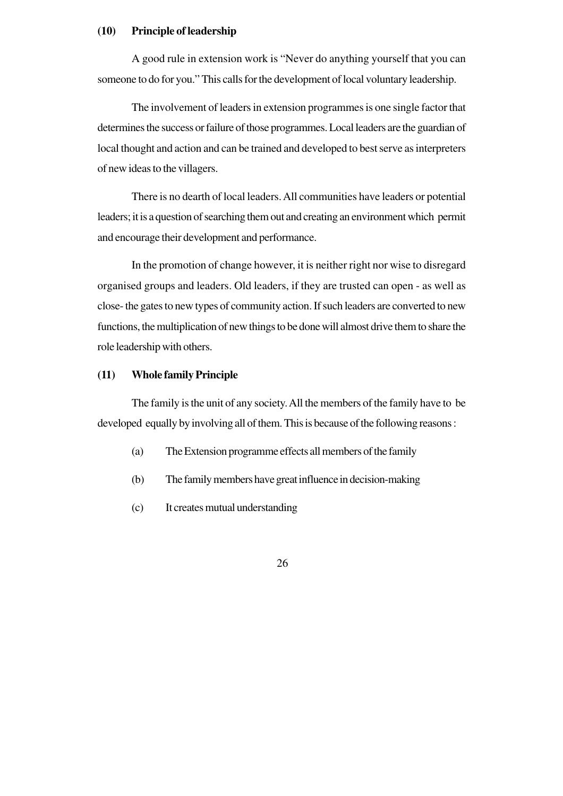### **(10) Principle of leadership**

A good rule in extension work is "Never do anything yourself that you can someone to do for you." This calls for the development of local voluntary leadership.

The involvement of leaders in extension programmes is one single factor that determines the success or failure of those programmes. Local leaders are the guardian of local thought and action and can be trained and developed to best serve as interpreters of new ideas to the villagers.

There is no dearth of local leaders. All communities have leaders or potential leaders; it is a question of searching them out and creating an environment which permit and encourage their development and performance.

In the promotion of change however, it is neither right nor wise to disregard organised groups and leaders. Old leaders, if they are trusted can open - as well as close- the gates to new types of community action. If such leaders are converted to new functions, the multiplication of new things to be done will almost drive them to share the role leadership with others.

#### **(11) Whole family Principle**

The family is the unit of any society. All the members of the family have to be developed equally by involving all of them. This is because of the following reasons :

- (a) The Extension programme effects all members of the family
- (b) The family members have great influence in decision-making
- (c) It creates mutual understanding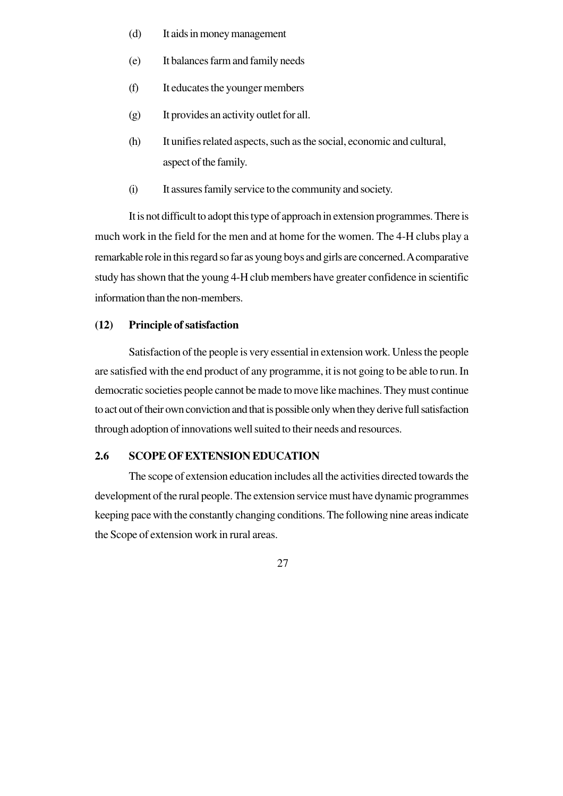- (d) It aids in money management
- (e) It balances farm and family needs
- (f) It educates the younger members
- (g) It provides an activity outlet for all.
- (h) It unifies related aspects, such as the social, economic and cultural, aspect of the family.
- (i) It assures family service to the community and society.

It is not difficult to adopt this type of approach in extension programmes. There is much work in the field for the men and at home for the women. The 4-H clubs play a remarkable role in this regard so far as young boys and girls are concerned. A comparative study has shown that the young 4-H club members have greater confidence in scientific information than the non-members.

#### **(12) Principle of satisfaction**

Satisfaction of the people is very essential in extension work. Unless the people are satisfied with the end product of any programme, it is not going to be able to run. In democratic societies people cannot be made to move like machines. They must continue to act out of their own conviction and that is possible only when they derive full satisfaction through adoption of innovations well suited to their needs and resources.

### **2.6 SCOPE OF EXTENSION EDUCATION**

The scope of extension education includes all the activities directed towards the development of the rural people. The extension service must have dynamic programmes keeping pace with the constantly changing conditions. The following nine areas indicate the Scope of extension work in rural areas.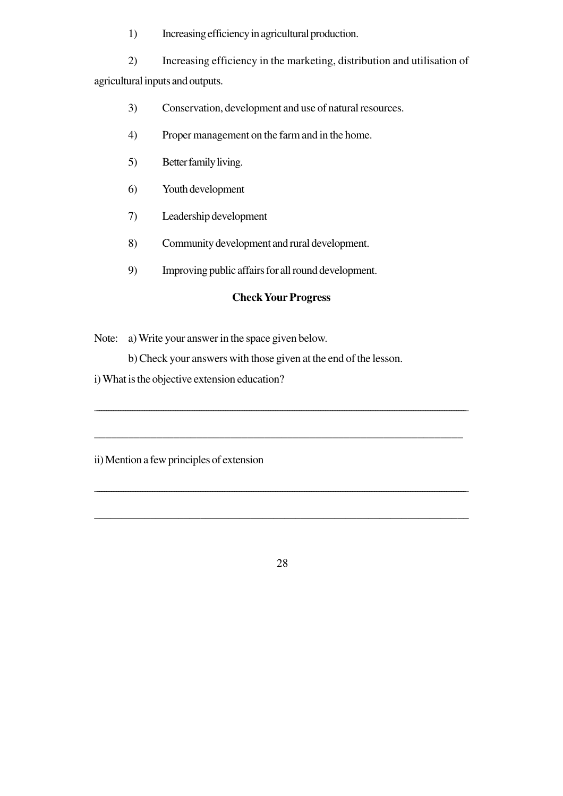1) Increasing efficiency in agricultural production.

2) Increasing efficiency in the marketing, distribution and utilisation of agricultural inputs and outputs.

- 3) Conservation, development and use of natural resources.
- 4) Proper management on the farm and in the home.
- 5) Better family living.
- 6) Youth development
- 7) Leadership development
- 8) Community development and rural development.
- 9) Improving public affairs for all round development.

### **Check Your Progress**

\_\_\_\_\_\_\_\_\_\_\_\_\_\_\_\_\_\_\_\_\_\_\_\_\_\_\_\_\_\_\_\_\_\_\_\_\_\_\_\_\_\_\_\_\_\_\_\_\_\_\_\_\_\_\_\_\_\_\_\_\_\_\_\_\_\_\_\_\_\_\_\_\_\_\_\_\_\_\_\_\_\_\_\_\_\_\_\_\_\_\_\_\_\_\_\_\_\_\_\_\_\_\_\_\_\_\_\_\_\_\_\_\_\_\_\_\_\_\_\_\_\_\_\_\_\_\_\_\_\_\_\_\_\_\_\_\_\_\_\_\_\_\_\_\_\_\_\_\_\_\_\_\_\_\_\_

\_\_\_\_\_\_\_\_\_\_\_\_\_\_\_\_\_\_\_\_\_\_\_\_\_\_\_\_\_\_\_\_\_\_\_\_\_\_\_\_\_\_\_\_\_\_\_\_\_\_\_\_\_\_\_\_\_\_\_\_\_\_\_\_\_

\_\_\_\_\_\_\_\_\_\_\_\_\_\_\_\_\_\_\_\_\_\_\_\_\_\_\_\_\_\_\_\_\_\_\_\_\_\_\_\_\_\_\_\_\_\_\_\_\_\_\_\_\_\_\_\_\_\_\_\_\_\_\_\_\_\_\_\_\_\_\_\_\_\_\_\_\_\_\_\_\_\_\_\_\_\_\_\_\_\_\_\_\_\_\_\_\_\_\_\_\_\_\_\_\_\_\_\_\_\_\_\_\_\_\_\_\_\_\_\_\_\_\_\_\_\_\_\_\_\_\_\_\_\_\_\_\_\_\_\_\_\_\_\_\_\_\_\_\_\_\_\_\_\_

 $\overline{\phantom{a}}$  , and the contract of the contract of the contract of the contract of the contract of the contract of the contract of the contract of the contract of the contract of the contract of the contract of the contrac

Note: a) Write your answer in the space given below.

b) Check your answers with those given at the end of the lesson.

i) What is the objective extension education?

ii) Mention a few principles of extension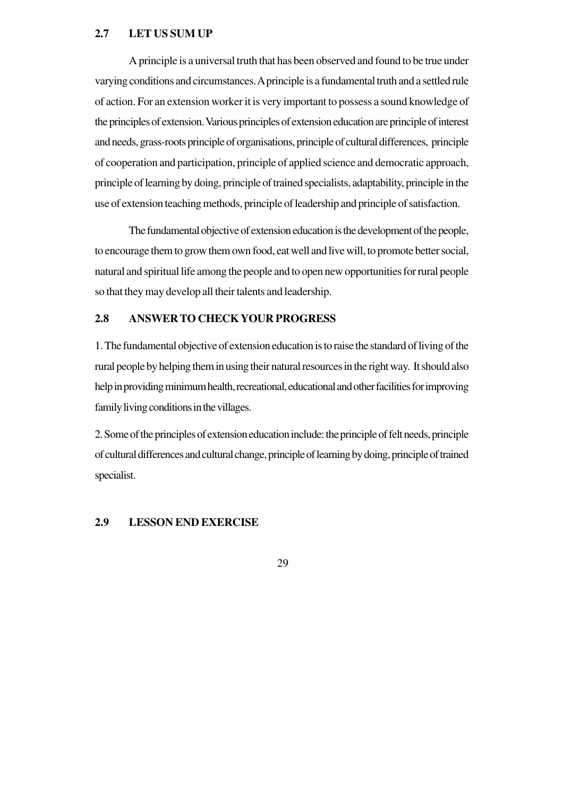#### **2.7 LET US SUM UP**

A principle is a universal truth that has been observed and found to be true under varying conditions and circumstances. A principle is a fundamental truth and a settled rule of action. For an extension worker it is very important to possess a sound knowledge of the principles of extension. Various principles of extension education are principle of interest and needs, grass-roots principle of organisations, principle of cultural differences, principle of cooperation and participation, principle of applied science and democratic approach, principle of learning by doing, principle of trained specialists, adaptability, principle in the use of extension teaching methods, principle of leadership and principle of satisfaction.

The fundamental objective of extension education is the development of the people, to encourage them to grow them own food, eat well and live will, to promote better social, natural and spiritual life among the people and to open new opportunities for rural people so that they may develop all their talents and leadership.

### **2.8 ANSWER TO CHECK YOUR PROGRESS**

1. The fundamental objective of extension education is to raise the standard of living of the rural people by helping them in using their natural resources in the right way. It should also help in providing minimum health, recreational, educational and other facilities for improving family living conditions in the villages.

2. Some of the principles of extension education include: the principle of felt needs, principle of cultural differences and cultural change, principle of learning by doing, principle of trained specialist.

### **2.9 LESSON END EXERCISE**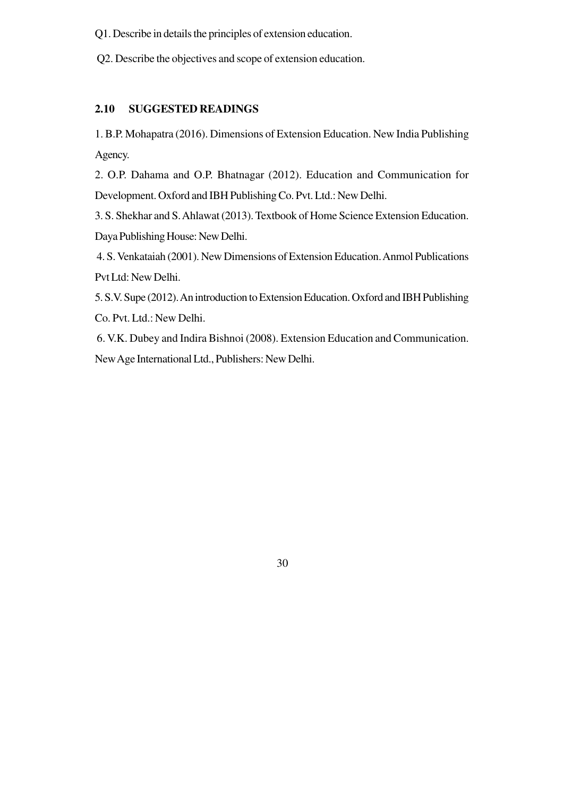Q1. Describe in details the principles of extension education.

Q2. Describe the objectives and scope of extension education.

## **2.10 SUGGESTED READINGS**

1. B.P. Mohapatra (2016). Dimensions of Extension Education. New India Publishing Agency.

2. O.P. Dahama and O.P. Bhatnagar (2012). Education and Communication for Development. Oxford and IBH Publishing Co. Pvt. Ltd.: New Delhi.

3. S. Shekhar and S. Ahlawat (2013). Textbook of Home Science Extension Education. Daya Publishing House: New Delhi.

 4. S. Venkataiah (2001). New Dimensions of Extension Education. Anmol Publications Pvt Ltd: New Delhi.

5. S.V. Supe (2012). An introduction to Extension Education. Oxford and IBH Publishing Co. Pvt. Ltd.: New Delhi.

 6. V.K. Dubey and Indira Bishnoi (2008). Extension Education and Communication. New Age International Ltd., Publishers: New Delhi.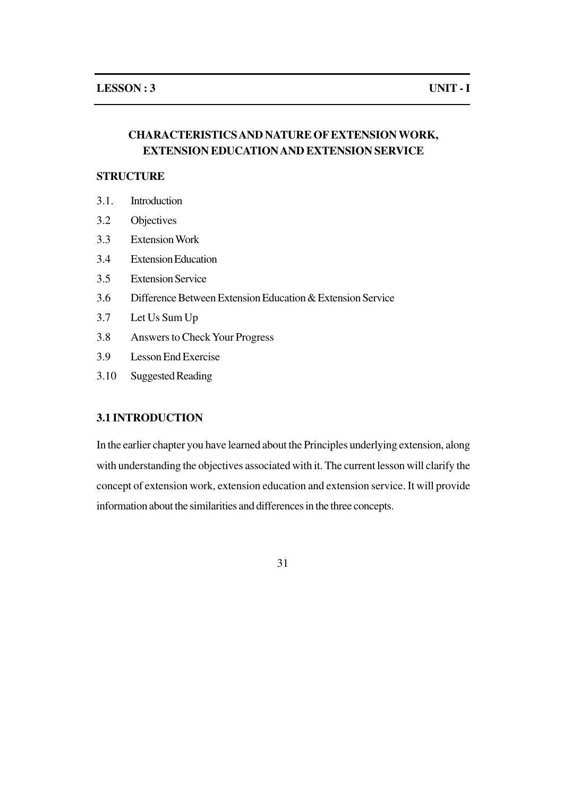# **CHARACTERISTICS AND NATURE OF EXTENSION WORK, EXTENSION EDUCATION AND EXTENSION SERVICE**

### **STRUCTURE**

- 3.1. Introduction
- 3.2 Objectives
- 3.3 Extension Work
- 3.4 Extension Education
- 3.5 Extension Service
- 3.6 Difference Between Extension Education & Extension Service
- 3.7 Let Us Sum Up
- 3.8 Answers to Check Your Progress
- 3.9 Lesson End Exercise
- 3.10 Suggested Reading

## **3.1 INTRODUCTION**

In the earlier chapter you have learned about the Principles underlying extension, along with understanding the objectives associated with it. The current lesson will clarify the concept of extension work, extension education and extension service. It will provide information about the similarities and differences in the three concepts.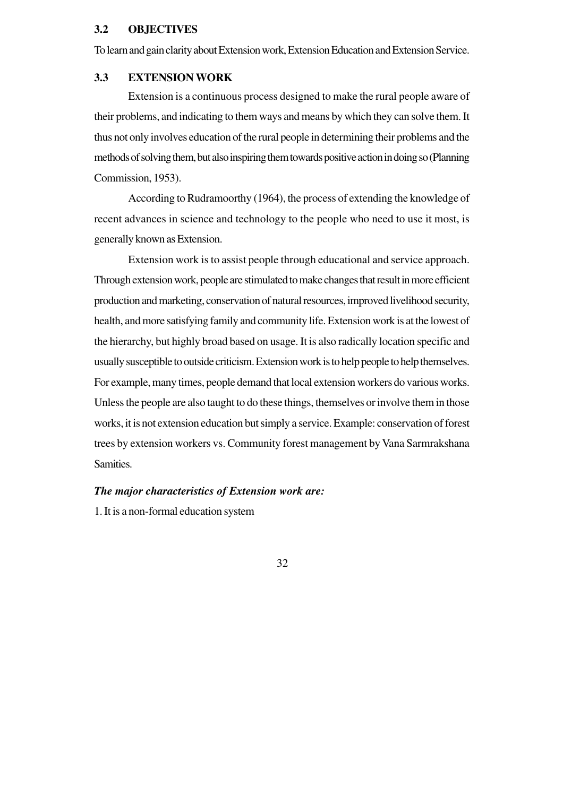#### **3.2 OBJECTIVES**

To learn and gain clarity about Extension work, Extension Education and Extension Service.

#### **3.3 EXTENSION WORK**

Extension is a continuous process designed to make the rural people aware of their problems, and indicating to them ways and means by which they can solve them. It thus not only involves education of the rural people in determining their problems and the methods of solving them, but also inspiring them towards positive action in doing so (Planning Commission, 1953).

According to Rudramoorthy (1964), the process of extending the knowledge of recent advances in science and technology to the people who need to use it most, is generally known as Extension.

Extension work is to assist people through educational and service approach. Through extension work, people are stimulated to make changes that result in more efficient production and marketing, conservation of natural resources, improved livelihood security, health, and more satisfying family and community life. Extension work is at the lowest of the hierarchy, but highly broad based on usage. It is also radically location specific and usually susceptible to outside criticism. Extension work is to help people to help themselves. For example, many times, people demand that local extension workers do various works. Unless the people are also taught to do these things, themselves or involve them in those works, it is not extension education but simply a service. Example: conservation of forest trees by extension workers vs. Community forest management by Vana Sarmrakshana Samities.

#### *The major characteristics of Extension work are:*

1. It is a non-formal education system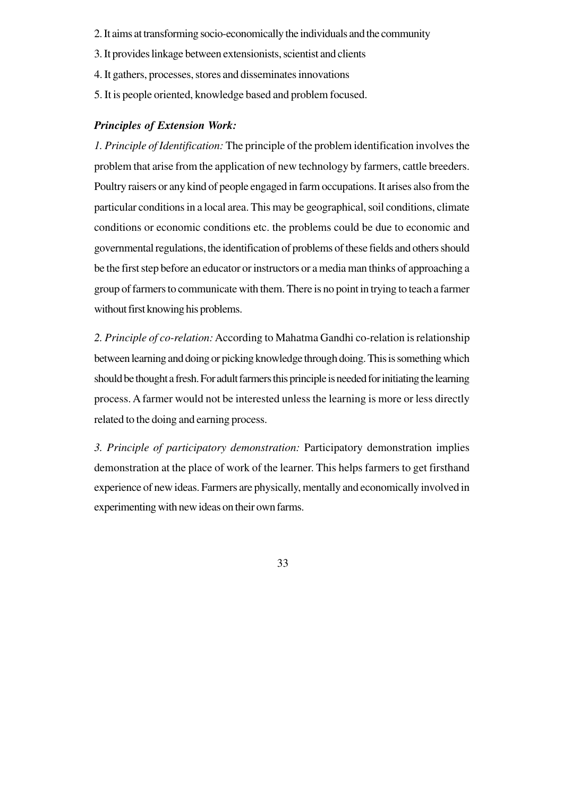- 2. It aims at transforming socio-economically the individuals and the community
- 3. It provides linkage between extensionists, scientist and clients
- 4. It gathers, processes, stores and disseminates innovations
- 5. It is people oriented, knowledge based and problem focused.

#### *Principles of Extension Work:*

*1. Principle of Identification:* The principle of the problem identification involves the problem that arise from the application of new technology by farmers, cattle breeders. Poultry raisers or any kind of people engaged in farm occupations. It arises also from the particular conditions in a local area. This may be geographical, soil conditions, climate conditions or economic conditions etc. the problems could be due to economic and governmental regulations, the identification of problems of these fields and others should be the first step before an educator or instructors or a media man thinks of approaching a group of farmers to communicate with them. There is no point in trying to teach a farmer without first knowing his problems.

*2. Principle of co-relation:*According to Mahatma Gandhi co-relation is relationship between learning and doing or picking knowledge through doing. This is something which should be thought a fresh. For adult farmers this principle is needed for initiating the learning process. A farmer would not be interested unless the learning is more or less directly related to the doing and earning process.

*3. Principle of participatory demonstration:* Participatory demonstration implies demonstration at the place of work of the learner. This helps farmers to get firsthand experience of new ideas. Farmers are physically, mentally and economically involved in experimenting with new ideas on their own farms.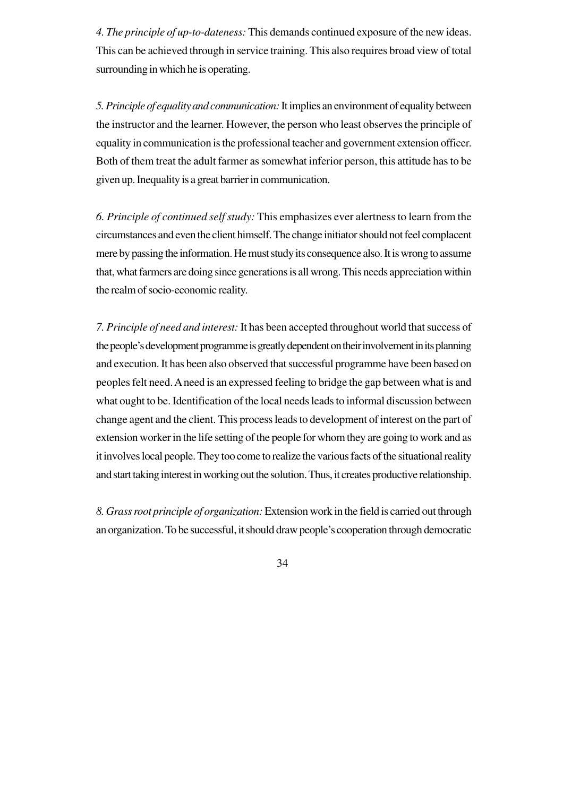*4. The principle of up-to-dateness:* This demands continued exposure of the new ideas. This can be achieved through in service training. This also requires broad view of total surrounding in which he is operating.

*5. Principle of equality and communication:* It implies an environment of equality between the instructor and the learner. However, the person who least observes the principle of equality in communication is the professional teacher and government extension officer. Both of them treat the adult farmer as somewhat inferior person, this attitude has to be given up. Inequality is a great barrier in communication.

*6. Principle of continued self study:* This emphasizes ever alertness to learn from the circumstances and even the client himself. The change initiator should not feel complacent mere by passing the information. He must study its consequence also. It is wrong to assume that, what farmers are doing since generations is all wrong. This needs appreciation within the realm of socio-economic reality.

*7. Principle of need and interest:* It has been accepted throughout world that success of the people's development programme is greatly dependent on their involvement in its planning and execution. It has been also observed that successful programme have been based on peoples felt need. A need is an expressed feeling to bridge the gap between what is and what ought to be. Identification of the local needs leads to informal discussion between change agent and the client. This process leads to development of interest on the part of extension worker in the life setting of the people for whom they are going to work and as it involves local people. They too come to realize the various facts of the situational reality and start taking interest in working out the solution. Thus, it creates productive relationship.

*8. Grass root principle of organization:* Extension work in the field is carried out through an organization. To be successful, it should draw people's cooperation through democratic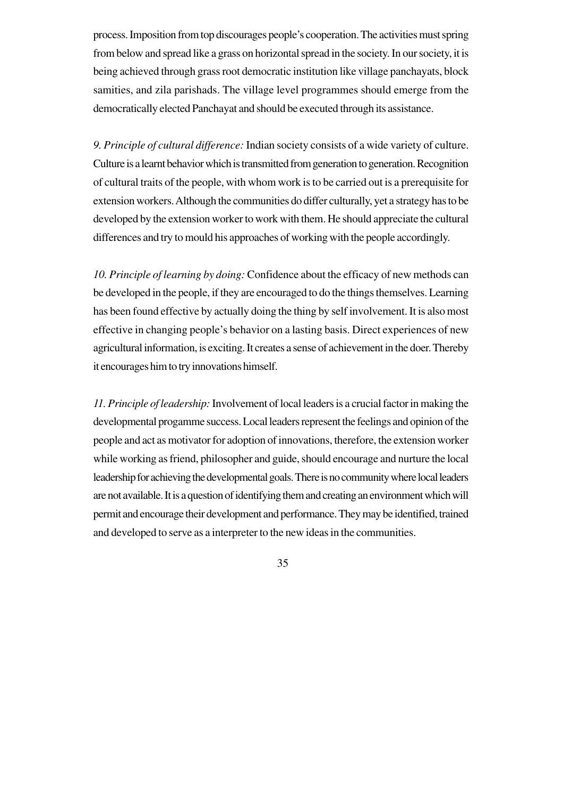process. Imposition from top discourages people's cooperation. The activities must spring from below and spread like a grass on horizontal spread in the society. In our society, it is being achieved through grass root democratic institution like village panchayats, block samities, and zila parishads. The village level programmes should emerge from the democratically elected Panchayat and should be executed through its assistance.

*9. Principle of cultural difference:* Indian society consists of a wide variety of culture. Culture is a learnt behavior which is transmitted from generation to generation. Recognition of cultural traits of the people, with whom work is to be carried out is a prerequisite for extension workers. Although the communities do differ culturally, yet a strategy has to be developed by the extension worker to work with them. He should appreciate the cultural differences and try to mould his approaches of working with the people accordingly.

*10. Principle of learning by doing:* Confidence about the efficacy of new methods can be developed in the people, if they are encouraged to do the things themselves. Learning has been found effective by actually doing the thing by self involvement. It is also most effective in changing people's behavior on a lasting basis. Direct experiences of new agricultural information, is exciting. It creates a sense of achievement in the doer. Thereby it encourages him to try innovations himself.

*11. Principle of leadership:* Involvement of local leaders is a crucial factor in making the developmental progamme success. Local leaders represent the feelings and opinion of the people and act as motivator for adoption of innovations, therefore, the extension worker while working as friend, philosopher and guide, should encourage and nurture the local leadership for achieving the developmental goals. There is no community where local leaders are not available. It is a question of identifying them and creating an environment which will permit and encourage their development and performance. They may be identified, trained and developed to serve as a interpreter to the new ideas in the communities.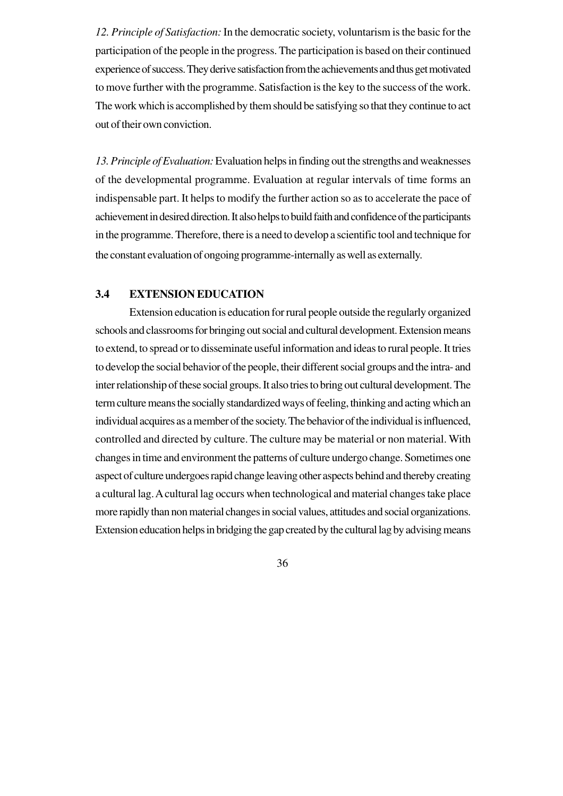*12. Principle of Satisfaction:* In the democratic society, voluntarism is the basic for the participation of the people in the progress. The participation is based on their continued experience of success. They derive satisfaction from the achievements and thus get motivated to move further with the programme. Satisfaction is the key to the success of the work. The work which is accomplished by them should be satisfying so that they continue to act out of their own conviction.

*13. Principle of Evaluation:* Evaluation helps in finding out the strengths and weaknesses of the developmental programme. Evaluation at regular intervals of time forms an indispensable part. It helps to modify the further action so as to accelerate the pace of achievement in desired direction. It also helps to build faith and confidence of the participants in the programme. Therefore, there is a need to develop a scientific tool and technique for the constant evaluation of ongoing programme-internally as well as externally.

#### **3.4 EXTENSION EDUCATION**

Extension education is education for rural people outside the regularly organized schools and classrooms for bringing out social and cultural development. Extension means to extend, to spread or to disseminate useful information and ideas to rural people. It tries to develop the social behavior of the people, their different social groups and the intra- and inter relationship of these social groups. It also tries to bring out cultural development. The term culture means the socially standardized ways of feeling, thinking and acting which an individual acquires as a member of the society. The behavior of the individual is influenced, controlled and directed by culture. The culture may be material or non material. With changes in time and environment the patterns of culture undergo change. Sometimes one aspect of culture undergoes rapid change leaving other aspects behind and thereby creating a cultural lag. A cultural lag occurs when technological and material changes take place more rapidly than non material changes in social values, attitudes and social organizations. Extension education helps in bridging the gap created by the cultural lag by advising means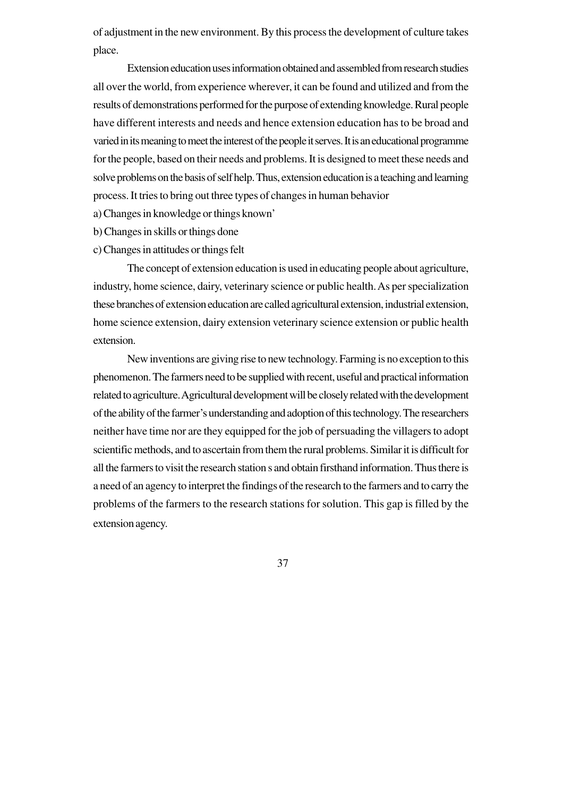of adjustment in the new environment. By this process the development of culture takes place.

Extension education uses information obtained and assembled from research studies all over the world, from experience wherever, it can be found and utilized and from the results of demonstrations performed for the purpose of extending knowledge. Rural people have different interests and needs and hence extension education has to be broad and varied in its meaning to meet the interest of the people it serves. It is an educational programme for the people, based on their needs and problems. It is designed to meet these needs and solve problems on the basis of self help. Thus, extension education is a teaching and learning process. It tries to bring out three types of changes in human behavior

a) Changes in knowledge or things known'

b) Changes in skills or things done

c) Changes in attitudes or things felt

The concept of extension education is used in educating people about agriculture, industry, home science, dairy, veterinary science or public health. As per specialization these branches of extension education are called agricultural extension, industrial extension, home science extension, dairy extension veterinary science extension or public health extension.

New inventions are giving rise to new technology. Farming is no exception to this phenomenon. The farmers need to be supplied with recent, useful and practical information related to agriculture. Agricultural development will be closely related with the development of the ability of the farmer's understanding and adoption of this technology. The researchers neither have time nor are they equipped for the job of persuading the villagers to adopt scientific methods, and to ascertain from them the rural problems. Similar it is difficult for all the farmers to visit the research station s and obtain firsthand information. Thus there is a need of an agency to interpret the findings of the research to the farmers and to carry the problems of the farmers to the research stations for solution. This gap is filled by the extension agency.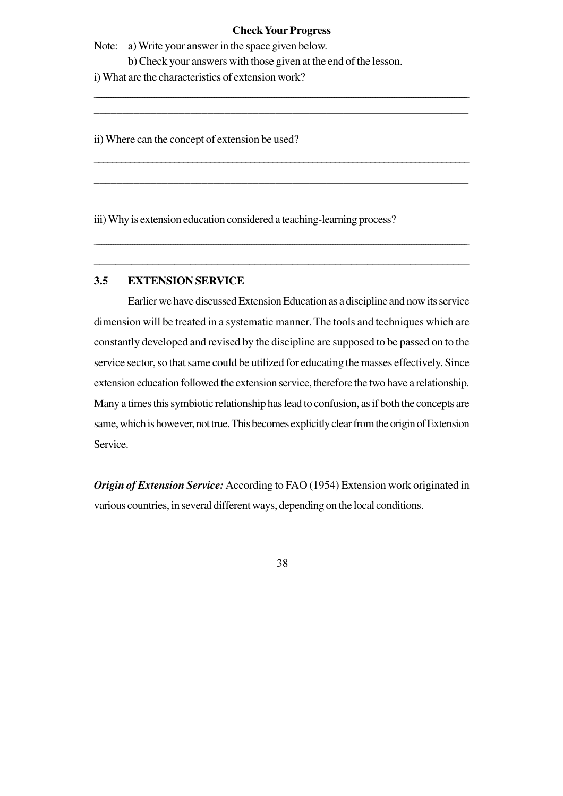#### **Check Your Progress**

\_\_\_\_\_\_\_\_\_\_\_\_\_\_\_\_\_\_\_\_\_\_\_\_\_\_\_\_\_\_\_\_\_\_\_\_\_\_\_\_\_\_\_\_\_\_\_\_\_\_\_\_\_\_\_\_\_\_\_\_\_\_\_\_\_\_\_\_\_\_\_\_\_\_\_\_\_\_\_\_\_\_\_\_\_\_\_\_\_\_\_\_\_\_\_\_\_\_\_\_\_\_\_\_\_\_\_\_\_\_\_\_\_\_\_\_\_\_\_\_\_\_\_\_\_\_\_\_\_\_\_\_\_\_\_\_\_\_\_\_\_\_\_\_\_\_\_\_\_\_\_\_\_\_\_ \_\_\_\_\_\_\_\_\_\_\_\_\_\_\_\_\_\_\_\_\_\_\_\_\_\_\_\_\_\_\_\_\_\_\_\_\_\_\_\_\_\_\_\_\_\_\_\_\_\_\_\_\_\_\_\_\_\_\_\_\_\_\_\_\_\_

\_\_\_\_\_\_\_\_\_\_\_\_\_\_\_\_\_\_\_\_\_\_\_\_\_\_\_\_\_\_\_\_\_\_\_\_\_\_\_\_\_\_\_\_\_\_\_\_\_\_\_\_\_\_\_\_\_\_\_\_\_\_\_\_\_\_\_\_\_\_\_\_\_\_\_\_\_\_\_\_\_\_\_\_

\_\_\_\_\_\_\_\_\_\_\_\_\_\_\_\_\_\_\_\_\_\_\_\_\_\_\_\_\_\_\_\_\_\_\_\_\_\_\_\_\_\_\_\_\_\_\_\_\_\_\_\_\_\_\_\_\_\_\_\_\_\_\_\_\_\_

\_\_\_\_\_\_\_\_\_\_\_\_\_\_\_\_\_\_\_\_\_\_\_\_\_\_\_\_\_\_\_\_\_\_\_\_\_\_\_\_\_\_\_\_\_\_\_\_\_\_\_\_\_\_\_\_\_\_\_\_\_\_\_\_\_\_\_\_\_\_\_\_\_\_\_\_\_\_\_\_\_\_\_\_\_\_\_\_\_\_\_\_\_\_\_\_\_\_\_\_\_\_\_\_\_\_\_\_\_\_\_\_\_\_\_\_\_\_\_\_\_\_\_\_\_\_\_\_\_\_\_\_\_\_\_\_\_\_\_\_\_\_\_\_\_\_\_\_\_\_\_\_\_\_\_\_

**\_\_\_\_\_\_\_\_\_\_\_\_\_\_\_\_\_\_\_\_\_\_\_\_\_\_\_\_\_\_\_\_\_\_\_\_\_\_\_\_\_\_\_\_\_\_\_\_\_\_\_\_\_\_\_\_\_\_\_\_\_\_\_\_\_\_\_\_\_\_**

Note: a) Write your answer in the space given below.

b) Check your answers with those given at the end of the lesson.

i) What are the characteristics of extension work?

ii) Where can the concept of extension be used?

iii) Why is extension education considered a teaching-learning process?

## **3.5 EXTENSION SERVICE**

Earlier we have discussed Extension Education as a discipline and now its service dimension will be treated in a systematic manner. The tools and techniques which are constantly developed and revised by the discipline are supposed to be passed on to the service sector, so that same could be utilized for educating the masses effectively. Since extension education followed the extension service, therefore the two have a relationship. Many a times this symbiotic relationship has lead to confusion, as if both the concepts are same, which is however, not true. This becomes explicitly clear from the origin of Extension Service.

*Origin of Extension Service:*According to FAO (1954) Extension work originated in various countries, in several different ways, depending on the local conditions.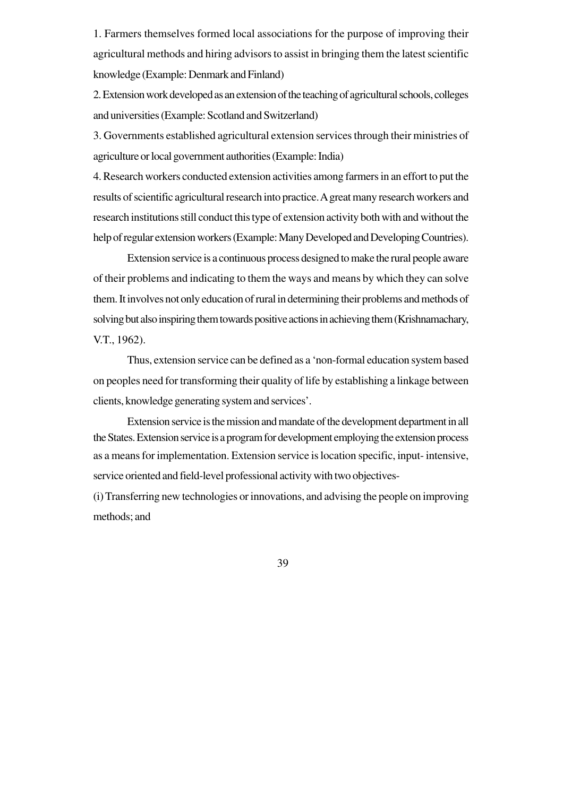1. Farmers themselves formed local associations for the purpose of improving their agricultural methods and hiring advisors to assist in bringing them the latest scientific knowledge (Example: Denmark and Finland)

2. Extension work developed as an extension of the teaching of agricultural schools, colleges and universities (Example: Scotland and Switzerland)

3. Governments established agricultural extension services through their ministries of agriculture or local government authorities (Example: India)

4. Research workers conducted extension activities among farmers in an effort to put the results of scientific agricultural research into practice. A great many research workers and research institutions still conduct this type of extension activity both with and without the help of regular extension workers (Example: Many Developed and Developing Countries).

Extension service is a continuous process designed to make the rural people aware of their problems and indicating to them the ways and means by which they can solve them. It involves not only education of rural in determining their problems and methods of solving but also inspiring them towards positive actions in achieving them (Krishnamachary, V.T., 1962).

Thus, extension service can be defined as a 'non-formal education system based on peoples need for transforming their quality of life by establishing a linkage between clients, knowledge generating system and services'.

Extension service is the mission and mandate of the development department in all the States. Extension service is a program for development employing the extension process as a means for implementation. Extension service is location specific, input- intensive, service oriented and field-level professional activity with two objectives-

(i) Transferring new technologies or innovations, and advising the people on improving methods; and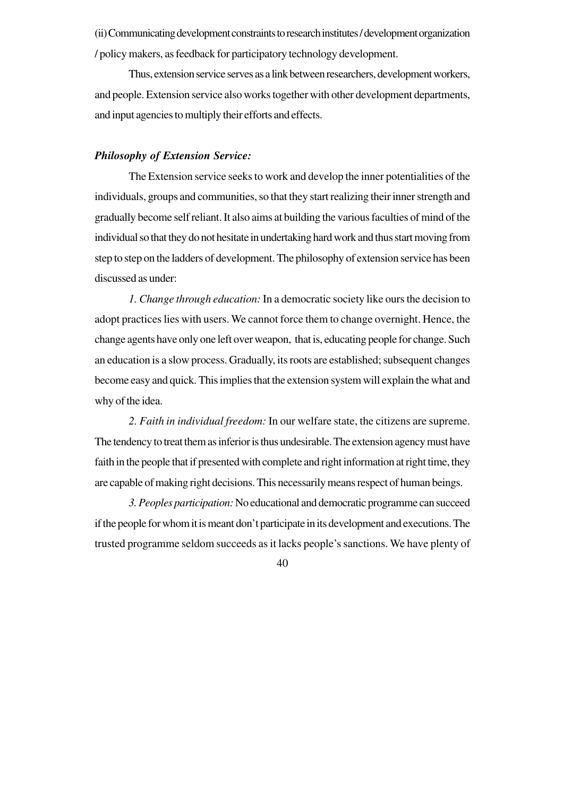(ii) Communicating development constraints to research institutes / development organization / policy makers, as feedback for participatory technology development.

Thus, extension service serves as a link between researchers, development workers, and people. Extension service also works together with other development departments, and input agencies to multiply their efforts and effects.

## *Philosophy of Extension Service:*

The Extension service seeks to work and develop the inner potentialities of the individuals, groups and communities, so that they start realizing their inner strength and gradually become self reliant. It also aims at building the various faculties of mind of the individual so that they do not hesitate in undertaking hard work and thus start moving from step to step on the ladders of development. The philosophy of extension service has been discussed as under:

*1. Change through education:* In a democratic society like ours the decision to adopt practices lies with users. We cannot force them to change overnight. Hence, the change agents have only one left over weapon, that is, educating people for change. Such an education is a slow process. Gradually, its roots are established; subsequent changes become easy and quick. This implies that the extension system will explain the what and why of the idea.

*2. Faith in individual freedom:* In our welfare state, the citizens are supreme. The tendency to treat them as inferior is thus undesirable. The extension agency must have faith in the people that if presented with complete and right information at right time, they are capable of making right decisions. This necessarily means respect of human beings.

*3. Peoples participation:* No educational and democratic programme can succeed if the people for whom it is meant don't participate in its development and executions. The trusted programme seldom succeeds as it lacks people's sanctions. We have plenty of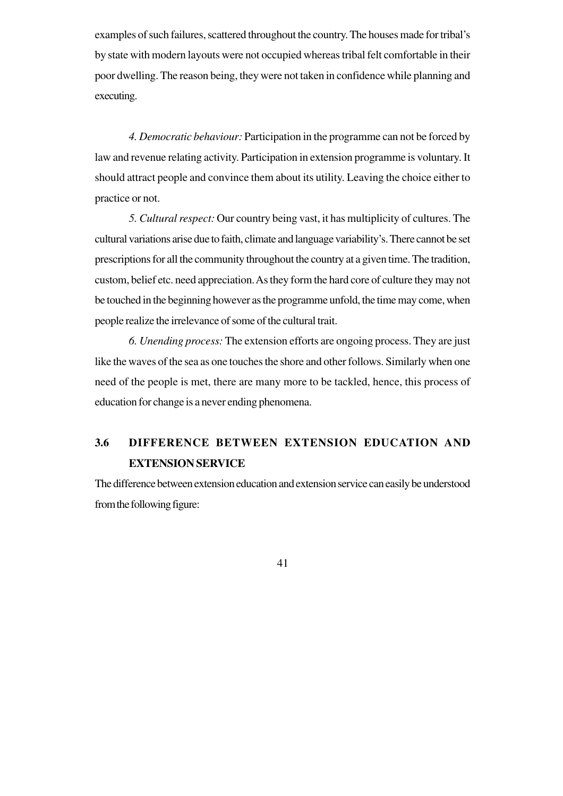examples of such failures, scattered throughout the country. The houses made for tribal's by state with modern layouts were not occupied whereas tribal felt comfortable in their poor dwelling. The reason being, they were not taken in confidence while planning and executing.

*4. Democratic behaviour:* Participation in the programme can not be forced by law and revenue relating activity. Participation in extension programme is voluntary. It should attract people and convince them about its utility. Leaving the choice either to practice or not.

*5. Cultural respect:* Our country being vast, it has multiplicity of cultures. The cultural variations arise due to faith, climate and language variability's. There cannot be set prescriptions for all the community throughout the country at a given time. The tradition, custom, belief etc. need appreciation. As they form the hard core of culture they may not be touched in the beginning however as the programme unfold, the time may come, when people realize the irrelevance of some of the cultural trait.

*6. Unending process:* The extension efforts are ongoing process. They are just like the waves of the sea as one touches the shore and other follows. Similarly when one need of the people is met, there are many more to be tackled, hence, this process of education for change is a never ending phenomena.

# **3.6 DIFFERENCE BETWEEN EXTENSION EDUCATION AND EXTENSION SERVICE**

The difference between extension education and extension service can easily be understood from the following figure: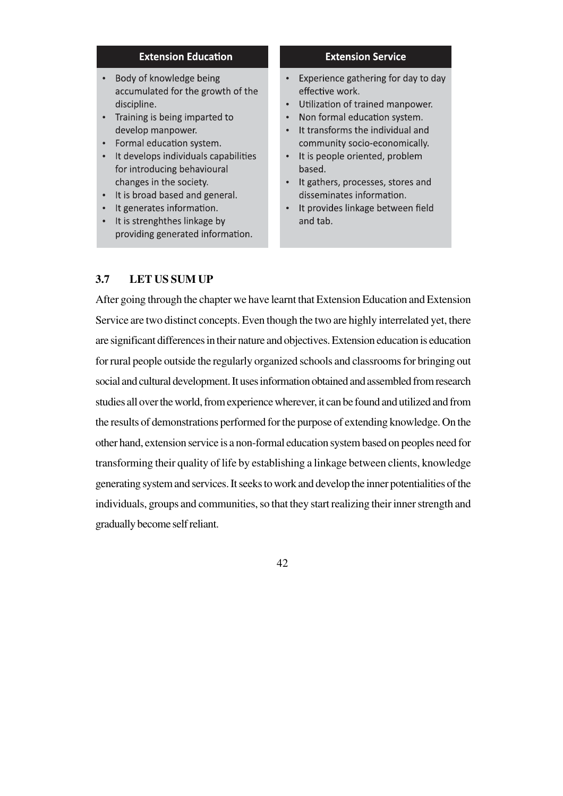### **Extension Education**

- Body of knowledge being accumulated for the growth of the discipline.
- Training is being imparted to develop manpower.
- Formal education system.
- It develops individuals capabilities for introducing behavioural changes in the society.
- It is broad based and general.
- It generates information.
- It is strenghthes linkage by providing generated information.

#### **Extension Service**

- Experience gathering for day to day effective work.
- Utilization of trained manpower.
- Non formal education system.
- It transforms the individual and community socio-economically.
- It is people oriented, problem based.
- It gathers, processes, stores and disseminates information.
- It provides linkage between field and tab.

# **3.7 LET US SUM UP**

After going through the chapter we have learnt that Extension Education and Extension Service are two distinct concepts. Even though the two are highly interrelated yet, there are significant differences in their nature and objectives. Extension education is education for rural people outside the regularly organized schools and classrooms for bringing out social and cultural development. It uses information obtained and assembled from research studies all over the world, from experience wherever, it can be found and utilized and from the results of demonstrations performed for the purpose of extending knowledge. On the other hand, extension service is a non-formal education system based on peoples need for transforming their quality of life by establishing a linkage between clients, knowledge generating system and services. It seeks to work and develop the inner potentialities of the individuals, groups and communities, so that they start realizing their inner strength and gradually become self reliant.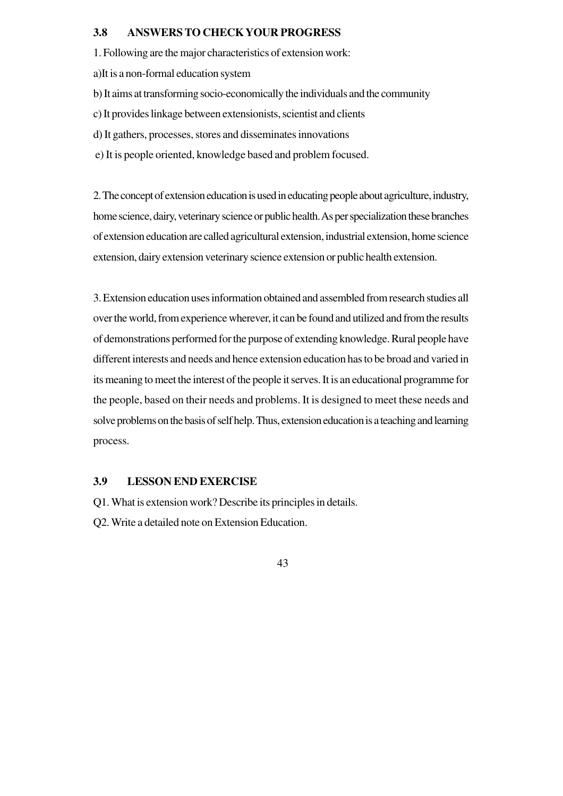#### **3.8 ANSWERS TO CHECK YOUR PROGRESS**

1. Following are the major characteristics of extension work:

a)It is a non-formal education system

b) It aims at transforming socio-economically the individuals and the community

c) It provides linkage between extensionists, scientist and clients

d) It gathers, processes, stores and disseminates innovations

e) It is people oriented, knowledge based and problem focused.

2. The concept of extension education is used in educating people about agriculture, industry, home science, dairy, veterinary science or public health. As per specialization these branches of extension education are called agricultural extension, industrial extension, home science extension, dairy extension veterinary science extension or public health extension.

3. Extension education uses information obtained and assembled from research studies all over the world, from experience wherever, it can be found and utilized and from the results of demonstrations performed for the purpose of extending knowledge. Rural people have different interests and needs and hence extension education has to be broad and varied in its meaning to meet the interest of the people it serves. It is an educational programme for the people, based on their needs and problems. It is designed to meet these needs and solve problems on the basis of self help. Thus, extension education is a teaching and learning process.

#### **3.9 LESSON END EXERCISE**

Q1. What is extension work? Describe its principles in details.

Q2. Write a detailed note on Extension Education.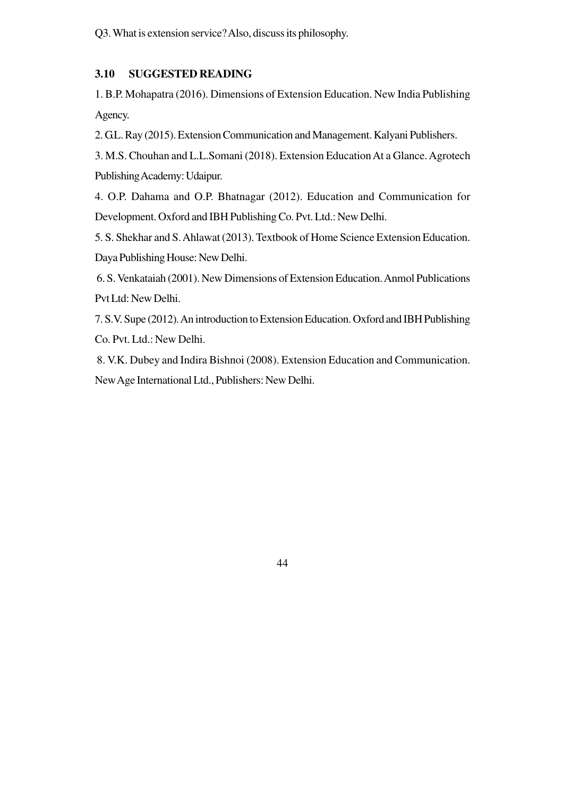Q3. What is extension service? Also, discuss its philosophy.

# **3.10 SUGGESTED READING**

1. B.P. Mohapatra (2016). Dimensions of Extension Education. New India Publishing Agency.

2. G.L. Ray (2015). Extension Communication and Management. Kalyani Publishers.

3. M.S. Chouhan and L.L.Somani (2018). Extension Education At a Glance. Agrotech Publishing Academy: Udaipur.

4. O.P. Dahama and O.P. Bhatnagar (2012). Education and Communication for Development. Oxford and IBH Publishing Co. Pvt. Ltd.: New Delhi.

5. S. Shekhar and S. Ahlawat (2013). Textbook of Home Science Extension Education. Daya Publishing House: New Delhi.

 6. S. Venkataiah (2001). New Dimensions of Extension Education. Anmol Publications Pvt Ltd: New Delhi.

7. S.V. Supe (2012). An introduction to Extension Education. Oxford and IBH Publishing Co. Pvt. Ltd.: New Delhi.

 8. V.K. Dubey and Indira Bishnoi (2008). Extension Education and Communication. New Age International Ltd., Publishers: New Delhi.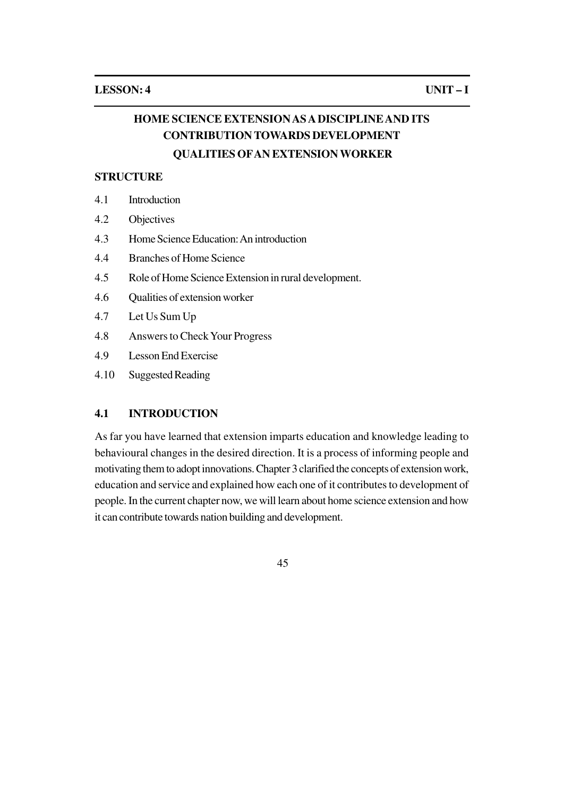# **HOME SCIENCE EXTENSION AS A DISCIPLINE AND ITS CONTRIBUTION TOWARDS DEVELOPMENT**

## **QUALITIES OFAN EXTENSION WORKER**

## **STRUCTURE**

- 4.1 Introduction
- 4.2 Objectives
- 4.3 Home Science Education: An introduction
- 4.4 Branches of Home Science
- 4.5 Role of Home Science Extension in rural development.
- 4.6 Qualities of extension worker
- 4.7 Let Us Sum Up
- 4.8 Answers to Check Your Progress
- 4.9 Lesson End Exercise
- 4.10 Suggested Reading

## **4.1 INTRODUCTION**

As far you have learned that extension imparts education and knowledge leading to behavioural changes in the desired direction. It is a process of informing people and motivating them to adopt innovations. Chapter 3 clarified the concepts of extension work, education and service and explained how each one of it contributes to development of people. In the current chapter now, we will learn about home science extension and how it can contribute towards nation building and development.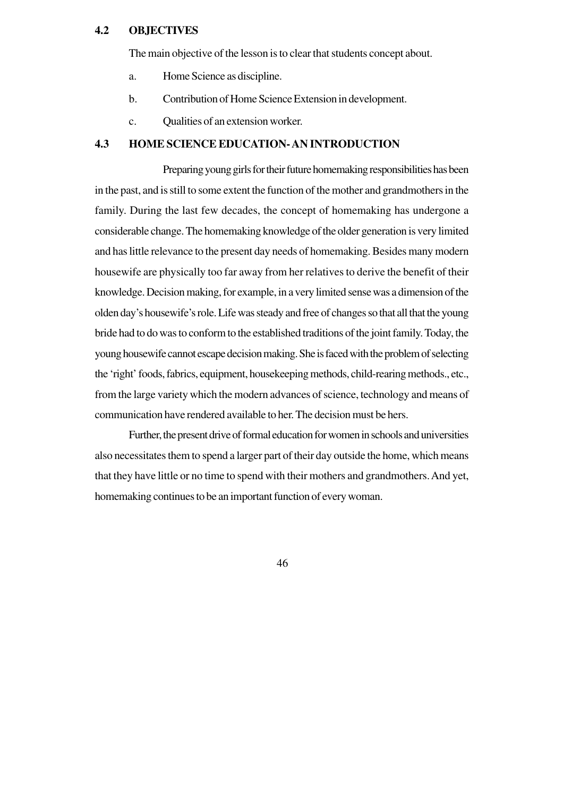### **4.2 OBJECTIVES**

The main objective of the lesson is to clear that students concept about.

- a. Home Science as discipline.
- b. Contribution of Home Science Extension in development.
- c. Qualities of an extension worker.

#### **4.3 HOME SCIENCE EDUCATION- AN INTRODUCTION**

Preparing young girls for their future homemaking responsibilities has been in the past, and is still to some extent the function of the mother and grandmothers in the family. During the last few decades, the concept of homemaking has undergone a considerable change. The homemaking knowledge of the older generation is very limited and has little relevance to the present day needs of homemaking. Besides many modern housewife are physically too far away from her relatives to derive the benefit of their knowledge. Decision making, for example, in a very limited sense was a dimension of the olden day's housewife's role. Life was steady and free of changes so that all that the young bride had to do was to conform to the established traditions of the joint family. Today, the young housewife cannot escape decision making. She is faced with the problem of selecting the 'right' foods, fabrics, equipment, housekeeping methods, child-rearing methods., etc., from the large variety which the modern advances of science, technology and means of communication have rendered available to her. The decision must be hers.

Further, the present drive of formal education for women in schools and universities also necessitates them to spend a larger part of their day outside the home, which means that they have little or no time to spend with their mothers and grandmothers. And yet, homemaking continues to be an important function of every woman.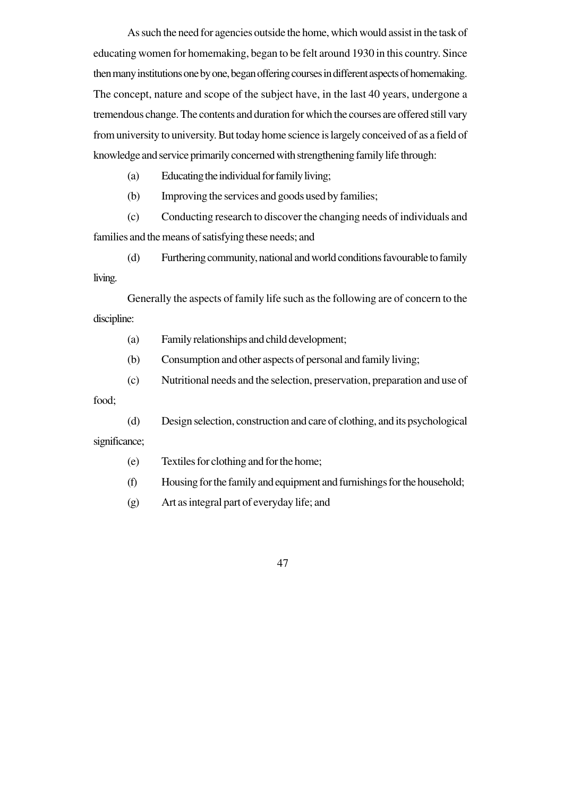As such the need for agencies outside the home, which would assist in the task of educating women for homemaking, began to be felt around 1930 in this country. Since then many institutions one by one, began offering courses in different aspects of homemaking. The concept, nature and scope of the subject have, in the last 40 years, undergone a tremendous change. The contents and duration for which the courses are offered still vary from university to university. But today home science is largely conceived of as a field of knowledge and service primarily concerned with strengthening family life through:

(a) Educating the individual for family living;

(b) Improving the services and goods used by families;

(c) Conducting research to discover the changing needs of individuals and families and the means of satisfying these needs; and

(d) Furthering community, national and world conditions favourable to family living.

Generally the aspects of family life such as the following are of concern to the discipline:

(a) Family relationships and child development;

(b) Consumption and other aspects of personal and family living;

(c) Nutritional needs and the selection, preservation, preparation and use of

food;

(d) Design selection, construction and care of clothing, and its psychological significance;

(e) Textiles for clothing and for the home;

(f) Housing for the family and equipment and furnishings for the household;

(g) Art as integral part of everyday life; and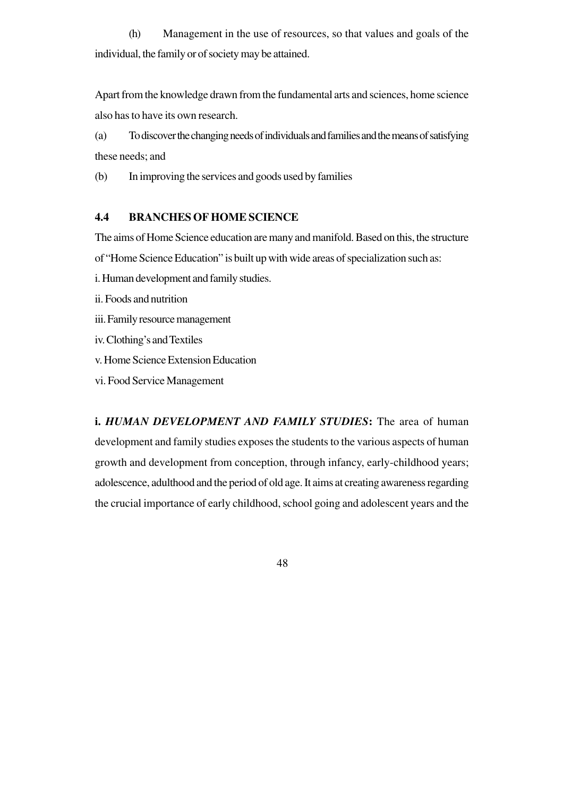(h) Management in the use of resources, so that values and goals of the individual, the family or of society may be attained.

Apart from the knowledge drawn from the fundamental arts and sciences, home science also has to have its own research.

(a) To discover the changing needs of individuals and families and the means of satisfying these needs; and

(b) In improving the services and goods used by families

#### **4.4 BRANCHES OF HOME SCIENCE**

The aims of Home Science education are many and manifold. Based on this, the structure of "Home Science Education" is built up with wide areas of specialization such as:

i. Human development and family studies.

ii. Foods and nutrition

iii. Family resource management

iv. Clothing's and Textiles

v. Home Science Extension Education

vi. Food Service Management

**i.** *HUMAN DEVELOPMENT AND FAMILY STUDIES***:** The area of human development and family studies exposes the students to the various aspects of human growth and development from conception, through infancy, early-childhood years; adolescence, adulthood and the period of old age. It aims at creating awareness regarding the crucial importance of early childhood, school going and adolescent years and the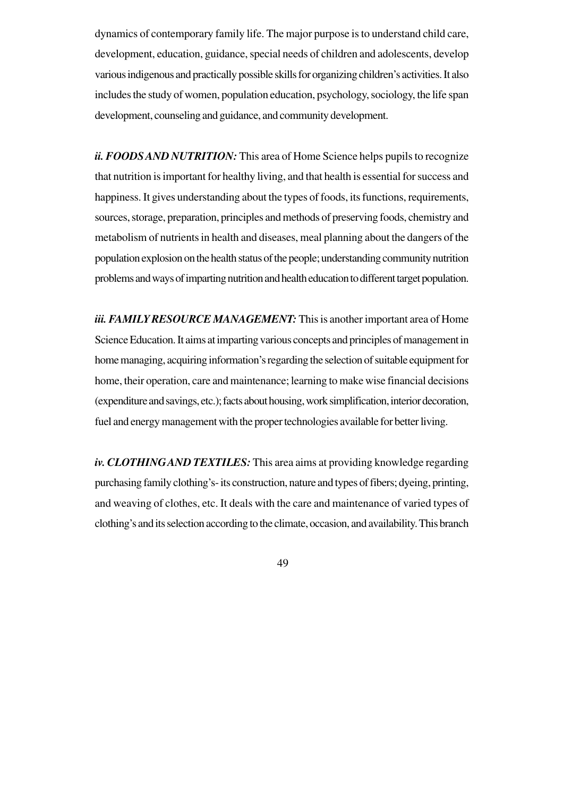dynamics of contemporary family life. The major purpose is to understand child care, development, education, guidance, special needs of children and adolescents, develop various indigenous and practically possible skills for organizing children's activities. It also includes the study of women, population education, psychology, sociology, the life span development, counseling and guidance, and community development.

*ii. FOODS AND NUTRITION:* This area of Home Science helps pupils to recognize that nutrition is important for healthy living, and that health is essential for success and happiness. It gives understanding about the types of foods, its functions, requirements, sources, storage, preparation, principles and methods of preserving foods, chemistry and metabolism of nutrients in health and diseases, meal planning about the dangers of the population explosion on the health status of the people; understanding community nutrition problems and ways of imparting nutrition and health education to different target population.

*iii. FAMILY RESOURCE MANAGEMENT:* This is another important area of Home Science Education. It aims at imparting various concepts and principles of management in home managing, acquiring information's regarding the selection of suitable equipment for home, their operation, care and maintenance; learning to make wise financial decisions (expenditure and savings, etc.); facts about housing, work simplification, interior decoration, fuel and energy management with the proper technologies available for better living.

*iv. CLOTHINGAND TEXTILES:* This area aims at providing knowledge regarding purchasing family clothing's- its construction, nature and types of fibers; dyeing, printing, and weaving of clothes, etc. It deals with the care and maintenance of varied types of clothing's and its selection according to the climate, occasion, and availability. This branch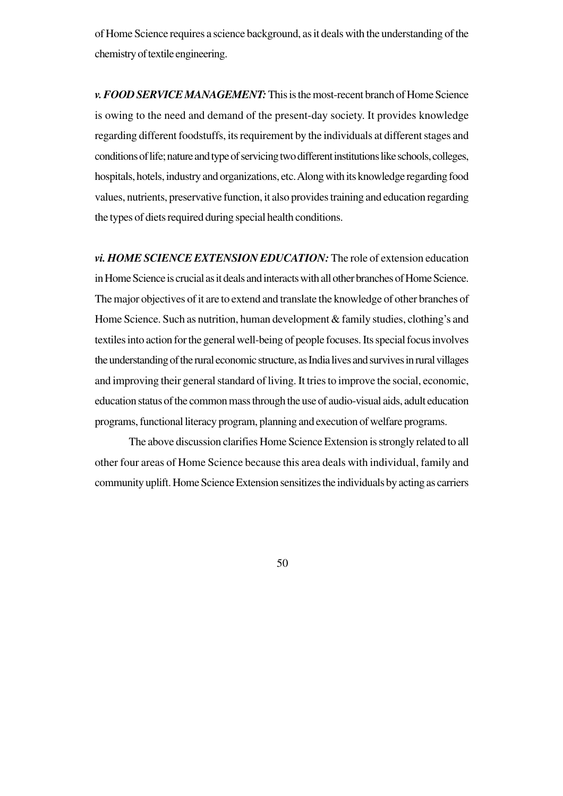of Home Science requires a science background, as it deals with the understanding of the chemistry of textile engineering.

*v. FOOD SERVICE MANAGEMENT:* This is the most-recent branch of Home Science is owing to the need and demand of the present-day society. It provides knowledge regarding different foodstuffs, its requirement by the individuals at different stages and conditions of life; nature and type of servicing two different institutions like schools, colleges, hospitals, hotels, industry and organizations, etc. Along with its knowledge regarding food values, nutrients, preservative function, it also provides training and education regarding the types of diets required during special health conditions.

*vi. HOME SCIENCE EXTENSION EDUCATION:* The role of extension education in Home Science is crucial as it deals and interacts with all other branches of Home Science. The major objectives of it are to extend and translate the knowledge of other branches of Home Science. Such as nutrition, human development & family studies, clothing's and textiles into action for the general well-being of people focuses. Its special focus involves the understanding of the rural economic structure, as India lives and survives in rural villages and improving their general standard of living. It tries to improve the social, economic, education status of the common mass through the use of audio-visual aids, adult education programs, functional literacy program, planning and execution of welfare programs.

The above discussion clarifies Home Science Extension is strongly related to all other four areas of Home Science because this area deals with individual, family and community uplift. Home Science Extension sensitizes the individuals by acting as carriers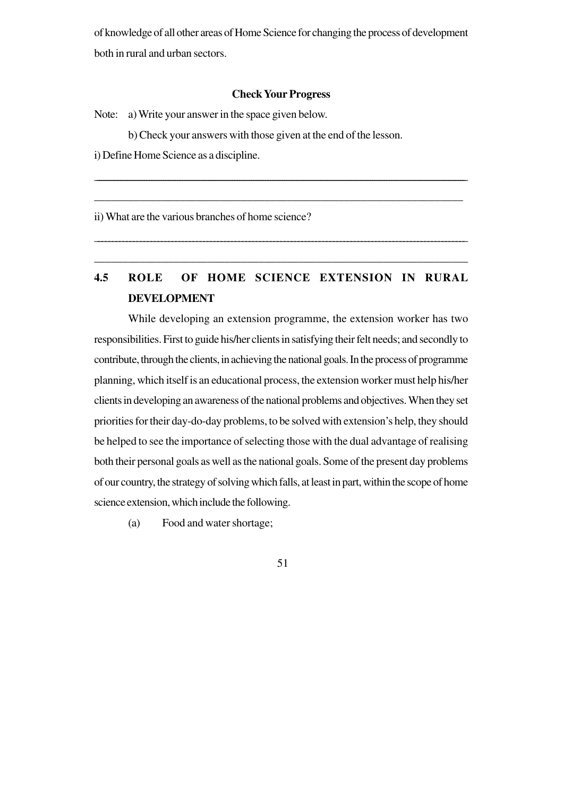of knowledge of all other areas of Home Science for changing the process of development both in rural and urban sectors.

#### **Check Your Progress**

\_\_\_\_\_\_\_\_\_\_\_\_\_\_\_\_\_\_\_\_\_\_\_\_\_\_\_\_\_\_\_\_\_\_\_\_\_\_\_\_\_\_\_\_\_\_\_\_\_\_\_\_\_\_\_\_\_\_\_\_\_\_\_\_\_\_\_\_\_\_\_\_\_\_\_\_\_\_\_\_\_\_\_\_\_\_\_\_\_\_\_\_\_\_\_\_\_\_\_\_\_\_\_\_\_\_\_\_\_\_\_\_\_\_\_\_\_\_\_\_\_\_\_\_\_\_\_\_\_\_\_\_\_\_\_\_\_\_\_\_\_\_\_\_\_\_\_\_\_\_\_\_\_\_\_\_

\_\_\_\_\_\_\_\_\_\_\_\_\_\_\_\_\_\_\_\_\_\_\_\_\_\_\_\_\_\_\_\_\_\_\_\_\_\_\_\_\_\_\_\_\_\_\_\_\_\_\_\_\_\_\_\_\_\_\_\_\_\_\_\_\_

Note: a) Write your answer in the space given below.

b) Check your answers with those given at the end of the lesson.

i) Define Home Science as a discipline.

ii) What are the various branches of home science?

# **4.5 ROLE OF HOME SCIENCE EXTENSION IN RURAL DEVELOPMENT**

\_\_\_\_\_\_\_\_\_\_\_\_\_\_\_\_\_\_\_\_\_\_\_\_\_\_\_\_\_\_\_\_\_\_\_\_\_\_\_\_\_\_\_\_\_\_\_\_\_\_\_\_\_\_\_\_\_\_\_\_\_\_\_\_\_\_\_\_\_\_\_\_\_\_\_\_\_\_\_\_\_\_\_\_\_\_\_\_\_\_\_\_\_\_\_\_\_\_\_\_\_\_\_\_\_\_

\_\_\_\_\_\_\_\_\_\_\_\_\_\_\_\_\_\_\_\_\_\_\_\_\_\_\_\_\_\_\_\_\_\_\_\_\_\_\_\_\_\_\_\_\_\_\_\_\_\_\_\_\_\_\_\_\_\_\_\_\_\_\_\_\_\_

While developing an extension programme, the extension worker has two responsibilities. First to guide his/her clients in satisfying their felt needs; and secondly to contribute, through the clients, in achieving the national goals. In the process of programme planning, which itself is an educational process, the extension worker must help his/her clients in developing an awareness of the national problems and objectives. When they set priorities for their day-do-day problems, to be solved with extension's help, they should be helped to see the importance of selecting those with the dual advantage of realising both their personal goals as well as the national goals. Some of the present day problems of our country, the strategy of solving which falls, at least in part, within the scope of home science extension, which include the following.

(a) Food and water shortage;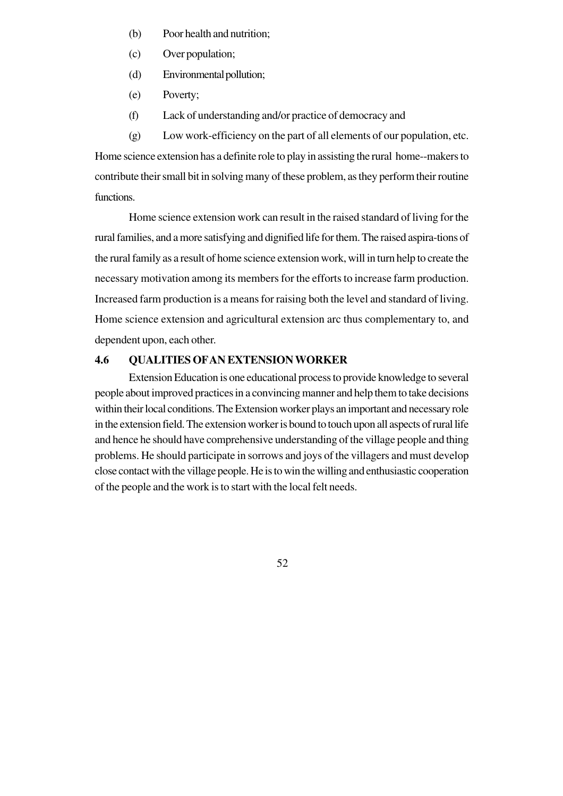- (b) Poor health and nutrition;
- (c) Over population;
- (d) Environmental pollution;
- (e) Poverty;
- (f) Lack of understanding and/or practice of democracy and

(g) Low work-efficiency on the part of all elements of our population, etc. Home science extension has a definite role to play in assisting the rural home--makers to contribute their small bit in solving many of these problem, as they perform their routine functions.

Home science extension work can result in the raised standard of living for the rural families, and a more satisfying and dignified life for them. The raised aspira-tions of the rural family as a result of home science extension work, will in turn help to create the necessary motivation among its members for the efforts to increase farm production. Increased farm production is a means for raising both the level and standard of living. Home science extension and agricultural extension arc thus complementary to, and dependent upon, each other.

## **4.6 QUALITIES OFAN EXTENSION WORKER**

Extension Education is one educational process to provide knowledge to several people about improved practices in a convincing manner and help them to take decisions within their local conditions. The Extension worker plays an important and necessary role in the extension field. The extension worker is bound to touch upon all aspects of rural life and hence he should have comprehensive understanding of the village people and thing problems. He should participate in sorrows and joys of the villagers and must develop close contact with the village people. He is to win the willing and enthusiastic cooperation of the people and the work is to start with the local felt needs.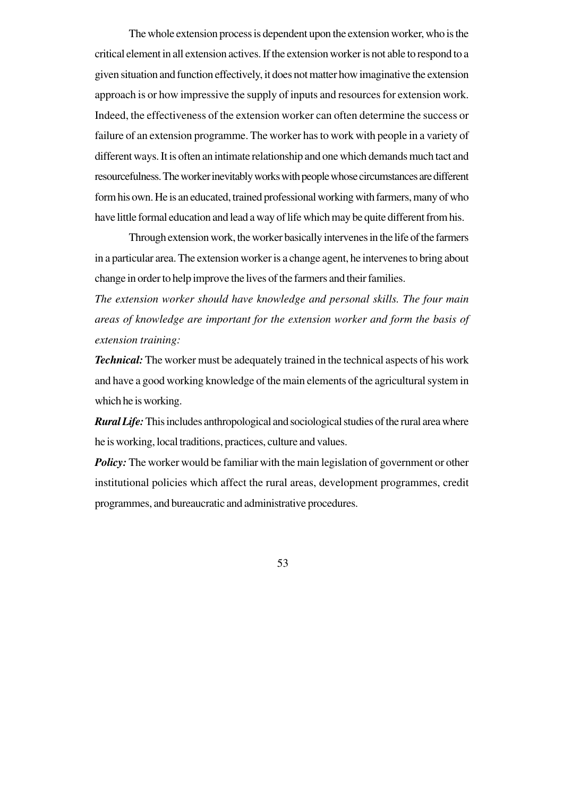The whole extension process is dependent upon the extension worker, who is the critical element in all extension actives. If the extension worker is not able to respond to a given situation and function effectively, it does not matter how imaginative the extension approach is or how impressive the supply of inputs and resources for extension work. Indeed, the effectiveness of the extension worker can often determine the success or failure of an extension programme. The worker has to work with people in a variety of different ways. It is often an intimate relationship and one which demands much tact and resourcefulness. The worker inevitably works with people whose circumstances are different form his own. He is an educated, trained professional working with farmers, many of who have little formal education and lead a way of life which may be quite different from his.

Through extension work, the worker basically intervenes in the life of the farmers in a particular area. The extension worker is a change agent, he intervenes to bring about change in order to help improve the lives of the farmers and their families.

*The extension worker should have knowledge and personal skills. The four main areas of knowledge are important for the extension worker and form the basis of extension training:*

*Technical:* The worker must be adequately trained in the technical aspects of his work and have a good working knowledge of the main elements of the agricultural system in which he is working.

*Rural Life:* This includes anthropological and sociological studies of the rural area where he is working, local traditions, practices, culture and values.

*Policy:* The worker would be familiar with the main legislation of government or other institutional policies which affect the rural areas, development programmes, credit programmes, and bureaucratic and administrative procedures.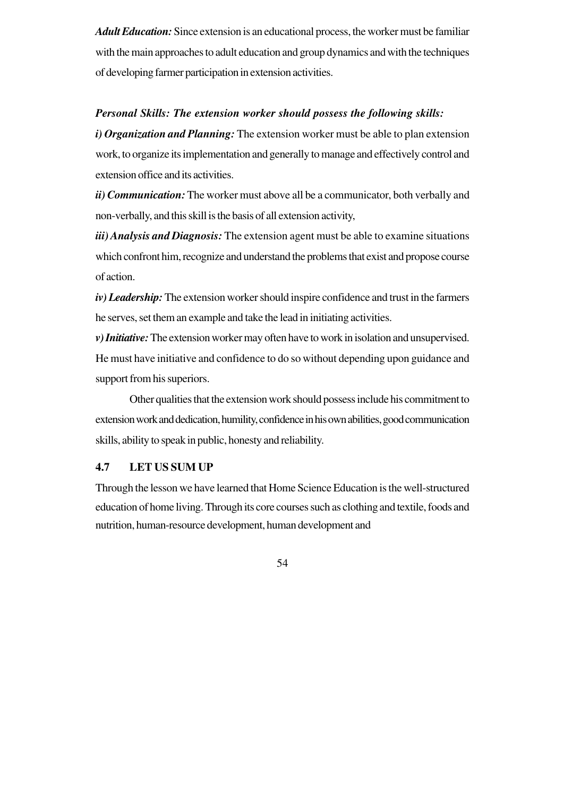*Adult Education:* Since extension is an educational process, the worker must be familiar with the main approaches to adult education and group dynamics and with the techniques of developing farmer participation in extension activities.

#### *Personal Skills: The extension worker should possess the following skills:*

*i) Organization and Planning:* The extension worker must be able to plan extension work, to organize its implementation and generally to manage and effectively control and extension office and its activities.

*ii) Communication:*The worker must above all be a communicator, both verbally and non-verbally, and this skill is the basis of all extension activity,

*iii) Analysis and Diagnosis:* The extension agent must be able to examine situations which confront him, recognize and understand the problems that exist and propose course of action.

*iv) Leadership:* The extension worker should inspire confidence and trust in the farmers he serves, set them an example and take the lead in initiating activities.

*v) Initiative:* The extension worker may often have to work in isolation and unsupervised. He must have initiative and confidence to do so without depending upon guidance and support from his superiors.

Other qualities that the extension work should possess include his commitment to extension work and dedication, humility, confidence in his own abilities, good communication skills, ability to speak in public, honesty and reliability.

### **4.7 LET US SUM UP**

Through the lesson we have learned that Home Science Education is the well-structured education of home living. Through its core courses such as clothing and textile, foods and nutrition, human-resource development, human development and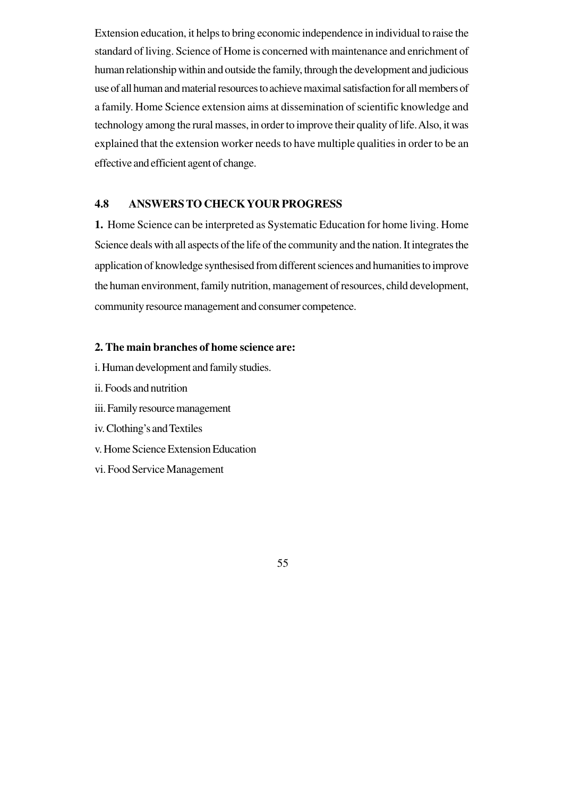Extension education, it helps to bring economic independence in individual to raise the standard of living. Science of Home is concerned with maintenance and enrichment of human relationship within and outside the family, through the development and judicious use of all human and material resources to achieve maximal satisfaction for all members of a family. Home Science extension aims at dissemination of scientific knowledge and technology among the rural masses, in order to improve their quality of life. Also, it was explained that the extension worker needs to have multiple qualities in order to be an effective and efficient agent of change.

## **4.8 ANSWERS TO CHECK YOUR PROGRESS**

**1.** Home Science can be interpreted as Systematic Education for home living. Home Science deals with all aspects of the life of the community and the nation. It integrates the application of knowledge synthesised from different sciences and humanities to improve the human environment, family nutrition, management of resources, child development, community resource management and consumer competence.

### **2. The main branches of home science are:**

- i. Human development and family studies.
- ii. Foods and nutrition
- iii. Family resource management
- iv. Clothing's and Textiles
- v. Home Science Extension Education
- vi. Food Service Management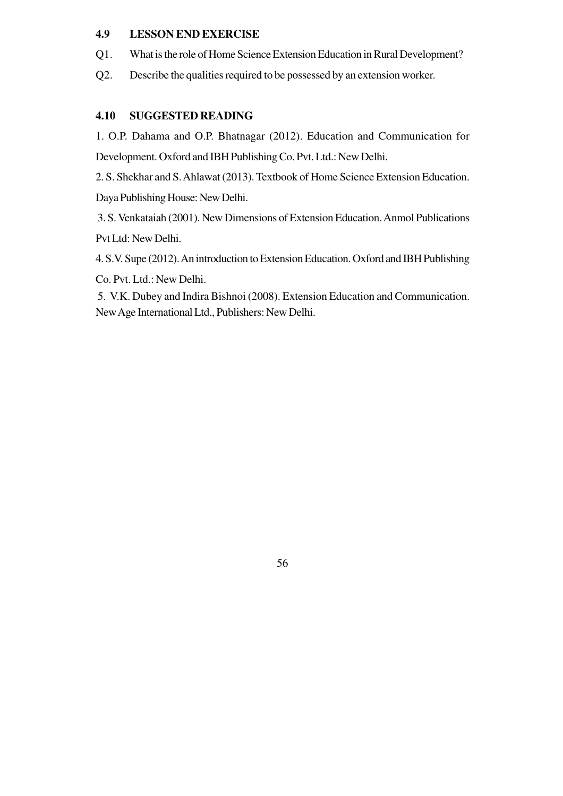## **4.9 LESSON END EXERCISE**

- Q1. What is the role of Home Science Extension Education in Rural Development?
- Q2. Describe the qualities required to be possessed by an extension worker.

# **4.10 SUGGESTED READING**

1. O.P. Dahama and O.P. Bhatnagar (2012). Education and Communication for Development. Oxford and IBH Publishing Co. Pvt. Ltd.: New Delhi.

2. S. Shekhar and S. Ahlawat (2013). Textbook of Home Science Extension Education. Daya Publishing House: New Delhi.

 3. S. Venkataiah (2001). New Dimensions of Extension Education. Anmol Publications Pvt Ltd: New Delhi.

4. S.V. Supe (2012). An introduction to Extension Education. Oxford and IBH Publishing

Co. Pvt. Ltd.: New Delhi.

 5. V.K. Dubey and Indira Bishnoi (2008). Extension Education and Communication. New Age International Ltd., Publishers: New Delhi.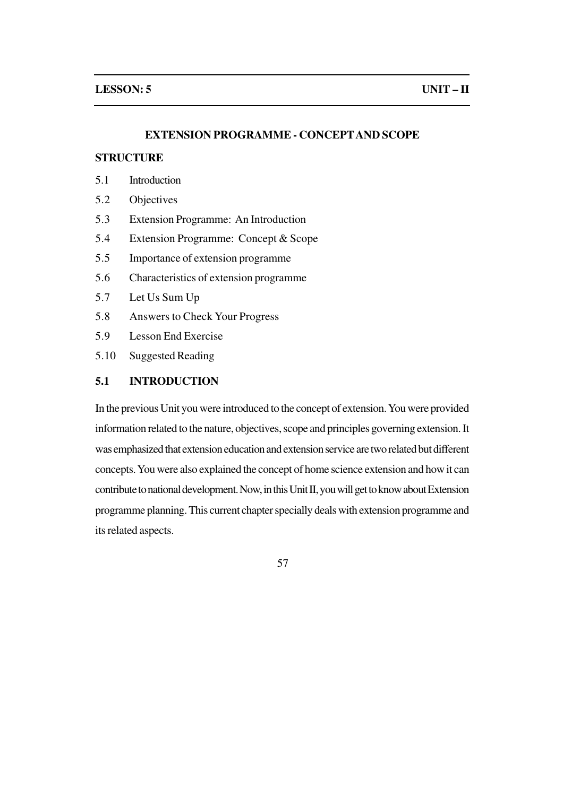#### **EXTENSION PROGRAMME - CONCEPTAND SCOPE**

#### **STRUCTURE**

- 5.1 Introduction
- 5.2 Objectives
- 5.3 Extension Programme: An Introduction
- 5.4 Extension Programme: Concept & Scope
- 5.5 Importance of extension programme
- 5.6 Characteristics of extension programme
- 5.7 Let Us Sum Up
- 5.8 Answers to Check Your Progress
- 5.9 Lesson End Exercise
- 5.10 Suggested Reading

## **5.1 INTRODUCTION**

In the previous Unit you were introduced to the concept of extension. You were provided information related to the nature, objectives, scope and principles governing extension. It was emphasized that extension education and extension service are two related but different concepts. You were also explained the concept of home science extension and how it can contribute to national development. Now, in this Unit II, you will get to know about Extension programme planning. This current chapter specially deals with extension programme and its related aspects.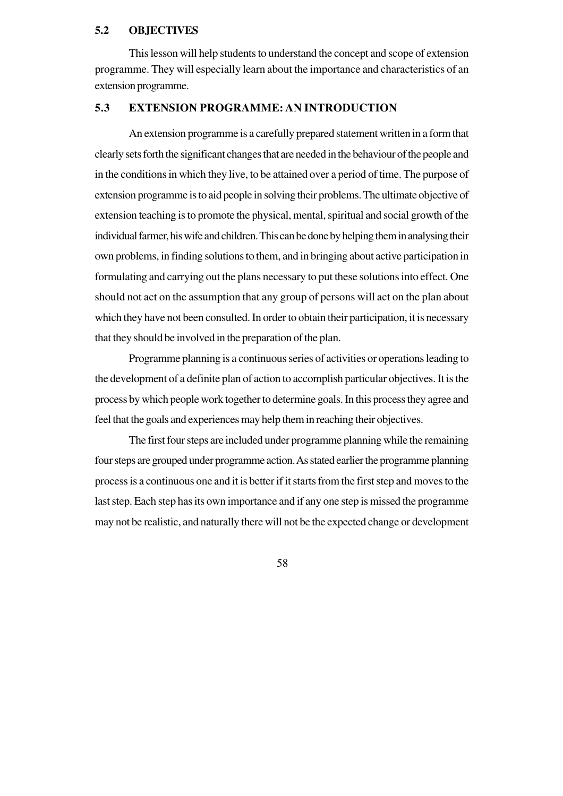### **5.2 OBJECTIVES**

This lesson will help students to understand the concept and scope of extension programme. They will especially learn about the importance and characteristics of an extension programme.

# **5.3 EXTENSION PROGRAMME: AN INTRODUCTION**

An extension programme is a carefully prepared statement written in a form that clearly sets forth the significant changes that are needed in the behaviour of the people and in the conditions in which they live, to be attained over a period of time. The purpose of extension programme is to aid people in solving their problems. The ultimate objective of extension teaching is to promote the physical, mental, spiritual and social growth of the individual farmer, his wife and children. This can be done by helping them in analysing their own problems, in finding solutions to them, and in bringing about active participation in formulating and carrying out the plans necessary to put these solutions into effect. One should not act on the assumption that any group of persons will act on the plan about which they have not been consulted. In order to obtain their participation, it is necessary that they should be involved in the preparation of the plan.

Programme planning is a continuous series of activities or operations leading to the development of a definite plan of action to accomplish particular objectives. It is the process by which people work together to determine goals. In this process they agree and feel that the goals and experiences may help them in reaching their objectives.

The first four steps are included under programme planning while the remaining four steps are grouped under programme action. As stated earlier the programme planning process is a continuous one and it is better if it starts from the first step and moves to the last step. Each step has its own importance and if any one step is missed the programme may not be realistic, and naturally there will not be the expected change or development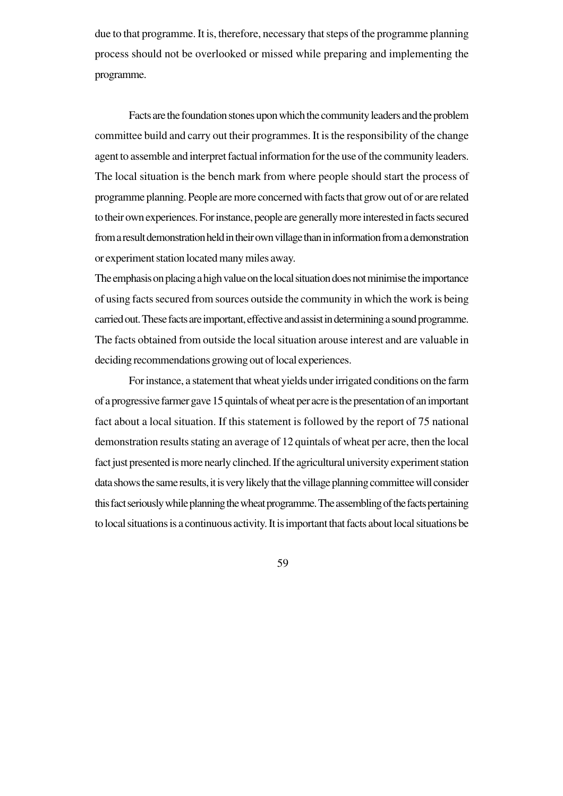due to that programme. It is, therefore, necessary that steps of the programme planning process should not be overlooked or missed while preparing and implementing the programme.

Facts are the foundation stones upon which the community leaders and the problem committee build and carry out their programmes. It is the responsibility of the change agent to assemble and interpret factual information for the use of the community leaders. The local situation is the bench mark from where people should start the process of programme planning. People are more concerned with facts that grow out of or are related to their own experiences. For instance, people are generally more interested in facts secured from a result demonstration held in their own village than in information from a demonstration or experiment station located many miles away.

The emphasis on placing a high value on the local situation does not minimise the importance of using facts secured from sources outside the community in which the work is being carried out. These facts are important, effective and assist in determining a sound programme. The facts obtained from outside the local situation arouse interest and are valuable in deciding recommendations growing out of local experiences.

For instance, a statement that wheat yields under irrigated conditions on the farm of a progressive farmer gave 15 quintals of wheat per acre is the presentation of an important fact about a local situation. If this statement is followed by the report of 75 national demonstration results stating an average of 12 quintals of wheat per acre, then the local fact just presented is more nearly clinched. If the agricultural university experiment station data shows the same results, it is very likely that the village planning committee will consider this fact seriously while planning the wheat programme. The assembling of the facts pertaining to local situations is a continuous activity. It is important that facts about local situations be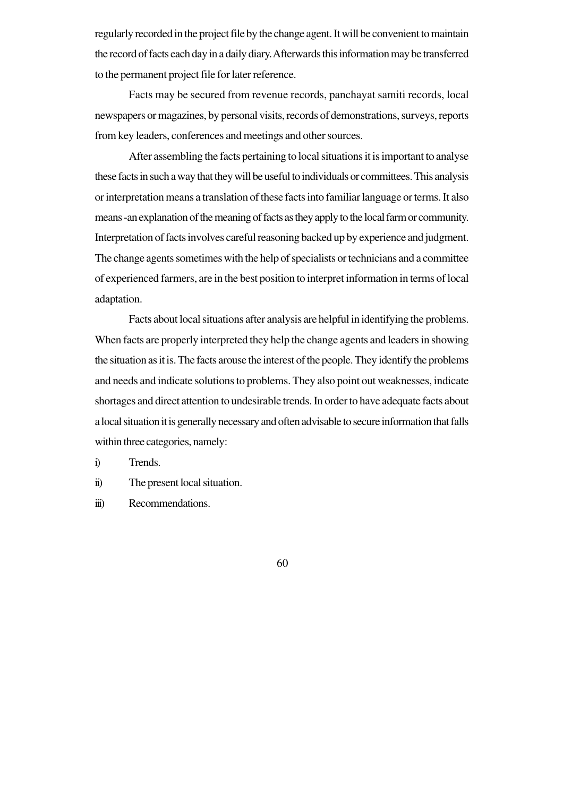regularly recorded in the project file by the change agent. It will be convenient to maintain the record of facts each day in a daily diary. Afterwards this information may be transferred to the permanent project file for later reference.

Facts may be secured from revenue records, panchayat samiti records, local newspapers or magazines, by personal visits, records of demonstrations, surveys, reports from key leaders, conferences and meetings and other sources.

After assembling the facts pertaining to local situations it is important to analyse these facts in such a way that they will be useful to individuals or committees. This analysis or interpretation means a translation of these facts into familiar language or terms. It also means -an explanation of the meaning of facts as they apply to the local farm or community. Interpretation of facts involves careful reasoning backed up by experience and judgment. The change agents sometimes with the help of specialists or technicians and a committee of experienced farmers, are in the best position to interpret information in terms of local adaptation.

Facts about local situations after analysis are helpful in identifying the problems. When facts are properly interpreted they help the change agents and leaders in showing the situation as it is. The facts arouse the interest of the people. They identify the problems and needs and indicate solutions to problems. They also point out weaknesses, indicate shortages and direct attention to undesirable trends. In order to have adequate facts about a local situation it is generally necessary and often advisable to secure information that falls within three categories, namely:

i) Trends.

ii) The present local situation.

iii) Recommendations.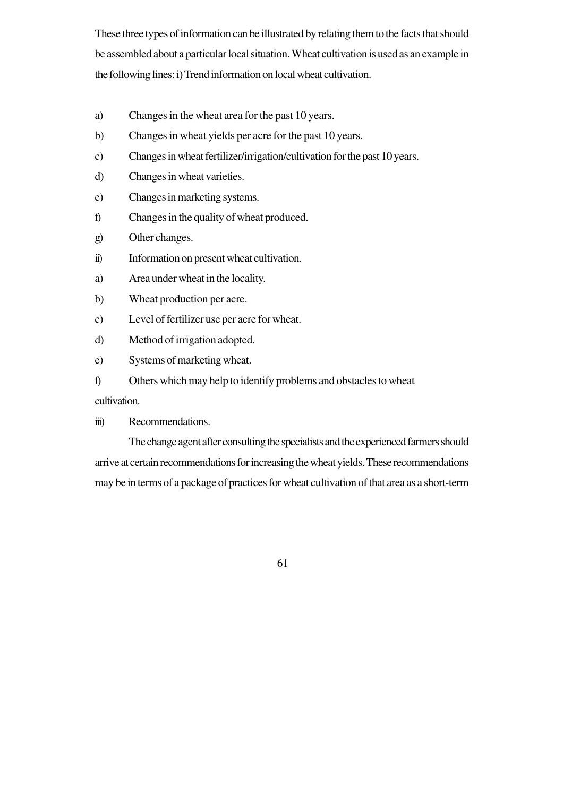These three types of information can be illustrated by relating them to the facts that should be assembled about a particular local situation. Wheat cultivation is used as an example in the following lines: i) Trend information on local wheat cultivation.

- a) Changes in the wheat area for the past 10 years.
- b) Changes in wheat yields per acre for the past 10 years.
- c) Changes in wheat fertilizer/irrigation/cultivation for the past 10 years.
- d) Changes in wheat varieties.
- e) Changes in marketing systems.
- f) Changes in the quality of wheat produced.
- g) Other changes.
- ii) Information on present wheat cultivation.
- a) Area under wheat in the locality.
- b) Wheat production per acre.
- c) Level of fertilizer use per acre for wheat.
- d) Method of irrigation adopted.
- e) Systems of marketing wheat.
- f) Others which may help to identify problems and obstacles to wheat

cultivation.

iii) Recommendations.

The change agent after consulting the specialists and the experienced farmers should arrive at certain recommendations for increasing the wheat yields. These recommendations may be in terms of a package of practices for wheat cultivation of that area as a short-term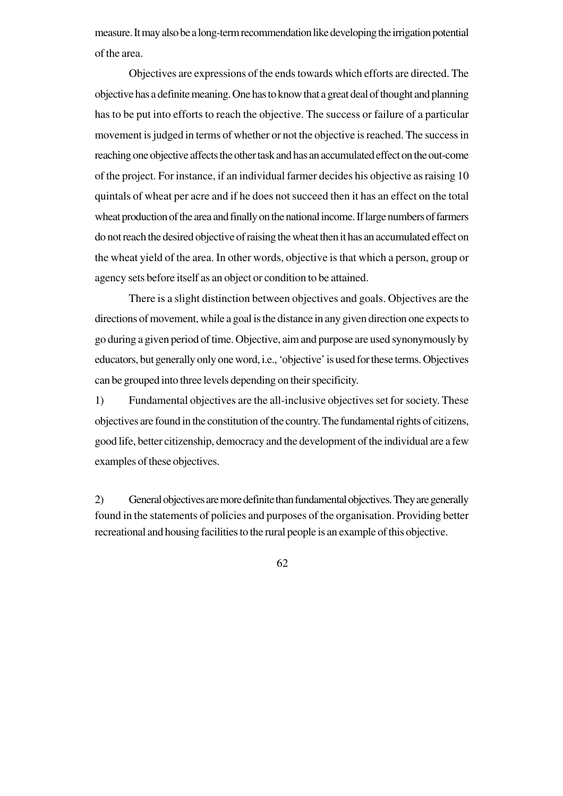measure. It may also be a long-term recommendation like developing the irrigation potential of the area.

Objectives are expressions of the ends towards which efforts are directed. The objective has a definite meaning. One has to know that a great deal of thought and planning has to be put into efforts to reach the objective. The success or failure of a particular movement is judged in terms of whether or not the objective is reached. The success in reaching one objective affects the other task and has an accumulated effect on the out-come of the project. For instance, if an individual farmer decides his objective as raising 10 quintals of wheat per acre and if he does not succeed then it has an effect on the total wheat production of the area and finally on the national income. If large numbers of farmers do not reach the desired objective of raising the wheat then it has an accumulated effect on the wheat yield of the area. In other words, objective is that which a person, group or agency sets before itself as an object or condition to be attained.

There is a slight distinction between objectives and goals. Objectives are the directions of movement, while a goal is the distance in any given direction one expects to go during a given period of time. Objective, aim and purpose are used synonymously by educators, but generally only one word, i.e., 'objective' is used for these terms. Objectives can be grouped into three levels depending on their specificity.

1) Fundamental objectives are the all-inclusive objectives set for society. These objectives are found in the constitution of the country. The fundamental rights of citizens, good life, better citizenship, democracy and the development of the individual are a few examples of these objectives.

2) General objectives are more definite than fundamental objectives. They are generally found in the statements of policies and purposes of the organisation. Providing better recreational and housing facilities to the rural people is an example of this objective.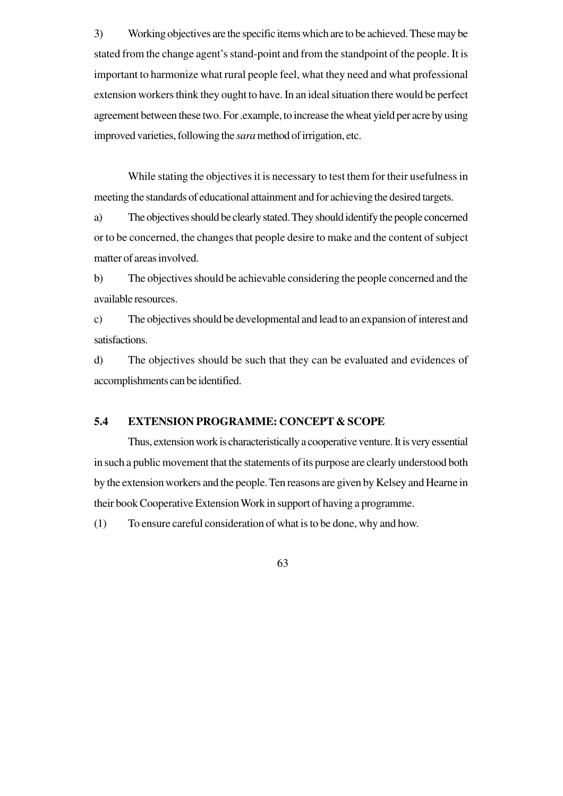3) Working objectives are the specific items which are to be achieved. These may be stated from the change agent's stand-point and from the standpoint of the people. It is important to harmonize what rural people feel, what they need and what professional extension workers think they ought to have. In an ideal situation there would be perfect agreement between these two. For .example, to increase the wheat yield per acre by using improved varieties, following the *sara* method of irrigation, etc.

While stating the objectives it is necessary to test them for their usefulness in meeting the standards of educational attainment and for achieving the desired targets.

a) The objectives should be clearly stated. They should identify the people concerned or to be concerned, the changes that people desire to make and the content of subject matter of areas involved.

b) The objectives should be achievable considering the people concerned and the available resources.

c) The objectives should be developmental and lead to an expansion of interest and satisfactions.

d) The objectives should be such that they can be evaluated and evidences of accomplishments can be identified.

#### **5.4 EXTENSION PROGRAMME: CONCEPT & SCOPE**

Thus, extension work is characteristically a cooperative venture. It is very essential in such a public movement that the statements of its purpose are clearly understood both by the extension workers and the people. Ten reasons are given by Kelsey and Hearne in their book Cooperative Extension Work in support of having a programme.

(1) To ensure careful consideration of what is to be done, why and how.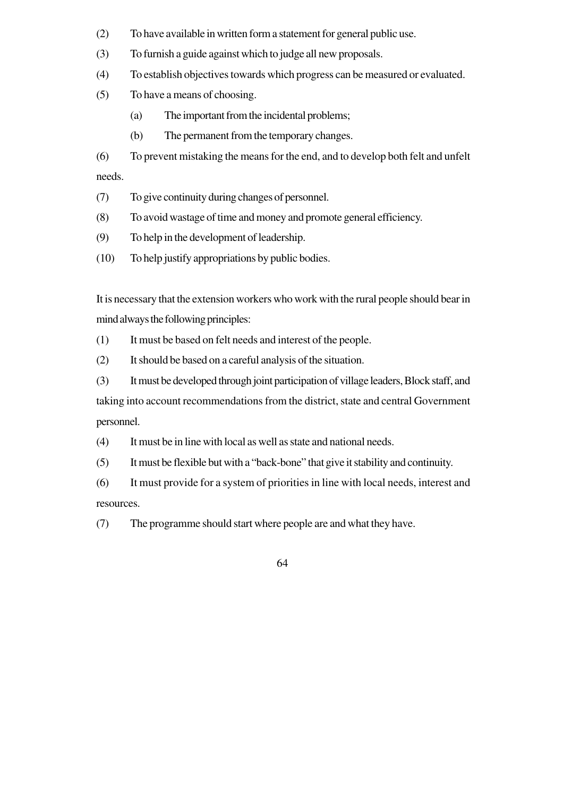- (2) To have available in written form a statement for general public use.
- (3) To furnish a guide against which to judge all new proposals.
- (4) To establish objectives towards which progress can be measured or evaluated.
- (5) To have a means of choosing.
	- (a) The important from the incidental problems;
	- (b) The permanent from the temporary changes.

(6) To prevent mistaking the means for the end, and to develop both felt and unfelt needs.

- (7) To give continuity during changes of personnel.
- (8) To avoid wastage of time and money and promote general efficiency.
- (9) To help in the development of leadership.
- (10) To help justify appropriations by public bodies.

It is necessary that the extension workers who work with the rural people should bear in mind always the following principles:

- (1) It must be based on felt needs and interest of the people.
- (2) It should be based on a careful analysis of the situation.
- (3) It must be developed through joint participation of village leaders, Block staff, and

taking into account recommendations from the district, state and central Government personnel.

- (4) It must be in line with local as well as state and national needs.
- (5) It must be flexible but with a "back-bone" that give it stability and continuity.

(6) It must provide for a system of priorities in line with local needs, interest and resources.

(7) The programme should start where people are and what they have.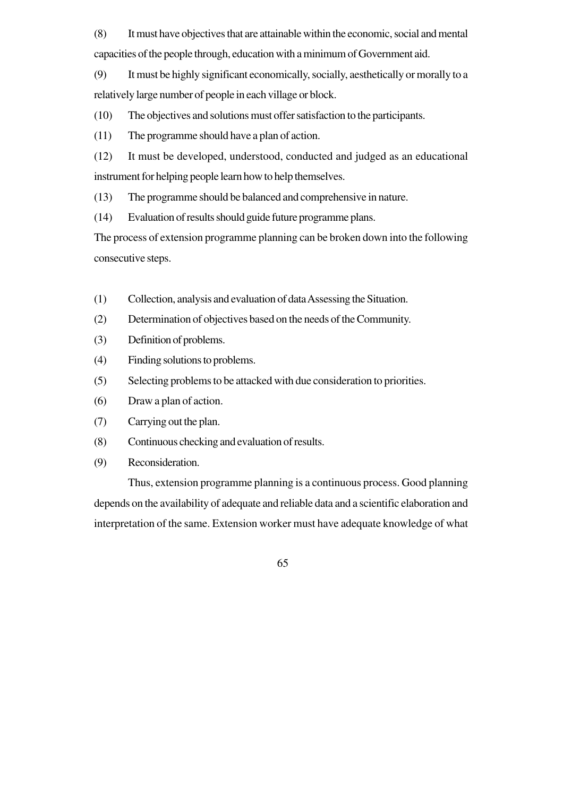(8) It must have objectives that are attainable within the economic, social and mental capacities of the people through, education with a minimum of Government aid.

(9) It must be highly significant economically, socially, aesthetically or morally to a relatively large number of people in each village or block.

(10) The objectives and solutions must offer satisfaction to the participants.

(11) The programme should have a plan of action.

(12) It must be developed, understood, conducted and judged as an educational instrument for helping people learn how to help themselves.

(13) The programme should be balanced and comprehensive in nature.

(14) Evaluation of results should guide future programme plans.

The process of extension programme planning can be broken down into the following consecutive steps.

- (1) Collection, analysis and evaluation of data Assessing the Situation.
- (2) Determination of objectives based on the needs of the Community.
- (3) Definition of problems.
- (4) Finding solutions to problems.
- (5) Selecting problems to be attacked with due consideration to priorities.
- (6) Draw a plan of action.
- (7) Carrying out the plan.
- (8) Continuous checking and evaluation of results.
- (9) Reconsideration.

Thus, extension programme planning is a continuous process. Good planning depends on the availability of adequate and reliable data and a scientific elaboration and interpretation of the same. Extension worker must have adequate knowledge of what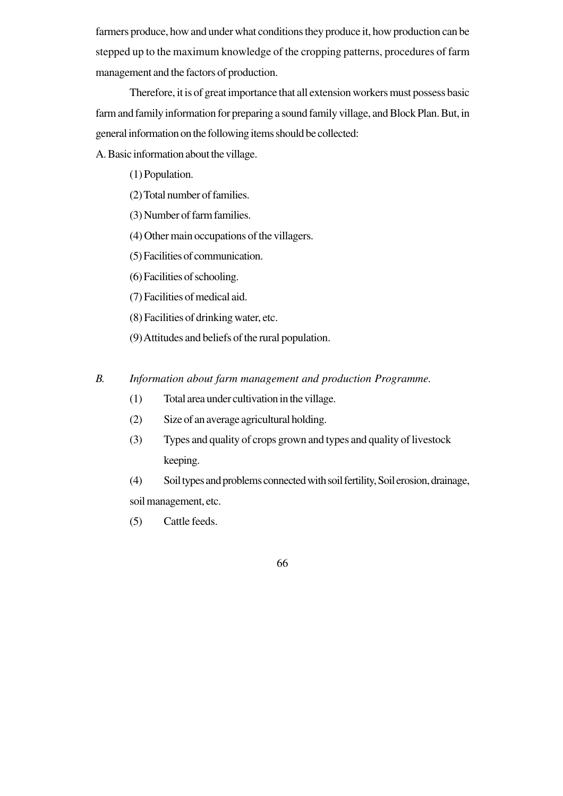farmers produce, how and under what conditions they produce it, how production can be stepped up to the maximum knowledge of the cropping patterns, procedures of farm management and the factors of production.

Therefore, it is of great importance that all extension workers must possess basic farm and family information for preparing a sound family village, and Block Plan. But, in general information on the following items should be collected:

A. Basic information about the village.

(1) Population.

- (2) Total number of families.
- (3) Number of farm families.
- (4) Other main occupations of the villagers.
- (5) Facilities of communication.
- (6) Facilities of schooling.
- (7) Facilities of medical aid.
- (8) Facilities of drinking water, etc.
- (9) Attitudes and beliefs of the rural population.

*B. Information about farm management and production Programme.*

- (1) Total area under cultivation in the village.
- (2) Size of an average agricultural holding.
- (3) Types and quality of crops grown and types and quality of livestock keeping.

(4) Soil types and problems connected with soil fertility, Soil erosion, drainage, soil management, etc.

(5) Cattle feeds.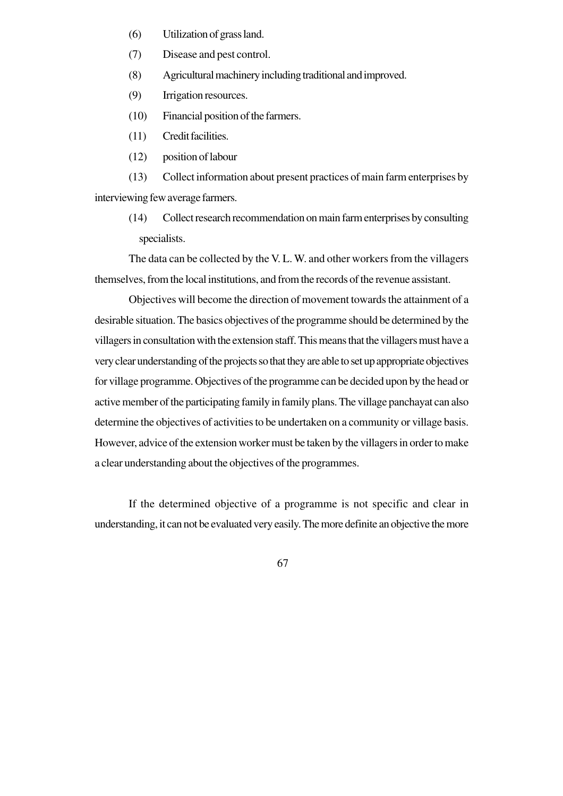- (6) Utilization of grass land.
- (7) Disease and pest control.
- (8) Agricultural machinery including traditional and improved.
- (9) Irrigation resources.
- (10) Financial position of the farmers.
- (11) Credit facilities.
- (12) position of labour

(13) Collect information about present practices of main farm enterprises by interviewing few average farmers.

(14) Collect research recommendation on main farm enterprises by consulting specialists.

The data can be collected by the V. L. W. and other workers from the villagers themselves, from the local institutions, and from the records of the revenue assistant.

Objectives will become the direction of movement towards the attainment of a desirable situation. The basics objectives of the programme should be determined by the villagers in consultation with the extension staff. This means that the villagers must have a very clear understanding of the projects so that they are able to set up appropriate objectives for village programme. Objectives of the programme can be decided upon by the head or active member of the participating family in family plans. The village panchayat can also determine the objectives of activities to be undertaken on a community or village basis. However, advice of the extension worker must be taken by the villagers in order to make a clear understanding about the objectives of the programmes.

If the determined objective of a programme is not specific and clear in understanding, it can not be evaluated very easily. The more definite an objective the more

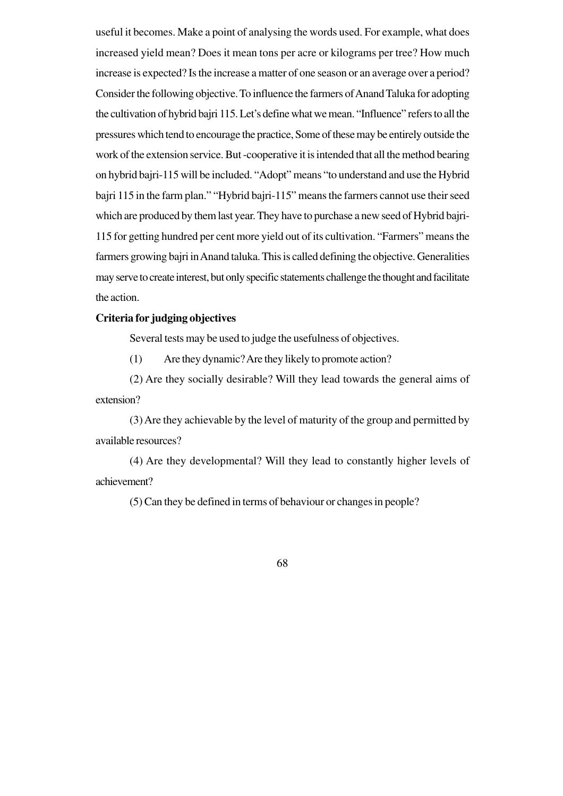useful it becomes. Make a point of analysing the words used. For example, what does increased yield mean? Does it mean tons per acre or kilograms per tree? How much increase is expected? Is the increase a matter of one season or an average over a period? Consider the following objective. To influence the farmers of Anand Taluka for adopting the cultivation of hybrid bajri 115. Let's define what we mean. "Influence" refers to all the pressures which tend to encourage the practice, Some of these may be entirely outside the work of the extension service. But -cooperative it is intended that all the method bearing on hybrid bajri-115 will be included. "Adopt" means "to understand and use the Hybrid bajri 115 in the farm plan." "Hybrid bajri-115" means the farmers cannot use their seed which are produced by them last year. They have to purchase a new seed of Hybrid bajri-115 for getting hundred per cent more yield out of its cultivation. "Farmers" means the farmers growing bajri in Anand taluka. This is called defining the objective. Generalities may serve to create interest, but only specific statements challenge the thought and facilitate the action.

# **Criteria for judging objectives**

Several tests may be used to judge the usefulness of objectives.

(1) Are they dynamic? Are they likely to promote action?

(2) Are they socially desirable? Will they lead towards the general aims of extension?

(3) Are they achievable by the level of maturity of the group and permitted by available resources?

(4) Are they developmental? Will they lead to constantly higher levels of achievement?

(5) Can they be defined in terms of behaviour or changes in people?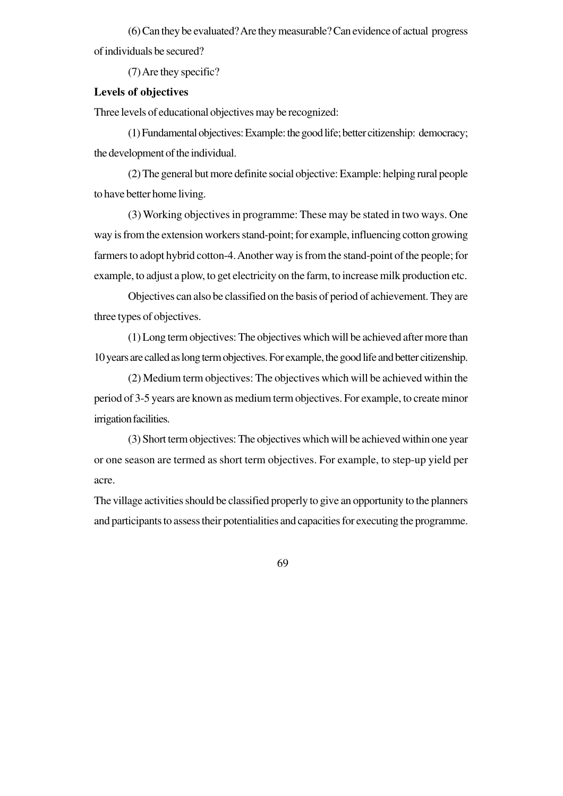(6) Can they be evaluated? Are they measurable? Can evidence of actual progress of individuals be secured?

(7) Are they specific?

# **Levels of objectives**

Three levels of educational objectives may be recognized:

(1) Fundamental objectives: Example: the good life; better citizenship: democracy; the development of the individual.

(2) The general but more definite social objective: Example: helping rural people to have better home living.

(3) Working objectives in programme: These may be stated in two ways. One way is from the extension workers stand-point; for example, influencing cotton growing farmers to adopt hybrid cotton-4. Another way is from the stand-point of the people; for example, to adjust a plow, to get electricity on the farm, to increase milk production etc.

Objectives can also be classified on the basis of period of achievement. They are three types of objectives.

(1) Long term objectives: The objectives which will be achieved after more than 10 years are called as long term objectives. For example, the good life and better citizenship.

(2) Medium term objectives: The objectives which will be achieved within the period of 3-5 years are known as medium term objectives. For example, to create minor irrigation facilities.

(3) Short term objectives: The objectives which will be achieved within one year or one season are termed as short term objectives. For example, to step-up yield per acre.

The village activities should be classified properly to give an opportunity to the planners and participants to assess their potentialities and capacities for executing the programme.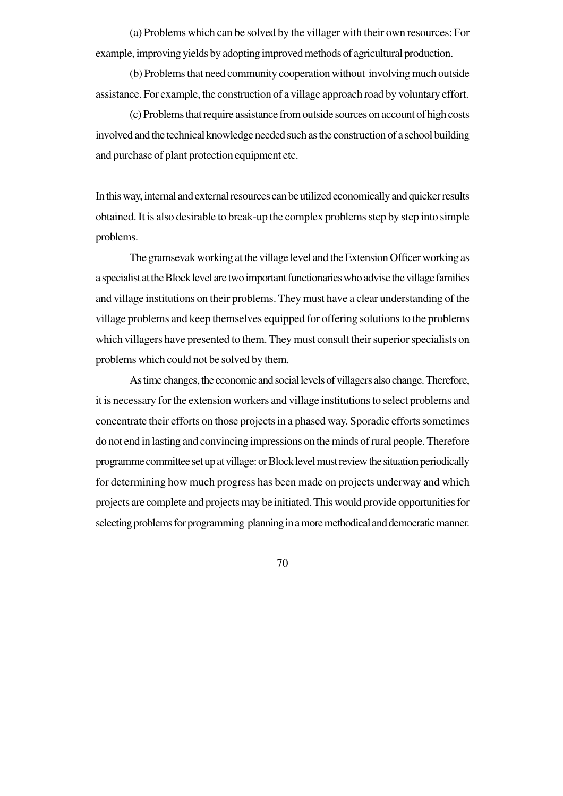(a) Problems which can be solved by the villager with their own resources: For example, improving yields by adopting improved methods of agricultural production.

(b) Problems that need community cooperation without involving much outside assistance. For example, the construction of a village approach road by voluntary effort.

(c) Problems that require assistance from outside sources on account of high costs involved and the technical knowledge needed such as the construction of a school building and purchase of plant protection equipment etc.

In this way, internal and external resources can be utilized economically and quicker results obtained. It is also desirable to break-up the complex problems step by step into simple problems.

The gramsevak working at the village level and the Extension Officer working as a specialist at the Block level are two important functionaries who advise the village families and village institutions on their problems. They must have a clear understanding of the village problems and keep themselves equipped for offering solutions to the problems which villagers have presented to them. They must consult their superior specialists on problems which could not be solved by them.

As time changes, the economic and social levels of villagers also change. Therefore, it is necessary for the extension workers and village institutions to select problems and concentrate their efforts on those projects in a phased way. Sporadic efforts sometimes do not end in lasting and convincing impressions on the minds of rural people. Therefore programme committee set up at village: or Block level must review the situation periodically for determining how much progress has been made on projects underway and which projects are complete and projects may be initiated. This would provide opportunities for selecting problems for programming planning in a more methodical and democratic manner.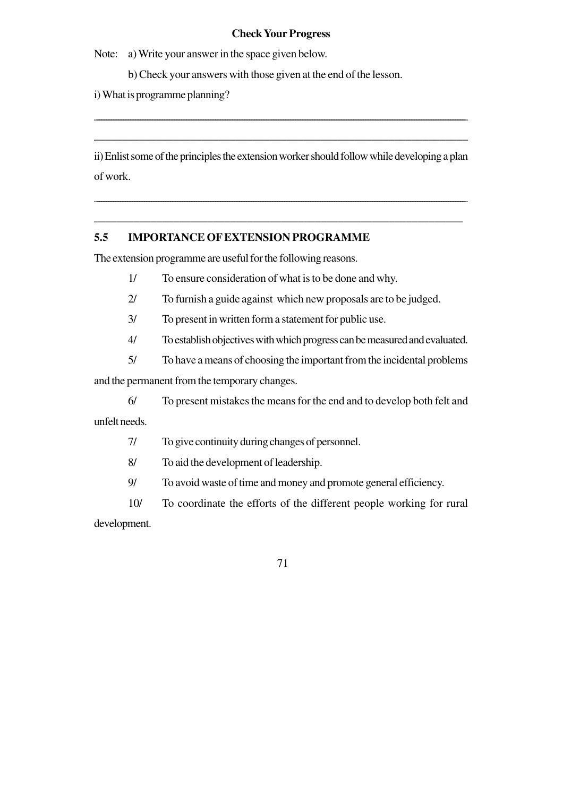### **Check Your Progress**

Note: a) Write your answer in the space given below.

b) Check your answers with those given at the end of the lesson.

i) What is programme planning?

ii) Enlist some of the principles the extension worker should follow while developing a plan of work.

\_\_\_\_\_\_\_\_\_\_\_\_\_\_\_\_\_\_\_\_\_\_\_\_\_\_\_\_\_\_\_\_\_\_\_\_\_\_\_\_\_\_\_\_\_\_\_\_\_\_\_\_\_\_\_\_\_\_\_\_\_\_\_\_\_\_\_\_\_\_\_\_\_\_\_\_\_\_\_\_\_\_\_\_\_\_\_\_\_\_\_\_\_\_\_\_\_\_\_\_\_\_\_\_\_\_\_\_\_\_\_\_\_\_\_\_\_\_\_\_\_\_\_\_\_\_\_\_\_\_\_\_\_\_\_\_\_\_\_\_\_\_\_\_\_\_\_\_\_\_\_\_\_\_\_\_

\_\_\_\_\_\_\_\_\_\_\_\_\_\_\_\_\_\_\_\_\_\_\_\_\_\_\_\_\_\_\_\_\_\_\_\_\_\_\_\_\_\_\_\_\_\_\_\_\_\_\_\_\_\_\_\_\_\_\_\_\_\_\_\_\_

\_\_\_\_\_\_\_\_\_\_\_\_\_\_\_\_\_\_\_\_\_\_\_\_\_\_\_\_\_\_\_\_\_\_\_\_\_\_\_\_\_\_\_\_\_\_\_\_\_\_\_\_\_\_\_\_\_\_\_\_\_\_\_\_\_\_\_\_\_\_\_\_\_\_\_\_\_\_\_\_\_\_\_\_\_\_\_\_\_\_\_\_\_\_\_\_\_\_\_\_\_\_\_\_\_\_\_\_\_\_\_\_\_\_\_\_\_\_\_\_\_\_\_\_\_\_\_\_\_\_\_\_\_\_\_\_\_\_\_\_\_\_\_\_\_\_\_\_\_\_\_\_\_

\_\_\_\_\_\_\_\_\_\_\_\_\_\_\_\_\_\_\_\_\_\_\_\_\_\_\_\_\_\_\_\_\_\_\_\_\_\_\_\_\_\_\_\_\_\_\_\_\_\_\_\_\_\_\_\_\_\_\_\_\_\_\_\_\_\_

### **5.5 IMPORTANCE OF EXTENSION PROGRAMME**

The extension programme are useful for the following reasons.

- 1/ To ensure consideration of what is to be done and why.
- 2/ To furnish a guide against which new proposals are to be judged.
- 3/ To present in written form a statement for public use.
- 4/ To establish objectives with which progress can be measured and evaluated.
- 5/ To have a means of choosing the important from the incidental problems

and the permanent from the temporary changes.

6/ To present mistakes the means for the end and to develop both felt and unfelt needs.

7/ To give continuity during changes of personnel.

8/ To aid the development of leadership.

9/ To avoid waste of time and money and promote general efficiency.

10/ To coordinate the efforts of the different people working for rural development.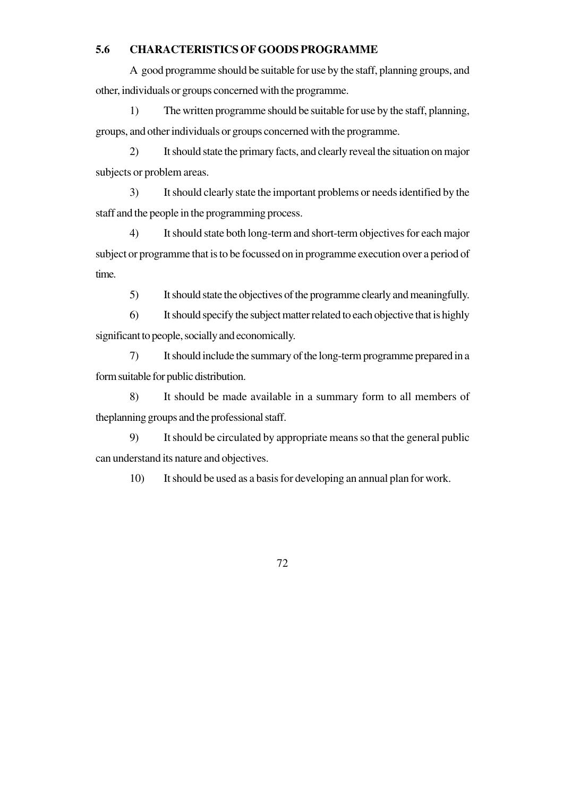### **5.6 CHARACTERISTICS OF GOODS PROGRAMME**

A good programme should be suitable for use by the staff, planning groups, and other, individuals or groups concerned with the programme.

1) The written programme should be suitable for use by the staff, planning, groups, and other individuals or groups concerned with the programme.

2) It should state the primary facts, and clearly reveal the situation on major subjects or problem areas.

3) It should clearly state the important problems or needs identified by the staff and the people in the programming process.

4) It should state both long-term and short-term objectives for each major subject or programme that is to be focussed on in programme execution over a period of time.

5) It should state the objectives of the programme clearly and meaningfully.

6) It should specify the subject matter related to each objective that is highly significant to people, socially and economically.

7) It should include the summary of the long-term programme prepared in a form suitable for public distribution.

8) It should be made available in a summary form to all members of theplanning groups and the professional staff.

9) It should be circulated by appropriate means so that the general public can understand its nature and objectives.

10) It should be used as a basis for developing an annual plan for work.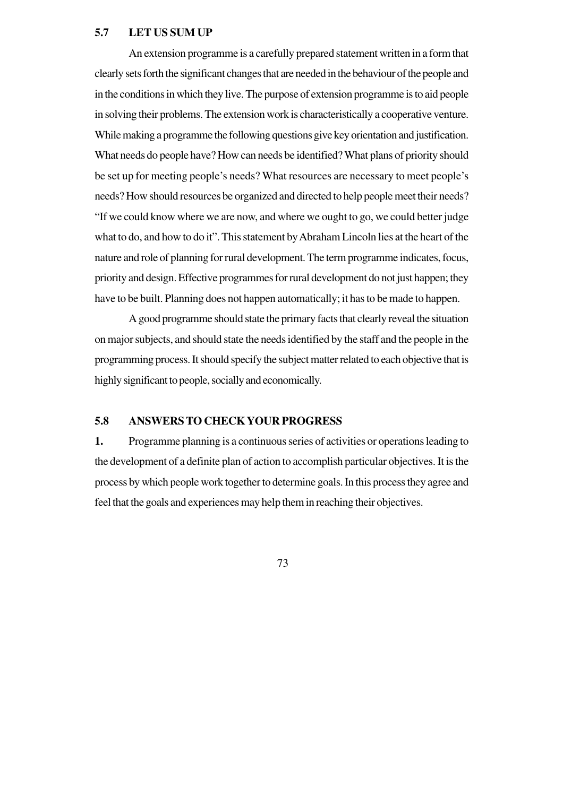### **5.7 LET US SUM UP**

An extension programme is a carefully prepared statement written in a form that clearly sets forth the significant changes that are needed in the behaviour of the people and in the conditions in which they live. The purpose of extension programme is to aid people in solving their problems. The extension work is characteristically a cooperative venture. While making a programme the following questions give key orientation and justification. What needs do people have? How can needs be identified? What plans of priority should be set up for meeting people's needs? What resources are necessary to meet people's needs? How should resources be organized and directed to help people meet their needs? "If we could know where we are now, and where we ought to go, we could better judge what to do, and how to do it". This statement by Abraham Lincoln lies at the heart of the nature and role of planning for rural development. The term programme indicates, focus, priority and design. Effective programmes for rural development do not just happen; they have to be built. Planning does not happen automatically; it has to be made to happen.

A good programme should state the primary facts that clearly reveal the situation on major subjects, and should state the needs identified by the staff and the people in the programming process. It should specify the subject matter related to each objective that is highly significant to people, socially and economically.

# **5.8 ANSWERS TO CHECK YOUR PROGRESS**

**1.** Programme planning is a continuous series of activities or operations leading to the development of a definite plan of action to accomplish particular objectives. It is the process by which people work together to determine goals. In this process they agree and feel that the goals and experiences may help them in reaching their objectives.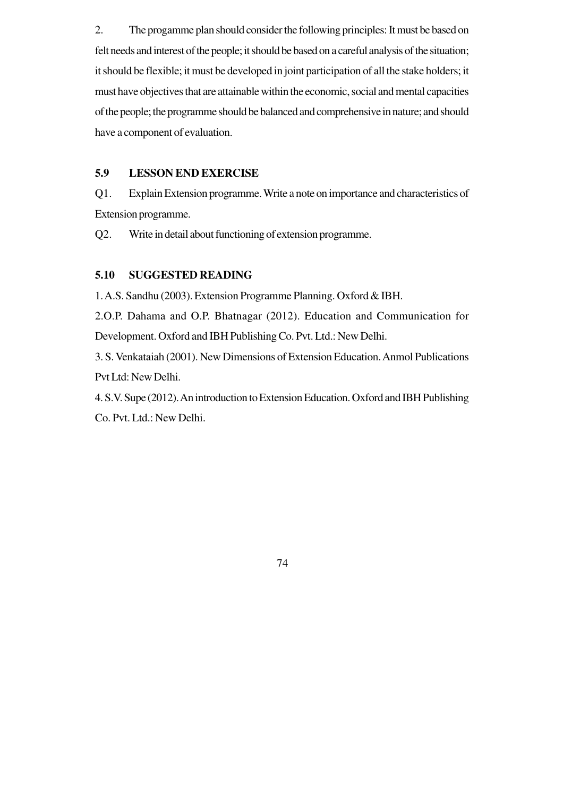2. The progamme plan should consider the following principles: It must be based on felt needs and interest of the people; it should be based on a careful analysis of the situation; it should be flexible; it must be developed in joint participation of all the stake holders; it must have objectives that are attainable within the economic, social and mental capacities of the people; the programme should be balanced and comprehensive in nature; and should have a component of evaluation.

### **5.9 LESSON END EXERCISE**

Q1. Explain Extension programme. Write a note on importance and characteristics of Extension programme.

Q2. Write in detail about functioning of extension programme.

# **5.10 SUGGESTED READING**

1. A.S. Sandhu (2003). Extension Programme Planning. Oxford & IBH.

2.O.P. Dahama and O.P. Bhatnagar (2012). Education and Communication for Development. Oxford and IBH Publishing Co. Pvt. Ltd.: New Delhi.

3. S. Venkataiah (2001). New Dimensions of Extension Education. Anmol Publications Pvt Ltd: New Delhi.

4. S.V. Supe (2012). An introduction to Extension Education. Oxford and IBH Publishing Co. Pvt. Ltd.: New Delhi.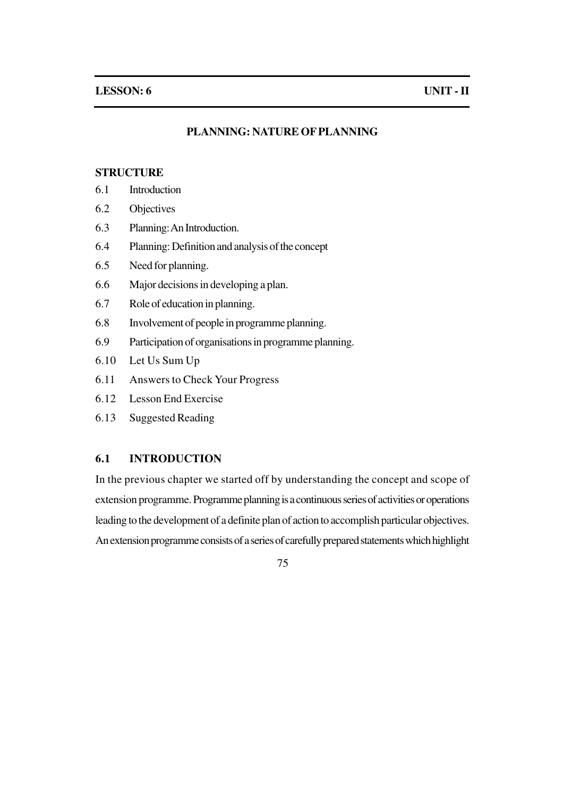### **PLANNING: NATURE OF PLANNING**

### **STRUCTURE**

- 6.1 Introduction
- 6.2 Objectives
- 6.3 Planning: An Introduction.
- 6.4 Planning: Definition and analysis of the concept
- 6.5 Need for planning.
- 6.6 Major decisions in developing a plan.
- 6.7 Role of education in planning.
- 6.8 Involvement of people in programme planning.
- 6.9 Participation of organisations in programme planning.
- 6.10 Let Us Sum Up
- 6.11 Answers to Check Your Progress
- 6.12 Lesson End Exercise
- 6.13 Suggested Reading

### **6.1 INTRODUCTION**

In the previous chapter we started off by understanding the concept and scope of extension programme. Programme planning is a continuous series of activities or operations leading to the development of a definite plan of action to accomplish particular objectives. An extension programme consists of a series of carefully prepared statements which highlight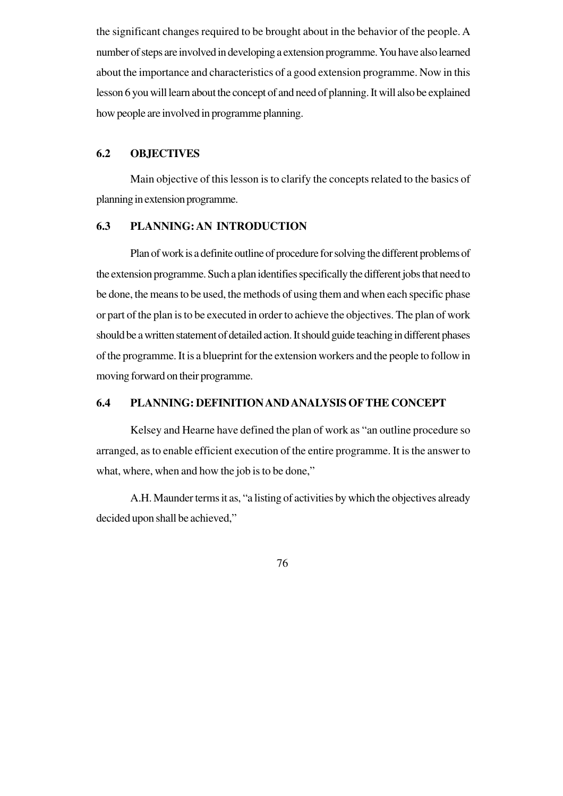the significant changes required to be brought about in the behavior of the people. A number of steps are involved in developing a extension programme. You have also learned about the importance and characteristics of a good extension programme. Now in this lesson 6 you will learn about the concept of and need of planning. It will also be explained how people are involved in programme planning.

### **6.2 OBJECTIVES**

Main objective of this lesson is to clarify the concepts related to the basics of planning in extension programme.

### **6.3 PLANNING: AN INTRODUCTION**

Plan of work is a definite outline of procedure for solving the different problems of the extension programme. Such a plan identifies specifically the different jobs that need to be done, the means to be used, the methods of using them and when each specific phase or part of the plan is to be executed in order to achieve the objectives. The plan of work should be a written statement of detailed action. It should guide teaching in different phases of the programme. It is a blueprint for the extension workers and the people to follow in moving forward on their programme.

### **6.4 PLANNING: DEFINITION AND ANALYSIS OFTHE CONCEPT**

Kelsey and Hearne have defined the plan of work as "an outline procedure so arranged, as to enable efficient execution of the entire programme. It is the answer to what, where, when and how the job is to be done,"

A.H. Maunder terms it as, "a listing of activities by which the objectives already decided upon shall be achieved,"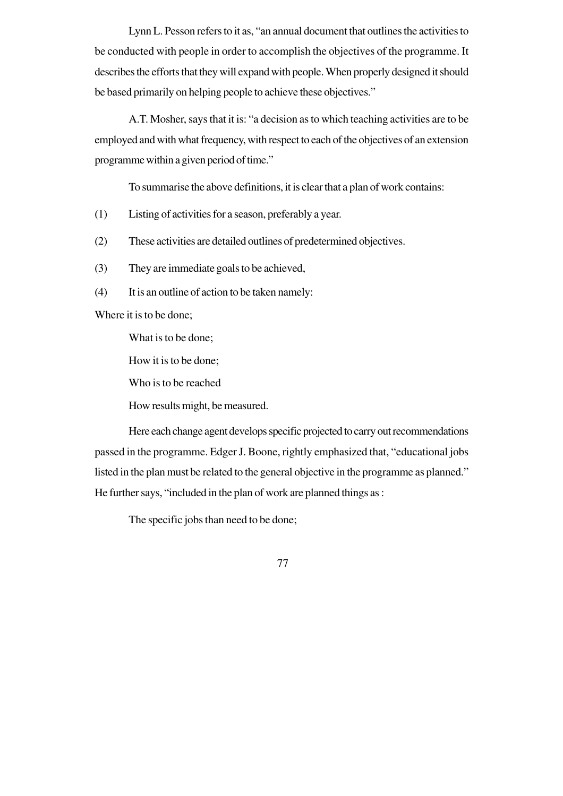Lynn L. Pesson refers to it as, "an annual document that outlines the activities to be conducted with people in order to accomplish the objectives of the programme. It describes the efforts that they will expand with people. When properly designed it should be based primarily on helping people to achieve these objectives."

A.T. Mosher, says that it is: "a decision as to which teaching activities are to be employed and with what frequency, with respect to each of the objectives of an extension programme within a given period of time."

To summarise the above definitions, it is clear that a plan of work contains:

- (1) Listing of activities for a season, preferably a year.
- (2) These activities are detailed outlines of predetermined objectives.
- (3) They are immediate goals to be achieved,
- (4) It is an outline of action to be taken namely:

Where it is to be done;

What is to be done;

How it is to be done;

Who is to be reached

How results might, be measured.

Here each change agent develops specific projected to carry out recommendations passed in the programme. Edger J. Boone, rightly emphasized that, "educational jobs listed in the plan must be related to the general objective in the programme as planned." He further says, "included in the plan of work are planned things as :

The specific jobs than need to be done;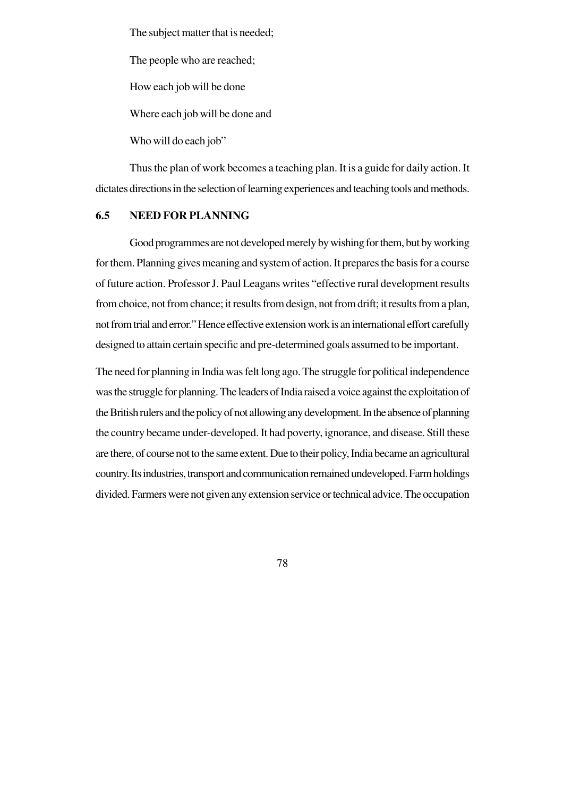The subject matter that is needed;

The people who are reached;

How each job will be done

Where each job will be done and

Who will do each job"

Thus the plan of work becomes a teaching plan. It is a guide for daily action. It dictates directions in the selection of learning experiences and teaching tools and methods.

### **6.5 NEED FOR PLANNING**

Good programmes are not developed merely by wishing for them, but by working for them. Planning gives meaning and system of action. It prepares the basis for a course of future action. Professor J. Paul Leagans writes "effective rural development results from choice, not from chance; it results from design, not from drift; it results from a plan, not from trial and error." Hence effective extension work is an international effort carefully designed to attain certain specific and pre-determined goals assumed to be important.

The need for planning in India was felt long ago. The struggle for political independence was the struggle for planning. The leaders of India raised a voice against the exploitation of the British rulers and the policy of not allowing any development. In the absence of planning the country became under-developed. It had poverty, ignorance, and disease. Still these are there, of course not to the same extent. Due to their policy, India became an agricultural country. Its industries, transport and communication remained undeveloped. Farm holdings divided. Farmers were not given any extension service or technical advice. The occupation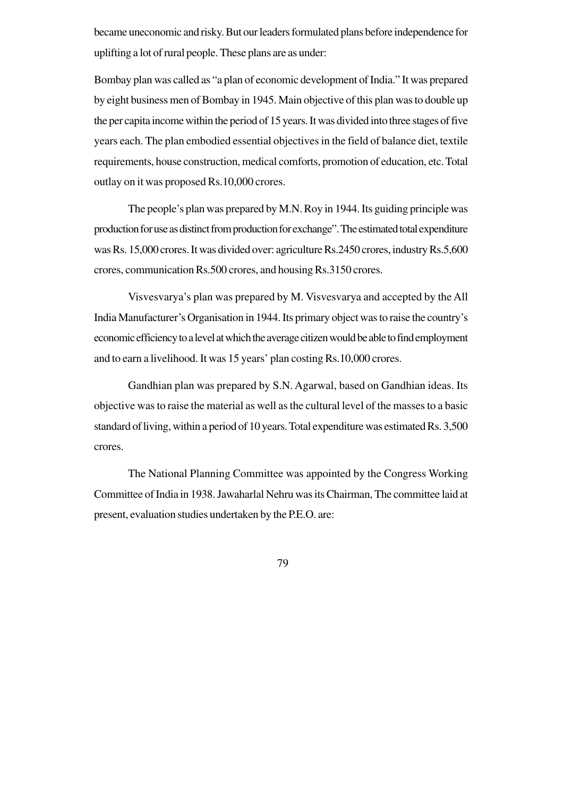became uneconomic and risky. But our leaders formulated plans before independence for uplifting a lot of rural people. These plans are as under:

Bombay plan was called as "a plan of economic development of India." It was prepared by eight business men of Bombay in 1945. Main objective of this plan was to double up the per capita income within the period of 15 years. It was divided into three stages of five years each. The plan embodied essential objectives in the field of balance diet, textile requirements, house construction, medical comforts, promotion of education, etc. Total outlay on it was proposed Rs.10,000 crores.

The people's plan was prepared by M.N. Roy in 1944. Its guiding principle was production for use as distinct from production for exchange". The estimated total expenditure was Rs. 15,000 crores. It was divided over: agriculture Rs.2450 crores, industry Rs.5,600 crores, communication Rs.500 crores, and housing Rs.3150 crores.

Visvesvarya's plan was prepared by M. Visvesvarya and accepted by the All India Manufacturer's Organisation in 1944. Its primary object was to raise the country's economic efficiency to a level at which the average citizen would be able to find employment and to earn a livelihood. It was 15 years' plan costing Rs.10,000 crores.

Gandhian plan was prepared by S.N. Agarwal, based on Gandhian ideas. Its objective was to raise the material as well as the cultural level of the masses to a basic standard of living, within a period of 10 years. Total expenditure was estimated Rs. 3,500 crores.

The National Planning Committee was appointed by the Congress Working Committee of India in 1938. Jawaharlal Nehru was its Chairman, The committee laid at present, evaluation studies undertaken by the P.E.O. are: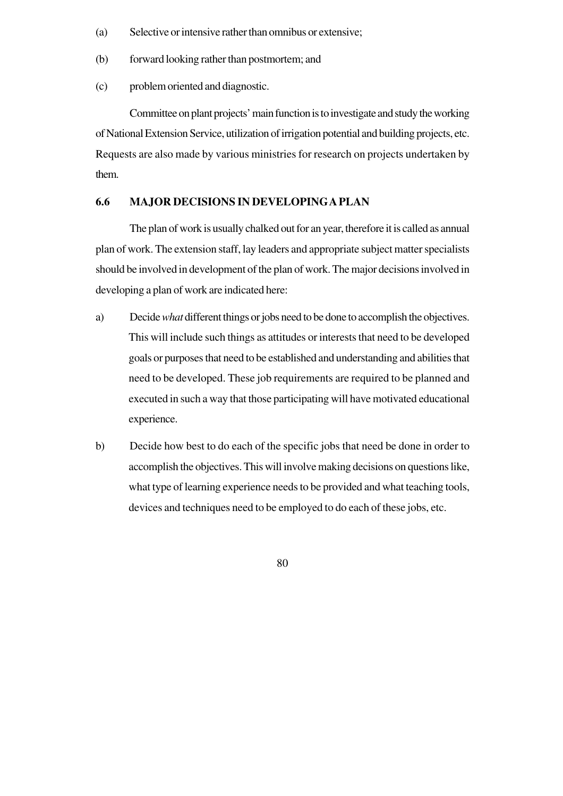- (a) Selective or intensive rather than omnibus or extensive;
- (b) forward looking rather than postmortem; and
- (c) problem oriented and diagnostic.

Committee on plant projects' main function is to investigate and study the working of National Extension Service, utilization of irrigation potential and building projects, etc. Requests are also made by various ministries for research on projects undertaken by them.

### **6.6 MAJOR DECISIONS IN DEVELOPING A PLAN**

The plan of work is usually chalked out for an year, therefore it is called as annual plan of work. The extension staff, lay leaders and appropriate subject matter specialists should be involved in development of the plan of work. The major decisions involved in developing a plan of work are indicated here:

- a) Decide *what* different things or jobs need to be done to accomplish the objectives. This will include such things as attitudes or interests that need to be developed goals or purposes that need to be established and understanding and abilities that need to be developed. These job requirements are required to be planned and executed in such a way that those participating will have motivated educational experience.
- b) Decide how best to do each of the specific jobs that need be done in order to accomplish the objectives. This will involve making decisions on questions like, what type of learning experience needs to be provided and what teaching tools, devices and techniques need to be employed to do each of these jobs, etc.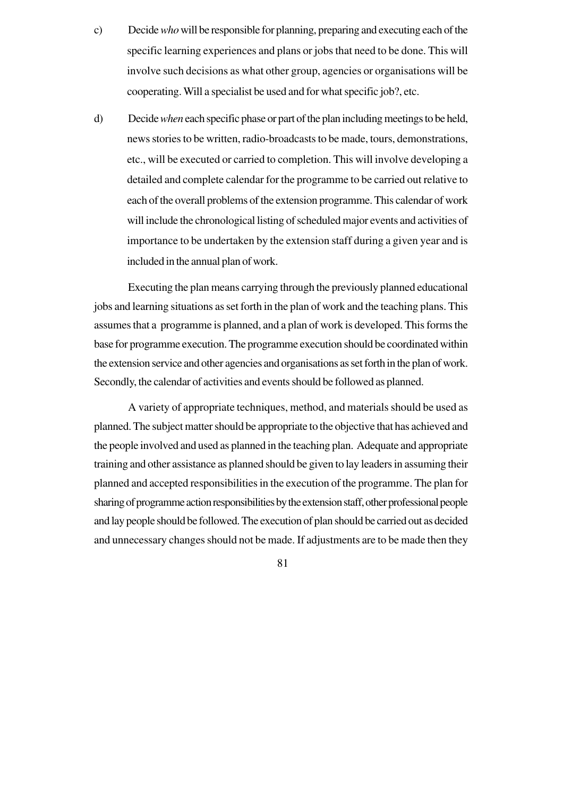- c) Decide *who* will be responsible for planning, preparing and executing each of the specific learning experiences and plans or jobs that need to be done. This will involve such decisions as what other group, agencies or organisations will be cooperating. Will a specialist be used and for what specific job?, etc.
- d) Decide *when* each specific phase or part of the plan including meetings to be held, news stories to be written, radio-broadcasts to be made, tours, demonstrations, etc., will be executed or carried to completion. This will involve developing a detailed and complete calendar for the programme to be carried out relative to each of the overall problems of the extension programme. This calendar of work will include the chronological listing of scheduled major events and activities of importance to be undertaken by the extension staff during a given year and is included in the annual plan of work.

Executing the plan means carrying through the previously planned educational jobs and learning situations as set forth in the plan of work and the teaching plans. This assumes that a programme is planned, and a plan of work is developed. This forms the base for programme execution. The programme execution should be coordinated within the extension service and other agencies and organisations as set forth in the plan of work. Secondly, the calendar of activities and events should be followed as planned.

A variety of appropriate techniques, method, and materials should be used as planned. The subject matter should be appropriate to the objective that has achieved and the people involved and used as planned in the teaching plan. Adequate and appropriate training and other assistance as planned should be given to lay leaders in assuming their planned and accepted responsibilities in the execution of the programme. The plan for sharing of programme action responsibilities by the extension staff, other professional people and lay people should be followed. The execution of plan should be carried out as decided and unnecessary changes should not be made. If adjustments are to be made then they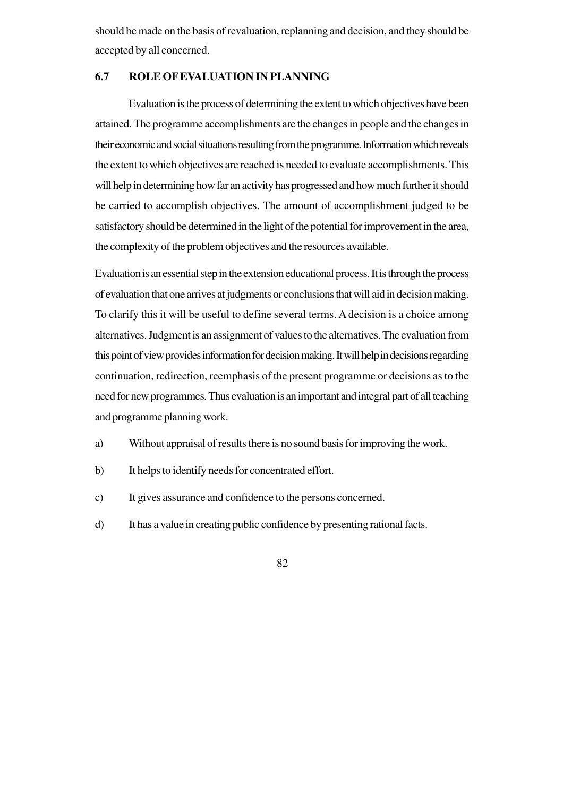should be made on the basis of revaluation, replanning and decision, and they should be accepted by all concerned.

# **6.7 ROLE OF EVALUATION IN PLANNING**

Evaluation is the process of determining the extent to which objectives have been attained. The programme accomplishments are the changes in people and the changes in their economic and social situations resulting from the programme. Information which reveals the extent to which objectives are reached is needed to evaluate accomplishments. This will help in determining how far an activity has progressed and how much further it should be carried to accomplish objectives. The amount of accomplishment judged to be satisfactory should be determined in the light of the potential for improvement in the area, the complexity of the problem objectives and the resources available.

Evaluation is an essential step in the extension educational process. It is through the process of evaluation that one arrives at judgments or conclusions that will aid in decision making. To clarify this it will be useful to define several terms. A decision is a choice among alternatives. Judgment is an assignment of values to the alternatives. The evaluation from this point of view provides information for decision making. It will help in decisions regarding continuation, redirection, reemphasis of the present programme or decisions as to the need for new programmes. Thus evaluation is an important and integral part of all teaching and programme planning work.

- a) Without appraisal of results there is no sound basis for improving the work.
- b) It helps to identify needs for concentrated effort.
- c) It gives assurance and confidence to the persons concerned.
- d) It has a value in creating public confidence by presenting rational facts.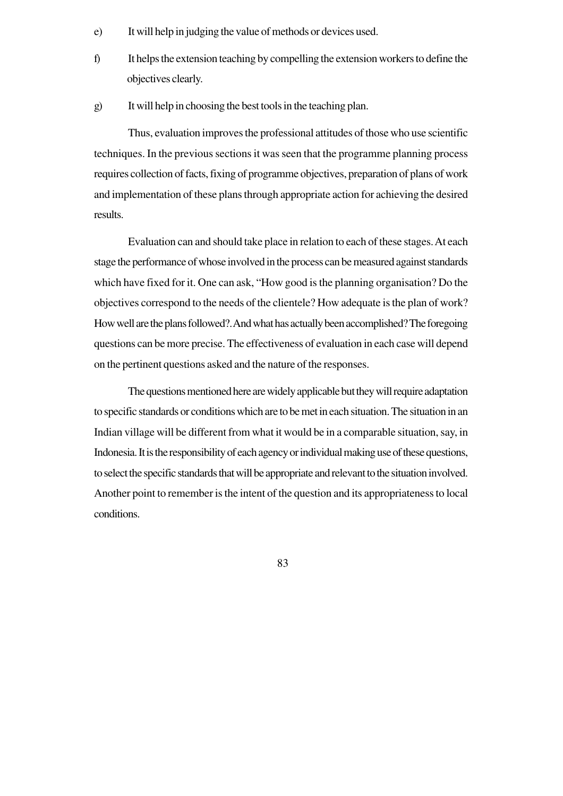- e) It will help in judging the value of methods or devices used.
- f) It helps the extension teaching by compelling the extension workers to define the objectives clearly.
- g) It will help in choosing the best tools in the teaching plan.

Thus, evaluation improves the professional attitudes of those who use scientific techniques. In the previous sections it was seen that the programme planning process requires collection of facts, fixing of programme objectives, preparation of plans of work and implementation of these plans through appropriate action for achieving the desired results.

Evaluation can and should take place in relation to each of these stages. At each stage the performance of whose involved in the process can be measured against standards which have fixed for it. One can ask, "How good is the planning organisation? Do the objectives correspond to the needs of the clientele? How adequate is the plan of work? How well are the plans followed?. And what has actually been accomplished? The foregoing questions can be more precise. The effectiveness of evaluation in each case will depend on the pertinent questions asked and the nature of the responses.

The questions mentioned here are widely applicable but they will require adaptation to specific standards or conditions which are to be met in each situation. The situation in an Indian village will be different from what it would be in a comparable situation, say, in Indonesia. It is the responsibility of each agency or individual making use of these questions, to select the specific standards that will be appropriate and relevant to the situation involved. Another point to remember is the intent of the question and its appropriateness to local conditions.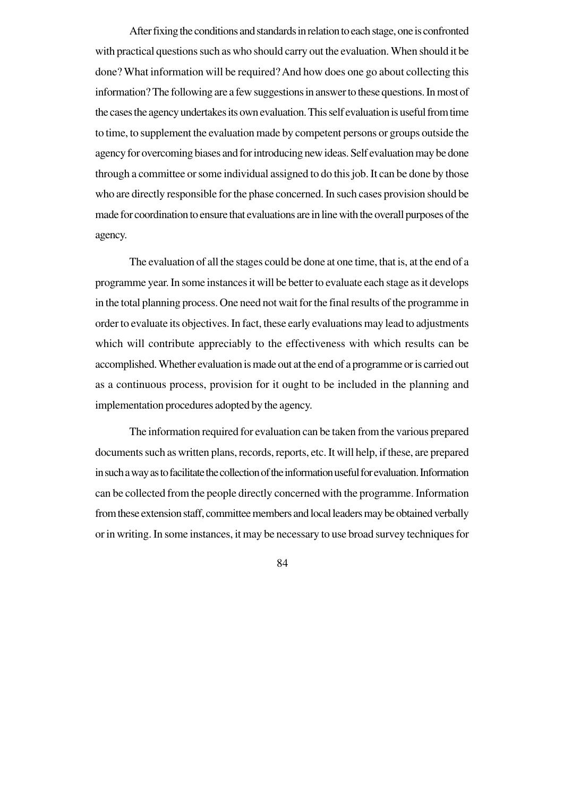After fixing the conditions and standards in relation to each stage, one is confronted with practical questions such as who should carry out the evaluation. When should it be done? What information will be required? And how does one go about collecting this information? The following are a few suggestions in answer to these questions. In most of the cases the agency undertakes its own evaluation. This self evaluation is useful from time to time, to supplement the evaluation made by competent persons or groups outside the agency for overcoming biases and for introducing new ideas. Self evaluation may be done through a committee or some individual assigned to do this job. It can be done by those who are directly responsible for the phase concerned. In such cases provision should be made for coordination to ensure that evaluations are in line with the overall purposes of the agency.

The evaluation of all the stages could be done at one time, that is, at the end of a programme year. In some instances it will be better to evaluate each stage as it develops in the total planning process. One need not wait for the final results of the programme in order to evaluate its objectives. In fact, these early evaluations may lead to adjustments which will contribute appreciably to the effectiveness with which results can be accomplished. Whether evaluation is made out at the end of a programme or is carried out as a continuous process, provision for it ought to be included in the planning and implementation procedures adopted by the agency.

The information required for evaluation can be taken from the various prepared documents such as written plans, records, reports, etc. It will help, if these, are prepared in such a way as to facilitate the collection of the information useful for evaluation. Information can be collected from the people directly concerned with the programme. Information from these extension staff, committee members and local leaders may be obtained verbally or in writing. In some instances, it may be necessary to use broad survey techniques for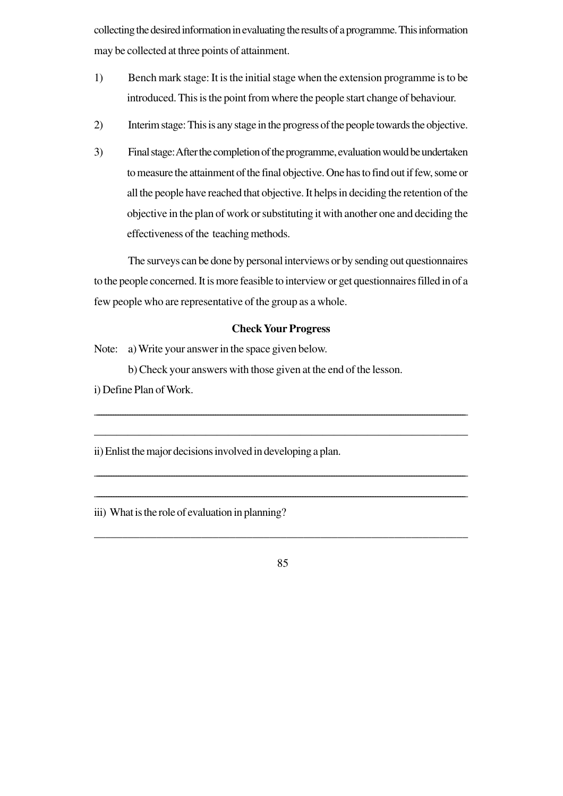collecting the desired information in evaluating the results of a programme. This information may be collected at three points of attainment.

- 1) Bench mark stage: It is the initial stage when the extension programme is to be introduced. This is the point from where the people start change of behaviour.
- 2) Interim stage: This is any stage in the progress of the people towards the objective.
- 3) Final stage: After the completion of the programme, evaluation would be undertaken to measure the attainment of the final objective. One has to find out if few, some or all the people have reached that objective. It helps in deciding the retention of the objective in the plan of work or substituting it with another one and deciding the effectiveness of the teaching methods.

The surveys can be done by personal interviews or by sending out questionnaires to the people concerned. It is more feasible to interview or get questionnaires filled in of a few people who are representative of the group as a whole.

# **Check Your Progress**

\_\_\_\_\_\_\_\_\_\_\_\_\_\_\_\_\_\_\_\_\_\_\_\_\_\_\_\_\_\_\_\_\_\_\_\_\_\_\_\_\_\_\_\_\_\_\_\_\_\_\_\_\_\_\_\_\_\_\_\_\_\_\_\_\_\_\_\_\_\_\_\_\_\_\_\_\_\_\_\_\_\_\_\_\_\_\_\_\_\_\_\_\_\_\_\_\_\_\_\_\_\_\_\_\_\_\_\_\_\_\_\_\_\_\_\_\_\_\_\_\_\_\_\_\_\_\_\_\_\_\_\_\_\_\_\_\_\_\_\_\_\_\_\_\_\_\_\_\_\_\_\_\_\_\_\_

\_\_\_\_\_\_\_\_\_\_\_\_\_\_\_\_\_\_\_\_\_\_\_\_\_\_\_\_\_\_\_\_\_\_\_\_\_\_\_\_\_\_\_\_\_\_\_\_\_\_\_\_\_\_\_\_\_\_\_\_\_\_\_\_\_\_\_

\_\_\_\_\_\_\_\_\_\_\_\_\_\_\_\_\_\_\_\_\_\_\_\_\_\_\_\_\_\_\_\_\_\_\_\_\_\_\_\_\_\_\_\_\_\_\_\_\_\_\_\_\_\_\_\_\_\_\_\_\_\_\_\_\_\_\_\_\_\_\_\_\_\_\_\_\_\_\_\_\_\_\_\_\_\_\_\_\_\_\_\_\_\_\_\_\_\_\_\_\_\_\_\_\_\_\_\_\_\_\_\_\_\_\_\_\_\_\_\_\_\_\_\_\_\_\_\_\_\_\_\_\_\_\_\_\_\_\_\_\_\_\_\_\_\_\_\_\_\_\_\_\_

\_\_\_\_\_\_\_\_\_\_\_\_\_\_\_\_\_\_\_\_\_\_\_\_\_\_\_\_\_\_\_\_\_\_\_\_\_\_\_\_\_\_\_\_\_\_\_\_\_\_\_\_\_\_\_\_\_\_\_\_\_\_\_\_\_\_\_\_\_\_\_\_\_\_\_\_\_\_\_\_\_\_\_\_\_\_\_\_\_\_\_\_\_\_\_\_\_\_\_\_\_\_\_\_\_\_\_\_\_\_\_\_\_\_\_\_\_\_\_\_\_\_\_\_\_\_\_\_\_\_\_\_\_\_\_\_\_\_\_\_\_\_\_\_\_\_\_\_\_\_\_\_\_

Note: a) Write your answer in the space given below.

b) Check your answers with those given at the end of the lesson.

i) Define Plan of Work.

ii) Enlist the major decisions involved in developing a plan.

iii) What is the role of evaluation in planning?

85

\_\_\_\_\_\_\_\_\_\_\_\_\_\_\_\_\_\_\_\_\_\_\_\_\_\_\_\_\_\_\_\_\_\_\_\_\_\_\_\_\_\_\_\_\_\_\_\_\_\_\_\_\_\_\_\_\_\_\_\_\_\_\_\_\_\_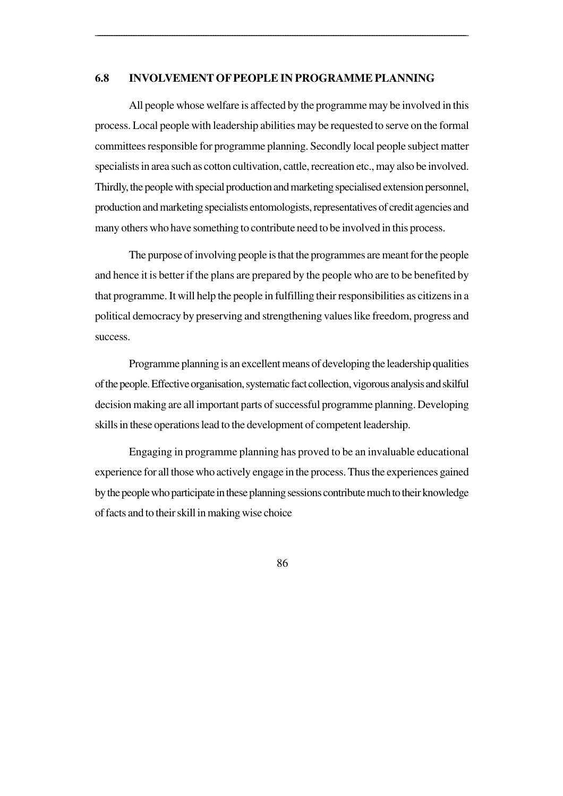### **6.8 INVOLVEMENT OF PEOPLE IN PROGRAMME PLANNING**

\_\_\_\_\_\_\_\_\_\_\_\_\_\_\_\_\_\_\_\_\_\_\_\_\_\_\_\_\_\_\_\_\_\_\_\_\_\_\_\_\_\_\_\_\_\_\_\_\_\_\_\_\_\_\_\_\_\_\_\_\_\_\_\_\_\_\_\_\_\_\_\_\_\_\_\_\_\_\_\_\_\_\_\_\_\_\_\_\_\_\_\_\_\_\_\_\_\_\_\_\_\_\_\_\_\_\_\_\_\_\_\_\_\_\_\_\_\_\_\_\_\_\_\_\_\_\_\_\_\_\_\_\_\_\_\_\_\_\_\_\_\_\_\_\_\_\_\_\_\_\_\_\_\_

All people whose welfare is affected by the programme may be involved in this process. Local people with leadership abilities may be requested to serve on the formal committees responsible for programme planning. Secondly local people subject matter specialists in area such as cotton cultivation, cattle, recreation etc., may also be involved. Thirdly, the people with special production and marketing specialised extension personnel, production and marketing specialists entomologists, representatives of credit agencies and many others who have something to contribute need to be involved in this process.

The purpose of involving people is that the programmes are meant for the people and hence it is better if the plans are prepared by the people who are to be benefited by that programme. It will help the people in fulfilling their responsibilities as citizens in a political democracy by preserving and strengthening values like freedom, progress and success.

Programme planning is an excellent means of developing the leadership qualities of the people. Effective organisation, systematic fact collection, vigorous analysis and skilful decision making are all important parts of successful programme planning. Developing skills in these operations lead to the development of competent leadership.

Engaging in programme planning has proved to be an invaluable educational experience for all those who actively engage in the process. Thus the experiences gained by the people who participate in these planning sessions contribute much to their knowledge of facts and to their skill in making wise choice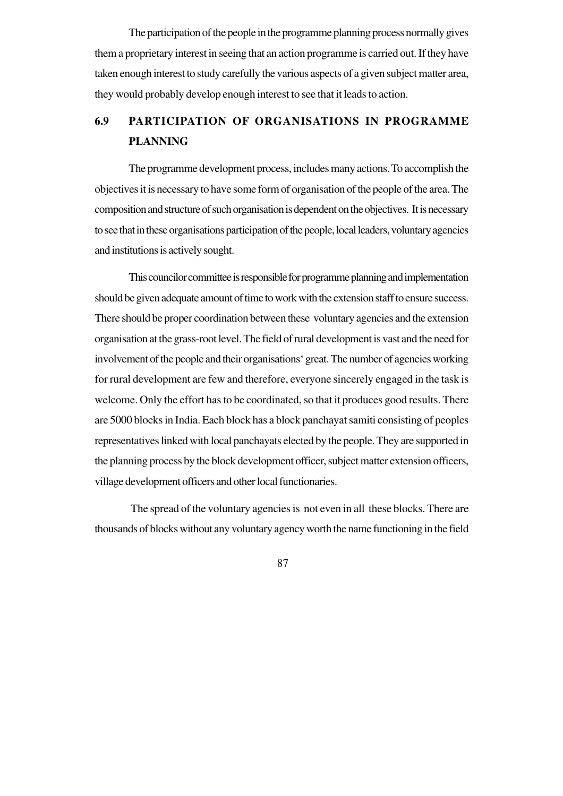The participation of the people in the programme planning process normally gives them a proprietary interest in seeing that an action programme is carried out. If they have taken enough interest to study carefully the various aspects of a given subject matter area, they would probably develop enough interest to see that it leads to action.

# **6.9 PARTICIPATION OF ORGANISATIONS IN PROGRAMME PLANNING**

The programme development process, includes many actions. To accomplish the objectives it is necessary to have some form of organisation of the people of the area. The composition and structure of such organisation is dependent on the objectives. It is necessary to see that in these organisations participation of the people, local leaders, voluntary agencies and institutions is actively sought.

This councilor committee is responsible for programme planning and implementation should be given adequate amount of time to work with the extension staff to ensure success. There should be proper coordination between these voluntary agencies and the extension organisation at the grass-root level. The field of rural development is vast and the need for involvement of the people and their organisations' great. The number of agencies working for rural development are few and therefore, everyone sincerely engaged in the task is welcome. Only the effort has to be coordinated, so that it produces good results. There are 5000 blocks in India. Each block has a block panchayat samiti consisting of peoples representatives linked with local panchayats elected by the people. They are supported in the planning process by the block development officer, subject matter extension officers, village development officers and other local functionaries.

 The spread of the voluntary agencies is not even in all these blocks. There are thousands of blocks without any voluntary agency worth the name functioning in the field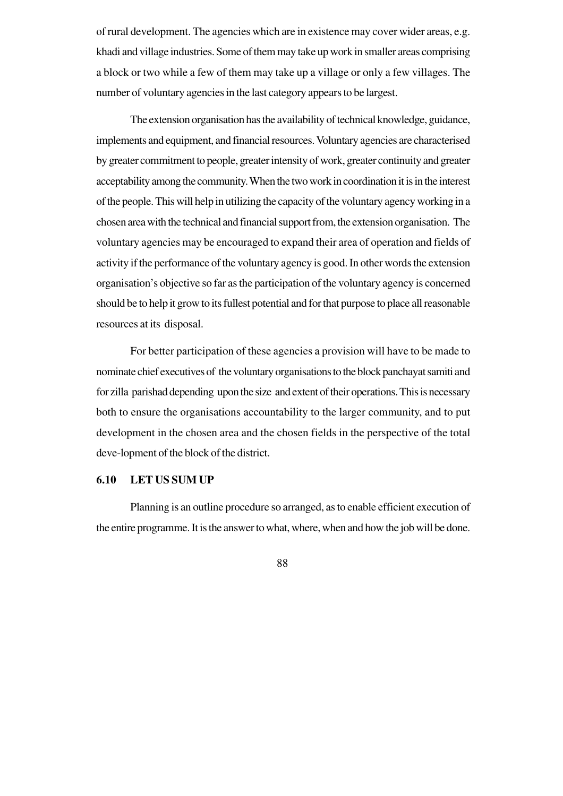of rural development. The agencies which are in existence may cover wider areas, e.g. khadi and village industries. Some of them may take up work in smaller areas comprising a block or two while a few of them may take up a village or only a few villages. The number of voluntary agencies in the last category appears to be largest.

The extension organisation has the availability of technical knowledge, guidance, implements and equipment, and financial resources. Voluntary agencies are characterised by greater commitment to people, greater intensity of work, greater continuity and greater acceptability among the community. When the two work in coordination it is in the interest of the people. This will help in utilizing the capacity of the voluntary agency working in a chosen area with the technical and financial support from, the extension organisation. The voluntary agencies may be encouraged to expand their area of operation and fields of activity if the performance of the voluntary agency is good. In other words the extension organisation's objective so far as the participation of the voluntary agency is concerned should be to help it grow to its fullest potential and for that purpose to place all reasonable resources at its disposal.

For better participation of these agencies a provision will have to be made to nominate chief executives of the voluntary organisations to the block panchayat samiti and for zilla parishad depending upon the size and extent of their operations. This is necessary both to ensure the organisations accountability to the larger community, and to put development in the chosen area and the chosen fields in the perspective of the total deve-lopment of the block of the district.

# **6.10 LET US SUM UP**

Planning is an outline procedure so arranged, as to enable efficient execution of the entire programme. It is the answer to what, where, when and how the job will be done.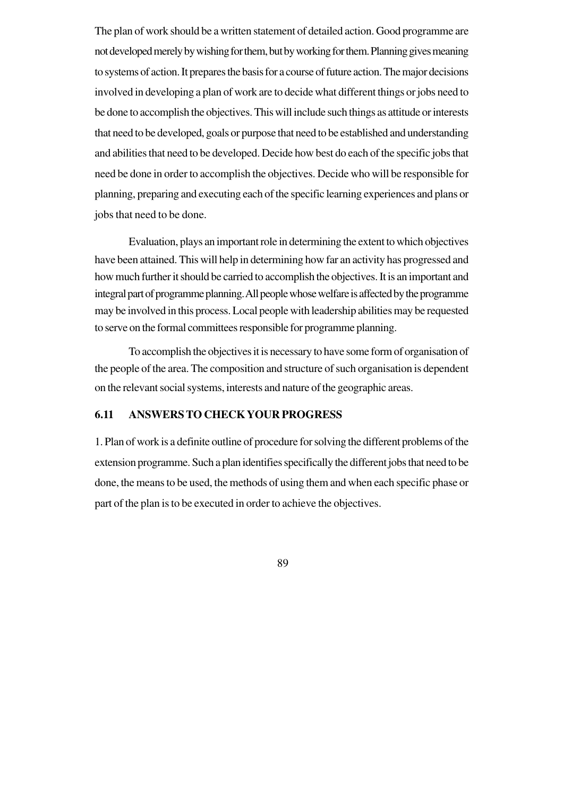The plan of work should be a written statement of detailed action. Good programme are not developed merely by wishing for them, but by working for them. Planning gives meaning to systems of action. It prepares the basis for a course of future action. The major decisions involved in developing a plan of work are to decide what different things or jobs need to be done to accomplish the objectives. This will include such things as attitude or interests that need to be developed, goals or purpose that need to be established and understanding and abilities that need to be developed. Decide how best do each of the specific jobs that need be done in order to accomplish the objectives. Decide who will be responsible for planning, preparing and executing each of the specific learning experiences and plans or jobs that need to be done.

Evaluation, plays an important role in determining the extent to which objectives have been attained. This will help in determining how far an activity has progressed and how much further it should be carried to accomplish the objectives. It is an important and integral part of programme planning. All people whose welfare is affected by the programme may be involved in this process. Local people with leadership abilities may be requested to serve on the formal committees responsible for programme planning.

To accomplish the objectives it is necessary to have some form of organisation of the people of the area. The composition and structure of such organisation is dependent on the relevant social systems, interests and nature of the geographic areas.

### **6.11 ANSWERS TO CHECK YOUR PROGRESS**

1. Plan of work is a definite outline of procedure for solving the different problems of the extension programme. Such a plan identifies specifically the different jobs that need to be done, the means to be used, the methods of using them and when each specific phase or part of the plan is to be executed in order to achieve the objectives.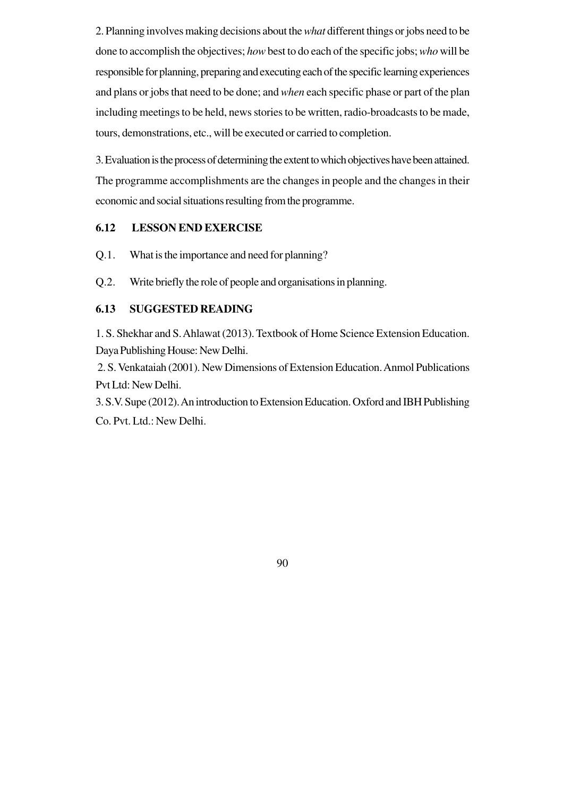2. Planning involves making decisions about the *what* different things or jobs need to be done to accomplish the objectives; *how* best to do each of the specific jobs; *who* will be responsible for planning, preparing and executing each of the specific learning experiences and plans or jobs that need to be done; and *when* each specific phase or part of the plan including meetings to be held, news stories to be written, radio-broadcasts to be made, tours, demonstrations, etc., will be executed or carried to completion.

3. Evaluation is the process of determining the extent to which objectives have been attained. The programme accomplishments are the changes in people and the changes in their economic and social situations resulting from the programme.

# **6.12 LESSON END EXERCISE**

- Q.1. What is the importance and need for planning?
- Q.2. Write briefly the role of people and organisations in planning.

# **6.13 SUGGESTED READING**

1. S. Shekhar and S. Ahlawat (2013). Textbook of Home Science Extension Education. Daya Publishing House: New Delhi.

 2. S. Venkataiah (2001). New Dimensions of Extension Education. Anmol Publications Pvt Ltd: New Delhi.

3. S.V. Supe (2012). An introduction to Extension Education. Oxford and IBH Publishing Co. Pvt. Ltd.: New Delhi.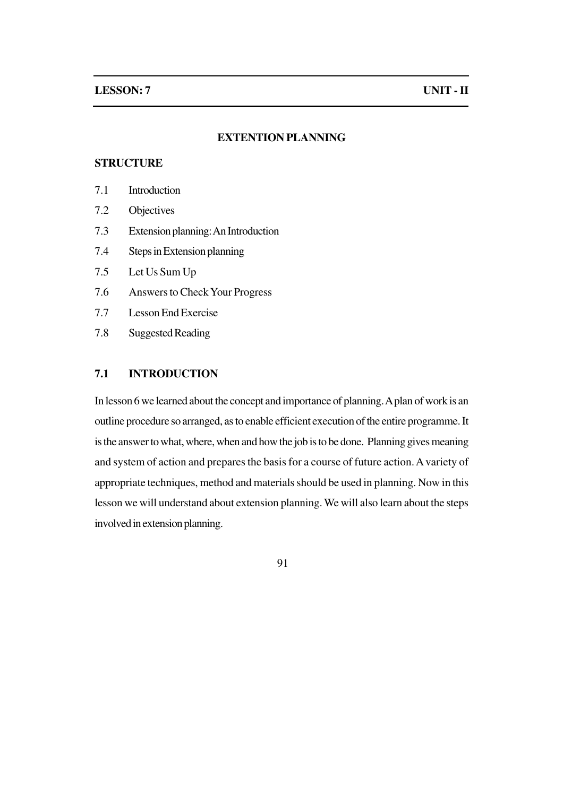### **EXTENTION PLANNING**

# **STRUCTURE**

- 7.1 Introduction
- 7.2 Objectives
- 7.3 Extension planning: An Introduction
- 7.4 Steps in Extension planning
- 7.5 Let Us Sum Up
- 7.6 Answers to Check Your Progress
- 7.7 Lesson End Exercise
- 7.8 Suggested Reading

# **7.1 INTRODUCTION**

In lesson 6 we learned about the concept and importance of planning. A plan of work is an outline procedure so arranged, as to enable efficient execution of the entire programme. It is the answer to what, where, when and how the job is to be done. Planning gives meaning and system of action and prepares the basis for a course of future action. A variety of appropriate techniques, method and materials should be used in planning. Now in this lesson we will understand about extension planning. We will also learn about the steps involved in extension planning.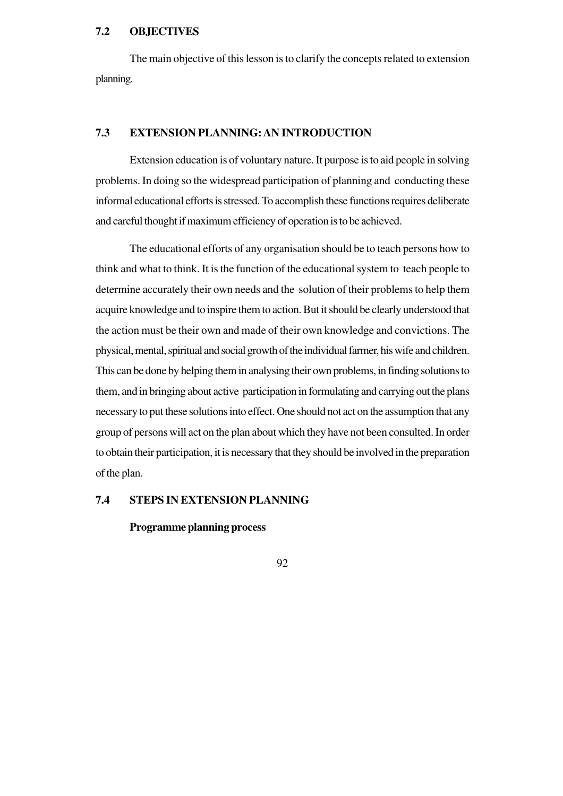### **7.2 OBJECTIVES**

The main objective of this lesson is to clarify the concepts related to extension planning.

# **7.3 EXTENSION PLANNING: AN INTRODUCTION**

Extension education is of voluntary nature. It purpose is to aid people in solving problems. In doing so the widespread participation of planning and conducting these informal educational efforts is stressed. To accomplish these functions requires deliberate and careful thought if maximum efficiency of operation is to be achieved.

The educational efforts of any organisation should be to teach persons how to think and what to think. It is the function of the educational system to teach people to determine accurately their own needs and the solution of their problems to help them acquire knowledge and to inspire them to action. But it should be clearly understood that the action must be their own and made of their own knowledge and convictions. The physical, mental, spiritual and social growth of the individual farmer, his wife and children. This can be done by helping them in analysing their own problems, in finding solutions to them, and in bringing about active participation in formulating and carrying out the plans necessary to put these solutions into effect. One should not act on the assumption that any group of persons will act on the plan about which they have not been consulted. In order to obtain their participation, it is necessary that they should be involved in the preparation of the plan.

### **7.4 STEPS IN EXTENSION PLANNING**

### **Programme planning process**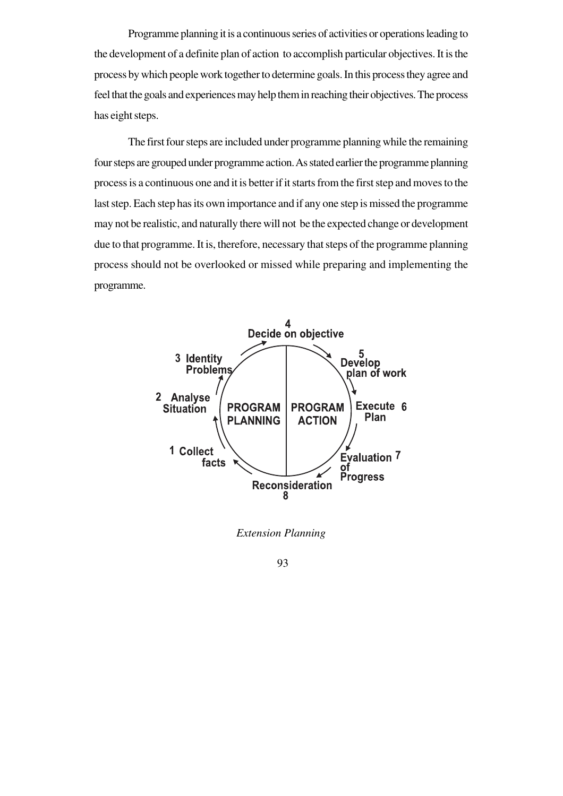Programme planning it is a continuous series of activities or operations leading to the development of a definite plan of action to accomplish particular objectives. It is the process by which people work together to determine goals. In this process they agree and feel that the goals and experiences may help them in reaching their objectives. The process has eight steps.

The first four steps are included under programme planning while the remaining four steps are grouped under programme action. As stated earlier the programme planning process is a continuous one and it is better if it starts from the first step and moves to the last step. Each step has its own importance and if any one step is missed the programme may not be realistic, and naturally there will not be the expected change or development due to that programme. It is, therefore, necessary that steps of the programme planning process should not be overlooked or missed while preparing and implementing the programme.



*Extension Planning*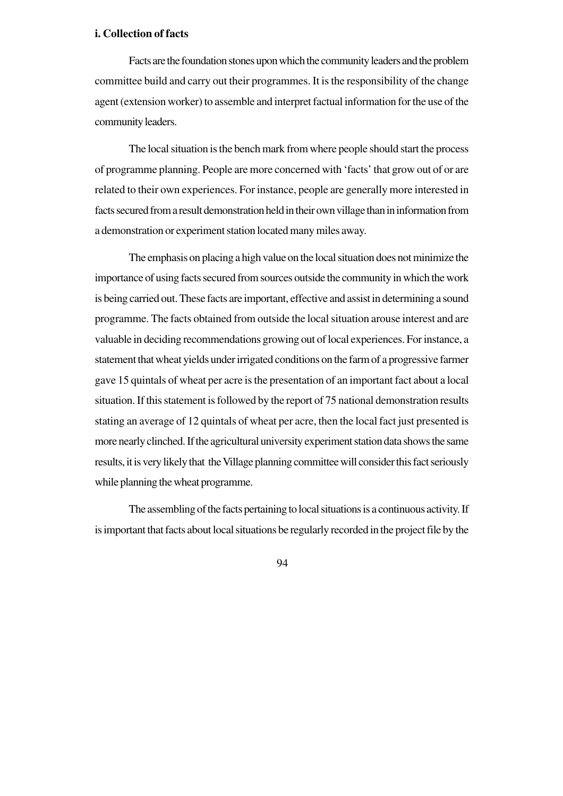#### **i. Collection of facts**

Facts are the foundation stones upon which the community leaders and the problem committee build and carry out their programmes. It is the responsibility of the change agent (extension worker) to assemble and interpret factual information for the use of the community leaders.

The local situation is the bench mark from where people should start the process of programme planning. People are more concerned with 'facts' that grow out of or are related to their own experiences. For instance, people are generally more interested in facts secured from a result demonstration held in their own village than in information from a demonstration or experiment station located many miles away.

The emphasis on placing a high value on the local situation does not minimize the importance of using facts secured from sources outside the community in which the work is being carried out. These facts are important, effective and assist in determining a sound programme. The facts obtained from outside the local situation arouse interest and are valuable in deciding recommendations growing out of local experiences. For instance, a statement that wheat yields under irrigated conditions on the farm of a progressive farmer gave 15 quintals of wheat per acre is the presentation of an important fact about a local situation. If this statement is followed by the report of 75 national demonstration results stating an average of 12 quintals of wheat per acre, then the local fact just presented is more nearly clinched. If the agricultural university experiment station data shows the same results, it is very likely that the Village planning committee will consider this fact seriously while planning the wheat programme.

The assembling of the facts pertaining to local situations is a continuous activity. If is important that facts about local situations be regularly recorded in the project file by the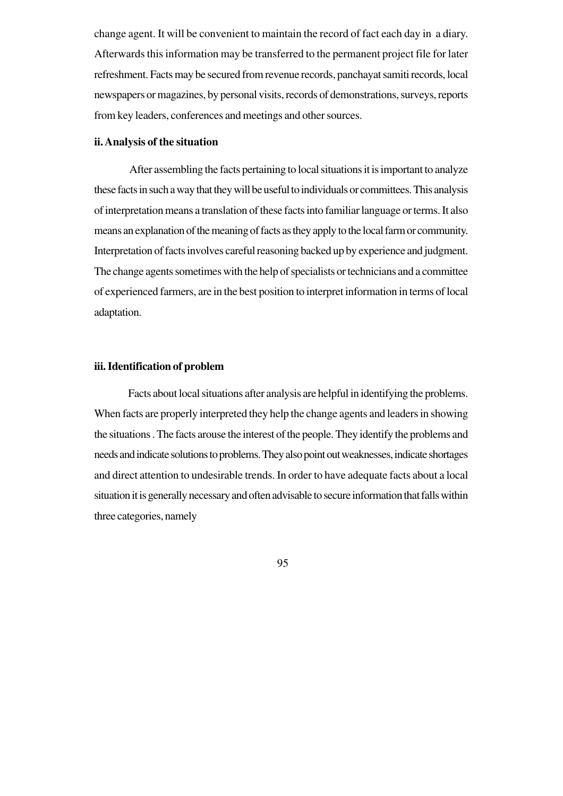change agent. It will be convenient to maintain the record of fact each day in a diary. Afterwards this information may be transferred to the permanent project file for later refreshment. Facts may be secured from revenue records, panchayat samiti records, local newspapers or magazines, by personal visits, records of demonstrations, surveys, reports from key leaders, conferences and meetings and other sources.

# **ii. Analysis of the situation**

After assembling the facts pertaining to local situations it is important to analyze these facts in such a way that they will be useful to individuals or committees. This analysis of interpretation means a translation of these facts into familiar language or terms. It also means an explanation of the meaning of facts as they apply to the local farm or community. Interpretation of facts involves careful reasoning backed up by experience and judgment. The change agents sometimes with the help of specialists or technicians and a committee of experienced farmers, are in the best position to interpret information in terms of local adaptation.

#### **iii. Identification of problem**

Facts about local situations after analysis are helpful in identifying the problems. When facts are properly interpreted they help the change agents and leaders in showing the situations . The facts arouse the interest of the people. They identify the problems and needs and indicate solutions to problems. They also point out weaknesses, indicate shortages and direct attention to undesirable trends. In order to have adequate facts about a local situation it is generally necessary and often advisable to secure information that falls within three categories, namely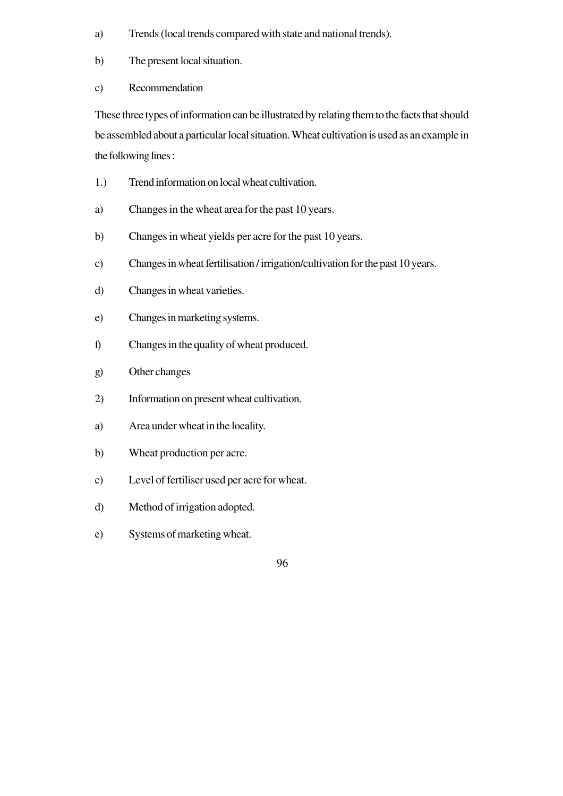- a) Trends (local trends compared with state and national trends).
- b) The present local situation.
- c) Recommendation

These three types of information can be illustrated by relating them to the facts that should be assembled about a particular local situation. Wheat cultivation is used as an example in the following lines :

- 1.) Trend information on local wheat cultivation.
- a) Changes in the wheat area for the past 10 years.
- b) Changes in wheat yields per acre for the past 10 years.
- c) Changes in wheat fertilisation / irrigation/cultivation for the past 10 years.
- d) Changes in wheat varieties.
- e) Changes in marketing systems.
- f) Changes in the quality of wheat produced.
- g) Other changes
- 2) Information on present wheat cultivation.
- a) Area under wheat in the locality.
- b) Wheat production per acre.
- c) Level of fertiliser used per acre for wheat.
- d) Method of irrigation adopted.
- e) Systems of marketing wheat.
- 96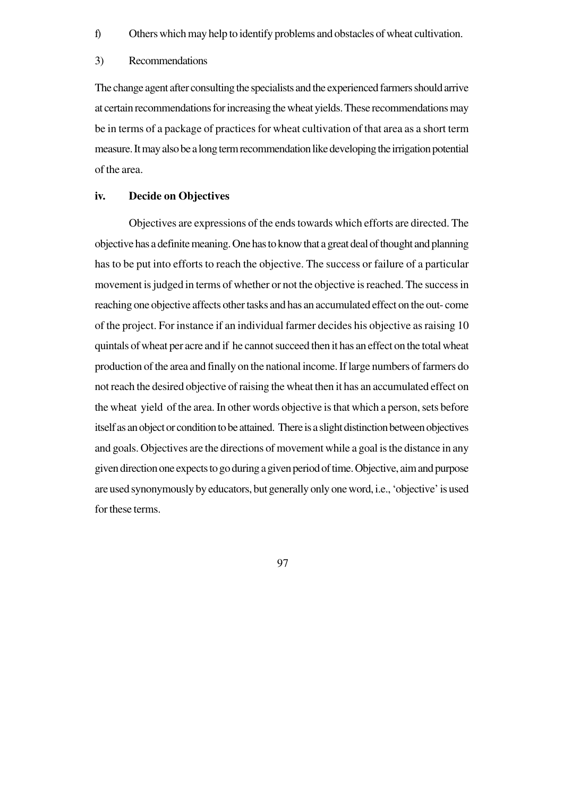f) Others which may help to identify problems and obstacles of wheat cultivation.

#### 3) Recommendations

The change agent after consulting the specialists and the experienced farmers should arrive at certain recommendations for increasing the wheat yields. These recommendations may be in terms of a package of practices for wheat cultivation of that area as a short term measure. It may also be a long term recommendation like developing the irrigation potential of the area.

### **iv. Decide on Objectives**

Objectives are expressions of the ends towards which efforts are directed. The objective has a definite meaning. One has to know that a great deal of thought and planning has to be put into efforts to reach the objective. The success or failure of a particular movement is judged in terms of whether or not the objective is reached. The success in reaching one objective affects other tasks and has an accumulated effect on the out- come of the project. For instance if an individual farmer decides his objective as raising 10 quintals of wheat per acre and if he cannot succeed then it has an effect on the total wheat production of the area and finally on the national income. If large numbers of farmers do not reach the desired objective of raising the wheat then it has an accumulated effect on the wheat yield of the area. In other words objective is that which a person, sets before itself as an object or condition to be attained. There is a slight distinction between objectives and goals. Objectives are the directions of movement while a goal is the distance in any given direction one expects to go during a given period of time. Objective, aim and purpose are used synonymously by educators, but generally only one word, i.e., 'objective' is used for these terms.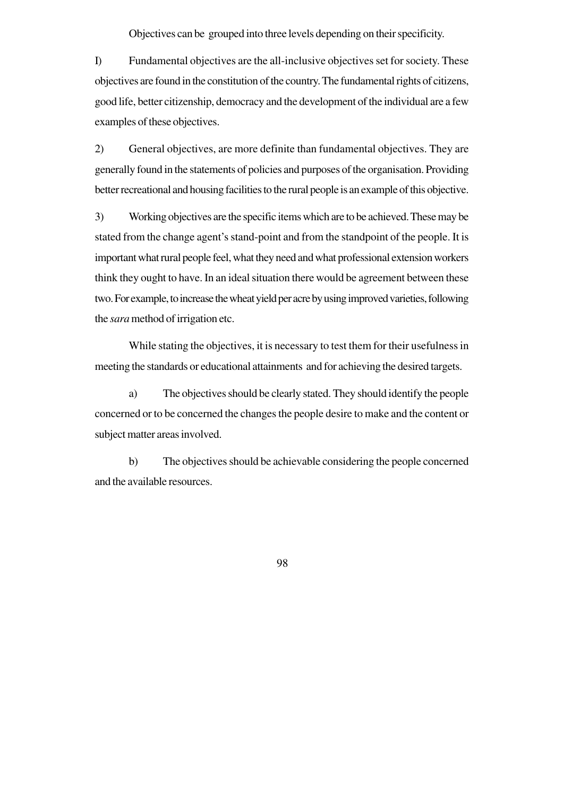Objectives can be grouped into three levels depending on their specificity.

I) Fundamental objectives are the all-inclusive objectives set for society. These objectives are found in the constitution of the country. The fundamental rights of citizens, good life, better citizenship, democracy and the development of the individual are a few examples of these objectives.

2) General objectives, are more definite than fundamental objectives. They are generally found in the statements of policies and purposes of the organisation. Providing better recreational and housing facilities to the rural people is an example of this objective.

3) Working objectives are the specific items which are to be achieved. These may be stated from the change agent's stand-point and from the standpoint of the people. It is important what rural people feel, what they need and what professional extension workers think they ought to have. In an ideal situation there would be agreement between these two. For example, to increase the wheat yield per acre by using improved varieties, following the *sara* method of irrigation etc.

While stating the objectives, it is necessary to test them for their usefulness in meeting the standards or educational attainments and for achieving the desired targets.

a) The objectives should be clearly stated. They should identify the people concerned or to be concerned the changes the people desire to make and the content or subject matter areas involved.

b) The objectives should be achievable considering the people concerned and the available resources.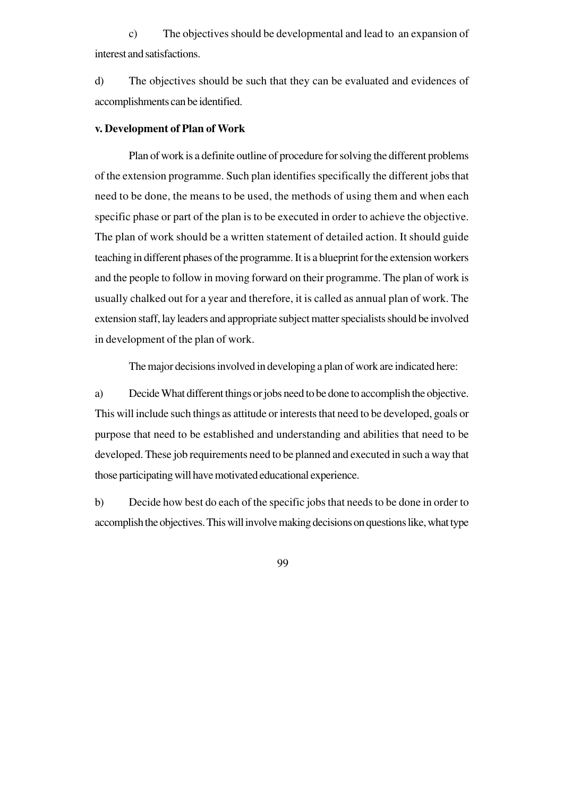c) The objectives should be developmental and lead to an expansion of interest and satisfactions.

d) The objectives should be such that they can be evaluated and evidences of accomplishments can be identified.

#### **v. Development of Plan of Work**

Plan of work is a definite outline of procedure for solving the different problems of the extension programme. Such plan identifies specifically the different jobs that need to be done, the means to be used, the methods of using them and when each specific phase or part of the plan is to be executed in order to achieve the objective. The plan of work should be a written statement of detailed action. It should guide teaching in different phases of the programme. It is a blueprint for the extension workers and the people to follow in moving forward on their programme. The plan of work is usually chalked out for a year and therefore, it is called as annual plan of work. The extension staff, lay leaders and appropriate subject matter specialists should be involved in development of the plan of work.

The major decisions involved in developing a plan of work are indicated here:

a) Decide What different things or jobs need to be done to accomplish the objective. This will include such things as attitude or interests that need to be developed, goals or purpose that need to be established and understanding and abilities that need to be developed. These job requirements need to be planned and executed in such a way that those participating will have motivated educational experience.

b) Decide how best do each of the specific jobs that needs to be done in order to accomplish the objectives. This will involve making decisions on questions like, what type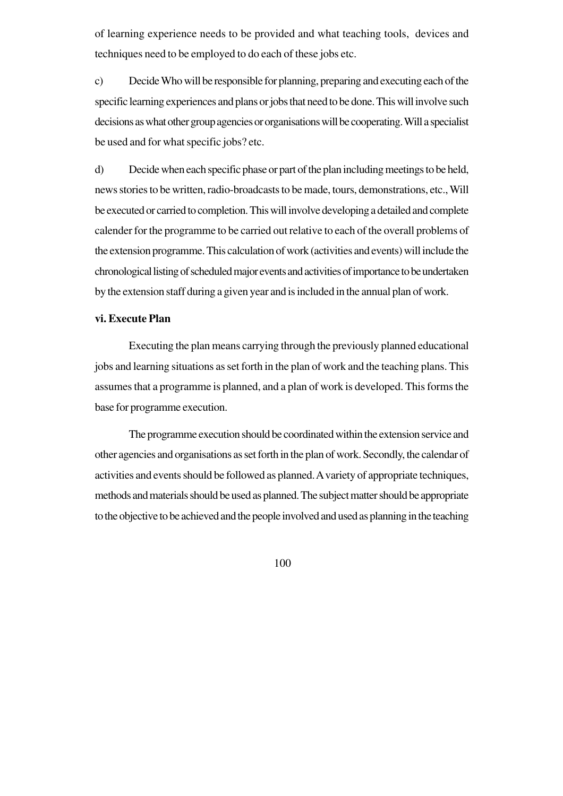of learning experience needs to be provided and what teaching tools, devices and techniques need to be employed to do each of these jobs etc.

c) Decide Who will be responsible for planning, preparing and executing each of the specific learning experiences and plans or jobs that need to be done. This will involve such decisions as what other group agencies or organisations will be cooperating. Will a specialist be used and for what specific jobs? etc.

d) Decide when each specific phase or part of the plan including meetings to be held, news stories to be written, radio-broadcasts to be made, tours, demonstrations, etc., Will be executed or carried to completion. This will involve developing a detailed and complete calender for the programme to be carried out relative to each of the overall problems of the extension programme. This calculation of work (activities and events) will include the chronological listing of scheduled major events and activities of importance to be undertaken by the extension staff during a given year and is included in the annual plan of work.

### **vi. Execute Plan**

Executing the plan means carrying through the previously planned educational jobs and learning situations as set forth in the plan of work and the teaching plans. This assumes that a programme is planned, and a plan of work is developed. This forms the base for programme execution.

The programme execution should be coordinated within the extension service and other agencies and organisations as set forth in the plan of work. Secondly, the calendar of activities and events should be followed as planned. A variety of appropriate techniques, methods and materials should be used as planned. The subject matter should be appropriate to the objective to be achieved and the people involved and used as planning in the teaching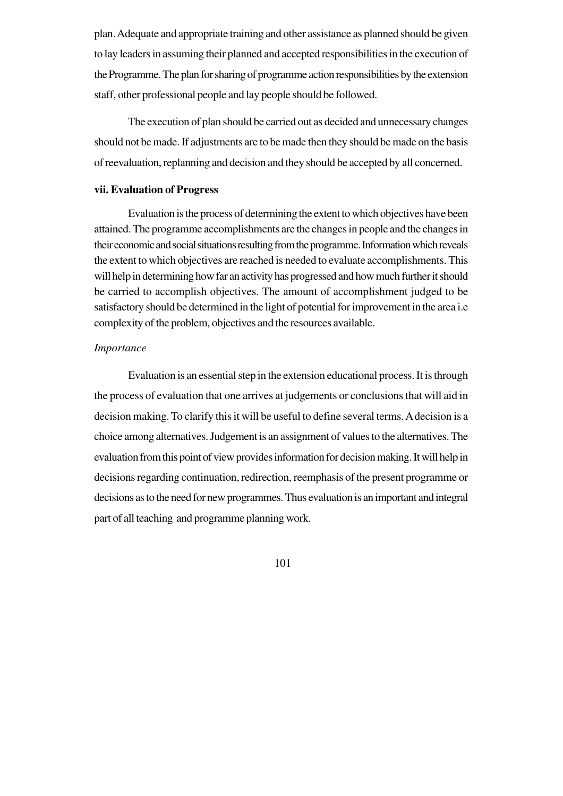plan. Adequate and appropriate training and other assistance as planned should be given to lay leaders in assuming their planned and accepted responsibilities in the execution of the Programme. The plan for sharing of programme action responsibilities by the extension staff, other professional people and lay people should be followed.

The execution of plan should be carried out as decided and unnecessary changes should not be made. If adjustments are to be made then they should be made on the basis of reevaluation, replanning and decision and they should be accepted by all concerned.

### **vii. Evaluation of Progress**

Evaluation is the process of determining the extent to which objectives have been attained. The programme accomplishments are the changes in people and the changes in their economic and social situations resulting from the programme. Information which reveals the extent to which objectives are reached is needed to evaluate accomplishments. This will help in determining how far an activity has progressed and how much further it should be carried to accomplish objectives. The amount of accomplishment judged to be satisfactory should be determined in the light of potential for improvement in the area i.e complexity of the problem, objectives and the resources available.

### *Importance*

Evaluation is an essential step in the extension educational process. It is through the process of evaluation that one arrives at judgements or conclusions that will aid in decision making. To clarify this it will be useful to define several terms. A decision is a choice among alternatives. Judgement is an assignment of values to the alternatives. The evaluation from this point of view provides information for decision making. It will help in decisions regarding continuation, redirection, reemphasis of the present programme or decisions as to the need for new programmes. Thus evaluation is an important and integral part of all teaching and programme planning work.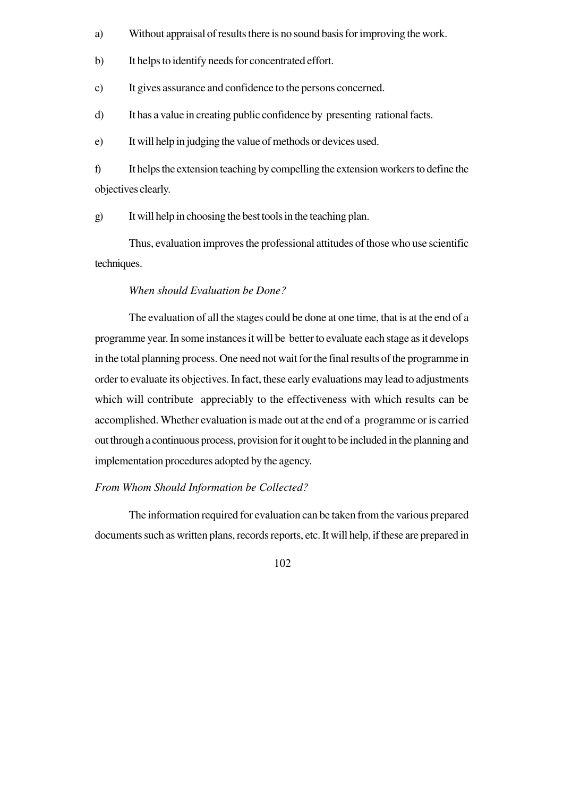- a) Without appraisal of results there is no sound basis for improving the work.
- b) It helps to identify needs for concentrated effort.
- c) It gives assurance and confidence to the persons concerned.
- d) It has a value in creating public confidence by presenting rational facts.

e) It will help in judging the value of methods or devices used.

f) It helps the extension teaching by compelling the extension workers to define the objectives clearly.

g) It will help in choosing the best tools in the teaching plan.

Thus, evaluation improves the professional attitudes of those who use scientific techniques.

#### *When should Evaluation be Done?*

The evaluation of all the stages could be done at one time, that is at the end of a programme year. In some instances it will be better to evaluate each stage as it develops in the total planning process. One need not wait for the final results of the programme in order to evaluate its objectives. In fact, these early evaluations may lead to adjustments which will contribute appreciably to the effectiveness with which results can be accomplished. Whether evaluation is made out at the end of a programme or is carried out through a continuous process, provision for it ought to be included in the planning and implementation procedures adopted by the agency.

#### *From Whom Should Information be Collected?*

The information required for evaluation can be taken from the various prepared documents such as written plans, records reports, etc. It will help, if these are prepared in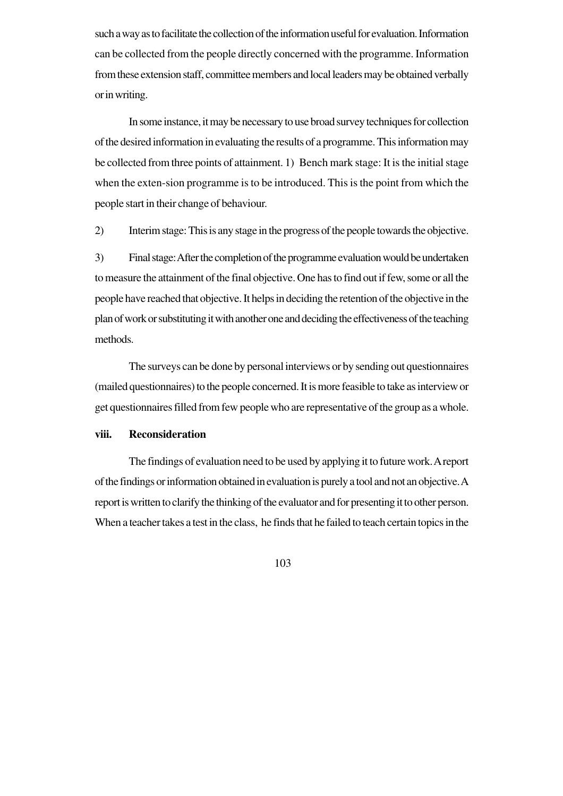such a way as to facilitate the collection of the information useful for evaluation. Information can be collected from the people directly concerned with the programme. Information from these extension staff, committee members and local leaders may be obtained verbally or in writing.

In some instance, it may be necessary to use broad survey techniques for collection of the desired information in evaluating the results of a programme. This information may be collected from three points of attainment. 1) Bench mark stage: It is the initial stage when the exten-sion programme is to be introduced. This is the point from which the people start in their change of behaviour.

2) Interim stage: This is any stage in the progress of the people towards the objective.

3) Final stage: After the completion of the programme evaluation would be undertaken to measure the attainment of the final objective. One has to find out if few, some or all the people have reached that objective. It helps in deciding the retention of the objective in the plan of work or substituting it with another one and deciding the effectiveness of the teaching methods.

The surveys can be done by personal interviews or by sending out questionnaires (mailed questionnaires) to the people concerned. It is more feasible to take as interview or get questionnaires filled from few people who are representative of the group as a whole.

### **viii. Reconsideration**

The findings of evaluation need to be used by applying it to future work. A report of the findings or information obtained in evaluation is purely a tool and not an objective. A report is written to clarify the thinking of the evaluator and for presenting it to other person. When a teacher takes a test in the class, he finds that he failed to teach certain topics in the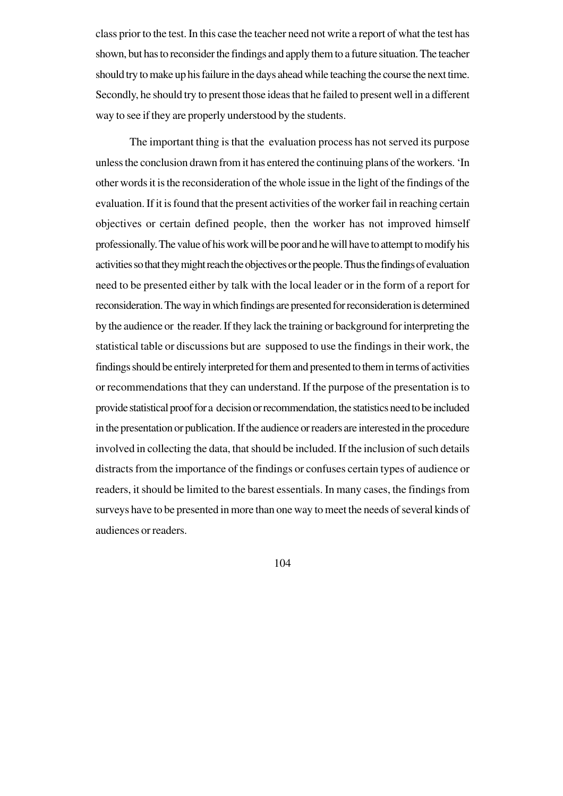class prior to the test. In this case the teacher need not write a report of what the test has shown, but has to reconsider the findings and apply them to a future situation. The teacher should try to make up his failure in the days ahead while teaching the course the next time. Secondly, he should try to present those ideas that he failed to present well in a different way to see if they are properly understood by the students.

The important thing is that the evaluation process has not served its purpose unless the conclusion drawn from it has entered the continuing plans of the workers. 'In other words it is the reconsideration of the whole issue in the light of the findings of the evaluation. If it is found that the present activities of the worker fail in reaching certain objectives or certain defined people, then the worker has not improved himself professionally. The value of his work will be poor and he will have to attempt to modify his activities so that they might reach the objectives or the people. Thus the findings of evaluation need to be presented either by talk with the local leader or in the form of a report for reconsideration. The way in which findings are presented for reconsideration is determined by the audience or the reader. If they lack the training or background for interpreting the statistical table or discussions but are supposed to use the findings in their work, the findings should be entirely interpreted for them and presented to them in terms of activities or recommendations that they can understand. If the purpose of the presentation is to provide statistical proof for a decision or recommendation, the statistics need to be included in the presentation or publication. If the audience or readers are interested in the procedure involved in collecting the data, that should be included. If the inclusion of such details distracts from the importance of the findings or confuses certain types of audience or readers, it should be limited to the barest essentials. In many cases, the findings from surveys have to be presented in more than one way to meet the needs of several kinds of audiences or readers.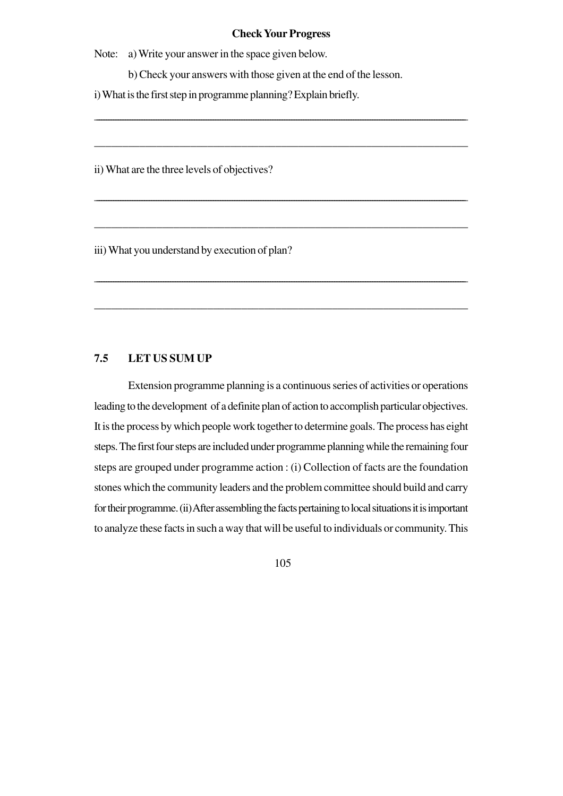#### **Check Your Progress**

\_\_\_\_\_\_\_\_\_\_\_\_\_\_\_\_\_\_\_\_\_\_\_\_\_\_\_\_\_\_\_\_\_\_\_\_\_\_\_\_\_\_\_\_\_\_\_\_\_\_\_\_\_\_\_\_\_\_\_\_\_\_\_\_\_\_\_\_\_\_\_\_\_\_\_\_\_\_\_\_\_\_\_\_\_\_\_\_\_\_\_\_\_\_\_\_\_\_\_\_\_\_\_\_\_\_\_\_\_\_\_\_\_\_\_\_\_\_\_\_\_\_\_\_\_\_\_\_\_\_\_\_\_\_\_\_\_\_\_\_\_\_\_\_\_\_\_\_\_\_\_\_\_\_\_\_

\_\_\_\_\_\_\_\_\_\_\_\_\_\_\_\_\_\_\_\_\_\_\_\_\_\_\_\_\_\_\_\_\_\_\_\_\_\_\_\_\_\_\_\_\_\_\_\_\_\_\_\_\_\_\_\_\_\_\_\_\_\_\_\_\_\_

\_\_\_\_\_\_\_\_\_\_\_\_\_\_\_\_\_\_\_\_\_\_\_\_\_\_\_\_\_\_\_\_\_\_\_\_\_\_\_\_\_\_\_\_\_\_\_\_\_\_\_\_\_\_\_\_\_\_\_\_\_\_\_\_\_\_\_\_\_\_\_\_\_\_\_\_\_\_\_\_\_\_\_\_\_\_\_\_\_\_\_\_\_\_\_\_\_\_\_\_\_\_\_\_\_\_\_\_\_\_\_\_\_\_\_\_\_\_\_\_\_\_\_\_\_\_\_\_\_\_\_\_\_\_\_\_\_\_\_\_\_\_\_\_\_\_\_\_\_\_\_\_\_\_\_\_

\_\_\_\_\_\_\_\_\_\_\_\_\_\_\_\_\_\_\_\_\_\_\_\_\_\_\_\_\_\_\_\_\_\_\_\_\_\_\_\_\_\_\_\_\_\_\_\_\_\_\_\_\_\_\_\_\_\_\_\_\_\_\_\_\_\_

\_\_\_\_\_\_\_\_\_\_\_\_\_\_\_\_\_\_\_\_\_\_\_\_\_\_\_\_\_\_\_\_\_\_\_\_\_\_\_\_\_\_\_\_\_\_\_\_\_\_\_\_\_\_\_\_\_\_\_\_\_\_\_\_\_\_\_\_\_\_\_\_\_\_\_\_\_\_\_\_\_\_\_\_\_\_\_\_\_\_\_\_\_\_\_\_\_\_\_\_\_\_\_\_\_\_\_\_\_\_\_\_\_\_\_\_\_\_\_\_\_\_\_\_\_\_\_\_\_\_\_\_\_\_\_\_\_\_\_\_\_\_\_\_\_\_\_\_\_\_\_\_\_\_\_\_

\_\_\_\_\_\_\_\_\_\_\_\_\_\_\_\_\_\_\_\_\_\_\_\_\_\_\_\_\_\_\_\_\_\_\_\_\_\_\_\_\_\_\_\_\_\_\_\_\_\_\_\_\_\_\_\_\_\_\_\_\_\_\_\_\_\_

Note: a) Write your answer in the space given below.

b) Check your answers with those given at the end of the lesson.

i) What is the first step in programme planning? Explain briefly.

ii) What are the three levels of objectives?

iii) What you understand by execution of plan?

### **7.5 LET US SUM UP**

Extension programme planning is a continuous series of activities or operations leading to the development of a definite plan of action to accomplish particular objectives. It is the process by which people work together to determine goals. The process has eight steps. The first four steps are included under programme planning while the remaining four steps are grouped under programme action : (i) Collection of facts are the foundation stones which the community leaders and the problem committee should build and carry for their programme. (ii) After assembling the facts pertaining to local situations it is important to analyze these facts in such a way that will be useful to individuals or community. This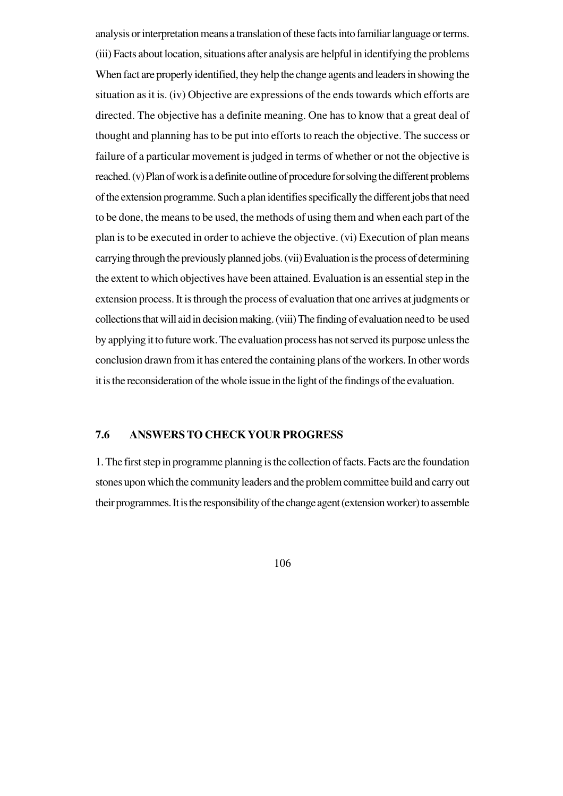analysis or interpretation means a translation of these facts into familiar language or terms. (iii) Facts about location, situations after analysis are helpful in identifying the problems When fact are properly identified, they help the change agents and leaders in showing the situation as it is. (iv) Objective are expressions of the ends towards which efforts are directed. The objective has a definite meaning. One has to know that a great deal of thought and planning has to be put into efforts to reach the objective. The success or failure of a particular movement is judged in terms of whether or not the objective is reached. (v) Plan of work is a definite outline of procedure for solving the different problems of the extension programme. Such a plan identifies specifically the different jobs that need to be done, the means to be used, the methods of using them and when each part of the plan is to be executed in order to achieve the objective. (vi) Execution of plan means carrying through the previously planned jobs. (vii) Evaluation is the process of determining the extent to which objectives have been attained. Evaluation is an essential step in the extension process. It is through the process of evaluation that one arrives at judgments or collections that will aid in decision making. (viii) The finding of evaluation need to be used by applying it to future work. The evaluation process has not served its purpose unless the conclusion drawn from it has entered the containing plans of the workers. In other words it is the reconsideration of the whole issue in the light of the findings of the evaluation.

#### **7.6 ANSWERS TO CHECK YOUR PROGRESS**

1. The first step in programme planning is the collection of facts. Facts are the foundation stones upon which the community leaders and the problem committee build and carry out their programmes. It is the responsibility of the change agent (extension worker) to assemble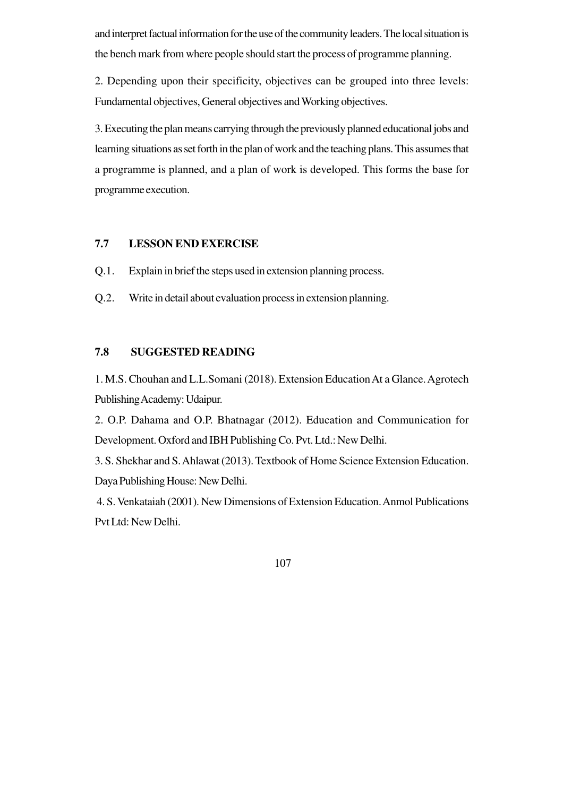and interpret factual information for the use of the community leaders. The local situation is the bench mark from where people should start the process of programme planning.

2. Depending upon their specificity, objectives can be grouped into three levels: Fundamental objectives, General objectives and Working objectives.

3. Executing the plan means carrying through the previously planned educational jobs and learning situations as set forth in the plan of work and the teaching plans. This assumes that a programme is planned, and a plan of work is developed. This forms the base for programme execution.

## **7.7 LESSON END EXERCISE**

Q.1. Explain in brief the steps used in extension planning process.

Q.2. Write in detail about evaluation process in extension planning.

### **7.8 SUGGESTED READING**

1. M.S. Chouhan and L.L.Somani (2018). Extension Education At a Glance. Agrotech Publishing Academy: Udaipur.

2. O.P. Dahama and O.P. Bhatnagar (2012). Education and Communication for Development. Oxford and IBH Publishing Co. Pvt. Ltd.: New Delhi.

3. S. Shekhar and S. Ahlawat (2013). Textbook of Home Science Extension Education. Daya Publishing House: New Delhi.

 4. S. Venkataiah (2001). New Dimensions of Extension Education. Anmol Publications Pvt Ltd: New Delhi.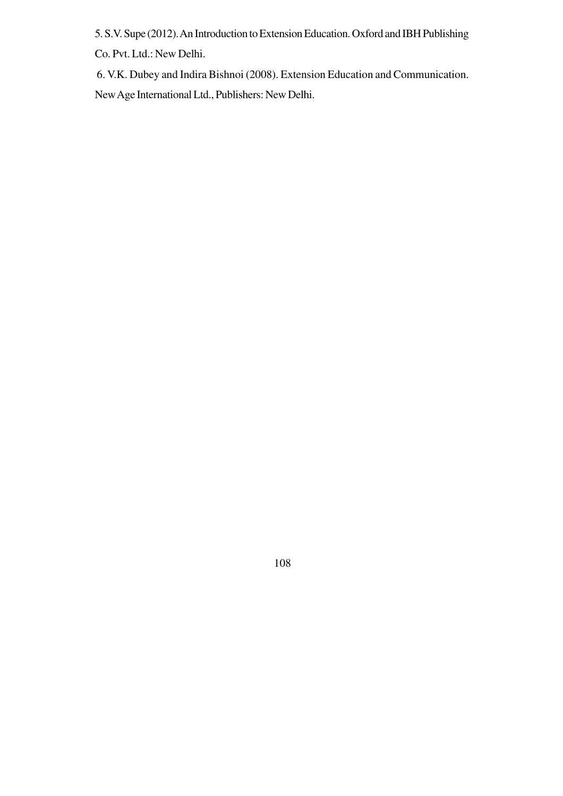5. S.V. Supe (2012). An Introduction to Extension Education. Oxford and IBH Publishing Co. Pvt. Ltd.: New Delhi.

 6. V.K. Dubey and Indira Bishnoi (2008). Extension Education and Communication. New Age International Ltd., Publishers: New Delhi.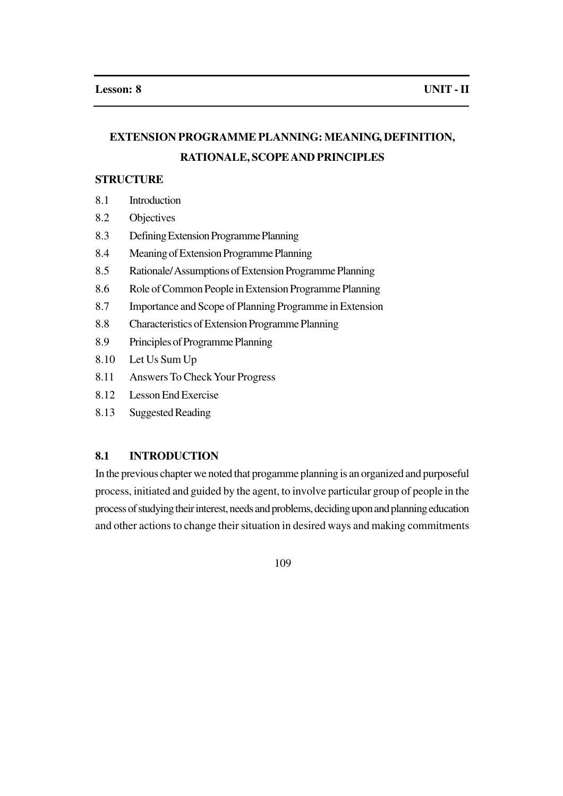# **EXTENSION PROGRAMME PLANNING: MEANING, DEFINITION, RATIONALE, SCOPE AND PRINCIPLES**

#### **STRUCTURE**

- 8.1 Introduction
- 8.2 Objectives
- 8.3 Defining Extension Programme Planning
- 8.4 Meaning of Extension Programme Planning
- 8.5 Rationale/ Assumptions of Extension Programme Planning
- 8.6 Role of Common People in Extension Programme Planning
- 8.7 Importance and Scope of Planning Programme in Extension
- 8.8 Characteristics of Extension Programme Planning
- 8.9 Principles of Programme Planning
- 8.10 Let Us Sum Up
- 8.11 Answers To Check Your Progress
- 8.12 Lesson End Exercise
- 8.13 Suggested Reading

### **8.1 INTRODUCTION**

In the previous chapter we noted that progamme planning is an organized and purposeful process, initiated and guided by the agent, to involve particular group of people in the process of studying their interest, needs and problems, deciding upon and planning education and other actions to change their situation in desired ways and making commitments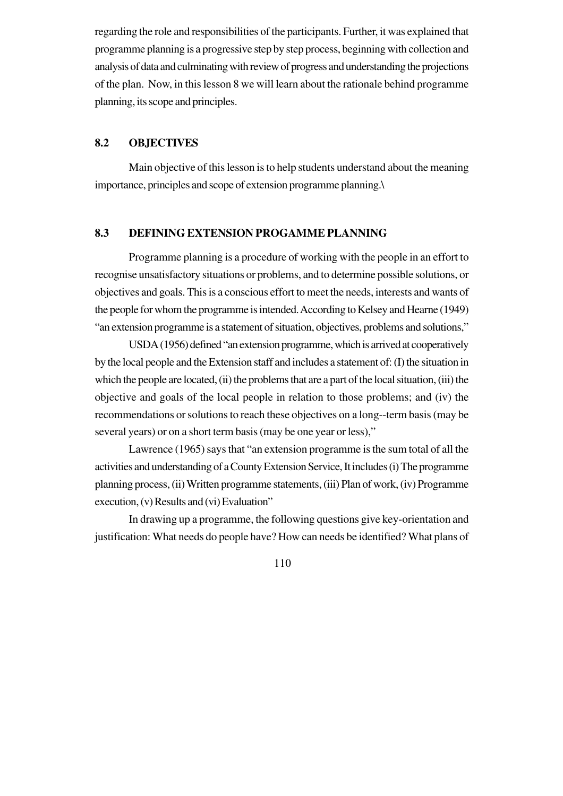regarding the role and responsibilities of the participants. Further, it was explained that programme planning is a progressive step by step process, beginning with collection and analysis of data and culminating with review of progress and understanding the projections of the plan. Now, in this lesson 8 we will learn about the rationale behind programme planning, its scope and principles.

### **8.2 OBJECTIVES**

Main objective of this lesson is to help students understand about the meaning importance, principles and scope of extension programme planning.\

### **8.3 DEFINING EXTENSION PROGAMME PLANNING**

Programme planning is a procedure of working with the people in an effort to recognise unsatisfactory situations or problems, and to determine possible solutions, or objectives and goals. This is a conscious effort to meet the needs, interests and wants of the people for whom the programme is intended. According to Kelsey and Hearne (1949) "an extension programme is a statement of situation, objectives, problems and solutions,"

USDA (1956) defined "an extension programme, which is arrived at cooperatively by the local people and the Extension staff and includes a statement of: (I) the situation in which the people are located, (ii) the problems that are a part of the local situation, (iii) the objective and goals of the local people in relation to those problems; and (iv) the recommendations or solutions to reach these objectives on a long--term basis (may be several years) or on a short term basis (may be one year or less),"

Lawrence (1965) says that "an extension programme is the sum total of all the activities and understanding of a County Extension Service, It includes (i) The programme planning process, (ii) Written programme statements, (iii) Plan of work, (iv) Programme execution, (v) Results and (vi) Evaluation"

In drawing up a programme, the following questions give key-orientation and justification: What needs do people have? How can needs be identified? What plans of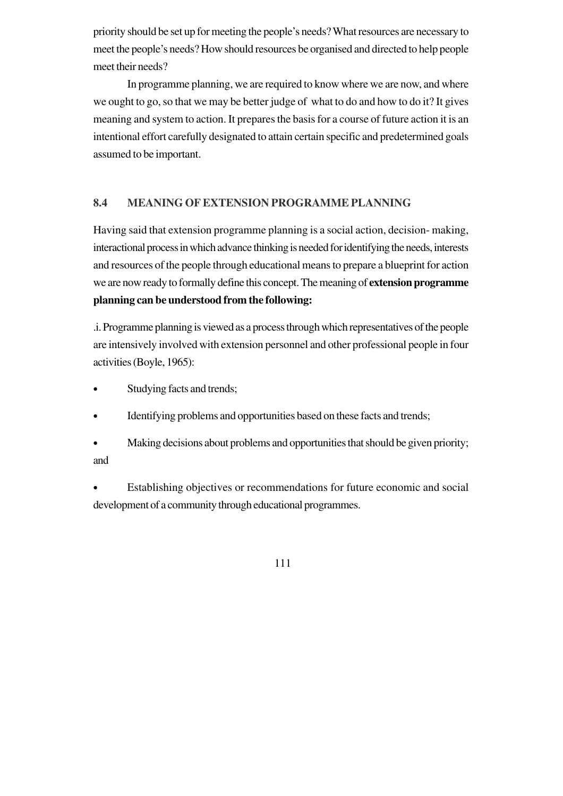priority should be set up for meeting the people's needs? What resources are necessary to meet the people's needs? How should resources be organised and directed to help people meet their needs?

In programme planning, we are required to know where we are now, and where we ought to go, so that we may be better judge of what to do and how to do it? It gives meaning and system to action. It prepares the basis for a course of future action it is an intentional effort carefully designated to attain certain specific and predetermined goals assumed to be important.

## **8.4 MEANING OF EXTENSION PROGRAMME PLANNING**

Having said that extension programme planning is a social action, decision- making, interactional process in which advance thinking is needed for identifying the needs, interests and resources of the people through educational means to prepare a blueprint for action we are now ready to formally define this concept. The meaning of **extension programme planning can be understood from the following:**

.i. Programme planning is viewed as a process through which representatives of the people are intensively involved with extension personnel and other professional people in four activities (Boyle, 1965):

- Studying facts and trends;
- Identifying problems and opportunities based on these facts and trends;
- Making decisions about problems and opportunities that should be given priority; and
- Establishing objectives or recommendations for future economic and social development of a community through educational programmes.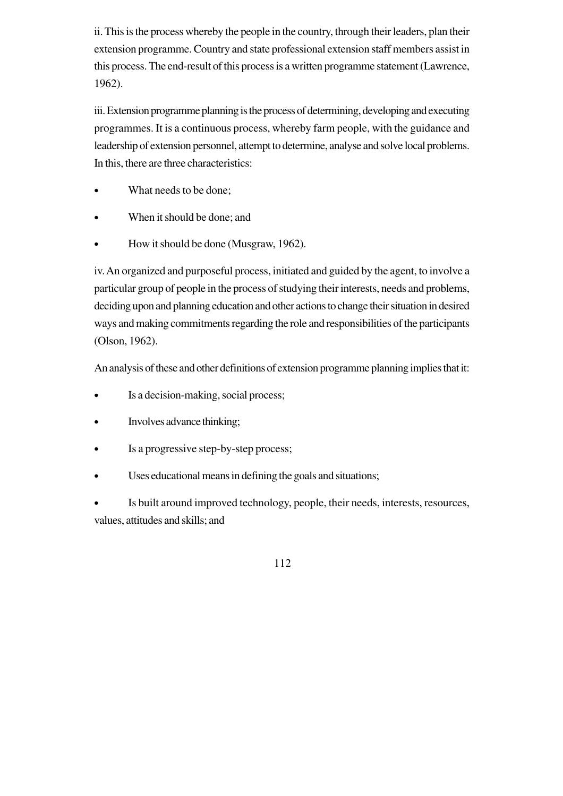ii. This is the process whereby the people in the country, through their leaders, plan their extension programme. Country and state professional extension staff members assist in this process. The end-result of this process is a written programme statement (Lawrence, 1962).

iii. Extension programme planning is the process of determining, developing and executing programmes. It is a continuous process, whereby farm people, with the guidance and leadership of extension personnel, attempt to determine, analyse and solve local problems. In this, there are three characteristics:

- What needs to be done;
- When it should be done; and
- How it should be done (Musgraw, 1962).

iv. An organized and purposeful process, initiated and guided by the agent, to involve a particular group of people in the process of studying their interests, needs and problems, deciding upon and planning education and other actions to change their situation in desired ways and making commitments regarding the role and responsibilities of the participants (Olson, 1962).

An analysis of these and other definitions of extension programme planning implies that it:

- Is a decision-making, social process;
- Involves advance thinking;
- Is a progressive step-by-step process;
- Uses educational means in defining the goals and situations;

Is built around improved technology, people, their needs, interests, resources, values, attitudes and skills; and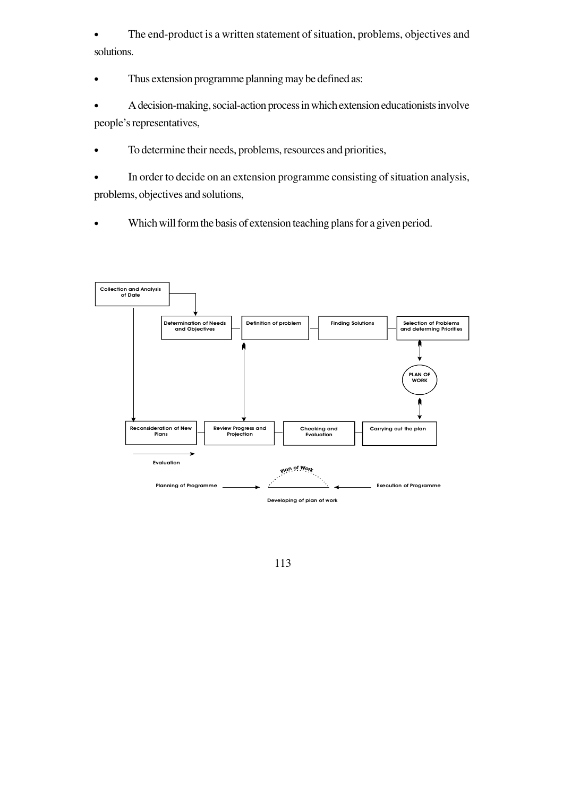The end-product is a written statement of situation, problems, objectives and solutions.

• Thus extension programme planning may be defined as:

• A decision-making, social-action process in which extension educationists involve people's representatives,

- To determine their needs, problems, resources and priorities,
- In order to decide on an extension programme consisting of situation analysis, problems, objectives and solutions,
- Which will form the basis of extension teaching plans for a given period.

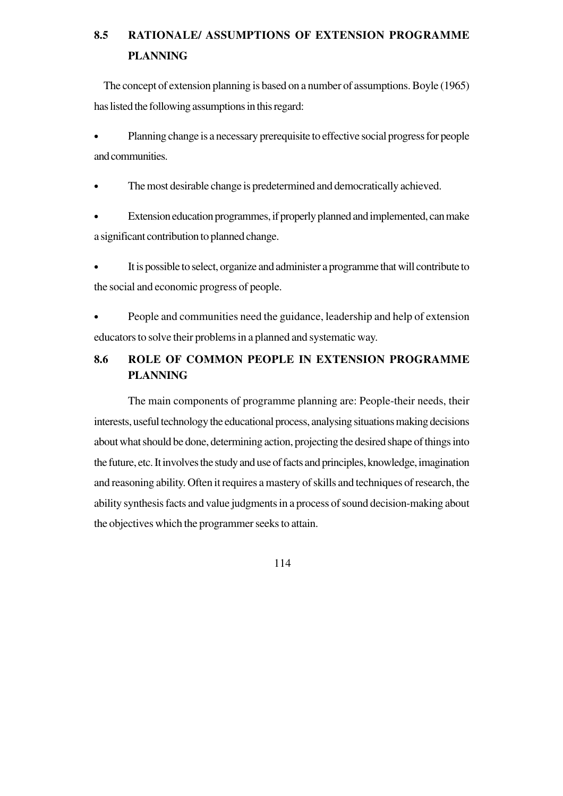# **8.5 RATIONALE/ ASSUMPTIONS OF EXTENSION PROGRAMME PLANNING**

 The concept of extension planning is based on a number of assumptions. Boyle (1965) has listed the following assumptions in this regard:

• Planning change is a necessary prerequisite to effective social progress for people and communities.

The most desirable change is predetermined and democratically achieved.

• Extension education programmes, if properly planned and implemented, can make a significant contribution to planned change.

• It is possible to select, organize and administer a programme that will contribute to the social and economic progress of people.

• People and communities need the guidance, leadership and help of extension educators to solve their problems in a planned and systematic way.

# **8.6 ROLE OF COMMON PEOPLE IN EXTENSION PROGRAMME PLANNING**

The main components of programme planning are: People-their needs, their interests, useful technology the educational process, analysing situations making decisions about what should be done, determining action, projecting the desired shape of things into the future, etc. It involves the study and use of facts and principles, knowledge, imagination and reasoning ability. Often it requires a mastery of skills and techniques of research, the ability synthesis facts and value judgments in a process of sound decision-making about the objectives which the programmer seeks to attain.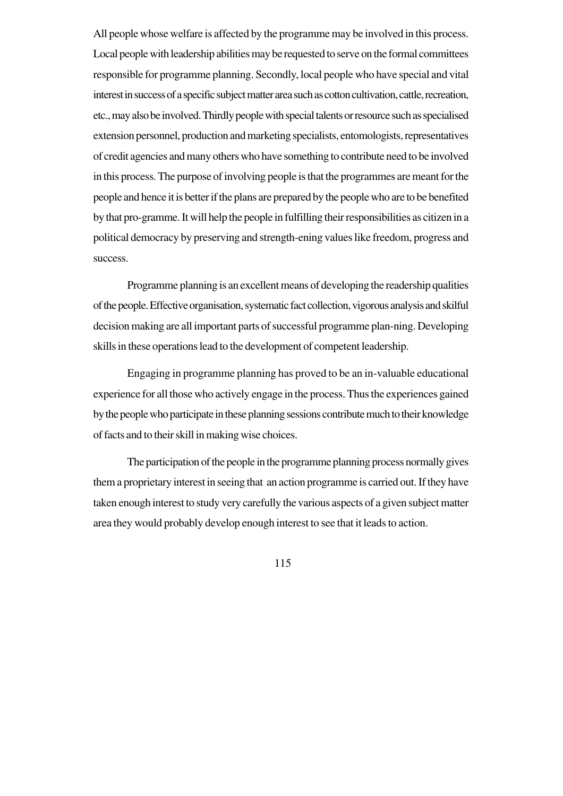All people whose welfare is affected by the programme may be involved in this process. Local people with leadership abilities may be requested to serve on the formal committees responsible for programme planning. Secondly, local people who have special and vital interest in success of a specific subject matter area such as cotton cultivation, cattle, recreation, etc., may also be involved. Thirdly people with special talents or resource such as specialised extension personnel, production and marketing specialists, entomologists, representatives of credit agencies and many others who have something to contribute need to be involved in this process. The purpose of involving people is that the programmes are meant for the people and hence it is better if the plans are prepared by the people who are to be benefited by that pro-gramme. It will help the people in fulfilling their responsibilities as citizen in a political democracy by preserving and strength-ening values like freedom, progress and success.

Programme planning is an excellent means of developing the readership qualities of the people. Effective organisation, systematic fact collection, vigorous analysis and skilful decision making are all important parts of successful programme plan-ning. Developing skills in these operations lead to the development of competent leadership.

Engaging in programme planning has proved to be an in-valuable educational experience for all those who actively engage in the process. Thus the experiences gained by the people who participate in these planning sessions contribute much to their knowledge of facts and to their skill in making wise choices.

The participation of the people in the programme planning process normally gives them a proprietary interest in seeing that an action programme is carried out. If they have taken enough interest to study very carefully the various aspects of a given subject matter area they would probably develop enough interest to see that it leads to action.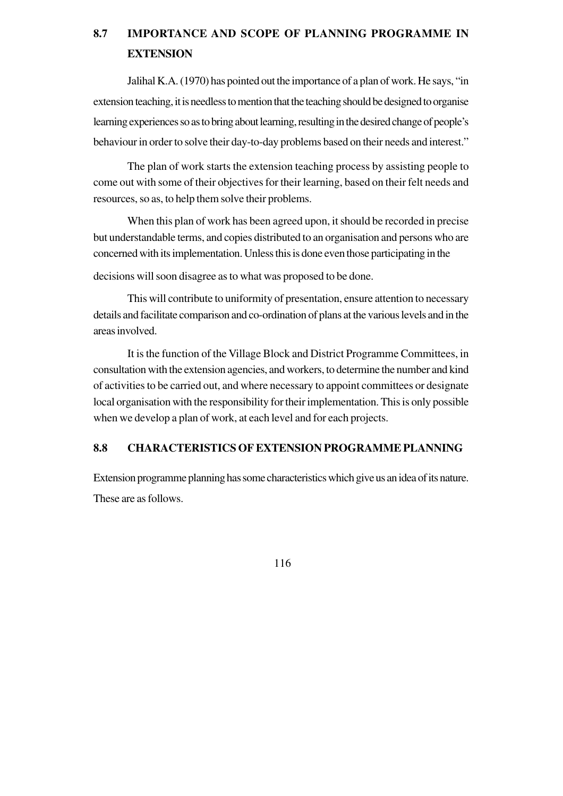# **8.7 IMPORTANCE AND SCOPE OF PLANNING PROGRAMME IN EXTENSION**

Jalihal K.A. (1970) has pointed out the importance of a plan of work. He says, "in extension teaching, it is needless to mention that the teaching should be designed to organise learning experiences so as to bring about learning, resulting in the desired change of people's behaviour in order to solve their day-to-day problems based on their needs and interest."

The plan of work starts the extension teaching process by assisting people to come out with some of their objectives for their learning, based on their felt needs and resources, so as, to help them solve their problems.

When this plan of work has been agreed upon, it should be recorded in precise but understandable terms, and copies distributed to an organisation and persons who are concerned with its implementation. Unless this is done even those participating in the

decisions will soon disagree as to what was proposed to be done.

This will contribute to uniformity of presentation, ensure attention to necessary details and facilitate comparison and co-ordination of plans at the various levels and in the areas involved.

It is the function of the Village Block and District Programme Committees, in consultation with the extension agencies, and workers, to determine the number and kind of activities to be carried out, and where necessary to appoint committees or designate local organisation with the responsibility for their implementation. This is only possible when we develop a plan of work, at each level and for each projects.

### **8.8 CHARACTERISTICS OF EXTENSION PROGRAMME PLANNING**

Extension programme planning has some characteristics which give us an idea of its nature. These are as follows.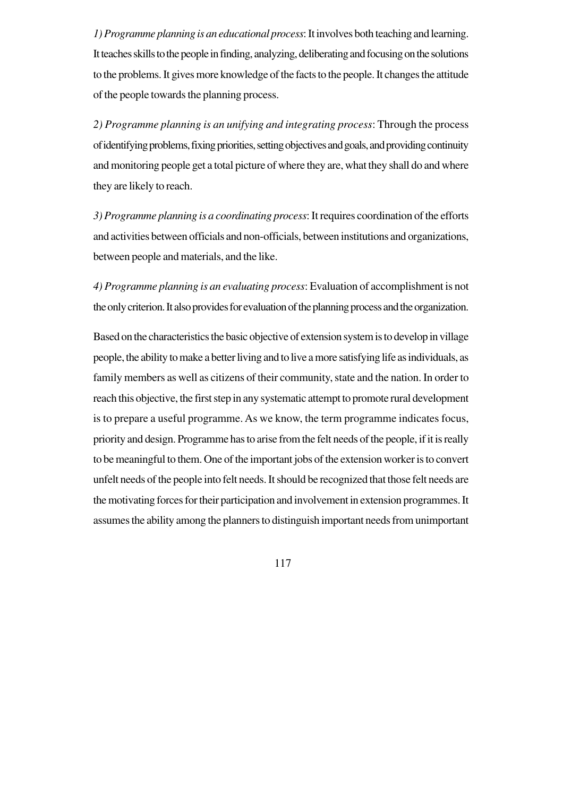*1) Programme planning is an educational process*: It involves both teaching and learning. It teaches skills to the people in finding, analyzing, deliberating and focusing on the solutions to the problems. It gives more knowledge of the facts to the people. It changes the attitude of the people towards the planning process.

*2) Programme planning is an unifying and integrating process*: Through the process of identifying problems, fixing priorities, setting objectives and goals, and providing continuity and monitoring people get a total picture of where they are, what they shall do and where they are likely to reach.

*3) Programme planning is a coordinating process*: It requires coordination of the efforts and activities between officials and non-officials, between institutions and organizations, between people and materials, and the like.

*4) Programme planning is an evaluating process*: Evaluation of accomplishment is not the only criterion. It also provides for evaluation of the planning process and the organization.

Based on the characteristics the basic objective of extension system is to develop in village people, the ability to make a better living and to live a more satisfying life as individuals, as family members as well as citizens of their community, state and the nation. In order to reach this objective, the first step in any systematic attempt to promote rural development is to prepare a useful programme. As we know, the term programme indicates focus, priority and design. Programme has to arise from the felt needs of the people, if it is really to be meaningful to them. One of the important jobs of the extension worker is to convert unfelt needs of the people into felt needs. It should be recognized that those felt needs are the motivating forces for their participation and involvement in extension programmes. It assumes the ability among the planners to distinguish important needs from unimportant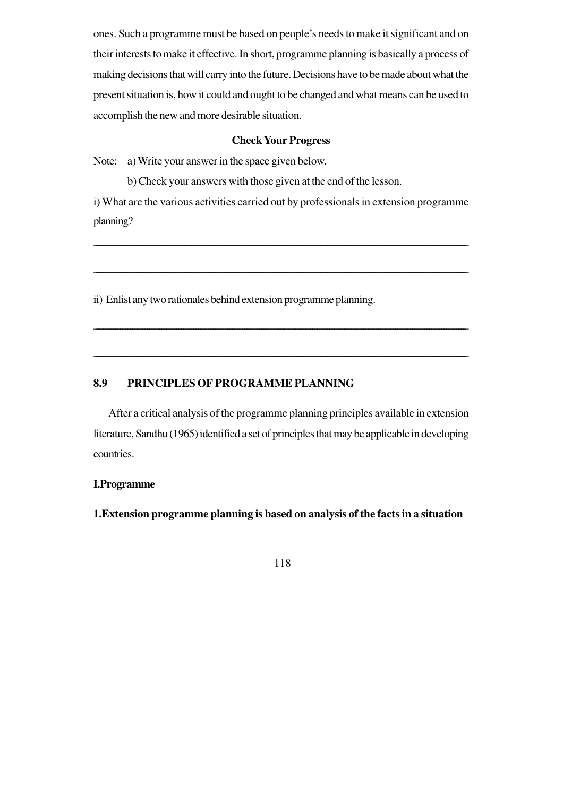ones. Such a programme must be based on people's needs to make it significant and on their interests to make it effective. In short, programme planning is basically a process of making decisions that will carry into the future. Decisions have to be made about what the present situation is, how it could and ought to be changed and what means can be used to accomplish the new and more desirable situation.

#### **Check Your Progress**

Note: a) Write your answer in the space given below.

b) Check your answers with those given at the end of the lesson.

i) What are the various activities carried out by professionals in extension programme planning?

\_\_\_\_\_\_\_\_\_\_\_\_\_\_\_\_\_\_\_\_\_\_\_\_\_\_\_\_\_\_\_\_\_\_\_\_\_\_\_\_\_\_\_\_\_\_\_\_\_\_\_\_\_\_\_\_\_\_\_\_\_\_\_\_\_\_\_\_\_\_\_\_\_\_\_\_\_\_\_\_\_\_\_\_\_\_\_\_\_\_\_\_\_\_\_\_\_\_\_\_\_\_\_\_\_\_\_\_\_\_\_\_\_\_\_\_\_\_\_\_\_\_\_\_\_\_\_\_\_\_\_\_\_\_\_\_\_\_\_\_\_\_\_\_\_\_\_\_\_\_\_\_\_\_\_\_

\_\_\_\_\_\_\_\_\_\_\_\_\_\_\_\_\_\_\_\_\_\_\_\_\_\_\_\_\_\_\_\_\_\_\_\_\_\_\_\_\_\_\_\_\_\_\_\_\_\_\_\_\_\_\_\_\_\_\_\_\_\_\_\_\_\_\_\_\_\_\_\_\_\_\_\_\_\_\_\_\_\_\_\_\_\_\_\_\_\_\_\_\_\_\_\_\_\_\_\_\_\_\_\_\_\_\_\_\_\_\_\_\_\_\_\_\_\_\_\_\_\_\_\_\_\_\_\_\_\_\_\_\_\_\_\_\_\_\_\_\_\_\_\_\_\_\_\_\_\_\_\_\_\_\_\_

\_\_\_\_\_\_\_\_\_\_\_\_\_\_\_\_\_\_\_\_\_\_\_\_\_\_\_\_\_\_\_\_\_\_\_\_\_\_\_\_\_\_\_\_\_\_\_\_\_\_\_\_\_\_\_\_\_\_\_\_\_\_\_\_\_\_\_\_\_\_\_\_\_\_\_\_\_\_\_\_\_\_\_\_\_\_\_\_\_\_\_\_\_\_\_\_\_\_\_\_\_\_\_\_\_\_\_\_\_\_\_\_\_\_\_\_\_\_\_\_\_\_\_\_\_\_\_\_\_\_\_\_\_\_\_\_\_\_\_\_\_\_\_\_\_\_\_\_\_\_\_\_\_

\_\_\_\_\_\_\_\_\_\_\_\_\_\_\_\_\_\_\_\_\_\_\_\_\_\_\_\_\_\_\_\_\_\_\_\_\_\_\_\_\_\_\_\_\_\_\_\_\_\_\_\_\_\_\_\_\_\_\_\_\_\_\_\_\_\_\_\_\_\_\_\_\_\_\_\_\_\_\_\_\_\_\_\_\_\_\_\_\_\_\_\_\_\_\_\_\_\_\_\_\_\_\_\_\_\_\_\_\_\_\_\_\_\_\_\_\_\_\_\_\_\_\_\_\_\_\_\_\_\_\_\_\_\_\_\_\_\_\_\_\_\_\_\_\_\_\_\_\_\_\_\_\_\_\_\_

ii) Enlist any two rationales behind extension programme planning.

### **8.9 PRINCIPLES OF PROGRAMME PLANNING**

 After a critical analysis of the programme planning principles available in extension literature, Sandhu (1965) identified a set of principles that may be applicable in developing countries.

### **I.Programme**

**1.Extension programme planning is based on analysis of the facts in a situation**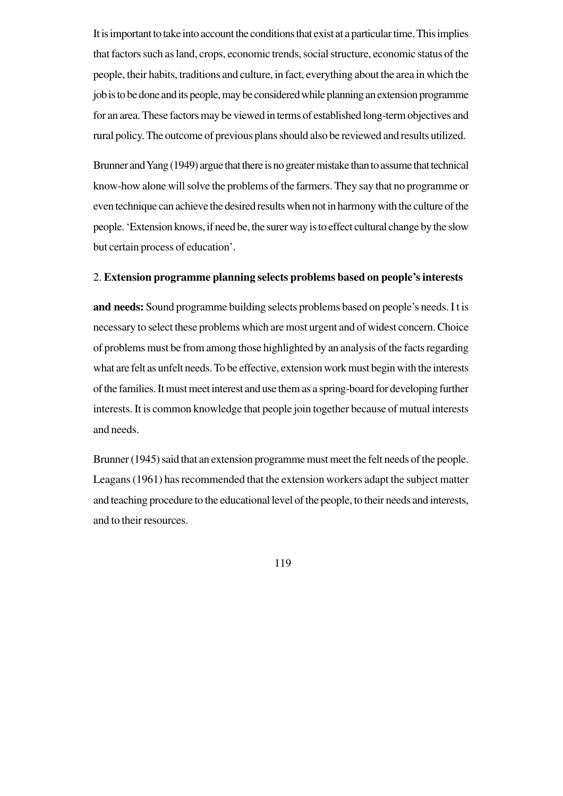It is important to take into account the conditions that exist at a particular time. This implies that factors such as land, crops, economic trends, social structure, economic status of the people, their habits, traditions and culture, in fact, everything about the area in which the job is to be done and its people, may be considered while planning an extension programme for an area. These factors may be viewed in terms of established long-term objectives and rural policy. The outcome of previous plans should also be reviewed and results utilized.

Brunner and Yang (1949) argue that there is no greater mistake than to assume that technical know-how alone will solve the problems of the farmers. They say that no programme or even technique can achieve the desired results when not in harmony with the culture of the people. 'Extension knows, if need be, the surer way is to effect cultural change by the slow but certain process of education'.

### 2. **Extension programme planning selects problems based on people's interests**

**and needs:** Sound programme building selects problems based on people's needs. I t is necessary to select these problems which are most urgent and of widest concern. Choice of problems must be from among those highlighted by an analysis of the facts regarding what are felt as unfelt needs. To be effective, extension work must begin with the interests of the families. It must meet interest and use them as a spring-board for developing further interests. It is common knowledge that people join together because of mutual interests and needs.

Brunner (1945) said that an extension programme must meet the felt needs of the people. Leagans (1961) has recommended that the extension workers adapt the subject matter and teaching procedure to the educational level of the people, to their needs and interests, and to their resources.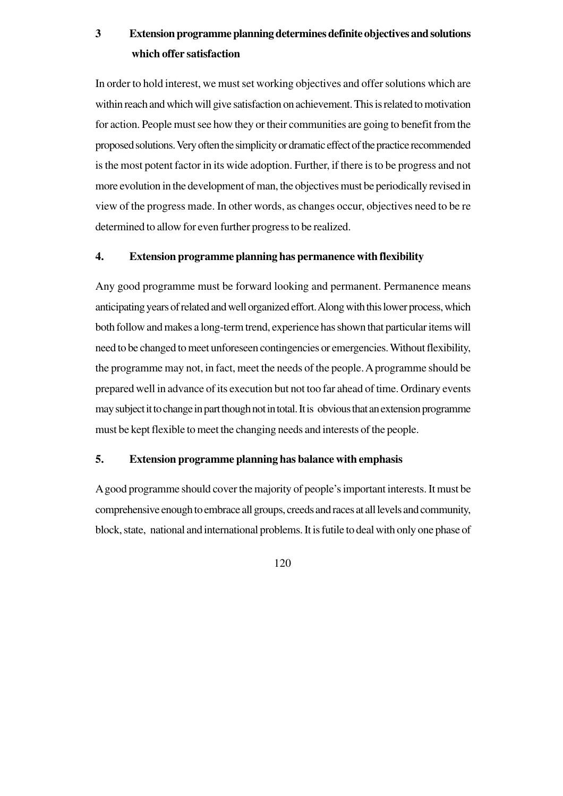# **3 Extension programme planning determines definite objectives and solutions which offer satisfaction**

In order to hold interest, we must set working objectives and offer solutions which are within reach and which will give satisfaction on achievement. This is related to motivation for action. People must see how they or their communities are going to benefit from the proposed solutions. Very often the simplicity or dramatic effect of the practice recommended is the most potent factor in its wide adoption. Further, if there is to be progress and not more evolution in the development of man, the objectives must be periodically revised in view of the progress made. In other words, as changes occur, objectives need to be re determined to allow for even further progress to be realized.

### **4. Extension programme planning has permanence with flexibility**

Any good programme must be forward looking and permanent. Permanence means anticipating years of related and well organized effort. Along with this lower process, which both follow and makes a long-term trend, experience has shown that particular items will need to be changed to meet unforeseen contingencies or emergencies. Without flexibility, the programme may not, in fact, meet the needs of the people. A programme should be prepared well in advance of its execution but not too far ahead of time. Ordinary events may subject it to change in part though not in total. It is obvious that an extension programme must be kept flexible to meet the changing needs and interests of the people.

#### **5. Extension programme planning has balance with emphasis**

A good programme should cover the majority of people's important interests. It must be comprehensive enough to embrace all groups, creeds and races at all levels and community, block, state, national and international problems. It is futile to deal with only one phase of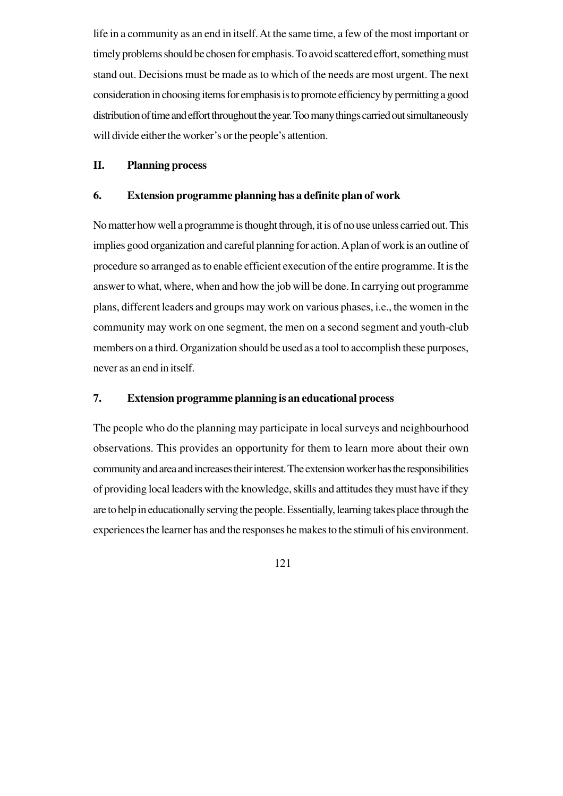life in a community as an end in itself. At the same time, a few of the most important or timely problems should be chosen for emphasis. To avoid scattered effort, something must stand out. Decisions must be made as to which of the needs are most urgent. The next consideration in choosing items for emphasis is to promote efficiency by permitting a good distribution of time and effort throughout the year. Too many things carried out simultaneously will divide either the worker's or the people's attention.

### **II. Planning process**

### **6. Extension programme planning has a definite plan of work**

No matter how well a programme is thought through, it is of no use unless carried out. This implies good organization and careful planning for action. A plan of work is an outline of procedure so arranged as to enable efficient execution of the entire programme. It is the answer to what, where, when and how the job will be done. In carrying out programme plans, different leaders and groups may work on various phases, i.e., the women in the community may work on one segment, the men on a second segment and youth-club members on a third. Organization should be used as a tool to accomplish these purposes, never as an end in itself.

### **7. Extension programme planning is an educational process**

The people who do the planning may participate in local surveys and neighbourhood observations. This provides an opportunity for them to learn more about their own community and area and increases their interest. The extension worker has the responsibilities of providing local leaders with the knowledge, skills and attitudes they must have if they are to help in educationally serving the people. Essentially, learning takes place through the experiences the learner has and the responses he makes to the stimuli of his environment.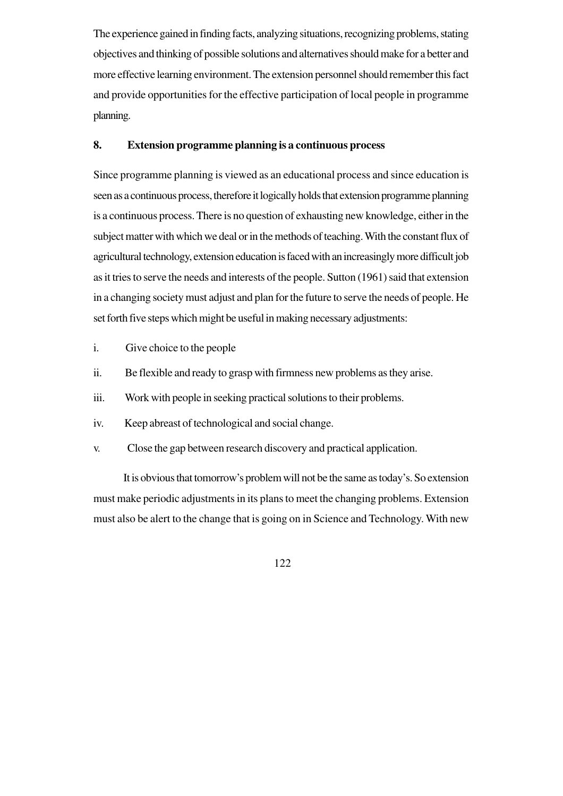The experience gained in finding facts, analyzing situations, recognizing problems, stating objectives and thinking of possible solutions and alternatives should make for a better and more effective learning environment. The extension personnel should remember this fact and provide opportunities for the effective participation of local people in programme planning.

### **8. Extension programme planning is a continuous process**

Since programme planning is viewed as an educational process and since education is seen as a continuous process, therefore it logically holds that extension programme planning is a continuous process. There is no question of exhausting new knowledge, either in the subject matter with which we deal or in the methods of teaching. With the constant flux of agricultural technology, extension education is faced with an increasingly more difficult job as it tries to serve the needs and interests of the people. Sutton (1961) said that extension in a changing society must adjust and plan for the future to serve the needs of people. He set forth five steps which might be useful in making necessary adjustments:

- i. Give choice to the people
- ii. Be flexible and ready to grasp with firmness new problems as they arise.
- iii. Work with people in seeking practical solutions to their problems.
- iv. Keep abreast of technological and social change.
- v. Close the gap between research discovery and practical application.

 It is obvious that tomorrow's problem will not be the same as today's. So extension must make periodic adjustments in its plans to meet the changing problems. Extension must also be alert to the change that is going on in Science and Technology. With new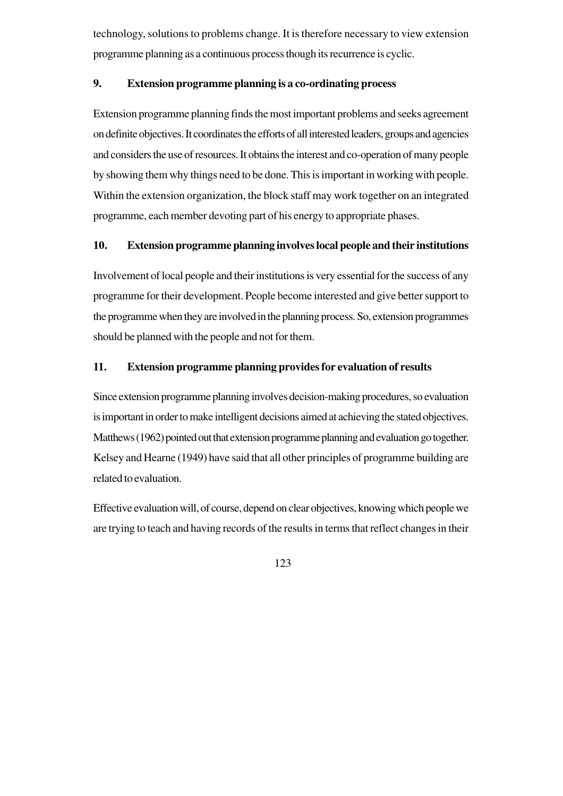technology, solutions to problems change. It is therefore necessary to view extension programme planning as a continuous process though its recurrence is cyclic.

### **9. Extension programme planning is a co-ordinating process**

Extension programme planning finds the most important problems and seeks agreement on definite objectives. It coordinates the efforts of all interested leaders, groups and agencies and considers the use of resources. It obtains the interest and co-operation of many people by showing them why things need to be done. This is important in working with people. Within the extension organization, the block staff may work together on an integrated programme, each member devoting part of his energy to appropriate phases.

### **10. Extension programme planning involves local people and their institutions**

Involvement of local people and their institutions is very essential for the success of any programme for their development. People become interested and give better support to the programme when they are involved in the planning process. So, extension programmes should be planned with the people and not for them.

### **11. Extension programme planning provides for evaluation of results**

Since extension programme planning involves decision-making procedures, so evaluation is important in order to make intelligent decisions aimed at achieving the stated objectives. Matthews (1962) pointed out that extension programme planning and evaluation go together. Kelsey and Hearne (1949) have said that all other principles of programme building are related to evaluation.

Effective evaluation will, of course, depend on clear objectives, knowing which people we are trying to teach and having records of the results in terms that reflect changes in their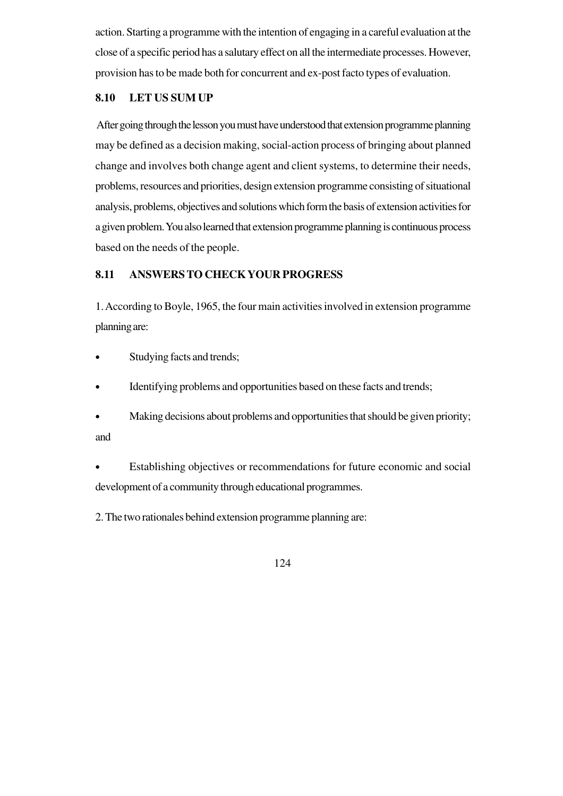action. Starting a programme with the intention of engaging in a careful evaluation at the close of a specific period has a salutary effect on all the intermediate processes. However, provision has to be made both for concurrent and ex-post facto types of evaluation.

## **8.10 LET US SUM UP**

After going through the lesson you must have understood that extension programme planning may be defined as a decision making, social-action process of bringing about planned change and involves both change agent and client systems, to determine their needs, problems, resources and priorities, design extension programme consisting of situational analysis, problems, objectives and solutions which form the basis of extension activities for a given problem. You also learned that extension programme planning is continuous process based on the needs of the people.

# **8.11 ANSWERS TO CHECK YOUR PROGRESS**

1. According to Boyle, 1965, the four main activities involved in extension programme planning are:

- Studying facts and trends;
- Identifying problems and opportunities based on these facts and trends;
- Making decisions about problems and opportunities that should be given priority; and

Establishing objectives or recommendations for future economic and social development of a community through educational programmes.

2. The two rationales behind extension programme planning are: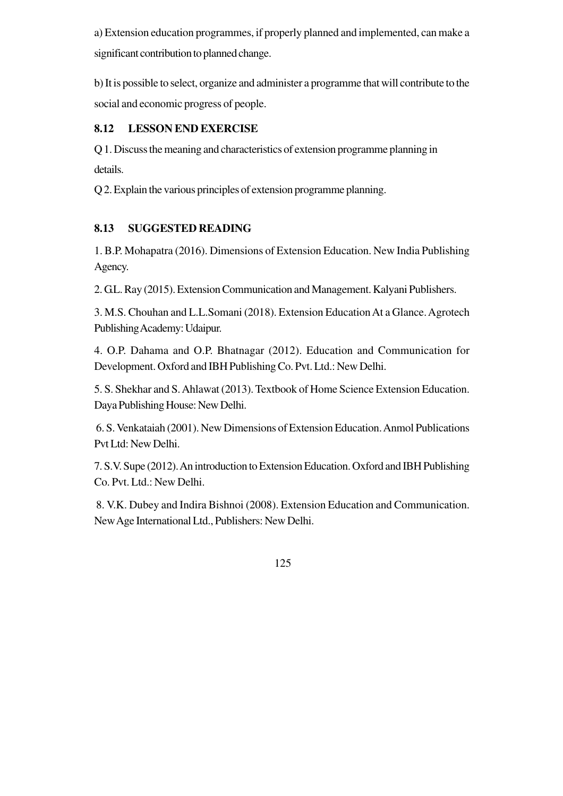a) Extension education programmes, if properly planned and implemented, can make a significant contribution to planned change.

b) It is possible to select, organize and administer a programme that will contribute to the social and economic progress of people.

# **8.12 LESSON END EXERCISE**

Q 1. Discuss the meaning and characteristics of extension programme planning in details.

Q 2. Explain the various principles of extension programme planning.

# **8.13 SUGGESTED READING**

1. B.P. Mohapatra (2016). Dimensions of Extension Education. New India Publishing Agency.

2. G.L. Ray (2015). Extension Communication and Management. Kalyani Publishers.

3. M.S. Chouhan and L.L.Somani (2018). Extension Education At a Glance. Agrotech Publishing Academy: Udaipur.

4. O.P. Dahama and O.P. Bhatnagar (2012). Education and Communication for Development. Oxford and IBH Publishing Co. Pvt. Ltd.: New Delhi.

5. S. Shekhar and S. Ahlawat (2013). Textbook of Home Science Extension Education. Daya Publishing House: New Delhi.

 6. S. Venkataiah (2001). New Dimensions of Extension Education. Anmol Publications Pvt Ltd: New Delhi.

7. S.V. Supe (2012). An introduction to Extension Education. Oxford and IBH Publishing Co. Pvt. Ltd.: New Delhi.

 8. V.K. Dubey and Indira Bishnoi (2008). Extension Education and Communication. New Age International Ltd., Publishers: New Delhi.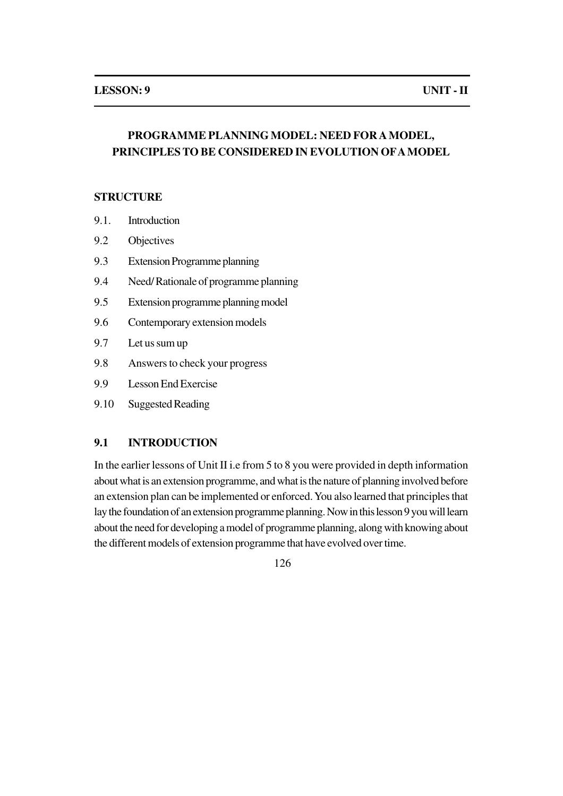# **PROGRAMME PLANNING MODEL: NEED FOR A MODEL, PRINCIPLES TO BE CONSIDERED IN EVOLUTION OF A MODEL**

### **STRUCTURE**

- 9.1. Introduction
- 9.2 Objectives
- 9.3 Extension Programme planning
- 9.4 Need/ Rationale of programme planning
- 9.5 Extension programme planning model
- 9.6 Contemporary extension models
- 9.7 Let us sum up
- 9.8 Answers to check your progress
- 9.9 Lesson End Exercise
- 9.10 Suggested Reading

## **9.1 INTRODUCTION**

In the earlier lessons of Unit II i.e from 5 to 8 you were provided in depth information about what is an extension programme, and what is the nature of planning involved before an extension plan can be implemented or enforced. You also learned that principles that lay the foundation of an extension programme planning. Now in this lesson 9 you will learn about the need for developing a model of programme planning, along with knowing about the different models of extension programme that have evolved over time.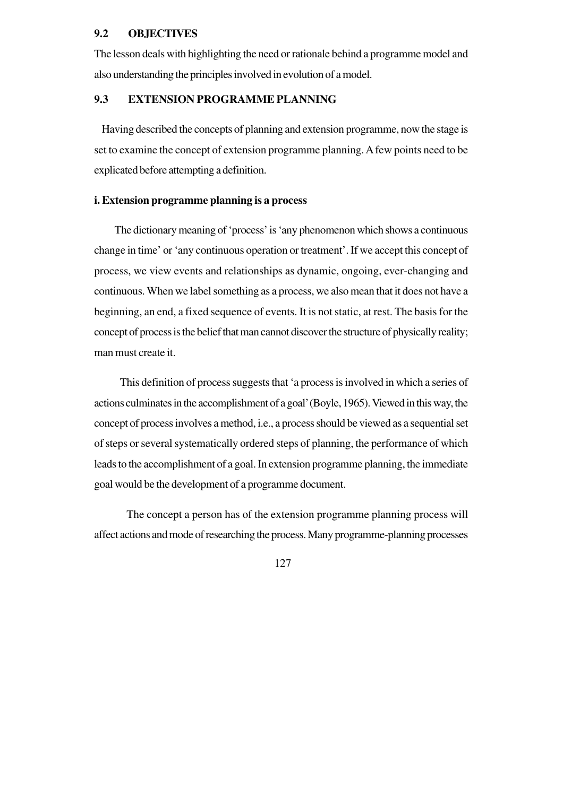### **9.2 OBJECTIVES**

The lesson deals with highlighting the need or rationale behind a programme model and also understanding the principles involved in evolution of a model.

# **9.3 EXTENSION PROGRAMME PLANNING**

 Having described the concepts of planning and extension programme, now the stage is set to examine the concept of extension programme planning. A few points need to be explicated before attempting a definition.

#### **i. Extension programme planning is a process**

 The dictionary meaning of 'process' is 'any phenomenon which shows a continuous change in time' or 'any continuous operation or treatment'. If we accept this concept of process, we view events and relationships as dynamic, ongoing, ever-changing and continuous. When we label something as a process, we also mean that it does not have a beginning, an end, a fixed sequence of events. It is not static, at rest. The basis for the concept of process is the belief that man cannot discover the structure of physically reality; man must create it.

 This definition of process suggests that 'a process is involved in which a series of actions culminates in the accomplishment of a goal' (Boyle, 1965). Viewed in this way, the concept of process involves a method, i.e., a process should be viewed as a sequential set of steps or several systematically ordered steps of planning, the performance of which leads to the accomplishment of a goal. In extension programme planning, the immediate goal would be the development of a programme document.

 The concept a person has of the extension programme planning process will affect actions and mode of researching the process. Many programme-planning processes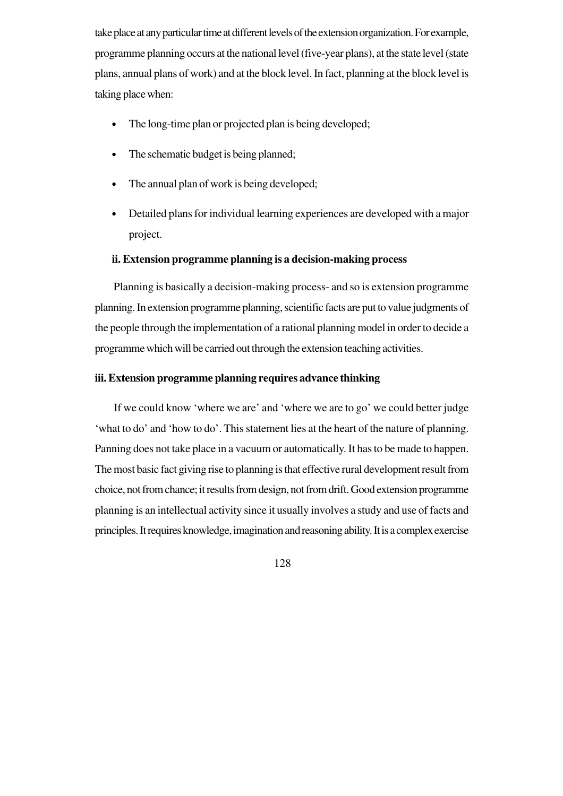take place at any particular time at different levels of the extension organization. For example, programme planning occurs at the national level (five-year plans), at the state level (state plans, annual plans of work) and at the block level. In fact, planning at the block level is taking place when:

- The long-time plan or projected plan is being developed;
- The schematic budget is being planned;
- The annual plan of work is being developed;
- Detailed plans for individual learning experiences are developed with a major project.

#### **ii. Extension programme planning is a decision-making process**

 Planning is basically a decision-making process- and so is extension programme planning. In extension programme planning, scientific facts are put to value judgments of the people through the implementation of a rational planning model in order to decide a programme which will be carried out through the extension teaching activities.

### **iii. Extension programme planning requires advance thinking**

 If we could know 'where we are' and 'where we are to go' we could better judge 'what to do' and 'how to do'. This statement lies at the heart of the nature of planning. Panning does not take place in a vacuum or automatically. It has to be made to happen. The most basic fact giving rise to planning is that effective rural development result from choice, not from chance; it results from design, not from drift. Good extension programme planning is an intellectual activity since it usually involves a study and use of facts and principles. It requires knowledge, imagination and reasoning ability. It is a complex exercise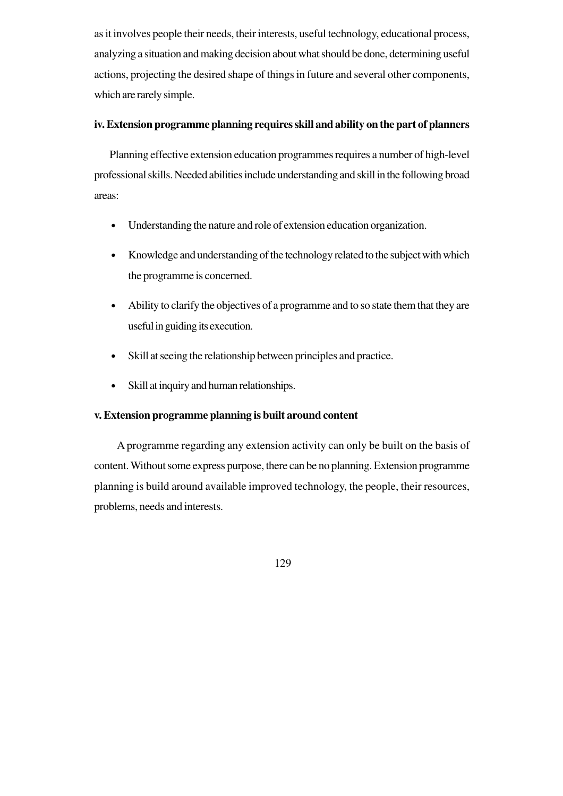as it involves people their needs, their interests, useful technology, educational process, analyzing a situation and making decision about what should be done, determining useful actions, projecting the desired shape of things in future and several other components, which are rarely simple.

### **iv. Extension programme planning requires skill and ability on the part of planners**

 Planning effective extension education programmes requires a number of high-level professional skills. Needed abilities include understanding and skill in the following broad areas:

- Understanding the nature and role of extension education organization.
- Knowledge and understanding of the technology related to the subject with which the programme is concerned.
- Ability to clarify the objectives of a programme and to so state them that they are useful in guiding its execution.
- Skill at seeing the relationship between principles and practice.
- Skill at inquiry and human relationships.

## **v. Extension programme planning is built around content**

 A programme regarding any extension activity can only be built on the basis of content. Without some express purpose, there can be no planning. Extension programme planning is build around available improved technology, the people, their resources, problems, needs and interests.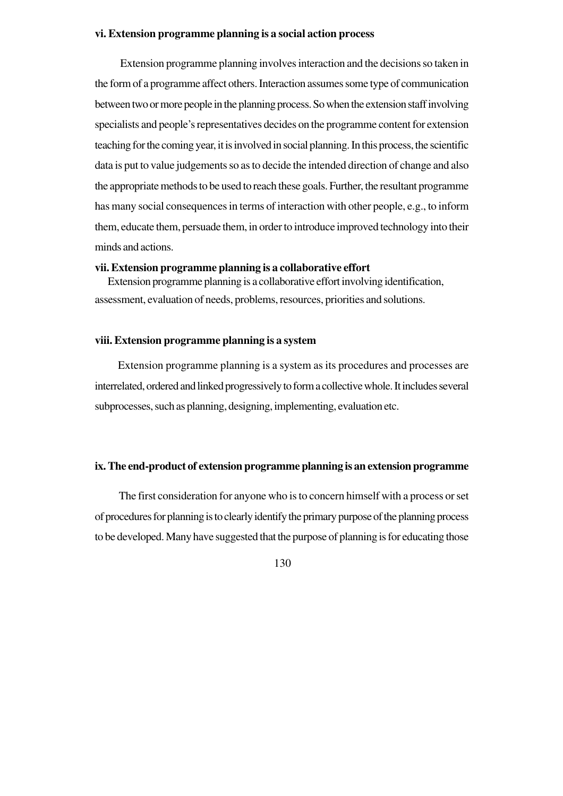#### **vi. Extension programme planning is a social action process**

 Extension programme planning involves interaction and the decisions so taken in the form of a programme affect others. Interaction assumes some type of communication between two or more people in the planning process. So when the extension staff involving specialists and people's representatives decides on the programme content for extension teaching for the coming year, it is involved in social planning. In this process, the scientific data is put to value judgements so as to decide the intended direction of change and also the appropriate methods to be used to reach these goals. Further, the resultant programme has many social consequences in terms of interaction with other people, e.g., to inform them, educate them, persuade them, in order to introduce improved technology into their minds and actions.

#### **vii. Extension programme planning is a collaborative effort**

 Extension programme planning is a collaborative effort involving identification, assessment, evaluation of needs, problems, resources, priorities and solutions.

#### **viii. Extension programme planning is a system**

 Extension programme planning is a system as its procedures and processes are interrelated, ordered and linked progressively to form a collective whole. It includes several subprocesses, such as planning, designing, implementing, evaluation etc.

#### **ix. The end-product of extension programme planning is an extension programme**

 The first consideration for anyone who is to concern himself with a process or set of procedures for planning is to clearly identify the primary purpose of the planning process to be developed. Many have suggested that the purpose of planning is for educating those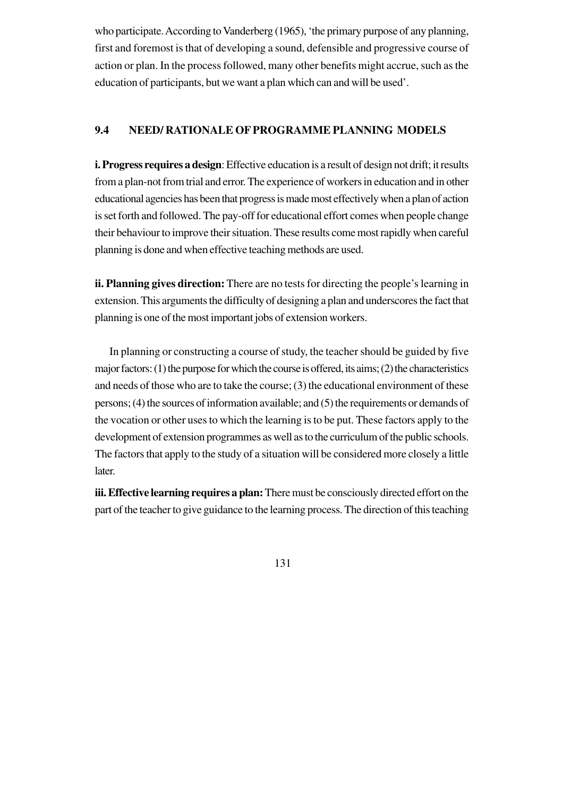who participate. According to Vanderberg (1965), 'the primary purpose of any planning, first and foremost is that of developing a sound, defensible and progressive course of action or plan. In the process followed, many other benefits might accrue, such as the education of participants, but we want a plan which can and will be used'.

### **9.4 NEED/ RATIONALE OF PROGRAMME PLANNING MODELS**

**i. Progress requires a design**: Effective education is a result of design not drift; it results from a plan-not from trial and error. The experience of workers in education and in other educational agencies has been that progress is made most effectively when a plan of action is set forth and followed. The pay-off for educational effort comes when people change their behaviour to improve their situation. These results come most rapidly when careful planning is done and when effective teaching methods are used.

**ii. Planning gives direction:** There are no tests for directing the people's learning in extension. This arguments the difficulty of designing a plan and underscores the fact that planning is one of the most important jobs of extension workers.

 In planning or constructing a course of study, the teacher should be guided by five major factors: (1) the purpose for which the course is offered, its aims; (2) the characteristics and needs of those who are to take the course; (3) the educational environment of these persons; (4) the sources of information available; and (5) the requirements or demands of the vocation or other uses to which the learning is to be put. These factors apply to the development of extension programmes as well as to the curriculum of the public schools. The factors that apply to the study of a situation will be considered more closely a little later.

**iii. Effective learning requires a plan:** There must be consciously directed effort on the part of the teacher to give guidance to the learning process. The direction of this teaching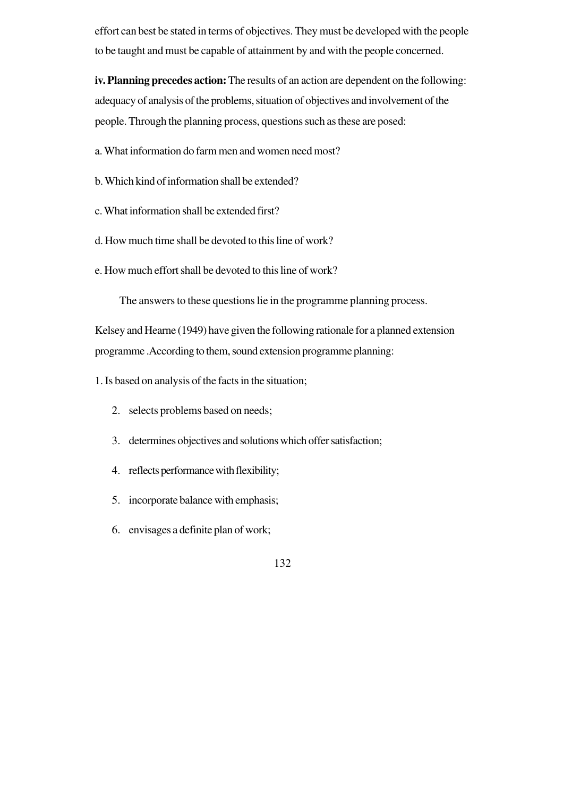effort can best be stated in terms of objectives. They must be developed with the people to be taught and must be capable of attainment by and with the people concerned.

**iv. Planning precedes action:**The results of an action are dependent on the following: adequacy of analysis of the problems, situation of objectives and involvement of the people. Through the planning process, questions such as these are posed:

a. What information do farm men and women need most?

- b. Which kind of information shall be extended?
- c. What information shall be extended first?
- d. How much time shall be devoted to this line of work?
- e. How much effort shall be devoted to this line of work?

The answers to these questions lie in the programme planning process.

Kelsey and Hearne (1949) have given the following rationale for a planned extension programme .According to them, sound extension programme planning:

1. Is based on analysis of the facts in the situation;

- 2. selects problems based on needs;
- 3. determines objectives and solutions which offer satisfaction;
- 4. reflects performance with flexibility;
- 5. incorporate balance with emphasis;
- 6. envisages a definite plan of work;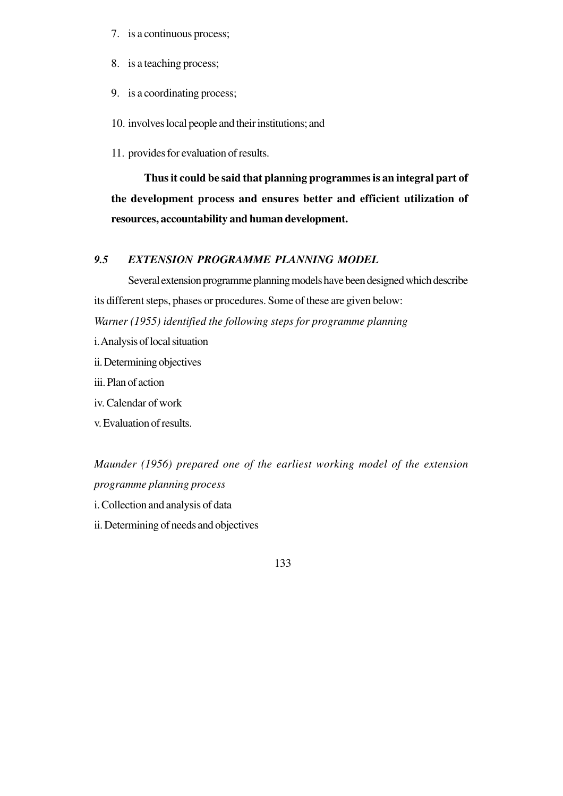- 7. is a continuous process;
- 8. is a teaching process;
- 9. is a coordinating process;
- 10. involves local people and their institutions; and
- 11. provides for evaluation of results.

 **Thus it could be said that planning programmes is an integral part of the development process and ensures better and efficient utilization of resources, accountability and human development.**

### *9.5 EXTENSION PROGRAMME PLANNING MODEL*

Several extension programme planning models have been designed which describe its different steps, phases or procedures. Some of these are given below: *Warner (1955) identified the following steps for programme planning*

- i. Analysis of local situation
- ii. Determining objectives
- iii. Plan of action
- iv. Calendar of work
- v. Evaluation of results.

*Maunder (1956) prepared one of the earliest working model of the extension programme planning process*

- i. Collection and analysis of data
- ii. Determining of needs and objectives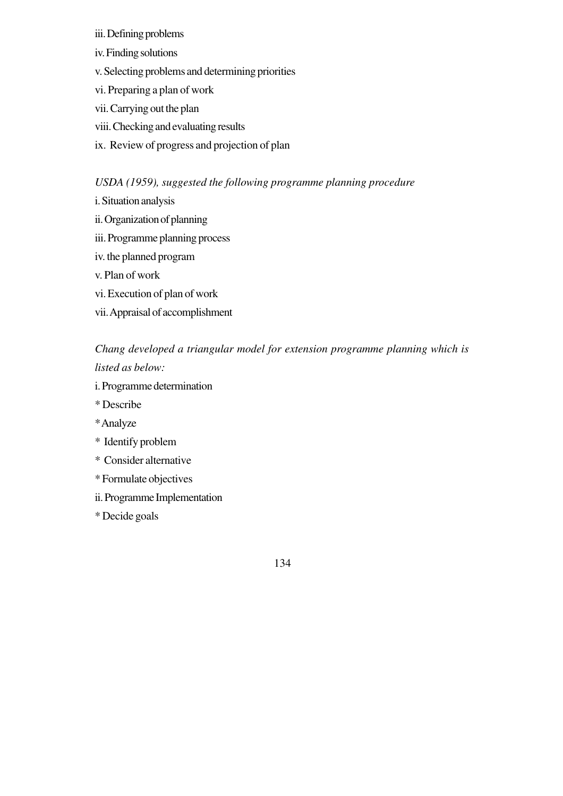- iii. Defining problems
- iv. Finding solutions
- v. Selecting problems and determining priorities
- vi. Preparing a plan of work
- vii. Carrying out the plan
- viii. Checking and evaluating results
- ix. Review of progress and projection of plan

# *USDA (1959), suggested the following programme planning procedure*

- i. Situation analysis
- ii. Organization of planning
- iii. Programme planning process
- iv. the planned program
- v. Plan of work
- vi. Execution of plan of work
- vii. Appraisal of accomplishment

# *Chang developed a triangular model for extension programme planning which is listed as below:*

- i. Programme determination
- \* Describe
- \* Analyze
- \* Identify problem
- \* Consider alternative
- \* Formulate objectives
- ii. Programme Implementation
- \* Decide goals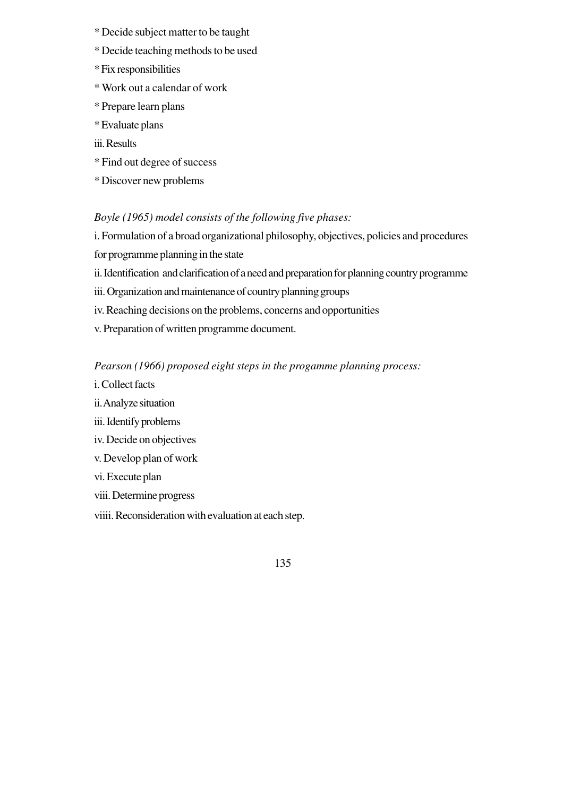- \* Decide subject matter to be taught
- \* Decide teaching methods to be used
- \* Fix responsibilities
- \* Work out a calendar of work
- \* Prepare learn plans
- \* Evaluate plans
- iii. Results
- \* Find out degree of success
- \* Discover new problems

### *Boyle (1965) model consists of the following five phases:*

i. Formulation of a broad organizational philosophy, objectives, policies and procedures for programme planning in the state

ii. Identification and clarification of a need and preparation for planning country programme

- iii. Organization and maintenance of country planning groups
- iv. Reaching decisions on the problems, concerns and opportunities
- v. Preparation of written programme document.

### *Pearson (1966) proposed eight steps in the progamme planning process:*

- i. Collect facts
- ii. Analyze situation
- iii. Identify problems
- iv. Decide on objectives
- v. Develop plan of work
- vi. Execute plan
- viii. Determine progress
- viiii. Reconsideration with evaluation at each step.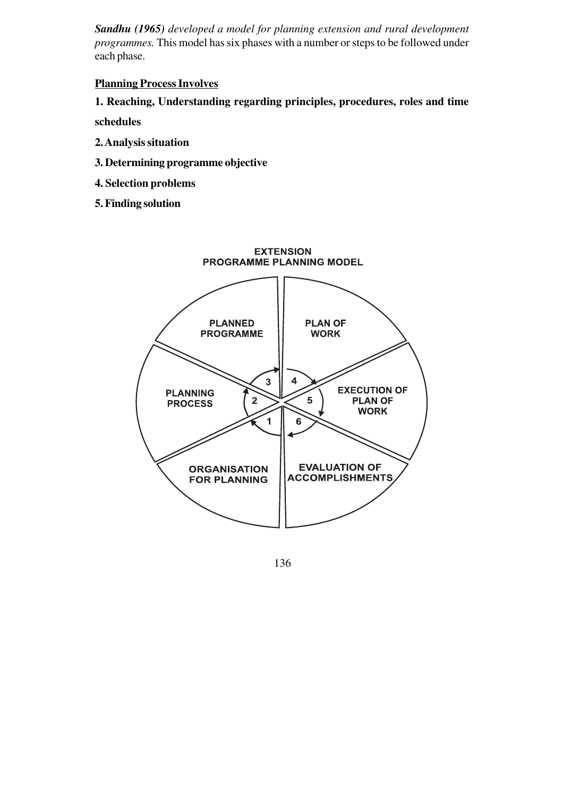*Sandhu (1965) developed a model for planning extension and rural development programmes.* This model has six phases with a number or steps to be followed under each phase.

### **Planning Process Involves**

**1. Reaching, Understanding regarding principles, procedures, roles and time schedules**

- **2. Analysis situation**
- **3. Determining programme objective**
- **4. Selection problems**
- **5. Finding solution**

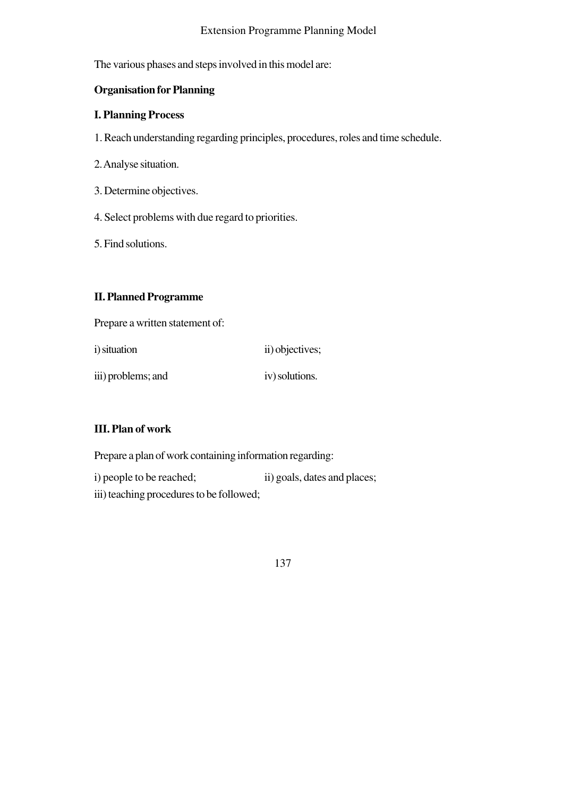### Extension Programme Planning Model

The various phases and steps involved in this model are:

# **Organisation for Planning**

### **I. Planning Process**

1. Reach understanding regarding principles, procedures, roles and time schedule.

- 2. Analyse situation.
- 3. Determine objectives.
- 4. Select problems with due regard to priorities.
- 5. Find solutions.

# **II. Planned Programme**

Prepare a written statement of:

| <i>i</i> ) situation | ii) objectives; |
|----------------------|-----------------|
| iii) problems; and   | iv) solutions.  |

# **III. Plan of work**

Prepare a plan of work containing information regarding:

i) people to be reached; ii) goals, dates and places; iii) teaching procedures to be followed;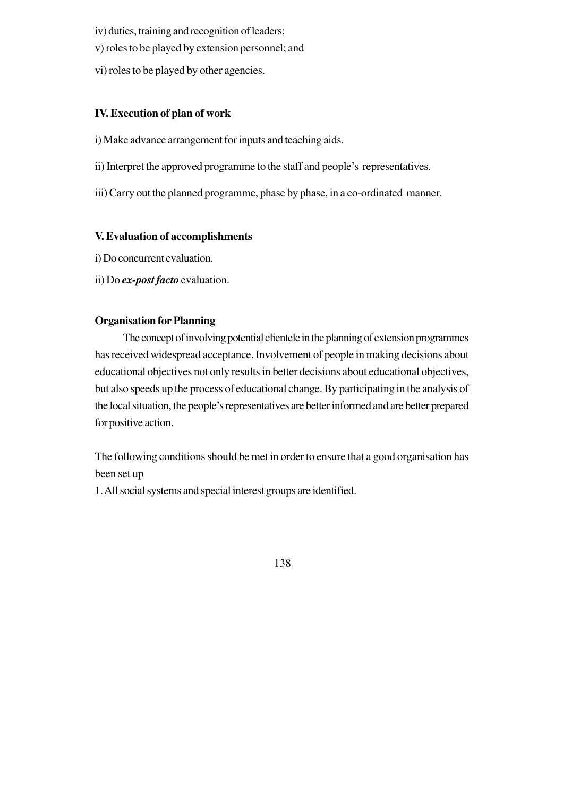- iv) duties, training and recognition of leaders;
- v) roles to be played by extension personnel; and
- vi) roles to be played by other agencies.

# **IV. Execution of plan of work**

- i) Make advance arrangement for inputs and teaching aids.
- ii) Interpret the approved programme to the staff and people's representatives.
- iii) Carry out the planned programme, phase by phase, in a co-ordinated manner.

# **V. Evaluation of accomplishments**

- i) Do concurrent evaluation.
- ii) Do *ex-post facto* evaluation.

# **Organisation for Planning**

The concept of involving potential clientele in the planning of extension programmes has received widespread acceptance. Involvement of people in making decisions about educational objectives not only results in better decisions about educational objectives, but also speeds up the process of educational change. By participating in the analysis of the local situation, the people's representatives are better informed and are better prepared for positive action.

The following conditions should be met in order to ensure that a good organisation has been set up

1. All social systems and special interest groups are identified.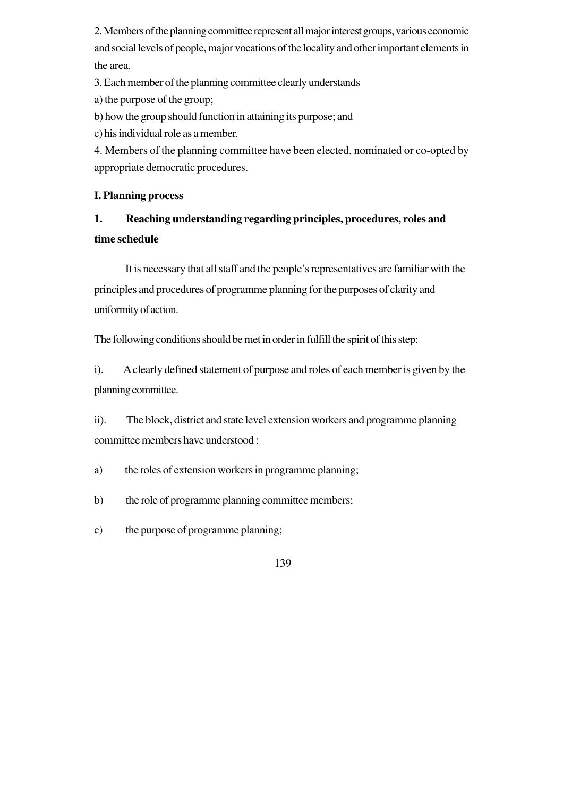2. Members of the planning committee represent all major interest groups, various economic and social levels of people, major vocations of the locality and other important elements in the area.

3. Each member of the planning committee clearly understands

a) the purpose of the group;

b) how the group should function in attaining its purpose; and

c) his individual role as a member.

4. Members of the planning committee have been elected, nominated or co-opted by appropriate democratic procedures.

# **I. Planning process**

# **1. Reaching understanding regarding principles, procedures, roles and time schedule**

It is necessary that all staff and the people's representatives are familiar with the principles and procedures of programme planning for the purposes of clarity and uniformity of action.

The following conditions should be met in order in fulfill the spirit of this step:

i). A clearly defined statement of purpose and roles of each member is given by the planning committee.

ii). The block, district and state level extension workers and programme planning committee members have understood :

a) the roles of extension workers in programme planning;

b) the role of programme planning committee members;

c) the purpose of programme planning;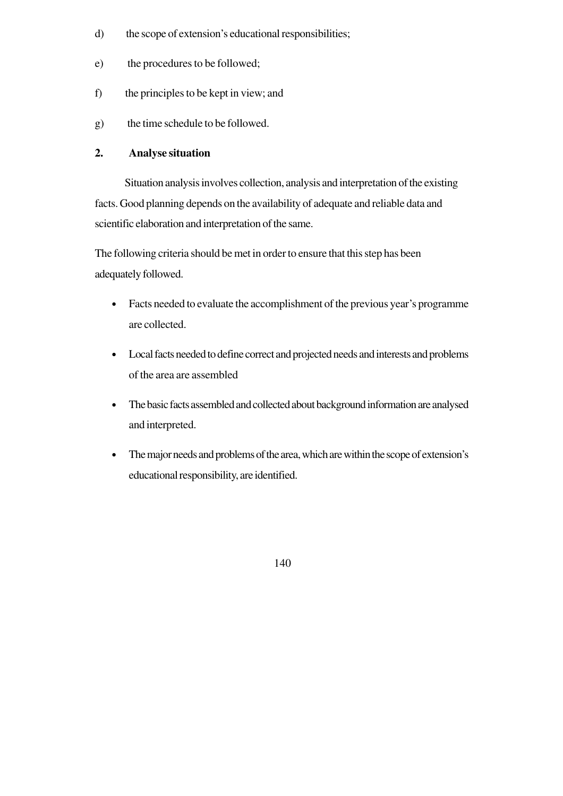- d) the scope of extension's educational responsibilities;
- e) the procedures to be followed;
- f) the principles to be kept in view; and
- g) the time schedule to be followed.

### **2. Analyse situation**

Situation analysis involves collection, analysis and interpretation of the existing facts. Good planning depends on the availability of adequate and reliable data and scientific elaboration and interpretation of the same.

The following criteria should be met in order to ensure that this step has been adequately followed.

- Facts needed to evaluate the accomplishment of the previous year's programme are collected.
- Local facts needed to define correct and projected needs and interests and problems of the area are assembled
- The basic facts assembled and collected about background information are analysed and interpreted.
- The major needs and problems of the area, which are within the scope of extension's educational responsibility, are identified.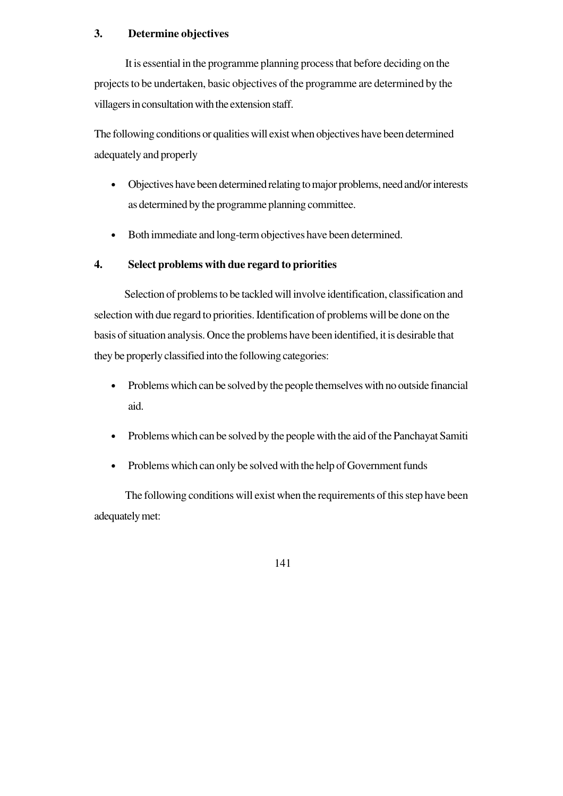### **3. Determine objectives**

It is essential in the programme planning process that before deciding on the projects to be undertaken, basic objectives of the programme are determined by the villagers in consultation with the extension staff.

The following conditions or qualities will exist when objectives have been determined adequately and properly

- Objectives have been determined relating to major problems, need and/or interests as determined by the programme planning committee.
- Both immediate and long-term objectives have been determined.

# **4. Select problems with due regard to priorities**

Selection of problems to be tackled will involve identification, classification and selection with due regard to priorities. Identification of problems will be done on the basis of situation analysis. Once the problems have been identified, it is desirable that they be properly classified into the following categories:

- Problems which can be solved by the people themselves with no outside financial aid.
- Problems which can be solved by the people with the aid of the Panchayat Samiti
- Problems which can only be solved with the help of Government funds

 The following conditions will exist when the requirements of this step have been adequately met: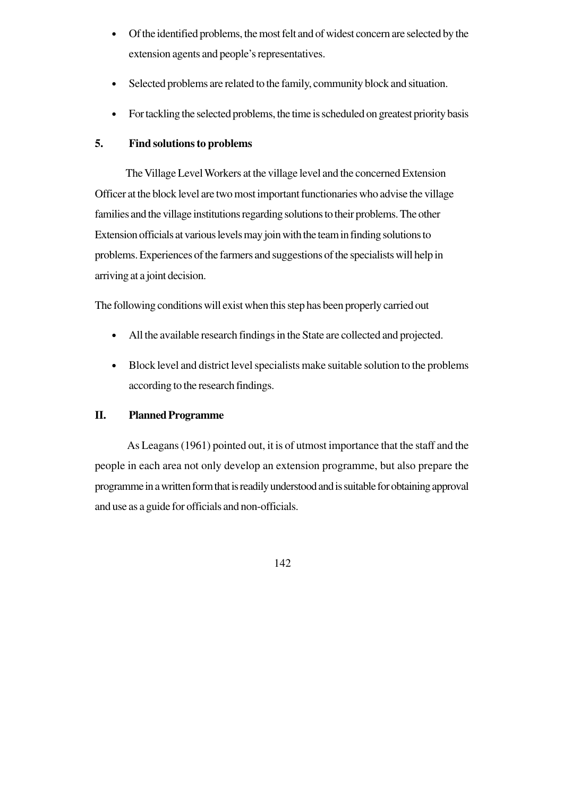- Of the identified problems, the most felt and of widest concern are selected by the extension agents and people's representatives.
- Selected problems are related to the family, community block and situation.
- For tackling the selected problems, the time is scheduled on greatest priority basis

# **5. Find solutions to problems**

The Village Level Workers at the village level and the concerned Extension Officer at the block level are two most important functionaries who advise the village families and the village institutions regarding solutions to their problems. The other Extension officials at various levels may join with the team in finding solutions to problems. Experiences of the farmers and suggestions of the specialists will help in arriving at a joint decision.

The following conditions will exist when this step has been properly carried out

- All the available research findings in the State are collected and projected.
- Block level and district level specialists make suitable solution to the problems according to the research findings.

# **II. Planned Programme**

As Leagans (1961) pointed out, it is of utmost importance that the staff and the people in each area not only develop an extension programme, but also prepare the programme in a written form that is readily understood and is suitable for obtaining approval and use as a guide for officials and non-officials.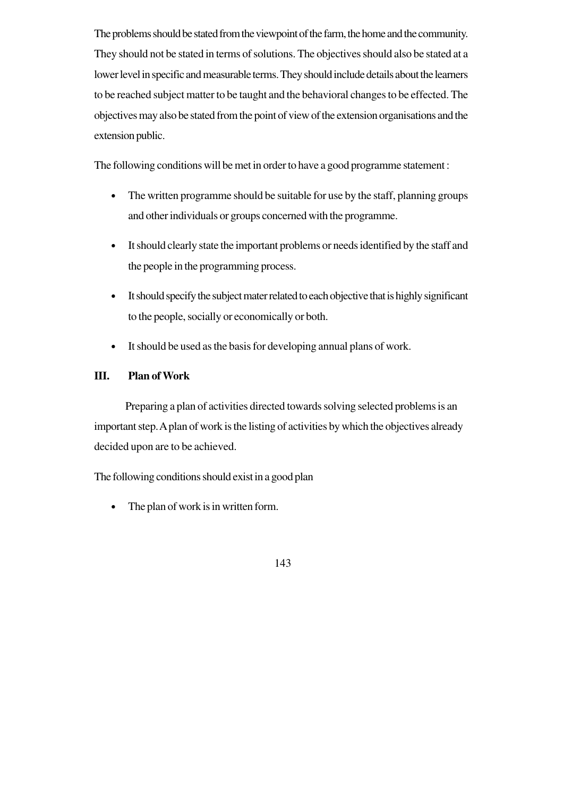The problems should be stated from the viewpoint of the farm, the home and the community. They should not be stated in terms of solutions. The objectives should also be stated at a lower level in specific and measurable terms. They should include details about the learners to be reached subject matter to be taught and the behavioral changes to be effected. The objectives may also be stated from the point of view of the extension organisations and the extension public.

The following conditions will be met in order to have a good programme statement :

- The written programme should be suitable for use by the staff, planning groups and other individuals or groups concerned with the programme.
- It should clearly state the important problems or needs identified by the staff and the people in the programming process.
- It should specify the subject mater related to each objective that is highly significant to the people, socially or economically or both.
- It should be used as the basis for developing annual plans of work.

# **III. Plan of Work**

Preparing a plan of activities directed towards solving selected problems is an important step. A plan of work is the listing of activities by which the objectives already decided upon are to be achieved.

The following conditions should exist in a good plan

• The plan of work is in written form.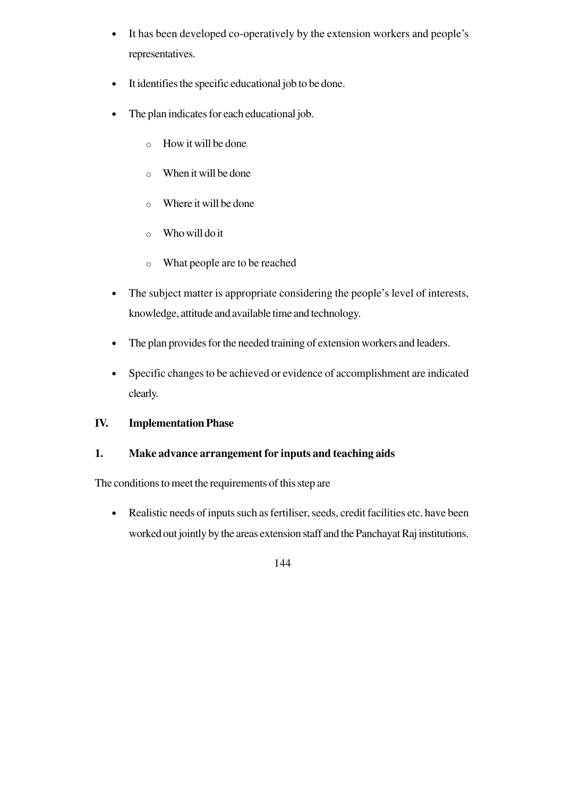- It has been developed co-operatively by the extension workers and people's representatives.
- It identifies the specific educational job to be done.
- The plan indicates for each educational job.
	- o How it will be done
	- o When it will be done
	- o Where it will be done
	- o Who will do it
	- o What people are to be reached
- The subject matter is appropriate considering the people's level of interests, knowledge, attitude and available time and technology.
- The plan provides for the needed training of extension workers and leaders.
- Specific changes to be achieved or evidence of accomplishment are indicated clearly.

# **IV. Implementation Phase**

# **1. Make advance arrangement for inputs and teaching aids**

The conditions to meet the requirements of this step are

• Realistic needs of inputs such as fertiliser, seeds, credit facilities etc. have been worked out jointly by the areas extension staff and the Panchayat Raj institutions.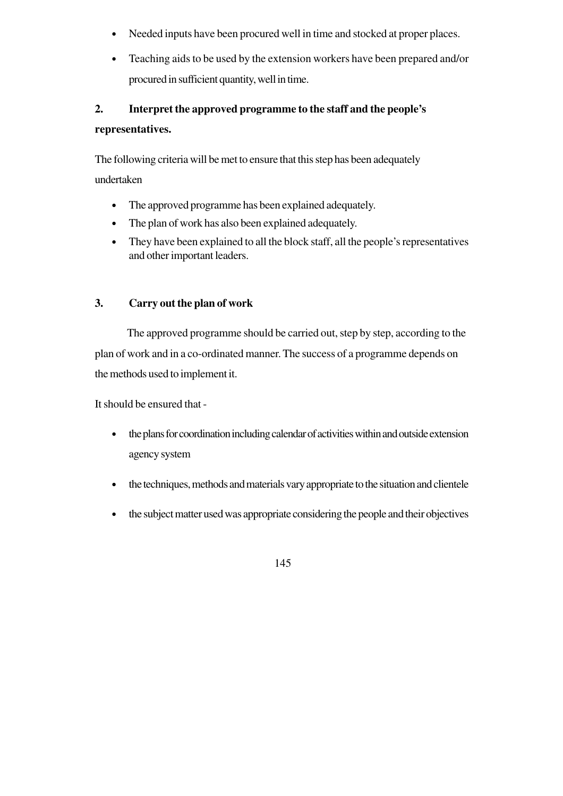- Needed inputs have been procured well in time and stocked at proper places.
- Teaching aids to be used by the extension workers have been prepared and/or procured in sufficient quantity, well in time.

# **2. Interpret the approved programme to the staff and the people's representatives.**

The following criteria will be met to ensure that this step has been adequately undertaken

- The approved programme has been explained adequately.
- The plan of work has also been explained adequately.
- They have been explained to all the block staff, all the people's representatives and other important leaders.

# **3. Carry out the plan of work**

The approved programme should be carried out, step by step, according to the plan of work and in a co-ordinated manner. The success of a programme depends on the methods used to implement it.

It should be ensured that -

- the plans for coordination including calendar of activities within and outside extension agency system
- the techniques, methods and materials vary appropriate to the situation and clientele
- the subject matter used was appropriate considering the people and their objectives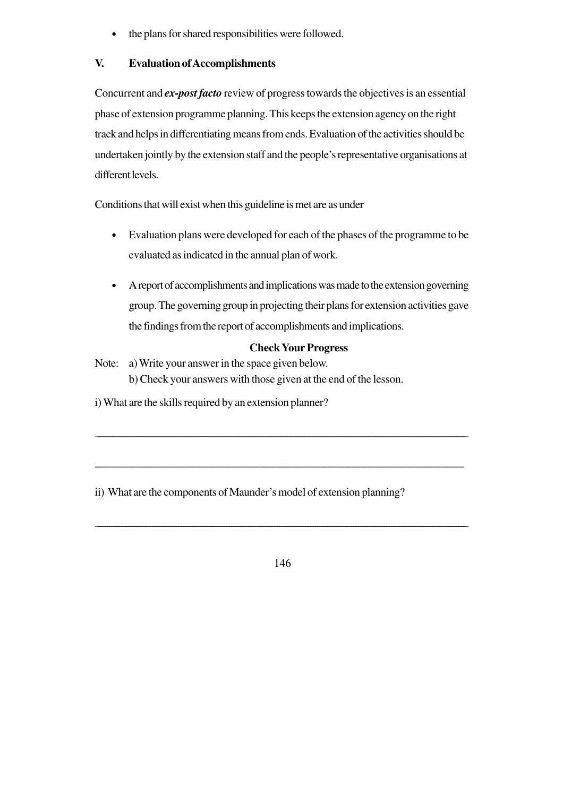the plans for shared responsibilities were followed.

# **V. Evaluation of Accomplishments**

Concurrent and *ex-postfacto* review of progress towards the objectives is an essential phase of extension programme planning. This keeps the extension agency on the right track and helps in differentiating means from ends. Evaluation of the activities should be undertaken jointly by the extension staff and the people's representative organisations at different levels.

Conditions that will exist when this guideline is met are as under

- Evaluation plans were developed for each of the phases of the programme to be evaluated as indicated in the annual plan of work.
- A report of accomplishments and implications was made to the extension governing group. The governing group in projecting their plans for extension activities gave the findings from the report of accomplishments and implications.

# **Check Your Progress**

Note: a) Write your answer in the space given below. b) Check your answers with those given at the end of the lesson.

i) What are the skills required by an extension planner?

ii) What are the components of Maunder's model of extension planning?

146

\_\_\_\_\_\_\_\_\_\_\_\_\_\_\_\_\_\_\_\_\_\_\_\_\_\_\_\_\_\_\_\_\_\_\_\_\_\_\_\_\_\_\_\_\_\_\_\_\_\_\_\_\_\_\_\_\_\_\_\_\_\_\_\_\_\_\_\_\_\_\_\_\_\_\_\_\_\_\_\_\_\_\_\_\_\_\_\_\_\_\_\_\_\_\_\_\_\_\_\_\_\_\_\_\_\_\_\_\_\_\_\_\_\_\_\_\_\_\_\_\_\_\_\_\_\_\_\_\_\_\_\_\_\_\_\_\_\_\_\_\_\_\_\_\_\_\_\_\_\_\_\_\_\_\_

\_\_\_\_\_\_\_\_\_\_\_\_\_\_\_\_\_\_\_\_\_\_\_\_\_\_\_\_\_\_\_\_\_\_\_\_\_\_\_\_\_\_\_\_\_\_\_\_\_\_\_\_\_\_\_\_\_\_\_\_\_\_\_\_\_\_\_\_\_\_\_\_\_\_\_\_\_\_\_\_\_\_\_\_\_\_\_\_\_\_\_\_\_\_\_\_\_\_\_\_\_\_\_\_\_\_\_\_\_\_\_\_\_\_\_\_\_\_\_\_\_\_\_\_\_\_\_\_\_\_\_\_\_\_\_\_\_\_\_\_\_\_\_\_\_\_\_\_\_\_\_\_

\_\_\_\_\_\_\_\_\_\_\_\_\_\_\_\_\_\_\_\_\_\_\_\_\_\_\_\_\_\_\_\_\_\_\_\_\_\_\_\_\_\_\_\_\_\_\_\_\_\_\_\_\_\_\_\_\_\_\_\_\_\_\_\_\_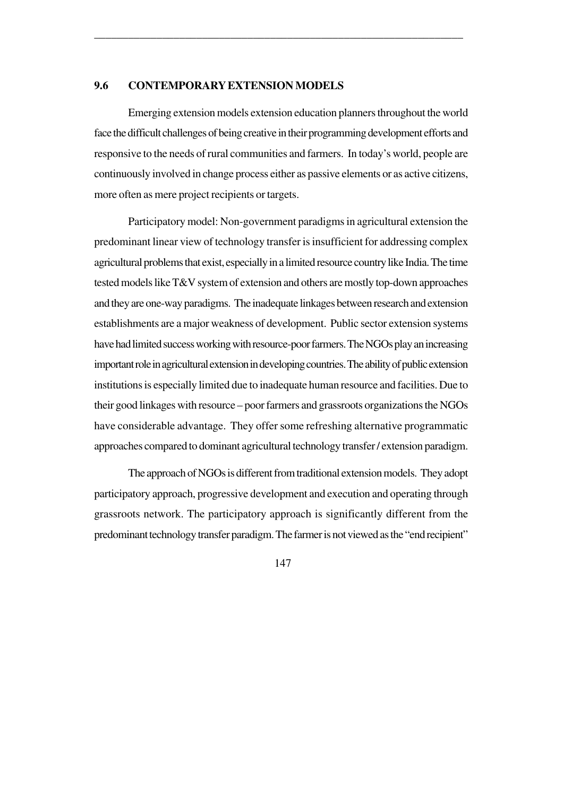#### **9.6 CONTEMPORARY EXTENSION MODELS**

Emerging extension models extension education planners throughout the world face the difficult challenges of being creative in their programming development efforts and responsive to the needs of rural communities and farmers. In today's world, people are continuously involved in change process either as passive elements or as active citizens, more often as mere project recipients or targets.

\_\_\_\_\_\_\_\_\_\_\_\_\_\_\_\_\_\_\_\_\_\_\_\_\_\_\_\_\_\_\_\_\_\_\_\_\_\_\_\_\_\_\_\_\_\_\_\_\_\_\_\_\_\_\_\_\_\_\_\_\_\_\_\_\_

Participatory model: Non-government paradigms in agricultural extension the predominant linear view of technology transfer is insufficient for addressing complex agricultural problems that exist, especially in a limited resource country like India. The time tested models like T&V system of extension and others are mostly top-down approaches and they are one-way paradigms. The inadequate linkages between research and extension establishments are a major weakness of development. Public sector extension systems have had limited success working with resource-poor farmers. The NGOs play an increasing important role in agricultural extension in developing countries. The ability of public extension institutions is especially limited due to inadequate human resource and facilities. Due to their good linkages with resource – poor farmers and grassroots organizations the NGOs have considerable advantage. They offer some refreshing alternative programmatic approaches compared to dominant agricultural technology transfer / extension paradigm.

The approach of NGOs is different from traditional extension models. They adopt participatory approach, progressive development and execution and operating through grassroots network. The participatory approach is significantly different from the predominant technology transfer paradigm. The farmer is not viewed as the "end recipient"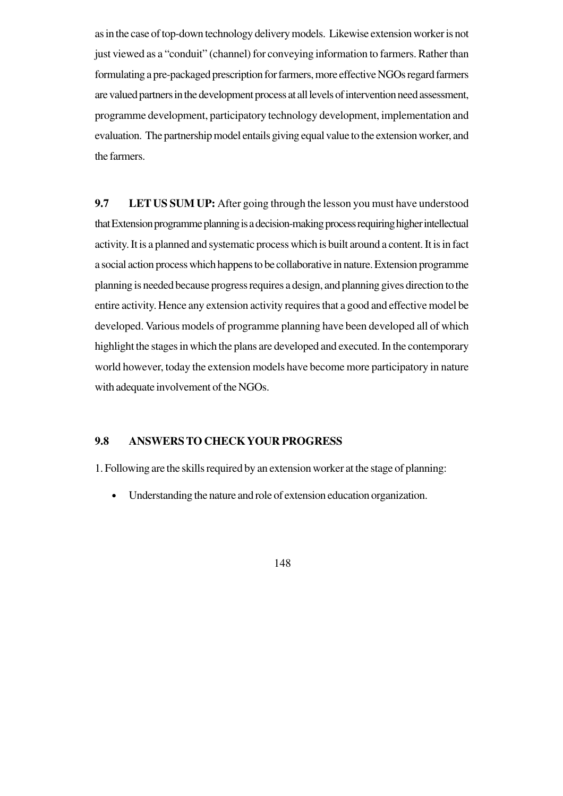as in the case of top-down technology delivery models. Likewise extension worker is not just viewed as a "conduit" (channel) for conveying information to farmers. Rather than formulating a pre-packaged prescription for farmers, more effective NGOs regard farmers are valued partners in the development process at all levels of intervention need assessment, programme development, participatory technology development, implementation and evaluation. The partnership model entails giving equal value to the extension worker, and the farmers.

**9.7 LET US SUM UP:** After going through the lesson you must have understood that Extension programme planning is a decision-making process requiring higher intellectual activity. It is a planned and systematic process which is built around a content. It is in fact a social action process which happens to be collaborative in nature. Extension programme planning is needed because progress requires a design, and planning gives direction to the entire activity. Hence any extension activity requires that a good and effective model be developed. Various models of programme planning have been developed all of which highlight the stages in which the plans are developed and executed. In the contemporary world however, today the extension models have become more participatory in nature with adequate involvement of the NGOs.

# **9.8 ANSWERS TO CHECK YOUR PROGRESS**

1. Following are the skills required by an extension worker at the stage of planning:

• Understanding the nature and role of extension education organization.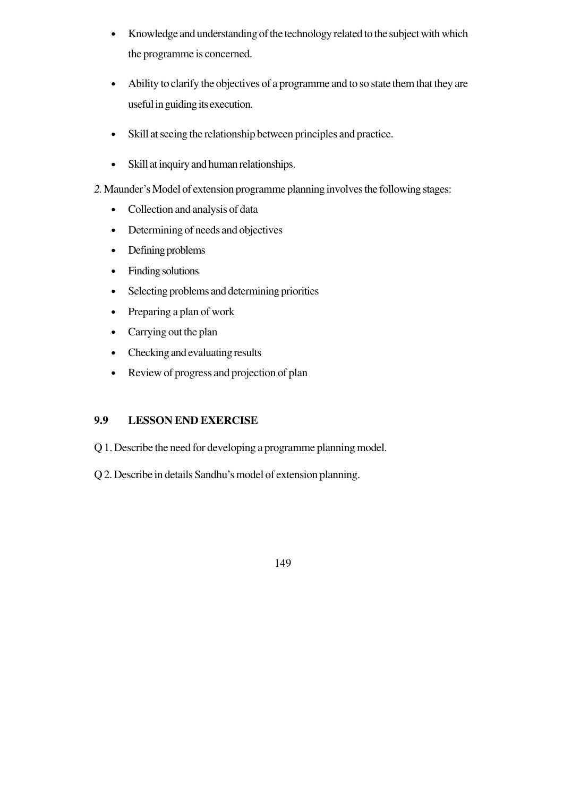- Knowledge and understanding of the technology related to the subject with which the programme is concerned.
- Ability to clarify the objectives of a programme and to so state them that they are useful in guiding its execution.
- Skill at seeing the relationship between principles and practice.
- Skill at inquiry and human relationships.
- *2.* Maunder's Model of extension programme planning involves the following stages:
	- Collection and analysis of data
	- Determining of needs and objectives
	- Defining problems
	- Finding solutions
	- Selecting problems and determining priorities
	- Preparing a plan of work
	- Carrying out the plan
	- Checking and evaluating results
	- Review of progress and projection of plan

# **9.9 LESSON END EXERCISE**

- Q 1. Describe the need for developing a programme planning model.
- Q 2. Describe in details Sandhu's model of extension planning.
	- 149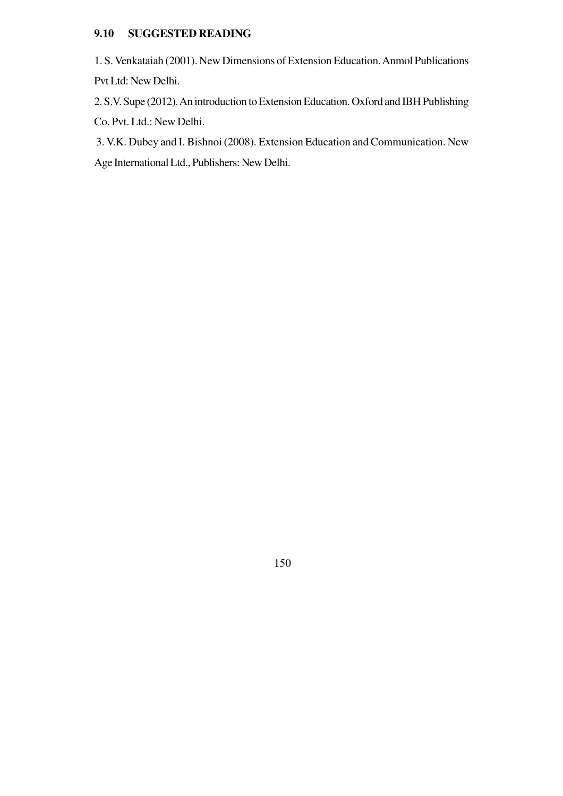# **9.10 SUGGESTED READING**

1. S. Venkataiah (2001). New Dimensions of Extension Education. Anmol Publications Pvt Ltd: New Delhi.

2. S.V. Supe (2012). An introduction to Extension Education. Oxford and IBH Publishing Co. Pvt. Ltd.: New Delhi.

 3. V.K. Dubey and I. Bishnoi (2008). Extension Education and Communication. New Age International Ltd., Publishers: New Delhi.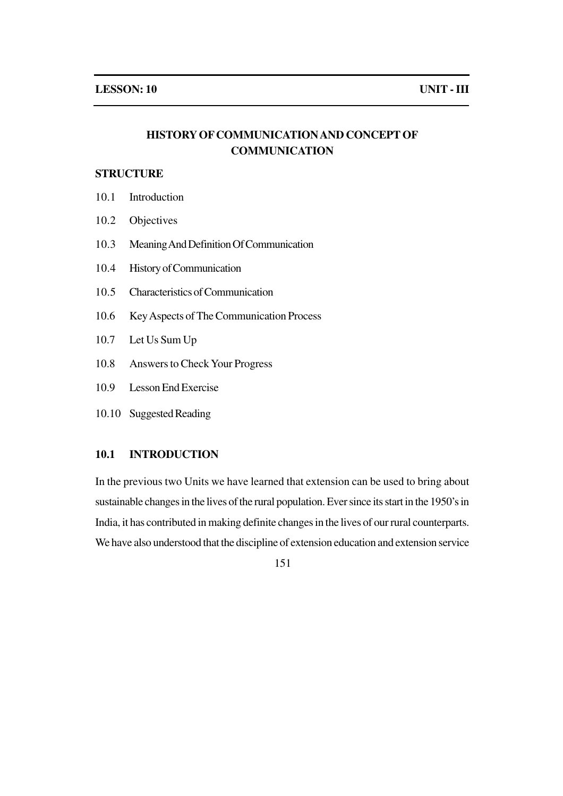# **HISTORY OF COMMUNICATION AND CONCEPT OF COMMUNICATION**

### **STRUCTURE**

- 10.1 Introduction
- 10.2 Objectives
- 10.3 Meaning And Definition Of Communication
- 10.4 History of Communication
- 10.5 Characteristics of Communication
- 10.6 Key Aspects of The Communication Process
- 10.7 Let Us Sum Up
- 10.8 Answers to Check Your Progress
- 10.9 Lesson End Exercise
- 10.10 Suggested Reading

### **10.1 INTRODUCTION**

In the previous two Units we have learned that extension can be used to bring about sustainable changes in the lives of the rural population. Ever since its start in the 1950's in India, it has contributed in making definite changes in the lives of our rural counterparts. We have also understood that the discipline of extension education and extension service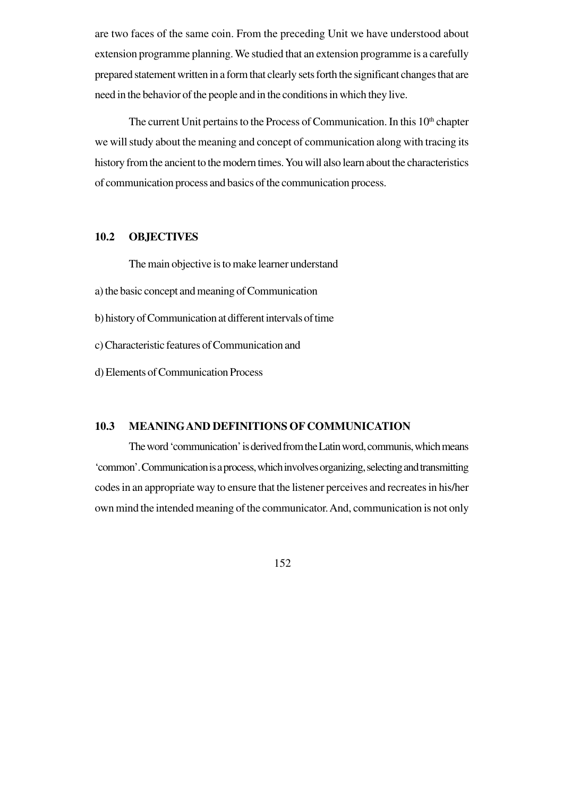are two faces of the same coin. From the preceding Unit we have understood about extension programme planning. We studied that an extension programme is a carefully prepared statement written in a form that clearly sets forth the significant changes that are need in the behavior of the people and in the conditions in which they live.

The current Unit pertains to the Process of Communication. In this  $10<sup>th</sup>$  chapter we will study about the meaning and concept of communication along with tracing its history from the ancient to the modern times. You will also learn about the characteristics of communication process and basics of the communication process.

### **10.2 OBJECTIVES**

The main objective is to make learner understand

- a) the basic concept and meaning of Communication
- b) history of Communication at different intervals of time

c) Characteristic features of Communication and

d) Elements of Communication Process

#### **10.3 MEANINGAND DEFINITIONS OF COMMUNICATION**

The word 'communication' is derived from the Latin word, communis, which means 'common'. Communication is a process, which involves organizing, selecting and transmitting codes in an appropriate way to ensure that the listener perceives and recreates in his/her own mind the intended meaning of the communicator. And, communication is not only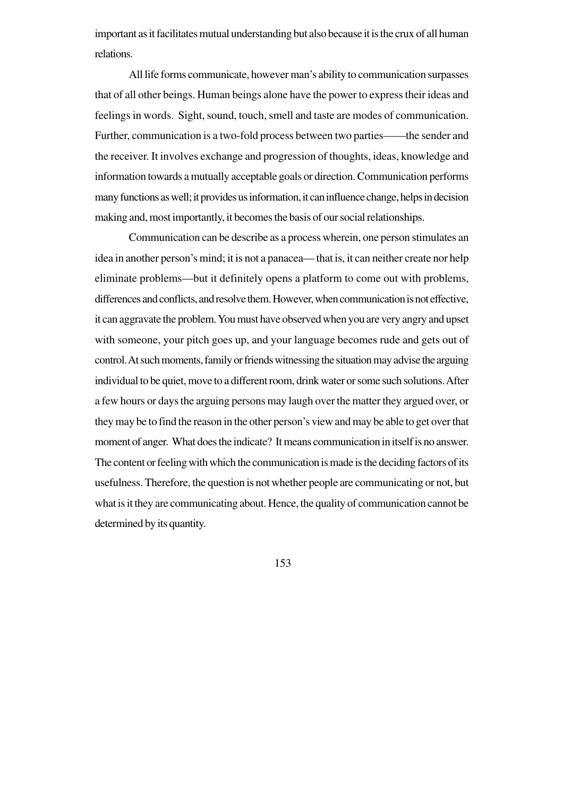important as it facilitates mutual understanding but also because it is the crux of all human relations.

All life forms communicate, however man's ability to communication surpasses that of all other beings. Human beings alone have the power to express their ideas and feelings in words. Sight, sound, touch, smell and taste are modes of communication. Further, communication is a two-fold process between two parties——the sender and the receiver. It involves exchange and progression of thoughts, ideas, knowledge and information towards a mutually acceptable goals or direction. Communication performs many functions as well; it provides us information, it can influence change, helps in decision making and, most importantly, it becomes the basis of our social relationships.

Communication can be describe as a process wherein, one person stimulates an idea in another person's mind; it is not a panacea— that is, it can neither create nor help eliminate problems—but it definitely opens a platform to come out with problems, differences and conflicts, and resolve them. However, when communication is not effective, it can aggravate the problem. You must have observed when you are very angry and upset with someone, your pitch goes up, and your language becomes rude and gets out of control. At such moments, family or friends witnessing the situation may advise the arguing individual to be quiet, move to a different room, drink water or some such solutions. After a few hours or days the arguing persons may laugh over the matter they argued over, or they may be to find the reason in the other person's view and may be able to get over that moment of anger. What does the indicate? It means communication in itself is no answer. The content or feeling with which the communication is made is the deciding factors of its usefulness. Therefore, the question is not whether people are communicating or not, but what is it they are communicating about. Hence, the quality of communication cannot be determined by its quantity.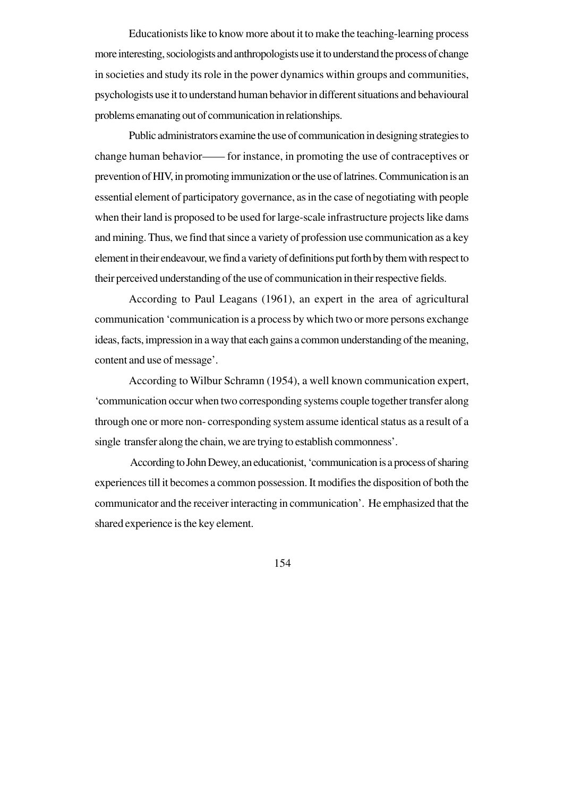Educationists like to know more about it to make the teaching-learning process more interesting, sociologists and anthropologists use it to understand the process of change in societies and study its role in the power dynamics within groups and communities, psychologists use it to understand human behavior in different situations and behavioural problems emanating out of communication in relationships.

Public administrators examine the use of communication in designing strategies to change human behavior—— for instance, in promoting the use of contraceptives or prevention of HIV, in promoting immunization or the use of latrines. Communication is an essential element of participatory governance, as in the case of negotiating with people when their land is proposed to be used for large-scale infrastructure projects like dams and mining. Thus, we find that since a variety of profession use communication as a key element in their endeavour, we find a variety of definitions put forth by them with respect to their perceived understanding of the use of communication in their respective fields.

According to Paul Leagans (1961), an expert in the area of agricultural communication 'communication is a process by which two or more persons exchange ideas, facts, impression in a way that each gains a common understanding of the meaning, content and use of message'.

According to Wilbur Schramn (1954), a well known communication expert, 'communication occur when two corresponding systems couple together transfer along through one or more non- corresponding system assume identical status as a result of a single transfer along the chain, we are trying to establish commonness'.

According to John Dewey, an educationist, 'communication is a process of sharing experiences till it becomes a common possession. It modifies the disposition of both the communicator and the receiver interacting in communication'. He emphasized that the shared experience is the key element.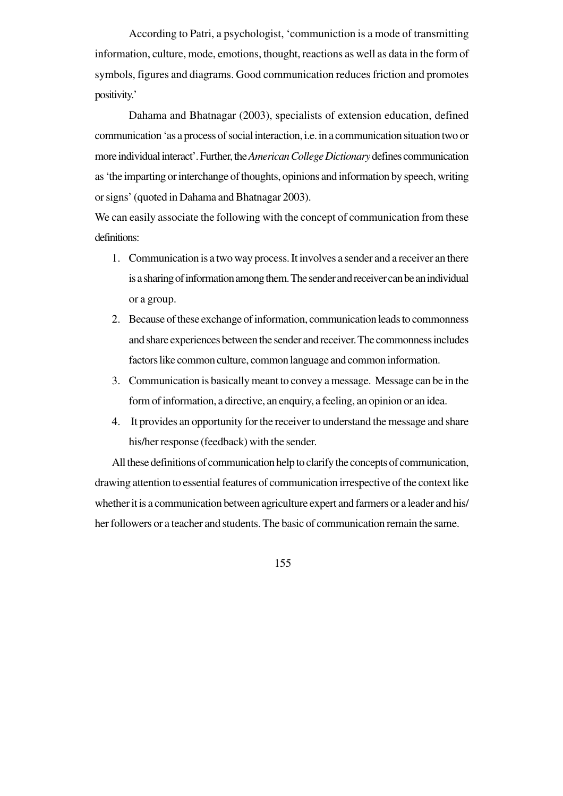According to Patri, a psychologist, 'communiction is a mode of transmitting information, culture, mode, emotions, thought, reactions as well as data in the form of symbols, figures and diagrams. Good communication reduces friction and promotes positivity.'

Dahama and Bhatnagar (2003), specialists of extension education, defined communication 'as a process of social interaction, i.e. in a communication situation two or more individual interact'. Further, the *American College Dictionary* defines communication as 'the imparting or interchange of thoughts, opinions and information by speech, writing or signs' (quoted in Dahama and Bhatnagar 2003).

We can easily associate the following with the concept of communication from these definitions:

- 1. Communication is a two way process. It involves a sender and a receiver an there is a sharing of information among them. The sender and receiver can be an individual or a group.
- 2. Because of these exchange of information, communication leads to commonness and share experiences between the sender and receiver. The commonness includes factors like common culture, common language and common information.
- 3. Communication is basically meant to convey a message. Message can be in the form of information, a directive, an enquiry, a feeling, an opinion or an idea.
- 4. It provides an opportunity for the receiver to understand the message and share his/her response (feedback) with the sender.

All these definitions of communication help to clarify the concepts of communication, drawing attention to essential features of communication irrespective of the context like whether it is a communication between agriculture expert and farmers or a leader and his/ her followers or a teacher and students. The basic of communication remain the same.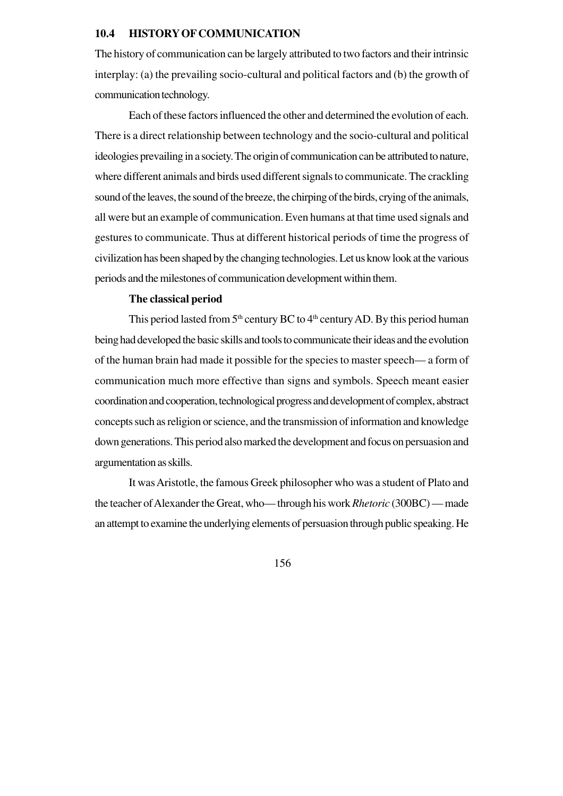#### **10.4 HISTORY OF COMMUNICATION**

The history of communication can be largely attributed to two factors and their intrinsic interplay: (a) the prevailing socio-cultural and political factors and (b) the growth of communication technology.

Each of these factors influenced the other and determined the evolution of each. There is a direct relationship between technology and the socio-cultural and political ideologies prevailing in a society. The origin of communication can be attributed to nature, where different animals and birds used different signals to communicate. The crackling sound of the leaves, the sound of the breeze, the chirping of the birds, crying of the animals, all were but an example of communication. Even humans at that time used signals and gestures to communicate. Thus at different historical periods of time the progress of civilization has been shaped by the changing technologies. Let us know look at the various periods and the milestones of communication development within them.

#### **The classical period**

This period lasted from  $5<sup>th</sup>$  century BC to  $4<sup>th</sup>$  century AD. By this period human being had developed the basic skills and tools to communicate their ideas and the evolution of the human brain had made it possible for the species to master speech— a form of communication much more effective than signs and symbols. Speech meant easier coordination and cooperation, technological progress and development of complex, abstract concepts such as religion or science, and the transmission of information and knowledge down generations. This period also marked the development and focus on persuasion and argumentation as skills.

It was Aristotle, the famous Greek philosopher who was a student of Plato and the teacher of Alexander the Great, who— through his work *Rhetoric* (300BC) — made an attempt to examine the underlying elements of persuasion through public speaking. He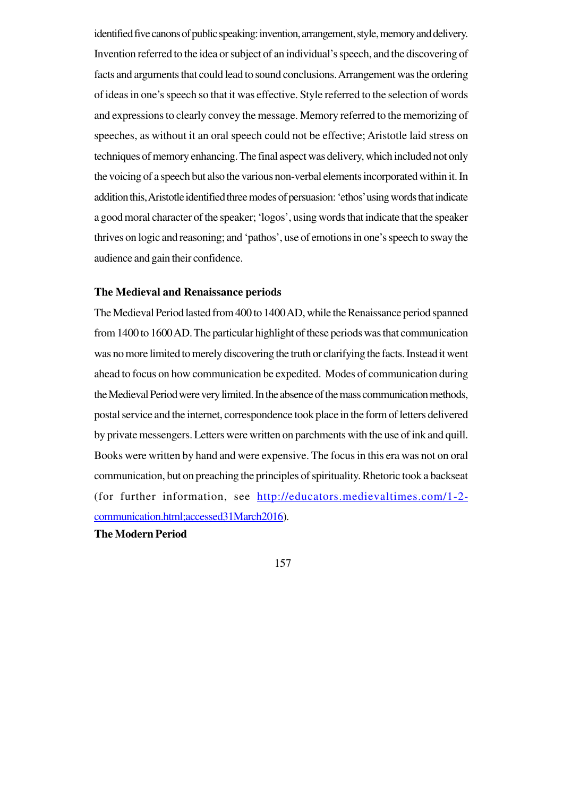identified five canons of public speaking: invention, arrangement, style, memory and delivery. Invention referred to the idea or subject of an individual's speech, and the discovering of facts and arguments that could lead to sound conclusions. Arrangement was the ordering of ideas in one's speech so that it was effective. Style referred to the selection of words and expressions to clearly convey the message. Memory referred to the memorizing of speeches, as without it an oral speech could not be effective; Aristotle laid stress on techniques of memory enhancing. The final aspect was delivery, which included not only the voicing of a speech but also the various non-verbal elements incorporated within it. In addition this, Aristotle identified three modes of persuasion: 'ethos' using words that indicate a good moral character of the speaker; 'logos', using words that indicate that the speaker thrives on logic and reasoning; and 'pathos', use of emotions in one's speech to sway the audience and gain their confidence.

#### **The Medieval and Renaissance periods**

The Medieval Period lasted from 400 to 1400 AD, while the Renaissance period spanned from 1400 to 1600 AD. The particular highlight of these periods was that communication was no more limited to merely discovering the truth or clarifying the facts. Instead it went ahead to focus on how communication be expedited. Modes of communication during the Medieval Period were very limited. In the absence of the mass communication methods, postal service and the internet, correspondence took place in the form of letters delivered by private messengers. Letters were written on parchments with the use of ink and quill. Books were written by hand and were expensive. The focus in this era was not on oral communication, but on preaching the principles of spirituality. Rhetoric took a backseat (for further information, see http://educators.medievaltimes.com/1-2 communication.html;accessed31March2016).

### **The Modern Period**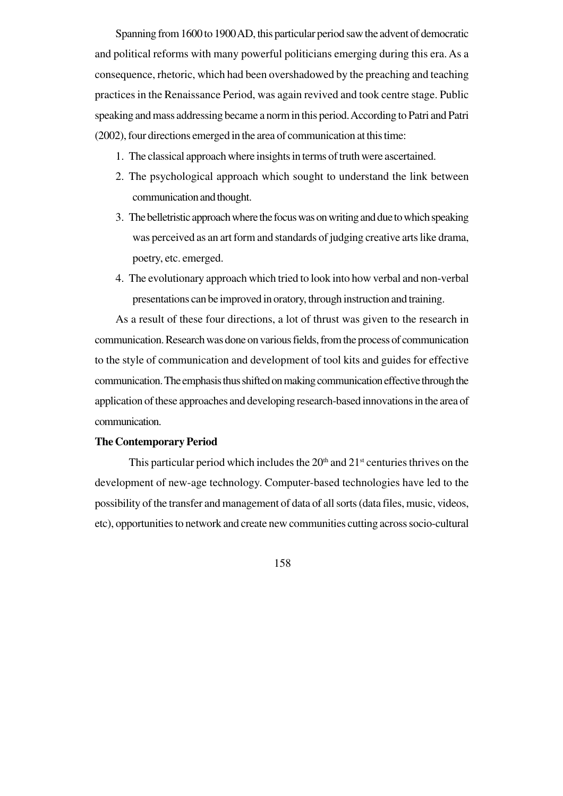Spanning from 1600 to 1900 AD, this particular period saw the advent of democratic and political reforms with many powerful politicians emerging during this era. As a consequence, rhetoric, which had been overshadowed by the preaching and teaching practices in the Renaissance Period, was again revived and took centre stage. Public speaking and mass addressing became a norm in this period. According to Patri and Patri (2002), four directions emerged in the area of communication at this time:

- 1. The classical approach where insights in terms of truth were ascertained.
- 2. The psychological approach which sought to understand the link between communication and thought.
- 3. The belletristic approach where the focus was on writing and due to which speaking was perceived as an art form and standards of judging creative arts like drama, poetry, etc. emerged.
- 4. The evolutionary approach which tried to look into how verbal and non-verbal presentations can be improved in oratory, through instruction and training.

As a result of these four directions, a lot of thrust was given to the research in communication. Research was done on various fields, from the process of communication to the style of communication and development of tool kits and guides for effective communication. The emphasis thus shifted on making communication effective through the application of these approaches and developing research-based innovations in the area of communication.

#### **The Contemporary Period**

This particular period which includes the  $20<sup>th</sup>$  and  $21<sup>st</sup>$  centuries thrives on the development of new-age technology. Computer-based technologies have led to the possibility of the transfer and management of data of all sorts (data files, music, videos, etc), opportunities to network and create new communities cutting across socio-cultural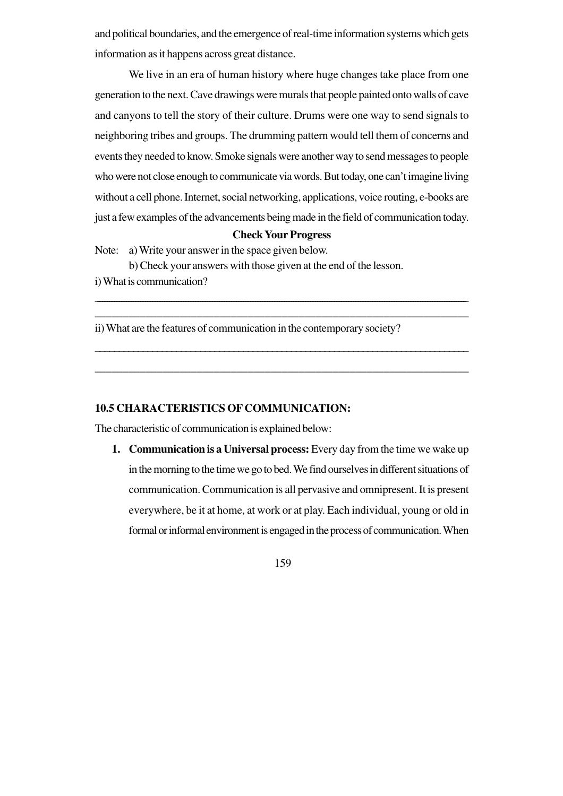and political boundaries, and the emergence of real-time information systems which gets information as it happens across great distance.

We live in an era of human history where huge changes take place from one generation to the next. Cave drawings were murals that people painted onto walls of cave and canyons to tell the story of their culture. Drums were one way to send signals to neighboring tribes and groups. The drumming pattern would tell them of concerns and events they needed to know. Smoke signals were another way to send messages to people who were not close enough to communicate via words. But today, one can't imagine living without a cell phone. Internet, social networking, applications, voice routing, e-books are just a few examples of the advancements being made in the field of communication today.

# **Check Your Progress**

\_\_\_\_\_\_\_\_\_\_\_\_\_\_\_\_\_\_\_\_\_\_\_\_\_\_\_\_\_\_\_\_\_\_\_\_\_\_\_\_\_\_\_\_\_\_\_\_\_\_\_\_\_\_\_\_\_\_\_\_\_\_\_\_\_\_\_\_\_\_\_\_\_\_\_\_\_\_\_\_\_\_\_\_\_\_\_\_\_\_\_\_\_\_\_\_\_\_\_\_\_\_\_\_\_\_\_\_\_\_\_\_\_\_\_\_\_\_\_\_\_\_\_\_\_\_\_\_\_\_\_\_\_\_\_\_\_\_\_\_\_\_\_\_\_\_\_\_\_\_\_\_\_\_\_ \_\_\_\_\_\_\_\_\_\_\_\_\_\_\_\_\_\_\_\_\_\_\_\_\_\_\_\_\_\_\_\_\_\_\_\_\_\_\_\_\_\_\_\_\_\_\_\_\_\_\_\_\_\_\_\_\_\_\_\_\_\_\_\_\_\_

\_\_\_\_\_\_\_\_\_\_\_\_\_\_\_\_\_\_\_\_\_\_\_\_\_\_\_\_\_\_\_\_\_\_\_\_\_\_\_\_\_\_\_\_\_\_\_\_\_\_\_\_\_\_\_\_\_\_\_\_\_\_\_\_\_\_\_\_\_\_\_\_\_\_\_\_\_\_

\_\_\_\_\_\_\_\_\_\_\_\_\_\_\_\_\_\_\_\_\_\_\_\_\_\_\_\_\_\_\_\_\_\_\_\_\_\_\_\_\_\_\_\_\_\_\_\_\_\_\_\_\_\_\_\_\_\_\_\_\_\_\_\_\_\_

Note: a) Write your answer in the space given below.

b) Check your answers with those given at the end of the lesson.

i) What is communication?

ii) What are the features of communication in the contemporary society?

### **10.5 CHARACTERISTICS OF COMMUNICATION:**

The characteristic of communication is explained below:

**1. Communication is a Universal process:** Every day from the time we wake up in the morning to the time we go to bed. We find ourselves in different situations of communication. Communication is all pervasive and omnipresent. It is present everywhere, be it at home, at work or at play. Each individual, young or old in formal or informal environment is engaged in the process of communication. When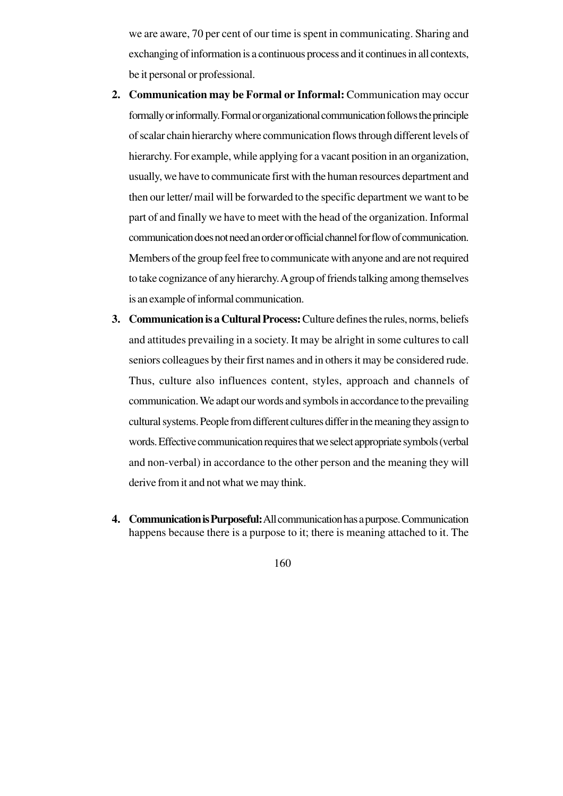we are aware, 70 per cent of our time is spent in communicating. Sharing and exchanging of information is a continuous process and it continues in all contexts, be it personal or professional.

- **2. Communication may be Formal or Informal:** Communication may occur formally or informally. Formal or organizational communication follows the principle of scalar chain hierarchy where communication flows through different levels of hierarchy. For example, while applying for a vacant position in an organization, usually, we have to communicate first with the human resources department and then our letter/ mail will be forwarded to the specific department we want to be part of and finally we have to meet with the head of the organization. Informal communication does not need an order or official channel for flow of communication. Members of the group feel free to communicate with anyone and are not required to take cognizance of any hierarchy. A group of friends talking among themselves is an example of informal communication.
- **3. Communication is a Cultural Process:** Culture defines the rules, norms, beliefs and attitudes prevailing in a society. It may be alright in some cultures to call seniors colleagues by their first names and in others it may be considered rude. Thus, culture also influences content, styles, approach and channels of communication. We adapt our words and symbols in accordance to the prevailing cultural systems. People from different cultures differ in the meaning they assign to words. Effective communication requires that we select appropriate symbols (verbal and non-verbal) in accordance to the other person and the meaning they will derive from it and not what we may think.
- **4. Communication is Purposeful:**All communication has a purpose. Communication happens because there is a purpose to it; there is meaning attached to it. The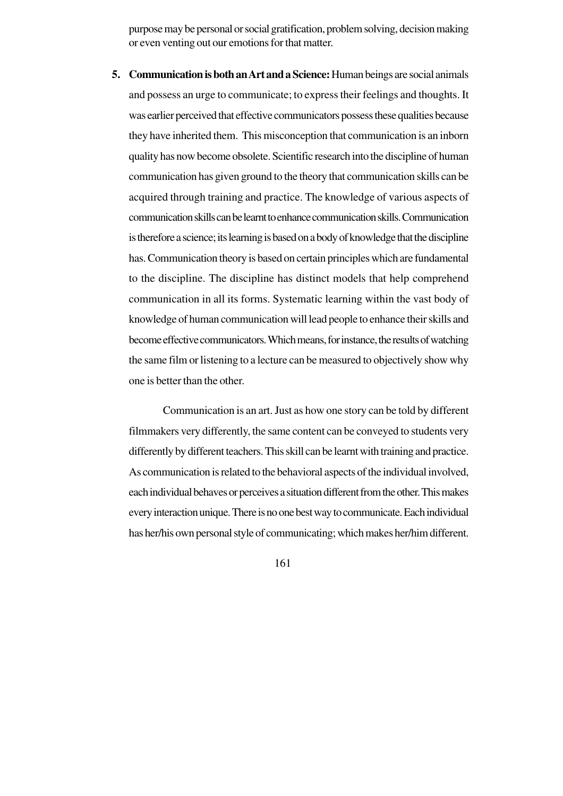purpose may be personal or social gratification, problem solving, decision making or even venting out our emotions for that matter.

**5. Communication is both an Art and a Science:** Human beings are social animals and possess an urge to communicate; to express their feelings and thoughts. It was earlier perceived that effective communicators possess these qualities because they have inherited them. This misconception that communication is an inborn quality has now become obsolete. Scientific research into the discipline of human communication has given ground to the theory that communication skills can be acquired through training and practice. The knowledge of various aspects of communication skills can be learnt to enhance communication skills. Communication is therefore a science; its learning is based on a body of knowledge that the discipline has. Communication theory is based on certain principles which are fundamental to the discipline. The discipline has distinct models that help comprehend communication in all its forms. Systematic learning within the vast body of knowledge of human communication will lead people to enhance their skills and become effective communicators. Which means, for instance, the results of watching the same film or listening to a lecture can be measured to objectively show why one is better than the other.

Communication is an art. Just as how one story can be told by different filmmakers very differently, the same content can be conveyed to students very differently by different teachers. This skill can be learnt with training and practice. As communication is related to the behavioral aspects of the individual involved, each individual behaves or perceives a situation different from the other. This makes every interaction unique. There is no one best way to communicate. Each individual has her/his own personal style of communicating; which makes her/him different.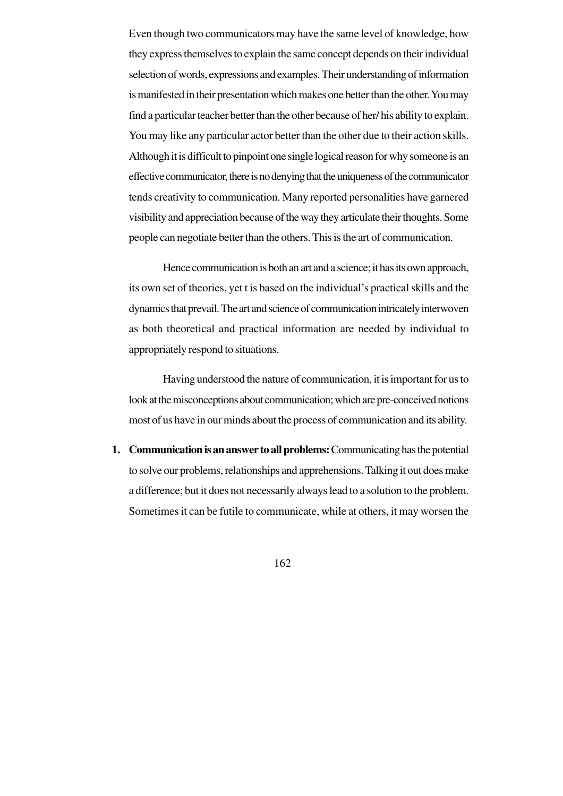Even though two communicators may have the same level of knowledge, how they express themselves to explain the same concept depends on their individual selection of words, expressions and examples. Their understanding of information is manifested in their presentation which makes one better than the other. You may find a particular teacher better than the other because of her/ his ability to explain. You may like any particular actor better than the other due to their action skills. Although it is difficult to pinpoint one single logical reason for why someone is an effective communicator, there is no denying that the uniqueness of the communicator tends creativity to communication. Many reported personalities have garnered visibility and appreciation because of the way they articulate their thoughts. Some people can negotiate better than the others. This is the art of communication.

Hence communication is both an art and a science; it has its own approach, its own set of theories, yet t is based on the individual's practical skills and the dynamics that prevail. The art and science of communication intricately interwoven as both theoretical and practical information are needed by individual to appropriately respond to situations.

Having understood the nature of communication, it is important for us to look at the misconceptions about communication; which are pre-conceived notions most of us have in our minds about the process of communication and its ability.

**1. Communication is an answer to all problems:** Communicating has the potential to solve our problems, relationships and apprehensions. Talking it out does make a difference; but it does not necessarily always lead to a solution to the problem. Sometimes it can be futile to communicate, while at others, it may worsen the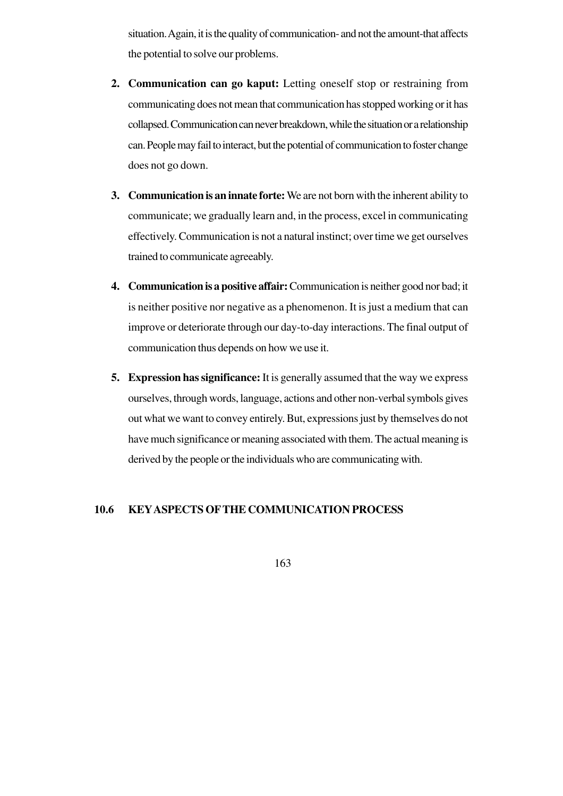situation. Again, it is the quality of communication- and not the amount-that affects the potential to solve our problems.

- **2. Communication can go kaput:** Letting oneself stop or restraining from communicating does not mean that communication has stopped working or it has collapsed. Communication can never breakdown, while the situation or a relationship can. People may fail to interact, but the potential of communication to foster change does not go down.
- **3. Communication is an innate forte:** We are not born with the inherent ability to communicate; we gradually learn and, in the process, excel in communicating effectively. Communication is not a natural instinct; over time we get ourselves trained to communicate agreeably.
- **4. Communication is a positive affair:** Communication is neither good nor bad; it is neither positive nor negative as a phenomenon. It is just a medium that can improve or deteriorate through our day-to-day interactions. The final output of communication thus depends on how we use it.
- **5. Expression has significance:** It is generally assumed that the way we express ourselves, through words, language, actions and other non-verbal symbols gives out what we want to convey entirely. But, expressions just by themselves do not have much significance or meaning associated with them. The actual meaning is derived by the people or the individuals who are communicating with.

#### **10.6 KEYASPECTS OFTHE COMMUNICATION PROCESS**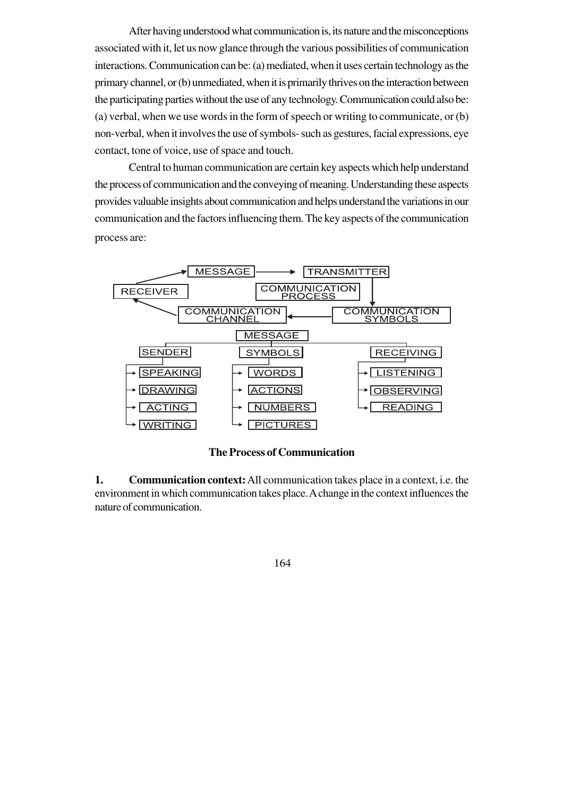After having understood what communication is, its nature and the misconceptions associated with it, let us now glance through the various possibilities of communication interactions. Communication can be: (a) mediated, when it uses certain technology as the primary channel, or (b) unmediated, when it is primarily thrives on the interaction between the participating parties without the use of any technology. Communication could also be: (a) verbal, when we use words in the form of speech or writing to communicate, or (b) non-verbal, when it involves the use of symbols- such as gestures, facial expressions, eye contact, tone of voice, use of space and touch.

Central to human communication are certain key aspects which help understand the process of communication and the conveying of meaning. Understanding these aspects provides valuable insights about communication and helps understand the variations in our communication and the factors influencing them. The key aspects of the communication process are:



**The Process of Communication**

**1. Communication context:**All communication takes place in a context, i.e. the environment in which communication takes place. A change in the context influences the nature of communication.

164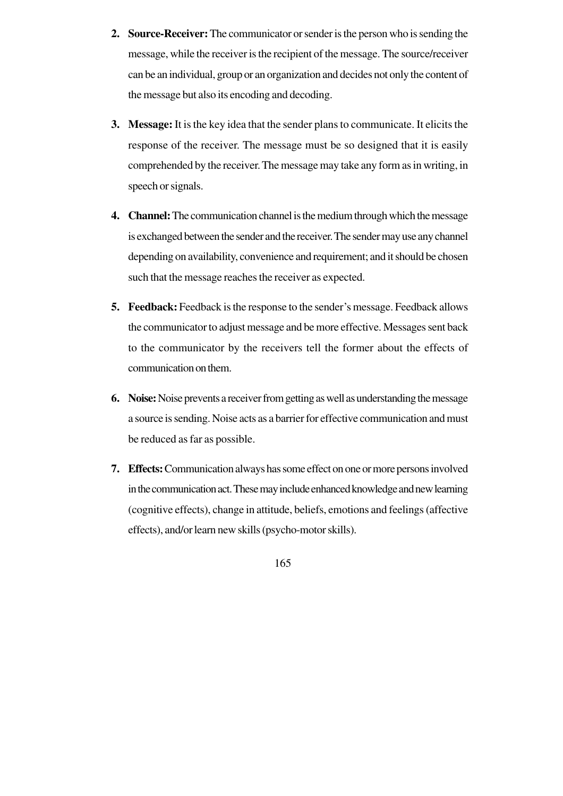- **2. Source-Receiver:** The communicator or sender is the person who is sending the message, while the receiver is the recipient of the message. The source/receiver can be an individual, group or an organization and decides not only the content of the message but also its encoding and decoding.
- **3. Message:** It is the key idea that the sender plans to communicate. It elicits the response of the receiver. The message must be so designed that it is easily comprehended by the receiver. The message may take any form as in writing, in speech or signals.
- **4. Channel:** The communication channel is the medium through which the message is exchanged between the sender and the receiver. The sender may use any channel depending on availability, convenience and requirement; and it should be chosen such that the message reaches the receiver as expected.
- **5. Feedback:** Feedback is the response to the sender's message. Feedback allows the communicator to adjust message and be more effective. Messages sent back to the communicator by the receivers tell the former about the effects of communication on them.
- **6. Noise:** Noise prevents a receiver from getting as well as understanding the message a source is sending. Noise acts as a barrier for effective communication and must be reduced as far as possible.
- **7. Effects:** Communication always has some effect on one or more persons involved in the communication act. These may include enhanced knowledge and new learning (cognitive effects), change in attitude, beliefs, emotions and feelings (affective effects), and/or learn new skills (psycho-motor skills).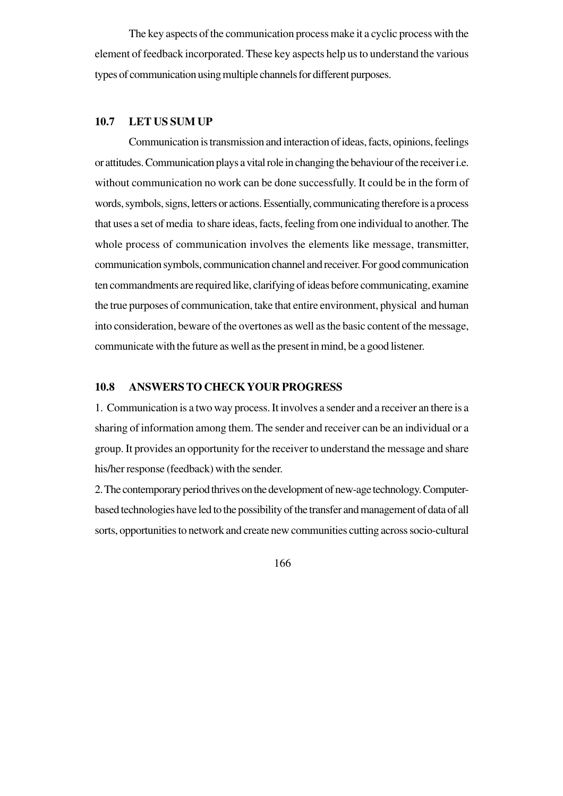The key aspects of the communication process make it a cyclic process with the element of feedback incorporated. These key aspects help us to understand the various types of communication using multiple channels for different purposes.

### **10.7 LET US SUM UP**

Communication is transmission and interaction of ideas, facts, opinions, feelings or attitudes. Communication plays a vital role in changing the behaviour of the receiver i.e. without communication no work can be done successfully. It could be in the form of words, symbols, signs, letters or actions. Essentially, communicating therefore is a process that uses a set of media to share ideas, facts, feeling from one individual to another. The whole process of communication involves the elements like message, transmitter, communication symbols, communication channel and receiver. For good communication ten commandments are required like, clarifying of ideas before communicating, examine the true purposes of communication, take that entire environment, physical and human into consideration, beware of the overtones as well as the basic content of the message, communicate with the future as well as the present in mind, be a good listener.

## **10.8 ANSWERS TO CHECK YOUR PROGRESS**

1. Communication is a two way process. It involves a sender and a receiver an there is a sharing of information among them. The sender and receiver can be an individual or a group. It provides an opportunity for the receiver to understand the message and share his/her response (feedback) with the sender.

2. The contemporary period thrives on the development of new-age technology. Computerbased technologies have led to the possibility of the transfer and management of data of all sorts, opportunities to network and create new communities cutting across socio-cultural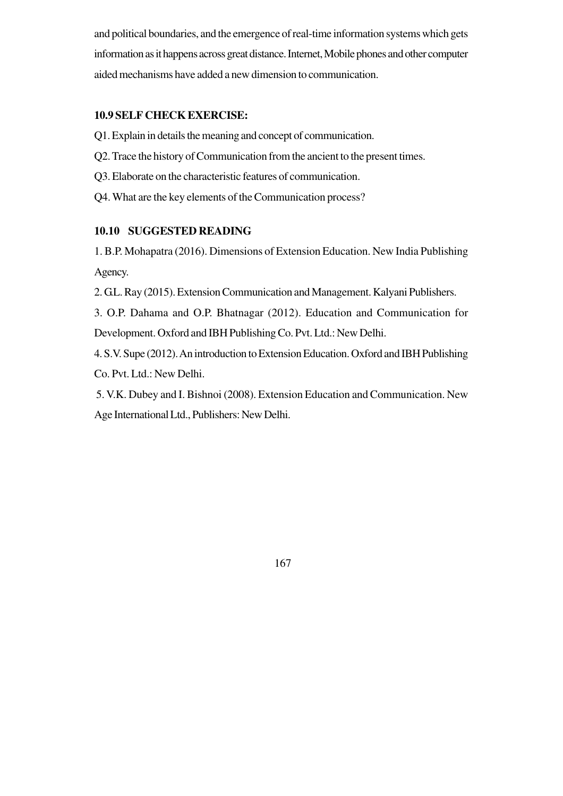and political boundaries, and the emergence of real-time information systems which gets information as it happens across great distance. Internet, Mobile phones and other computer aided mechanisms have added a new dimension to communication.

### **10.9 SELF CHECK EXERCISE:**

- Q1. Explain in details the meaning and concept of communication.
- Q2. Trace the history of Communication from the ancient to the present times.
- Q3. Elaborate on the characteristic features of communication.
- Q4. What are the key elements of the Communication process?

#### **10.10 SUGGESTED READING**

1. B.P. Mohapatra (2016). Dimensions of Extension Education. New India Publishing Agency.

2. G.L. Ray (2015). Extension Communication and Management. Kalyani Publishers.

3. O.P. Dahama and O.P. Bhatnagar (2012). Education and Communication for Development. Oxford and IBH Publishing Co. Pvt. Ltd.: New Delhi.

4. S.V. Supe (2012). An introduction to Extension Education. Oxford and IBH Publishing Co. Pvt. Ltd.: New Delhi.

 5. V.K. Dubey and I. Bishnoi (2008). Extension Education and Communication. New Age International Ltd., Publishers: New Delhi.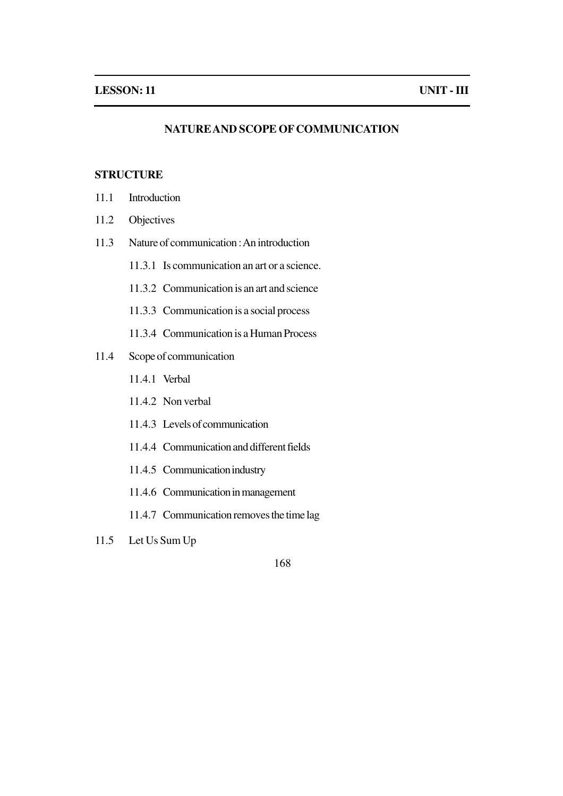### **NATURE AND SCOPE OF COMMUNICATION**

# **STRUCTURE**

- 11.1 Introduction
- 11.2 Objectives
- 11.3 Nature of communication : An introduction
	- 11.3.1 Is communication an art or a science.
	- 11.3.2 Communication is an art and science
	- 11.3.3 Communication is a social process
	- 11.3.4 Communication is a Human Process
- 11.4 Scope of communication
	- 11.4.1 Verbal
	- 11.4.2 Non verbal
	- 11.4.3 Levels of communication
	- 11.4.4 Communication and different fields
	- 11.4.5 Communication industry
	- 11.4.6 Communication in management
	- 11.4.7 Communication removes the time lag
- 11.5 Let Us Sum Up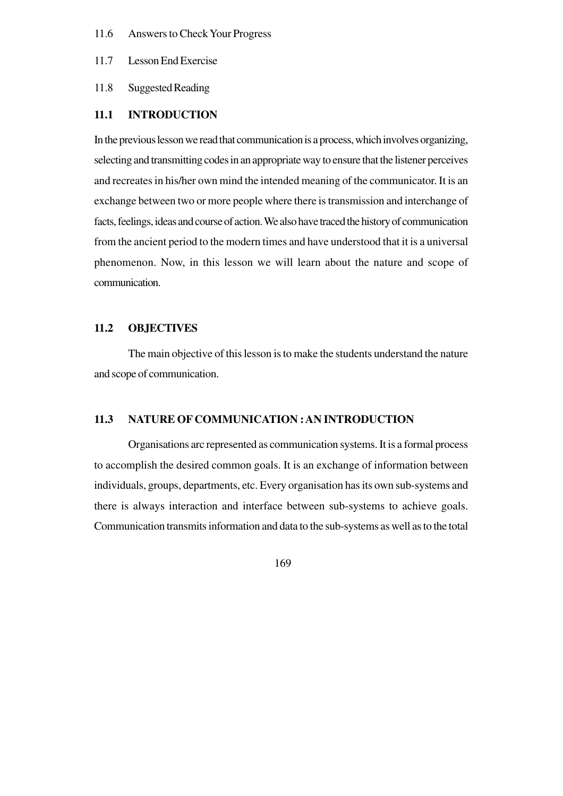- 11.6 Answers to Check Your Progress
- 11.7 Lesson End Exercise
- 11.8 Suggested Reading

#### **11.1 INTRODUCTION**

In the previous lesson we read that communication is a process, which involves organizing, selecting and transmitting codes in an appropriate way to ensure that the listener perceives and recreates in his/her own mind the intended meaning of the communicator. It is an exchange between two or more people where there is transmission and interchange of facts, feelings, ideas and course of action. We also have traced the history of communication from the ancient period to the modern times and have understood that it is a universal phenomenon. Now, in this lesson we will learn about the nature and scope of communication.

### **11.2 OBJECTIVES**

The main objective of this lesson is to make the students understand the nature and scope of communication.

#### **11.3 NATURE OF COMMUNICATION : AN INTRODUCTION**

Organisations arc represented as communication systems. It is a formal process to accomplish the desired common goals. It is an exchange of information between individuals, groups, departments, etc. Every organisation has its own sub-systems and there is always interaction and interface between sub-systems to achieve goals. Communication transmits information and data to the sub-systems as well as to the total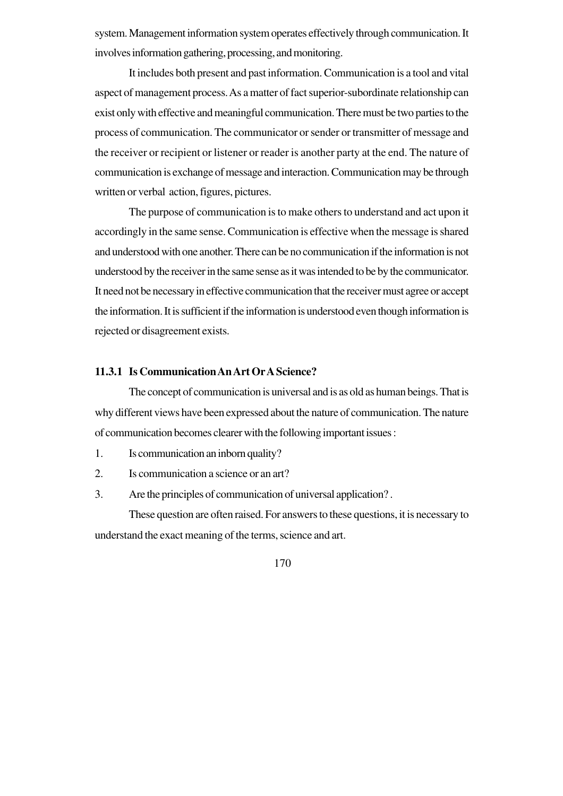system. Management information system operates effectively through communication. It involves information gathering, processing, and monitoring.

It includes both present and past information. Communication is a tool and vital aspect of management process. As a matter of fact superior-subordinate relationship can exist only with effective and meaningful communication. There must be two parties to the process of communication. The communicator or sender or transmitter of message and the receiver or recipient or listener or reader is another party at the end. The nature of communication is exchange of message and interaction. Communication may be through written or verbal action, figures, pictures.

The purpose of communication is to make others to understand and act upon it accordingly in the same sense. Communication is effective when the message is shared and understood with one another. There can be no communication if the information is not understood by the receiver in the same sense as it was intended to be by the communicator. It need not be necessary in effective communication that the receiver must agree or accept the information. It is sufficient if the information is understood even though information is rejected or disagreement exists.

#### **11.3.1 Is Communication An Art Or A Science?**

The concept of communication is universal and is as old as human beings. That is why different views have been expressed about the nature of communication. The nature of communication becomes clearer with the following important issues :

- 1. Is communication an inborn quality?
- 2. Is communication a science or an art?
- 3. Are the principles of communication of universal application? .

These question are often raised. For answers to these questions, it is necessary to understand the exact meaning of the terms, science and art.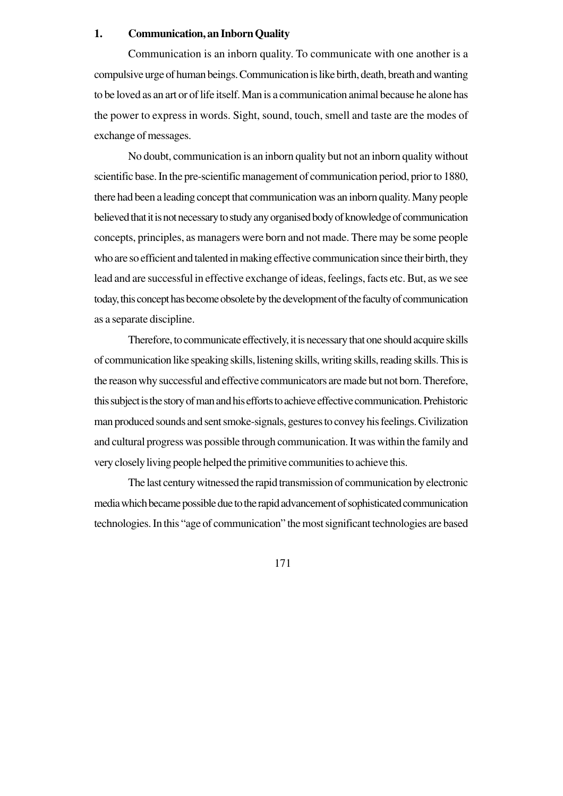### **1. Communication, an Inborn Quality**

Communication is an inborn quality. To communicate with one another is a compulsive urge of human beings. Communication is like birth, death, breath and wanting to be loved as an art or of life itself. Man is a communication animal because he alone has the power to express in words. Sight, sound, touch, smell and taste are the modes of exchange of messages.

No doubt, communication is an inborn quality but not an inborn quality without scientific base. In the pre-scientific management of communication period, prior to 1880, there had been a leading concept that communication was an inborn quality. Many people believed that it is not necessary to study any organised body of knowledge of communication concepts, principles, as managers were born and not made. There may be some people who are so efficient and talented in making effective communication since their birth, they lead and are successful in effective exchange of ideas, feelings, facts etc. But, as we see today, this concept has become obsolete by the development of the faculty of communication as a separate discipline.

Therefore, to communicate effectively, it is necessary that one should acquire skills of communication like speaking skills, listening skills, writing skills, reading skills. This is the reason why successful and effective communicators are made but not born. Therefore, this subject is the story of man and his efforts to achieve effective communication. Prehistoric man produced sounds and sent smoke-signals, gestures to convey his feelings. Civilization and cultural progress was possible through communication. It was within the family and very closely living people helped the primitive communities to achieve this.

The last century witnessed the rapid transmission of communication by electronic media which became possible due to the rapid advancement of sophisticated communication technologies. In this "age of communication" the most significant technologies are based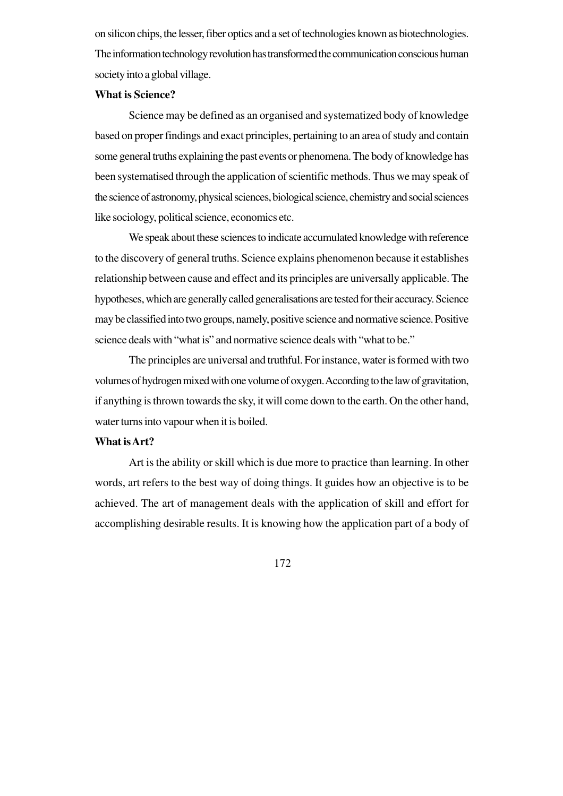on silicon chips, the lesser, fiber optics and a set of technologies known as biotechnologies. The information technology revolution has transformed the communication conscious human society into a global village.

#### **What is Science?**

Science may be defined as an organised and systematized body of knowledge based on proper findings and exact principles, pertaining to an area of study and contain some general truths explaining the past events or phenomena. The body of knowledge has been systematised through the application of scientific methods. Thus we may speak of the science of astronomy, physical sciences, biological science, chemistry and social sciences like sociology, political science, economics etc.

We speak about these sciences to indicate accumulated knowledge with reference to the discovery of general truths. Science explains phenomenon because it establishes relationship between cause and effect and its principles are universally applicable. The hypotheses, which are generally called generalisations are tested for their accuracy. Science may be classified into two groups, namely, positive science and normative science. Positive science deals with "what is" and normative science deals with "what to be."

The principles are universal and truthful. For instance, water is formed with two volumes of hydrogen mixed with one volume of oxygen. According to the law of gravitation, if anything is thrown towards the sky, it will come down to the earth. On the other hand, water turns into vapour when it is boiled.

#### **What is Art?**

Art is the ability or skill which is due more to practice than learning. In other words, art refers to the best way of doing things. It guides how an objective is to be achieved. The art of management deals with the application of skill and effort for accomplishing desirable results. It is knowing how the application part of a body of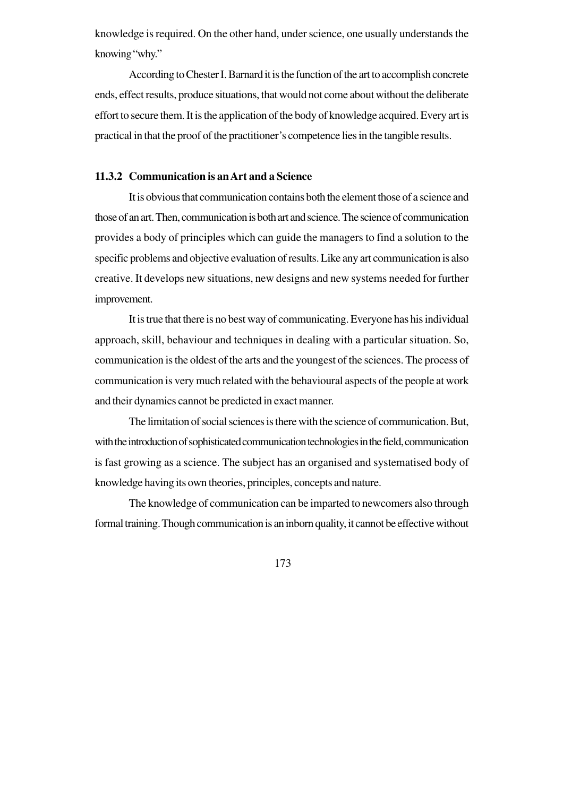knowledge is required. On the other hand, under science, one usually understands the knowing "why."

According to Chester I. Barnard it is the function of the art to accomplish concrete ends, effect results, produce situations, that would not come about without the deliberate effort to secure them. It is the application of the body of knowledge acquired. Every art is practical in that the proof of the practitioner's competence lies in the tangible results.

### **11.3.2 Communication is an Art and a Science**

It is obvious that communication contains both the element those of a science and those of an art. Then, communication is both art and science. The science of communication provides a body of principles which can guide the managers to find a solution to the specific problems and objective evaluation of results. Like any art communication is also creative. It develops new situations, new designs and new systems needed for further improvement.

It is true that there is no best way of communicating. Everyone has his individual approach, skill, behaviour and techniques in dealing with a particular situation. So, communication is the oldest of the arts and the youngest of the sciences. The process of communication is very much related with the behavioural aspects of the people at work and their dynamics cannot be predicted in exact manner.

The limitation of social sciences is there with the science of communication. But, with the introduction of sophisticated communication technologies in the field, communication is fast growing as a science. The subject has an organised and systematised body of knowledge having its own theories, principles, concepts and nature.

The knowledge of communication can be imparted to newcomers also through formal training. Though communication is an inborn quality, it cannot be effective without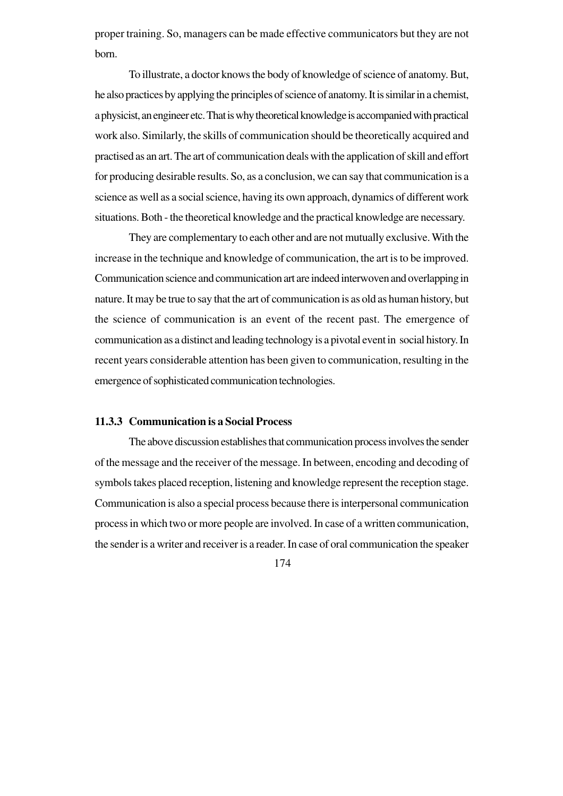proper training. So, managers can be made effective communicators but they are not born.

To illustrate, a doctor knows the body of knowledge of science of anatomy. But, he also practices by applying the principles of science of anatomy. It is similar in a chemist, a physicist, an engineer etc. That is why theoretical knowledge is accompanied with practical work also. Similarly, the skills of communication should be theoretically acquired and practised as an art. The art of communication deals with the application of skill and effort for producing desirable results. So, as a conclusion, we can say that communication is a science as well as a social science, having its own approach, dynamics of different work situations. Both - the theoretical knowledge and the practical knowledge are necessary.

They are complementary to each other and are not mutually exclusive. With the increase in the technique and knowledge of communication, the art is to be improved. Communication science and communication art are indeed interwoven and overlapping in nature. It may be true to say that the art of communication is as old as human history, but the science of communication is an event of the recent past. The emergence of communication as a distinct and leading technology is a pivotal event in social history. In recent years considerable attention has been given to communication, resulting in the emergence of sophisticated communication technologies.

#### **11.3.3 Communication is a Social Process**

The above discussion establishes that communication process involves the sender of the message and the receiver of the message. In between, encoding and decoding of symbols takes placed reception, listening and knowledge represent the reception stage. Communication is also a special process because there is interpersonal communication process in which two or more people are involved. In case of a written communication, the sender is a writer and receiver is a reader. In case of oral communication the speaker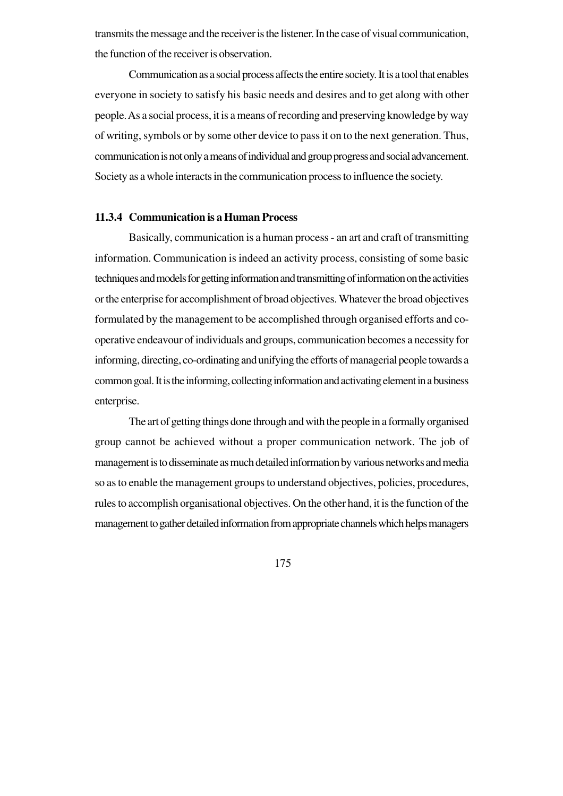transmits the message and the receiver is the listener. In the case of visual communication, the function of the receiver is observation.

Communication as a social process affects the entire society. It is a tool that enables everyone in society to satisfy his basic needs and desires and to get along with other people. As a social process, it is a means of recording and preserving knowledge by way of writing, symbols or by some other device to pass it on to the next generation. Thus, communication is not only a means of individual and group progress and social advancement. Society as a whole interacts in the communication process to influence the society.

#### **11.3.4 Communication is a Human Process**

Basically, communication is a human process - an art and craft of transmitting information. Communication is indeed an activity process, consisting of some basic techniques and models for getting information and transmitting of information on the activities or the enterprise for accomplishment of broad objectives. Whatever the broad objectives formulated by the management to be accomplished through organised efforts and cooperative endeavour of individuals and groups, communication becomes a necessity for informing, directing, co-ordinating and unifying the efforts of managerial people towards a common goal. It is the informing, collecting information and activating element in a business enterprise.

The art of getting things done through and with the people in a formally organised group cannot be achieved without a proper communication network. The job of management is to disseminate as much detailed information by various networks and media so as to enable the management groups to understand objectives, policies, procedures, rules to accomplish organisational objectives. On the other hand, it is the function of the management to gather detailed information from appropriate channels which helps managers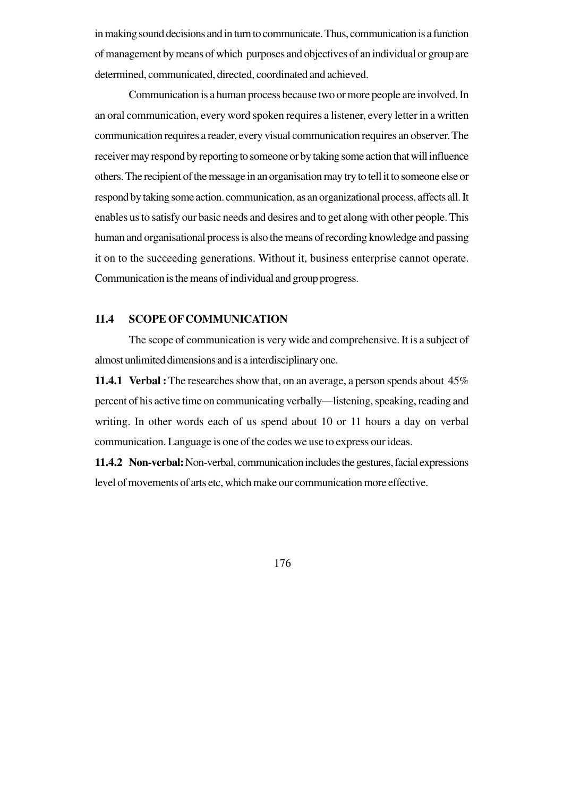in making sound decisions and in turn to communicate. Thus, communication is a function of management by means of which purposes and objectives of an individual or group are determined, communicated, directed, coordinated and achieved.

Communication is a human process because two or more people are involved. In an oral communication, every word spoken requires a listener, every letter in a written communication requires a reader, every visual communication requires an observer. The receiver may respond by reporting to someone or by taking some action that will influence others. The recipient of the message in an organisation may try to tell it to someone else or respond by taking some action. communication, as an organizational process, affects all. It enables us to satisfy our basic needs and desires and to get along with other people. This human and organisational process is also the means of recording knowledge and passing it on to the succeeding generations. Without it, business enterprise cannot operate. Communication is the means of individual and group progress.

## **11.4 SCOPE OF COMMUNICATION**

The scope of communication is very wide and comprehensive. It is a subject of almost unlimited dimensions and is a interdisciplinary one.

**11.4.1 Verbal :**The researches show that, on an average, a person spends about 45% percent of his active time on communicating verbally—listening, speaking, reading and writing. In other words each of us spend about 10 or 11 hours a day on verbal communication. Language is one of the codes we use to express our ideas.

**11.4.2 Non-verbal:** Non-verbal, communication includes the gestures, facial expressions level of movements of arts etc, which make our communication more effective.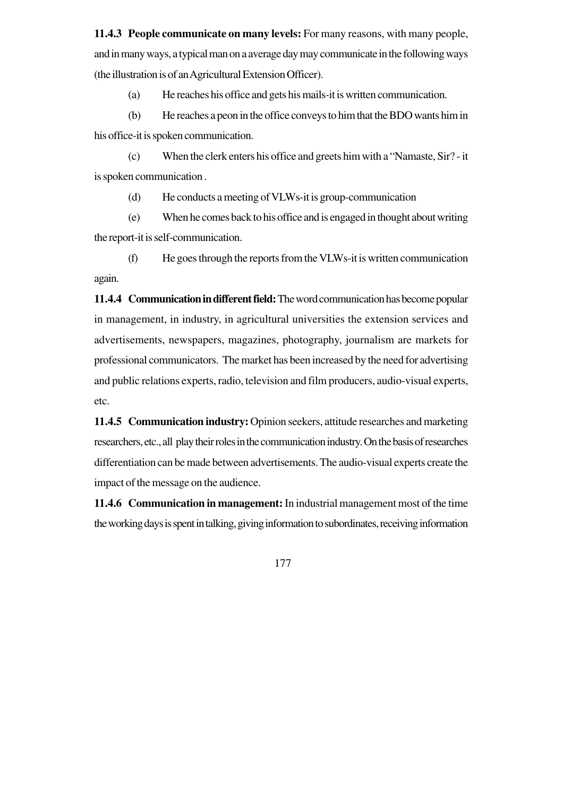**11.4.3 People communicate on many levels:** For many reasons, with many people, and in many ways, a typical man on a average day may communicate in the following ways (the illustration is of an Agricultural Extension Officer).

(a) He reaches his office and gets his mails-it is written communication.

(b) He reaches a peon in the office conveys to him that the BDO wants him in his office-it is spoken communication.

(c) When the clerk enters his office and greets him with a "Namaste, Sir? - it is spoken communication .

(d) He conducts a meeting of VLWs-it is group-communication

(e) When he comes back to his office and is engaged in thought about writing the report-it is self-communication.

(f) He goes through the reports from the VLWs-it is written communication again.

**11.4.4 Communication in different field:** The word communication has become popular in management, in industry, in agricultural universities the extension services and advertisements, newspapers, magazines, photography, journalism are markets for professional communicators. The market has been increased by the need for advertising and public relations experts, radio, television and film producers, audio-visual experts, etc.

**11.4.5 Communication industry:** Opinion seekers, attitude researches and marketing researchers, etc., all play their roles in the communication industry. On the basis of researches differentiation can be made between advertisements. The audio-visual experts create the impact of the message on the audience.

**11.4.6 Communication in management:** In industrial management most of the time the working days is spent in talking, giving information to subordinates, receiving information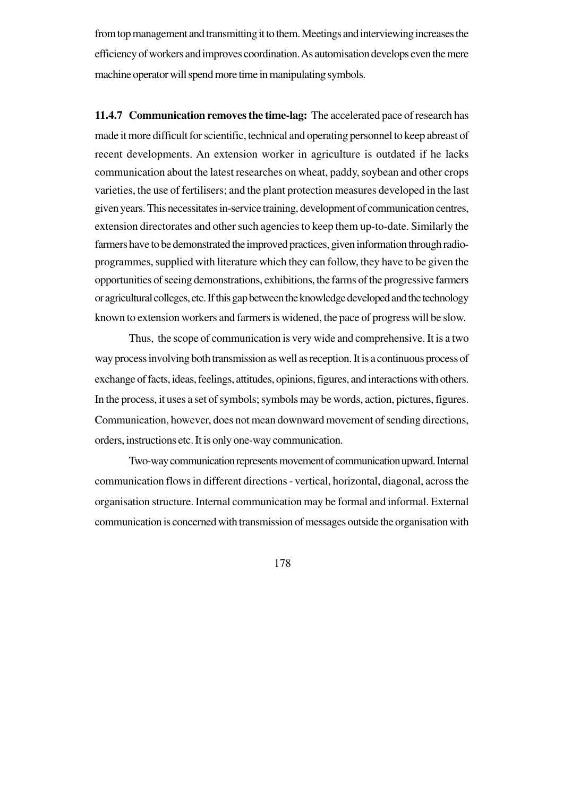from top management and transmitting it to them. Meetings and interviewing increases the efficiency of workers and improves coordination. As automisation develops even the mere machine operator will spend more time in manipulating symbols.

**11.4.7 Communication removes the time-lag:** The accelerated pace of research has made it more difficult for scientific, technical and operating personnel to keep abreast of recent developments. An extension worker in agriculture is outdated if he lacks communication about the latest researches on wheat, paddy, soybean and other crops varieties, the use of fertilisers; and the plant protection measures developed in the last given years. This necessitates in-service training, development of communication centres, extension directorates and other such agencies to keep them up-to-date. Similarly the farmers have to be demonstrated the improved practices, given information through radioprogrammes, supplied with literature which they can follow, they have to be given the opportunities of seeing demonstrations, exhibitions, the farms of the progressive farmers or agricultural colleges, etc. If this gap between the knowledge developed and the technology known to extension workers and farmers is widened, the pace of progress will be slow.

Thus, the scope of communication is very wide and comprehensive. It is a two way process involving both transmission as well as reception. It is a continuous process of exchange of facts, ideas, feelings, attitudes, opinions, figures, and interactions with others. In the process, it uses a set of symbols; symbols may be words, action, pictures, figures. Communication, however, does not mean downward movement of sending directions, orders, instructions etc. It is only one-way communication.

Two-way communication represents movement of communication upward. Internal communication flows in different directions - vertical, horizontal, diagonal, across the organisation structure. Internal communication may be formal and informal. External communication is concerned with transmission of messages outside the organisation with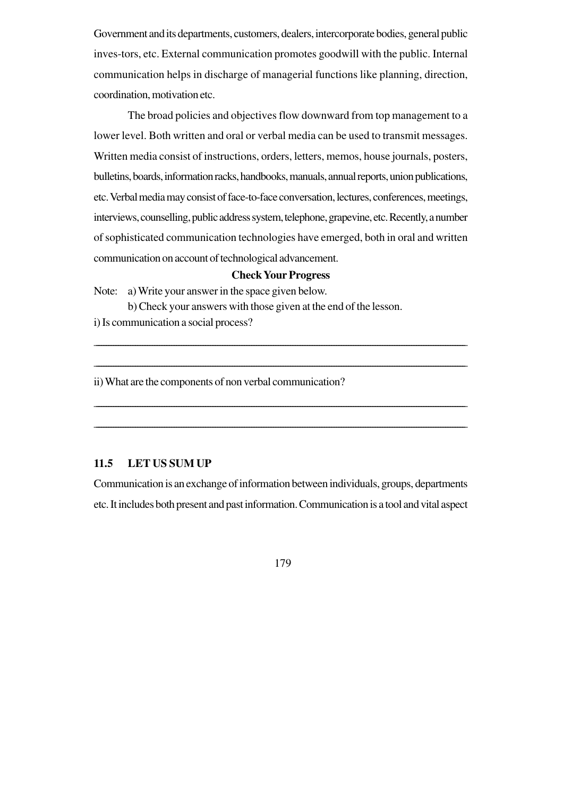Government and its departments, customers, dealers, intercorporate bodies, general public inves-tors, etc. External communication promotes goodwill with the public. Internal communication helps in discharge of managerial functions like planning, direction, coordination, motivation etc.

The broad policies and objectives flow downward from top management to a lower level. Both written and oral or verbal media can be used to transmit messages. Written media consist of instructions, orders, letters, memos, house journals, posters, bulletins, boards, information racks, handbooks, manuals, annual reports, union publications, etc. Verbal media may consist of face-to-face conversation, lectures, conferences, meetings, interviews, counselling, public address system, telephone, grapevine, etc. Recently, a number of sophisticated communication technologies have emerged, both in oral and written communication on account of technological advancement.

#### **Check Your Progress**

\_\_\_\_\_\_\_\_\_\_\_\_\_\_\_\_\_\_\_\_\_\_\_\_\_\_\_\_\_\_\_\_\_\_\_\_\_\_\_\_\_\_\_\_\_\_\_\_\_\_\_\_\_\_\_\_\_\_\_\_\_\_\_\_\_\_\_\_\_\_\_\_\_\_\_\_\_\_\_\_\_\_\_\_\_\_\_\_\_\_\_\_\_\_\_\_\_\_\_\_\_\_\_\_\_\_\_\_\_\_\_\_\_\_\_\_\_\_\_\_\_\_\_\_\_\_\_\_\_\_\_\_\_\_\_\_\_\_\_\_\_\_\_\_\_\_\_\_\_\_\_\_\_

\_\_\_\_\_\_\_\_\_\_\_\_\_\_\_\_\_\_\_\_\_\_\_\_\_\_\_\_\_\_\_\_\_\_\_\_\_\_\_\_\_\_\_\_\_\_\_\_\_\_\_\_\_\_\_\_\_\_\_\_\_\_\_\_\_\_\_\_\_\_\_\_\_\_\_\_\_\_\_\_\_\_\_\_\_\_\_\_\_\_\_\_\_\_\_\_\_\_\_\_\_\_\_\_\_\_\_\_\_\_\_\_\_\_\_\_\_\_\_\_\_\_\_\_\_\_\_\_\_\_\_\_\_\_\_\_\_\_\_\_\_\_\_\_\_\_\_\_\_\_\_\_\_

\_\_\_\_\_\_\_\_\_\_\_\_\_\_\_\_\_\_\_\_\_\_\_\_\_\_\_\_\_\_\_\_\_\_\_\_\_\_\_\_\_\_\_\_\_\_\_\_\_\_\_\_\_\_\_\_\_\_\_\_\_\_\_\_\_\_\_\_\_\_\_\_\_\_\_\_\_\_\_\_\_\_\_\_\_\_\_\_\_\_\_\_\_\_\_\_\_\_\_\_\_\_\_\_\_\_\_\_\_\_\_\_\_\_\_\_\_\_\_\_\_\_\_\_\_\_\_\_\_\_\_\_\_\_\_\_\_\_\_\_\_\_\_\_\_\_\_\_\_\_\_\_\_

\_\_\_\_\_\_\_\_\_\_\_\_\_\_\_\_\_\_\_\_\_\_\_\_\_\_\_\_\_\_\_\_\_\_\_\_\_\_\_\_\_\_\_\_\_\_\_\_\_\_\_\_\_\_\_\_\_\_\_\_\_\_\_\_\_\_\_\_\_\_\_\_\_\_\_\_\_\_\_\_\_\_\_\_\_\_\_\_\_\_\_\_\_\_\_\_\_\_\_\_\_\_\_\_\_\_\_\_\_\_\_\_\_\_\_\_\_\_\_\_\_\_\_\_\_\_\_\_\_\_\_\_\_\_\_\_\_\_\_\_\_\_\_\_\_\_\_\_\_\_\_\_\_

Note: a) Write your answer in the space given below.

b) Check your answers with those given at the end of the lesson. i) Is communication a social process?

ii) What are the components of non verbal communication?

## **11.5 LET US SUM UP**

Communication is an exchange of information between individuals, groups, departments etc. It includes both present and past information. Communication is a tool and vital aspect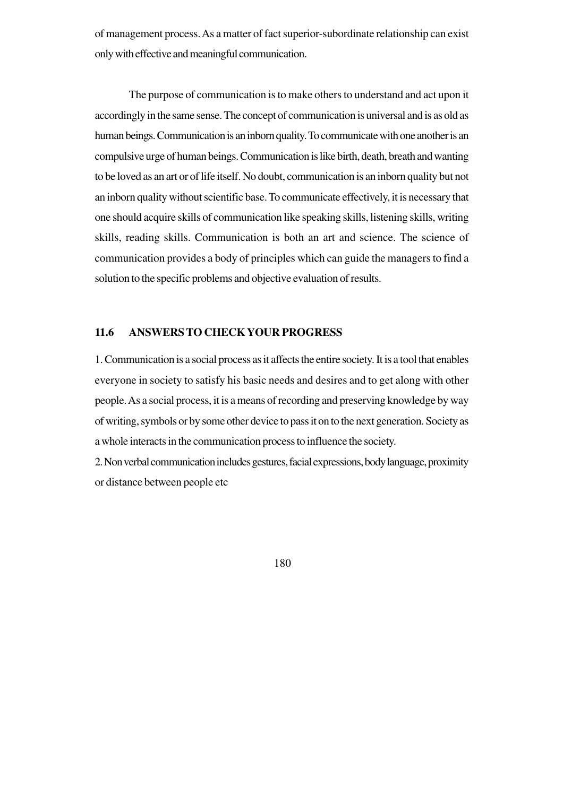of management process. As a matter of fact superior-subordinate relationship can exist only with effective and meaningful communication.

The purpose of communication is to make others to understand and act upon it accordingly in the same sense. The concept of communication is universal and is as old as human beings. Communication is an inborn quality. To communicate with one another is an compulsive urge of human beings. Communication is like birth, death, breath and wanting to be loved as an art or of life itself. No doubt, communication is an inborn quality but not an inborn quality without scientific base. To communicate effectively, it is necessary that one should acquire skills of communication like speaking skills, listening skills, writing skills, reading skills. Communication is both an art and science. The science of communication provides a body of principles which can guide the managers to find a solution to the specific problems and objective evaluation of results.

#### **11.6 ANSWERS TO CHECK YOUR PROGRESS**

1.Communication is a social process as it affects the entire society. It is a tool that enables everyone in society to satisfy his basic needs and desires and to get along with other people. As a social process, it is a means of recording and preserving knowledge by way of writing, symbols or by some other device to pass it on to the next generation. Society as a whole interacts in the communication process to influence the society.

2. Non verbal communication includes gestures, facial expressions, body language, proximity or distance between people etc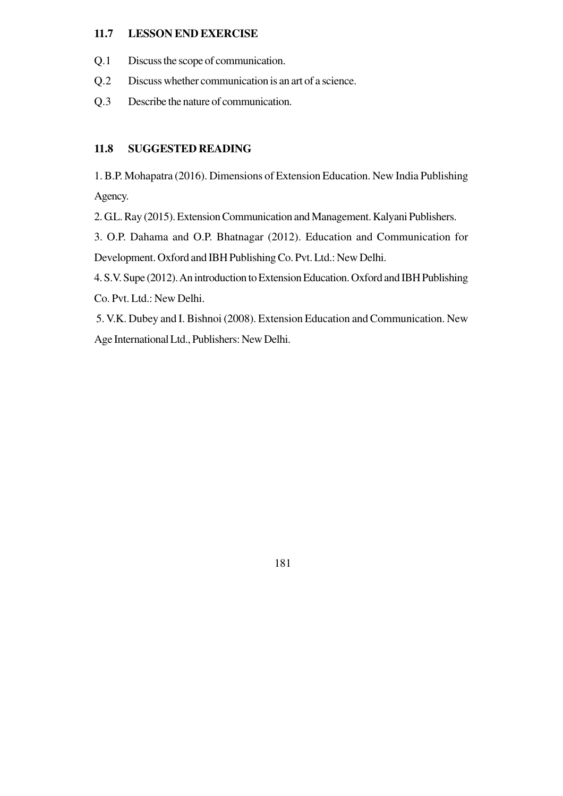### **11.7 LESSON END EXERCISE**

- Q.1 Discuss the scope of communication.
- Q.2 Discuss whether communication is an art of a science.
- Q.3 Describe the nature of communication.

#### **11.8 SUGGESTED READING**

1. B.P. Mohapatra (2016). Dimensions of Extension Education. New India Publishing Agency.

2. G.L. Ray (2015). Extension Communication and Management. Kalyani Publishers.

3. O.P. Dahama and O.P. Bhatnagar (2012). Education and Communication for Development. Oxford and IBH Publishing Co. Pvt. Ltd.: New Delhi.

4. S.V. Supe (2012). An introduction to Extension Education. Oxford and IBH Publishing Co. Pvt. Ltd.: New Delhi.

 5. V.K. Dubey and I. Bishnoi (2008). Extension Education and Communication. New Age International Ltd., Publishers: New Delhi.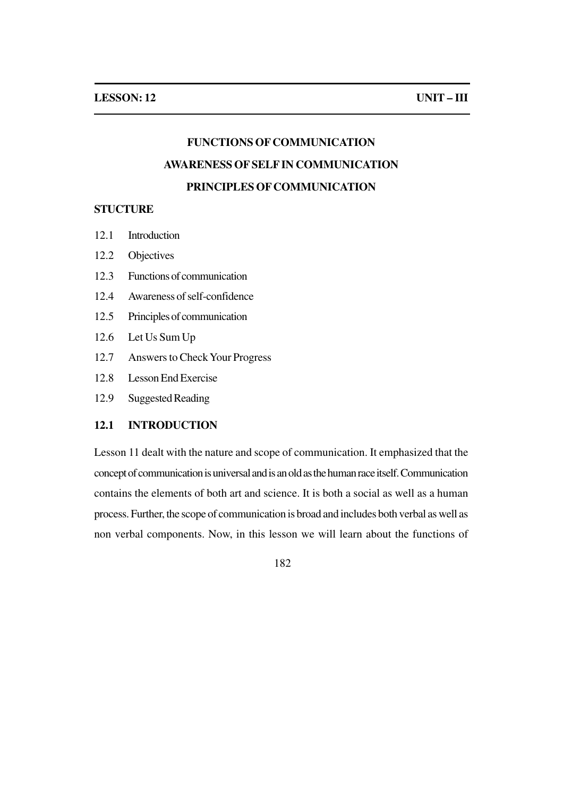# **FUNCTIONS OF COMMUNICATION AWARENESS OF SELF IN COMMUNICATION PRINCIPLES OF COMMUNICATION**

#### **STUCTURE**

- 12.1 Introduction
- 12.2 Objectives
- 12.3 Functions of communication
- 12.4 Awareness of self-confidence
- 12.5 Principles of communication
- 12.6 Let Us Sum Up
- 12.7 Answers to Check Your Progress
- 12.8 Lesson End Exercise
- 12.9 Suggested Reading

#### **12.1 INTRODUCTION**

Lesson 11 dealt with the nature and scope of communication. It emphasized that the concept of communication is universal and is an old as the human race itself. Communication contains the elements of both art and science. It is both a social as well as a human process. Further, the scope of communication is broad and includes both verbal as well as non verbal components. Now, in this lesson we will learn about the functions of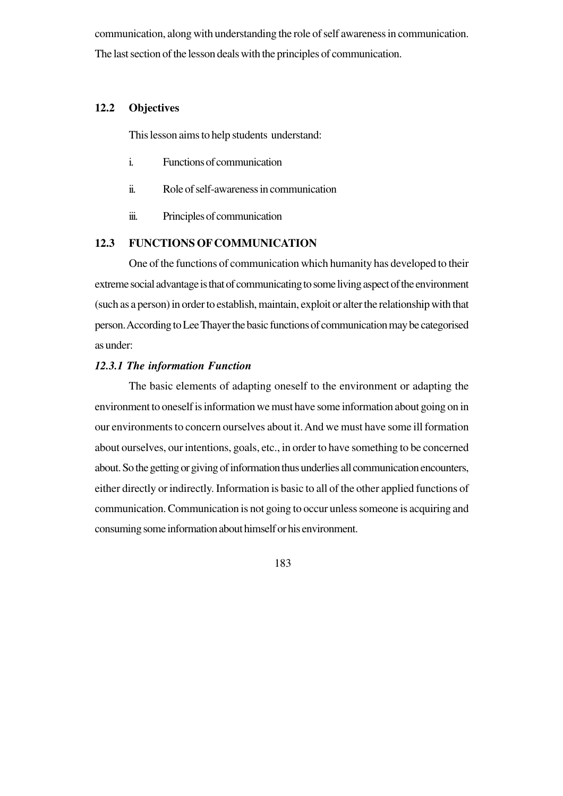communication, along with understanding the role of self awareness in communication. The last section of the lesson deals with the principles of communication.

## **12.2 Objectives**

This lesson aims to help students understand:

- i. Functions of communication
- ii. Role of self-awareness in communication
- iii. Principles of communication

## **12.3 FUNCTIONS OF COMMUNICATION**

One of the functions of communication which humanity has developed to their extreme social advantage is that of communicating to some living aspect of the environment (such as a person) in order to establish, maintain, exploit or alter the relationship with that person. According to Lee Thayer the basic functions of communication may be categorised as under:

#### *12.3.1 The information Function*

The basic elements of adapting oneself to the environment or adapting the environment to oneself is information we must have some information about going on in our environments to concern ourselves about it. And we must have some ill formation about ourselves, our intentions, goals, etc., in order to have something to be concerned about. So the getting or giving of information thus underlies all communication encounters, either directly or indirectly. Information is basic to all of the other applied functions of communication. Communication is not going to occur unless someone is acquiring and consuming some information about himself or his environment.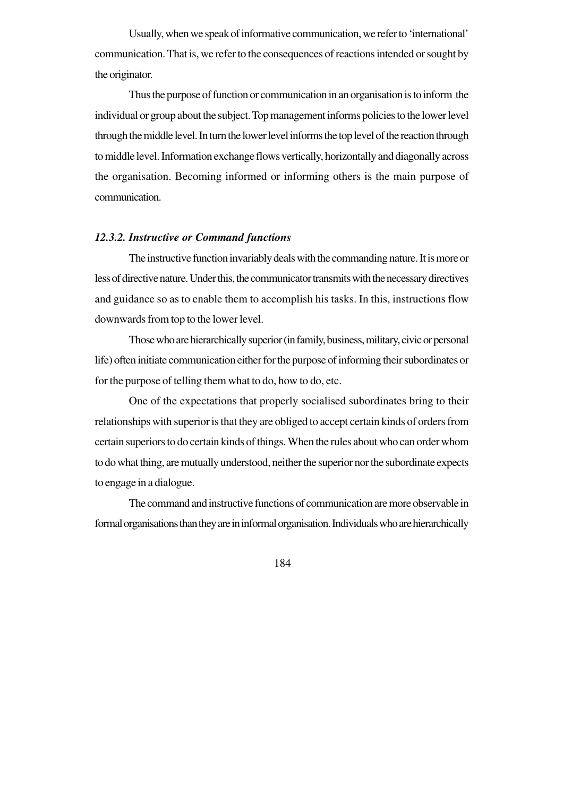Usually, when we speak of informative communication, we refer to 'international' communication. That is, we refer to the consequences of reactions intended or sought by the originator.

Thus the purpose of function or communication in an organisation is to inform the individual or group about the subject. Top management informs policies to the lower level through the middle level. In turn the lower level informs the top level of the reaction through to middle level. Information exchange flows vertically, horizontally and diagonally across the organisation. Becoming informed or informing others is the main purpose of communication.

#### *12.3.2. Instructive or Command functions*

The instructive function invariably deals with the commanding nature. It is more or less of directive nature. Under this, the communicator transmits with the necessary directives and guidance so as to enable them to accomplish his tasks. In this, instructions flow downwards from top to the lower level.

Those who are hierarchically superior (in family, business, military, civic or personal life) often initiate communication either for the purpose of informing their subordinates or for the purpose of telling them what to do, how to do, etc.

One of the expectations that properly socialised subordinates bring to their relationships with superior is that they are obliged to accept certain kinds of orders from certain superiors to do certain kinds of things. When the rules about who can order whom to do what thing, are mutually understood, neither the superior nor the subordinate expects to engage in a dialogue.

The command and instructive functions of communication are more observable in formal organisations than they are in informal organisation. Individuals who are hierarchically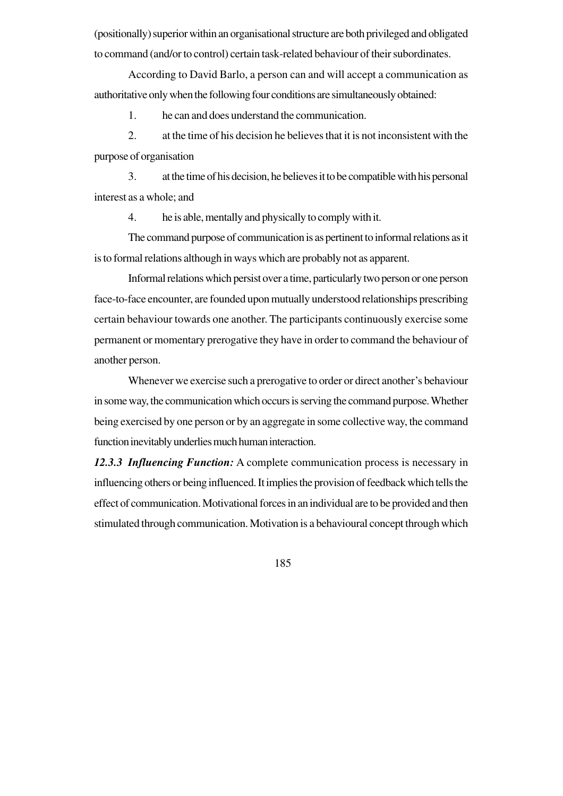(positionally) superior within an organisational structure are both privileged and obligated to command (and/or to control) certain task-related behaviour of their subordinates.

According to David Barlo, a person can and will accept a communication as authoritative only when the following four conditions are simultaneously obtained:

1. he can and does understand the communication.

2. at the time of his decision he believes that it is not inconsistent with the purpose of organisation

3. at the time of his decision, he believes it to be compatible with his personal interest as a whole; and

4. he is able, mentally and physically to comply with it.

The command purpose of communication is as pertinent to informal relations as it is to formal relations although in ways which are probably not as apparent.

Informal relations which persist over a time, particularly two person or one person face-to-face encounter, are founded upon mutually understood relationships prescribing certain behaviour towards one another. The participants continuously exercise some permanent or momentary prerogative they have in order to command the behaviour of another person.

Whenever we exercise such a prerogative to order or direct another's behaviour in some way, the communication which occurs is serving the command purpose. Whether being exercised by one person or by an aggregate in some collective way, the command function inevitably underlies much human interaction.

*12.3.3 Influencing Function:* A complete communication process is necessary in influencing others or being influenced. It implies the provision of feedback which tells the effect of communication. Motivational forces in an individual are to be provided and then stimulated through communication. Motivation is a behavioural concept through which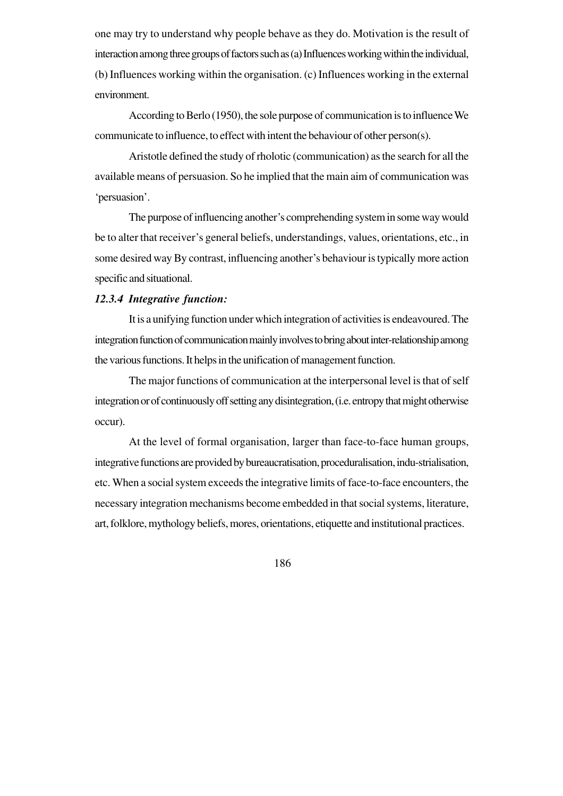one may try to understand why people behave as they do. Motivation is the result of interaction among three groups of factors such as (a) Influences working within the individual, (b) Influences working within the organisation. (c) Influences working in the external environment.

According to Berlo (1950), the sole purpose of communication is to influence We communicate to influence, to effect with intent the behaviour of other person(s).

Aristotle defined the study of rholotic (communication) as the search for all the available means of persuasion. So he implied that the main aim of communication was 'persuasion'.

The purpose of influencing another's comprehending system in some way would be to alter that receiver's general beliefs, understandings, values, orientations, etc., in some desired way By contrast, influencing another's behaviour is typically more action specific and situational.

## *12.3.4 Integrative function:*

It is a unifying function under which integration of activities is endeavoured. The integration function of communication mainly involves to bring about inter-relationship among the various functions. It helps in the unification of management function.

The major functions of communication at the interpersonal level is that of self integration or of continuously off setting any disintegration, (i.e. entropy that might otherwise occur).

At the level of formal organisation, larger than face-to-face human groups, integrative functions are provided by bureaucratisation, proceduralisation, indu-strialisation, etc. When a social system exceeds the integrative limits of face-to-face encounters, the necessary integration mechanisms become embedded in that social systems, literature, art, folklore, mythology beliefs, mores, orientations, etiquette and institutional practices.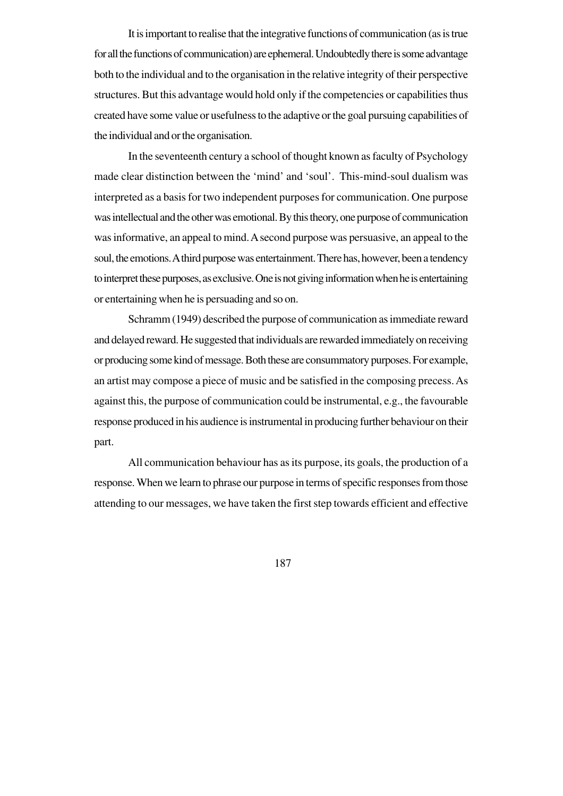It is important to realise that the integrative functions of communication (as is true for all the functions of communication) are ephemeral. Undoubtedly there is some advantage both to the individual and to the organisation in the relative integrity of their perspective structures. But this advantage would hold only if the competencies or capabilities thus created have some value or usefulness to the adaptive or the goal pursuing capabilities of the individual and or the organisation.

In the seventeenth century a school of thought known as faculty of Psychology made clear distinction between the 'mind' and 'soul'. This-mind-soul dualism was interpreted as a basis for two independent purposes for communication. One purpose was intellectual and the other was emotional. By this theory, one purpose of communication was informative, an appeal to mind. A second purpose was persuasive, an appeal to the soul, the emotions. A third purpose was entertainment. There has, however, been a tendency to interpret these purposes, as exclusive. One is not giving information when he is entertaining or entertaining when he is persuading and so on.

Schramm (1949) described the purpose of communication as immediate reward and delayed reward. He suggested that individuals are rewarded immediately on receiving or producing some kind of message. Both these are consummatory purposes. For example, an artist may compose a piece of music and be satisfied in the composing precess. As against this, the purpose of communication could be instrumental, e.g., the favourable response produced in his audience is instrumental in producing further behaviour on their part.

All communication behaviour has as its purpose, its goals, the production of a response. When we learn to phrase our purpose in terms of specific responses from those attending to our messages, we have taken the first step towards efficient and effective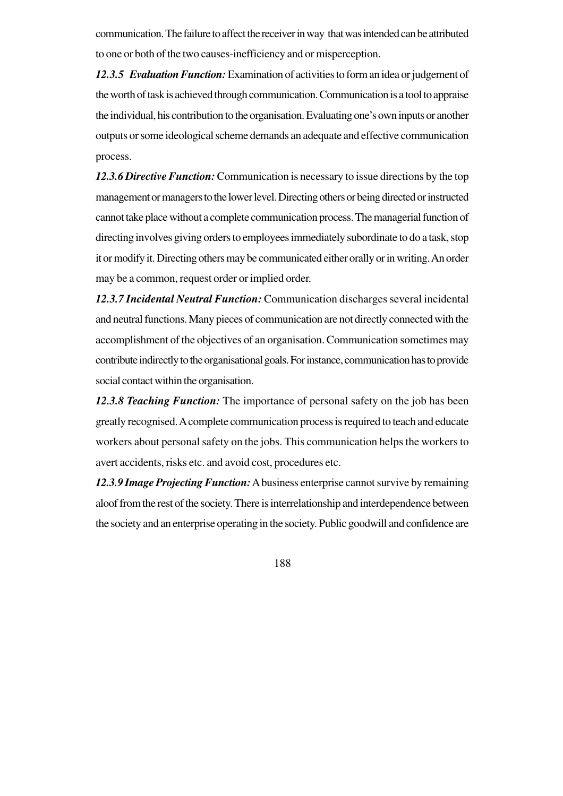communication. The failure to affect the receiver in way that was intended can be attributed to one or both of the two causes-inefficiency and or misperception.

*12.3.5 Evaluation Function:* Examination of activities to form an idea or judgement of the worth of task is achieved through communication. Communication is a tool to appraise the individual, his contribution to the organisation. Evaluating one's own inputs or another outputs or some ideological scheme demands an adequate and effective communication process.

*12.3.6 Directive Function:* Communication is necessary to issue directions by the top management or managers to the lower level. Directing others or being directed or instructed cannot take place without a complete communication process. The managerial function of directing involves giving orders to employees immediately subordinate to do a task, stop it or modify it. Directing others may be communicated either orally or in writing. An order may be a common, request order or implied order.

*12.3.7 Incidental Neutral Function:* Communication discharges several incidental and neutral functions. Many pieces of communication are not directly connected with the accomplishment of the objectives of an organisation. Communication sometimes may contribute indirectly to the organisational goals. For instance, communication has to provide social contact within the organisation.

*12.3.8 Teaching Function:* The importance of personal safety on the job has been greatly recognised. A complete communication process is required to teach and educate workers about personal safety on the jobs. This communication helps the workers to avert accidents, risks etc. and avoid cost, procedures etc.

*12.3.9 Image Projecting Function:* A business enterprise cannot survive by remaining aloof from the rest of the society. There is interrelationship and interdependence between the society and an enterprise operating in the society. Public goodwill and confidence are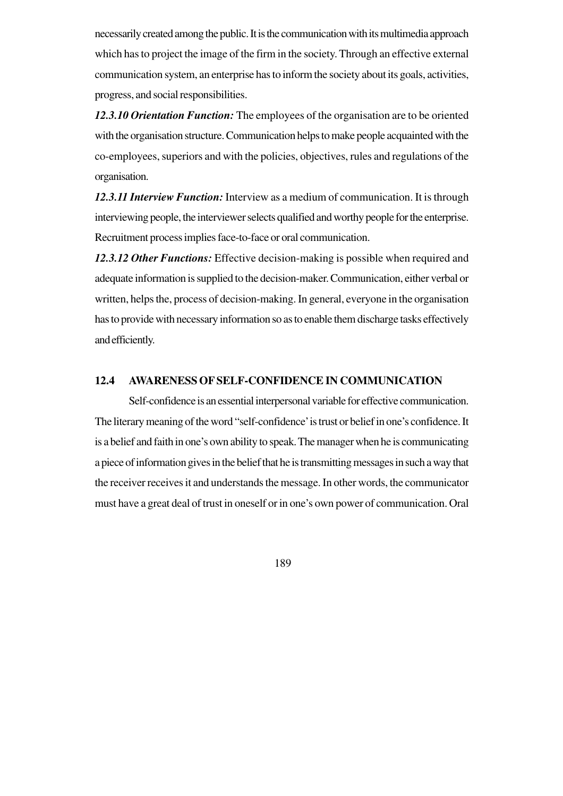necessarily created among the public. It is the communication with its multimedia approach which has to project the image of the firm in the society. Through an effective external communication system, an enterprise has to inform the society about its goals, activities, progress, and social responsibilities.

*12.3.10 Orientation Function:* The employees of the organisation are to be oriented with the organisation structure. Communication helps to make people acquainted with the co-employees, superiors and with the policies, objectives, rules and regulations of the organisation.

*12.3.11 Interview Function:* Interview as a medium of communication. It is through interviewing people, the interviewer selects qualified and worthy people for the enterprise. Recruitment process implies face-to-face or oral communication.

*12.3.12 Other Functions:* Effective decision-making is possible when required and adequate information is supplied to the decision-maker. Communication, either verbal or written, helps the, process of decision-making. In general, everyone in the organisation has to provide with necessary information so as to enable them discharge tasks effectively and efficiently.

## **12.4 AWARENESS OF SELF-CONFIDENCE IN COMMUNICATION**

Self-confidence is an essential interpersonal variable for effective communication. The literary meaning of the word "self-confidence' is trust or belief in one's confidence. It is a belief and faith in one's own ability to speak. The manager when he is communicating a piece of information gives in the belief that he is transmitting messages in such a way that the receiver receives it and understands the message. In other words, the communicator must have a great deal of trust in oneself or in one's own power of communication. Oral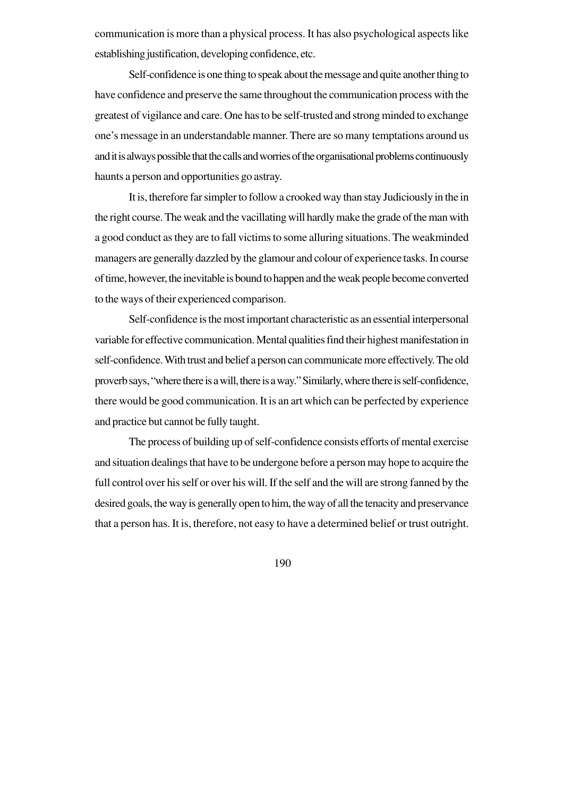communication is more than a physical process. It has also psychological aspects like establishing justification, developing confidence, etc.

Self-confidence is one thing to speak about the message and quite another thing to have confidence and preserve the same throughout the communication process with the greatest of vigilance and care. One has to be self-trusted and strong minded to exchange one's message in an understandable manner. There are so many temptations around us and it is always possible that the calls and worries of the organisational problems continuously haunts a person and opportunities go astray.

It is, therefore far simpler to follow a crooked way than stay Judiciously in the in the right course. The weak and the vacillating will hardly make the grade of the man with a good conduct as they are to fall victims to some alluring situations. The weakminded managers are generally dazzled by the glamour and colour of experience tasks. In course of time, however, the inevitable is bound to happen and the weak people become converted to the ways of their experienced comparison.

Self-confidence is the most important characteristic as an essential interpersonal variable for effective communication. Mental qualities find their highest manifestation in self-confidence. With trust and belief a person can communicate more effectively. The old proverb says, "where there is a will, there is a way." Similarly, where there is self-confidence, there would be good communication. It is an art which can be perfected by experience and practice but cannot be fully taught.

The process of building up of self-confidence consists efforts of mental exercise and situation dealings that have to be undergone before a person may hope to acquire the full control over his self or over his will. If the self and the will are strong fanned by the desired goals, the way is generally open to him, the way of all the tenacity and preservance that a person has. It is, therefore, not easy to have a determined belief or trust outright.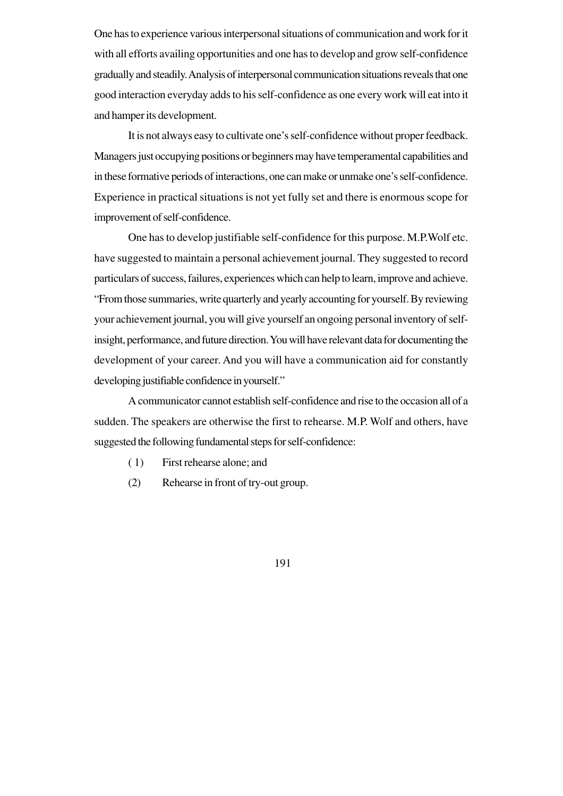One has to experience various interpersonal situations of communication and work for it with all efforts availing opportunities and one has to develop and grow self-confidence gradually and steadily. Analysis of interpersonal communication situations reveals that one good interaction everyday adds to his self-confidence as one every work will eat into it and hamper its development.

It is not always easy to cultivate one's self-confidence without proper feedback. Managers just occupying positions or beginners may have temperamental capabilities and in these formative periods of interactions, one can make or unmake one's self-confidence. Experience in practical situations is not yet fully set and there is enormous scope for improvement of self-confidence.

One has to develop justifiable self-confidence for this purpose. M.P.Wolf etc. have suggested to maintain a personal achievement journal. They suggested to record particulars of success, failures, experiences which can help to learn, improve and achieve. "From those summaries, write quarterly and yearly accounting for yourself. By reviewing your achievement journal, you will give yourself an ongoing personal inventory of selfinsight, performance, and future direction. You will have relevant data for documenting the development of your career. And you will have a communication aid for constantly developing justifiable confidence in yourself."

A communicator cannot establish self-confidence and rise to the occasion all of a sudden. The speakers are otherwise the first to rehearse. M.P. Wolf and others, have suggested the following fundamental steps for self-confidence:

- ( 1) First rehearse alone; and
- (2) Rehearse in front of try-out group.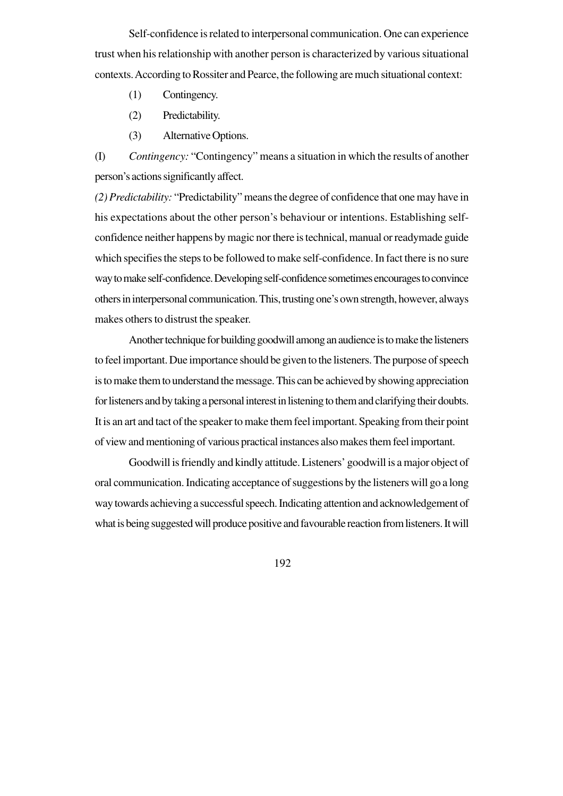Self-confidence is related to interpersonal communication. One can experience trust when his relationship with another person is characterized by various situational contexts. According to Rossiter and Pearce, the following are much situational context:

- (1) Contingency.
- (2) Predictability.
- (3) Alternative Options.

(I) *Contingency:* "Contingency" means a situation in which the results of another person's actions significantly affect.

*(2) Predictability:* "Predictability" means the degree of confidence that one may have in his expectations about the other person's behaviour or intentions. Establishing selfconfidence neither happens by magic nor there is technical, manual or readymade guide which specifies the steps to be followed to make self-confidence. In fact there is no sure way to make self-confidence. Developing self-confidence sometimes encourages to convince others in interpersonal communication. This, trusting one's own strength, however, always makes others to distrust the speaker.

Another technique for building goodwill among an audience is to make the listeners to feel important. Due importance should be given to the listeners. The purpose of speech is to make them to understand the message. This can be achieved by showing appreciation for listeners and by taking a personal interest in listening to them and clarifying their doubts. It is an art and tact of the speaker to make them feel important. Speaking from their point of view and mentioning of various practical instances also makes them feel important.

Goodwill is friendly and kindly attitude. Listeners' goodwill is a major object of oral communication. Indicating acceptance of suggestions by the listeners will go a long way towards achieving a successful speech. Indicating attention and acknowledgement of what is being suggested will produce positive and favourable reaction from listeners. It will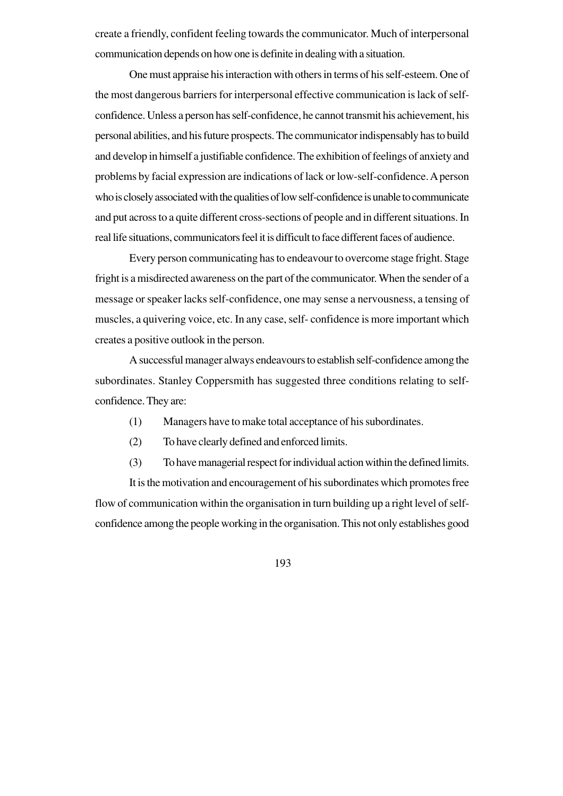create a friendly, confident feeling towards the communicator. Much of interpersonal communication depends on how one is definite in dealing with a situation.

One must appraise his interaction with others in terms of his self-esteem. One of the most dangerous barriers for interpersonal effective communication is lack of selfconfidence. Unless a person has self-confidence, he cannot transmit his achievement, his personal abilities, and his future prospects. The communicator indispensably has to build and develop in himself a justifiable confidence. The exhibition of feelings of anxiety and problems by facial expression are indications of lack or low-self-confidence. A person who is closely associated with the qualities of low self-confidence is unable to communicate and put across to a quite different cross-sections of people and in different situations. In real life situations, communicators feel it is difficult to face different faces of audience.

Every person communicating has to endeavour to overcome stage fright. Stage fright is a misdirected awareness on the part of the communicator. When the sender of a message or speaker lacks self-confidence, one may sense a nervousness, a tensing of muscles, a quivering voice, etc. In any case, self- confidence is more important which creates a positive outlook in the person.

A successful manager always endeavours to establish self-confidence among the subordinates. Stanley Coppersmith has suggested three conditions relating to selfconfidence. They are:

- (1) Managers have to make total acceptance of his subordinates.
- (2) To have clearly defined and enforced limits.
- (3) To have managerial respect for individual action within the defined limits.

It is the motivation and encouragement of his subordinates which promotes free flow of communication within the organisation in turn building up a right level of selfconfidence among the people working in the organisation. This not only establishes good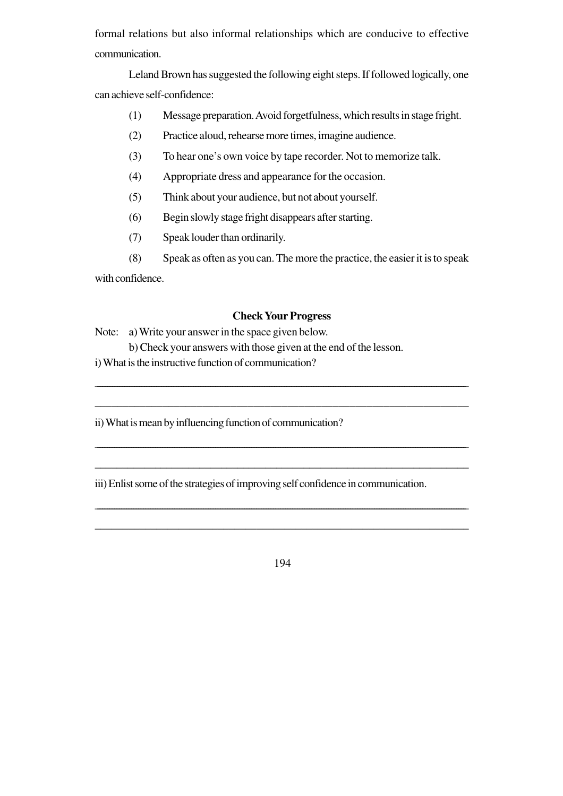formal relations but also informal relationships which are conducive to effective communication.

Leland Brown has suggested the following eight steps. If followed logically, one can achieve self-confidence:

- (1) Message preparation. Avoid forgetfulness, which results in stage fright.
- (2) Practice aloud, rehearse more times, imagine audience.
- (3) To hear one's own voice by tape recorder. Not to memorize talk.
- (4) Appropriate dress and appearance for the occasion.
- (5) Think about your audience, but not about yourself.
- (6) Begin slowly stage fright disappears after starting.
- (7) Speak louder than ordinarily.
- (8) Speak as often as you can. The more the practice, the easier it is to speak

with confidence.

## **Check Your Progress**

\_\_\_\_\_\_\_\_\_\_\_\_\_\_\_\_\_\_\_\_\_\_\_\_\_\_\_\_\_\_\_\_\_\_\_\_\_\_\_\_\_\_\_\_\_\_\_\_\_\_\_\_\_\_\_\_\_\_\_\_\_\_\_\_\_\_\_\_\_\_\_\_\_\_\_\_\_\_\_\_\_\_\_\_\_\_\_\_\_\_\_\_\_\_\_\_\_\_\_\_\_\_\_\_\_\_\_\_\_\_\_\_\_\_\_\_\_\_\_\_\_\_\_\_\_\_\_\_\_\_\_\_\_\_\_\_\_\_\_\_\_\_\_\_\_\_\_\_\_\_\_

\_\_\_\_\_\_\_\_\_\_\_\_\_\_\_\_\_\_\_\_\_\_\_\_\_\_\_\_\_\_\_\_\_\_\_\_\_\_\_\_\_\_\_\_\_\_\_\_\_\_\_\_\_\_\_\_\_\_\_\_\_\_\_\_\_\_

\_\_\_\_\_\_\_\_\_\_\_\_\_\_\_\_\_\_\_\_\_\_\_\_\_\_\_\_\_\_\_\_\_\_\_\_\_\_\_\_\_\_\_\_\_\_\_\_\_\_\_\_\_\_\_\_\_\_\_\_\_\_\_\_\_\_\_\_\_\_\_\_\_\_\_\_\_\_\_\_\_\_\_\_\_\_\_\_\_\_\_\_\_\_\_\_\_\_\_\_\_\_\_\_\_\_\_\_\_\_\_\_\_\_\_\_\_\_\_\_\_\_\_\_\_\_\_\_\_\_\_\_\_\_\_\_\_\_\_\_\_\_\_\_\_\_\_\_\_\_\_\_\_\_

\_\_\_\_\_\_\_\_\_\_\_\_\_\_\_\_\_\_\_\_\_\_\_\_\_\_\_\_\_\_\_\_\_\_\_\_\_\_\_\_\_\_\_\_\_\_\_\_\_\_\_\_\_\_\_\_\_\_\_\_\_\_\_\_\_\_\_\_

\_\_\_\_\_\_\_\_\_\_\_\_\_\_\_\_\_\_\_\_\_\_\_\_\_\_\_\_\_\_\_\_\_\_\_\_\_\_\_\_\_\_\_\_\_\_\_\_\_\_\_\_\_\_\_\_\_\_\_\_\_\_\_\_\_\_\_\_\_\_\_\_\_\_\_\_\_\_\_\_\_\_\_\_\_\_\_\_\_\_\_\_\_\_\_\_\_\_\_\_\_\_\_\_\_\_\_\_\_\_\_\_\_\_\_\_\_\_\_\_\_\_\_\_\_\_\_\_\_\_\_\_\_\_\_\_\_\_\_\_\_\_\_\_\_\_\_\_\_\_\_\_\_\_

\_\_\_\_\_\_\_\_\_\_\_\_\_\_\_\_\_\_\_\_\_\_\_\_\_\_\_\_\_\_\_\_\_\_\_\_\_\_\_\_\_\_\_\_\_\_\_\_\_\_\_\_\_\_\_\_\_\_\_\_\_\_\_\_\_\_\_

Note: a) Write your answer in the space given below. b) Check your answers with those given at the end of the lesson. i) What is the instructive function of communication?

ii) What is mean by influencing function of communication?

iii) Enlist some of the strategies of improving self confidence in communication.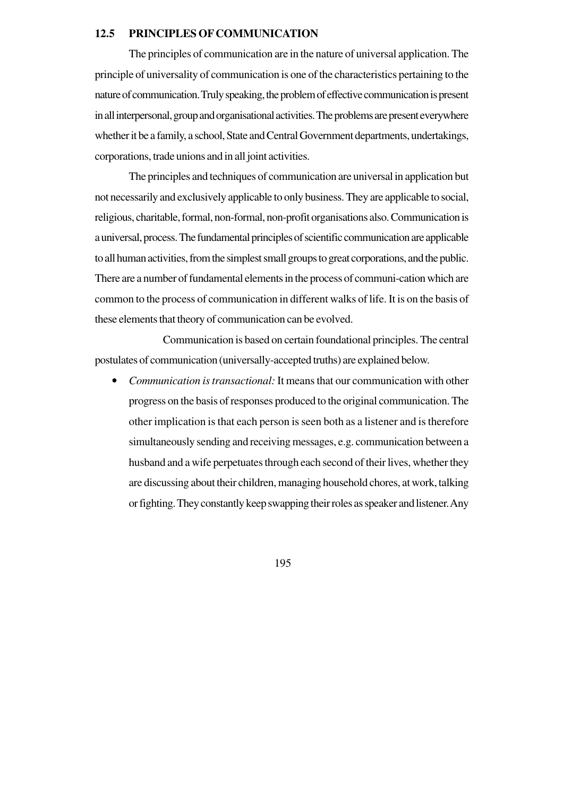#### **12.5 PRINCIPLES OF COMMUNICATION**

The principles of communication are in the nature of universal application. The principle of universality of communication is one of the characteristics pertaining to the nature of communication. Truly speaking, the problem of effective communication is present in all interpersonal, group and organisational activities. The problems are present everywhere whether it be a family, a school, State and Central Government departments, undertakings, corporations, trade unions and in all joint activities.

The principles and techniques of communication are universal in application but not necessarily and exclusively applicable to only business. They are applicable to social, religious, charitable, formal, non-formal, non-profit organisations also. Communication is a universal, process. The fundamental principles of scientific communication are applicable to all human activities, from the simplest small groups to great corporations, and the public. There are a number of fundamental elements in the process of communi-cation which are common to the process of communication in different walks of life. It is on the basis of these elements that theory of communication can be evolved.

Communication is based on certain foundational principles. The central postulates of communication (universally-accepted truths) are explained below.

• *Communication is transactional:* It means that our communication with other progress on the basis of responses produced to the original communication. The other implication is that each person is seen both as a listener and is therefore simultaneously sending and receiving messages, e.g. communication between a husband and a wife perpetuates through each second of their lives, whether they are discussing about their children, managing household chores, at work, talking or fighting. They constantly keep swapping their roles as speaker and listener. Any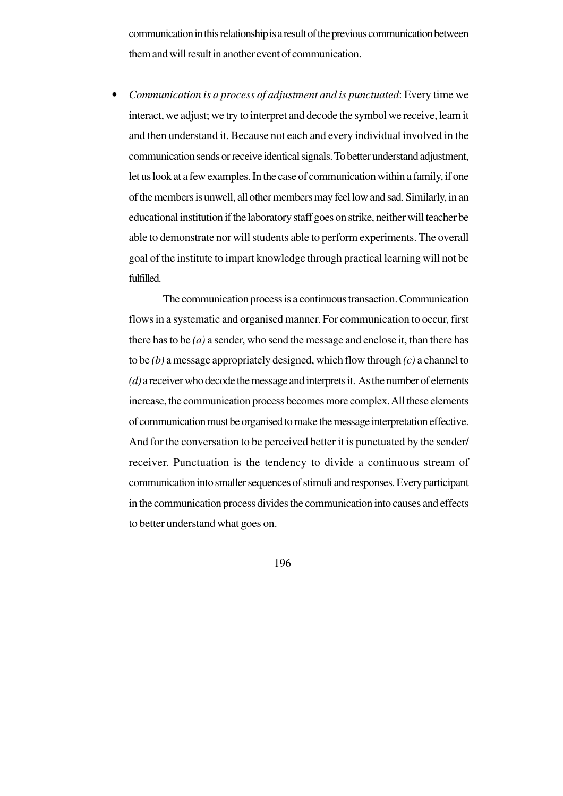communication in this relationship is a result of the previous communication between them and will result in another event of communication.

• *Communication is a process of adjustment and is punctuated*: Every time we interact, we adjust; we try to interpret and decode the symbol we receive, learn it and then understand it. Because not each and every individual involved in the communication sends or receive identical signals. To better understand adjustment, let us look at a few examples. In the case of communication within a family, if one of the members is unwell, all other members may feel low and sad. Similarly, in an educational institution if the laboratory staff goes on strike, neither will teacher be able to demonstrate nor will students able to perform experiments. The overall goal of the institute to impart knowledge through practical learning will not be fulfilled.

The communication process is a continuous transaction. Communication flows in a systematic and organised manner. For communication to occur, first there has to be *(a)* a sender, who send the message and enclose it, than there has to be *(b)* a message appropriately designed, which flow through *(c)* a channel to *(d)* a receiver who decode the message and interprets it. As the number of elements increase, the communication process becomes more complex. All these elements of communication must be organised to make the message interpretation effective. And for the conversation to be perceived better it is punctuated by the sender/ receiver. Punctuation is the tendency to divide a continuous stream of communication into smaller sequences of stimuli and responses. Every participant in the communication process divides the communication into causes and effects to better understand what goes on.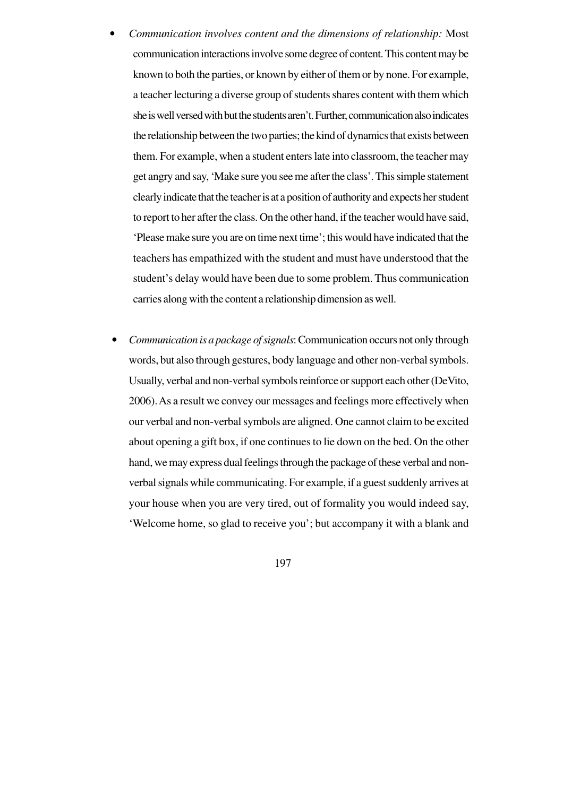- *Communication involves content and the dimensions of relationship:* Most communication interactions involve some degree of content. This content may be known to both the parties, or known by either of them or by none. For example, a teacher lecturing a diverse group of students shares content with them which she is well versed with but the students aren't. Further, communication also indicates the relationship between the two parties; the kind of dynamics that exists between them. For example, when a student enters late into classroom, the teacher may get angry and say, 'Make sure you see me after the class'. This simple statement clearly indicate that the teacher is at a position of authority and expects her student to report to her after the class. On the other hand, if the teacher would have said, 'Please make sure you are on time next time'; this would have indicated that the teachers has empathized with the student and must have understood that the student's delay would have been due to some problem. Thus communication carries along with the content a relationship dimension as well.
- *Communication is a package of signals*: Communication occurs not only through words, but also through gestures, body language and other non-verbal symbols. Usually, verbal and non-verbal symbols reinforce or support each other (DeVito, 2006). As a result we convey our messages and feelings more effectively when our verbal and non-verbal symbols are aligned. One cannot claim to be excited about opening a gift box, if one continues to lie down on the bed. On the other hand, we may express dual feelings through the package of these verbal and nonverbal signals while communicating. For example, if a guest suddenly arrives at your house when you are very tired, out of formality you would indeed say, 'Welcome home, so glad to receive you'; but accompany it with a blank and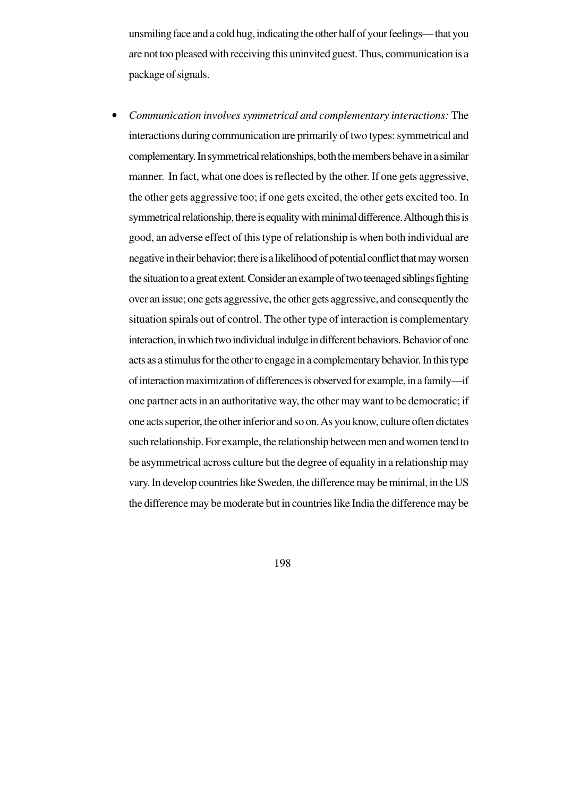unsmiling face and a cold hug, indicating the other half of your feelings— that you are not too pleased with receiving this uninvited guest. Thus, communication is a package of signals.

• *Communication involves symmetrical and complementary interactions:* The interactions during communication are primarily of two types: symmetrical and complementary. In symmetrical relationships, both the members behave in a similar manner. In fact, what one does is reflected by the other. If one gets aggressive, the other gets aggressive too; if one gets excited, the other gets excited too. In symmetrical relationship, there is equality with minimal difference. Although this is good, an adverse effect of this type of relationship is when both individual are negative in their behavior; there is a likelihood of potential conflict that may worsen the situation to a great extent. Consider an example of two teenaged siblings fighting over an issue; one gets aggressive, the other gets aggressive, and consequently the situation spirals out of control. The other type of interaction is complementary interaction, in which two individual indulge in different behaviors. Behavior of one acts as a stimulus for the other to engage in a complementary behavior. In this type of interaction maximization of differences is observed for example, in a family—if one partner acts in an authoritative way, the other may want to be democratic; if one acts superior, the other inferior and so on. As you know, culture often dictates such relationship. For example, the relationship between men and women tend to be asymmetrical across culture but the degree of equality in a relationship may vary. In develop countries like Sweden, the difference may be minimal, in the US the difference may be moderate but in countries like India the difference may be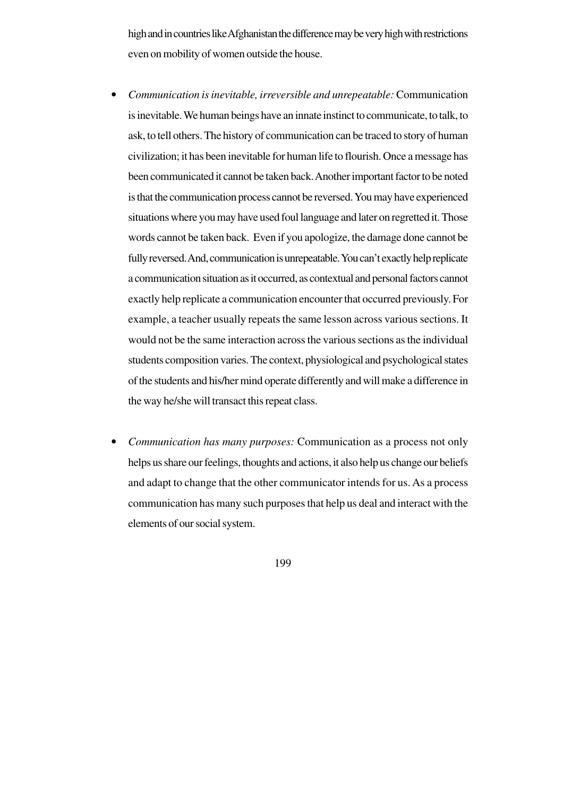high and in countries like Afghanistan the difference may be very high with restrictions even on mobility of women outside the house.

- *Communication is inevitable, irreversible and unrepeatable:* Communication is inevitable. We human beings have an innate instinct to communicate, to talk, to ask, to tell others. The history of communication can be traced to story of human civilization; it has been inevitable for human life to flourish. Once a message has been communicated it cannot be taken back. Another important factor to be noted is that the communication process cannot be reversed. You may have experienced situations where you may have used foul language and later on regretted it. Those words cannot be taken back. Even if you apologize, the damage done cannot be fully reversed. And, communication is unrepeatable. You can't exactly help replicate a communication situation as it occurred, as contextual and personal factors cannot exactly help replicate a communication encounter that occurred previously. For example, a teacher usually repeats the same lesson across various sections. It would not be the same interaction across the various sections as the individual students composition varies. The context, physiological and psychological states of the students and his/her mind operate differently and will make a difference in the way he/she will transact this repeat class.
- *Communication has many purposes:* Communication as a process not only helps us share our feelings, thoughts and actions, it also help us change our beliefs and adapt to change that the other communicator intends for us. As a process communication has many such purposes that help us deal and interact with the elements of our social system.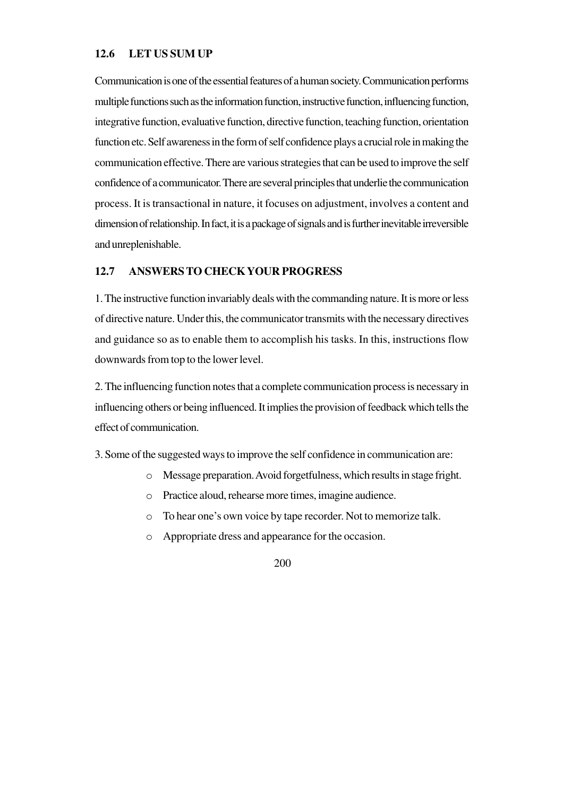#### **12.6 LET US SUM UP**

Communication is one of the essential features of a human society. Communication performs multiple functions such as the information function, instructive function, influencing function, integrative function, evaluative function, directive function, teaching function, orientation function etc. Self awareness in the form of self confidence plays a crucial role in making the communication effective. There are various strategies that can be used to improve the self confidence of a communicator. There are several principles that underlie the communication process. It is transactional in nature, it focuses on adjustment, involves a content and dimension of relationship. In fact, it is a package of signals and is further inevitable irreversible and unreplenishable.

#### **12.7 ANSWERS TO CHECK YOUR PROGRESS**

1. The instructive function invariably deals with the commanding nature. It is more or less of directive nature. Under this, the communicator transmits with the necessary directives and guidance so as to enable them to accomplish his tasks. In this, instructions flow downwards from top to the lower level.

2. The influencing function notes that a complete communication process is necessary in influencing others or being influenced. It implies the provision of feedback which tells the effect of communication.

3. Some of the suggested ways to improve the self confidence in communication are:

- o Message preparation. Avoid forgetfulness, which results in stage fright.
- o Practice aloud, rehearse more times, imagine audience.
- o To hear one's own voice by tape recorder. Not to memorize talk.
- o Appropriate dress and appearance for the occasion.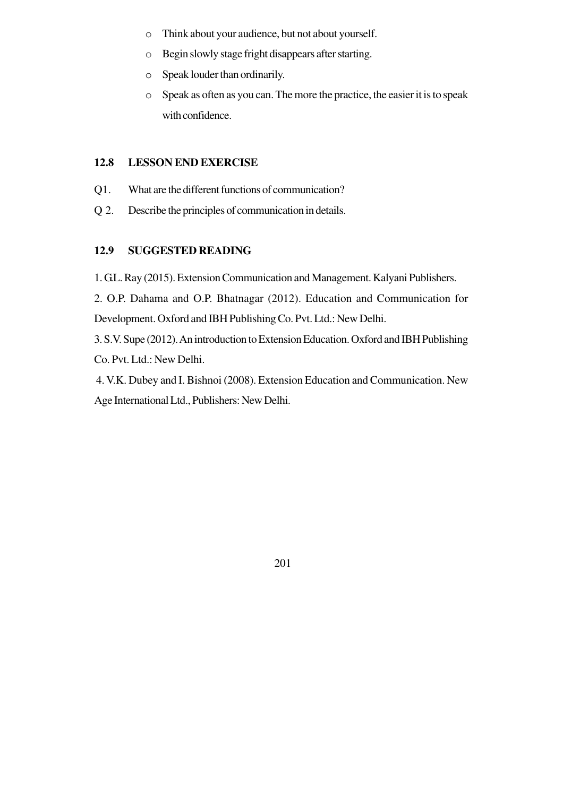- o Think about your audience, but not about yourself.
- o Begin slowly stage fright disappears after starting.
- o Speak louder than ordinarily.
- o Speak as often as you can. The more the practice, the easier it is to speak with confidence.

## **12.8 LESSON END EXERCISE**

- Q1. What are the different functions of communication?
- Q 2. Describe the principles of communication in details.

## **12.9 SUGGESTED READING**

1. G.L. Ray (2015). Extension Communication and Management. Kalyani Publishers.

2. O.P. Dahama and O.P. Bhatnagar (2012). Education and Communication for Development. Oxford and IBH Publishing Co. Pvt. Ltd.: New Delhi.

3. S.V. Supe (2012). An introduction to Extension Education. Oxford and IBH Publishing Co. Pvt. Ltd.: New Delhi.

 4. V.K. Dubey and I. Bishnoi (2008). Extension Education and Communication. New Age International Ltd., Publishers: New Delhi.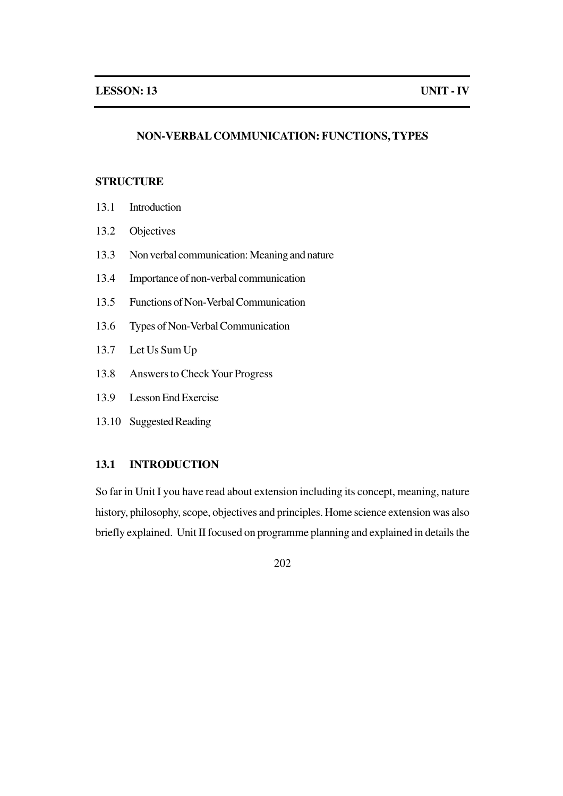#### **NON-VERBAL COMMUNICATION: FUNCTIONS, TYPES**

## **STRUCTURE**

- 13.1 Introduction
- 13.2 Objectives
- 13.3 Non verbal communication: Meaning and nature
- 13.4 Importance of non-verbal communication
- 13.5 Functions of Non-Verbal Communication
- 13.6 Types of Non-Verbal Communication
- 13.7 Let Us Sum Up
- 13.8 Answers to Check Your Progress
- 13.9 Lesson End Exercise
- 13.10 Suggested Reading

## **13.1 INTRODUCTION**

So far in Unit I you have read about extension including its concept, meaning, nature history, philosophy, scope, objectives and principles. Home science extension was also briefly explained. Unit II focused on programme planning and explained in details the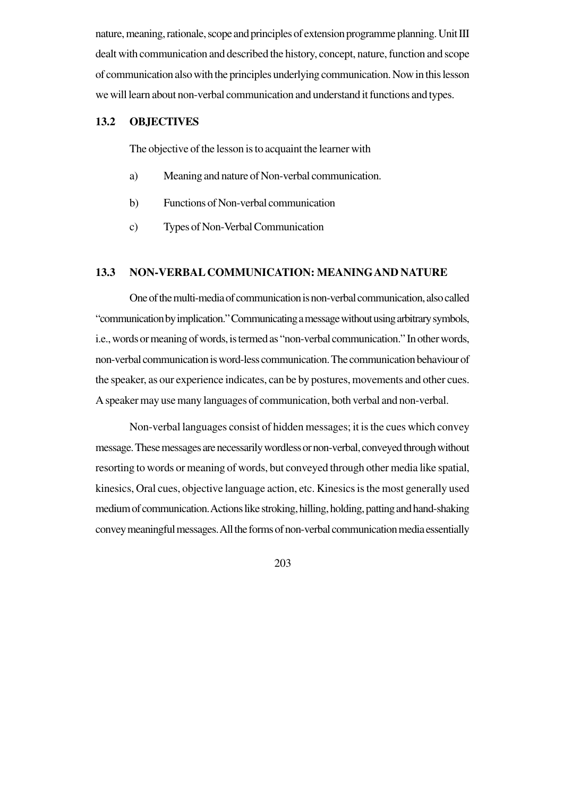nature, meaning, rationale, scope and principles of extension programme planning. Unit III dealt with communication and described the history, concept, nature, function and scope of communication also with the principles underlying communication. Now in this lesson we will learn about non-verbal communication and understand it functions and types.

## **13.2 OBJECTIVES**

The objective of the lesson is to acquaint the learner with

- a) Meaning and nature of Non-verbal communication.
- b) Functions of Non-verbal communication
- c) Types of Non-Verbal Communication

#### **13.3 NON-VERBAL COMMUNICATION: MEANINGAND NATURE**

One of the multi-media of communication is non-verbal communication, also called "communication by implication." Communicating a message without using arbitrary symbols, i.e., words or meaning of words, is termed as "non-verbal communication." In other words, non-verbal communication is word-less communication. The communication behaviour of the speaker, as our experience indicates, can be by postures, movements and other cues. A speaker may use many languages of communication, both verbal and non-verbal.

Non-verbal languages consist of hidden messages; it is the cues which convey message. These messages are necessarily wordless or non-verbal, conveyed through without resorting to words or meaning of words, but conveyed through other media like spatial, kinesics, Oral cues, objective language action, etc. Kinesics is the most generally used medium of communication. Actions like stroking, hilling, holding, patting and hand-shaking convey meaningful messages. All the forms of non-verbal communication media essentially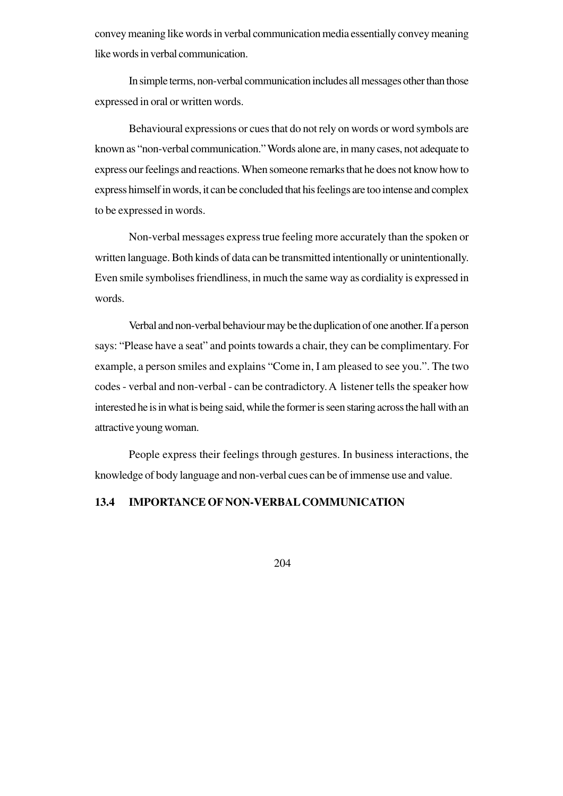convey meaning like words in verbal communication media essentially convey meaning like words in verbal communication.

In simple terms, non-verbal communication includes all messages other than those expressed in oral or written words.

Behavioural expressions or cues that do not rely on words or word symbols are known as "non-verbal communication." Words alone are, in many cases, not adequate to express our feelings and reactions. When someone remarks that he does not know how to express himself in words, it can be concluded that his feelings are too intense and complex to be expressed in words.

Non-verbal messages express true feeling more accurately than the spoken or written language. Both kinds of data can be transmitted intentionally or unintentionally. Even smile symbolises friendliness, in much the same way as cordiality is expressed in words.

Verbal and non-verbal behaviour may be the duplication of one another. If a person says: "Please have a seat" and points towards a chair, they can be complimentary. For example, a person smiles and explains "Come in, I am pleased to see you.". The two codes - verbal and non-verbal - can be contradictory. A listener tells the speaker how interested he is in what is being said, while the former is seen staring across the hall with an attractive young woman.

People express their feelings through gestures. In business interactions, the knowledge of body language and non-verbal cues can be of immense use and value.

## **13.4 IMPORTANCE OF NON-VERBAL COMMUNICATION**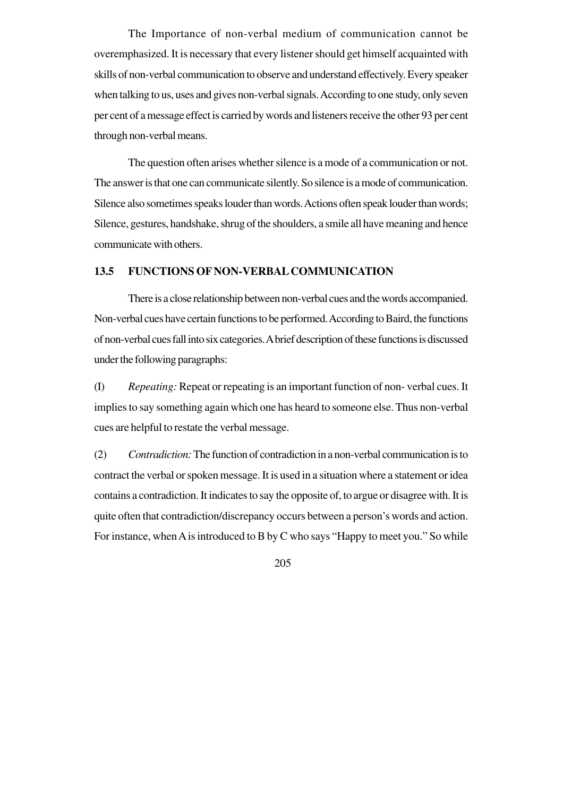The Importance of non-verbal medium of communication cannot be overemphasized. It is necessary that every listener should get himself acquainted with skills of non-verbal communication to observe and understand effectively. Every speaker when talking to us, uses and gives non-verbal signals. According to one study, only seven per cent of a message effect is carried by words and listeners receive the other 93 per cent through non-verbal means.

The question often arises whether silence is a mode of a communication or not. The answer is that one can communicate silently. So silence is a mode of communication. Silence also sometimes speaks louder than words. Actions often speak louder than words; Silence, gestures, handshake, shrug of the shoulders, a smile all have meaning and hence communicate with others.

#### **13.5 FUNCTIONS OF NON-VERBAL COMMUNICATION**

There is a close relationship between non-verbal cues and the words accompanied. Non-verbal cues have certain functions to be performed. According to Baird, the functions of non-verbal cues fall into six categories. A brief description of these functions is discussed under the following paragraphs:

(I) *Repeating:* Repeat or repeating is an important function of non- verbal cues. It implies to say something again which one has heard to someone else. Thus non-verbal cues are helpful to restate the verbal message.

(2) *Contradiction:* The function of contradiction in a non-verbal communication is to contract the verbal or spoken message. It is used in a situation where a statement or idea contains a contradiction. It indicates to say the opposite of, to argue or disagree with. It is quite often that contradiction/discrepancy occurs between a person's words and action. For instance, when A is introduced to B by C who says "Happy to meet you." So while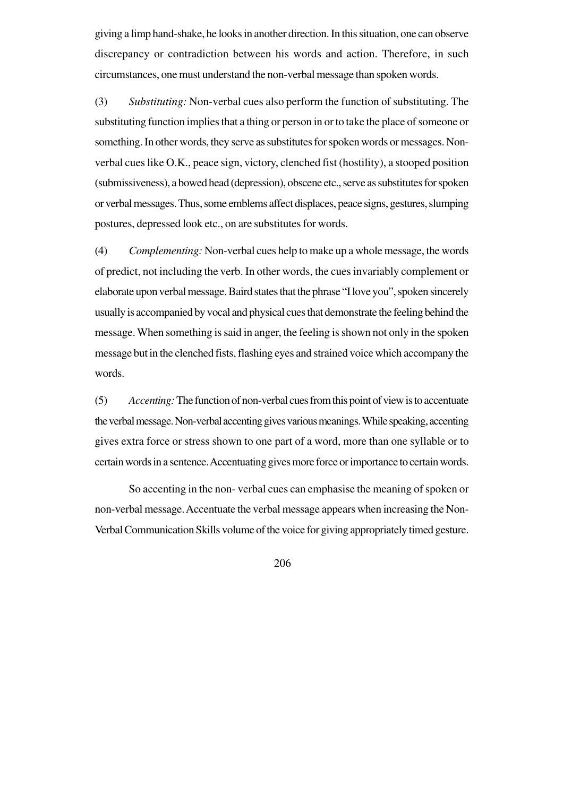giving a limp hand-shake, he looks in another direction. In this situation, one can observe discrepancy or contradiction between his words and action. Therefore, in such circumstances, one must understand the non-verbal message than spoken words.

(3) *Substituting:* Non-verbal cues also perform the function of substituting. The substituting function implies that a thing or person in or to take the place of someone or something. In other words, they serve as substitutes for spoken words or messages. Nonverbal cues like O.K., peace sign, victory, clenched fist (hostility), a stooped position (submissiveness), a bowed head (depression), obscene etc., serve as substitutes for spoken or verbal messages. Thus, some emblems affect displaces, peace signs, gestures, slumping postures, depressed look etc., on are substitutes for words.

(4) *Complementing:* Non-verbal cues help to make up a whole message, the words of predict, not including the verb. In other words, the cues invariably complement or elaborate upon verbal message. Baird states that the phrase "I love you", spoken sincerely usually is accompanied by vocal and physical cues that demonstrate the feeling behind the message. When something is said in anger, the feeling is shown not only in the spoken message but in the clenched fists, flashing eyes and strained voice which accompany the words.

(5) *Accenting:* The function of non-verbal cues from this point of view is to accentuate the verbal message. Non-verbal accenting gives various meanings. While speaking, accenting gives extra force or stress shown to one part of a word, more than one syllable or to certain words in a sentence. Accentuating gives more force or importance to certain words.

So accenting in the non- verbal cues can emphasise the meaning of spoken or non-verbal message. Accentuate the verbal message appears when increasing the Non-Verbal Communication Skills volume of the voice for giving appropriately timed gesture.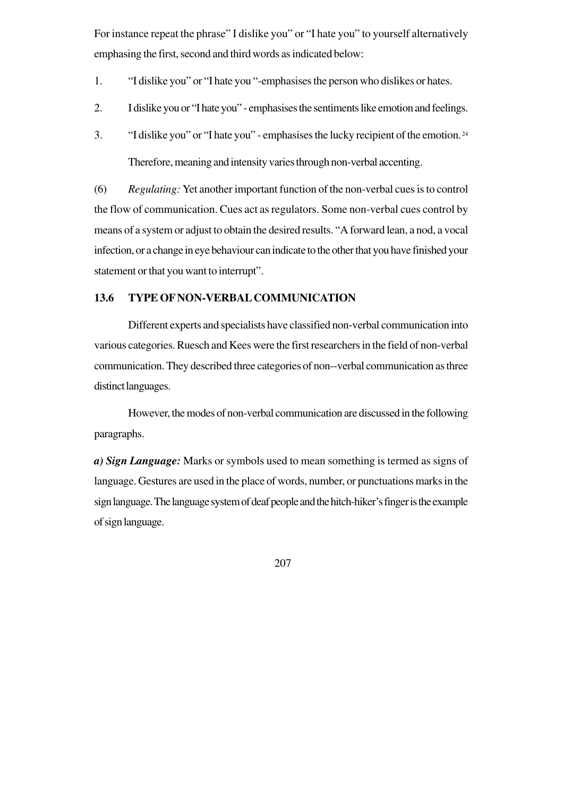For instance repeat the phrase" I dislike you" or "I hate you" to yourself alternatively emphasing the first, second and third words as indicated below:

- 1. "I dislike you" or "I hate you "-emphasises the person who dislikes or hates.
- 2. I dislike you or "I hate you" emphasises the sentiments like emotion and feelings.
- 3. "I dislike you" or "I hate you" emphasises the lucky recipient of the emotion.<sup>24</sup> Therefore, meaning and intensity varies through non-verbal accenting.

(6) *Regulating:* Yet another important function of the non-verbal cues is to control the flow of communication. Cues act as regulators. Some non-verbal cues control by means of a system or adjust to obtain the desired results. "A forward lean, a nod, a vocal infection, or a change in eye behaviour can indicate to the other that you have finished your statement or that you want to interrupt".

## **13.6 TYPE OF NON-VERBAL COMMUNICATION**

Different experts and specialists have classified non-verbal communication into various categories. Ruesch and Kees were the first researchers in the field of non-verbal communication. They described three categories of non--verbal communication as three distinct languages.

However, the modes of non-verbal communication are discussed in the following paragraphs.

*a) Sign Language:* Marks or symbols used to mean something is termed as signs of language. Gestures are used in the place of words, number, or punctuations marks in the sign language. The language system of deaf people and the hitch-hiker's finger is the example of sign language.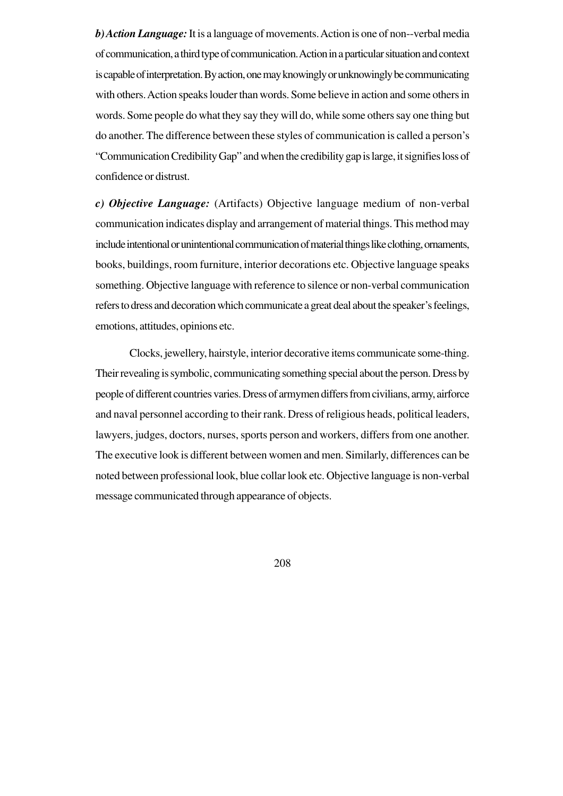*b) Action Language:* It is a language of movements. Action is one of non--verbal media of communication, a third type of communication. Action in a particular situation and context is capable of interpretation. By action, one may knowingly or unknowingly be communicating with others. Action speaks louder than words. Some believe in action and some others in words. Some people do what they say they will do, while some others say one thing but do another. The difference between these styles of communication is called a person's "Communication Credibility Gap" and when the credibility gap is large, it signifies loss of confidence or distrust.

*c) Objective Language:* (Artifacts) Objective language medium of non-verbal communication indicates display and arrangement of material things. This method may include intentional or unintentional communication of material things like clothing, ornaments, books, buildings, room furniture, interior decorations etc. Objective language speaks something. Objective language with reference to silence or non-verbal communication refers to dress and decoration which communicate a great deal about the speaker's feelings, emotions, attitudes, opinions etc.

Clocks, jewellery, hairstyle, interior decorative items communicate some-thing. Their revealing is symbolic, communicating something special about the person. Dress by people of different countries varies. Dress of armymen differs from civilians, army, airforce and naval personnel according to their rank. Dress of religious heads, political leaders, lawyers, judges, doctors, nurses, sports person and workers, differs from one another. The executive look is different between women and men. Similarly, differences can be noted between professional look, blue collar look etc. Objective language is non-verbal message communicated through appearance of objects.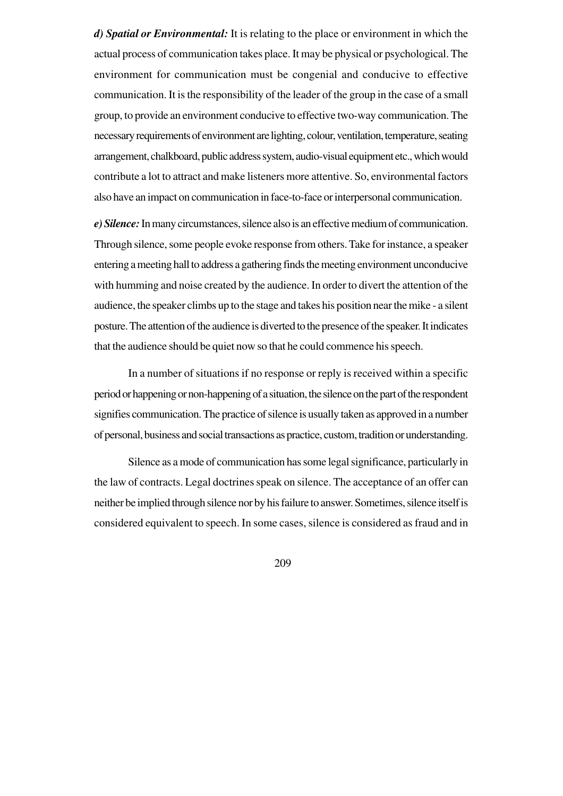*d) Spatial or Environmental:* It is relating to the place or environment in which the actual process of communication takes place. It may be physical or psychological. The environment for communication must be congenial and conducive to effective communication. It is the responsibility of the leader of the group in the case of a small group, to provide an environment conducive to effective two-way communication. The necessary requirements of environment are lighting, colour, ventilation, temperature, seating arrangement, chalkboard, public address system, audio-visual equipment etc., which would contribute a lot to attract and make listeners more attentive. So, environmental factors also have an impact on communication in face-to-face or interpersonal communication.

*e) Silence:* In many circumstances, silence also is an effective medium of communication. Through silence, some people evoke response from others. Take for instance, a speaker entering a meeting hall to address a gathering finds the meeting environment unconducive with humming and noise created by the audience. In order to divert the attention of the audience, the speaker climbs up to the stage and takes his position near the mike - a silent posture. The attention of the audience is diverted to the presence of the speaker. It indicates that the audience should be quiet now so that he could commence his speech.

In a number of situations if no response or reply is received within a specific period or happening or non-happening of a situation, the silence on the part of the respondent signifies communication. The practice of silence is usually taken as approved in a number of personal, business and social transactions as practice, custom, tradition or understanding.

Silence as a mode of communication has some legal significance, particularly in the law of contracts. Legal doctrines speak on silence. The acceptance of an offer can neither be implied through silence nor by his failure to answer. Sometimes, silence itself is considered equivalent to speech. In some cases, silence is considered as fraud and in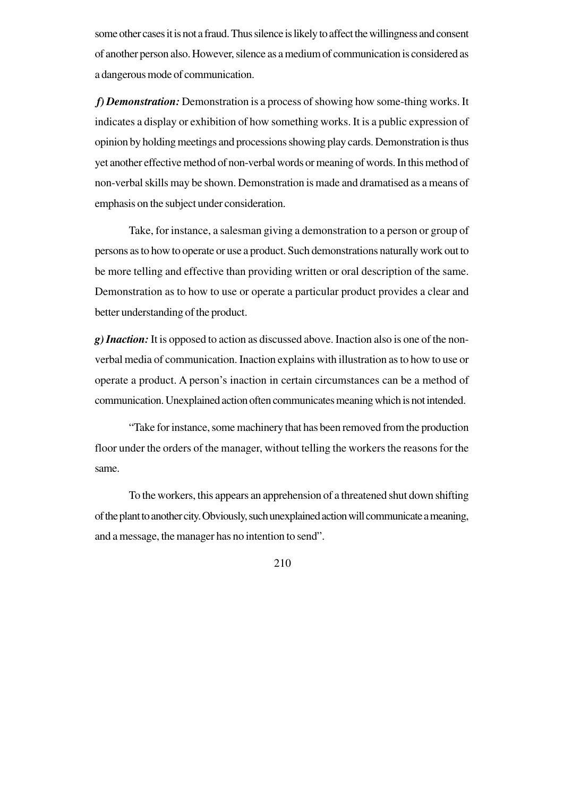some other cases it is not a fraud. Thus silence is likely to affect the willingness and consent of another person also. However, silence as a medium of communication is considered as a dangerous mode of communication.

 *f) Demonstration:* Demonstration is a process of showing how some-thing works. It indicates a display or exhibition of how something works. It is a public expression of opinion by holding meetings and processions showing play cards. Demonstration is thus yet another effective method of non-verbal words or meaning of words. In this method of non-verbal skills may be shown. Demonstration is made and dramatised as a means of emphasis on the subject under consideration.

Take, for instance, a salesman giving a demonstration to a person or group of persons as to how to operate or use a product. Such demonstrations naturally work out to be more telling and effective than providing written or oral description of the same. Demonstration as to how to use or operate a particular product provides a clear and better understanding of the product.

*g) Inaction:* It is opposed to action as discussed above. Inaction also is one of the nonverbal media of communication. Inaction explains with illustration as to how to use or operate a product. A person's inaction in certain circumstances can be a method of communication. Unexplained action often communicates meaning which is not intended.

"Take for instance, some machinery that has been removed from the production floor under the orders of the manager, without telling the workers the reasons for the same.

To the workers, this appears an apprehension of a threatened shut down shifting of the plant to another city. Obviously, such unexplained action will communicate a meaning, and a message, the manager has no intention to send".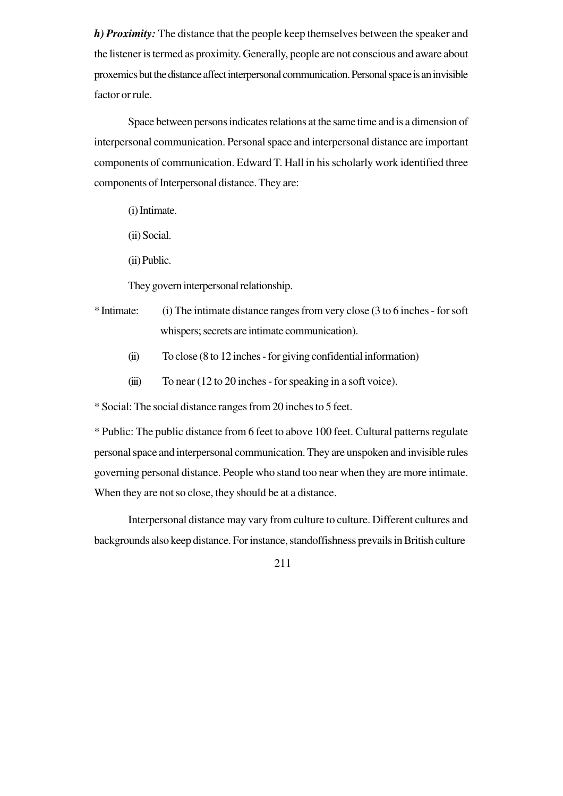*h) Proximity:* The distance that the people keep themselves between the speaker and the listener is termed as proximity. Generally, people are not conscious and aware about proxemics but the distance affect interpersonal communication. Personal space is an invisible factor or rule.

Space between persons indicates relations at the same time and is a dimension of interpersonal communication. Personal space and interpersonal distance are important components of communication. Edward T. Hall in his scholarly work identified three components of Interpersonal distance. They are:

(i) Intimate.

- (ii) Social.
- (ii) Public.

They govern interpersonal relationship.

- \* Intimate: (i) The intimate distance ranges from very close (3 to 6 inches for soft whispers; secrets are intimate communication).
	- (ii) To close (8 to 12 inches for giving confidential information)
	- (iii) To near (12 to 20 inches for speaking in a soft voice).

\* Social: The social distance ranges from 20 inches to 5 feet.

\* Public: The public distance from 6 feet to above 100 feet. Cultural patterns regulate personal space and interpersonal communication. They are unspoken and invisible rules governing personal distance. People who stand too near when they are more intimate. When they are not so close, they should be at a distance.

Interpersonal distance may vary from culture to culture. Different cultures and backgrounds also keep distance. For instance, standoffishness prevails in British culture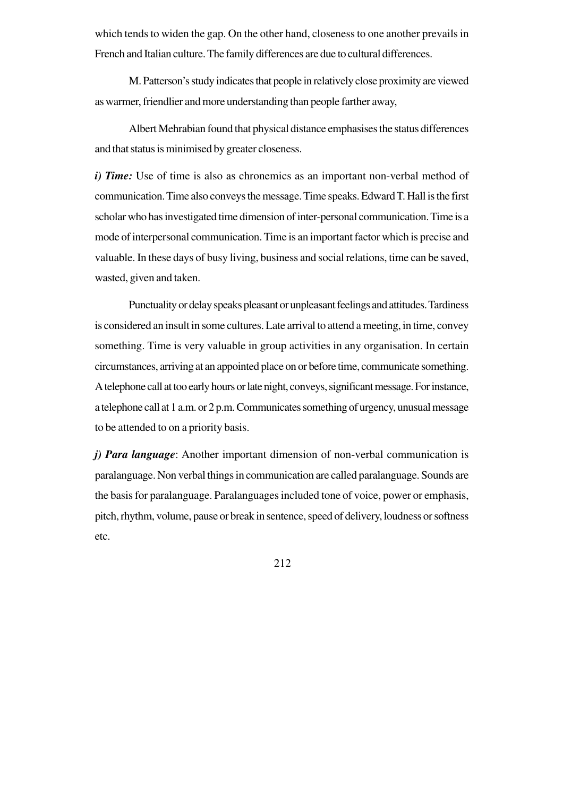which tends to widen the gap. On the other hand, closeness to one another prevails in French and Italian culture. The family differences are due to cultural differences.

M. Patterson's study indicates that people in relatively close proximity are viewed as warmer, friendlier and more understanding than people farther away,

Albert Mehrabian found that physical distance emphasises the status differences and that status is minimised by greater closeness.

*i) Time:* Use of time is also as chronemics as an important non-verbal method of communication. Time also conveys the message. Time speaks. Edward T. Hall is the first scholar who has investigated time dimension of inter-personal communication. Time is a mode of interpersonal communication. Time is an important factor which is precise and valuable. In these days of busy living, business and social relations, time can be saved, wasted, given and taken.

Punctuality or delay speaks pleasant or unpleasant feelings and attitudes. Tardiness is considered an insult in some cultures. Late arrival to attend a meeting, in time, convey something. Time is very valuable in group activities in any organisation. In certain circumstances, arriving at an appointed place on or before time, communicate something. A telephone call at too early hours or late night, conveys, significant message. For instance, a telephone call at 1 a.m. or 2 p.m. Communicates something of urgency, unusual message to be attended to on a priority basis.

*j) Para language*: Another important dimension of non-verbal communication is paralanguage. Non verbal things in communication are called paralanguage. Sounds are the basis for paralanguage. Paralanguages included tone of voice, power or emphasis, pitch, rhythm, volume, pause or break in sentence, speed of delivery, loudness or softness etc.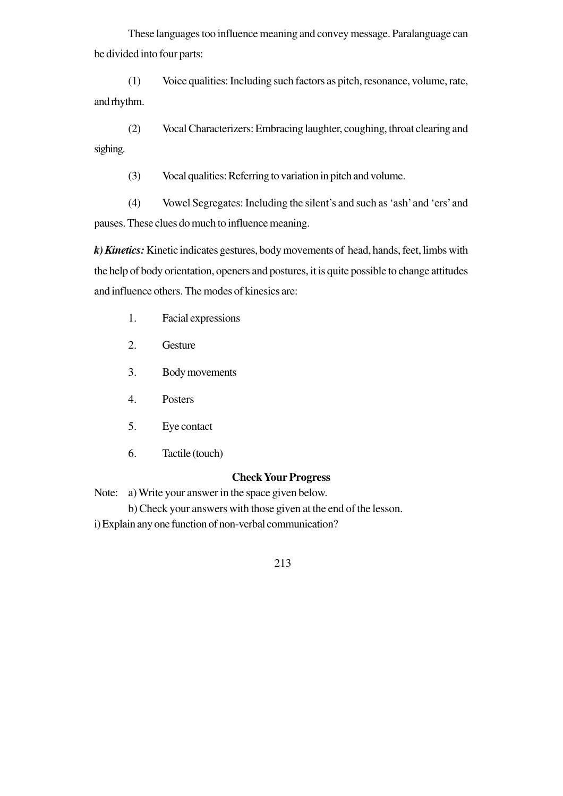These languages too influence meaning and convey message. Paralanguage can be divided into four parts:

(1) Voice qualities: Including such factors as pitch, resonance, volume, rate, and rhythm.

(2) Vocal Characterizers: Embracing laughter, coughing, throat clearing and sighing.

(3) Vocal qualities: Referring to variation in pitch and volume.

(4) Vowel Segregates: Including the silent's and such as 'ash' and 'ers' and pauses. These clues do much to influence meaning.

*k) Kinetics:* Kinetic indicates gestures, body movements of head, hands, feet, limbs with the help of body orientation, openers and postures, it is quite possible to change attitudes and influence others. The modes of kinesics are:

- 1. Facial expressions
- 2. Gesture
- 3. Body movements
- 4. Posters
- 5. Eye contact
- 6. Tactile (touch)

#### **Check Your Progress**

Note: a) Write your answer in the space given below.

b) Check your answers with those given at the end of the lesson.

i) Explain any one function of non-verbal communication?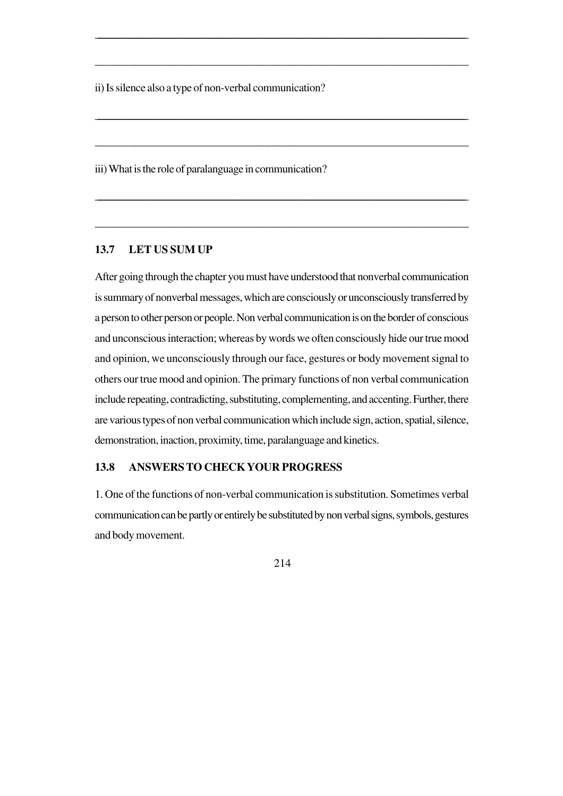ii) Is silence also a type of non-verbal communication?

iii) What is the role of paralanguage in communication?

### **13.7 LET US SUM UP**

After going through the chapter you must have understood that nonverbal communication is summary of nonverbal messages, which are consciously or unconsciously transferred by a person to other person or people. Non verbal communication is on the border of conscious and unconscious interaction; whereas by words we often consciously hide our true mood and opinion, we unconsciously through our face, gestures or body movement signal to others our true mood and opinion. The primary functions of non verbal communication include repeating, contradicting, substituting, complementing, and accenting. Further, there are various types of non verbal communication which include sign, action, spatial, silence, demonstration, inaction, proximity, time, paralanguage and kinetics.

\_\_\_\_\_\_\_\_\_\_\_\_\_\_\_\_\_\_\_\_\_\_\_\_\_\_\_\_\_\_\_\_\_\_\_\_\_\_\_\_\_\_\_\_\_\_\_\_\_\_\_\_\_\_\_\_\_\_\_\_\_\_\_\_\_\_\_\_\_\_\_\_\_\_\_\_\_\_\_\_\_\_\_\_\_\_\_\_\_\_\_\_\_\_\_\_\_\_\_\_\_\_\_\_\_\_\_\_\_\_\_\_\_\_\_\_\_\_\_\_\_\_\_\_\_\_\_\_\_\_\_\_\_\_\_\_\_\_\_\_\_\_\_\_\_\_\_\_\_\_\_\_\_

\_\_\_\_\_\_\_\_\_\_\_\_\_\_\_\_\_\_\_\_\_\_\_\_\_\_\_\_\_\_\_\_\_\_\_\_\_\_\_\_\_\_\_\_\_\_\_\_\_\_\_\_\_\_\_\_\_\_\_\_\_\_\_\_\_\_

\_\_\_\_\_\_\_\_\_\_\_\_\_\_\_\_\_\_\_\_\_\_\_\_\_\_\_\_\_\_\_\_\_\_\_\_\_\_\_\_\_\_\_\_\_\_\_\_\_\_\_\_\_\_\_\_\_\_\_\_\_\_\_\_\_\_\_\_\_\_\_\_\_\_\_\_\_\_\_\_\_\_\_\_\_\_\_\_\_\_\_\_\_\_\_\_\_\_\_\_\_\_\_\_\_\_\_\_\_\_\_\_\_\_\_\_\_\_\_\_\_\_\_\_\_\_\_\_\_\_\_\_\_\_\_\_\_\_\_\_\_\_\_\_\_\_\_\_\_\_\_\_\_

\_\_\_\_\_\_\_\_\_\_\_\_\_\_\_\_\_\_\_\_\_\_\_\_\_\_\_\_\_\_\_\_\_\_\_\_\_\_\_\_\_\_\_\_\_\_\_\_\_\_\_\_\_\_\_\_\_\_\_\_\_\_\_\_\_\_

\_\_\_\_\_\_\_\_\_\_\_\_\_\_\_\_\_\_\_\_\_\_\_\_\_\_\_\_\_\_\_\_\_\_\_\_\_\_\_\_\_\_\_\_\_\_\_\_\_\_\_\_\_\_\_\_\_\_\_\_\_\_\_\_\_\_\_\_\_\_\_\_\_\_\_\_\_\_\_\_\_\_\_\_\_\_\_\_\_\_\_\_\_\_\_\_\_\_\_\_\_\_\_\_\_\_\_\_\_\_\_\_\_\_\_\_\_\_\_\_\_\_\_\_\_\_\_\_\_\_\_\_\_\_\_\_\_\_\_\_\_\_\_\_\_\_\_\_\_\_\_\_\_\_

\_\_\_\_\_\_\_\_\_\_\_\_\_\_\_\_\_\_\_\_\_\_\_\_\_\_\_\_\_\_\_\_\_\_\_\_\_\_\_\_\_\_\_\_\_\_\_\_\_\_\_\_\_\_\_\_\_\_\_\_\_\_\_\_\_\_

### **13.8 ANSWERS TO CHECK YOUR PROGRESS**

1. One of the functions of non-verbal communication is substitution. Sometimes verbal communication can be partly or entirely be substituted by non verbal signs, symbols, gestures and body movement.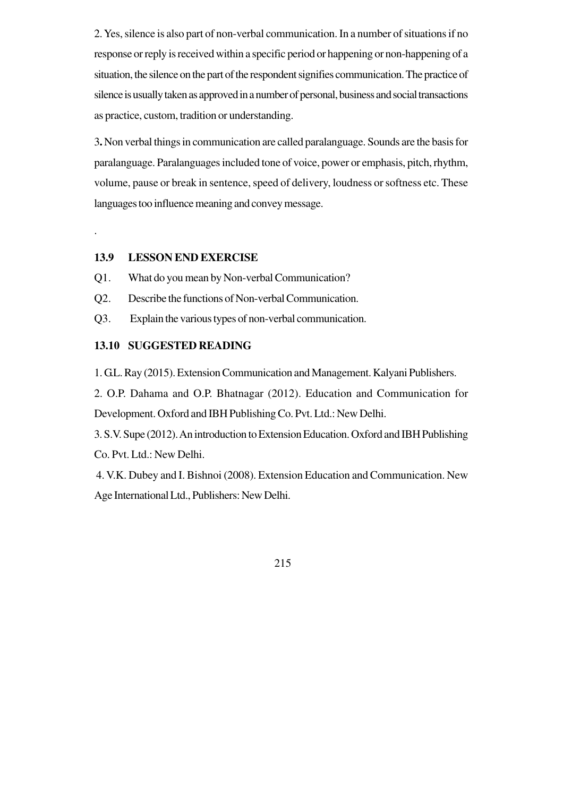2. Yes, silence is also part of non-verbal communication. In a number of situations if no response or reply is received within a specific period or happening or non-happening of a situation, the silence on the part of the respondent signifies communication. The practice of silence is usually taken as approved in a number of personal, business and social transactions as practice, custom, tradition or understanding.

3**.** Non verbal things in communication are called paralanguage. Sounds are the basis for paralanguage. Paralanguages included tone of voice, power or emphasis, pitch, rhythm, volume, pause or break in sentence, speed of delivery, loudness or softness etc. These languages too influence meaning and convey message.

### **13.9 LESSON END EXERCISE**

.

- Q1. What do you mean by Non-verbal Communication?
- Q2. Describe the functions of Non-verbal Communication.
- Q3. Explain the various types of non-verbal communication.

### **13.10 SUGGESTED READING**

1. G.L. Ray (2015). Extension Communication and Management. Kalyani Publishers.

2. O.P. Dahama and O.P. Bhatnagar (2012). Education and Communication for Development. Oxford and IBH Publishing Co. Pvt. Ltd.: New Delhi.

3. S.V. Supe (2012). An introduction to Extension Education. Oxford and IBH Publishing Co. Pvt. Ltd.: New Delhi.

 4. V.K. Dubey and I. Bishnoi (2008). Extension Education and Communication. New Age International Ltd., Publishers: New Delhi.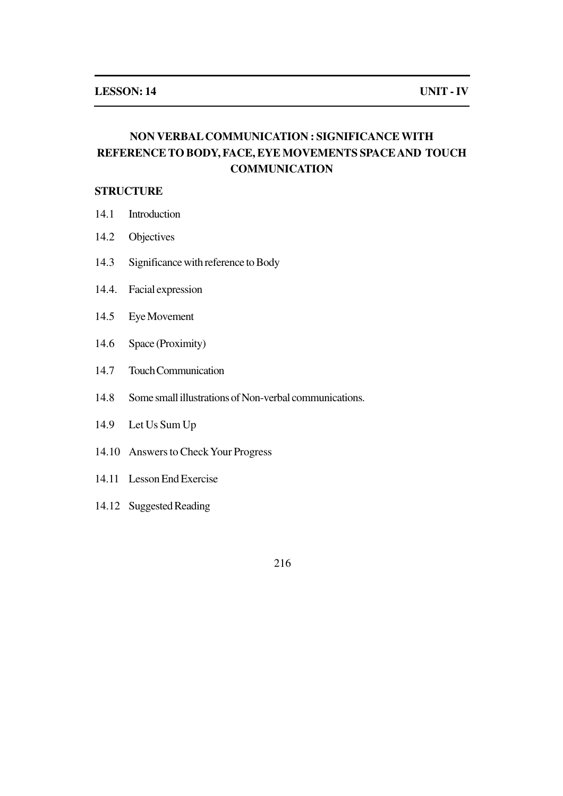## **NON VERBAL COMMUNICATION : SIGNIFICANCE WITH REFERENCE TO BODY, FACE, EYE MOVEMENTS SPACE AND TOUCH COMMUNICATION**

## **STRUCTURE**

- 14.1 Introduction
- 14.2 Objectives
- 14.3 Significance with reference to Body
- 14.4. Facial expression
- 14.5 Eye Movement
- 14.6 Space (Proximity)
- 14.7 Touch Communication
- 14.8 Some small illustrations of Non-verbal communications.
- 14.9 Let Us Sum Up
- 14.10 Answers to Check Your Progress
- 14.11 Lesson End Exercise
- 14.12 Suggested Reading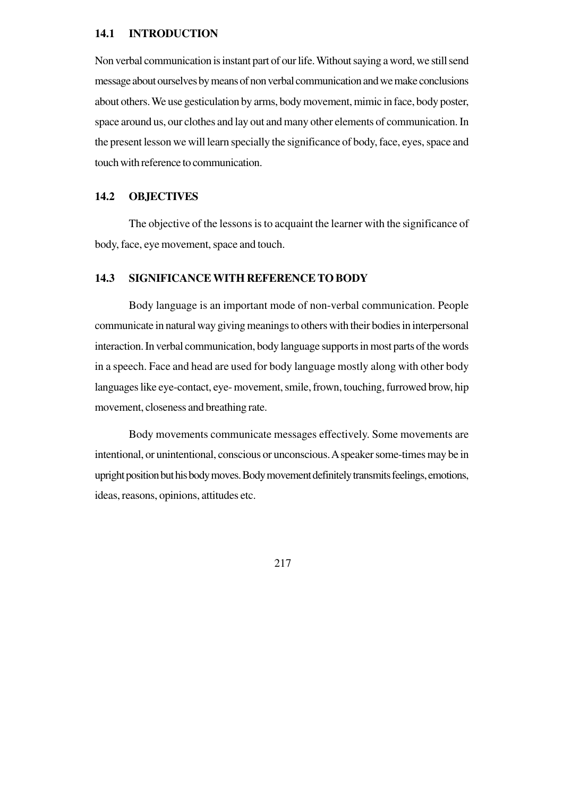#### **14.1 INTRODUCTION**

Non verbal communication is instant part of our life. Without saying a word, we still send message about ourselves by means of non verbal communication and we make conclusions about others. We use gesticulation by arms, body movement, mimic in face, body poster, space around us, our clothes and lay out and many other elements of communication. In the present lesson we will learn specially the significance of body, face, eyes, space and touch with reference to communication.

## **14.2 OBJECTIVES**

The objective of the lessons is to acquaint the learner with the significance of body, face, eye movement, space and touch.

### **14.3 SIGNIFICANCE WITH REFERENCE TO BODY**

Body language is an important mode of non-verbal communication. People communicate in natural way giving meanings to others with their bodies in interpersonal interaction. In verbal communication, body language supports in most parts of the words in a speech. Face and head are used for body language mostly along with other body languages like eye-contact, eye- movement, smile, frown, touching, furrowed brow, hip movement, closeness and breathing rate.

Body movements communicate messages effectively. Some movements are intentional, or unintentional, conscious or unconscious. A speaker some-times may be in upright position but his body moves. Body movement definitely transmits feelings, emotions, ideas, reasons, opinions, attitudes etc.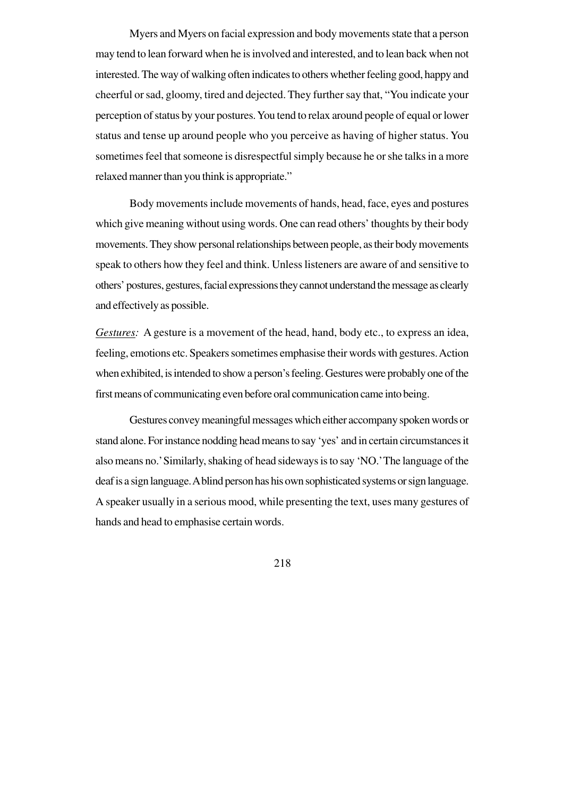Myers and Myers on facial expression and body movements state that a person may tend to lean forward when he is involved and interested, and to lean back when not interested. The way of walking often indicates to others whether feeling good, happy and cheerful or sad, gloomy, tired and dejected. They further say that, "You indicate your perception of status by your postures. You tend to relax around people of equal or lower status and tense up around people who you perceive as having of higher status. You sometimes feel that someone is disrespectful simply because he or she talks in a more relaxed manner than you think is appropriate."

Body movements include movements of hands, head, face, eyes and postures which give meaning without using words. One can read others' thoughts by their body movements. They show personal relationships between people, as their body movements speak to others how they feel and think. Unless listeners are aware of and sensitive to others' postures, gestures, facial expressions they cannot understand the message as clearly and effectively as possible.

*Gestures:* A gesture is a movement of the head, hand, body etc., to express an idea, feeling, emotions etc. Speakers sometimes emphasise their words with gestures. Action when exhibited, is intended to show a person's feeling. Gestures were probably one of the first means of communicating even before oral communication came into being.

Gestures convey meaningful messages which either accompany spoken words or stand alone. For instance nodding head means to say 'yes' and in certain circumstances it also means no.' Similarly, shaking of head sideways is to say 'NO.'The language of the deaf is a sign language. A blind person has his own sophisticated systems or sign language. A speaker usually in a serious mood, while presenting the text, uses many gestures of hands and head to emphasise certain words.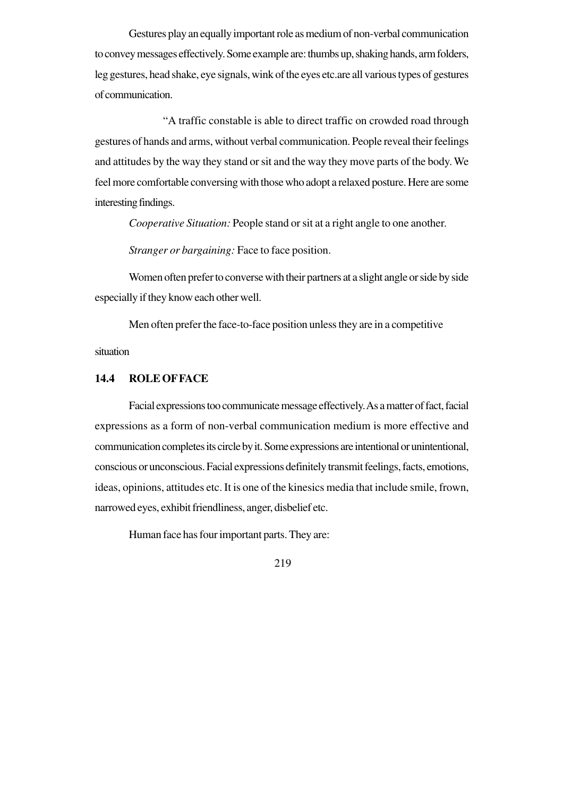Gestures play an equally important role as medium of non-verbal communication to convey messages effectively. Some example are: thumbs up, shaking hands, arm folders, leg gestures, head shake, eye signals, wink of the eyes etc.are all various types of gestures of communication.

"A traffic constable is able to direct traffic on crowded road through gestures of hands and arms, without verbal communication. People reveal their feelings and attitudes by the way they stand or sit and the way they move parts of the body. We feel more comfortable conversing with those who adopt a relaxed posture. Here are some interesting findings.

*Cooperative Situation:* People stand or sit at a right angle to one another.

*Stranger or bargaining:* Face to face position.

Women often prefer to converse with their partners at a slight angle or side by side especially if they know each other well.

Men often prefer the face-to-face position unless they are in a competitive

situation

## **14.4 ROLE OF FACE**

Facial expressions too communicate message effectively. As a matter of fact, facial expressions as a form of non-verbal communication medium is more effective and communication completes its circle by it. Some expressions are intentional or unintentional, conscious or unconscious. Facial expressions definitely transmit feelings, facts, emotions, ideas, opinions, attitudes etc. It is one of the kinesics media that include smile, frown, narrowed eyes, exhibit friendliness, anger, disbelief etc.

Human face has four important parts. They are: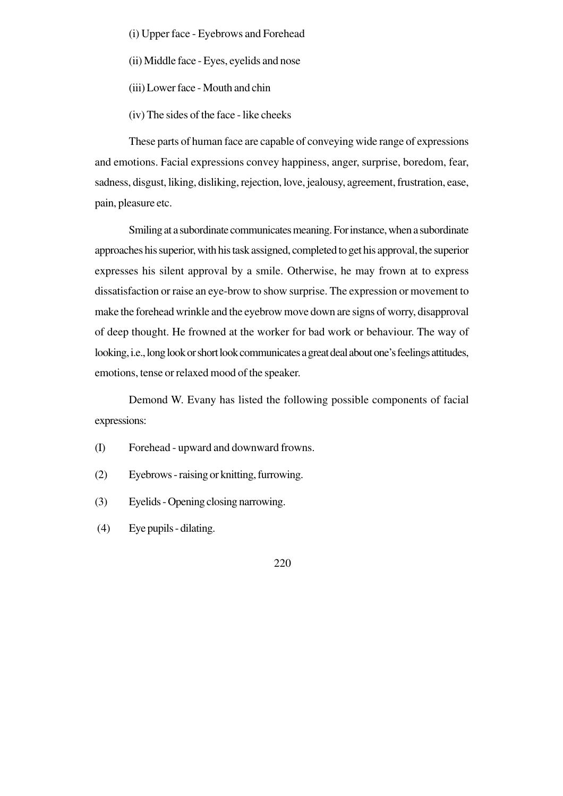- (i) Upper face Eyebrows and Forehead
- (ii) Middle face Eyes, eyelids and nose
- (iii) Lower face Mouth and chin
- (iv) The sides of the face like cheeks

These parts of human face are capable of conveying wide range of expressions and emotions. Facial expressions convey happiness, anger, surprise, boredom, fear, sadness, disgust, liking, disliking, rejection, love, jealousy, agreement, frustration, ease, pain, pleasure etc.

Smiling at a subordinate communicates meaning. For instance, when a subordinate approaches his superior, with his task assigned, completed to get his approval, the superior expresses his silent approval by a smile. Otherwise, he may frown at to express dissatisfaction or raise an eye-brow to show surprise. The expression or movement to make the forehead wrinkle and the eyebrow move down are signs of worry, disapproval of deep thought. He frowned at the worker for bad work or behaviour. The way of looking, i.e., long look or short look communicates a great deal about one's feelings attitudes, emotions, tense or relaxed mood of the speaker.

Demond W. Evany has listed the following possible components of facial expressions:

- (I) Forehead upward and downward frowns.
- (2) Eyebrows raising or knitting, furrowing.
- (3) Eyelids Opening closing narrowing.
- (4) Eye pupils dilating.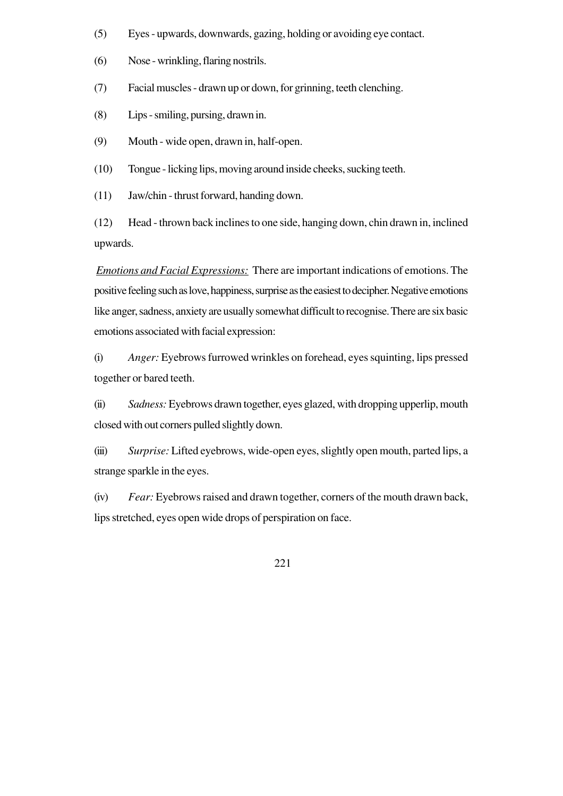- (5) Eyes upwards, downwards, gazing, holding or avoiding eye contact.
- (6) Nose wrinkling, flaring nostrils.
- (7) Facial muscles drawn up or down, for grinning, teeth clenching.
- (8) Lips smiling, pursing, drawn in.
- (9) Mouth wide open, drawn in, half-open.
- (10) Tongue licking lips, moving around inside cheeks, sucking teeth.
- (11) Jaw/chin thrust forward, handing down.

(12) Head - thrown back inclines to one side, hanging down, chin drawn in, inclined upwards.

*Emotions and Facial Expressions:* There are important indications of emotions. The positive feeling such as love, happiness, surprise as the easiest to decipher. Negative emotions like anger, sadness, anxiety are usually somewhat difficult to recognise. There are six basic emotions associated with facial expression:

(i) *Anger:* Eyebrows furrowed wrinkles on forehead, eyes squinting, lips pressed together or bared teeth.

(ii) *Sadness:* Eyebrows drawn together, eyes glazed, with dropping upperlip, mouth closed with out corners pulled slightly down.

(iii) *Surprise:* Lifted eyebrows, wide-open eyes, slightly open mouth, parted lips, a strange sparkle in the eyes.

(iv) *Fear:* Eyebrows raised and drawn together, corners of the mouth drawn back, lips stretched, eyes open wide drops of perspiration on face.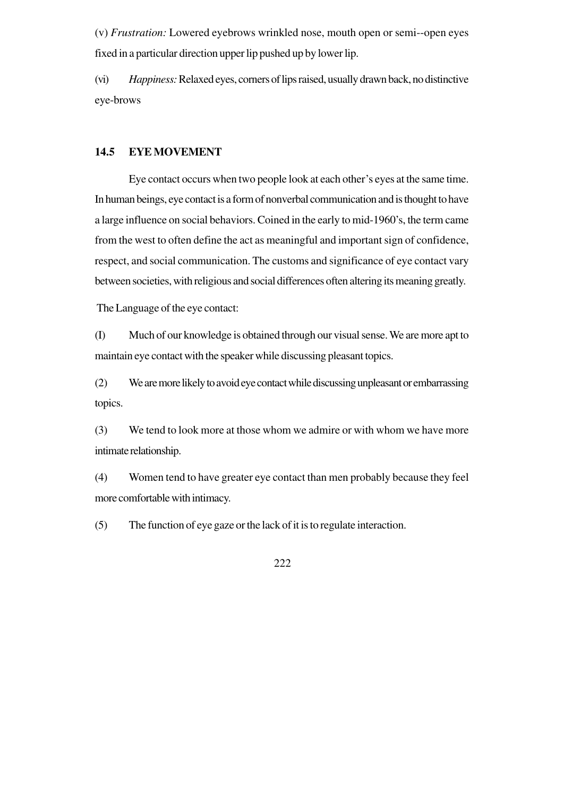(v) *Frustration:* Lowered eyebrows wrinkled nose, mouth open or semi--open eyes fixed in a particular direction upper lip pushed up by lower lip.

(vi) *Happiness:* Relaxed eyes, corners of lips raised, usually drawn back, no distinctive eye-brows

### **14.5 EYE MOVEMENT**

Eye contact occurs when two people look at each other's eyes at the same time. In human beings, eye contact is a form of nonverbal communication and is thought to have a large influence on social behaviors. Coined in the early to mid-1960's, the term came from the west to often define the act as meaningful and important sign of confidence, respect, and social communication. The customs and significance of eye contact vary between societies, with religious and social differences often altering its meaning greatly.

The Language of the eye contact:

(I) Much of our knowledge is obtained through our visual sense. We are more apt to maintain eye contact with the speaker while discussing pleasant topics.

(2) We are more likely to avoid eye contact while discussing unpleasant or embarrassing topics.

(3) We tend to look more at those whom we admire or with whom we have more intimate relationship.

(4) Women tend to have greater eye contact than men probably because they feel more comfortable with intimacy.

(5) The function of eye gaze or the lack of it is to regulate interaction.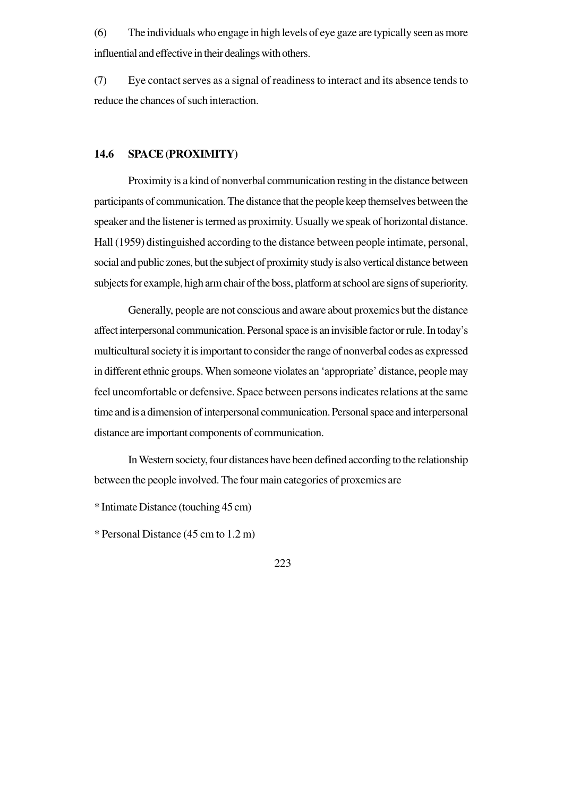(6) The individuals who engage in high levels of eye gaze are typically seen as more influential and effective in their dealings with others.

(7) Eye contact serves as a signal of readiness to interact and its absence tends to reduce the chances of such interaction.

### **14.6 SPACE (PROXIMITY)**

Proximity is a kind of nonverbal communication resting in the distance between participants of communication. The distance that the people keep themselves between the speaker and the listener is termed as proximity. Usually we speak of horizontal distance. Hall (1959) distinguished according to the distance between people intimate, personal, social and public zones, but the subject of proximity study is also vertical distance between subjects for example, high arm chair of the boss, platform at school are signs of superiority.

Generally, people are not conscious and aware about proxemics but the distance affect interpersonal communication. Personal space is an invisible factor or rule. In today's multicultural society it is important to consider the range of nonverbal codes as expressed in different ethnic groups. When someone violates an 'appropriate' distance, people may feel uncomfortable or defensive. Space between persons indicates relations at the same time and is a dimension of interpersonal communication. Personal space and interpersonal distance are important components of communication.

In Western society, four distances have been defined according to the relationship between the people involved. The four main categories of proxemics are

\* Intimate Distance (touching 45 cm)

\* Personal Distance (45 cm to 1.2 m)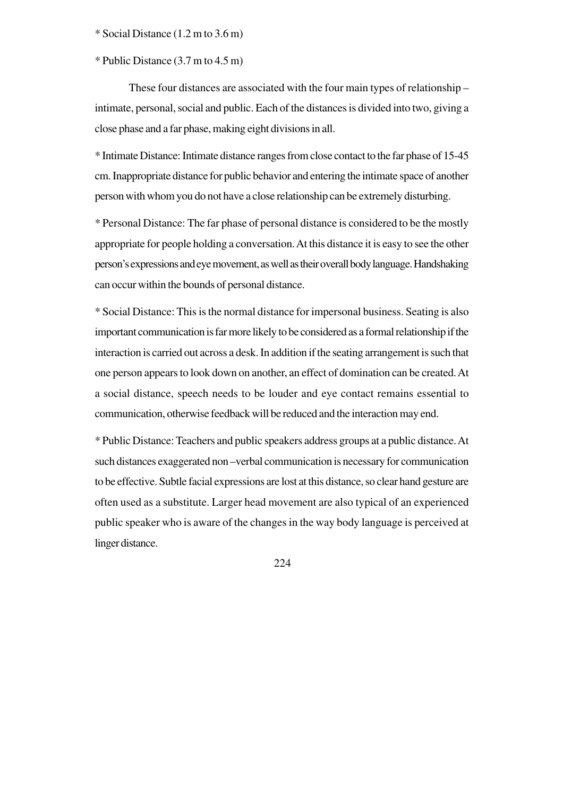\* Social Distance (1.2 m to 3.6 m)

\* Public Distance (3.7 m to 4.5 m)

These four distances are associated with the four main types of relationship – intimate, personal, social and public. Each of the distances is divided into two, giving a close phase and a far phase, making eight divisions in all.

\* Intimate Distance: Intimate distance ranges from close contact to the far phase of 15-45 cm. Inappropriate distance for public behavior and entering the intimate space of another person with whom you do not have a close relationship can be extremely disturbing.

\* Personal Distance: The far phase of personal distance is considered to be the mostly appropriate for people holding a conversation. At this distance it is easy to see the other person's expressions and eye movement, as well as their overall body language. Handshaking can occur within the bounds of personal distance.

\* Social Distance: This is the normal distance for impersonal business. Seating is also important communication is far more likely to be considered as a formal relationship if the interaction is carried out across a desk. In addition if the seating arrangement is such that one person appears to look down on another, an effect of domination can be created. At a social distance, speech needs to be louder and eye contact remains essential to communication, otherwise feedback will be reduced and the interaction may end.

\* Public Distance: Teachers and public speakers address groups at a public distance. At such distances exaggerated non –verbal communication is necessary for communication to be effective. Subtle facial expressions are lost at this distance, so clear hand gesture are often used as a substitute. Larger head movement are also typical of an experienced public speaker who is aware of the changes in the way body language is perceived at linger distance.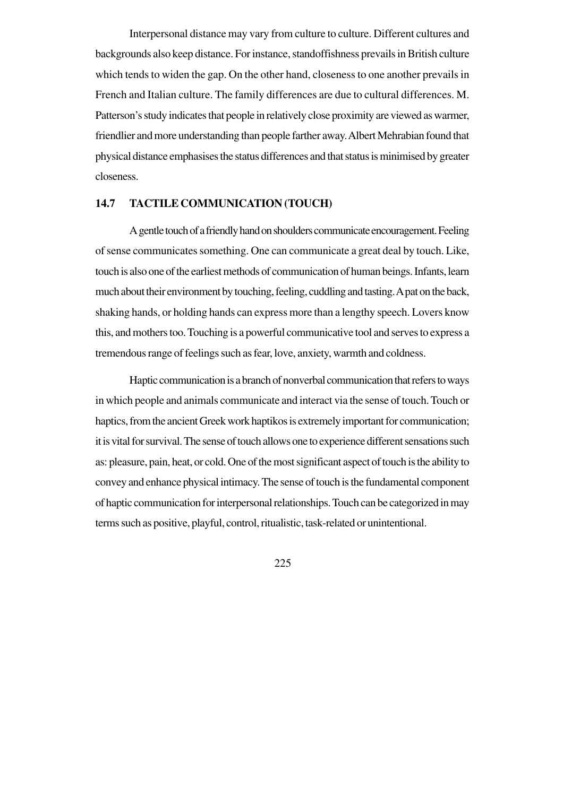Interpersonal distance may vary from culture to culture. Different cultures and backgrounds also keep distance. For instance, standoffishness prevails in British culture which tends to widen the gap. On the other hand, closeness to one another prevails in French and Italian culture. The family differences are due to cultural differences. M. Patterson's study indicates that people in relatively close proximity are viewed as warmer, friendlier and more understanding than people farther away. Albert Mehrabian found that physical distance emphasises the status differences and that status is minimised by greater closeness.

## **14.7 TACTILE COMMUNICATION (TOUCH)**

A gentle touch of a friendly hand on shoulders communicate encouragement. Feeling of sense communicates something. One can communicate a great deal by touch. Like, touch is also one of the earliest methods of communication of human beings. Infants, learn much about their environment by touching, feeling, cuddling and tasting. A pat on the back, shaking hands, or holding hands can express more than a lengthy speech. Lovers know this, and mothers too. Touching is a powerful communicative tool and serves to express a tremendous range of feelings such as fear, love, anxiety, warmth and coldness.

Haptic communication is a branch of nonverbal communication that refers to ways in which people and animals communicate and interact via the sense of touch. Touch or haptics, from the ancient Greek work haptikos is extremely important for communication; it is vital for survival. The sense of touch allows one to experience different sensations such as: pleasure, pain, heat, or cold. One of the most significant aspect of touch is the ability to convey and enhance physical intimacy. The sense of touch is the fundamental component of haptic communication for interpersonal relationships. Touch can be categorized in may terms such as positive, playful, control, ritualistic, task-related or unintentional.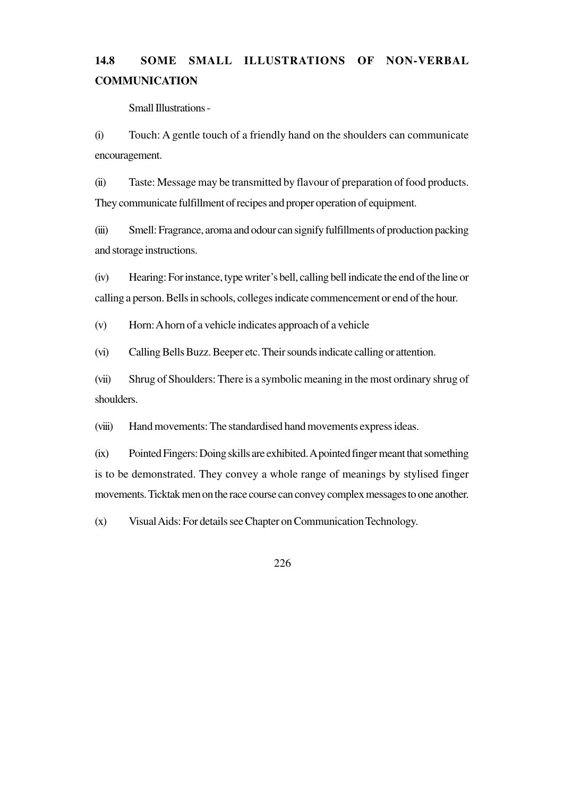# **14.8 SOME SMALL ILLUSTRATIONS OF NON-VERBAL COMMUNICATION**

Small Illustrations -

(i) Touch: A gentle touch of a friendly hand on the shoulders can communicate encouragement.

(ii) Taste: Message may be transmitted by flavour of preparation of food products. They communicate fulfillment of recipes and proper operation of equipment.

(iii) Smell: Fragrance, aroma and odour can signify fulfillments of production packing and storage instructions.

(iv) Hearing: For instance, type writer's bell, calling bell indicate the end of the line or calling a person. Bells in schools, colleges indicate commencement or end of the hour.

(v) Horn: A horn of a vehicle indicates approach of a vehicle

(vi) Calling Bells Buzz. Beeper etc. Their sounds indicate calling or attention.

(vii) Shrug of Shoulders: There is a symbolic meaning in the most ordinary shrug of shoulders.

(viii) Hand movements: The standardised hand movements express ideas.

(ix) Pointed Fingers: Doing skills are exhibited. A pointed finger meant that something is to be demonstrated. They convey a whole range of meanings by stylised finger movements. Ticktak men on the race course can convey complex messages to one another.

(x) Visual Aids: For details see Chapter on Communication Technology.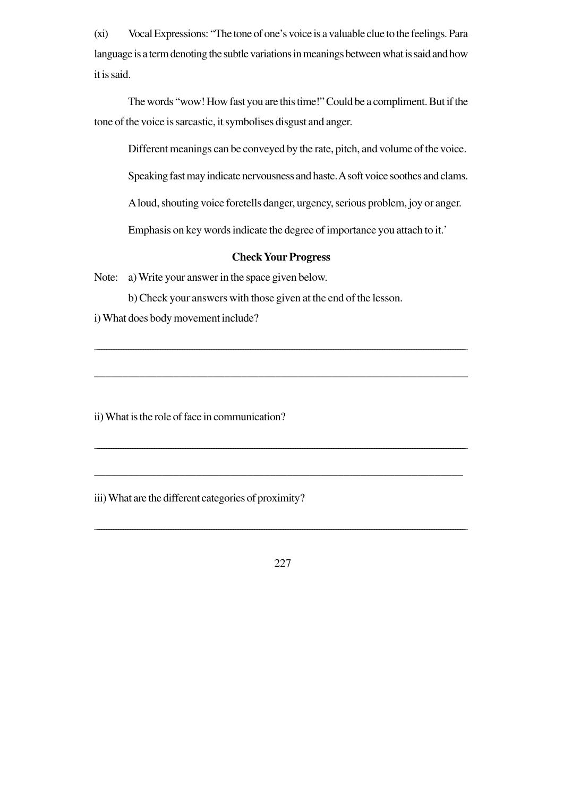(xi) Vocal Expressions: "The tone of one's voice is a valuable clue to the feelings. Para language is a term denoting the subtle variations in meanings between what is said and how it is said.

The words "wow! How fast you are this time!" Could be a compliment. But if the tone of the voice is sarcastic, it symbolises disgust and anger.

Different meanings can be conveyed by the rate, pitch, and volume of the voice.

Speaking fast may indicate nervousness and haste. A soft voice soothes and clams.

A loud, shouting voice foretells danger, urgency, serious problem, joy or anger.

Emphasis on key words indicate the degree of importance you attach to it.'

## **Check Your Progress**

\_\_\_\_\_\_\_\_\_\_\_\_\_\_\_\_\_\_\_\_\_\_\_\_\_\_\_\_\_\_\_\_\_\_\_\_\_\_\_\_\_\_\_\_\_\_\_\_\_\_\_\_\_\_\_\_\_\_\_\_\_\_\_\_\_\_\_\_\_\_\_\_\_\_\_\_\_\_\_\_\_\_\_\_\_\_\_\_\_\_\_\_\_\_\_\_\_\_\_\_\_\_\_\_\_\_\_\_\_\_\_\_\_\_\_\_\_\_\_\_\_\_\_\_\_\_\_\_\_\_\_\_\_\_\_\_\_\_\_\_\_\_\_\_\_\_\_\_\_\_\_\_

\_\_\_\_\_\_\_\_\_\_\_\_\_\_\_\_\_\_\_\_\_\_\_\_\_\_\_\_\_\_\_\_\_\_\_\_\_\_\_\_\_\_\_\_\_\_\_\_\_\_\_\_\_\_\_\_\_\_\_\_\_\_\_\_\_\_

\_\_\_\_\_\_\_\_\_\_\_\_\_\_\_\_\_\_\_\_\_\_\_\_\_\_\_\_\_\_\_\_\_\_\_\_\_\_\_\_\_\_\_\_\_\_\_\_\_\_\_\_\_\_\_\_\_\_\_\_\_\_\_\_\_\_\_\_\_\_\_\_\_\_\_\_\_\_\_\_\_\_\_\_\_\_\_\_\_\_\_\_\_\_\_\_\_\_\_\_\_\_\_\_\_\_\_\_\_\_\_\_\_\_\_\_\_\_\_\_\_\_\_\_\_\_\_\_\_\_\_\_\_\_\_\_\_\_\_\_\_\_\_\_\_\_\_\_\_\_\_\_\_\_\_

\_\_\_\_\_\_\_\_\_\_\_\_\_\_\_\_\_\_\_\_\_\_\_\_\_\_\_\_\_\_\_\_\_\_\_\_\_\_\_\_\_\_\_\_\_\_\_\_\_\_\_\_\_\_\_\_\_\_\_\_\_\_\_\_\_

Note: a) Write your answer in the space given below.

b) Check your answers with those given at the end of the lesson.

i) What does body movement include?

ii) What is the role of face in communication?

iii) What are the different categories of proximity?

227

\_\_\_\_\_\_\_\_\_\_\_\_\_\_\_\_\_\_\_\_\_\_\_\_\_\_\_\_\_\_\_\_\_\_\_\_\_\_\_\_\_\_\_\_\_\_\_\_\_\_\_\_\_\_\_\_\_\_\_\_\_\_\_\_\_\_\_\_\_\_\_\_\_\_\_\_\_\_**\_\_\_\_\_\_\_\_\_\_\_\_\_\_\_\_\_\_\_\_\_\_\_\_\_\_\_\_\_\_\_\_\_\_\_\_\_\_\_\_\_\_\_\_\_\_\_\_\_\_\_\_\_\_\_\_\_\_\_\_\_\_\_\_\_\_\_\_\_\_\_\_\_\_\_\_\_**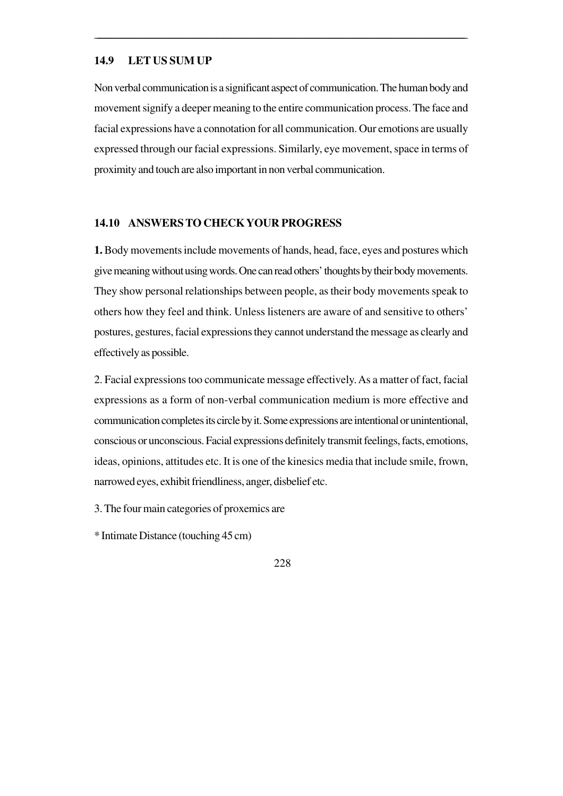### **14.9 LET US SUM UP**

Non verbal communication is a significant aspect of communication. The human body and movement signify a deeper meaning to the entire communication process. The face and facial expressions have a connotation for all communication. Our emotions are usually expressed through our facial expressions. Similarly, eye movement, space in terms of proximity and touch are also important in non verbal communication.

\_\_\_\_\_\_\_\_\_\_\_\_\_\_\_\_\_\_\_\_\_\_\_\_\_\_\_\_\_\_\_\_\_\_\_\_\_\_\_\_\_\_\_\_\_\_\_\_\_\_\_\_\_\_\_\_\_\_\_\_\_\_\_\_\_\_\_\_\_\_\_\_\_\_\_\_\_\_**\_\_\_\_\_\_\_\_\_\_\_\_\_\_\_\_\_\_\_\_\_\_\_\_\_\_\_\_\_\_\_\_\_\_\_\_\_\_\_\_\_\_\_\_\_\_\_\_\_\_\_\_\_\_\_\_\_\_\_\_\_\_\_\_\_\_\_\_\_\_\_\_\_\_\_\_\_**

### **14.10 ANSWERS TO CHECK YOUR PROGRESS**

**1.** Body movements include movements of hands, head, face, eyes and postures which give meaning without using words. One can read others' thoughts by their body movements. They show personal relationships between people, as their body movements speak to others how they feel and think. Unless listeners are aware of and sensitive to others' postures, gestures, facial expressions they cannot understand the message as clearly and effectively as possible.

2. Facial expressions too communicate message effectively. As a matter of fact, facial expressions as a form of non-verbal communication medium is more effective and communication completes its circle by it. Some expressions are intentional or unintentional, conscious or unconscious. Facial expressions definitely transmit feelings, facts, emotions, ideas, opinions, attitudes etc. It is one of the kinesics media that include smile, frown, narrowed eyes, exhibit friendliness, anger, disbelief etc.

3. The four main categories of proxemics are

\* Intimate Distance (touching 45 cm)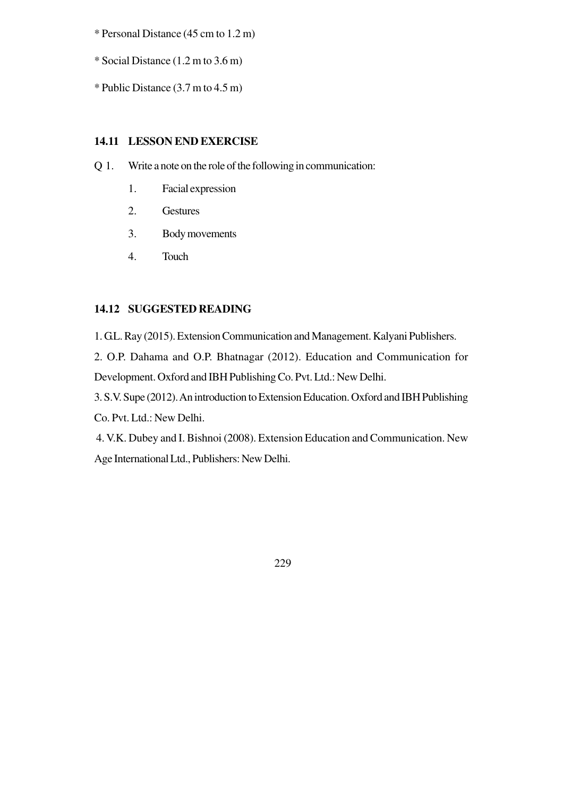\* Personal Distance (45 cm to 1.2 m)

\* Social Distance (1.2 m to 3.6 m)

\* Public Distance (3.7 m to 4.5 m)

## **14.11 LESSON END EXERCISE**

- Q 1. Write a note on the role of the following in communication:
	- 1. Facial expression
	- 2. Gestures
	- 3. Body movements
	- 4. Touch

## **14.12 SUGGESTED READING**

1. G.L. Ray (2015). Extension Communication and Management. Kalyani Publishers. 2. O.P. Dahama and O.P. Bhatnagar (2012). Education and Communication for Development. Oxford and IBH Publishing Co. Pvt. Ltd.: New Delhi. 3. S.V. Supe (2012). An introduction to Extension Education. Oxford and IBH Publishing

Co. Pvt. Ltd.: New Delhi.

 4. V.K. Dubey and I. Bishnoi (2008). Extension Education and Communication. New Age International Ltd., Publishers: New Delhi.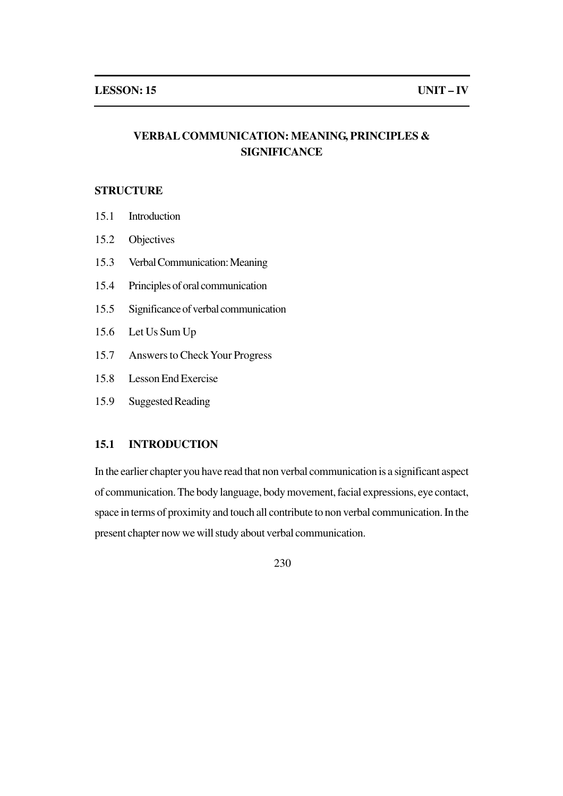## **VERBAL COMMUNICATION: MEANING, PRINCIPLES & SIGNIFICANCE**

## **STRUCTURE**

- 15.1 Introduction
- 15.2 Objectives
- 15.3 Verbal Communication: Meaning
- 15.4 Principles of oral communication
- 15.5 Significance of verbal communication
- 15.6 Let Us Sum Up
- 15.7 Answers to Check Your Progress
- 15.8 Lesson End Exercise
- 15.9 Suggested Reading

## **15.1 INTRODUCTION**

In the earlier chapter you have read that non verbal communication is a significant aspect of communication. The body language, body movement, facial expressions, eye contact, space in terms of proximity and touch all contribute to non verbal communication. In the present chapter now we will study about verbal communication.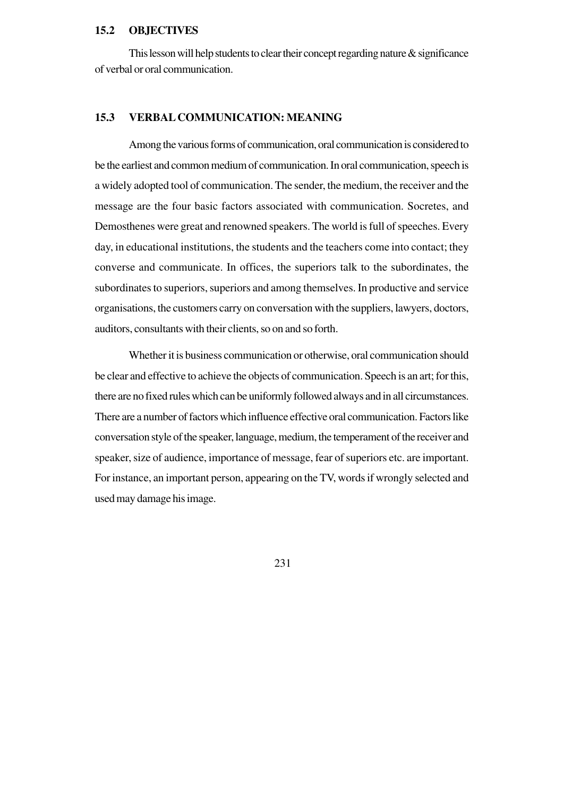## **15.2 OBJECTIVES**

This lesson will help students to clear their concept regarding nature  $\&$  significance of verbal or oral communication.

### **15.3 VERBAL COMMUNICATION: MEANING**

Among the various forms of communication, oral communication is considered to be the earliest and common medium of communication. In oral communication, speech is a widely adopted tool of communication. The sender, the medium, the receiver and the message are the four basic factors associated with communication. Socretes, and Demosthenes were great and renowned speakers. The world is full of speeches. Every day, in educational institutions, the students and the teachers come into contact; they converse and communicate. In offices, the superiors talk to the subordinates, the subordinates to superiors, superiors and among themselves. In productive and service organisations, the customers carry on conversation with the suppliers, lawyers, doctors, auditors, consultants with their clients, so on and so forth.

Whether it is business communication or otherwise, oral communication should be clear and effective to achieve the objects of communication. Speech is an art; for this, there are no fixed rules which can be uniformly followed always and in all circumstances. There are a number of factors which influence effective oral communication. Factors like conversation style of the speaker, language, medium, the temperament of the receiver and speaker, size of audience, importance of message, fear of superiors etc. are important. For instance, an important person, appearing on the TV, words if wrongly selected and used may damage his image.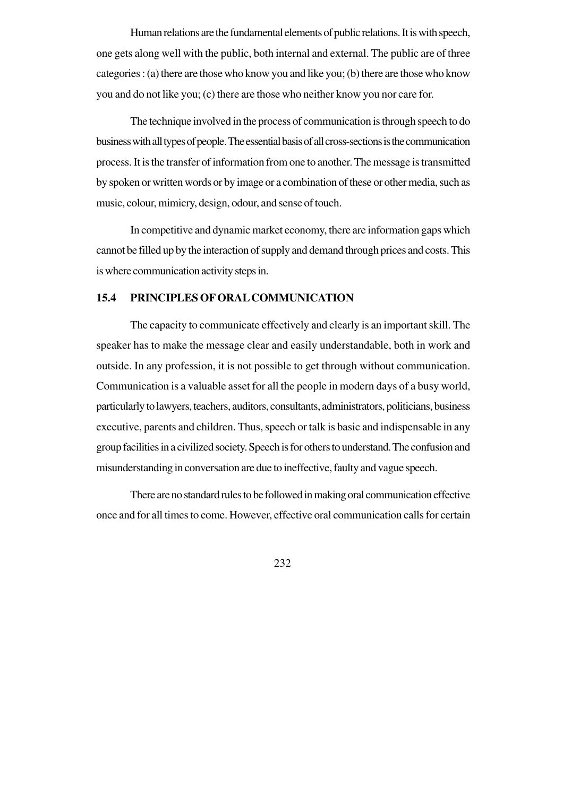Human relations are the fundamental elements of public relations. It is with speech, one gets along well with the public, both internal and external. The public are of three categories : (a) there are those who know you and like you; (b) there are those who know you and do not like you; (c) there are those who neither know you nor care for.

The technique involved in the process of communication is through speech to do business with all types of people. The essential basis of all cross-sections is the communication process. It is the transfer of information from one to another. The message is transmitted by spoken or written words or by image or a combination of these or other media, such as music, colour, mimicry, design, odour, and sense of touch.

In competitive and dynamic market economy, there are information gaps which cannot be filled up by the interaction of supply and demand through prices and costs. This is where communication activity steps in.

## **15.4 PRINCIPLES OF ORAL COMMUNICATION**

The capacity to communicate effectively and clearly is an important skill. The speaker has to make the message clear and easily understandable, both in work and outside. In any profession, it is not possible to get through without communication. Communication is a valuable asset for all the people in modern days of a busy world, particularly to lawyers, teachers, auditors, consultants, administrators, politicians, business executive, parents and children. Thus, speech or talk is basic and indispensable in any group facilities in a civilized society. Speech is for others to understand. The confusion and misunderstanding in conversation are due to ineffective, faulty and vague speech.

There are no standard rules to be followed in making oral communication effective once and for all times to come. However, effective oral communication calls for certain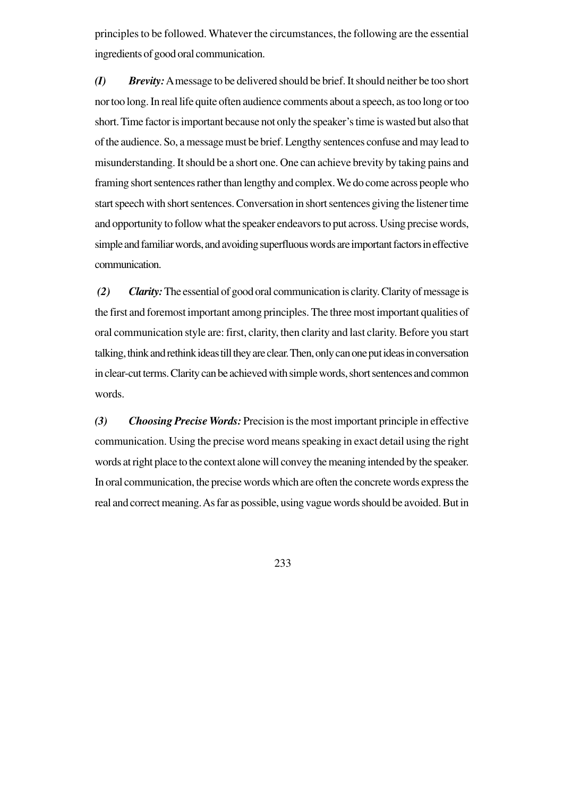principles to be followed. Whatever the circumstances, the following are the essential ingredients of good oral communication.

*(I) Brevity:* A message to be delivered should be brief. It should neither be too short nor too long. In real life quite often audience comments about a speech, as too long or too short. Time factor is important because not only the speaker's time is wasted but also that of the audience. So, a message must be brief. Lengthy sentences confuse and may lead to misunderstanding. It should be a short one. One can achieve brevity by taking pains and framing short sentences rather than lengthy and complex. We do come across people who start speech with short sentences. Conversation in short sentences giving the listener time and opportunity to follow what the speaker endeavors to put across. Using precise words, simple and familiar words, and avoiding superfluous words are important factors in effective communication.

*(2) Clarity:*The essential of good oral communication is clarity. Clarity of message is the first and foremost important among principles. The three most important qualities of oral communication style are: first, clarity, then clarity and last clarity. Before you start talking, think and rethink ideas till they are clear. Then, only can one put ideas in conversation in clear-cut terms. Clarity can be achieved with simple words, short sentences and common words.

*(3) Choosing Precise Words:* Precision is the most important principle in effective communication. Using the precise word means speaking in exact detail using the right words at right place to the context alone will convey the meaning intended by the speaker. In oral communication, the precise words which are often the concrete words express the real and correct meaning. As far as possible, using vague words should be avoided. But in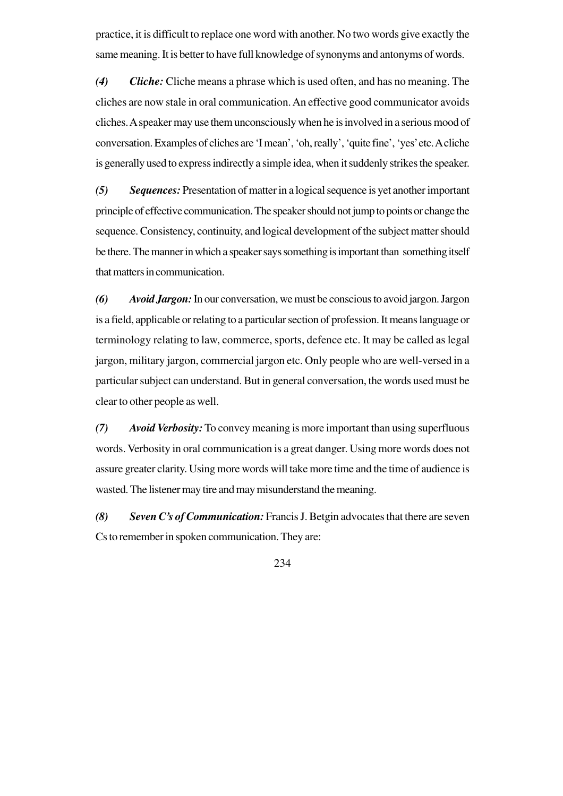practice, it is difficult to replace one word with another. No two words give exactly the same meaning. It is better to have full knowledge of synonyms and antonyms of words.

*(4) Cliche:* Cliche means a phrase which is used often, and has no meaning. The cliches are now stale in oral communication. An effective good communicator avoids cliches. A speaker may use them unconsciously when he is involved in a serious mood of conversation. Examples of cliches are 'I mean', 'oh, really', 'quite fine', 'yes' etc. A cliche is generally used to express indirectly a simple idea, when it suddenly strikes the speaker.

*(5) Sequences:* Presentation of matter in a logical sequence is yet another important principle of effective communication. The speaker should not jump to points or change the sequence. Consistency, continuity, and logical development of the subject matter should be there. The manner in which a speaker says something is important than something itself that matters in communication.

*(6) Avoid Jargon:* In our conversation, we must be conscious to avoid jargon. Jargon is a field, applicable or relating to a particular section of profession. It means language or terminology relating to law, commerce, sports, defence etc. It may be called as legal jargon, military jargon, commercial jargon etc. Only people who are well-versed in a particular subject can understand. But in general conversation, the words used must be clear to other people as well.

*(7) Avoid Verbosity:* To convey meaning is more important than using superfluous words. Verbosity in oral communication is a great danger. Using more words does not assure greater clarity. Using more words will take more time and the time of audience is wasted. The listener may tire and may misunderstand the meaning.

*(8) Seven C's of Communication:* Francis J. Betgin advocates that there are seven Cs to remember in spoken communication. They are: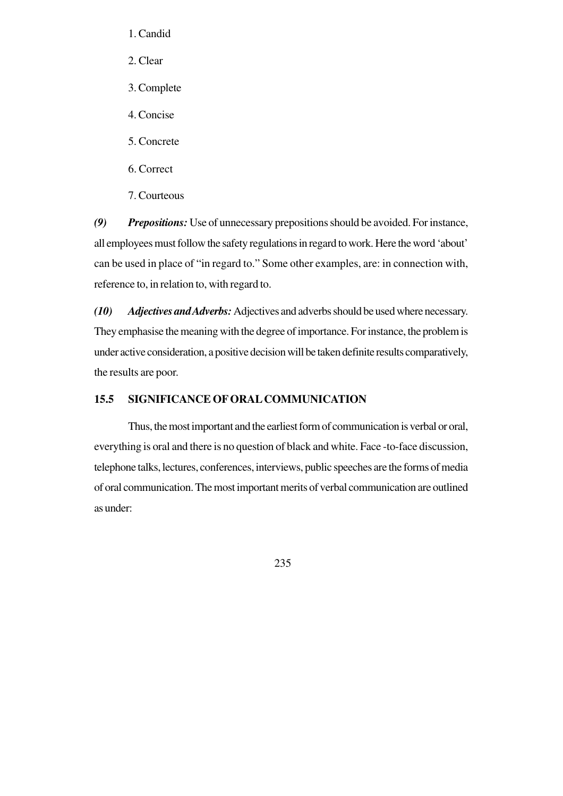- 1. Candid
- 2. Clear
- 3. Complete
- 4. Concise
- 5. Concrete
- 6. Correct
- 7. Courteous

*(9) Prepositions:* Use of unnecessary prepositions should be avoided. For instance, all employees must follow the safety regulations in regard to work. Here the word 'about' can be used in place of "in regard to." Some other examples, are: in connection with, reference to, in relation to, with regard to.

*(10) Adjectives and Adverbs:* Adjectives and adverbs should be used where necessary. They emphasise the meaning with the degree of importance. For instance, the problem is under active consideration, a positive decision will be taken definite results comparatively, the results are poor.

### **15.5 SIGNIFICANCE OF ORAL COMMUNICATION**

Thus, the most important and the earliest form of communication is verbal or oral, everything is oral and there is no question of black and white. Face -to-face discussion, telephone talks, lectures, conferences, interviews, public speeches are the forms of media of oral communication. The most important merits of verbal communication are outlined as under: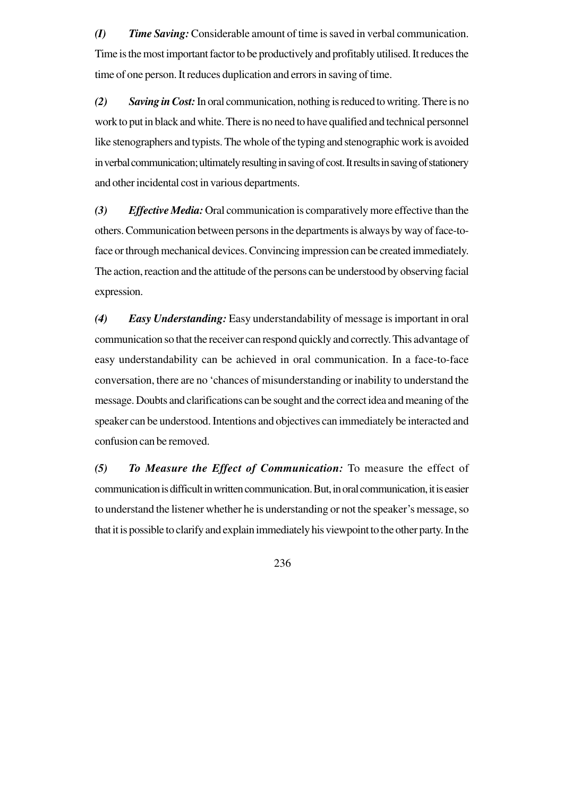*(I) Time Saving:* Considerable amount of time is saved in verbal communication. Time is the most important factor to be productively and profitably utilised. It reduces the time of one person. It reduces duplication and errors in saving of time.

*(2) Saving in Cost:* In oral communication, nothing is reduced to writing. There is no work to put in black and white. There is no need to have qualified and technical personnel like stenographers and typists. The whole of the typing and stenographic work is avoided in verbal communication; ultimately resulting in saving of cost. It results in saving of stationery and other incidental cost in various departments.

*(3) Effective Media:* Oral communication is comparatively more effective than the others. Communication between persons in the departments is always by way of face-toface or through mechanical devices. Convincing impression can be created immediately. The action, reaction and the attitude of the persons can be understood by observing facial expression.

*(4) Easy Understanding:* Easy understandability of message is important in oral communication so that the receiver can respond quickly and correctly. This advantage of easy understandability can be achieved in oral communication. In a face-to-face conversation, there are no 'chances of misunderstanding or inability to understand the message. Doubts and clarifications can be sought and the correct idea and meaning of the speaker can be understood. Intentions and objectives can immediately be interacted and confusion can be removed.

*(5) To Measure the Effect of Communication:* To measure the effect of communication is difficult in written communication. But, in oral communication, it is easier to understand the listener whether he is understanding or not the speaker's message, so that it is possible to clarify and explain immediately his viewpoint to the other party. In the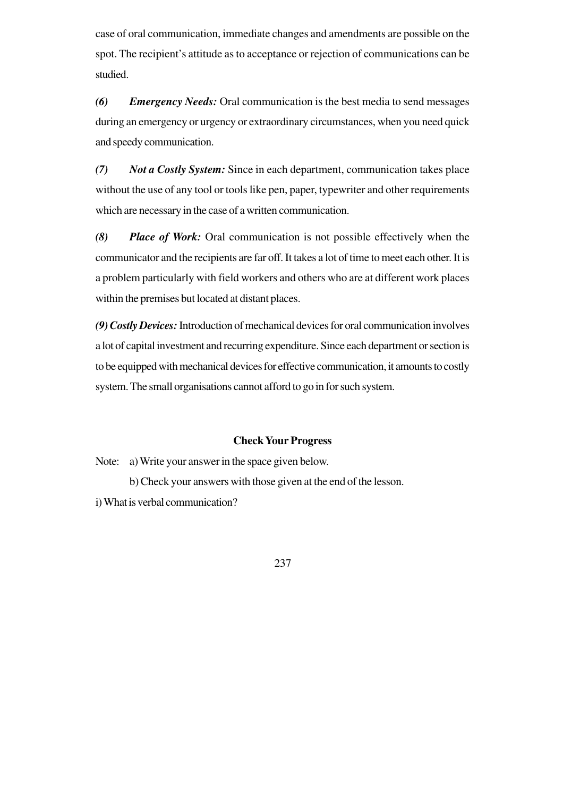case of oral communication, immediate changes and amendments are possible on the spot. The recipient's attitude as to acceptance or rejection of communications can be studied.

*(6) Emergency Needs:* Oral communication is the best media to send messages during an emergency or urgency or extraordinary circumstances, when you need quick and speedy communication.

*(7) Not a Costly System:* Since in each department, communication takes place without the use of any tool or tools like pen, paper, typewriter and other requirements which are necessary in the case of a written communication.

*(8) Place of Work:* Oral communication is not possible effectively when the communicator and the recipients are far off. It takes a lot of time to meet each other. It is a problem particularly with field workers and others who are at different work places within the premises but located at distant places.

*(9) Costly Devices:* Introduction of mechanical devices for oral communication involves a lot of capital investment and recurring expenditure. Since each department or section is to be equipped with mechanical devices for effective communication, it amounts to costly system. The small organisations cannot afford to go in for such system.

### **Check Your Progress**

Note: a) Write your answer in the space given below.

b) Check your answers with those given at the end of the lesson.

i) What is verbal communication?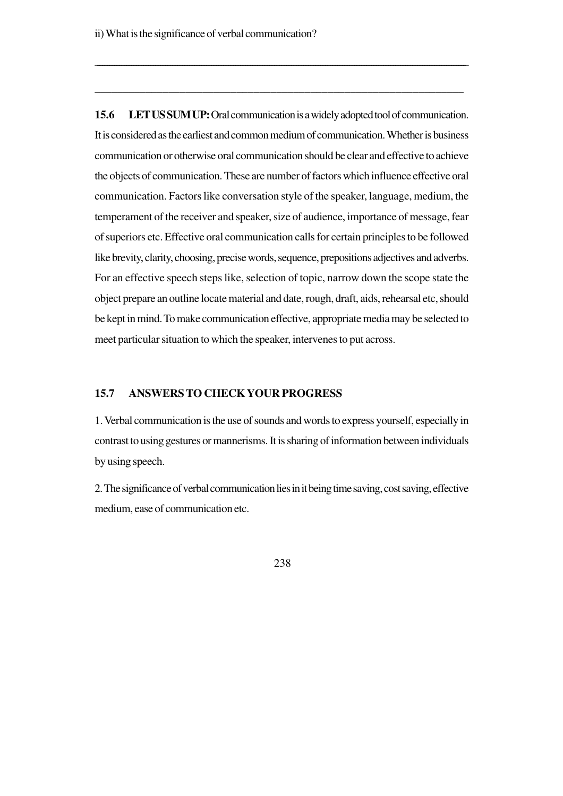**15.6 LET US SUM UP:** Oral communication is a widely adopted tool of communication. It is considered as the earliest and common medium of communication. Whether is business communication or otherwise oral communication should be clear and effective to achieve the objects of communication. These are number of factors which influence effective oral communication. Factors like conversation style of the speaker, language, medium, the temperament of the receiver and speaker, size of audience, importance of message, fear of superiors etc. Effective oral communication calls for certain principles to be followed like brevity, clarity, choosing, precise words, sequence, prepositions adjectives and adverbs. For an effective speech steps like, selection of topic, narrow down the scope state the object prepare an outline locate material and date, rough, draft, aids, rehearsal etc, should be kept in mind. To make communication effective, appropriate media may be selected to meet particular situation to which the speaker, intervenes to put across.

\_\_\_\_\_\_\_\_\_\_\_\_\_\_\_\_\_\_\_\_\_\_\_\_\_\_\_\_\_\_\_\_\_\_\_\_\_\_\_\_\_\_\_\_\_\_\_\_\_\_\_\_\_\_\_\_\_\_\_\_\_\_\_\_\_\_\_\_\_\_\_\_\_\_\_\_\_\_\_\_\_\_\_\_\_\_\_\_\_\_\_\_\_\_\_\_\_\_\_\_\_\_\_\_\_\_\_\_\_\_\_\_\_\_\_\_\_\_\_\_\_\_\_\_\_\_\_\_\_\_\_\_\_\_\_\_\_\_\_\_\_\_\_\_\_\_\_\_\_\_\_\_\_

\_\_\_\_\_\_\_\_\_\_\_\_\_\_\_\_\_\_\_\_\_\_\_\_\_\_\_\_\_\_\_\_\_\_\_\_\_\_\_\_\_\_\_\_\_\_\_\_\_\_\_\_\_\_\_\_\_\_\_\_\_\_\_\_\_

### **15.7 ANSWERS TO CHECK YOUR PROGRESS**

1. Verbal communication is the use of sounds and words to express yourself, especially in contrast to using gestures or mannerisms. It is sharing of information between individuals by using speech.

2. The significance of verbal communication lies in it being time saving, cost saving, effective medium, ease of communication etc.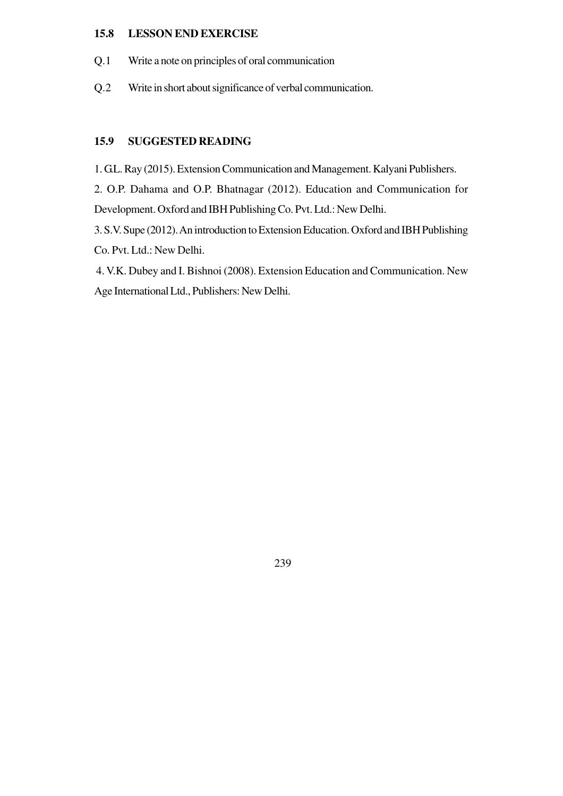### **15.8 LESSON END EXERCISE**

- Q.1 Write a note on principles of oral communication
- Q.2 Write in short about significance of verbal communication.

## **15.9 SUGGESTED READING**

1. G.L. Ray (2015). Extension Communication and Management. Kalyani Publishers.

2. O.P. Dahama and O.P. Bhatnagar (2012). Education and Communication for Development. Oxford and IBH Publishing Co. Pvt. Ltd.: New Delhi.

3. S.V. Supe (2012). An introduction to Extension Education. Oxford and IBH Publishing Co. Pvt. Ltd.: New Delhi.

 4. V.K. Dubey and I. Bishnoi (2008). Extension Education and Communication. New Age International Ltd., Publishers: New Delhi.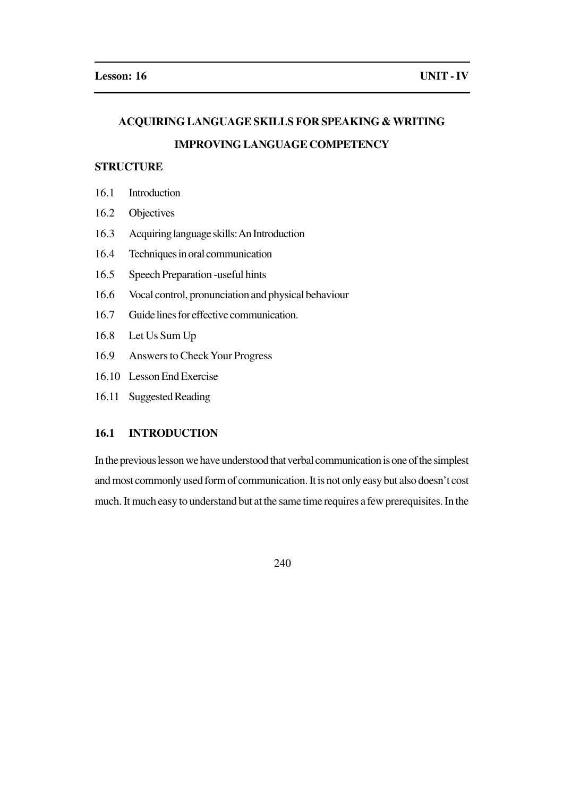## **ACQUIRING LANGUAGE SKILLS FOR SPEAKING & WRITING**

## **IMPROVING LANGUAGE COMPETENCY**

## **STRUCTURE**

- 16.1 Introduction
- 16.2 Objectives
- 16.3 Acquiring language skills: An Introduction
- 16.4 Techniques in oral communication
- 16.5 Speech Preparation -useful hints
- 16.6 Vocal control, pronunciation and physical behaviour
- 16.7 Guide lines for effective communication.
- 16.8 Let Us Sum Up
- 16.9 Answers to Check Your Progress
- 16.10 Lesson End Exercise
- 16.11 Suggested Reading

## **16.1 INTRODUCTION**

In the previous lesson we have understood that verbal communication is one of the simplest and most commonly used form of communication. It is not only easy but also doesn't cost much. It much easy to understand but at the same time requires a few prerequisites. In the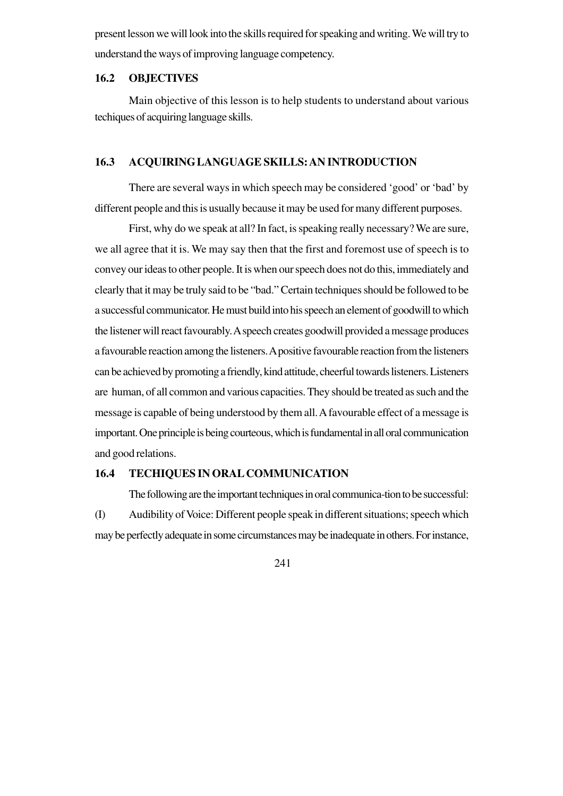present lesson we will look into the skills required for speaking and writing. We will try to understand the ways of improving language competency.

### **16.2 OBJECTIVES**

Main objective of this lesson is to help students to understand about various techiques of acquiring language skills.

## **16.3 ACQUIRING LANGUAGE SKILLS: AN INTRODUCTION**

There are several ways in which speech may be considered 'good' or 'bad' by different people and this is usually because it may be used for many different purposes.

First, why do we speak at all? In fact, is speaking really necessary? We are sure, we all agree that it is. We may say then that the first and foremost use of speech is to convey our ideas to other people. It is when our speech does not do this, immediately and clearly that it may be truly said to be "bad." Certain techniques should be followed to be a successful communicator. He must build into his speech an element of goodwill to which the listener will react favourably. A speech creates goodwill provided a message produces a favourable reaction among the listeners. A positive favourable reaction from the listeners can be achieved by promoting a friendly, kind attitude, cheerful towards listeners. Listeners are human, of all common and various capacities. They should be treated as such and the message is capable of being understood by them all. A favourable effect of a message is important. One principle is being courteous, which is fundamental in all oral communication and good relations.

### **16.4 TECHIQUES IN ORAL COMMUNICATION**

The following are the important techniques in oral communica-tion to be successful: (I) Audibility of Voice: Different people speak in different situations; speech which may be perfectly adequate in some circumstances may be inadequate in others. For instance,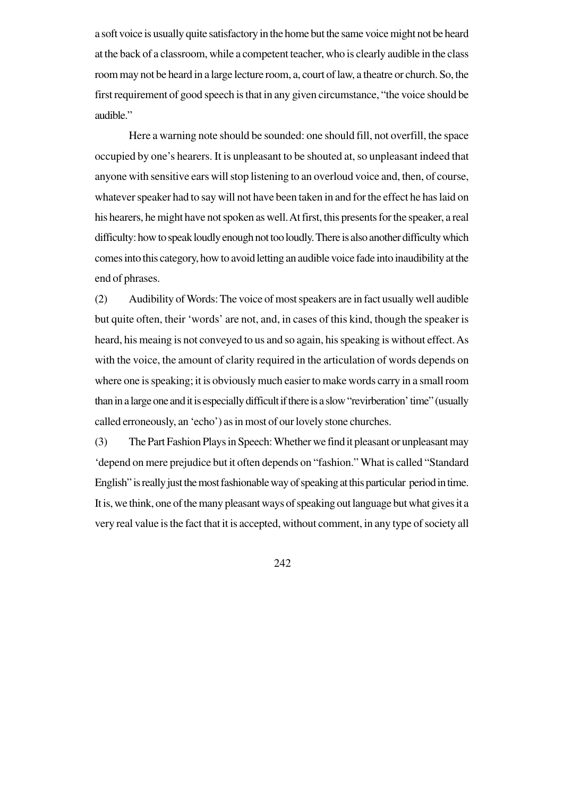a soft voice is usually quite satisfactory in the home but the same voice might not be heard at the back of a classroom, while a competent teacher, who is clearly audible in the class room may not be heard in a large lecture room, a, court of law, a theatre or church. So, the first requirement of good speech is that in any given circumstance, "the voice should be audible."

Here a warning note should be sounded: one should fill, not overfill, the space occupied by one's hearers. It is unpleasant to be shouted at, so unpleasant indeed that anyone with sensitive ears will stop listening to an overloud voice and, then, of course, whatever speaker had to say will not have been taken in and for the effect he has laid on his hearers, he might have not spoken as well. At first, this presents for the speaker, a real difficulty: how to speak loudly enough not too loudly. There is also another difficulty which comes into this category, how to avoid letting an audible voice fade into inaudibility at the end of phrases.

(2) Audibility of Words: The voice of most speakers are in fact usually well audible but quite often, their 'words' are not, and, in cases of this kind, though the speaker is heard, his meaing is not conveyed to us and so again, his speaking is without effect. As with the voice, the amount of clarity required in the articulation of words depends on where one is speaking; it is obviously much easier to make words carry in a small room than in a large one and it is especially difficult if there is a slow "revirberation' time" (usually called erroneously, an 'echo') as in most of our lovely stone churches.

(3) The Part Fashion Plays in Speech: Whether we find it pleasant or unpleasant may 'depend on mere prejudice but it often depends on "fashion." What is called "Standard English" is really just the most fashionable way of speaking at this particular period in time. It is, we think, one of the many pleasant ways of speaking out language but what gives it a very real value is the fact that it is accepted, without comment, in any type of society all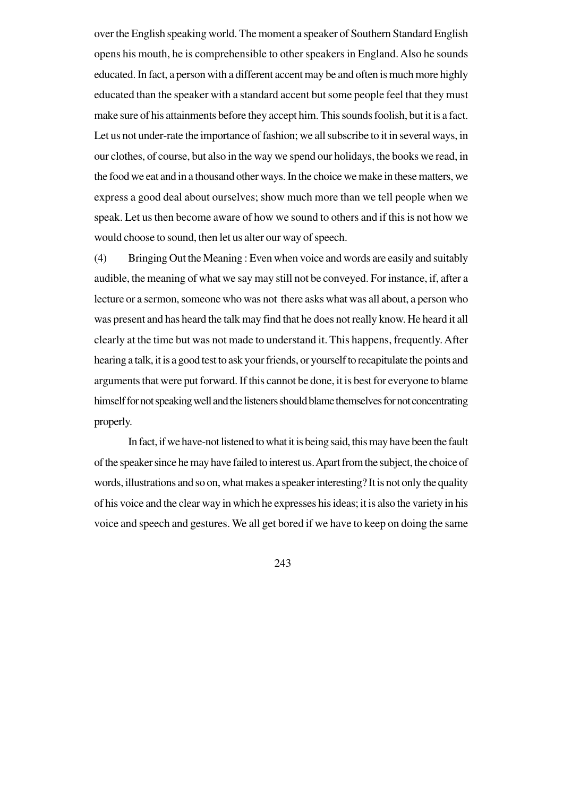over the English speaking world. The moment a speaker of Southern Standard English opens his mouth, he is comprehensible to other speakers in England. Also he sounds educated. In fact, a person with a different accent may be and often is much more highly educated than the speaker with a standard accent but some people feel that they must make sure of his attainments before they accept him. This sounds foolish, but it is a fact. Let us not under-rate the importance of fashion; we all subscribe to it in several ways, in our clothes, of course, but also in the way we spend our holidays, the books we read, in the food we eat and in a thousand other ways. In the choice we make in these matters, we express a good deal about ourselves; show much more than we tell people when we speak. Let us then become aware of how we sound to others and if this is not how we would choose to sound, then let us alter our way of speech.

(4) Bringing Out the Meaning : Even when voice and words are easily and suitably audible, the meaning of what we say may still not be conveyed. For instance, if, after a lecture or a sermon, someone who was not there asks what was all about, a person who was present and has heard the talk may find that he does not really know. He heard it all clearly at the time but was not made to understand it. This happens, frequently. After hearing a talk, it is a good test to ask your friends, or yourself to recapitulate the points and arguments that were put forward. If this cannot be done, it is best for everyone to blame himself for not speaking well and the listeners should blame themselves for not concentrating properly.

In fact, if we have-not listened to what it is being said, this may have been the fault of the speaker since he may have failed to interest us. Apart from the subject, the choice of words, illustrations and so on, what makes a speaker interesting? It is not only the quality of his voice and the clear way in which he expresses his ideas; it is also the variety in his voice and speech and gestures. We all get bored if we have to keep on doing the same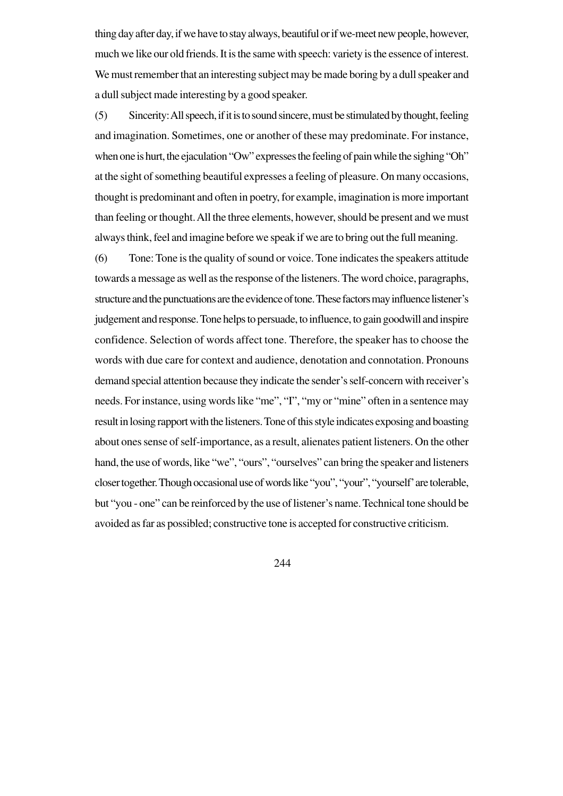thing day after day, if we have to stay always, beautiful or if we-meet new people, however, much we like our old friends. It is the same with speech: variety is the essence of interest. We must remember that an interesting subject may be made boring by a dull speaker and a dull subject made interesting by a good speaker.

(5) Sincerity: All speech, if it is to sound sincere, must be stimulated by thought, feeling and imagination. Sometimes, one or another of these may predominate. For instance, when one is hurt, the ejaculation "Ow" expresses the feeling of pain while the sighing "Oh" at the sight of something beautiful expresses a feeling of pleasure. On many occasions, thought is predominant and often in poetry, for example, imagination is more important than feeling or thought. All the three elements, however, should be present and we must always think, feel and imagine before we speak if we are to bring out the full meaning.

(6) Tone: Tone is the quality of sound or voice. Tone indicates the speakers attitude towards a message as well as the response of the listeners. The word choice, paragraphs, structure and the punctuations are the evidence of tone. These factors may influence listener's judgement and response. Tone helps to persuade, to influence, to gain goodwill and inspire confidence. Selection of words affect tone. Therefore, the speaker has to choose the words with due care for context and audience, denotation and connotation. Pronouns demand special attention because they indicate the sender's self-concern with receiver's needs. For instance, using words like "me", "I", "my or "mine" often in a sentence may result in losing rapport with the listeners. Tone of this style indicates exposing and boasting about ones sense of self-importance, as a result, alienates patient listeners. On the other hand, the use of words, like "we", "ours", "ourselves" can bring the speaker and listeners closer together. Though occasional use of words like "you", "your", "yourself' are tolerable, but "you - one" can be reinforced by the use of listener's name. Technical tone should be avoided as far as possibled; constructive tone is accepted for constructive criticism.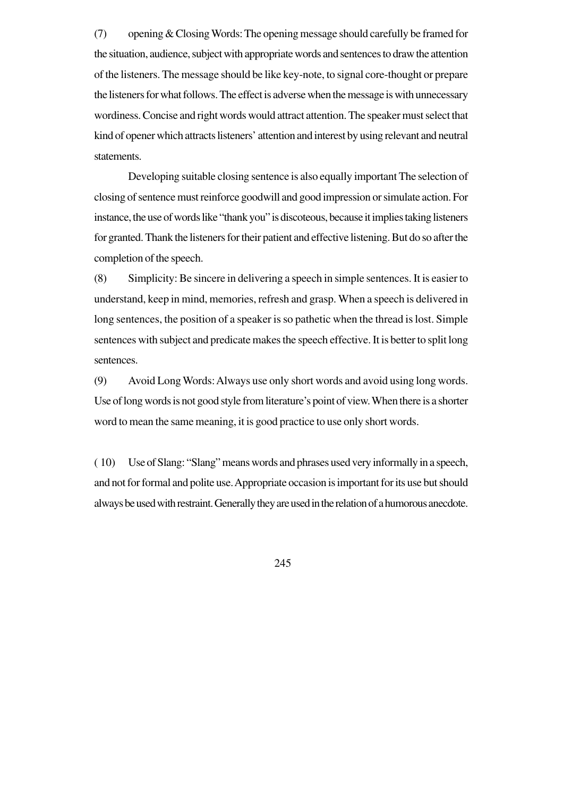(7) opening & Closing Words: The opening message should carefully be framed for the situation, audience, subject with appropriate words and sentences to draw the attention of the listeners. The message should be like key-note, to signal core-thought or prepare the listeners for what follows. The effect is adverse when the message is with unnecessary wordiness. Concise and right words would attract attention. The speaker must select that kind of opener which attracts listeners' attention and interest by using relevant and neutral statements.

Developing suitable closing sentence is also equally important The selection of closing of sentence must reinforce goodwill and good impression or simulate action. For instance, the use of words like "thank you" is discoteous, because it implies taking listeners for granted. Thank the listeners for their patient and effective listening. But do so after the completion of the speech.

(8) Simplicity: Be sincere in delivering a speech in simple sentences. It is easier to understand, keep in mind, memories, refresh and grasp. When a speech is delivered in long sentences, the position of a speaker is so pathetic when the thread is lost. Simple sentences with subject and predicate makes the speech effective. It is better to split long sentences.

(9) Avoid Long Words: Always use only short words and avoid using long words. Use of long words is not good style from literature's point of view. When there is a shorter word to mean the same meaning, it is good practice to use only short words.

( 10) Use of Slang: "Slang" means words and phrases used very informally in a speech, and not for formal and polite use. Appropriate occasion is important for its use but should always be used with restraint. Generally they are used in the relation of a humorous anecdote.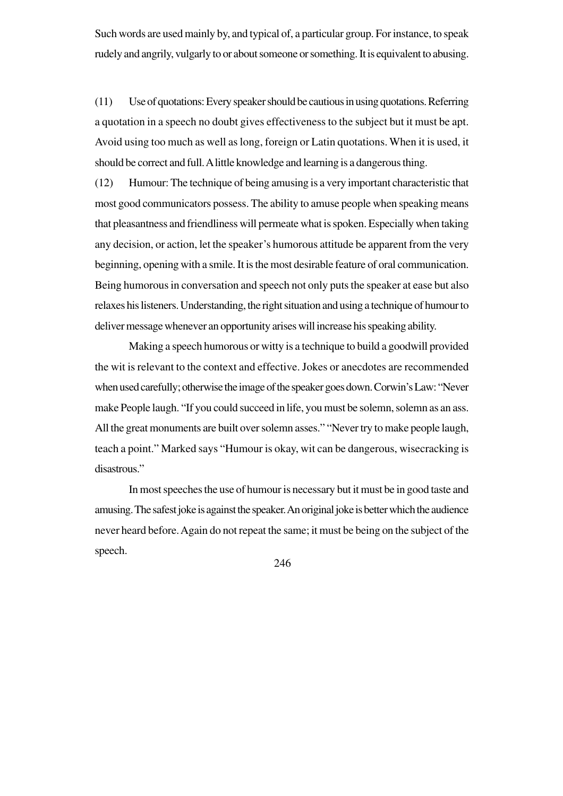Such words are used mainly by, and typical of, a particular group. For instance, to speak rudely and angrily, vulgarly to or about someone or something. It is equivalent to abusing.

(11) Use of quotations: Every speaker should be cautious in using quotations. Referring a quotation in a speech no doubt gives effectiveness to the subject but it must be apt. Avoid using too much as well as long, foreign or Latin quotations. When it is used, it should be correct and full. A little knowledge and learning is a dangerous thing.

(12) Humour: The technique of being amusing is a very important characteristic that most good communicators possess. The ability to amuse people when speaking means that pleasantness and friendliness will permeate what is spoken. Especially when taking any decision, or action, let the speaker's humorous attitude be apparent from the very beginning, opening with a smile. It is the most desirable feature of oral communication. Being humorous in conversation and speech not only puts the speaker at ease but also relaxes his listeners. Understanding, the right situation and using a technique of humour to deliver message whenever an opportunity arises will increase his speaking ability.

Making a speech humorous or witty is a technique to build a goodwill provided the wit is relevant to the context and effective. Jokes or anecdotes are recommended when used carefully; otherwise the image of the speaker goes down. Corwin's Law: "Never make People laugh. "If you could succeed in life, you must be solemn, solemn as an ass. All the great monuments are built over solemn asses." "Never try to make people laugh, teach a point." Marked says "Humour is okay, wit can be dangerous, wisecracking is disastrous."

In most speeches the use of humour is necessary but it must be in good taste and amusing. The safest joke is against the speaker. An original joke is better which the audience never heard before. Again do not repeat the same; it must be being on the subject of the speech.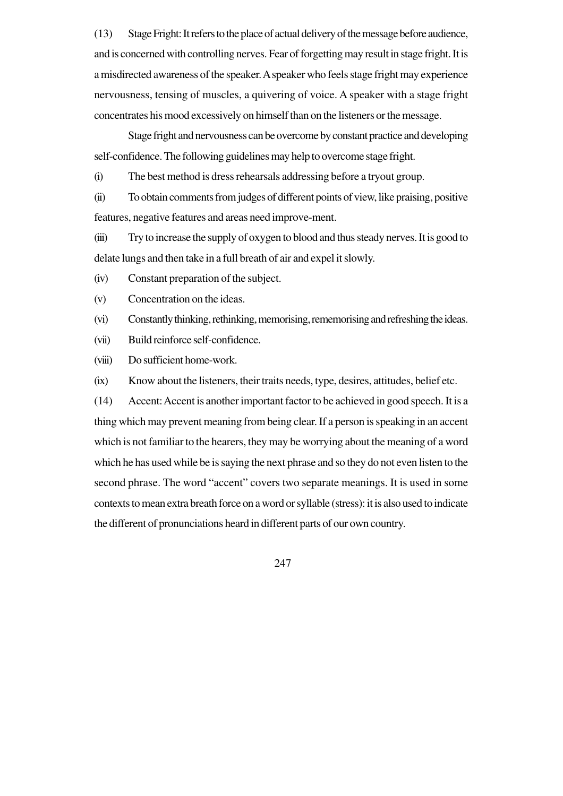(13) Stage Fright: It refers to the place of actual delivery of the message before audience, and is concerned with controlling nerves. Fear of forgetting may result in stage fright. It is a misdirected awareness of the speaker. A speaker who feels stage fright may experience nervousness, tensing of muscles, a quivering of voice. A speaker with a stage fright concentrates his mood excessively on himself than on the listeners or the message.

Stage fright and nervousness can be overcome by constant practice and developing self-confidence. The following guidelines may help to overcome stage fright.

(i) The best method is dress rehearsals addressing before a tryout group.

(ii) To obtain comments from judges of different points of view, like praising, positive features, negative features and areas need improve-ment.

(iii) Try to increase the supply of oxygen to blood and thus steady nerves. It is good to delate lungs and then take in a full breath of air and expel it slowly.

(iv) Constant preparation of the subject.

(v) Concentration on the ideas.

(vi) Constantly thinking, rethinking, memorising, rememorising and refreshing the ideas.

(vii) Build reinforce self-confidence.

(viii) Do sufficient home-work.

(ix) Know about the listeners, their traits needs, type, desires, attitudes, belief etc.

(14) Accent: Accent is another important factor to be achieved in good speech. It is a thing which may prevent meaning from being clear. If a person is speaking in an accent which is not familiar to the hearers, they may be worrying about the meaning of a word which he has used while be is saying the next phrase and so they do not even listen to the second phrase. The word "accent" covers two separate meanings. It is used in some contexts to mean extra breath force on a word or syllable (stress): it is also used to indicate the different of pronunciations heard in different parts of our own country.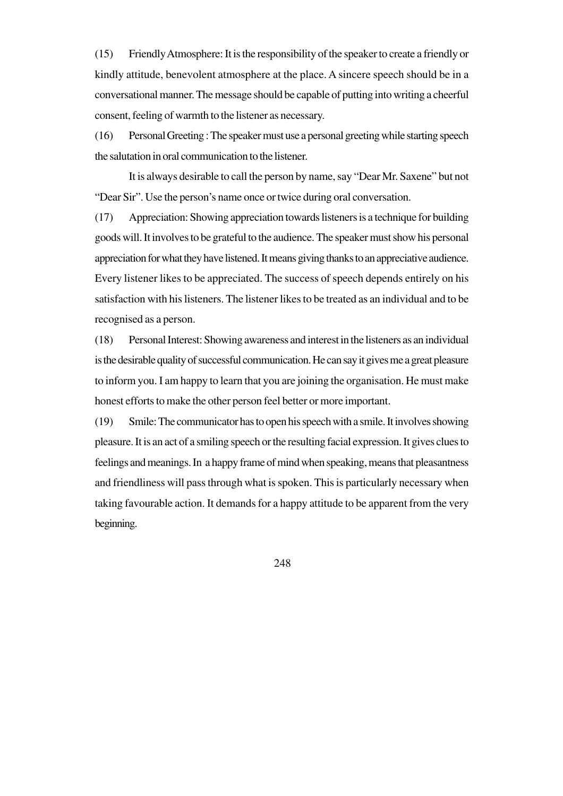(15) Friendly Atmosphere: It is the responsibility of the speaker to create a friendly or kindly attitude, benevolent atmosphere at the place. A sincere speech should be in a conversational manner. The message should be capable of putting into writing a cheerful consent, feeling of warmth to the listener as necessary.

(16) Personal Greeting : The speaker must use a personal greeting while starting speech the salutation in oral communication to the listener.

It is always desirable to call the person by name, say "Dear Mr. Saxene" but not "Dear Sir". Use the person's name once or twice during oral conversation.

(17) Appreciation: Showing appreciation towards listeners is a technique for building goods will. It involves to be grateful to the audience. The speaker must show his personal appreciation for what they have listened. It means giving thanks to an appreciative audience. Every listener likes to be appreciated. The success of speech depends entirely on his satisfaction with his listeners. The listener likes to be treated as an individual and to be recognised as a person.

(18) Personal Interest: Showing awareness and interest in the listeners as an individual is the desirable quality of successful communication. He can say it gives me a great pleasure to inform you. I am happy to learn that you are joining the organisation. He must make honest efforts to make the other person feel better or more important.

(19) Smile: The communicator has to open his speech with a smile. It involves showing pleasure. It is an act of a smiling speech or the resulting facial expression. It gives clues to feelings and meanings. In a happy frame of mind when speaking, means that pleasantness and friendliness will pass through what is spoken. This is particularly necessary when taking favourable action. It demands for a happy attitude to be apparent from the very beginning.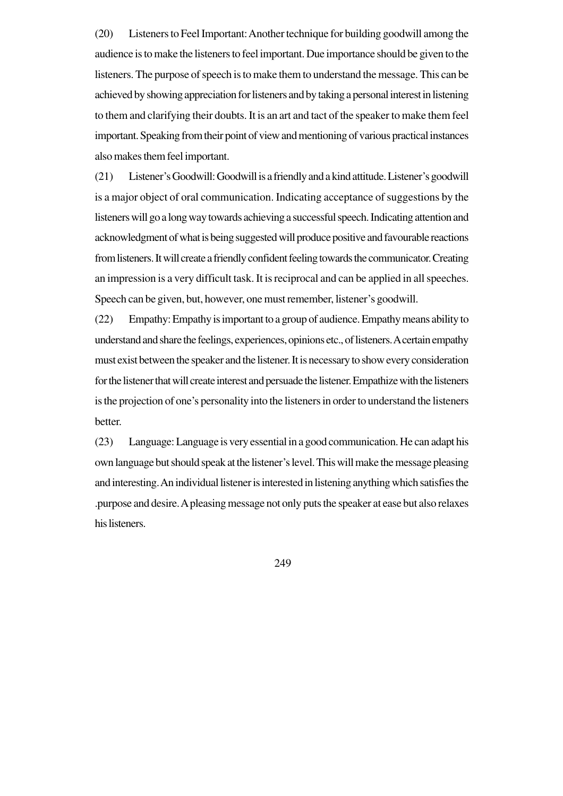(20) Listeners to Feel Important: Another technique for building goodwill among the audience is to make the listeners to feel important. Due importance should be given to the listeners. The purpose of speech is to make them to understand the message. This can be achieved by showing appreciation for listeners and by taking a personal interest in listening to them and clarifying their doubts. It is an art and tact of the speaker to make them feel important. Speaking from their point of view and mentioning of various practical instances also makes them feel important.

(21) Listener's Goodwill: Goodwill is a friendly and a kind attitude. Listener's goodwill is a major object of oral communication. Indicating acceptance of suggestions by the listeners will go a long way towards achieving a successful speech. Indicating attention and acknowledgment of what is being suggested will produce positive and favourable reactions from listeners. It will create a friendly confident feeling towards the communicator. Creating an impression is a very difficult task. It is reciprocal and can be applied in all speeches. Speech can be given, but, however, one must remember, listener's goodwill.

(22) Empathy: Empathy is important to a group of audience. Empathy means ability to understand and share the feelings, experiences, opinions etc., of listeners. A certain empathy must exist between the speaker and the listener. It is necessary to show every consideration for the listener that will create interest and persuade the listener. Empathize with the listeners is the projection of one's personality into the listeners in order to understand the listeners better.

(23) Language: Language is very essential in a good communication. He can adapt his own language but should speak at the listener's level. This will make the message pleasing and interesting. An individual listener is interested in listening anything which satisfies the .purpose and desire. A pleasing message not only puts the speaker at ease but also relaxes his listeners.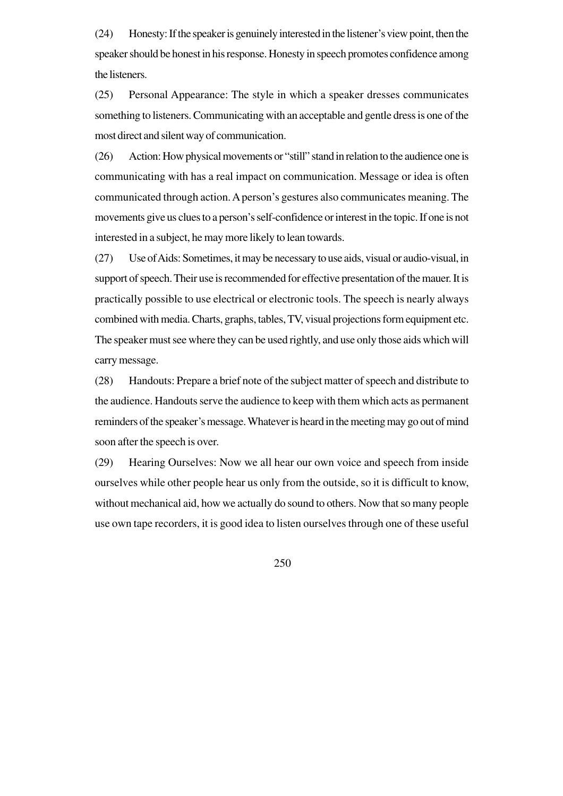(24) Honesty: If the speaker is genuinely interested in the listener's view point, then the speaker should be honest in his response. Honesty in speech promotes confidence among the listeners.

(25) Personal Appearance: The style in which a speaker dresses communicates something to listeners. Communicating with an acceptable and gentle dress is one of the most direct and silent way of communication.

(26) Action: How physical movements or "still" stand in relation to the audience one is communicating with has a real impact on communication. Message or idea is often communicated through action. A person's gestures also communicates meaning. The movements give us clues to a person's self-confidence or interest in the topic. If one is not interested in a subject, he may more likely to lean towards.

(27) Use of Aids: Sometimes, it may be necessary to use aids, visual or audio-visual, in support of speech. Their use is recommended for effective presentation of the mauer. It is practically possible to use electrical or electronic tools. The speech is nearly always combined with media. Charts, graphs, tables, TV, visual projections form equipment etc. The speaker must see where they can be used rightly, and use only those aids which will carry message.

(28) Handouts: Prepare a brief note of the subject matter of speech and distribute to the audience. Handouts serve the audience to keep with them which acts as permanent reminders of the speaker's message. Whatever is heard in the meeting may go out of mind soon after the speech is over.

(29) Hearing Ourselves: Now we all hear our own voice and speech from inside ourselves while other people hear us only from the outside, so it is difficult to know, without mechanical aid, how we actually do sound to others. Now that so many people use own tape recorders, it is good idea to listen ourselves through one of these useful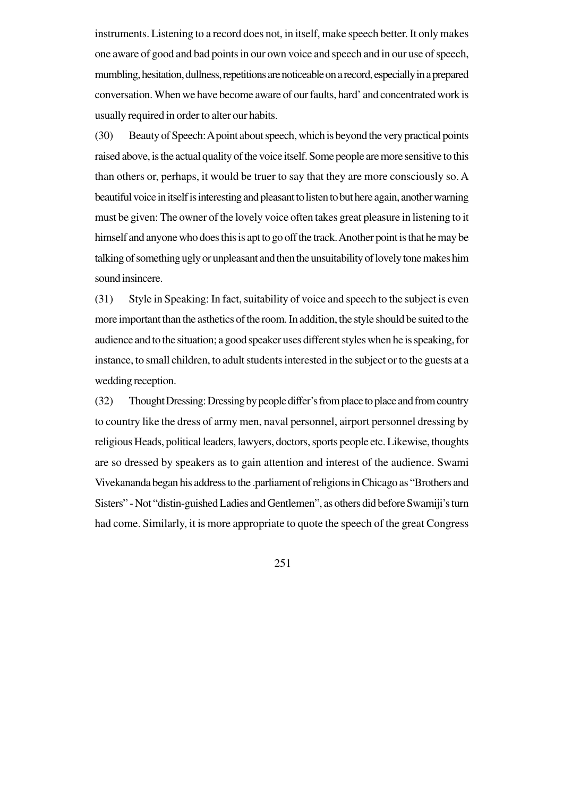instruments. Listening to a record does not, in itself, make speech better. It only makes one aware of good and bad points in our own voice and speech and in our use of speech, mumbling, hesitation, dullness, repetitions are noticeable on a record, especially in a prepared conversation. When we have become aware of our faults, hard' and concentrated work is usually required in order to alter our habits.

(30) Beauty of Speech: A point about speech, which is beyond the very practical points raised above, is the actual quality of the voice itself. Some people are more sensitive to this than others or, perhaps, it would be truer to say that they are more consciously so. A beautiful voice in itself is interesting and pleasant to listen to but here again, another warning must be given: The owner of the lovely voice often takes great pleasure in listening to it himself and anyone who does this is apt to go off the track. Another point is that he may be talking of something ugly or unpleasant and then the unsuitability of lovely tone makes him sound insincere.

(31) Style in Speaking: In fact, suitability of voice and speech to the subject is even more important than the asthetics of the room. In addition, the style should be suited to the audience and to the situation; a good speaker uses different styles when he is speaking, for instance, to small children, to adult students interested in the subject or to the guests at a wedding reception.

(32) Thought Dressing: Dressing by people differ's from place to place and from country to country like the dress of army men, naval personnel, airport personnel dressing by religious Heads, political leaders, lawyers, doctors, sports people etc. Likewise, thoughts are so dressed by speakers as to gain attention and interest of the audience. Swami Vivekananda began his address to the .parliament of religions in Chicago as "Brothers and Sisters" - Not "distin-guished Ladies and Gentlemen", as others did before Swamiji's turn had come. Similarly, it is more appropriate to quote the speech of the great Congress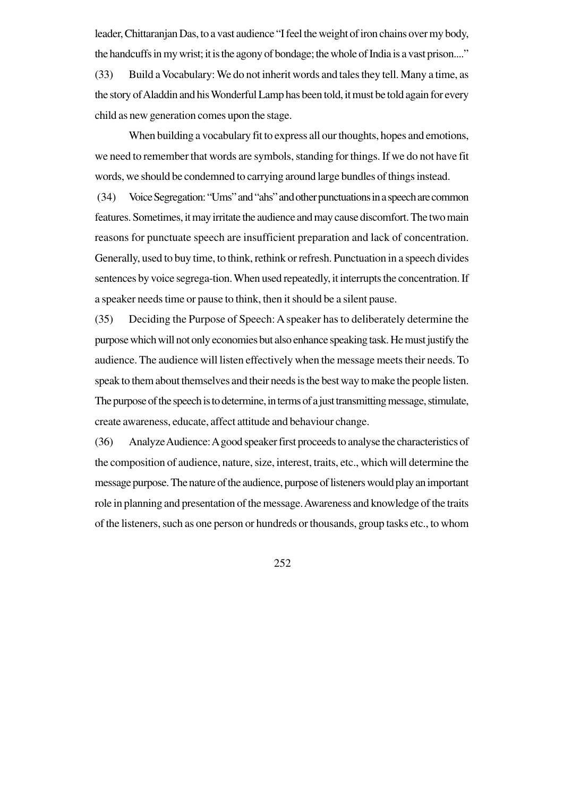leader, Chittaranjan Das, to a vast audience "I feel the weight of iron chains over my body, the handcuffs in my wrist; it is the agony of bondage; the whole of India is a vast prison...." (33) Build a Vocabulary: We do not inherit words and tales they tell. Many a time, as the story of Aladdin and his Wonderful Lamp has been told, it must be told again for every child as new generation comes upon the stage.

When building a vocabulary fit to express all our thoughts, hopes and emotions, we need to remember that words are symbols, standing for things. If we do not have fit words, we should be condemned to carrying around large bundles of things instead.

 (34) Voice Segregation: "Ums" and "ahs" and other punctuations in a speech are common features. Sometimes, it may irritate the audience and may cause discomfort. The two main reasons for punctuate speech are insufficient preparation and lack of concentration. Generally, used to buy time, to think, rethink or refresh. Punctuation in a speech divides sentences by voice segrega-tion. When used repeatedly, it interrupts the concentration. If a speaker needs time or pause to think, then it should be a silent pause.

(35) Deciding the Purpose of Speech: A speaker has to deliberately determine the purpose which will not only economies but also enhance speaking task. He must justify the audience. The audience will listen effectively when the message meets their needs. To speak to them about themselves and their needs is the best way to make the people listen. The purpose of the speech is to determine, in terms of a just transmitting message, stimulate, create awareness, educate, affect attitude and behaviour change.

(36) Analyze Audience: A good speaker first proceeds to analyse the characteristics of the composition of audience, nature, size, interest, traits, etc., which will determine the message purpose. The nature of the audience, purpose of listeners would play an important role in planning and presentation of the message. Awareness and knowledge of the traits of the listeners, such as one person or hundreds or thousands, group tasks etc., to whom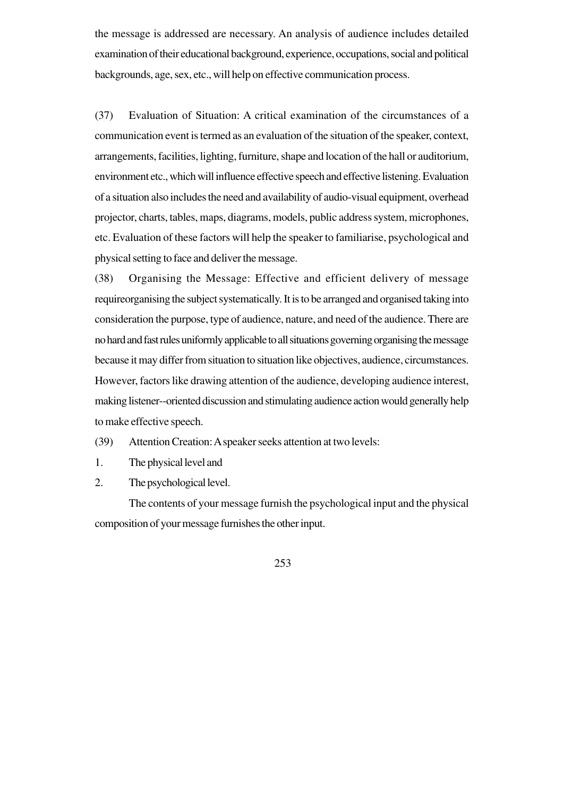the message is addressed are necessary. An analysis of audience includes detailed examination of their educational background, experience, occupations, social and political backgrounds, age, sex, etc., will help on effective communication process.

(37) Evaluation of Situation: A critical examination of the circumstances of a communication event is termed as an evaluation of the situation of the speaker, context, arrangements, facilities, lighting, furniture, shape and location of the hall or auditorium, environment etc., which will influence effective speech and effective listening. Evaluation of a situation also includes the need and availability of audio-visual equipment, overhead projector, charts, tables, maps, diagrams, models, public address system, microphones, etc. Evaluation of these factors will help the speaker to familiarise, psychological and physical setting to face and deliver the message.

(38) Organising the Message: Effective and efficient delivery of message requireorganising the subject systematically. It is to be arranged and organised taking into consideration the purpose, type of audience, nature, and need of the audience. There are no hard and fast rules uniformly applicable to all situations governing organising the message because it may differ from situation to situation like objectives, audience, circumstances. However, factors like drawing attention of the audience, developing audience interest, making listener--oriented discussion and stimulating audience action would generally help to make effective speech.

(39) Attention Creation: A speaker seeks attention at two levels:

- 1. The physical level and
- 2. The psychological level.

The contents of your message furnish the psychological input and the physical composition of your message furnishes the other input.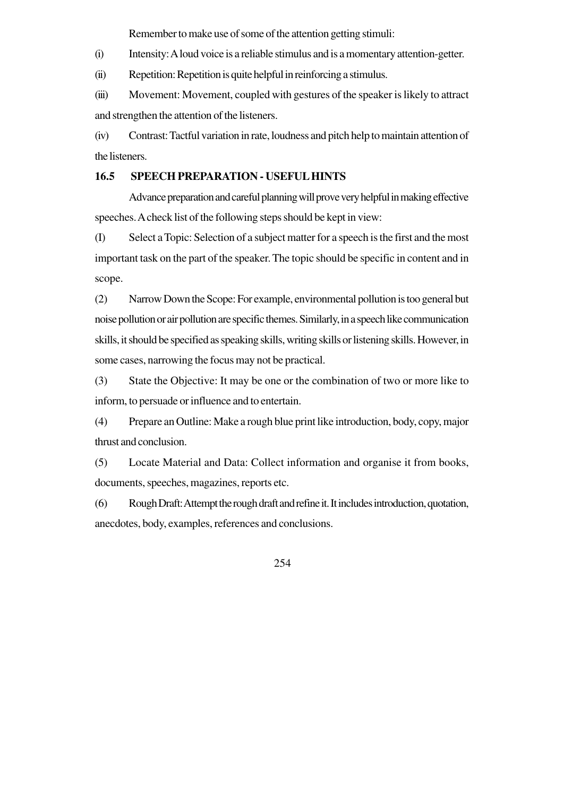Remember to make use of some of the attention getting stimuli:

(i) Intensity: A loud voice is a reliable stimulus and is a momentary attention-getter.

(ii) Repetition: Repetition is quite helpful in reinforcing a stimulus.

(iii) Movement: Movement, coupled with gestures of the speaker is likely to attract and strengthen the attention of the listeners.

(iv) Contrast: Tactful variation in rate, loudness and pitch help to maintain attention of the listeners.

## **16.5 SPEECH PREPARATION - USEFUL HINTS**

Advance preparation and careful planning will prove very helpful in making effective speeches. A check list of the following steps should be kept in view:

(I) Select a Topic: Selection of a subject matter for a speech is the first and the most important task on the part of the speaker. The topic should be specific in content and in scope.

(2) Narrow Down the Scope: For example, environmental pollution is too general but noise pollution or air pollution are specific themes. Similarly, in a speech like communication skills, it should be specified as speaking skills, writing skills or listening skills. However, in some cases, narrowing the focus may not be practical.

(3) State the Objective: It may be one or the combination of two or more like to inform, to persuade or influence and to entertain.

(4) Prepare an Outline: Make a rough blue print like introduction, body, copy, major thrust and conclusion.

(5) Locate Material and Data: Collect information and organise it from books, documents, speeches, magazines, reports etc.

(6) Rough Draft: Attempt the rough draft and refine it. It includes introduction, quotation, anecdotes, body, examples, references and conclusions.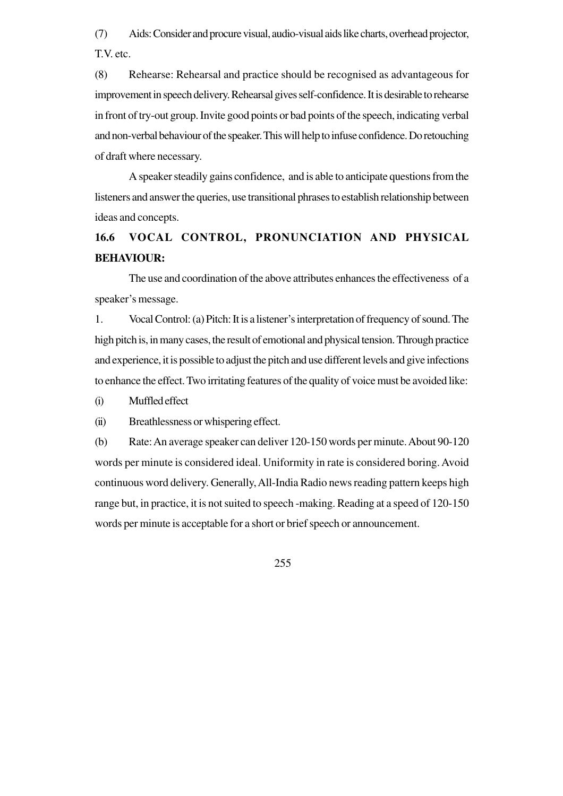(7) Aids: Consider and procure visual, audio-visual aids like charts, overhead projector, T.V. etc.

(8) Rehearse: Rehearsal and practice should be recognised as advantageous for improvement in speech delivery. Rehearsal gives self-confidence. It is desirable to rehearse in front of try-out group. Invite good points or bad points of the speech, indicating verbal and non-verbal behaviour of the speaker. This will help to infuse confidence. Do retouching of draft where necessary.

A speaker steadily gains confidence, and is able to anticipate questions from the listeners and answer the queries, use transitional phrases to establish relationship between ideas and concepts.

## **16.6 VOCAL CONTROL, PRONUNCIATION AND PHYSICAL BEHAVIOUR:**

The use and coordination of the above attributes enhances the effectiveness of a speaker's message.

1. Vocal Control: (a) Pitch: It is a listener's interpretation of frequency of sound. The high pitch is, in many cases, the result of emotional and physical tension. Through practice and experience, it is possible to adjust the pitch and use different levels and give infections to enhance the effect. Two irritating features of the quality of voice must be avoided like:

(i) Muffled effect

(ii) Breathlessness or whispering effect.

(b) Rate: An average speaker can deliver 120-150 words per minute. About 90-120 words per minute is considered ideal. Uniformity in rate is considered boring. Avoid continuous word delivery. Generally, All-India Radio news reading pattern keeps high range but, in practice, it is not suited to speech -making. Reading at a speed of 120-150 words per minute is acceptable for a short or brief speech or announcement.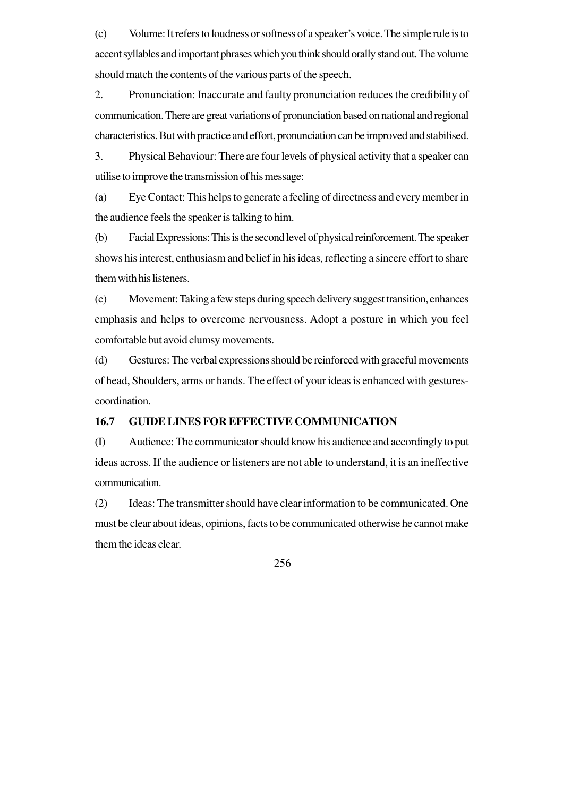(c) Volume: It refers to loudness or softness of a speaker's voice. The simple rule is to accent syllables and important phrases which you think should orally stand out. The volume should match the contents of the various parts of the speech.

2. Pronunciation: Inaccurate and faulty pronunciation reduces the credibility of communication. There are great variations of pronunciation based on national and regional characteristics. But with practice and effort, pronunciation can be improved and stabilised.

3. Physical Behaviour: There are four levels of physical activity that a speaker can utilise to improve the transmission of his message:

(a) Eye Contact: This helps to generate a feeling of directness and every member in the audience feels the speaker is talking to him.

(b) Facial Expressions: This is the second level of physical reinforcement. The speaker shows his interest, enthusiasm and belief in his ideas, reflecting a sincere effort to share them with his listeners.

(c) Movement: Taking a few steps during speech delivery suggest transition, enhances emphasis and helps to overcome nervousness. Adopt a posture in which you feel comfortable but avoid clumsy movements.

(d) Gestures: The verbal expressions should be reinforced with graceful movements of head, Shoulders, arms or hands. The effect of your ideas is enhanced with gesturescoordination.

## **16.7 GUIDE LINES FOR EFFECTIVE COMMUNICATION**

(I) Audience: The communicator should know his audience and accordingly to put ideas across. If the audience or listeners are not able to understand, it is an ineffective communication.

(2) Ideas: The transmitter should have clear information to be communicated. One must be clear about ideas, opinions, facts to be communicated otherwise he cannot make them the ideas clear.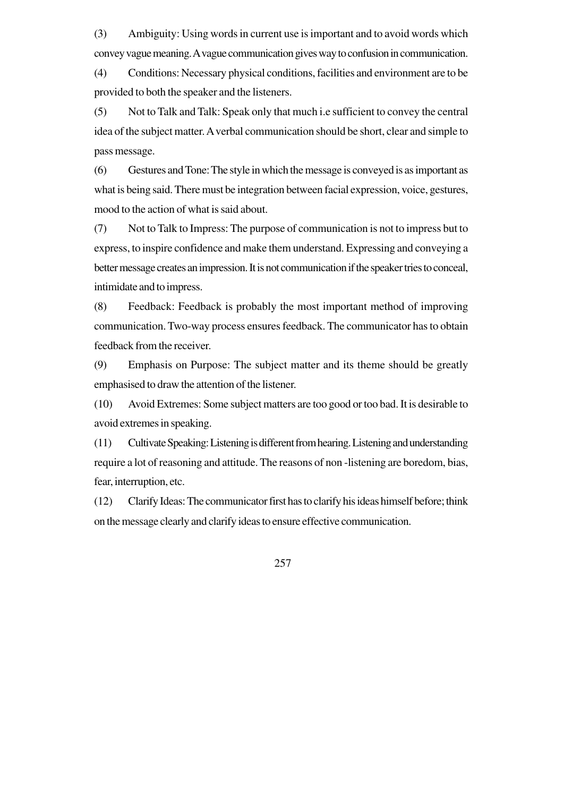(3) Ambiguity: Using words in current use is important and to avoid words which convey vague meaning. A vague communication gives way to confusion in communication.

(4) Conditions: Necessary physical conditions, facilities and environment are to be provided to both the speaker and the listeners.

(5) Not to Talk and Talk: Speak only that much i.e sufficient to convey the central idea of the subject matter. A verbal communication should be short, clear and simple to pass message.

(6) Gestures and Tone: The style in which the message is conveyed is as important as what is being said. There must be integration between facial expression, voice, gestures, mood to the action of what is said about.

(7) Not to Talk to Impress: The purpose of communication is not to impress but to express, to inspire confidence and make them understand. Expressing and conveying a better message creates an impression. It is not communication if the speaker tries to conceal, intimidate and to impress.

(8) Feedback: Feedback is probably the most important method of improving communication. Two-way process ensures feedback. The communicator has to obtain feedback from the receiver.

(9) Emphasis on Purpose: The subject matter and its theme should be greatly emphasised to draw the attention of the listener.

(10) Avoid Extremes: Some subject matters are too good or too bad. It is desirable to avoid extremes in speaking.

(11) Cultivate Speaking: Listening is different from hearing. Listening and understanding require a lot of reasoning and attitude. The reasons of non -listening are boredom, bias, fear, interruption, etc.

(12) Clarify Ideas: The communicator first has to clarify his ideas himself before; think on the message clearly and clarify ideas to ensure effective communication.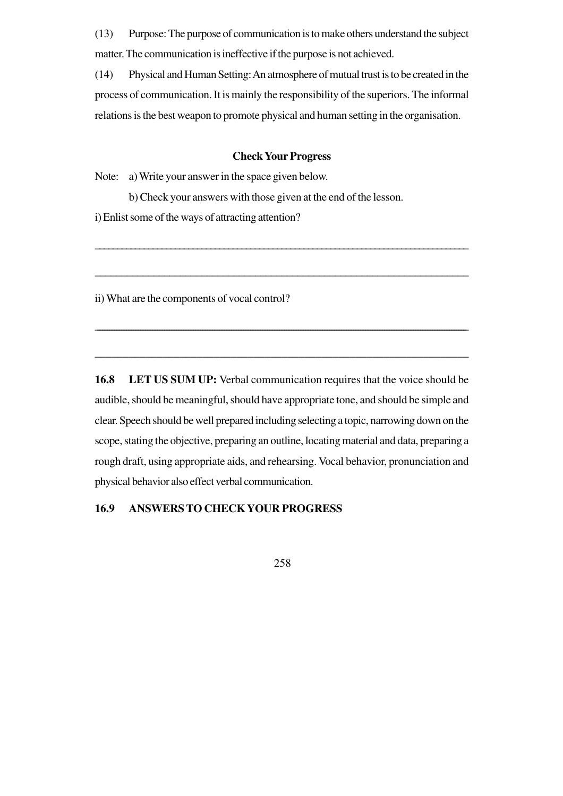(13) Purpose: The purpose of communication is to make others understand the subject matter. The communication is ineffective if the purpose is not achieved.

(14) Physical and Human Setting: An atmosphere of mutual trust is to be created in the process of communication. It is mainly the responsibility of the superiors. The informal relations is the best weapon to promote physical and human setting in the organisation.

#### **Check Your Progress**

\_\_\_\_\_\_\_\_\_\_\_\_\_\_\_\_\_\_\_\_\_\_\_\_\_\_\_\_\_\_\_\_\_\_\_\_\_\_\_\_\_\_\_\_\_\_\_\_\_\_\_\_\_\_\_\_\_\_\_\_\_\_\_\_\_\_\_\_\_\_\_\_\_\_\_\_\_\_\_\_\_\_\_\_

\_\_\_\_\_\_\_\_\_\_\_\_\_\_\_\_\_\_\_\_\_\_\_\_\_\_\_\_\_\_\_\_\_\_\_\_\_\_\_\_\_\_\_\_\_\_\_\_\_\_\_\_\_\_\_\_\_\_\_\_\_\_\_\_\_\_\_\_\_\_

\_\_\_\_\_\_\_\_\_\_\_\_\_\_\_\_\_\_\_\_\_\_\_\_\_\_\_\_\_\_\_\_\_\_\_\_\_\_\_\_\_\_\_\_\_\_\_\_\_\_\_\_\_\_\_\_\_\_\_\_\_\_\_\_\_\_\_\_\_\_\_\_\_\_\_\_\_\_\_\_\_\_\_\_\_\_\_\_\_\_\_\_\_\_\_\_\_\_\_\_\_\_\_\_\_\_\_\_\_\_\_\_\_\_\_\_\_\_\_\_\_\_\_\_\_\_\_\_\_\_\_\_\_\_\_\_\_\_\_\_\_\_\_\_\_\_\_\_\_\_\_\_\_\_\_

\_\_\_\_\_\_\_\_\_\_\_\_\_\_\_\_\_\_\_\_\_\_\_\_\_\_\_\_\_\_\_\_\_\_\_\_\_\_\_\_\_\_\_\_\_\_\_\_\_\_\_\_\_\_\_\_\_\_\_\_\_\_\_\_\_\_

Note: a) Write your answer in the space given below.

b) Check your answers with those given at the end of the lesson.

i) Enlist some of the ways of attracting attention?

ii) What are the components of vocal control?

**16.8 LET US SUM UP:** Verbal communication requires that the voice should be audible, should be meaningful, should have appropriate tone, and should be simple and clear. Speech should be well prepared including selecting a topic, narrowing down on the scope, stating the objective, preparing an outline, locating material and data, preparing a rough draft, using appropriate aids, and rehearsing. Vocal behavior, pronunciation and physical behavior also effect verbal communication.

## **16.9 ANSWERS TO CHECK YOUR PROGRESS**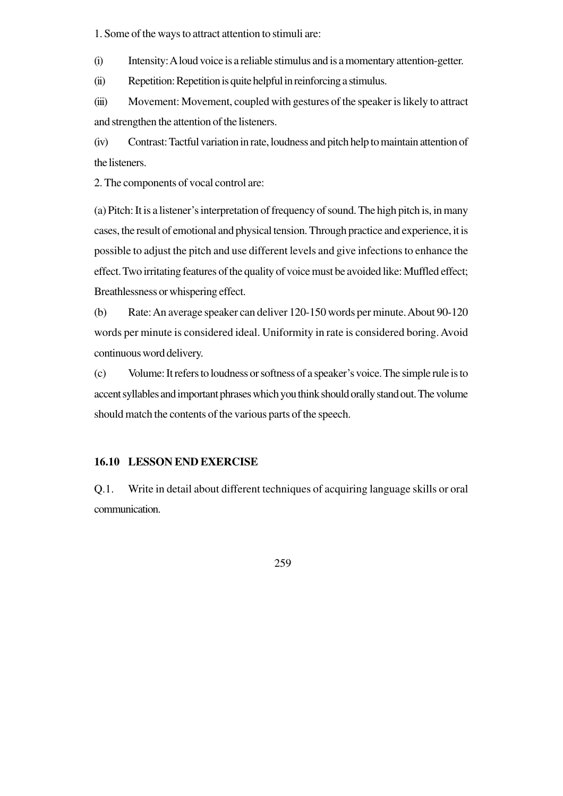1. Some of the ways to attract attention to stimuli are:

(i) Intensity: A loud voice is a reliable stimulus and is a momentary attention-getter.

(ii) Repetition: Repetition is quite helpful in reinforcing a stimulus.

(iii) Movement: Movement, coupled with gestures of the speaker is likely to attract and strengthen the attention of the listeners.

(iv) Contrast: Tactful variation in rate, loudness and pitch help to maintain attention of the listeners.

2. The components of vocal control are:

(a) Pitch: It is a listener's interpretation of frequency of sound. The high pitch is, in many cases, the result of emotional and physical tension. Through practice and experience, it is possible to adjust the pitch and use different levels and give infections to enhance the effect. Two irritating features of the quality of voice must be avoided like: Muffled effect; Breathlessness or whispering effect.

(b) Rate: An average speaker can deliver 120-150 words per minute. About 90-120 words per minute is considered ideal. Uniformity in rate is considered boring. Avoid continuous word delivery.

(c) Volume: It refers to loudness or softness of a speaker's voice. The simple rule is to accent syllables and important phrases which you think should orally stand out. The volume should match the contents of the various parts of the speech.

## **16.10 LESSON END EXERCISE**

Q.1. Write in detail about different techniques of acquiring language skills or oral communication.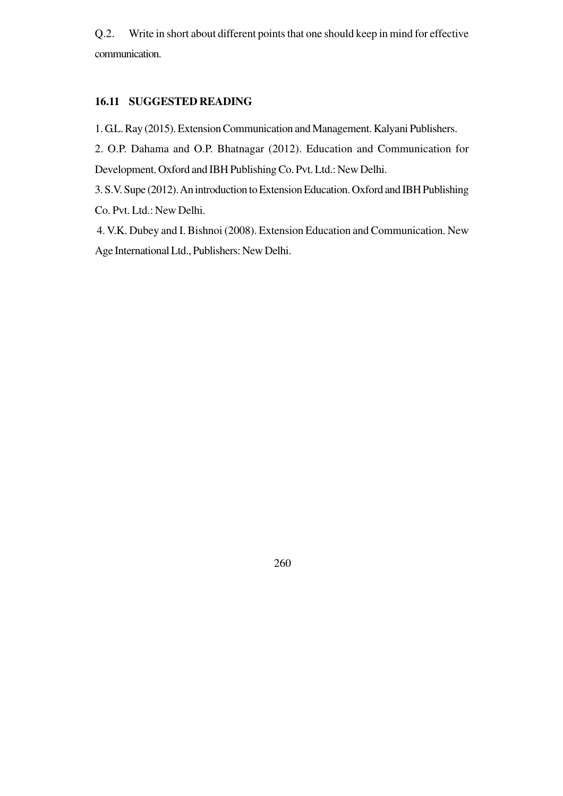Q.2. Write in short about different points that one should keep in mind for effective communication.

#### **16.11 SUGGESTED READING**

1. G.L. Ray (2015). Extension Communication and Management. Kalyani Publishers.

2. O.P. Dahama and O.P. Bhatnagar (2012). Education and Communication for Development. Oxford and IBH Publishing Co. Pvt. Ltd.: New Delhi.

3. S.V. Supe (2012). An introduction to Extension Education. Oxford and IBH Publishing Co. Pvt. Ltd.: New Delhi.

4. V.K. Dubey and I. Bishnoi (2008). Extension Education and Communication. New Age International Ltd., Publishers: New Delhi.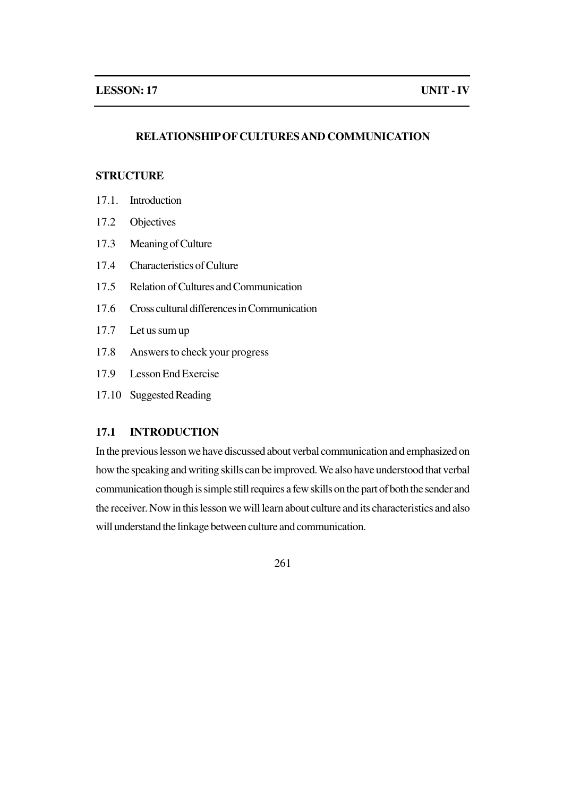## **RELATIONSHIP OF CULTURES AND COMMUNICATION**

## **STRUCTURE**

- 17.1. Introduction
- 17.2 Objectives
- 17.3 Meaning of Culture
- 17.4 Characteristics of Culture
- 17.5 Relation of Cultures and Communication
- 17.6 Cross cultural differences in Communication
- 17.7 Let us sum up
- 17.8 Answers to check your progress
- 17.9 Lesson End Exercise
- 17.10 Suggested Reading

## **17.1 INTRODUCTION**

In the previous lesson we have discussed about verbal communication and emphasized on how the speaking and writing skills can be improved. We also have understood that verbal communication though is simple still requires a few skills on the part of both the sender and the receiver. Now in this lesson we will learn about culture and its characteristics and also will understand the linkage between culture and communication.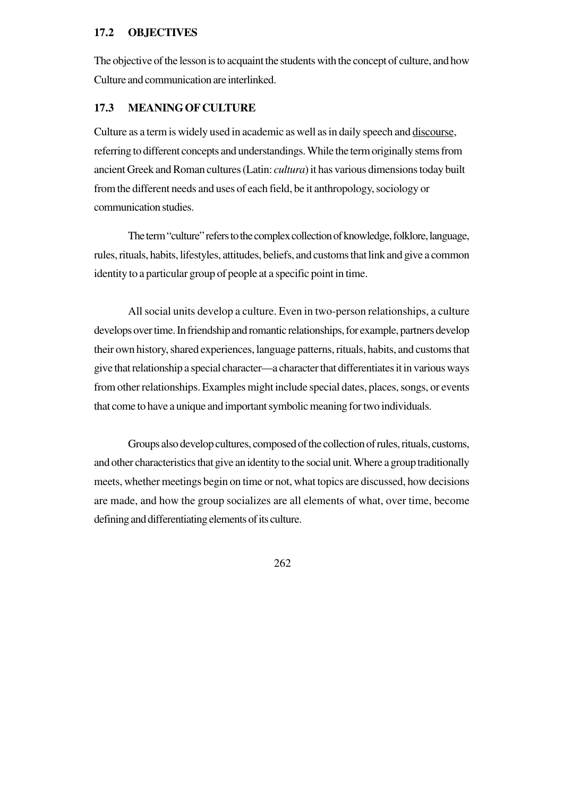#### **17.2 OBJECTIVES**

The objective of the lesson is to acquaint the students with the concept of culture, and how Culture and communication are interlinked.

#### **17.3 MEANING OF CULTURE**

Culture as a term is widely used in academic as well as in daily speech and discourse, referring to different concepts and understandings. While the term originally stems from ancient Greek and Roman cultures (Latin: *cultura*) it has various dimensions today built from the different needs and uses of each field, be it anthropology, sociology or communication studies.

The term "culture" refers to the complex collection of knowledge, folklore, language, rules, rituals, habits, lifestyles, attitudes, beliefs, and customs that link and give a common identity to a particular group of people at a specific point in time.

All social units develop a culture. Even in two-person relationships, a culture develops over time. In friendship and romantic relationships, for example, partners develop their own history, shared experiences, language patterns, rituals, habits, and customs that give that relationship a special character—a character that differentiates it in various ways from other relationships. Examples might include special dates, places, songs, or events that come to have a unique and important symbolic meaning for two individuals.

Groups also develop cultures, composed of the collection of rules, rituals, customs, and other characteristics that give an identity to the social unit. Where a group traditionally meets, whether meetings begin on time or not, what topics are discussed, how decisions are made, and how the group socializes are all elements of what, over time, become defining and differentiating elements of its culture.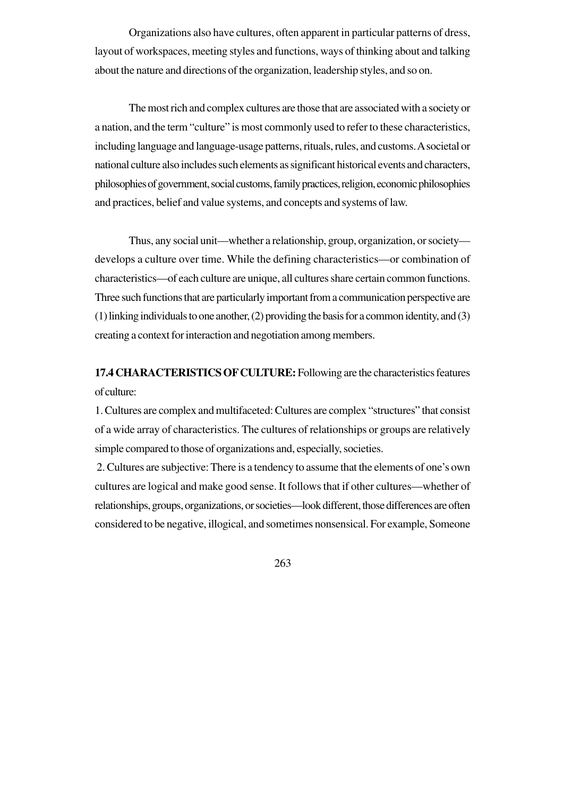Organizations also have cultures, often apparent in particular patterns of dress, layout of workspaces, meeting styles and functions, ways of thinking about and talking about the nature and directions of the organization, leadership styles, and so on.

The most rich and complex cultures are those that are associated with a society or a nation, and the term "culture" is most commonly used to refer to these characteristics, including language and language-usage patterns, rituals, rules, and customs. A societal or national culture also includes such elements as significant historical events and characters, philosophies of government, social customs, family practices, religion, economic philosophies and practices, belief and value systems, and concepts and systems of law.

Thus, any social unit—whether a relationship, group, organization, or society develops a culture over time. While the defining characteristics—or combination of characteristics—of each culture are unique, all cultures share certain common functions. Three such functions that are particularly important from a communication perspective are (1) linking individuals to one another, (2) providing the basis for a common identity, and (3) creating a context for interaction and negotiation among members.

**17.4 CHARACTERISTICS OF CULTURE:** Following are the characteristics features of culture:

1. Cultures are complex and multifaceted: Cultures are complex "structures" that consist of a wide array of characteristics. The cultures of relationships or groups are relatively simple compared to those of organizations and, especially, societies.

 2. Cultures are subjective: There is a tendency to assume that the elements of one's own cultures are logical and make good sense. It follows that if other cultures—whether of relationships, groups, organizations, or societies—look different, those differences are often considered to be negative, illogical, and sometimes nonsensical. For example, Someone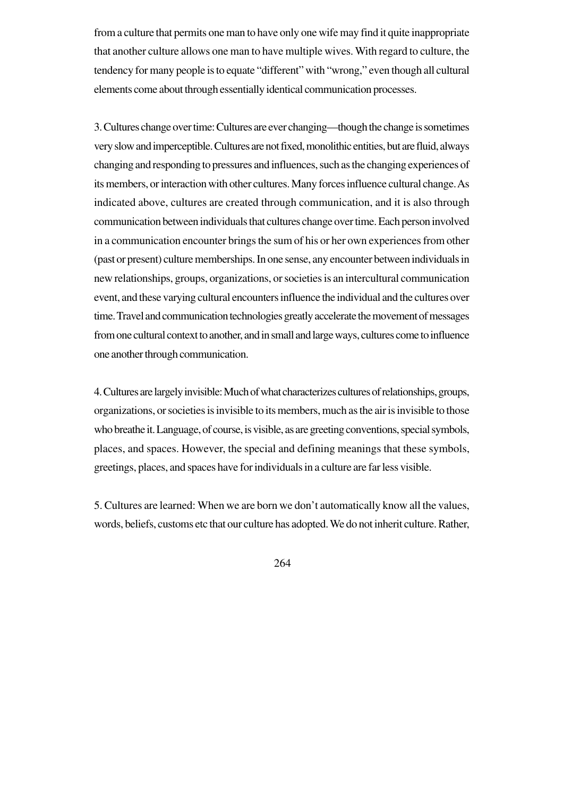from a culture that permits one man to have only one wife may find it quite inappropriate that another culture allows one man to have multiple wives. With regard to culture, the tendency for many people is to equate "different" with "wrong," even though all cultural elements come about through essentially identical communication processes.

3. Cultures change over time: Cultures are ever changing—though the change is sometimes very slow and imperceptible. Cultures are not fixed, monolithic entities, but are fluid, always changing and responding to pressures and influences, such as the changing experiences of its members, or interaction with other cultures. Many forces influence cultural change. As indicated above, cultures are created through communication, and it is also through communication between individuals that cultures change over time. Each person involved in a communication encounter brings the sum of his or her own experiences from other (past or present) culture memberships. In one sense, any encounter between individuals in new relationships, groups, organizations, or societies is an intercultural communication event, and these varying cultural encounters influence the individual and the cultures over time. Travel and communication technologies greatly accelerate the movement of messages from one cultural context to another, and in small and large ways, cultures come to influence one another through communication.

4. Cultures are largely invisible: Much of what characterizes cultures of relationships, groups, organizations, or societies is invisible to its members, much as the air is invisible to those who breathe it. Language, of course, is visible, as are greeting conventions, special symbols, places, and spaces. However, the special and defining meanings that these symbols, greetings, places, and spaces have for individuals in a culture are far less visible.

5. Cultures are learned: When we are born we don't automatically know all the values, words, beliefs, customs etc that our culture has adopted. We do not inherit culture. Rather,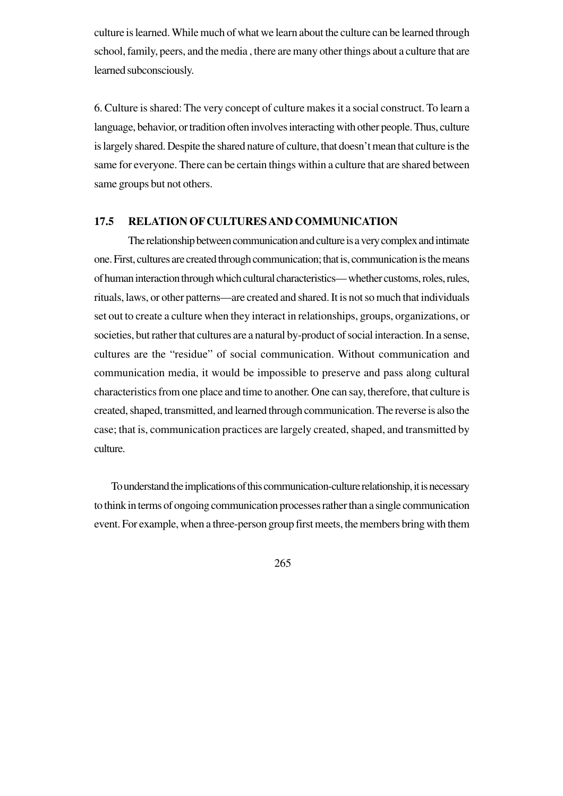culture is learned. While much of what we learn about the culture can be learned through school, family, peers, and the media , there are many other things about a culture that are learned subconsciously.

6. Culture is shared: The very concept of culture makes it a social construct. To learn a language, behavior, or tradition often involves interacting with other people. Thus, culture is largely shared. Despite the shared nature of culture, that doesn't mean that culture is the same for everyone. There can be certain things within a culture that are shared between same groups but not others.

#### **17.5 RELATION OF CULTURES AND COMMUNICATION**

The relationship between communication and culture is a very complex and intimate one. First, cultures are created through communication; that is, communication is the means of human interaction through which cultural characteristics— whether customs, roles, rules, rituals, laws, or other patterns—are created and shared. It is not so much that individuals set out to create a culture when they interact in relationships, groups, organizations, or societies, but rather that cultures are a natural by-product of social interaction. In a sense, cultures are the "residue" of social communication. Without communication and communication media, it would be impossible to preserve and pass along cultural characteristics from one place and time to another. One can say, therefore, that culture is created, shaped, transmitted, and learned through communication. The reverse is also the case; that is, communication practices are largely created, shaped, and transmitted by culture.

To understand the implications of this communication-culture relationship, it is necessary to think in terms of ongoing communication processes rather than a single communication event. For example, when a three-person group first meets, the members bring with them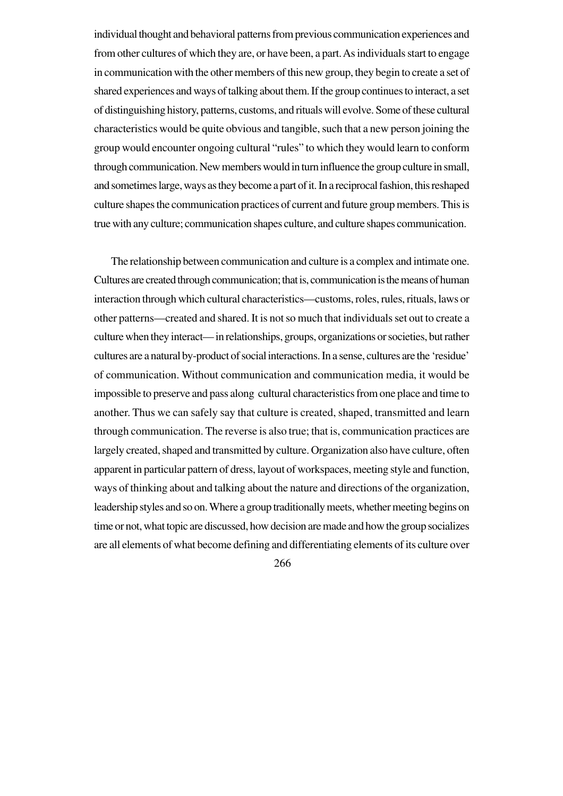individual thought and behavioral patterns from previous communication experiences and from other cultures of which they are, or have been, a part. As individuals start to engage in communication with the other members of this new group, they begin to create a set of shared experiences and ways of talking about them. If the group continues to interact, a set of distinguishing history, patterns, customs, and rituals will evolve. Some of these cultural characteristics would be quite obvious and tangible, such that a new person joining the group would encounter ongoing cultural "rules" to which they would learn to conform through communication. New members would in turn influence the group culture in small, and sometimes large, ways as they become a part of it. In a reciprocal fashion, this reshaped culture shapes the communication practices of current and future group members. This is true with any culture; communication shapes culture, and culture shapes communication.

The relationship between communication and culture is a complex and intimate one. Cultures are created through communication; that is, communication is the means of human interaction through which cultural characteristics—customs, roles, rules, rituals, laws or other patterns—created and shared. It is not so much that individuals set out to create a culture when they interact— in relationships, groups, organizations or societies, but rather cultures are a natural by-product of social interactions. In a sense, cultures are the 'residue' of communication. Without communication and communication media, it would be impossible to preserve and pass along cultural characteristics from one place and time to another. Thus we can safely say that culture is created, shaped, transmitted and learn through communication. The reverse is also true; that is, communication practices are largely created, shaped and transmitted by culture. Organization also have culture, often apparent in particular pattern of dress, layout of workspaces, meeting style and function, ways of thinking about and talking about the nature and directions of the organization, leadership styles and so on. Where a group traditionally meets, whether meeting begins on time or not, what topic are discussed, how decision are made and how the group socializes are all elements of what become defining and differentiating elements of its culture over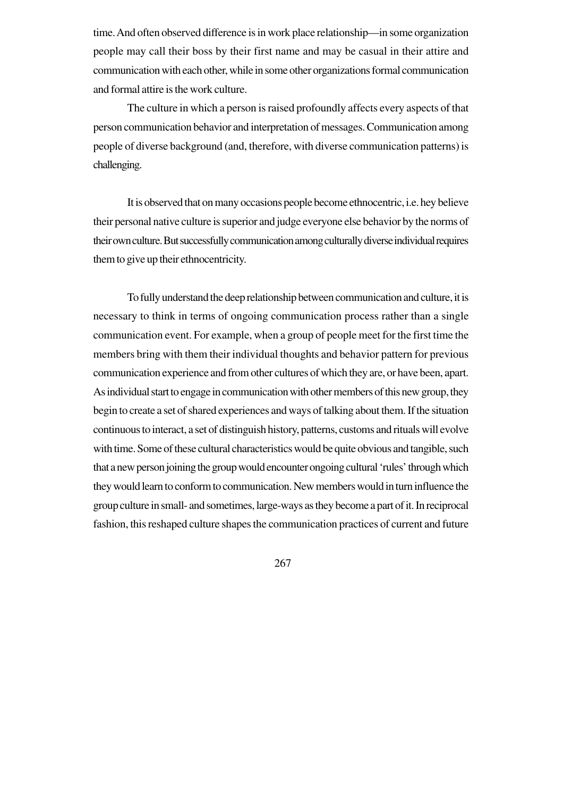time. And often observed difference is in work place relationship—in some organization people may call their boss by their first name and may be casual in their attire and communication with each other, while in some other organizations formal communication and formal attire is the work culture.

The culture in which a person is raised profoundly affects every aspects of that person communication behavior and interpretation of messages. Communication among people of diverse background (and, therefore, with diverse communication patterns) is challenging.

It is observed that on many occasions people become ethnocentric, i.e. hey believe their personal native culture is superior and judge everyone else behavior by the norms of their own culture. But successfully communication among culturally diverse individual requires them to give up their ethnocentricity.

To fully understand the deep relationship between communication and culture, it is necessary to think in terms of ongoing communication process rather than a single communication event. For example, when a group of people meet for the first time the members bring with them their individual thoughts and behavior pattern for previous communication experience and from other cultures of which they are, or have been, apart. As individual start to engage in communication with other members of this new group, they begin to create a set of shared experiences and ways of talking about them. If the situation continuous to interact, a set of distinguish history, patterns, customs and rituals will evolve with time. Some of these cultural characteristics would be quite obvious and tangible, such that a new person joining the group would encounter ongoing cultural 'rules' through which they would learn to conform to communication. New members would in turn influence the group culture in small- and sometimes, large-ways as they become a part of it. In reciprocal fashion, this reshaped culture shapes the communication practices of current and future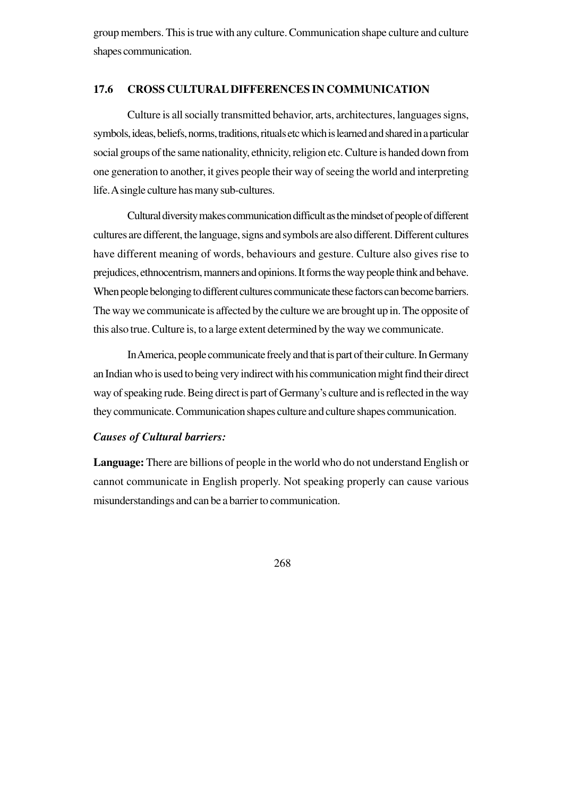group members. This is true with any culture. Communication shape culture and culture shapes communication.

#### **17.6 CROSS CULTURAL DIFFERENCES IN COMMUNICATION**

Culture is all socially transmitted behavior, arts, architectures, languages signs, symbols, ideas, beliefs, norms, traditions, rituals etc which is learned and shared in a particular social groups of the same nationality, ethnicity, religion etc. Culture is handed down from one generation to another, it gives people their way of seeing the world and interpreting life. A single culture has many sub-cultures.

Cultural diversity makes communication difficult as the mindset of people of different cultures are different, the language, signs and symbols are also different. Different cultures have different meaning of words, behaviours and gesture. Culture also gives rise to prejudices, ethnocentrism, manners and opinions. It forms the way people think and behave. When people belonging to different cultures communicate these factors can become barriers. The way we communicate is affected by the culture we are brought up in. The opposite of this also true. Culture is, to a large extent determined by the way we communicate.

In America, people communicate freely and that is part of their culture. In Germany an Indian who is used to being very indirect with his communication might find their direct way of speaking rude. Being direct is part of Germany's culture and is reflected in the way they communicate. Communication shapes culture and culture shapes communication.

#### *Causes of Cultural barriers:*

**Language:** There are billions of people in the world who do not understand English or cannot communicate in English properly. Not speaking properly can cause various misunderstandings and can be a barrier to communication.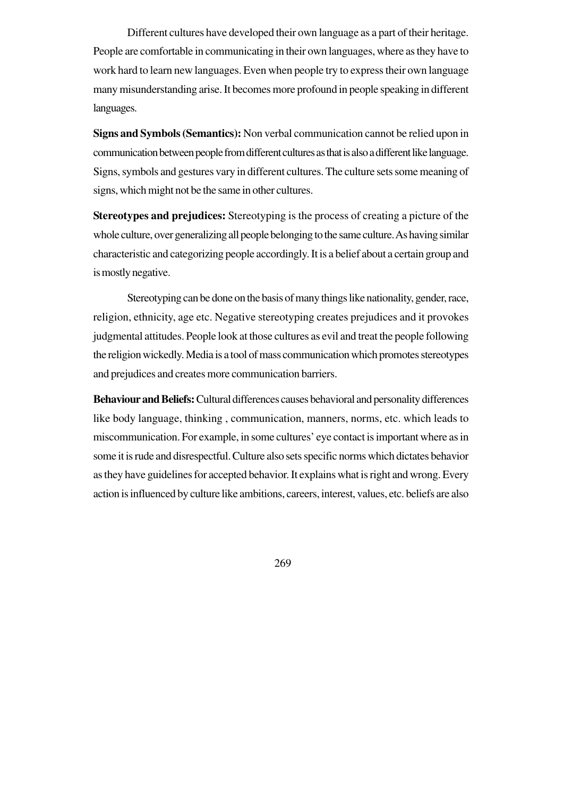Different cultures have developed their own language as a part of their heritage. People are comfortable in communicating in their own languages, where as they have to work hard to learn new languages. Even when people try to express their own language many misunderstanding arise. It becomes more profound in people speaking in different languages.

**Signs and Symbols (Semantics):** Non verbal communication cannot be relied upon in communication between people from different cultures as that is also a different like language. Signs, symbols and gestures vary in different cultures. The culture sets some meaning of signs, which might not be the same in other cultures.

**Stereotypes and prejudices:** Stereotyping is the process of creating a picture of the whole culture, over generalizing all people belonging to the same culture. As having similar characteristic and categorizing people accordingly. It is a belief about a certain group and is mostly negative.

Stereotyping can be done on the basis of many things like nationality, gender, race, religion, ethnicity, age etc. Negative stereotyping creates prejudices and it provokes judgmental attitudes. People look at those cultures as evil and treat the people following the religion wickedly. Media is a tool of mass communication which promotes stereotypes and prejudices and creates more communication barriers.

**Behaviour and Beliefs:** Cultural differences causes behavioral and personality differences like body language, thinking , communication, manners, norms, etc. which leads to miscommunication. For example, in some cultures' eye contact is important where as in some it is rude and disrespectful. Culture also sets specific norms which dictates behavior as they have guidelines for accepted behavior. It explains what is right and wrong. Every action is influenced by culture like ambitions, careers, interest, values, etc. beliefs are also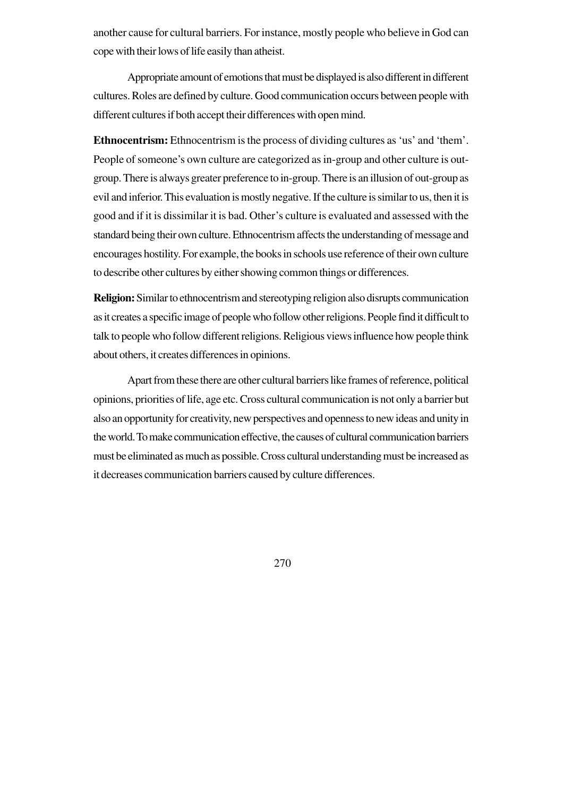another cause for cultural barriers. For instance, mostly people who believe in God can cope with their lows of life easily than atheist.

Appropriate amount of emotions that must be displayed is also different in different cultures. Roles are defined by culture. Good communication occurs between people with different cultures if both accept their differences with open mind.

**Ethnocentrism:** Ethnocentrism is the process of dividing cultures as 'us' and 'them'. People of someone's own culture are categorized as in-group and other culture is outgroup. There is always greater preference to in-group. There is an illusion of out-group as evil and inferior. This evaluation is mostly negative. If the culture is similar to us, then it is good and if it is dissimilar it is bad. Other's culture is evaluated and assessed with the standard being their own culture. Ethnocentrism affects the understanding of message and encourages hostility. For example, the books in schools use reference of their own culture to describe other cultures by either showing common things or differences.

**Religion:** Similar to ethnocentrism and stereotyping religion also disrupts communication as it creates a specific image of people who follow other religions. People find it difficult to talk to people who follow different religions. Religious views influence how people think about others, it creates differences in opinions.

Apart from these there are other cultural barriers like frames of reference, political opinions, priorities of life, age etc. Cross cultural communication is not only a barrier but also an opportunity for creativity, new perspectives and openness to new ideas and unity in the world. To make communication effective, the causes of cultural communication barriers must be eliminated as much as possible. Cross cultural understanding must be increased as it decreases communication barriers caused by culture differences.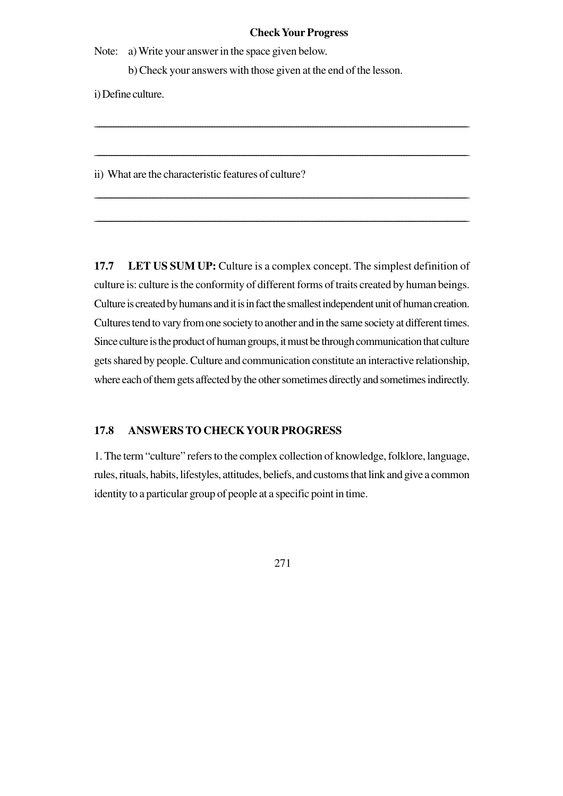#### **Check Your Progress**

Note: a) Write your answer in the space given below.

b) Check your answers with those given at the end of the lesson.

\_\_\_\_\_\_\_\_\_\_\_\_\_\_\_\_\_\_\_\_\_\_\_\_\_\_\_\_\_\_\_\_\_\_\_\_\_\_\_\_\_\_\_\_\_\_\_\_\_\_\_\_\_\_\_\_\_\_\_\_\_\_\_\_\_\_\_\_\_\_\_\_\_\_\_\_\_\_\_\_\_\_\_\_\_\_\_\_\_\_\_\_\_\_\_\_\_\_\_\_\_\_\_\_\_\_\_\_\_\_\_\_\_\_\_\_\_\_\_\_\_\_\_\_\_\_\_\_\_\_\_\_\_\_\_\_\_\_\_\_\_\_\_\_\_\_\_\_\_\_\_\_\_\_\_

\_\_\_\_\_\_\_\_\_\_\_\_\_\_\_\_\_\_\_\_\_\_\_\_\_\_\_\_\_\_\_\_\_\_\_\_\_\_\_\_\_\_\_\_\_\_\_\_\_\_\_\_\_\_\_\_\_\_\_\_\_\_\_\_\_\_\_\_\_\_\_\_\_\_\_\_\_\_\_\_\_\_\_\_\_\_\_\_\_\_\_\_\_\_\_\_\_\_\_\_\_\_\_\_\_\_\_\_\_\_\_\_\_\_\_\_\_\_\_\_\_\_\_\_\_\_\_\_\_\_\_\_\_\_\_\_\_\_\_\_\_\_\_\_\_\_\_\_\_\_\_\_\_\_

\_\_\_\_\_\_\_\_\_\_\_\_\_\_\_\_\_\_\_\_\_\_\_\_\_\_\_\_\_\_\_\_\_\_\_\_\_\_\_\_\_\_\_\_\_\_\_\_\_\_\_\_\_\_\_\_\_\_\_\_\_\_\_\_\_\_\_\_\_\_\_\_\_\_\_\_\_\_\_\_\_\_\_\_\_\_\_\_\_\_\_\_\_\_\_\_\_\_\_\_\_\_\_\_\_\_\_\_\_\_\_\_\_\_\_\_\_\_\_\_\_\_\_\_\_\_\_\_\_\_\_\_\_\_\_\_\_\_\_\_\_\_\_\_\_\_\_\_\_\_\_\_\_

\_\_\_\_\_\_\_\_\_\_\_\_\_\_\_\_\_\_\_\_\_\_\_\_\_\_\_\_\_\_\_\_\_\_\_\_\_\_\_\_\_\_\_\_\_\_\_\_\_\_\_\_\_\_\_\_\_\_\_\_\_\_\_\_\_\_\_\_\_\_\_\_\_\_\_\_\_\_\_\_\_\_\_\_\_\_\_\_\_\_\_\_\_\_\_\_\_\_\_\_\_\_\_\_\_\_\_\_\_\_\_\_\_\_\_\_\_\_\_\_\_\_\_\_\_\_\_\_\_\_\_\_\_\_\_\_\_\_\_\_\_\_\_\_\_\_\_\_\_\_\_\_\_\_

i) Define culture.

ii) What are the characteristic features of culture?

**17.7 LET US SUM UP:** Culture is a complex concept. The simplest definition of culture is: culture is the conformity of different forms of traits created by human beings. Culture is created by humans and it is in fact the smallest independent unit of human creation. Cultures tend to vary from one society to another and in the same society at different times. Since culture is the product of human groups, it must be through communication that culture gets shared by people. Culture and communication constitute an interactive relationship, where each of them gets affected by the other sometimes directly and sometimes indirectly.

## **17.8 ANSWERS TO CHECK YOUR PROGRESS**

1. The term "culture" refers to the complex collection of knowledge, folklore, language, rules, rituals, habits, lifestyles, attitudes, beliefs, and customs that link and give a common identity to a particular group of people at a specific point in time.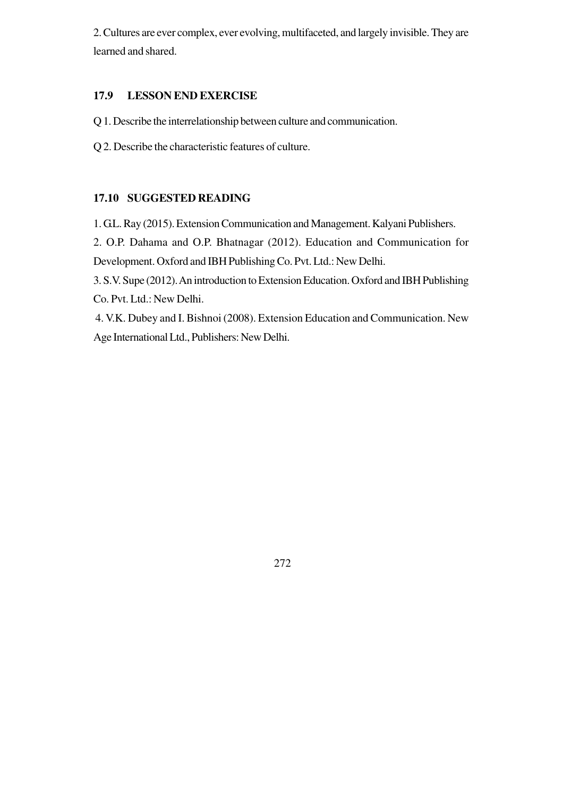2. Cultures are ever complex, ever evolving, multifaceted, and largely invisible. They are learned and shared.

### **17.9 LESSON END EXERCISE**

Q 1. Describe the interrelationship between culture and communication.

Q 2. Describe the characteristic features of culture.

## **17.10 SUGGESTED READING**

1. G.L. Ray (2015). Extension Communication and Management. Kalyani Publishers. 2. O.P. Dahama and O.P. Bhatnagar (2012). Education and Communication for Development. Oxford and IBH Publishing Co. Pvt. Ltd.: New Delhi. 3. S.V. Supe (2012). An introduction to Extension Education. Oxford and IBH Publishing Co. Pvt. Ltd.: New Delhi.

 4. V.K. Dubey and I. Bishnoi (2008). Extension Education and Communication. New Age International Ltd., Publishers: New Delhi.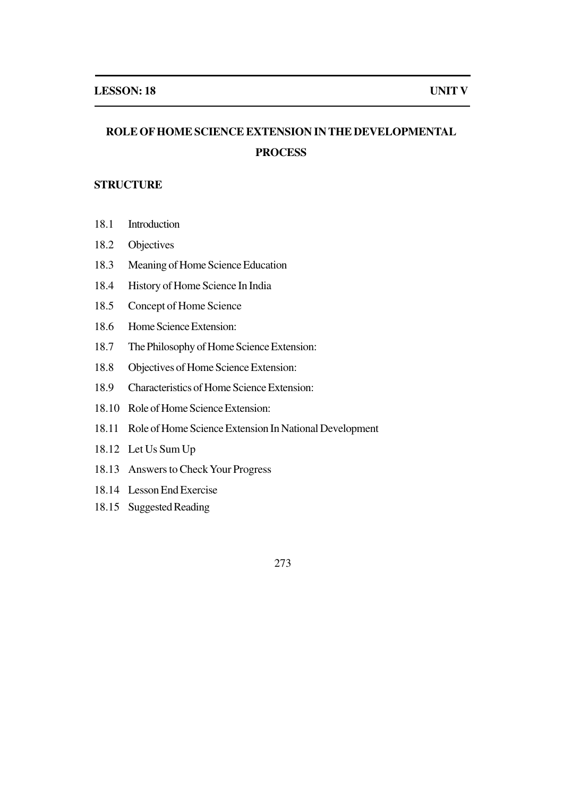# **ROLE OF HOME SCIENCE EXTENSION IN THE DEVELOPMENTAL PROCESS**

## **STRUCTURE**

- 18.1 Introduction
- 18.2 Objectives
- 18.3 Meaning of Home Science Education
- 18.4 History of Home Science In India
- 18.5 Concept of Home Science
- 18.6 Home Science Extension:
- 18.7 The Philosophy of Home Science Extension:
- 18.8 Objectives of Home Science Extension:
- 18.9 Characteristics of Home Science Extension:
- 18.10 Role of Home Science Extension:
- 18.11 Role of Home Science Extension In National Development
- 18.12 Let Us Sum Up
- 18.13 Answers to Check Your Progress
- 18.14 Lesson End Exercise
- 18.15 Suggested Reading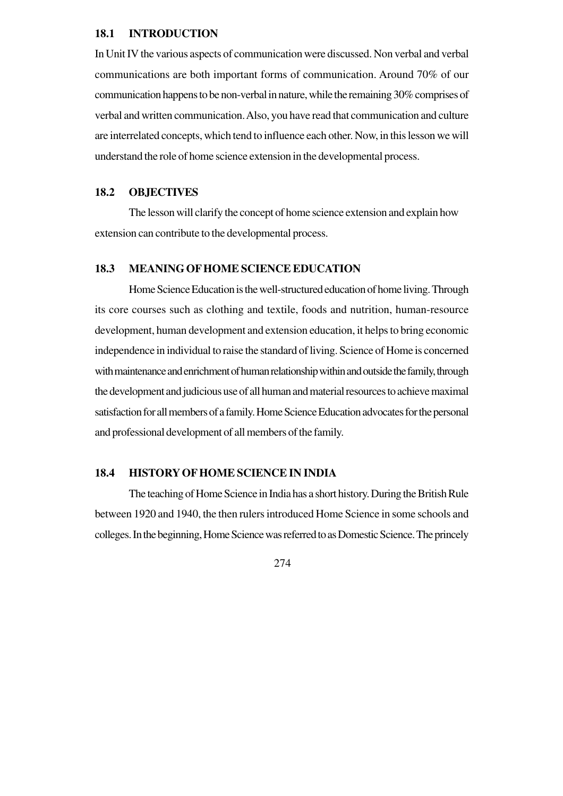#### **18.1 INTRODUCTION**

In Unit IV the various aspects of communication were discussed. Non verbal and verbal communications are both important forms of communication. Around 70% of our communication happens to be non-verbal in nature, while the remaining 30% comprises of verbal and written communication. Also, you have read that communication and culture are interrelated concepts, which tend to influence each other. Now, in this lesson we will understand the role of home science extension in the developmental process.

#### **18.2 OBJECTIVES**

The lesson will clarify the concept of home science extension and explain how extension can contribute to the developmental process.

#### **18.3 MEANING OF HOME SCIENCE EDUCATION**

Home Science Education is the well-structured education of home living. Through its core courses such as clothing and textile, foods and nutrition, human-resource development, human development and extension education, it helps to bring economic independence in individual to raise the standard of living. Science of Home is concerned with maintenance and enrichment of human relationship within and outside the family, through the development and judicious use of all human and material resources to achieve maximal satisfaction for all members of a family. Home Science Education advocates for the personal and professional development of all members of the family.

#### **18.4 HISTORY OF HOME SCIENCE IN INDIA**

The teaching of Home Science in India has a short history. During the British Rule between 1920 and 1940, the then rulers introduced Home Science in some schools and colleges. In the beginning, Home Science was referred to as Domestic Science. The princely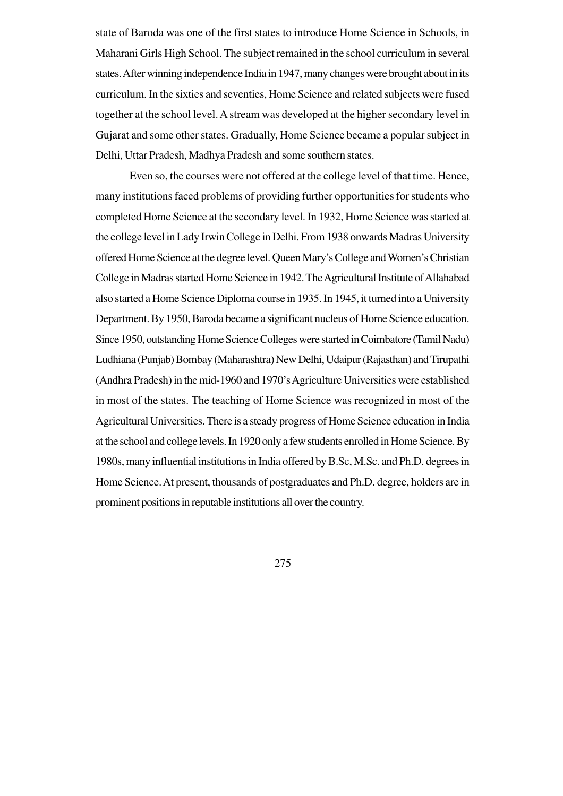state of Baroda was one of the first states to introduce Home Science in Schools, in Maharani Girls High School. The subject remained in the school curriculum in several states. After winning independence India in 1947, many changes were brought about in its curriculum. In the sixties and seventies, Home Science and related subjects were fused together at the school level. A stream was developed at the higher secondary level in Gujarat and some other states. Gradually, Home Science became a popular subject in Delhi, Uttar Pradesh, Madhya Pradesh and some southern states.

Even so, the courses were not offered at the college level of that time. Hence, many institutions faced problems of providing further opportunities for students who completed Home Science at the secondary level. In 1932, Home Science was started at the college level in Lady Irwin College in Delhi. From 1938 onwards Madras University offered Home Science at the degree level. Queen Mary's College and Women's Christian College in Madras started Home Science in 1942. The Agricultural Institute of Allahabad also started a Home Science Diploma course in 1935. In 1945, it turned into a University Department. By 1950, Baroda became a significant nucleus of Home Science education. Since 1950, outstanding Home Science Colleges were started in Coimbatore (Tamil Nadu) Ludhiana (Punjab) Bombay (Maharashtra) New Delhi, Udaipur (Rajasthan) and Tirupathi (Andhra Pradesh) in the mid-1960 and 1970's Agriculture Universities were established in most of the states. The teaching of Home Science was recognized in most of the Agricultural Universities. There is a steady progress of Home Science education in India at the school and college levels. In 1920 only a few students enrolled in Home Science. By 1980s, many influential institutions in India offered by B.Sc, M.Sc. and Ph.D. degrees in Home Science. At present, thousands of postgraduates and Ph.D. degree, holders are in prominent positions in reputable institutions all over the country.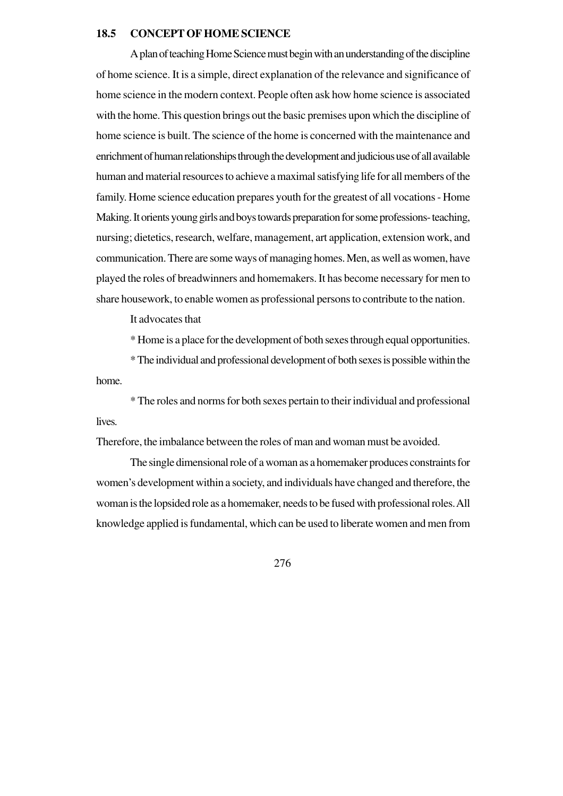#### **18.5 CONCEPT OF HOME SCIENCE**

A plan of teaching Home Science must begin with an understanding of the discipline of home science. It is a simple, direct explanation of the relevance and significance of home science in the modern context. People often ask how home science is associated with the home. This question brings out the basic premises upon which the discipline of home science is built. The science of the home is concerned with the maintenance and enrichment of human relationships through the development and judicious use of all available human and material resources to achieve a maximal satisfying life for all members of the family. Home science education prepares youth for the greatest of all vocations - Home Making. It orients young girls and boys towards preparation for some professions- teaching, nursing; dietetics, research, welfare, management, art application, extension work, and communication. There are some ways of managing homes. Men, as well as women, have played the roles of breadwinners and homemakers. It has become necessary for men to share housework, to enable women as professional persons to contribute to the nation.

It advocates that

\* Home is a place for the development of both sexes through equal opportunities.

\* The individual and professional development of both sexes is possible within the home.

\* The roles and norms for both sexes pertain to their individual and professional lives.

Therefore, the imbalance between the roles of man and woman must be avoided.

The single dimensional role of a woman as a homemaker produces constraints for women's development within a society, and individuals have changed and therefore, the woman is the lopsided role as a homemaker, needs to be fused with professional roles. All knowledge applied is fundamental, which can be used to liberate women and men from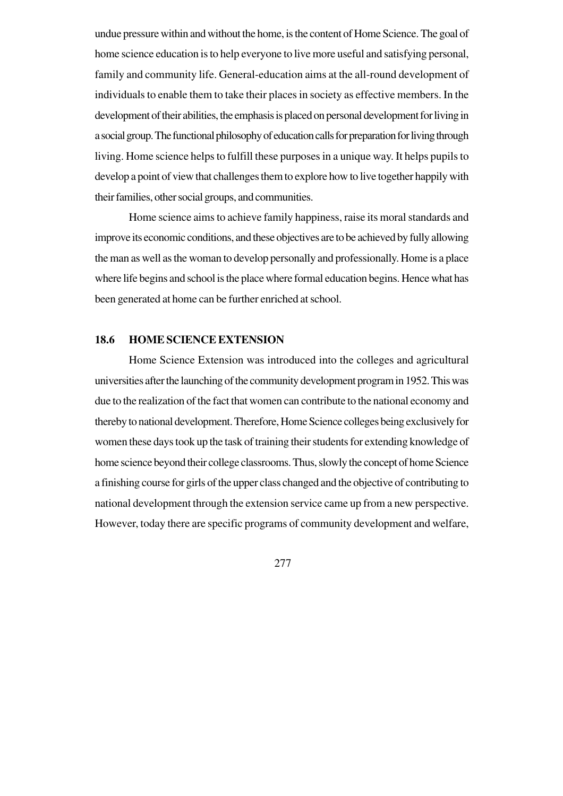undue pressure within and without the home, is the content of Home Science. The goal of home science education is to help everyone to live more useful and satisfying personal, family and community life. General-education aims at the all-round development of individuals to enable them to take their places in society as effective members. In the development of their abilities, the emphasis is placed on personal development for living in a social group. The functional philosophy of education calls for preparation for living through living. Home science helps to fulfill these purposes in a unique way. It helps pupils to develop a point of view that challenges them to explore how to live together happily with their families, other social groups, and communities.

Home science aims to achieve family happiness, raise its moral standards and improve its economic conditions, and these objectives are to be achieved by fully allowing the man as well as the woman to develop personally and professionally. Home is a place where life begins and school is the place where formal education begins. Hence what has been generated at home can be further enriched at school.

#### **18.6 HOME SCIENCE EXTENSION**

Home Science Extension was introduced into the colleges and agricultural universities after the launching of the community development program in 1952. This was due to the realization of the fact that women can contribute to the national economy and thereby to national development. Therefore, Home Science colleges being exclusively for women these days took up the task of training their students for extending knowledge of home science beyond their college classrooms. Thus, slowly the concept of home Science a finishing course for girls of the upper class changed and the objective of contributing to national development through the extension service came up from a new perspective. However, today there are specific programs of community development and welfare,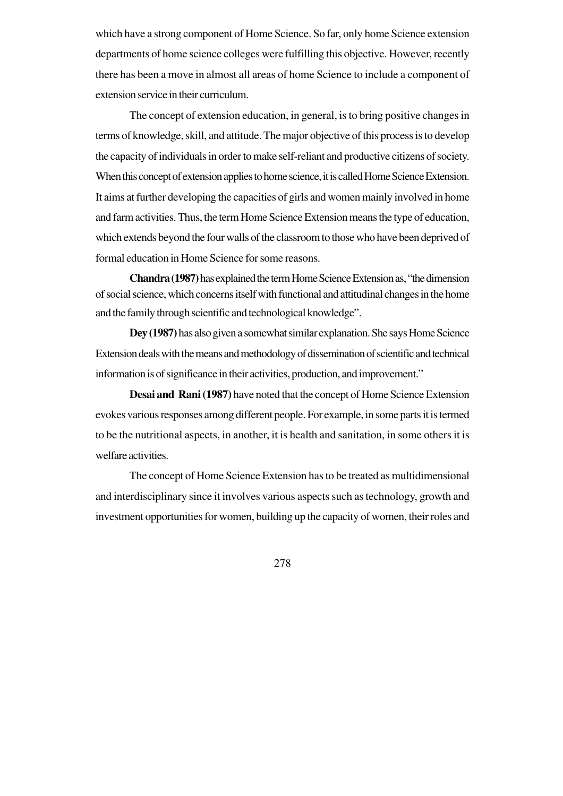which have a strong component of Home Science. So far, only home Science extension departments of home science colleges were fulfilling this objective. However, recently there has been a move in almost all areas of home Science to include a component of extension service in their curriculum.

The concept of extension education, in general, is to bring positive changes in terms of knowledge, skill, and attitude. The major objective of this process is to develop the capacity of individuals in order to make self-reliant and productive citizens of society. When this concept of extension applies to home science, it is called Home Science Extension. It aims at further developing the capacities of girls and women mainly involved in home and farm activities. Thus, the term Home Science Extension means the type of education, which extends beyond the four walls of the classroom to those who have been deprived of formal education in Home Science for some reasons.

**Chandra (1987)** has explained the term Home Science Extension as, "the dimension of social science, which concerns itself with functional and attitudinal changes in the home and the family through scientific and technological knowledge".

**Dey (1987)** has also given a somewhat similar explanation. She says Home Science Extension deals with the means and methodology of dissemination of scientific and technical information is of significance in their activities, production, and improvement."

**Desai and Rani (1987)** have noted that the concept of Home Science Extension evokes various responses among different people. For example, in some parts it is termed to be the nutritional aspects, in another, it is health and sanitation, in some others it is welfare activities.

The concept of Home Science Extension has to be treated as multidimensional and interdisciplinary since it involves various aspects such as technology, growth and investment opportunities for women, building up the capacity of women, their roles and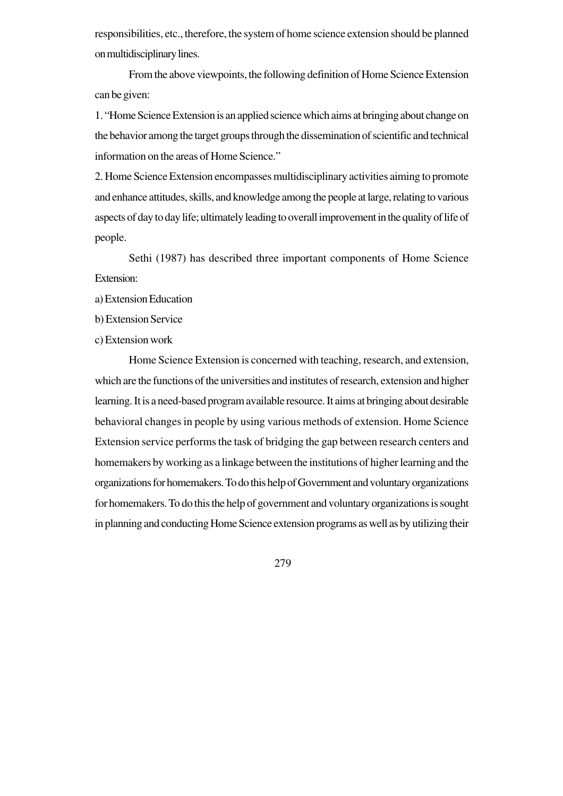responsibilities, etc., therefore, the system of home science extension should be planned on multidisciplinary lines.

From the above viewpoints, the following definition of Home Science Extension can be given:

1. "Home Science Extension is an applied science which aims at bringing about change on the behavior among the target groups through the dissemination of scientific and technical information on the areas of Home Science."

2. Home Science Extension encompasses multidisciplinary activities aiming to promote and enhance attitudes, skills, and knowledge among the people at large, relating to various aspects of day to day life; ultimately leading to overall improvement in the quality of life of people.

Sethi (1987) has described three important components of Home Science Extension:

a) Extension Education

b) Extension Service

c) Extension work

Home Science Extension is concerned with teaching, research, and extension, which are the functions of the universities and institutes of research, extension and higher learning. It is a need-based program available resource. It aims at bringing about desirable behavioral changes in people by using various methods of extension. Home Science Extension service performs the task of bridging the gap between research centers and homemakers by working as a linkage between the institutions of higher learning and the organizations for homemakers. To do this help of Government and voluntary organizations for homemakers. To do this the help of government and voluntary organizations is sought in planning and conducting Home Science extension programs as well as by utilizing their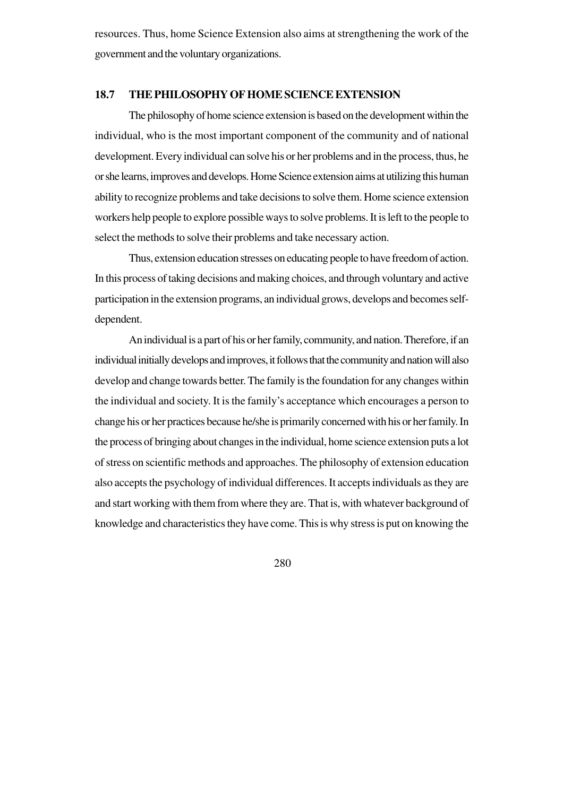resources. Thus, home Science Extension also aims at strengthening the work of the government and the voluntary organizations.

#### **18.7 THE PHILOSOPHY OF HOME SCIENCE EXTENSION**

The philosophy of home science extension is based on the development within the individual, who is the most important component of the community and of national development. Every individual can solve his or her problems and in the process, thus, he or she learns, improves and develops. Home Science extension aims at utilizing this human ability to recognize problems and take decisions to solve them. Home science extension workers help people to explore possible ways to solve problems. It is left to the people to select the methods to solve their problems and take necessary action.

Thus, extension education stresses on educating people to have freedom of action. In this process of taking decisions and making choices, and through voluntary and active participation in the extension programs, an individual grows, develops and becomes selfdependent.

An individual is a part of his or her family, community, and nation. Therefore, if an individual initially develops and improves, it follows that the community and nation will also develop and change towards better. The family is the foundation for any changes within the individual and society. It is the family's acceptance which encourages a person to change his or her practices because he/she is primarily concerned with his or her family. In the process of bringing about changes in the individual, home science extension puts a lot of stress on scientific methods and approaches. The philosophy of extension education also accepts the psychology of individual differences. It accepts individuals as they are and start working with them from where they are. That is, with whatever background of knowledge and characteristics they have come. This is why stress is put on knowing the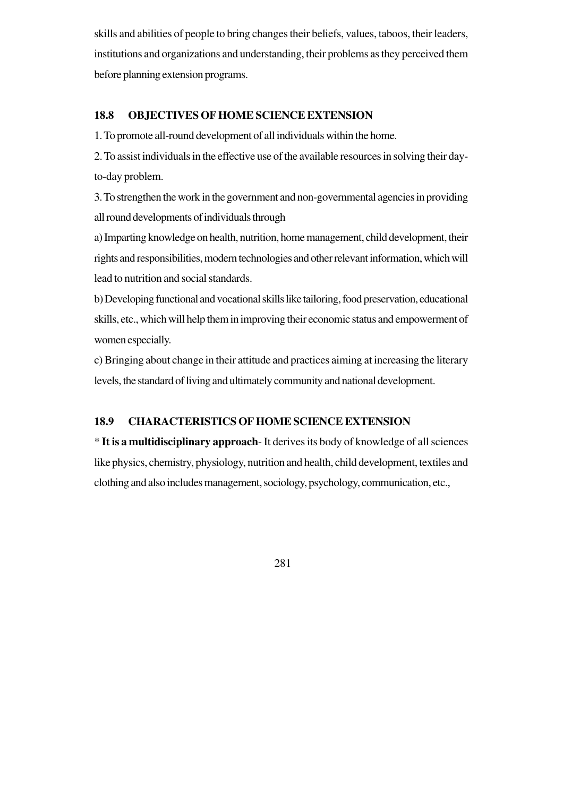skills and abilities of people to bring changes their beliefs, values, taboos, their leaders, institutions and organizations and understanding, their problems as they perceived them before planning extension programs.

## **18.8 OBJECTIVES OF HOME SCIENCE EXTENSION**

1. To promote all-round development of all individuals within the home.

2. To assist individuals in the effective use of the available resources in solving their dayto-day problem.

3. To strengthen the work in the government and non-governmental agencies in providing all round developments of individuals through

a) Imparting knowledge on health, nutrition, home management, child development, their rights and responsibilities, modern technologies and other relevant information, which will lead to nutrition and social standards.

b) Developing functional and vocational skills like tailoring, food preservation, educational skills, etc., which will help them in improving their economic status and empowerment of women especially.

c) Bringing about change in their attitude and practices aiming at increasing the literary levels, the standard of living and ultimately community and national development.

## **18.9 CHARACTERISTICS OF HOME SCIENCE EXTENSION**

\* **It is a multidisciplinary approach**- It derives its body of knowledge of all sciences like physics, chemistry, physiology, nutrition and health, child development, textiles and clothing and also includes management, sociology, psychology, communication, etc.,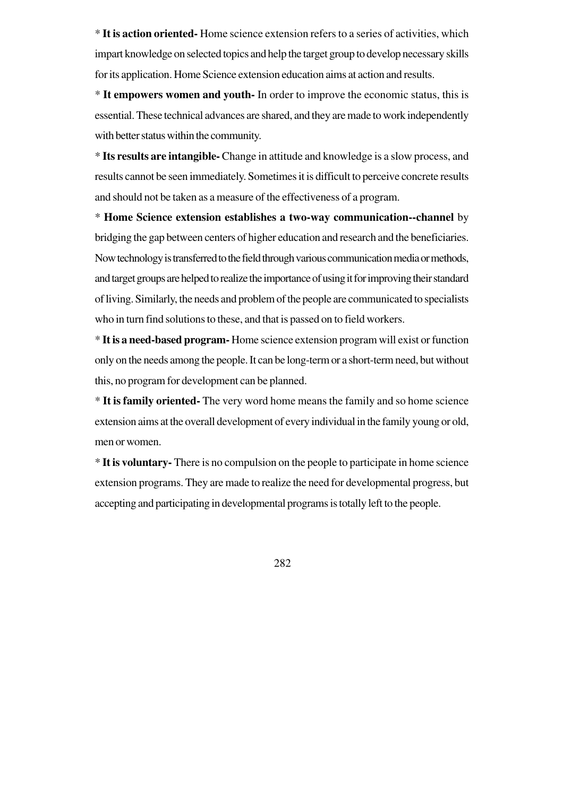\* **It is action oriented-** Home science extension refers to a series of activities, which impart knowledge on selected topics and help the target group to develop necessary skills for its application. Home Science extension education aims at action and results.

\* **It empowers women and youth-** In order to improve the economic status, this is essential. These technical advances are shared, and they are made to work independently with better status within the community.

\* **Its results are intangible-** Change in attitude and knowledge is a slow process, and results cannot be seen immediately. Sometimes it is difficult to perceive concrete results and should not be taken as a measure of the effectiveness of a program.

\* **Home Science extension establishes a two-way communication--channel** by bridging the gap between centers of higher education and research and the beneficiaries. Now technology is transferred to the field through various communication media or methods, and target groups are helped to realize the importance of using it for improving their standard of living. Similarly, the needs and problem of the people are communicated to specialists who in turn find solutions to these, and that is passed on to field workers.

\* **It is a need-based program-** Home science extension program will exist or function only on the needs among the people. It can be long-term or a short-term need, but without this, no program for development can be planned.

\* **It is family oriented-** The very word home means the family and so home science extension aims at the overall development of every individual in the family young or old, men or women.

\* **It is voluntary-** There is no compulsion on the people to participate in home science extension programs. They are made to realize the need for developmental progress, but accepting and participating in developmental programs is totally left to the people.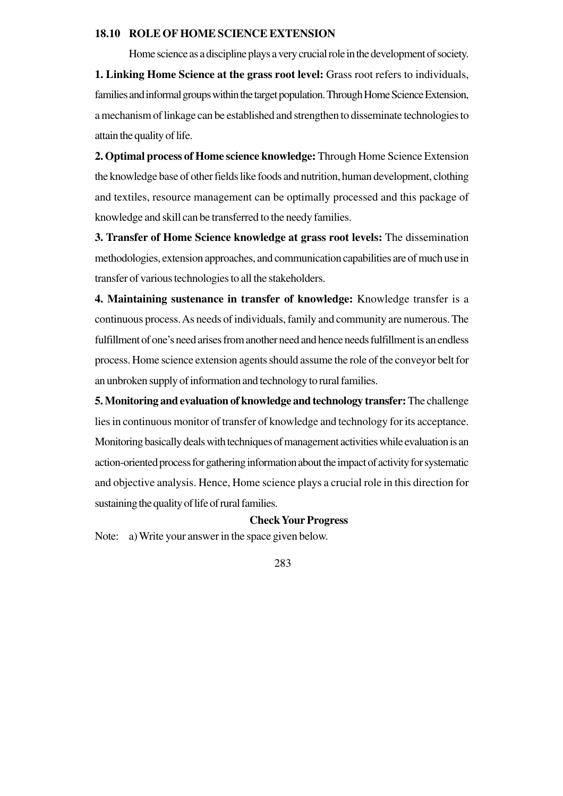#### **18.10 ROLE OF HOME SCIENCE EXTENSION**

Home science as a discipline plays a very crucial role in the development of society. **1. Linking Home Science at the grass root level:** Grass root refers to individuals, families and informal groups within the target population. Through Home Science Extension, a mechanism of linkage can be established and strengthen to disseminate technologies to attain the quality of life.

**2. Optimal process of Home science knowledge:** Through Home Science Extension the knowledge base of other fields like foods and nutrition, human development, clothing and textiles, resource management can be optimally processed and this package of knowledge and skill can be transferred to the needy families.

**3. Transfer of Home Science knowledge at grass root levels:** The dissemination methodologies, extension approaches, and communication capabilities are of much use in transfer of various technologies to all the stakeholders.

**4. Maintaining sustenance in transfer of knowledge:** Knowledge transfer is a continuous process. As needs of individuals, family and community are numerous. The fulfillment of one's need arises from another need and hence needs fulfillment is an endless process. Home science extension agents should assume the role of the conveyor belt for an unbroken supply of information and technology to rural families.

**5. Monitoring and evaluation of knowledge and technology transfer:** The challenge lies in continuous monitor of transfer of knowledge and technology for its acceptance. Monitoring basically deals with techniques of management activities while evaluation is an action-oriented process for gathering information about the impact of activity for systematic and objective analysis. Hence, Home science plays a crucial role in this direction for sustaining the quality of life of rural families.

#### **Check Your Progress**

Note: a) Write your answer in the space given below.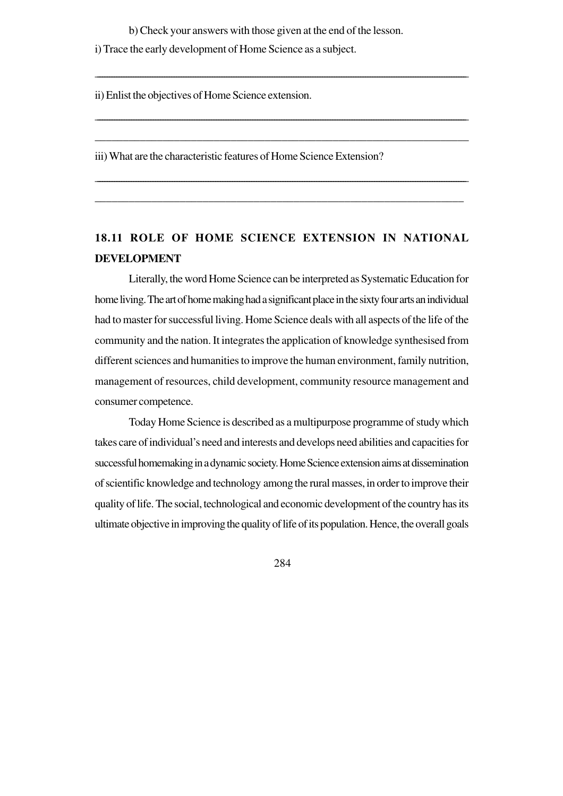b) Check your answers with those given at the end of the lesson.

\_\_\_\_\_\_\_\_\_\_\_\_\_\_\_\_\_\_\_\_\_\_\_\_\_\_\_\_\_\_\_\_\_\_\_\_\_\_\_\_\_\_\_\_\_\_\_\_\_\_\_\_\_\_\_\_\_\_\_\_\_\_\_\_\_\_\_\_\_\_\_\_\_\_\_\_\_\_\_\_\_\_\_\_\_\_\_\_\_\_\_\_\_\_\_\_\_\_\_\_\_\_\_\_\_\_\_\_\_\_\_\_\_\_\_\_\_\_\_\_\_\_\_\_\_\_\_\_\_\_\_\_\_\_\_\_\_\_\_\_\_\_\_\_\_\_\_\_\_\_\_\_\_\_\_

\_\_\_\_\_\_\_\_\_\_\_\_\_\_\_\_\_\_\_\_\_\_\_\_\_\_\_\_\_\_\_\_\_\_\_\_\_\_\_\_\_\_\_\_\_\_\_\_\_\_\_\_\_\_\_\_\_\_\_\_\_\_\_\_\_\_\_\_\_\_\_\_\_\_\_\_\_\_\_\_\_\_\_\_\_\_\_\_\_\_\_\_\_\_\_\_\_\_\_\_\_\_\_\_\_\_\_\_\_\_\_\_\_\_\_\_\_\_\_\_\_\_\_\_\_\_\_\_\_\_\_\_\_\_\_\_\_\_\_\_\_\_\_\_\_\_\_\_\_\_\_\_\_

\_\_\_\_\_\_\_\_\_\_\_\_\_\_\_\_\_\_\_\_\_\_\_\_\_\_\_\_\_\_\_\_\_\_\_\_\_\_\_\_\_\_\_\_\_\_\_\_\_\_\_\_\_\_\_\_\_\_\_\_\_\_\_\_\_\_

\_\_\_\_\_\_\_\_\_\_\_\_\_\_\_\_\_\_\_\_\_\_\_\_\_\_\_\_\_\_\_\_\_\_\_\_\_\_\_\_\_\_\_\_\_\_\_\_\_\_\_\_\_\_\_\_\_\_\_\_\_\_\_\_\_\_\_\_\_\_\_\_\_\_\_\_\_\_\_\_\_\_\_\_\_\_\_\_\_\_\_\_\_\_\_\_\_\_\_\_\_\_\_\_\_\_\_\_\_\_\_\_\_\_\_\_\_\_\_\_\_\_\_\_\_\_\_\_\_\_\_\_\_\_\_\_\_\_\_\_\_\_\_\_\_\_\_\_\_\_\_\_\_\_

\_\_\_\_\_\_\_\_\_\_\_\_\_\_\_\_\_\_\_\_\_\_\_\_\_\_\_\_\_\_\_\_\_\_\_\_\_\_\_\_\_\_\_\_\_\_\_\_\_\_\_\_\_\_\_\_\_\_\_\_\_\_\_\_\_

i) Trace the early development of Home Science as a subject.

ii) Enlist the objectives of Home Science extension.

iii) What are the characteristic features of Home Science Extension?

# **18.11 ROLE OF HOME SCIENCE EXTENSION IN NATIONAL DEVELOPMENT**

Literally, the word Home Science can be interpreted as Systematic Education for home living. The art of home making had a significant place in the sixty four arts an individual had to master for successful living. Home Science deals with all aspects of the life of the community and the nation. It integrates the application of knowledge synthesised from different sciences and humanities to improve the human environment, family nutrition, management of resources, child development, community resource management and consumer competence.

Today Home Science is described as a multipurpose programme of study which takes care of individual's need and interests and develops need abilities and capacities for successful homemaking in a dynamic society. Home Science extension aims at dissemination of scientific knowledge and technology among the rural masses, in order to improve their quality of life. The social, technological and economic development of the country has its ultimate objective in improving the quality of life of its population. Hence, the overall goals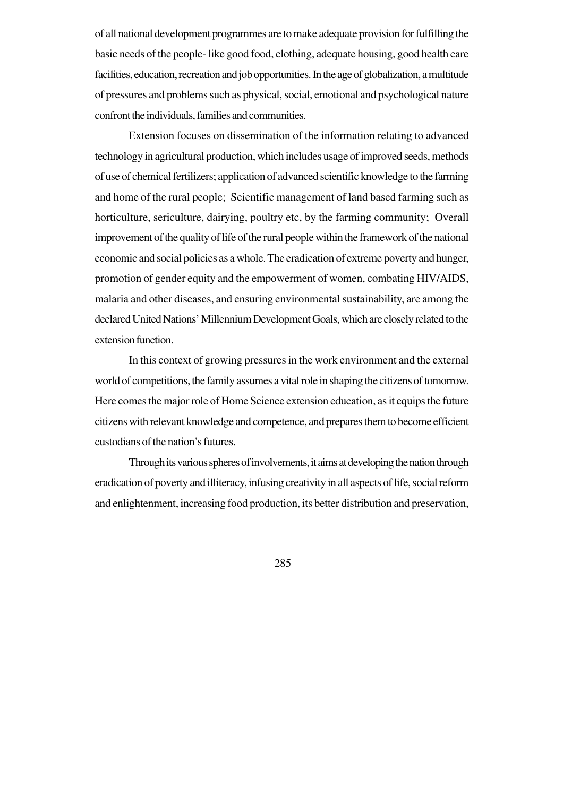of all national development programmes are to make adequate provision for fulfilling the basic needs of the people- like good food, clothing, adequate housing, good health care facilities, education, recreation and job opportunities. In the age of globalization, a multitude of pressures and problems such as physical, social, emotional and psychological nature confront the individuals, families and communities.

Extension focuses on dissemination of the information relating to advanced technology in agricultural production, which includes usage of improved seeds, methods of use of chemical fertilizers; application of advanced scientific knowledge to the farming and home of the rural people; Scientific management of land based farming such as horticulture, sericulture, dairying, poultry etc, by the farming community; Overall improvement of the quality of life of the rural people within the framework of the national economic and social policies as a whole. The eradication of extreme poverty and hunger, promotion of gender equity and the empowerment of women, combating HIV/AIDS, malaria and other diseases, and ensuring environmental sustainability, are among the declared United Nations' Millennium Development Goals, which are closely related to the extension function.

In this context of growing pressures in the work environment and the external world of competitions, the family assumes a vital role in shaping the citizens of tomorrow. Here comes the major role of Home Science extension education, as it equips the future citizens with relevant knowledge and competence, and prepares them to become efficient custodians of the nation's futures.

Through its various spheres of involvements, it aims at developing the nation through eradication of poverty and illiteracy, infusing creativity in all aspects of life, social reform and enlightenment, increasing food production, its better distribution and preservation,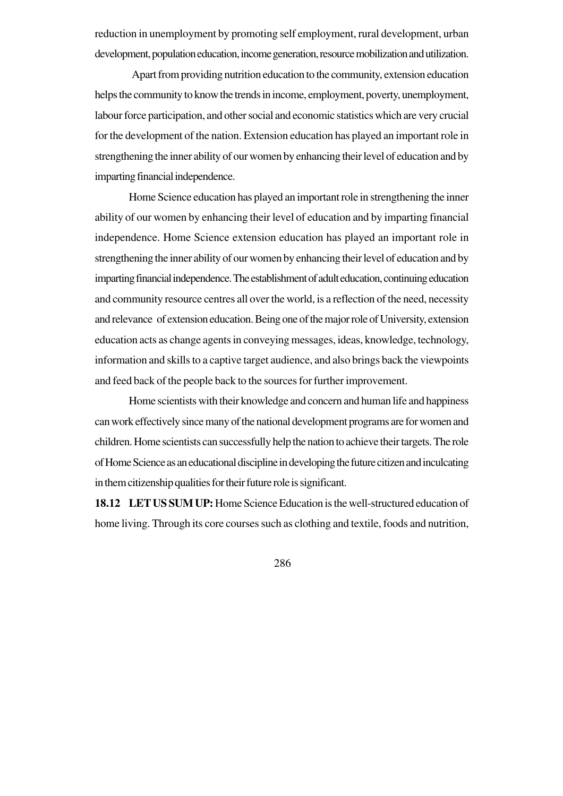reduction in unemployment by promoting self employment, rural development, urban development, population education, income generation, resource mobilization and utilization.

 Apart from providing nutrition education to the community, extension education helps the community to know the trends in income, employment, poverty, unemployment, labour force participation, and other social and economic statistics which are very crucial for the development of the nation. Extension education has played an important role in strengthening the inner ability of our women by enhancing their level of education and by imparting financial independence.

Home Science education has played an important role in strengthening the inner ability of our women by enhancing their level of education and by imparting financial independence. Home Science extension education has played an important role in strengthening the inner ability of our women by enhancing their level of education and by imparting financial independence. The establishment of adult education, continuing education and community resource centres all over the world, is a reflection of the need, necessity and relevance of extension education. Being one of the major role of University, extension education acts as change agents in conveying messages, ideas, knowledge, technology, information and skills to a captive target audience, and also brings back the viewpoints and feed back of the people back to the sources for further improvement.

Home scientists with their knowledge and concern and human life and happiness can work effectively since many of the national development programs are for women and children. Home scientists can successfully help the nation to achieve their targets. The role of Home Science as an educational discipline in developing the future citizen and inculcating in them citizenship qualities for their future role is significant.

**18.12 LET US SUM UP:** Home Science Education is the well-structured education of home living. Through its core courses such as clothing and textile, foods and nutrition,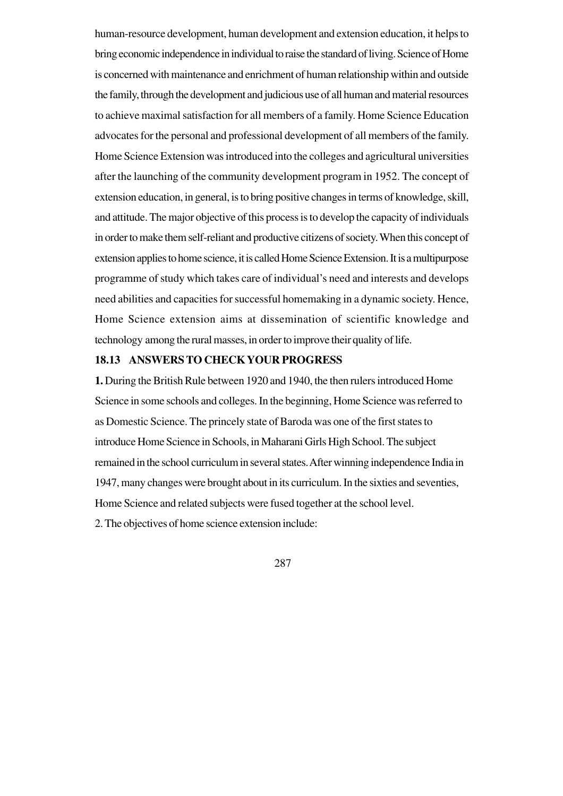human-resource development, human development and extension education, it helps to bring economic independence in individual to raise the standard of living. Science of Home is concerned with maintenance and enrichment of human relationship within and outside the family, through the development and judicious use of all human and material resources to achieve maximal satisfaction for all members of a family. Home Science Education advocates for the personal and professional development of all members of the family. Home Science Extension was introduced into the colleges and agricultural universities after the launching of the community development program in 1952. The concept of extension education, in general, is to bring positive changes in terms of knowledge, skill, and attitude. The major objective of this process is to develop the capacity of individuals in order to make them self-reliant and productive citizens of society. When this concept of extension applies to home science, it is called Home Science Extension. It is a multipurpose programme of study which takes care of individual's need and interests and develops need abilities and capacities for successful homemaking in a dynamic society. Hence, Home Science extension aims at dissemination of scientific knowledge and technology among the rural masses, in order to improve their quality of life.

## **18.13 ANSWERS TO CHECK YOUR PROGRESS**

**1.** During the British Rule between 1920 and 1940, the then rulers introduced Home Science in some schools and colleges. In the beginning, Home Science was referred to as Domestic Science. The princely state of Baroda was one of the first states to introduce Home Science in Schools, in Maharani Girls High School. The subject remained in the school curriculum in several states. After winning independence India in 1947, many changes were brought about in its curriculum. In the sixties and seventies, Home Science and related subjects were fused together at the school level. 2. The objectives of home science extension include: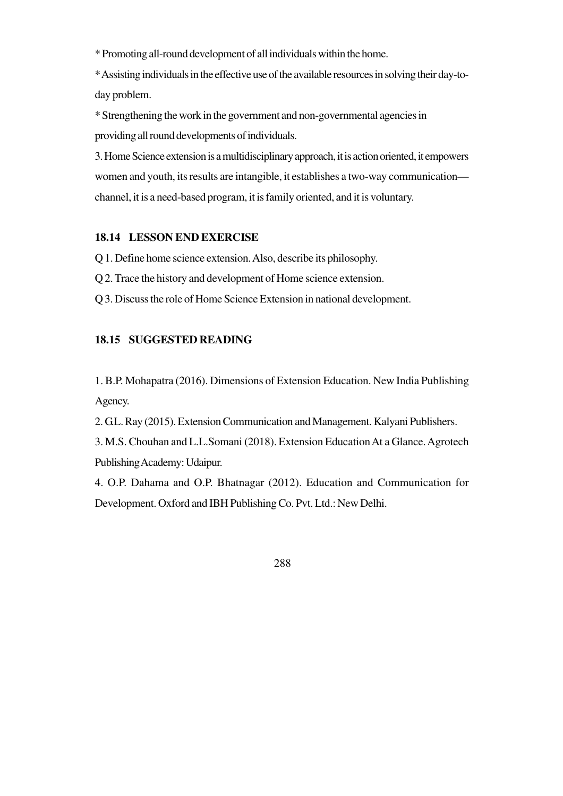\* Promoting all-round development of all individuals within the home.

\* Assisting individuals in the effective use of the available resources in solving their day-today problem.

\* Strengthening the work in the government and non-governmental agencies in providing all round developments of individuals.

3. Home Science extension is a multidisciplinary approach, it is action oriented, it empowers women and youth, its results are intangible, it establishes a two-way communication channel, it is a need-based program, it is family oriented, and it is voluntary.

## **18.14 LESSON END EXERCISE**

Q 1. Define home science extension. Also, describe its philosophy.

Q 2. Trace the history and development of Home science extension.

Q 3. Discuss the role of Home Science Extension in national development.

## **18.15 SUGGESTED READING**

1. B.P. Mohapatra (2016). Dimensions of Extension Education. New India Publishing Agency.

2. G.L. Ray (2015). Extension Communication and Management. Kalyani Publishers.

3. M.S. Chouhan and L.L.Somani (2018). Extension Education At a Glance. Agrotech Publishing Academy: Udaipur.

4. O.P. Dahama and O.P. Bhatnagar (2012). Education and Communication for Development. Oxford and IBH Publishing Co. Pvt. Ltd.: New Delhi.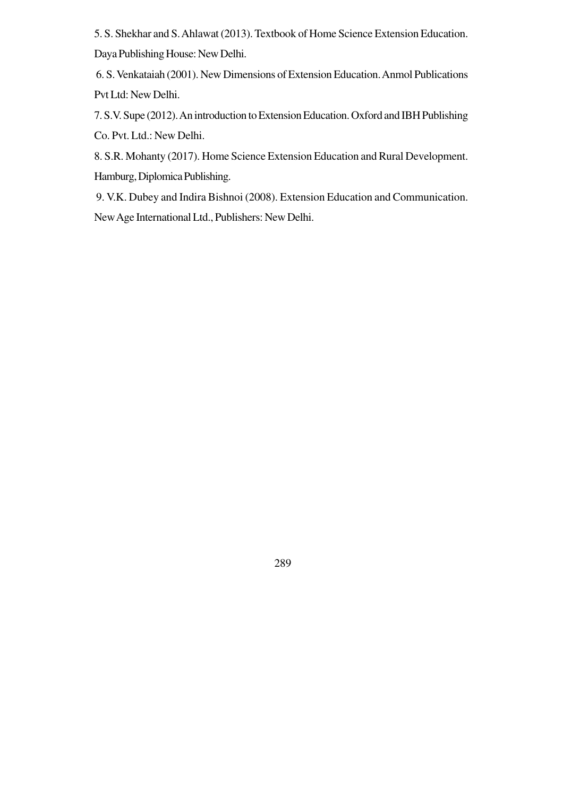5. S. Shekhar and S. Ahlawat (2013). Textbook of Home Science Extension Education. Daya Publishing House: New Delhi.

6. S. Venkataiah (2001). New Dimensions of Extension Education. Anmol Publications Pvt Ltd: New Delhi.

7. S.V. Supe (2012). An introduction to Extension Education. Oxford and IBH Publishing Co. Pvt. Ltd.: New Delhi.

8. S.R. Mohanty (2017). Home Science Extension Education and Rural Development. Hamburg, Diplomica Publishing.

 9. V.K. Dubey and Indira Bishnoi (2008). Extension Education and Communication. New Age International Ltd., Publishers: New Delhi.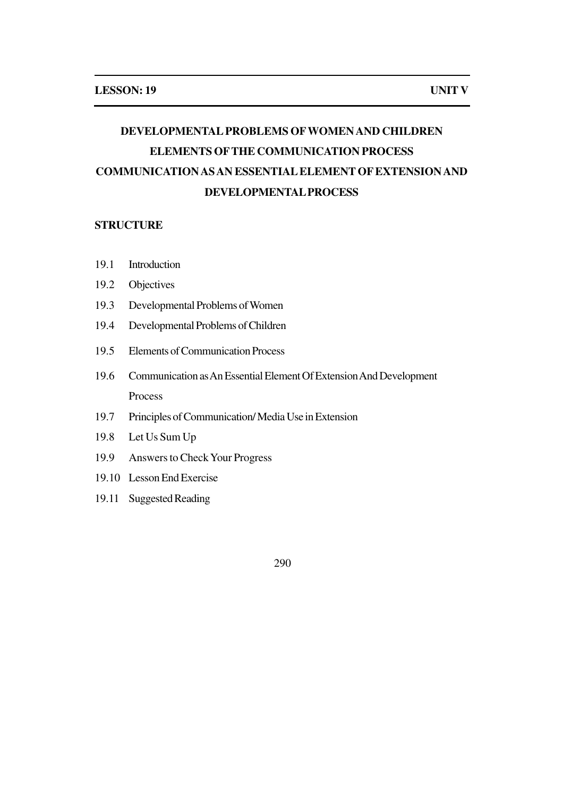# **DEVELOPMENTAL PROBLEMS OFWOMEN AND CHILDREN ELEMENTS OFTHE COMMUNICATION PROCESS COMMUNICATION AS AN ESSENTIAL ELEMENT OF EXTENSION AND DEVELOPMENTAL PROCESS**

#### **STRUCTURE**

- 19.1 Introduction
- 19.2 Objectives
- 19.3 Developmental Problems of Women
- 19.4 Developmental Problems of Children
- 19.5 Elements of Communication Process
- 19.6 Communication as An Essential Element Of Extension And Development Process
- 19.7 Principles of Communication/ Media Use in Extension
- 19.8 Let Us Sum Up
- 19.9 Answers to Check Your Progress
- 19.10 Lesson End Exercise
- 19.11 Suggested Reading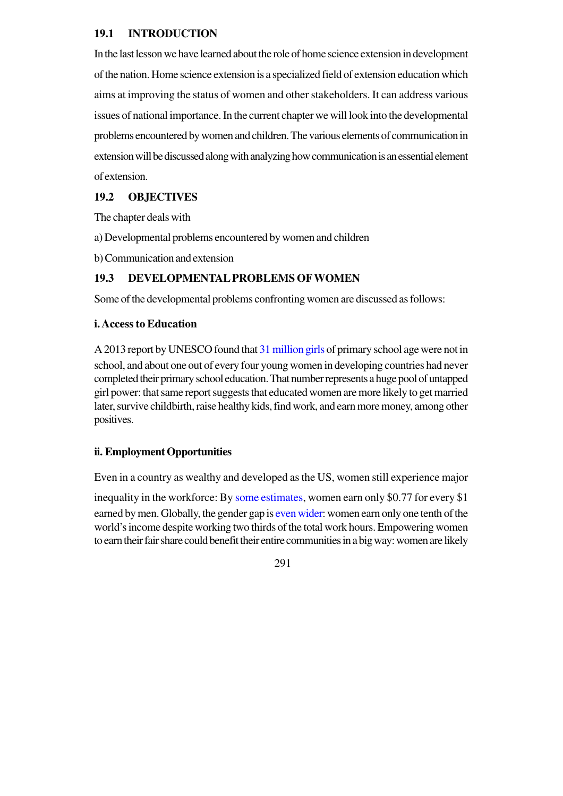## **19.1 INTRODUCTION**

In the last lesson we have learned about the role of home science extension in development of the nation. Home science extension is a specialized field of extension education which aims at improving the status of women and other stakeholders. It can address various issues of national importance. In the current chapter we will look into the developmental problems encountered by women and children. The various elements of communication in extension will be discussed along with analyzing how communication is an essential element of extension.

## **19.2 OBJECTIVES**

The chapter deals with

- a) Developmental problems encountered by women and children
- b) Communication and extension

## **19.3 DEVELOPMENTAL PROBLEMS OFWOMEN**

Some of the developmental problems confronting women are discussed as follows:

## **i. Access to Education**

A 2013 report by UNESCO found that 31 million girls of primary school age were not in school, and about one out of every four young women in developing countries had never completed their primary school education. That number represents a huge pool of untapped girl power: that same report suggests that educated women are more likely to get married later, survive childbirth, raise healthy kids, find work, and earn more money, among other positives.

## **ii. Employment Opportunities**

Even in a country as wealthy and developed as the US, women still experience major

inequality in the workforce: By some estimates, women earn only \$0.77 for every \$1 earned by men. Globally, the gender gap is even wider: women earn only one tenth of the world's income despite working two thirds of the total work hours. Empowering women to earn their fair share could benefit their entire communities in a big way: women are likely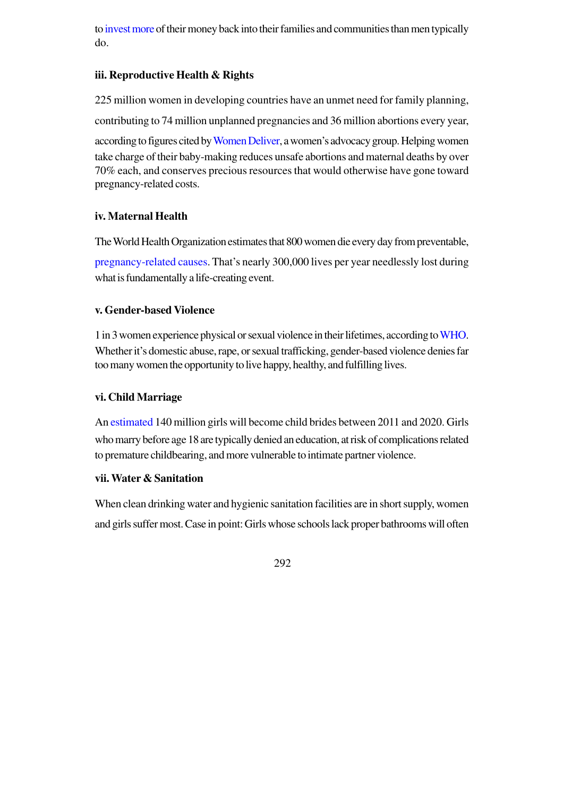to invest more of their money back into their families and communities than men typically do.

## **iii. Reproductive Health & Rights**

225 million women in developing countries have an unmet need for family planning, contributing to 74 million unplanned pregnancies and 36 million abortions every year, according to figures cited by Women Deliver, a women's advocacy group. Helping women take charge of their baby-making reduces unsafe abortions and maternal deaths by over 70% each, and conserves precious resources that would otherwise have gone toward pregnancy-related costs.

## **iv. Maternal Health**

The World Health Organization estimates that 800 women die every day from preventable,

pregnancy-related causes. That's nearly 300,000 lives per year needlessly lost during what is fundamentally a life-creating event.

## **v. Gender-based Violence**

1 in 3 women experience physical or sexual violence in their lifetimes, according to WHO. Whether it's domestic abuse, rape, or sexual trafficking, gender-based violence denies far too many women the opportunity to live happy, healthy, and fulfilling lives.

## **vi. Child Marriage**

An estimated 140 million girls will become child brides between 2011 and 2020. Girls who marry before age 18 are typically denied an education, at risk of complications related to premature childbearing, and more vulnerable to intimate partner violence.

## **vii. Water & Sanitation**

When clean drinking water and hygienic sanitation facilities are in short supply, women and girls suffer most. Case in point: Girls whose schools lack proper bathrooms will often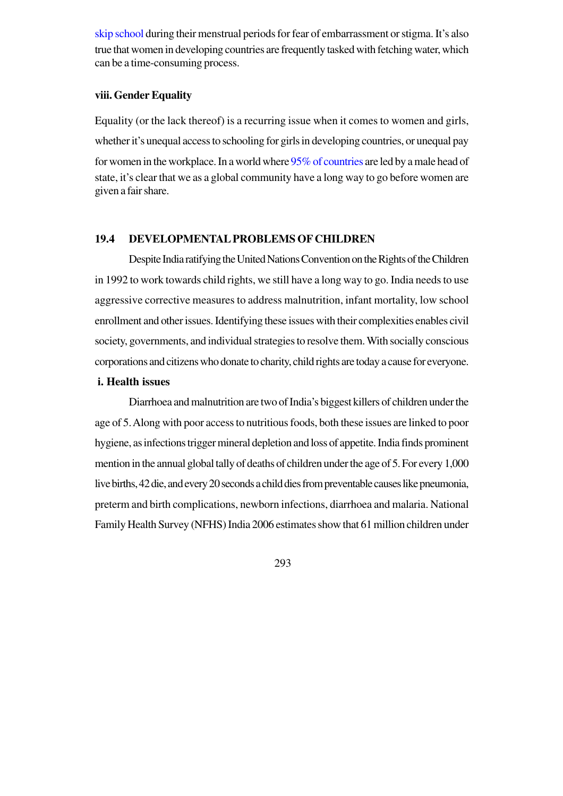skip school during their menstrual periods for fear of embarrassment or stigma. It's also true that women in developing countries are frequently tasked with fetching water, which can be a time-consuming process.

## **viii. Gender Equality**

Equality (or the lack thereof) is a recurring issue when it comes to women and girls, whether it's unequal access to schooling for girls in developing countries, or unequal pay for women in the workplace. In a world where 95% of countries are led by a male head of state, it's clear that we as a global community have a long way to go before women are given a fair share.

## **19.4 DEVELOPMENTAL PROBLEMS OF CHILDREN**

Despite India ratifying the United Nations Convention on the Rights of the Children in 1992 to work towards child rights, we still have a long way to go. India needs to use aggressive corrective measures to address malnutrition, infant mortality, low school enrollment and other issues. Identifying these issues with their complexities enables civil society, governments, and individual strategies to resolve them. With socially conscious corporations and citizens who donate to charity, child rights are today a cause for everyone.

#### **i. Health issues**

Diarrhoea and malnutrition are two of India's biggest killers of children under the age of 5. Along with poor access to nutritious foods, both these issues are linked to poor hygiene, as infections trigger mineral depletion and loss of appetite. India finds prominent mention in the annual global tally of deaths of children under the age of 5. For every 1,000 live births, 42 die, and every 20 seconds a child dies from preventable causes like pneumonia, preterm and birth complications, newborn infections, diarrhoea and malaria. National Family Health Survey (NFHS) India 2006 estimates show that 61 million children under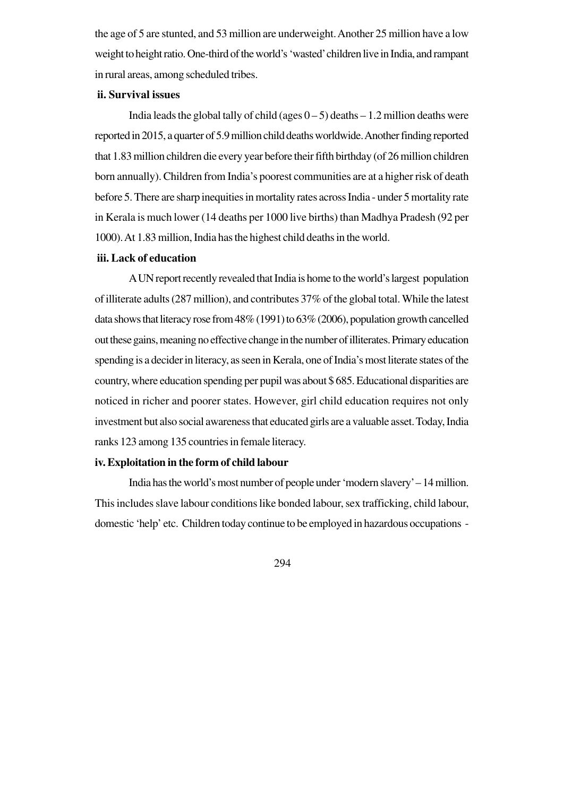the age of 5 are stunted, and 53 million are underweight. Another 25 million have a low weight to height ratio. One-third of the world's 'wasted' children live in India, and rampant in rural areas, among scheduled tribes.

#### **ii. Survival issues**

India leads the global tally of child (ages  $0 - 5$ ) deaths  $-1.2$  million deaths were reported in 2015, a quarter of 5.9 million child deaths worldwide. Another finding reported that 1.83 million children die every year before their fifth birthday (of 26 million children born annually). Children from India's poorest communities are at a higher risk of death before 5. There are sharp inequities in mortality rates across India - under 5 mortality rate in Kerala is much lower (14 deaths per 1000 live births) than Madhya Pradesh (92 per 1000). At 1.83 million, India has the highest child deaths in the world.

#### **iii. Lack of education**

A UN report recently revealed that India is home to the world's largest population of illiterate adults (287 million), and contributes 37% of the global total. While the latest data shows that literacy rose from 48% (1991) to 63% (2006), population growth cancelled out these gains, meaning no effective change in the number of illiterates. Primary education spending is a decider in literacy, as seen in Kerala, one of India's most literate states of the country, where education spending per pupil was about \$ 685. Educational disparities are noticed in richer and poorer states. However, girl child education requires not only investment but also social awareness that educated girls are a valuable asset. Today, India ranks 123 among 135 countries in female literacy.

## **iv. Exploitation in the form of child labour**

India has the world's most number of people under 'modern slavery' – 14 million. This includes slave labour conditions like bonded labour, sex trafficking, child labour, domestic 'help' etc. Children today continue to be employed in hazardous occupations -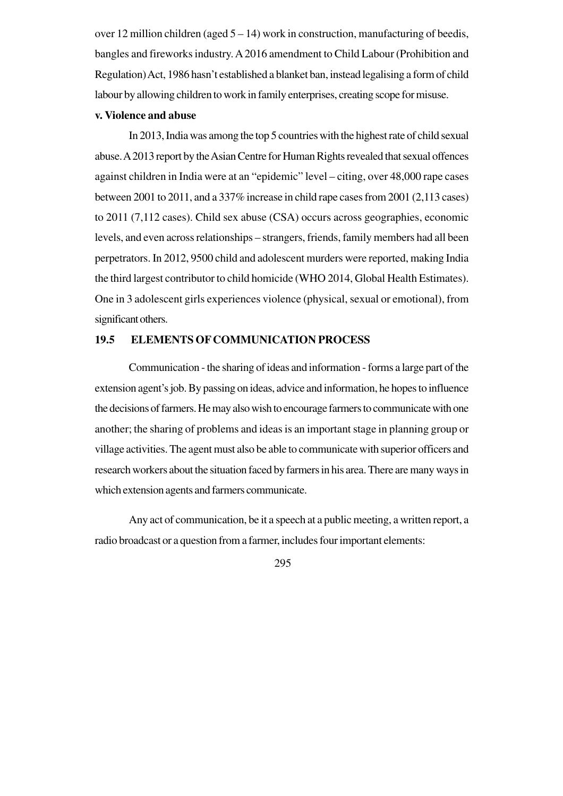over 12 million children (aged 5 – 14) work in construction, manufacturing of beedis, bangles and fireworks industry. A 2016 amendment to Child Labour (Prohibition and Regulation) Act, 1986 hasn't established a blanket ban, instead legalising a form of child labour by allowing children to work in family enterprises, creating scope for misuse.

## **v. Violence and abuse**

In 2013, India was among the top 5 countries with the highest rate of child sexual abuse. A 2013 report by the Asian Centre for Human Rights revealed that sexual offences against children in India were at an "epidemic" level – citing, over 48,000 rape cases between 2001 to 2011, and a 337% increase in child rape cases from 2001 (2,113 cases) to 2011 (7,112 cases). Child sex abuse (CSA) occurs across geographies, economic levels, and even across relationships – strangers, friends, family members had all been perpetrators. In 2012, 9500 child and adolescent murders were reported, making India the third largest contributor to child homicide (WHO 2014, Global Health Estimates). One in 3 adolescent girls experiences violence (physical, sexual or emotional), from significant others.

## **19.5 ELEMENTS OF COMMUNICATION PROCESS**

Communication - the sharing of ideas and information - forms a large part of the extension agent's job. By passing on ideas, advice and information, he hopes to influence the decisions of farmers. He may also wish to encourage farmers to communicate with one another; the sharing of problems and ideas is an important stage in planning group or village activities. The agent must also be able to communicate with superior officers and research workers about the situation faced by farmers in his area. There are many ways in which extension agents and farmers communicate.

Any act of communication, be it a speech at a public meeting, a written report, a radio broadcast or a question from a farmer, includes four important elements: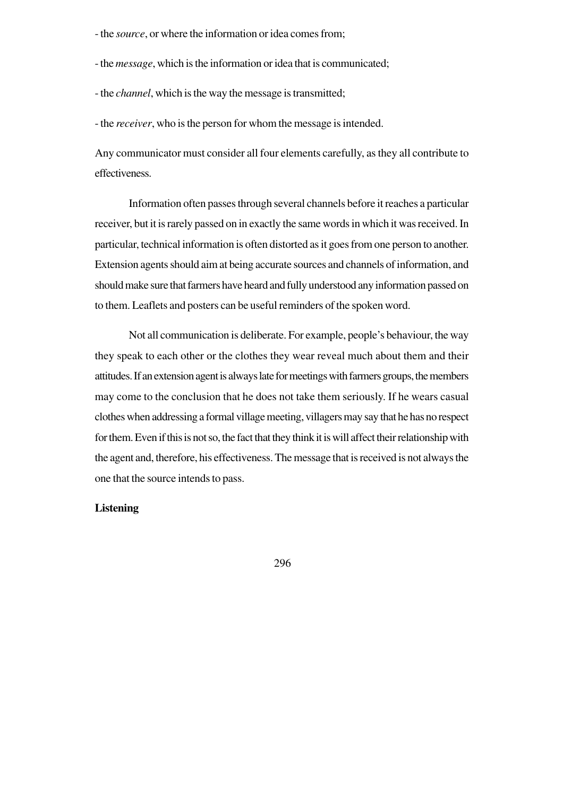- the *source*, or where the information or idea comes from;
- the *message*, which is the information or idea that is communicated;
- the *channel*, which is the way the message is transmitted;

- the *receiver*, who is the person for whom the message is intended.

Any communicator must consider all four elements carefully, as they all contribute to effectiveness.

Information often passes through several channels before it reaches a particular receiver, but it is rarely passed on in exactly the same words in which it was received. In particular, technical information is often distorted as it goes from one person to another. Extension agents should aim at being accurate sources and channels of information, and should make sure that farmers have heard and fully understood any information passed on to them. Leaflets and posters can be useful reminders of the spoken word.

Not all communication is deliberate. For example, people's behaviour, the way they speak to each other or the clothes they wear reveal much about them and their attitudes. If an extension agent is always late for meetings with farmers groups, the members may come to the conclusion that he does not take them seriously. If he wears casual clothes when addressing a formal village meeting, villagers may say that he has no respect for them. Even if this is not so, the fact that they think it is will affect their relationship with the agent and, therefore, his effectiveness. The message that is received is not always the one that the source intends to pass.

## **Listening**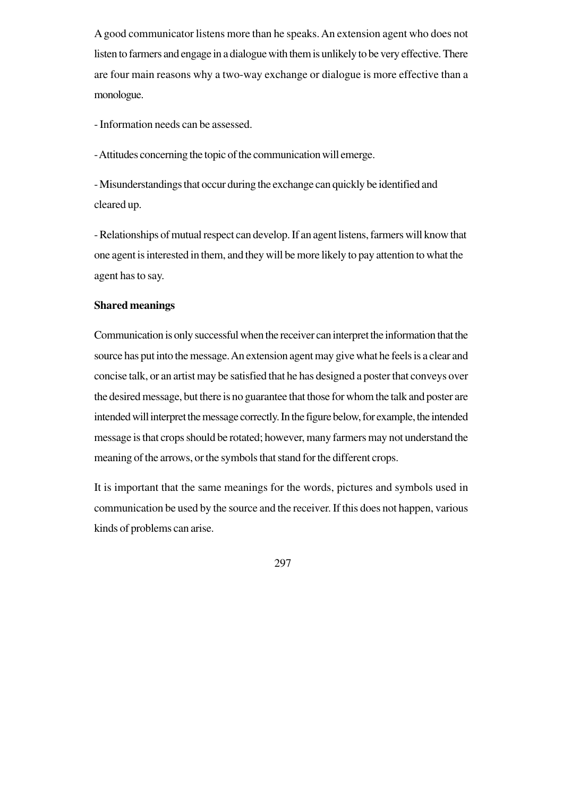A good communicator listens more than he speaks. An extension agent who does not listen to farmers and engage in a dialogue with them is unlikely to be very effective. There are four main reasons why a two-way exchange or dialogue is more effective than a monologue.

- Information needs can be assessed.

- Attitudes concerning the topic of the communication will emerge.

- Misunderstandings that occur during the exchange can quickly be identified and cleared up.

- Relationships of mutual respect can develop. If an agent listens, farmers will know that one agent is interested in them, and they will be more likely to pay attention to what the agent has to say.

## **Shared meanings**

Communication is only successful when the receiver can interpret the information that the source has put into the message. An extension agent may give what he feels is a clear and concise talk, or an artist may be satisfied that he has designed a poster that conveys over the desired message, but there is no guarantee that those for whom the talk and poster are intended will interpret the message correctly. In the figure below, for example, the intended message is that crops should be rotated; however, many farmers may not understand the meaning of the arrows, or the symbols that stand for the different crops.

It is important that the same meanings for the words, pictures and symbols used in communication be used by the source and the receiver. If this does not happen, various kinds of problems can arise.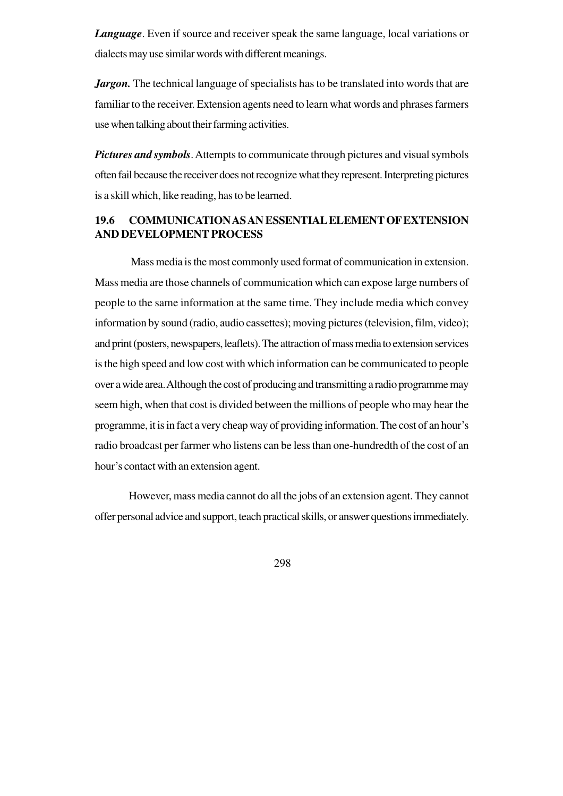*Language*. Even if source and receiver speak the same language, local variations or dialects may use similar words with different meanings.

*Jargon*. The technical language of specialists has to be translated into words that are familiar to the receiver. Extension agents need to learn what words and phrases farmers use when talking about their farming activities.

*Pictures and symbols*. Attempts to communicate through pictures and visual symbols often fail because the receiver does not recognize what they represent. Interpreting pictures is a skill which, like reading, has to be learned.

## **19.6 COMMUNICATION AS AN ESSENTIAL ELEMENT OF EXTENSION AND DEVELOPMENT PROCESS**

 Mass media is the most commonly used format of communication in extension. Mass media are those channels of communication which can expose large numbers of people to the same information at the same time. They include media which convey information by sound (radio, audio cassettes); moving pictures (television, film, video); and print (posters, newspapers, leaflets). The attraction of mass media to extension services is the high speed and low cost with which information can be communicated to people over a wide area. Although the cost of producing and transmitting a radio programme may seem high, when that cost is divided between the millions of people who may hear the programme, it is in fact a very cheap way of providing information. The cost of an hour's radio broadcast per farmer who listens can be less than one-hundredth of the cost of an hour's contact with an extension agent.

However, mass media cannot do all the jobs of an extension agent. They cannot offer personal advice and support, teach practical skills, or answer questions immediately.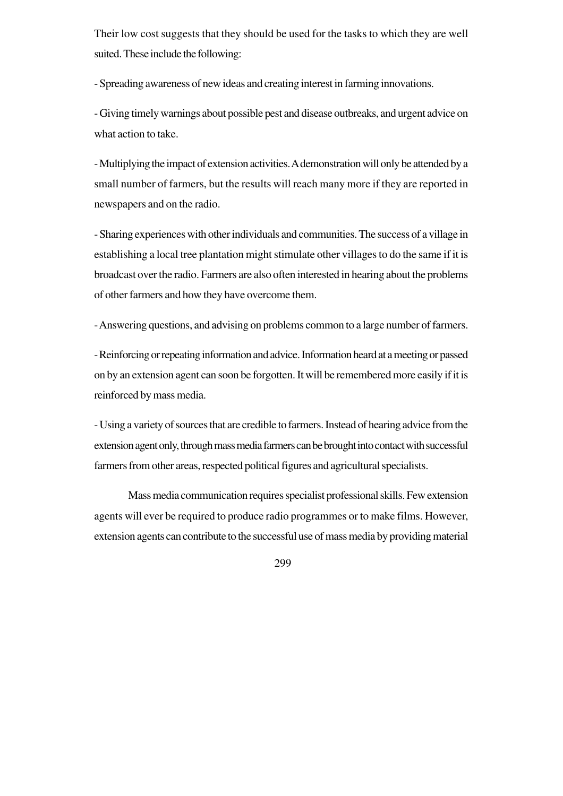Their low cost suggests that they should be used for the tasks to which they are well suited. These include the following:

- Spreading awareness of new ideas and creating interest in farming innovations.

- Giving timely warnings about possible pest and disease outbreaks, and urgent advice on what action to take.

- Multiplying the impact of extension activities. A demonstration will only be attended by a small number of farmers, but the results will reach many more if they are reported in newspapers and on the radio.

- Sharing experiences with other individuals and communities. The success of a village in establishing a local tree plantation might stimulate other villages to do the same if it is broadcast over the radio. Farmers are also often interested in hearing about the problems of other farmers and how they have overcome them.

- Answering questions, and advising on problems common to a large number of farmers.

- Reinforcing or repeating information and advice. Information heard at a meeting or passed on by an extension agent can soon be forgotten. It will be remembered more easily if it is reinforced by mass media.

- Using a variety of sources that are credible to farmers. Instead of hearing advice from the extension agent only, through mass media farmers can be brought into contact with successful farmers from other areas, respected political figures and agricultural specialists.

Mass media communication requires specialist professional skills. Few extension agents will ever be required to produce radio programmes or to make films. However, extension agents can contribute to the successful use of mass media by providing material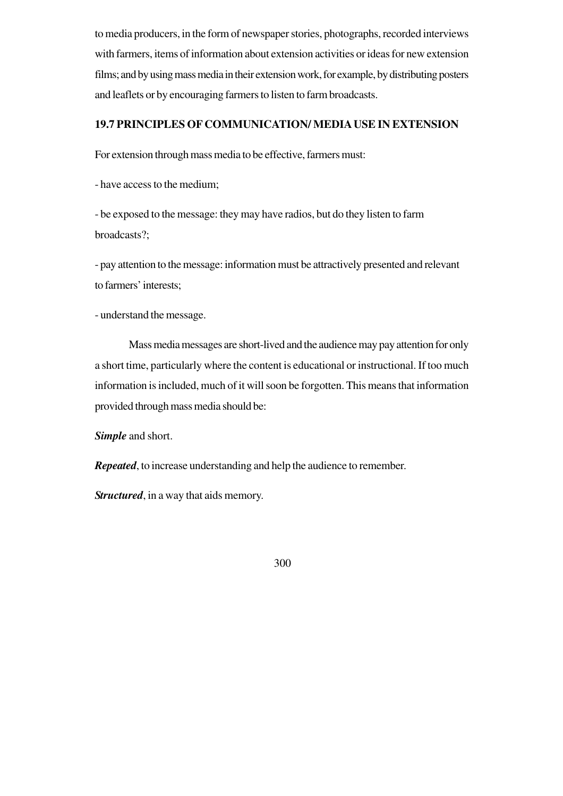to media producers, in the form of newspaper stories, photographs, recorded interviews with farmers, items of information about extension activities or ideas for new extension films; and by using mass media in their extension work, for example, by distributing posters and leaflets or by encouraging farmers to listen to farm broadcasts.

## **19.7 PRINCIPLES OF COMMUNICATION/ MEDIA USE IN EXTENSION**

For extension through mass media to be effective, farmers must:

- have access to the medium;

- be exposed to the message: they may have radios, but do they listen to farm broadcasts?;

- pay attention to the message: information must be attractively presented and relevant to farmers' interests;

- understand the message.

Mass media messages are short-lived and the audience may pay attention for only a short time, particularly where the content is educational or instructional. If too much information is included, much of it will soon be forgotten. This means that information provided through mass media should be:

*Simple* and short.

*Repeated*, to increase understanding and help the audience to remember.

*Structured*, in a way that aids memory.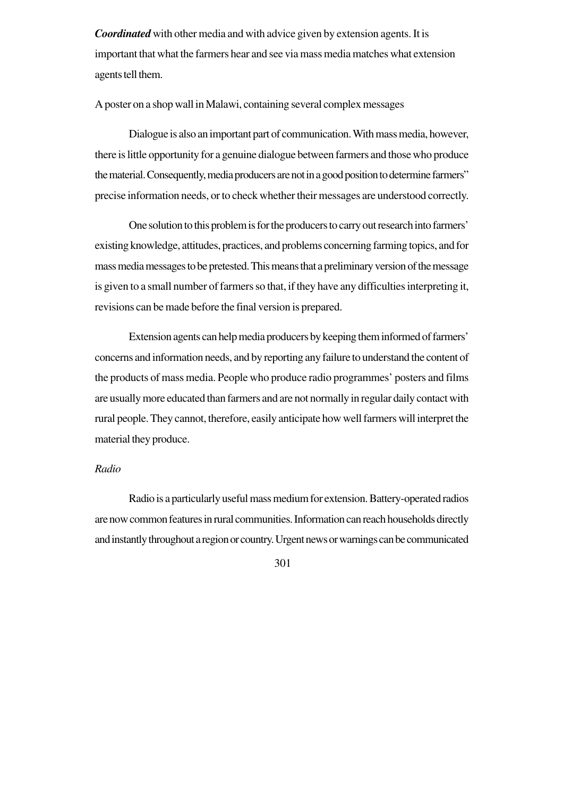*Coordinated* with other media and with advice given by extension agents. It is important that what the farmers hear and see via mass media matches what extension agents tell them.

#### A poster on a shop wall in Malawi, containing several complex messages

Dialogue is also an important part of communication. With mass media, however, there is little opportunity for a genuine dialogue between farmers and those who produce the material. Consequently, media producers are not in a good position to determine farmers" precise information needs, or to check whether their messages are understood correctly.

One solution to this problem is for the producers to carry out research into farmers' existing knowledge, attitudes, practices, and problems concerning farming topics, and for mass media messages to be pretested. This means that a preliminary version of the message is given to a small number of farmers so that, if they have any difficulties interpreting it, revisions can be made before the final version is prepared.

Extension agents can help media producers by keeping them informed of farmers' concerns and information needs, and by reporting any failure to understand the content of the products of mass media. People who produce radio programmes' posters and films are usually more educated than farmers and are not normally in regular daily contact with rural people. They cannot, therefore, easily anticipate how well farmers will interpret the material they produce.

#### *Radio*

Radio is a particularly useful mass medium for extension. Battery-operated radios are now common features in rural communities. Information can reach households directly and instantly throughout a region or country. Urgent news or warnings can be communicated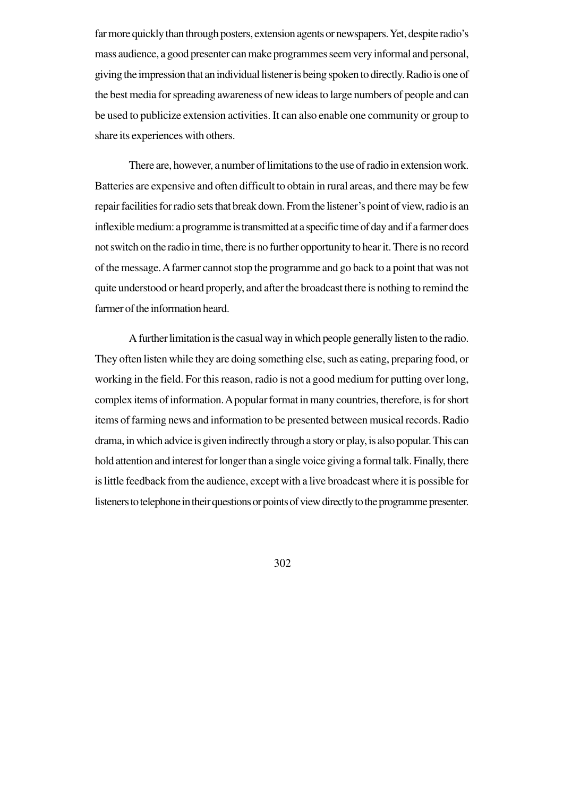far more quickly than through posters, extension agents or newspapers. Yet, despite radio's mass audience, a good presenter can make programmes seem very informal and personal, giving the impression that an individual listener is being spoken to directly. Radio is one of the best media for spreading awareness of new ideas to large numbers of people and can be used to publicize extension activities. It can also enable one community or group to share its experiences with others.

There are, however, a number of limitations to the use of radio in extension work. Batteries are expensive and often difficult to obtain in rural areas, and there may be few repair facilities for radio sets that break down. From the listener's point of view, radio is an inflexible medium: a programme is transmitted at a specific time of day and if a farmer does not switch on the radio in time, there is no further opportunity to hear it. There is no record of the message. A farmer cannot stop the programme and go back to a point that was not quite understood or heard properly, and after the broadcast there is nothing to remind the farmer of the information heard.

A further limitation is the casual way in which people generally listen to the radio. They often listen while they are doing something else, such as eating, preparing food, or working in the field. For this reason, radio is not a good medium for putting over long, complex items of information. A popular format in many countries, therefore, is for short items of farming news and information to be presented between musical records. Radio drama, in which advice is given indirectly through a story or play, is also popular. This can hold attention and interest for longer than a single voice giving a formal talk. Finally, there is little feedback from the audience, except with a live broadcast where it is possible for listeners to telephone in their questions or points of view directly to the programme presenter.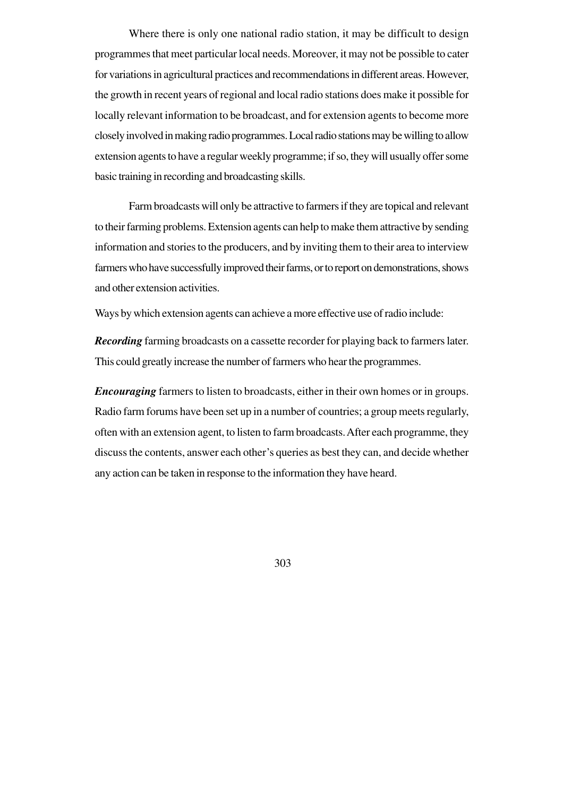Where there is only one national radio station, it may be difficult to design programmes that meet particular local needs. Moreover, it may not be possible to cater for variations in agricultural practices and recommendations in different areas. However, the growth in recent years of regional and local radio stations does make it possible for locally relevant information to be broadcast, and for extension agents to become more closely involved in making radio programmes. Local radio stations may be willing to allow extension agents to have a regular weekly programme; if so, they will usually offer some basic training in recording and broadcasting skills.

Farm broadcasts will only be attractive to farmers if they are topical and relevant to their farming problems. Extension agents can help to make them attractive by sending information and stories to the producers, and by inviting them to their area to interview farmers who have successfully improved their farms, or to report on demonstrations, shows and other extension activities.

Ways by which extension agents can achieve a more effective use of radio include:

*Recording* farming broadcasts on a cassette recorder for playing back to farmers later. This could greatly increase the number of farmers who hear the programmes.

*Encouraging* farmers to listen to broadcasts, either in their own homes or in groups. Radio farm forums have been set up in a number of countries; a group meets regularly, often with an extension agent, to listen to farm broadcasts. After each programme, they discuss the contents, answer each other's queries as best they can, and decide whether any action can be taken in response to the information they have heard.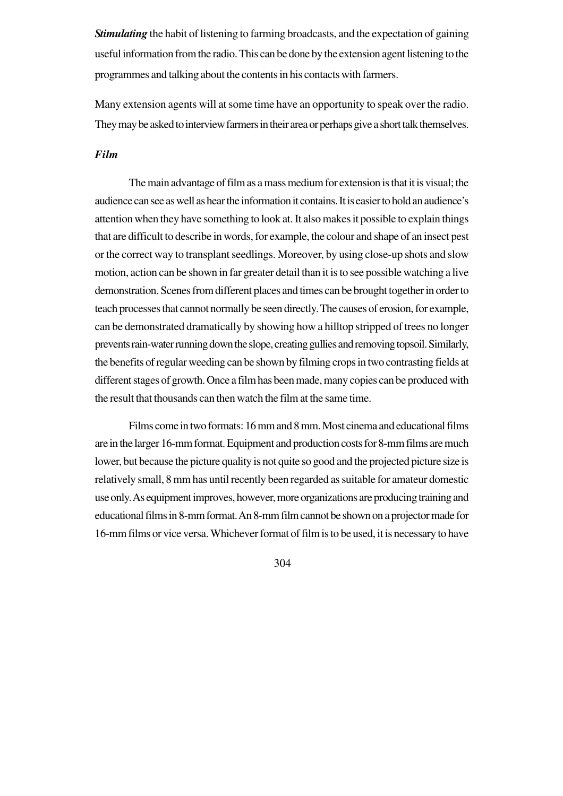**Stimulating** the habit of listening to farming broadcasts, and the expectation of gaining useful information from the radio. This can be done by the extension agent listening to the programmes and talking about the contents in his contacts with farmers.

Many extension agents will at some time have an opportunity to speak over the radio. They may be asked to interview farmers in their area or perhaps give a short talk themselves.

## *Film*

The main advantage of film as a mass medium for extension is that it is visual; the audience can see as well as hear the information it contains. It is easier to hold an audience's attention when they have something to look at. It also makes it possible to explain things that are difficult to describe in words, for example, the colour and shape of an insect pest or the correct way to transplant seedlings. Moreover, by using close-up shots and slow motion, action can be shown in far greater detail than it is to see possible watching a live demonstration. Scenes from different places and times can be brought together in order to teach processes that cannot normally be seen directly. The causes of erosion, for example, can be demonstrated dramatically by showing how a hilltop stripped of trees no longer prevents rain-water running down the slope, creating gullies and removing topsoil. Similarly, the benefits of regular weeding can be shown by filming crops in two contrasting fields at different stages of growth. Once a film has been made, many copies can be produced with the result that thousands can then watch the film at the same time.

Films come in two formats: 16 mm and 8 mm. Most cinema and educational films are in the larger 16-mm format. Equipment and production costs for 8-mm films are much lower, but because the picture quality is not quite so good and the projected picture size is relatively small, 8 mm has until recently been regarded as suitable for amateur domestic use only. As equipment improves, however, more organizations are producing training and educational films in 8-mm format. An 8-mm film cannot be shown on a projector made for 16-mm films or vice versa. Whichever format of film is to be used, it is necessary to have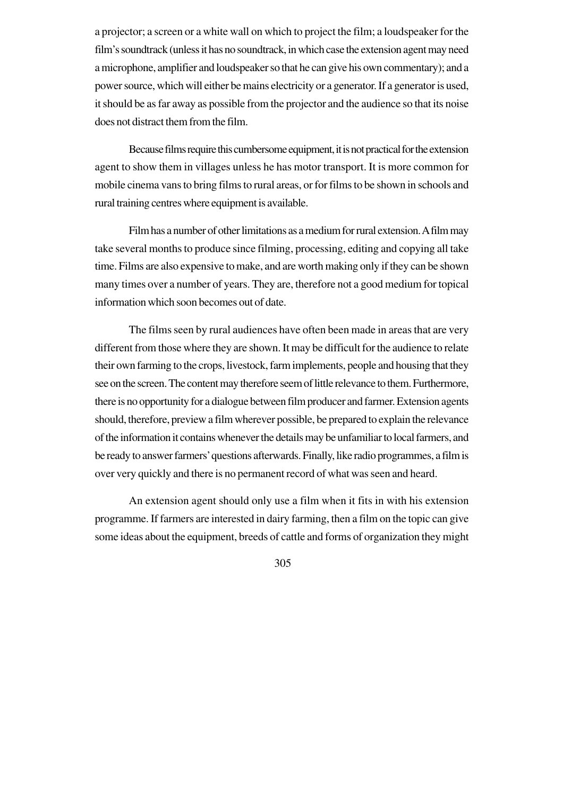a projector; a screen or a white wall on which to project the film; a loudspeaker for the film's soundtrack (unless it has no soundtrack, in which case the extension agent may need a microphone, amplifier and loudspeaker so that he can give his own commentary); and a power source, which will either be mains electricity or a generator. If a generator is used, it should be as far away as possible from the projector and the audience so that its noise does not distract them from the film.

Because films require this cumbersome equipment, it is not practical for the extension agent to show them in villages unless he has motor transport. It is more common for mobile cinema vans to bring films to rural areas, or for films to be shown in schools and rural training centres where equipment is available.

Film has a number of other limitations as a medium for rural extension. A film may take several months to produce since filming, processing, editing and copying all take time. Films are also expensive to make, and are worth making only if they can be shown many times over a number of years. They are, therefore not a good medium for topical information which soon becomes out of date.

The films seen by rural audiences have often been made in areas that are very different from those where they are shown. It may be difficult for the audience to relate their own farming to the crops, livestock, farm implements, people and housing that they see on the screen. The content may therefore seem of little relevance to them. Furthermore, there is no opportunity for a dialogue between film producer and farmer. Extension agents should, therefore, preview a film wherever possible, be prepared to explain the relevance of the information it contains whenever the details may be unfamiliar to local farmers, and be ready to answer farmers' questions afterwards. Finally, like radio programmes, a film is over very quickly and there is no permanent record of what was seen and heard.

An extension agent should only use a film when it fits in with his extension programme. If farmers are interested in dairy farming, then a film on the topic can give some ideas about the equipment, breeds of cattle and forms of organization they might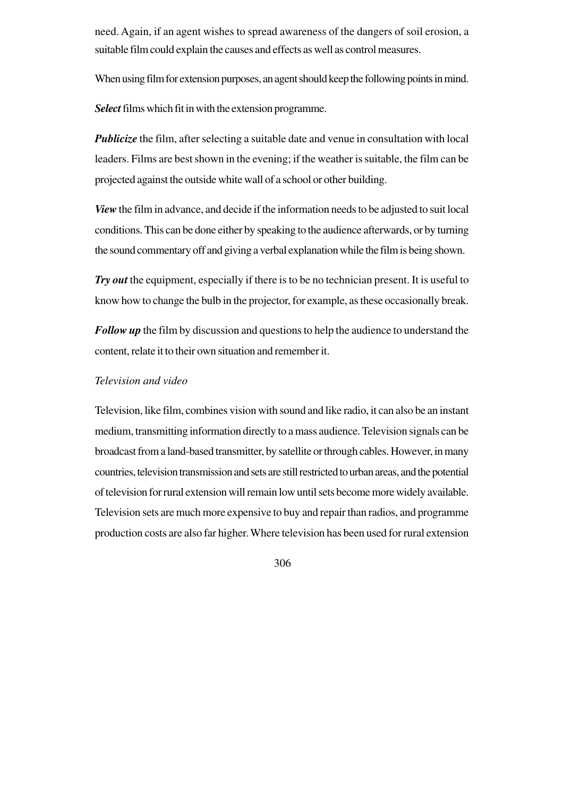need. Again, if an agent wishes to spread awareness of the dangers of soil erosion, a suitable film could explain the causes and effects as well as control measures.

When using film for extension purposes, an agent should keep the following points in mind.

*Select* films which fit in with the extension programme.

*Publicize* the film, after selecting a suitable date and venue in consultation with local leaders. Films are best shown in the evening; if the weather is suitable, the film can be projected against the outside white wall of a school or other building.

*View* the film in advance, and decide if the information needs to be adjusted to suit local conditions. This can be done either by speaking to the audience afterwards, or by turning the sound commentary off and giving a verbal explanation while the film is being shown.

*Try out* the equipment, especially if there is to be no technician present. It is useful to know how to change the bulb in the projector, for example, as these occasionally break.

*Follow up* the film by discussion and questions to help the audience to understand the content, relate it to their own situation and remember it.

## *Television and video*

Television, like film, combines vision with sound and like radio, it can also be an instant medium, transmitting information directly to a mass audience. Television signals can be broadcast from a land-based transmitter, by satellite or through cables. However, in many countries, television transmission and sets are still restricted to urban areas, and the potential of television for rural extension will remain low until sets become more widely available. Television sets are much more expensive to buy and repair than radios, and programme production costs are also far higher. Where television has been used for rural extension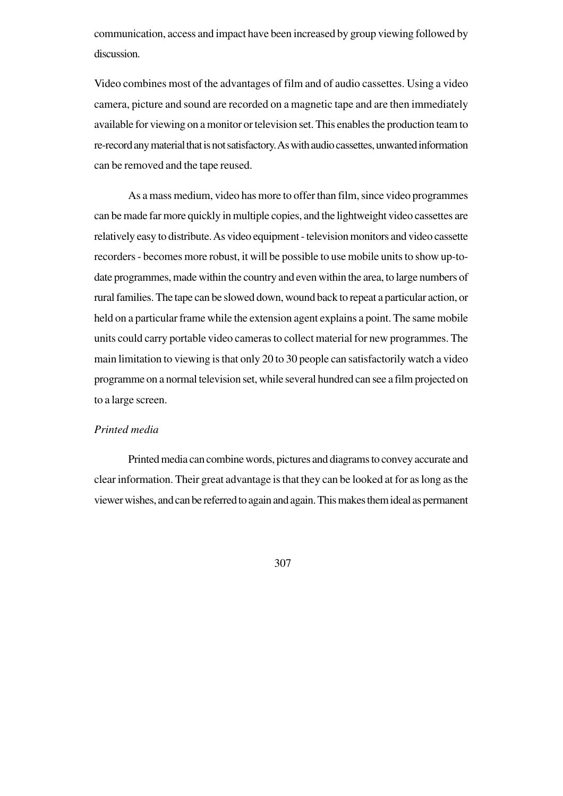communication, access and impact have been increased by group viewing followed by discussion.

Video combines most of the advantages of film and of audio cassettes. Using a video camera, picture and sound are recorded on a magnetic tape and are then immediately available for viewing on a monitor or television set. This enables the production team to re-record any material that is not satisfactory. As with audio cassettes, unwanted information can be removed and the tape reused.

As a mass medium, video has more to offer than film, since video programmes can be made far more quickly in multiple copies, and the lightweight video cassettes are relatively easy to distribute. As video equipment - television monitors and video cassette recorders - becomes more robust, it will be possible to use mobile units to show up-todate programmes, made within the country and even within the area, to large numbers of rural families. The tape can be slowed down, wound back to repeat a particular action, or held on a particular frame while the extension agent explains a point. The same mobile units could carry portable video cameras to collect material for new programmes. The main limitation to viewing is that only 20 to 30 people can satisfactorily watch a video programme on a normal television set, while several hundred can see a film projected on to a large screen.

#### *Printed media*

Printed media can combine words, pictures and diagrams to convey accurate and clear information. Their great advantage is that they can be looked at for as long as the viewer wishes, and can be referred to again and again. This makes them ideal as permanent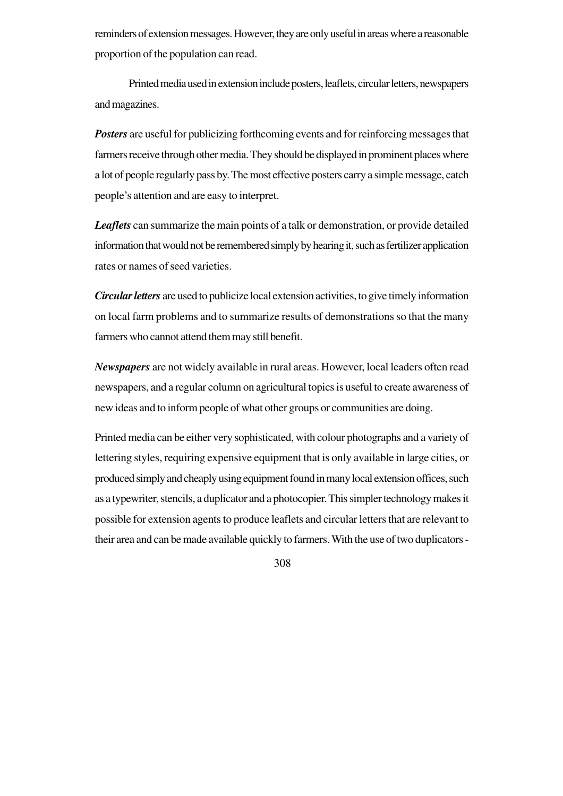reminders of extension messages. However, they are only useful in areas where a reasonable proportion of the population can read.

Printed media used in extension include posters, leaflets, circular letters, newspapers and magazines.

*Posters* are useful for publicizing forthcoming events and for reinforcing messages that farmers receive through other media. They should be displayed in prominent places where a lot of people regularly pass by. The most effective posters carry a simple message, catch people's attention and are easy to interpret.

*Leaflets* can summarize the main points of a talk or demonstration, or provide detailed information that would not be remembered simply by hearing it, such as fertilizer application rates or names of seed varieties.

*Circular letters* are used to publicize local extension activities, to give timely information on local farm problems and to summarize results of demonstrations so that the many farmers who cannot attend them may still benefit.

*Newspapers* are not widely available in rural areas. However, local leaders often read newspapers, and a regular column on agricultural topics is useful to create awareness of new ideas and to inform people of what other groups or communities are doing.

Printed media can be either very sophisticated, with colour photographs and a variety of lettering styles, requiring expensive equipment that is only available in large cities, or produced simply and cheaply using equipment found in many local extension offices, such as a typewriter, stencils, a duplicator and a photocopier. This simpler technology makes it possible for extension agents to produce leaflets and circular letters that are relevant to their area and can be made available quickly to farmers. With the use of two duplicators -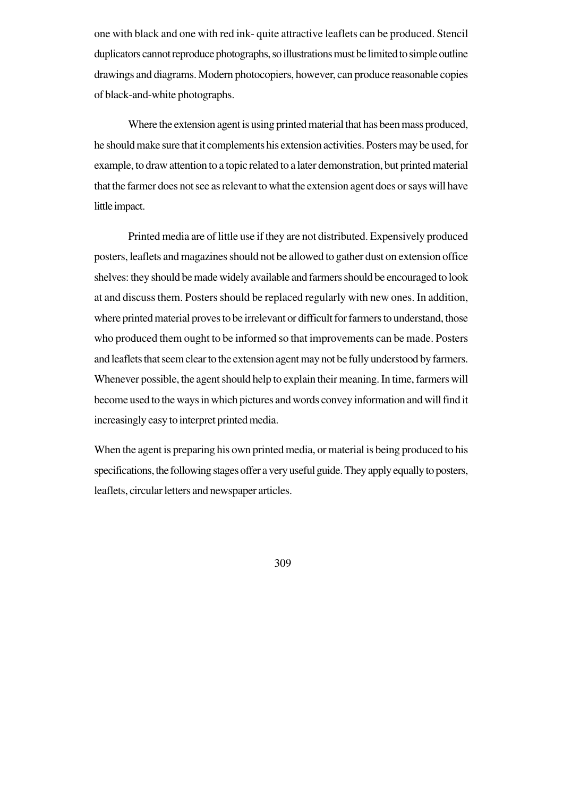one with black and one with red ink- quite attractive leaflets can be produced. Stencil duplicators cannot reproduce photographs, so illustrations must be limited to simple outline drawings and diagrams. Modern photocopiers, however, can produce reasonable copies of black-and-white photographs.

Where the extension agent is using printed material that has been mass produced, he should make sure that it complements his extension activities. Posters may be used, for example, to draw attention to a topic related to a later demonstration, but printed material that the farmer does not see as relevant to what the extension agent does or says will have little impact.

Printed media are of little use if they are not distributed. Expensively produced posters, leaflets and magazines should not be allowed to gather dust on extension office shelves: they should be made widely available and farmers should be encouraged to look at and discuss them. Posters should be replaced regularly with new ones. In addition, where printed material proves to be irrelevant or difficult for farmers to understand, those who produced them ought to be informed so that improvements can be made. Posters and leaflets that seem clear to the extension agent may not be fully understood by farmers. Whenever possible, the agent should help to explain their meaning. In time, farmers will become used to the ways in which pictures and words convey information and will find it increasingly easy to interpret printed media.

When the agent is preparing his own printed media, or material is being produced to his specifications, the following stages offer a very useful guide. They apply equally to posters, leaflets, circular letters and newspaper articles.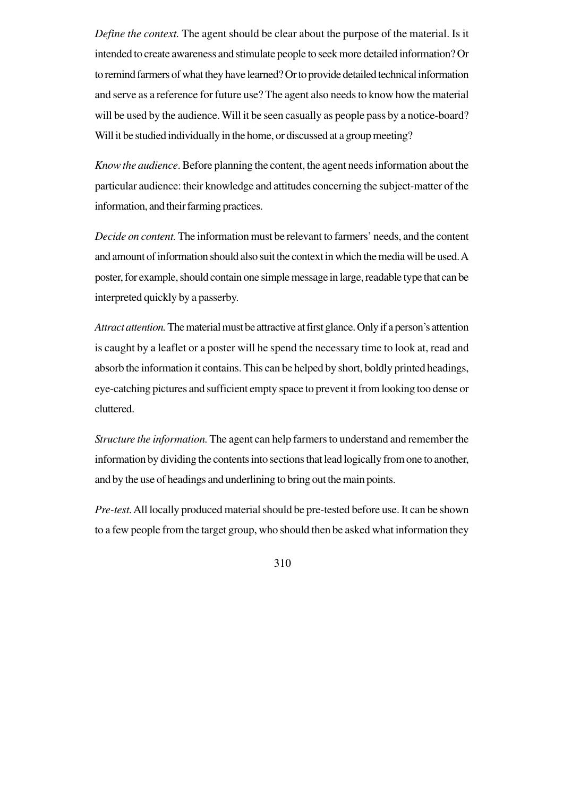*Define the context.* The agent should be clear about the purpose of the material. Is it intended to create awareness and stimulate people to seek more detailed information? Or to remind farmers of what they have learned? Or to provide detailed technical information and serve as a reference for future use? The agent also needs to know how the material will be used by the audience. Will it be seen casually as people pass by a notice-board? Will it be studied individually in the home, or discussed at a group meeting?

*Know the audience*. Before planning the content, the agent needs information about the particular audience: their knowledge and attitudes concerning the subject-matter of the information, and their farming practices.

*Decide on content.* The information must be relevant to farmers' needs, and the content and amount of information should also suit the context in which the media will be used. A poster, for example, should contain one simple message in large, readable type that can be interpreted quickly by a passerby.

*Attract attention.*The material must be attractive at first glance. Only if a person's attention is caught by a leaflet or a poster will he spend the necessary time to look at, read and absorb the information it contains. This can be helped by short, boldly printed headings, eye-catching pictures and sufficient empty space to prevent it from looking too dense or cluttered.

*Structure the information.*The agent can help farmers to understand and remember the information by dividing the contents into sections that lead logically from one to another, and by the use of headings and underlining to bring out the main points.

*Pre-test.*All locally produced material should be pre-tested before use. It can be shown to a few people from the target group, who should then be asked what information they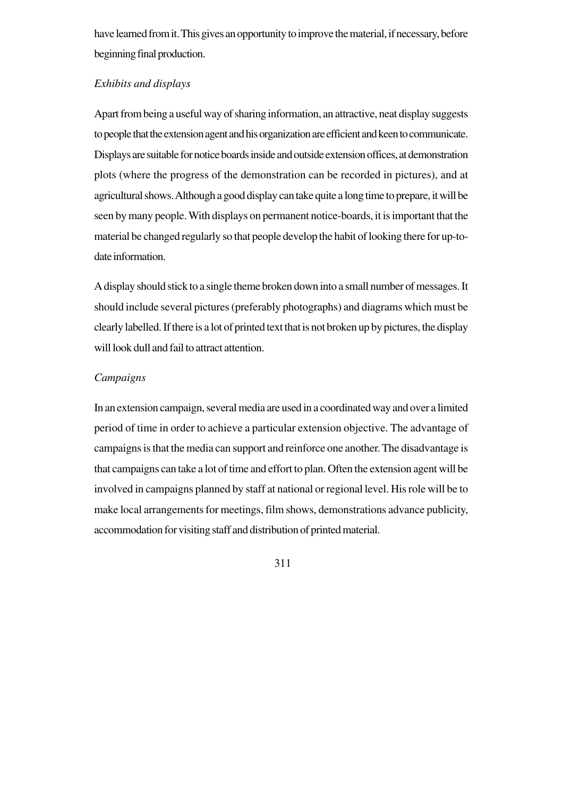have learned from it. This gives an opportunity to improve the material, if necessary, before beginning final production.

## *Exhibits and displays*

Apart from being a useful way of sharing information, an attractive, neat display suggests to people that the extension agent and his organization are efficient and keen to communicate. Displays are suitable for notice boards inside and outside extension offices, at demonstration plots (where the progress of the demonstration can be recorded in pictures), and at agricultural shows. Although a good display can take quite a long time to prepare, it will be seen by many people. With displays on permanent notice-boards, it is important that the material be changed regularly so that people develop the habit of looking there for up-todate information.

A display should stick to a single theme broken down into a small number of messages. It should include several pictures (preferably photographs) and diagrams which must be clearly labelled. If there is a lot of printed text that is not broken up by pictures, the display will look dull and fail to attract attention.

## *Campaigns*

In an extension campaign, several media are used in a coordinated way and over a limited period of time in order to achieve a particular extension objective. The advantage of campaigns is that the media can support and reinforce one another. The disadvantage is that campaigns can take a lot of time and effort to plan. Often the extension agent will be involved in campaigns planned by staff at national or regional level. His role will be to make local arrangements for meetings, film shows, demonstrations advance publicity, accommodation for visiting staff and distribution of printed material.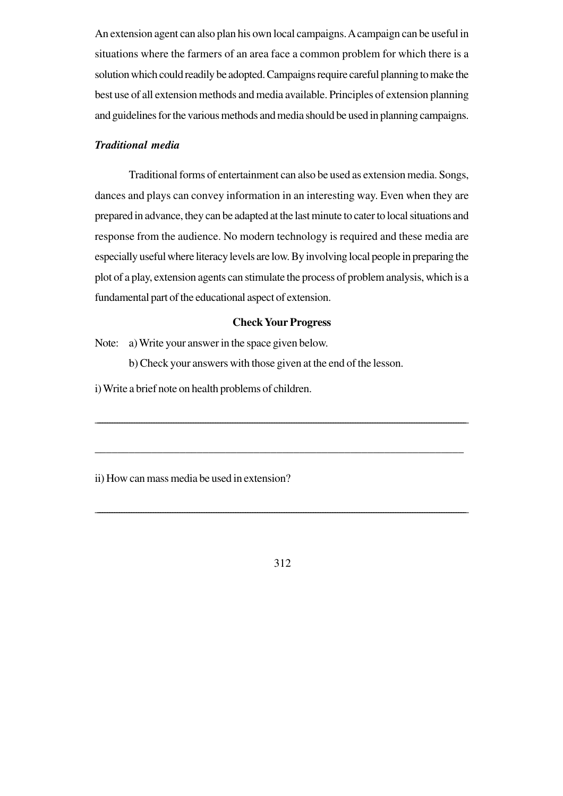An extension agent can also plan his own local campaigns. A campaign can be useful in situations where the farmers of an area face a common problem for which there is a solution which could readily be adopted. Campaigns require careful planning to make the best use of all extension methods and media available. Principles of extension planning and guidelines for the various methods and media should be used in planning campaigns.

## *Traditional media*

Traditional forms of entertainment can also be used as extension media. Songs, dances and plays can convey information in an interesting way. Even when they are prepared in advance, they can be adapted at the last minute to cater to local situations and response from the audience. No modern technology is required and these media are especially useful where literacy levels are low. By involving local people in preparing the plot of a play, extension agents can stimulate the process of problem analysis, which is a fundamental part of the educational aspect of extension.

#### **Check Your Progress**

\_\_\_\_\_\_\_\_\_\_\_\_\_\_\_\_\_\_\_\_\_\_\_\_\_\_\_\_\_\_\_\_\_\_\_\_\_\_\_\_\_\_\_\_\_\_\_\_\_\_\_\_\_\_\_\_\_\_\_\_\_\_\_\_\_\_\_\_\_\_\_\_\_\_\_\_\_\_\_\_\_\_\_\_\_\_\_\_\_\_\_\_\_\_\_\_\_\_\_\_\_\_\_\_\_\_\_\_\_\_\_\_\_\_\_\_\_\_\_\_\_\_\_\_\_\_\_\_\_\_\_\_\_\_\_\_\_\_\_\_\_\_\_\_\_\_\_\_\_\_\_

\_\_\_\_\_\_\_\_\_\_\_\_\_\_\_\_\_\_\_\_\_\_\_\_\_\_\_\_\_\_\_\_\_\_\_\_\_\_\_\_\_\_\_\_\_\_\_\_\_\_\_\_\_\_\_\_\_\_\_\_\_\_\_\_\_

Note: a) Write your answer in the space given below.

b) Check your answers with those given at the end of the lesson.

i) Write a brief note on health problems of children.

ii) How can mass media be used in extension?

312

\_\_\_\_\_\_\_\_\_\_\_\_\_\_\_\_\_\_\_\_\_\_\_\_\_\_\_\_\_\_\_\_\_\_\_\_\_\_\_\_\_\_\_\_\_\_\_\_\_\_\_\_\_\_\_\_\_\_\_\_\_\_\_\_\_\_\_\_\_\_\_\_\_\_\_\_\_\_\_\_\_\_\_\_\_\_\_\_\_\_\_\_\_\_\_\_\_\_\_\_\_\_\_\_\_\_\_\_\_\_\_\_\_\_\_\_\_\_\_\_\_\_\_\_\_\_\_\_\_\_\_\_\_\_\_\_\_\_\_\_\_\_\_\_\_\_\_\_\_\_\_\_\_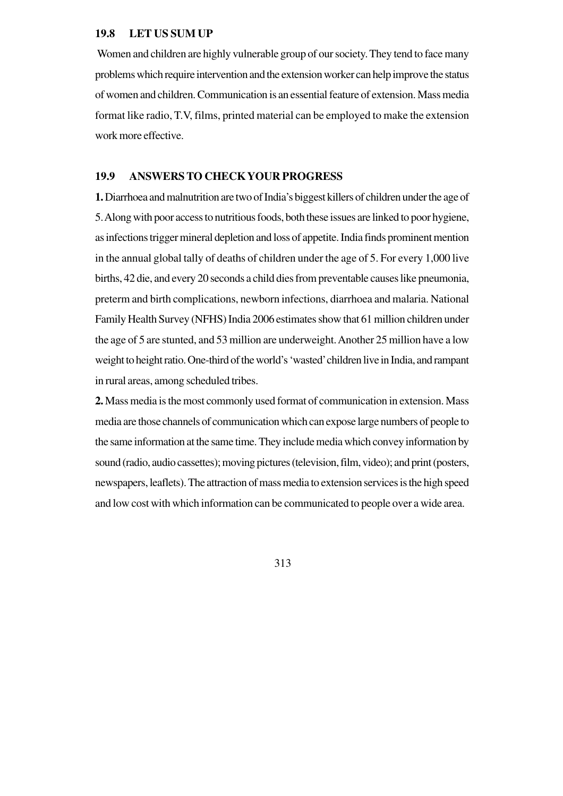#### **19.8 LET US SUM UP**

Women and children are highly vulnerable group of our society. They tend to face many problems which require intervention and the extension worker can help improve the status of women and children. Communication is an essential feature of extension. Mass media format like radio, T.V, films, printed material can be employed to make the extension work more effective.

## **19.9 ANSWERS TO CHECK YOUR PROGRESS**

**1.** Diarrhoea and malnutrition are two of India's biggest killers of children under the age of 5. Along with poor access to nutritious foods, both these issues are linked to poor hygiene, as infections trigger mineral depletion and loss of appetite. India finds prominent mention in the annual global tally of deaths of children under the age of 5. For every 1,000 live births, 42 die, and every 20 seconds a child dies from preventable causes like pneumonia, preterm and birth complications, newborn infections, diarrhoea and malaria. National Family Health Survey (NFHS) India 2006 estimates show that 61 million children under the age of 5 are stunted, and 53 million are underweight. Another 25 million have a low weight to height ratio. One-third of the world's 'wasted' children live in India, and rampant in rural areas, among scheduled tribes.

**2.** Mass media is the most commonly used format of communication in extension. Mass media are those channels of communication which can expose large numbers of people to the same information at the same time. They include media which convey information by sound (radio, audio cassettes); moving pictures (television, film, video); and print (posters, newspapers, leaflets). The attraction of mass media to extension services is the high speed and low cost with which information can be communicated to people over a wide area.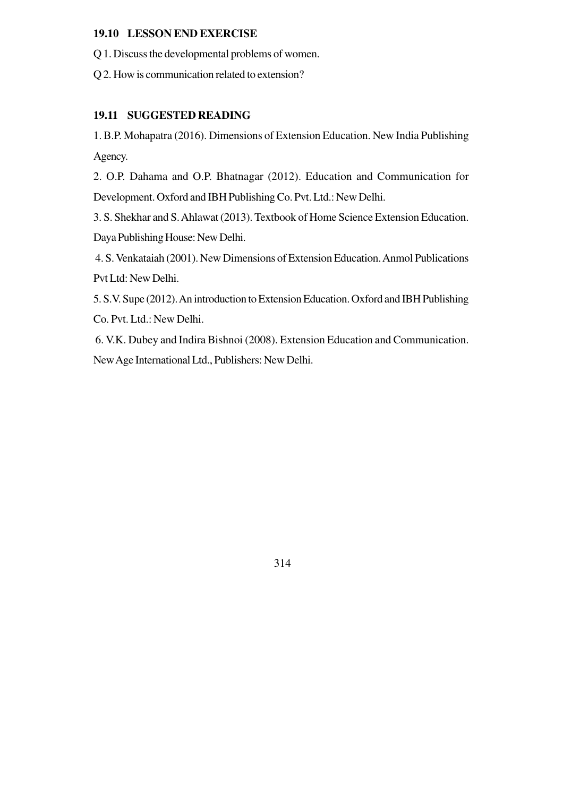## **19.10 LESSON END EXERCISE**

Q 1. Discuss the developmental problems of women.

Q 2. How is communication related to extension?

## **19.11 SUGGESTED READING**

1. B.P. Mohapatra (2016). Dimensions of Extension Education. New India Publishing Agency.

2. O.P. Dahama and O.P. Bhatnagar (2012). Education and Communication for Development. Oxford and IBH Publishing Co. Pvt. Ltd.: New Delhi.

3. S. Shekhar and S. Ahlawat (2013). Textbook of Home Science Extension Education. Daya Publishing House: New Delhi.

 4. S. Venkataiah (2001). New Dimensions of Extension Education. Anmol Publications Pvt Ltd: New Delhi.

5. S.V. Supe (2012). An introduction to Extension Education. Oxford and IBH Publishing Co. Pvt. Ltd.: New Delhi.

 6. V.K. Dubey and Indira Bishnoi (2008). Extension Education and Communication. New Age International Ltd., Publishers: New Delhi.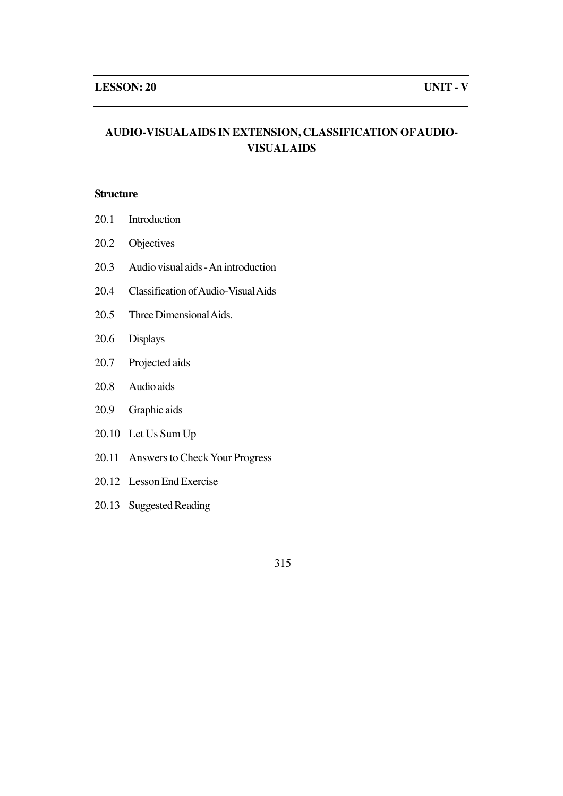## **AUDIO-VISUALAIDS IN EXTENSION, CLASSIFICATION OFAUDIO-VISUALAIDS**

### **Structure**

- 20.1 Introduction
- 20.2 Objectives
- 20.3 Audio visual aids An introduction
- 20.4 Classification of Audio-Visual Aids
- 20.5 Three Dimensional Aids.
- 20.6 Displays
- 20.7 Projected aids
- 20.8 Audio aids
- 20.9 Graphic aids
- 20.10 Let Us Sum Up
- 20.11 Answers to Check Your Progress
- 20.12 Lesson End Exercise
- 20.13 Suggested Reading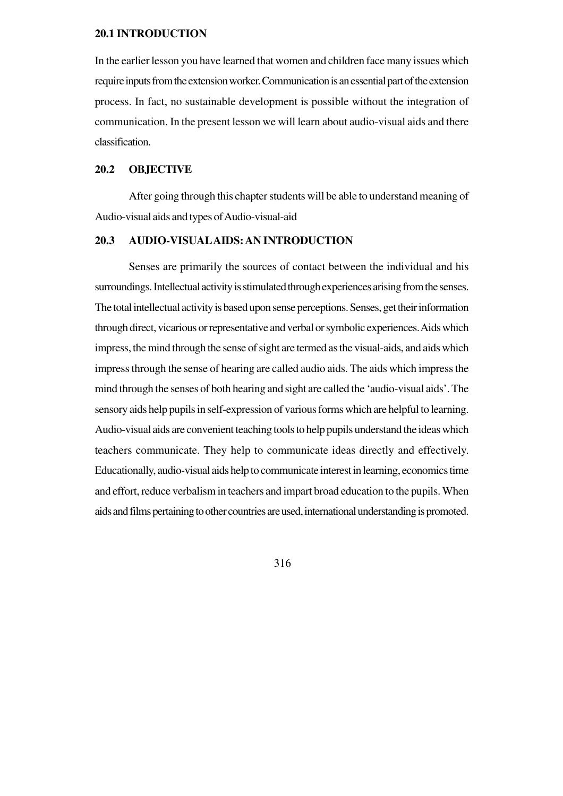#### **20.1 INTRODUCTION**

In the earlier lesson you have learned that women and children face many issues which require inputs from the extension worker. Communication is an essential part of the extension process. In fact, no sustainable development is possible without the integration of communication. In the present lesson we will learn about audio-visual aids and there classification.

## **20.2 OBJECTIVE**

After going through this chapter students will be able to understand meaning of Audio-visual aids and types of Audio-visual-aid

## **20.3 AUDIO-VISUALAIDS: AN INTRODUCTION**

Senses are primarily the sources of contact between the individual and his surroundings. Intellectual activity is stimulated through experiences arising from the senses. The total intellectual activity is based upon sense perceptions. Senses, get their information through direct, vicarious or representative and verbal or symbolic experiences. Aids which impress, the mind through the sense of sight are termed as the visual-aids, and aids which impress through the sense of hearing are called audio aids. The aids which impress the mind through the senses of both hearing and sight are called the 'audio-visual aids'. The sensory aids help pupils in self-expression of various forms which are helpful to learning. Audio-visual aids are convenient teaching tools to help pupils understand the ideas which teachers communicate. They help to communicate ideas directly and effectively. Educationally, audio-visual aids help to communicate interest in learning, economics time and effort, reduce verbalism in teachers and impart broad education to the pupils. When aids and films pertaining to other countries are used, international understanding is promoted.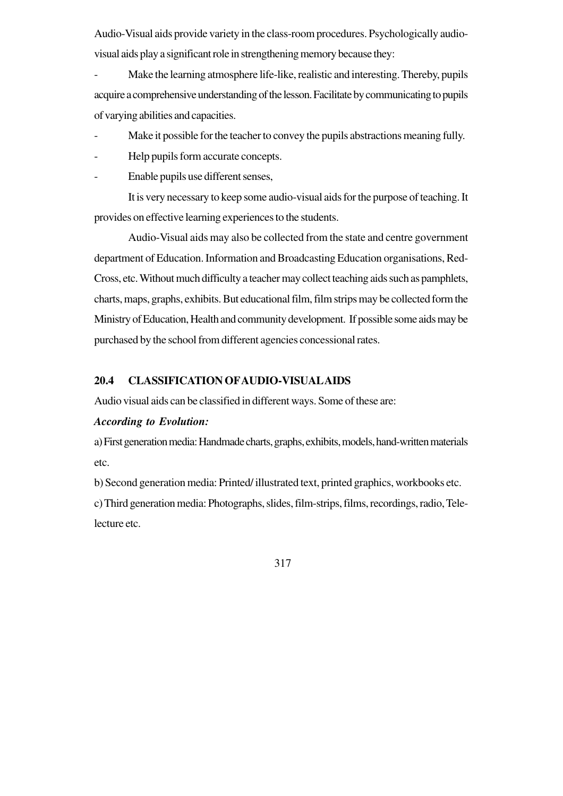Audio-Visual aids provide variety in the class-room procedures. Psychologically audiovisual aids play a significant role in strengthening memory because they:

Make the learning atmosphere life-like, realistic and interesting. Thereby, pupils acquire a comprehensive understanding of the lesson. Facilitate by communicating to pupils of varying abilities and capacities.

- Make it possible for the teacher to convey the pupils abstractions meaning fully.
- Help pupils form accurate concepts.
- Enable pupils use different senses,

It is very necessary to keep some audio-visual aids for the purpose of teaching. It provides on effective learning experiences to the students.

Audio-Visual aids may also be collected from the state and centre government department of Education. Information and Broadcasting Education organisations, Red-Cross, etc. Without much difficulty a teacher may collect teaching aids such as pamphlets, charts, maps, graphs, exhibits. But educational film, film strips may be collected form the Ministry of Education, Health and community development. If possible some aids may be purchased by the school from different agencies concessional rates.

## **20.4 CLASSIFICATION OFAUDIO-VISUALAIDS**

Audio visual aids can be classified in different ways. Some of these are:

#### *According to Evolution:*

a) First generation media: Handmade charts, graphs, exhibits, models, hand-written materials etc.

b) Second generation media: Printed/ illustrated text, printed graphics, workbooks etc.

c) Third generation media: Photographs, slides, film-strips, films, recordings, radio, Telelecture etc.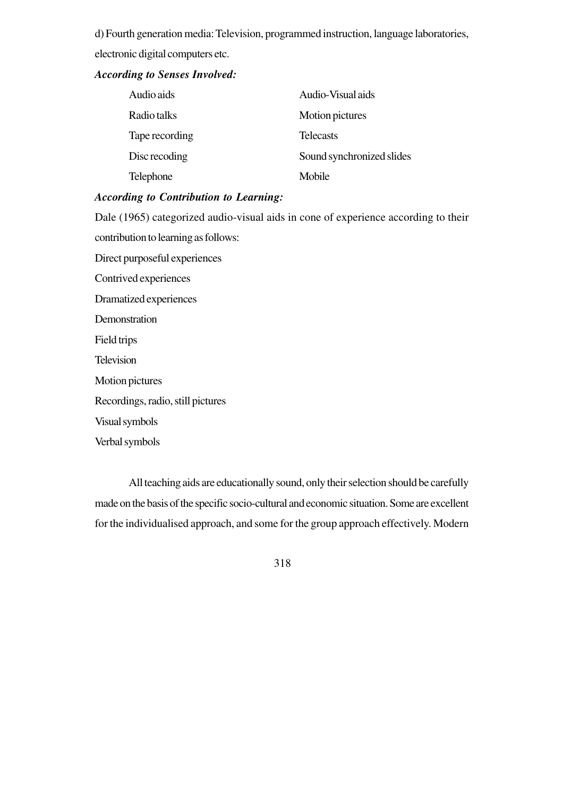d) Fourth generation media: Television, programmed instruction, language laboratories, electronic digital computers etc.

#### *According to Senses Involved:*

| Audio aids     | Audio-Visual aids         |
|----------------|---------------------------|
| Radio talks    | Motion pictures           |
| Tape recording | <b>Telecasts</b>          |
| Disc recoding  | Sound synchronized slides |
| Telephone      | Mobile                    |

## *According to Contribution to Learning:*

Dale (1965) categorized audio-visual aids in cone of experience according to their contribution to learning as follows: Direct purposeful experiences Contrived experiences Dramatized experiences Demonstration Field trips Television Motion pictures Recordings, radio, still pictures Visual symbols Verbal symbols

All teaching aids are educationally sound, only their selection should be carefully made on the basis of the specific socio-cultural and economic situation. Some are excellent for the individualised approach, and some for the group approach effectively. Modern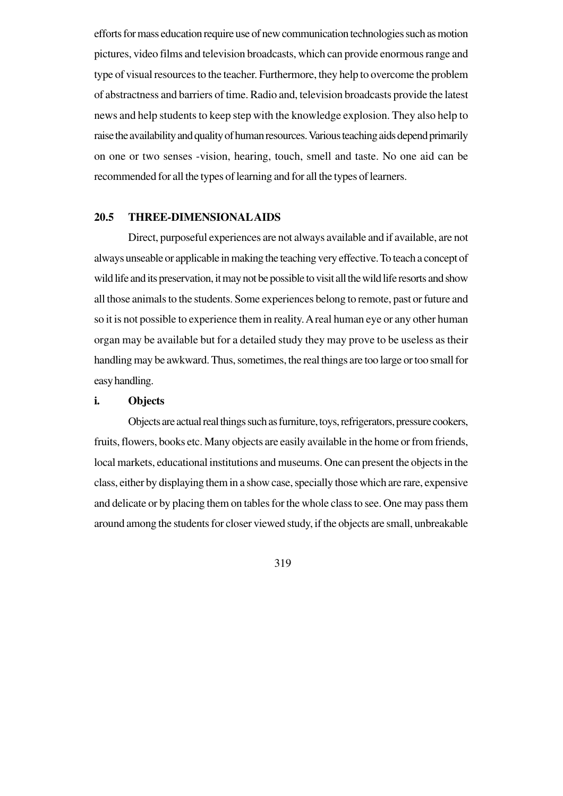efforts for mass education require use of new communication technologies such as motion pictures, video films and television broadcasts, which can provide enormous range and type of visual resources to the teacher. Furthermore, they help to overcome the problem of abstractness and barriers of time. Radio and, television broadcasts provide the latest news and help students to keep step with the knowledge explosion. They also help to raise the availability and quality of human resources. Various teaching aids depend primarily on one or two senses -vision, hearing, touch, smell and taste. No one aid can be recommended for all the types of learning and for all the types of learners.

## **20.5 THREE-DIMENSIONALAIDS**

Direct, purposeful experiences are not always available and if available, are not always unseable or applicable in making the teaching very effective. To teach a concept of wild life and its preservation, it may not be possible to visit all the wild life resorts and show all those animals to the students. Some experiences belong to remote, past or future and so it is not possible to experience them in reality. A real human eye or any other human organ may be available but for a detailed study they may prove to be useless as their handling may be awkward. Thus, sometimes, the real things are too large or too small for easy handling.

#### **i. Objects**

Objects are actual real things such as furniture, toys, refrigerators, pressure cookers, fruits, flowers, books etc. Many objects are easily available in the home or from friends, local markets, educational institutions and museums. One can present the objects in the class, either by displaying them in a show case, specially those which are rare, expensive and delicate or by placing them on tables for the whole class to see. One may pass them around among the students for closer viewed study, if the objects are small, unbreakable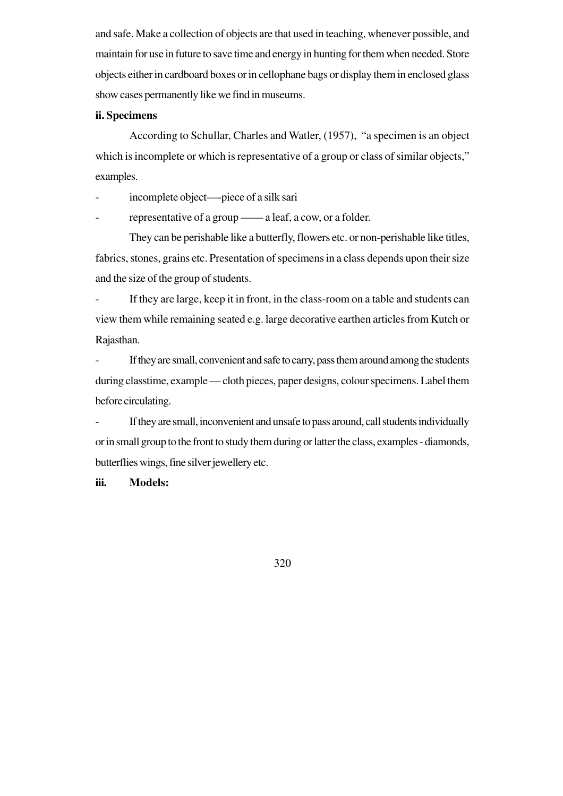and safe. Make a collection of objects are that used in teaching, whenever possible, and maintain for use in future to save time and energy in hunting for them when needed. Store objects either in cardboard boxes or in cellophane bags or display them in enclosed glass show cases permanently like we find in museums.

## **ii. Specimens**

According to Schullar, Charles and Watler, (1957), "a specimen is an object which is incomplete or which is representative of a group or class of similar objects," examples.

incomplete object—-piece of a silk sari

representative of a group —— a leaf, a cow, or a folder.

They can be perishable like a butterfly, flowers etc. or non-perishable like titles, fabrics, stones, grains etc. Presentation of specimens in a class depends upon their size and the size of the group of students.

If they are large, keep it in front, in the class-room on a table and students can view them while remaining seated e.g. large decorative earthen articles from Kutch or Rajasthan.

If they are small, convenient and safe to carry, pass them around among the students during classtime, example — cloth pieces, paper designs, colour specimens. Label them before circulating.

If they are small, inconvenient and unsafe to pass around, call students individually or in small group to the front to study them during or latter the class, examples - diamonds, butterflies wings, fine silver jewellery etc.

**iii. Models:**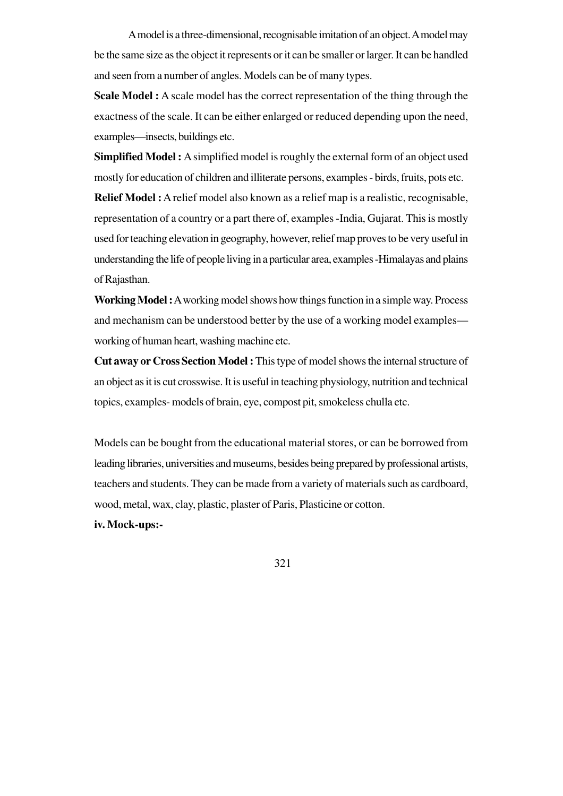A model is a three-dimensional, recognisable imitation of an object. A model may be the same size as the object it represents or it can be smaller or larger. It can be handled and seen from a number of angles. Models can be of many types.

**Scale Model :** A scale model has the correct representation of the thing through the exactness of the scale. It can be either enlarged or reduced depending upon the need, examples—insects, buildings etc.

**Simplified Model :** A simplified model is roughly the external form of an object used mostly for education of children and illiterate persons, examples - birds, fruits, pots etc.

**Relief Model :** A relief model also known as a relief map is a realistic, recognisable, representation of a country or a part there of, examples -India, Gujarat. This is mostly used for teaching elevation in geography, however, relief map proves to be very useful in understanding the life of people living in a particular area, examples -Himalayas and plains of Rajasthan.

**Working Model :** A working model shows how things function in a simple way. Process and mechanism can be understood better by the use of a working model examples working of human heart, washing machine etc.

**Cut away or Cross Section Model :** This type of model shows the internal structure of an object as it is cut crosswise. It is useful in teaching physiology, nutrition and technical topics, examples- models of brain, eye, compost pit, smokeless chulla etc.

Models can be bought from the educational material stores, or can be borrowed from leading libraries, universities and museums, besides being prepared by professional artists, teachers and students. They can be made from a variety of materials such as cardboard, wood, metal, wax, clay, plastic, plaster of Paris, Plasticine or cotton.

**iv. Mock-ups:-**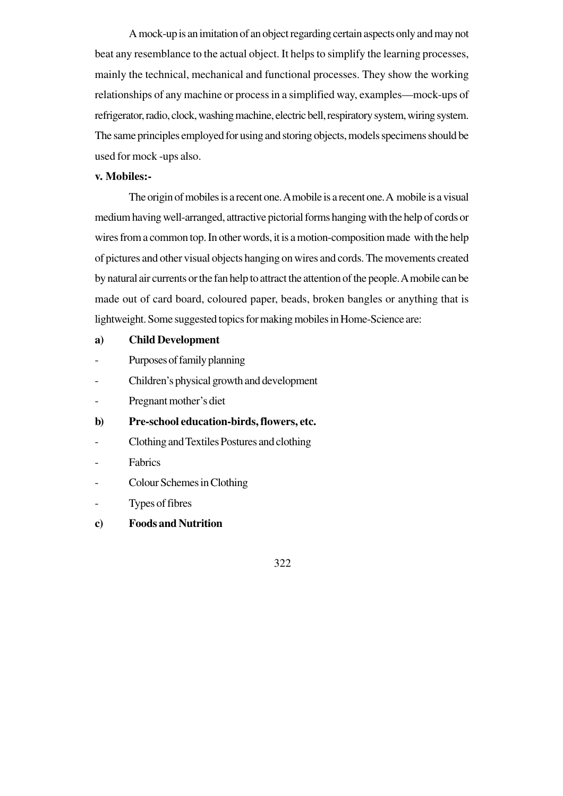A mock-up is an imitation of an object regarding certain aspects only and may not beat any resemblance to the actual object. It helps to simplify the learning processes, mainly the technical, mechanical and functional processes. They show the working relationships of any machine or process in a simplified way, examples—mock-ups of refrigerator, radio, clock, washing machine, electric bell, respiratory system, wiring system. The same principles employed for using and storing objects, models specimens should be used for mock -ups also.

#### **v. Mobiles:-**

The origin of mobiles is a recent one. A mobile is a recent one. A mobile is a visual medium having well-arranged, attractive pictorial forms hanging with the help of cords or wires from a common top. In other words, it is a motion-composition made with the help of pictures and other visual objects hanging on wires and cords. The movements created by natural air currents or the fan help to attract the attention of the people. A mobile can be made out of card board, coloured paper, beads, broken bangles or anything that is lightweight. Some suggested topics for making mobiles in Home-Science are:

## **a) Child Development**

- Purposes of family planning
- Children's physical growth and development
- Pregnant mother's diet
- **b) Pre-school education-birds, flowers, etc.**
- Clothing and Textiles Postures and clothing
- Fabrics
- Colour Schemes in Clothing
- Types of fibres
- **c) Foods and Nutrition**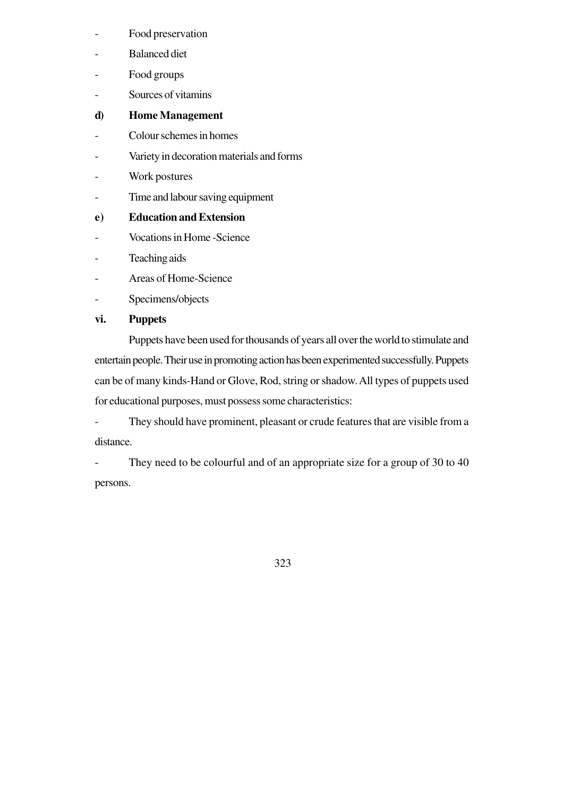- Food preservation
- Balanced diet
- Food groups
- Sources of vitamins
- **d) Home Management**
- Colour schemes in homes
- Variety in decoration materials and forms
- Work postures
- Time and labour saving equipment

# **e) Education and Extension**

- Vocations in Home -Science
- Teaching aids
- Areas of Home-Science
- Specimens/objects

# **vi. Puppets**

Puppets have been used for thousands of years all over the world to stimulate and entertain people. Their use in promoting action has been experimented successfully. Puppets can be of many kinds-Hand or Glove, Rod, string or shadow. All types of puppets used for educational purposes, must possess some characteristics:

- They should have prominent, pleasant or crude features that are visible from a distance.

- They need to be colourful and of an appropriate size for a group of 30 to 40 persons.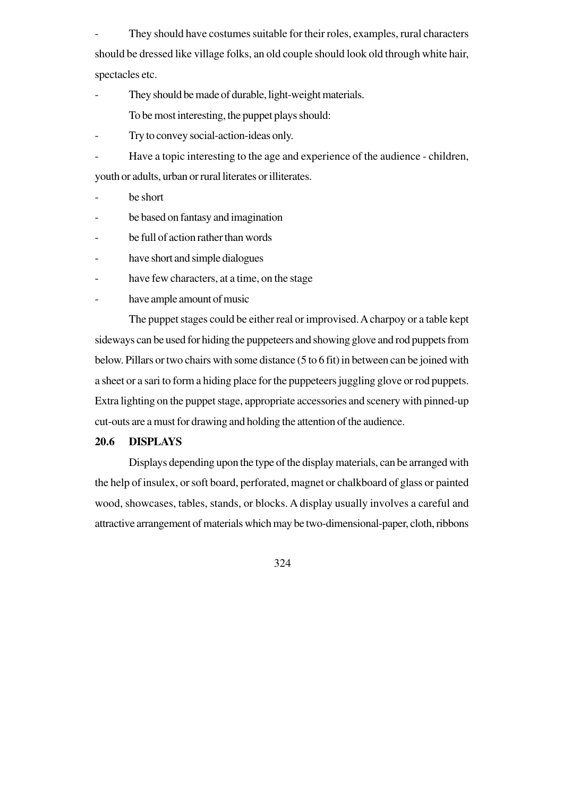They should have costumes suitable for their roles, examples, rural characters should be dressed like village folks, an old couple should look old through white hair, spectacles etc.

- They should be made of durable, light-weight materials. To be most interesting, the puppet plays should:
	-
- Try to convey social-action-ideas only.
- Have a topic interesting to the age and experience of the audience children, youth or adults, urban or rural literates or illiterates.
- be short
- be based on fantasy and imagination
- be full of action rather than words
- have short and simple dialogues
- have few characters, at a time, on the stage
- have ample amount of music

The puppet stages could be either real or improvised. A charpoy or a table kept sideways can be used for hiding the puppeteers and showing glove and rod puppets from below. Pillars or two chairs with some distance (5 to 6 fit) in between can be joined with a sheet or a sari to form a hiding place for the puppeteers juggling glove or rod puppets. Extra lighting on the puppet stage, appropriate accessories and scenery with pinned-up cut-outs are a must for drawing and holding the attention of the audience.

## **20.6 DISPLAYS**

Displays depending upon the type of the display materials, can be arranged with the help of insulex, or soft board, perforated, magnet or chalkboard of glass or painted wood, showcases, tables, stands, or blocks. A display usually involves a careful and attractive arrangement of materials which may be two-dimensional-paper, cloth, ribbons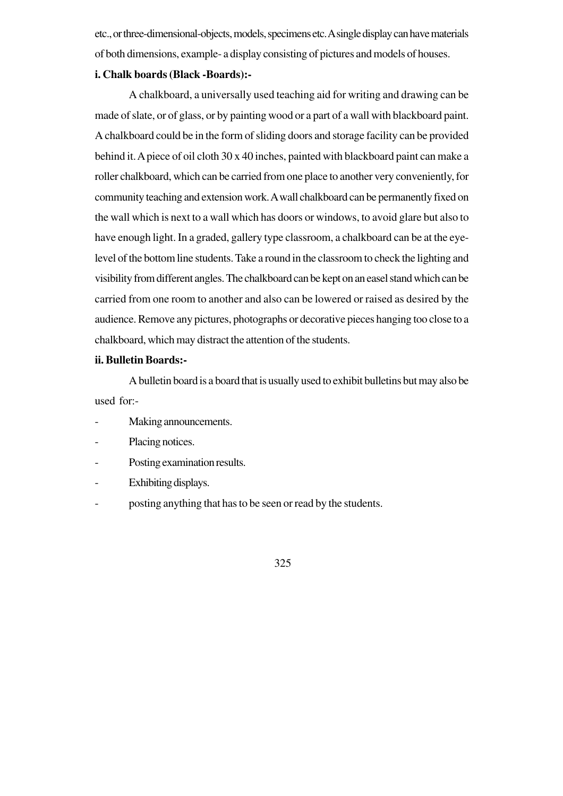etc., or three-dimensional-objects, models, specimens etc. A single display can have materials of both dimensions, example- a display consisting of pictures and models of houses.

#### **i. Chalk boards (Black -Boards):-**

A chalkboard, a universally used teaching aid for writing and drawing can be made of slate, or of glass, or by painting wood or a part of a wall with blackboard paint. A chalkboard could be in the form of sliding doors and storage facility can be provided behind it. A piece of oil cloth 30 x 40 inches, painted with blackboard paint can make a roller chalkboard, which can be carried from one place to another very conveniently, for community teaching and extension work. A wall chalkboard can be permanently fixed on the wall which is next to a wall which has doors or windows, to avoid glare but also to have enough light. In a graded, gallery type classroom, a chalkboard can be at the eyelevel of the bottom line students. Take a round in the classroom to check the lighting and visibility from different angles. The chalkboard can be kept on an easel stand which can be carried from one room to another and also can be lowered or raised as desired by the audience. Remove any pictures, photographs or decorative pieces hanging too close to a chalkboard, which may distract the attention of the students.

#### **ii. Bulletin Boards:-**

A bulletin board is a board that is usually used to exhibit bulletins but may also be used for:-

- Making announcements.
- Placing notices.
- Posting examination results.
- Exhibiting displays.
- posting anything that has to be seen or read by the students.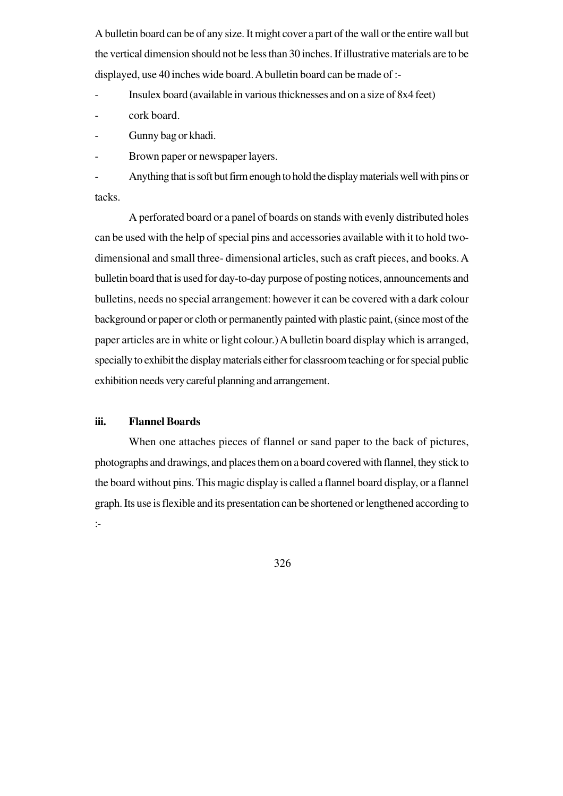A bulletin board can be of any size. It might cover a part of the wall or the entire wall but the vertical dimension should not be less than 30 inches. If illustrative materials are to be displayed, use 40 inches wide board. A bulletin board can be made of :-

- Insulex board (available in various thicknesses and on a size of 8x4 feet)

cork board.

- Gunny bag or khadi.

Brown paper or newspaper layers.

- Anything that is soft but firm enough to hold the display materials well with pins or tacks.

A perforated board or a panel of boards on stands with evenly distributed holes can be used with the help of special pins and accessories available with it to hold twodimensional and small three- dimensional articles, such as craft pieces, and books. A bulletin board that is used for day-to-day purpose of posting notices, announcements and bulletins, needs no special arrangement: however it can be covered with a dark colour background or paper or cloth or permanently painted with plastic paint, (since most of the paper articles are in white or light colour.) A bulletin board display which is arranged, specially to exhibit the display materials either for classroom teaching or for special public exhibition needs very careful planning and arrangement.

## **iii. Flannel Boards**

When one attaches pieces of flannel or sand paper to the back of pictures, photographs and drawings, and places them on a board covered with flannel, they stick to the board without pins. This magic display is called a flannel board display, or a flannel graph. Its use is flexible and its presentation can be shortened or lengthened according to :-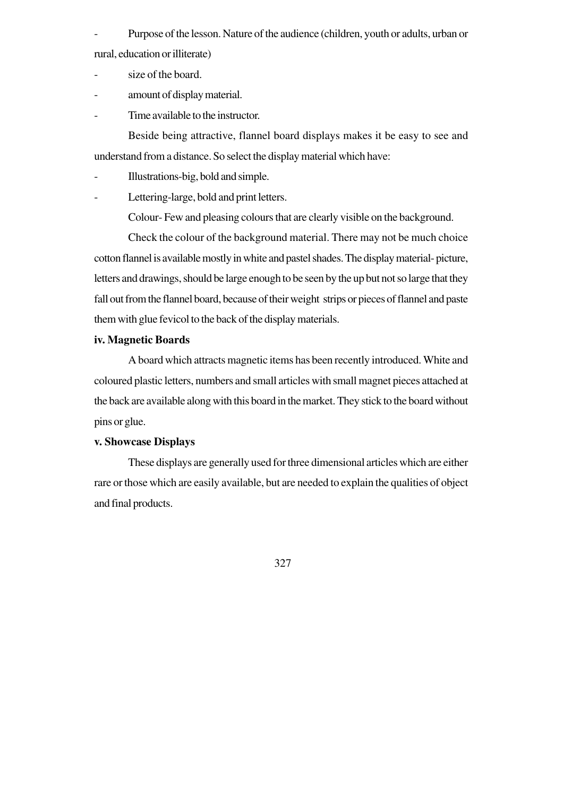Purpose of the lesson. Nature of the audience (children, youth or adults, urban or rural, education or illiterate)

- size of the board.
- amount of display material.
- Time available to the instructor.

Beside being attractive, flannel board displays makes it be easy to see and understand from a distance. So select the display material which have:

- Illustrations-big, bold and simple.
- Lettering-large, bold and print letters.

Colour- Few and pleasing colours that are clearly visible on the background.

Check the colour of the background material. There may not be much choice cotton flannel is available mostly in white and pastel shades. The display material- picture, letters and drawings, should be large enough to be seen by the up but not so large that they fall out from the flannel board, because of their weight strips or pieces of flannel and paste them with glue fevicol to the back of the display materials.

# **iv. Magnetic Boards**

A board which attracts magnetic items has been recently introduced. White and coloured plastic letters, numbers and small articles with small magnet pieces attached at the back are available along with this board in the market. They stick to the board without pins or glue.

# **v. Showcase Displays**

These displays are generally used for three dimensional articles which are either rare or those which are easily available, but are needed to explain the qualities of object and final products.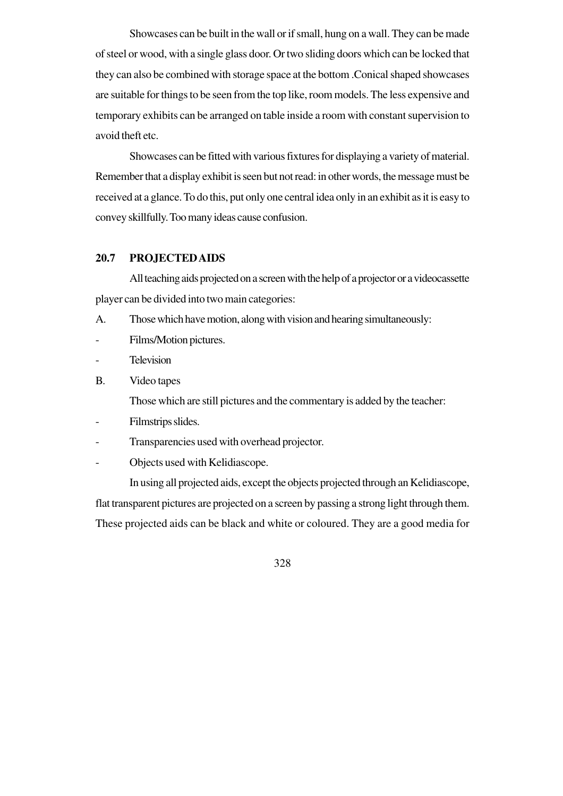Showcases can be built in the wall or if small, hung on a wall. They can be made of steel or wood, with a single glass door. Or two sliding doors which can be locked that they can also be combined with storage space at the bottom .Conical shaped showcases are suitable for things to be seen from the top like, room models. The less expensive and temporary exhibits can be arranged on table inside a room with constant supervision to avoid theft etc.

Showcases can be fitted with various fixtures for displaying a variety of material. Remember that a display exhibit is seen but not read: in other words, the message must be received at a glance. To do this, put only one central idea only in an exhibit as it is easy to convey skillfully. Too many ideas cause confusion.

## **20.7 PROJECTED AIDS**

All teaching aids projected on a screen with the help of a projector or a videocassette player can be divided into two main categories:

- A. Those which have motion, along with vision and hearing simultaneously:
- Films/Motion pictures.
- Television
- B. Video tapes

Those which are still pictures and the commentary is added by the teacher:

- Filmstrips slides.
- Transparencies used with overhead projector.
- Objects used with Kelidiascope.

In using all projected aids, except the objects projected through an Kelidiascope, flat transparent pictures are projected on a screen by passing a strong light through them. These projected aids can be black and white or coloured. They are a good media for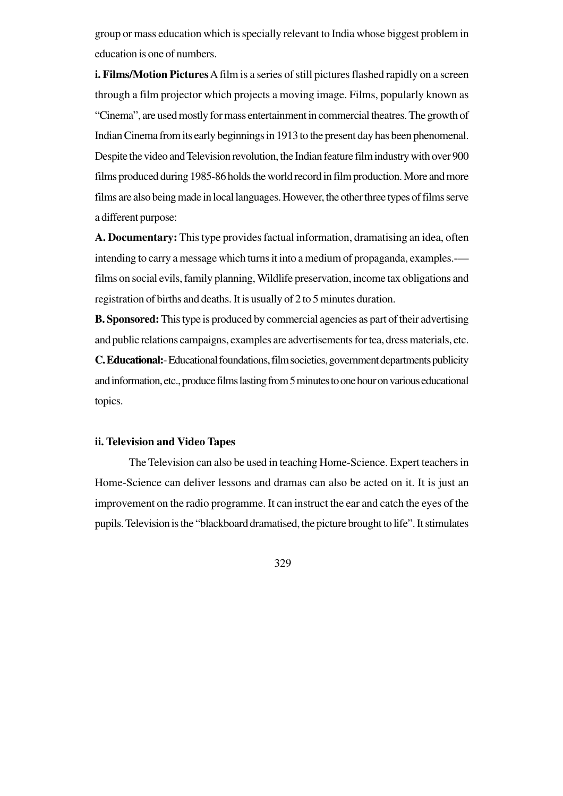group or mass education which is specially relevant to India whose biggest problem in education is one of numbers.

**i. Films/Motion Pictures** A film is a series of still pictures flashed rapidly on a screen through a film projector which projects a moving image. Films, popularly known as "Cinema", are used mostly for mass entertainment in commercial theatres. The growth of Indian Cinema from its early beginnings in 1913 to the present day has been phenomenal. Despite the video and Television revolution, the Indian feature film industry with over 900 films produced during 1985-86 holds the world record in film production. More and more films are also being made in local languages. However, the other three types of films serve a different purpose:

**A. Documentary:** This type provides factual information, dramatising an idea, often intending to carry a message which turns it into a medium of propaganda, examples.- films on social evils, family planning, Wildlife preservation, income tax obligations and registration of births and deaths. It is usually of 2 to 5 minutes duration.

**B. Sponsored:** This type is produced by commercial agencies as part of their advertising and public relations campaigns, examples are advertisements for tea, dress materials, etc. **C. Educational:**- Educational foundations, film societies, government departments publicity

and information, etc., produce films lasting from 5 minutes to one hour on various educational topics.

#### **ii. Television and Video Tapes**

The Television can also be used in teaching Home-Science. Expert teachers in Home-Science can deliver lessons and dramas can also be acted on it. It is just an improvement on the radio programme. It can instruct the ear and catch the eyes of the pupils. Television is the "blackboard dramatised, the picture brought to life". It stimulates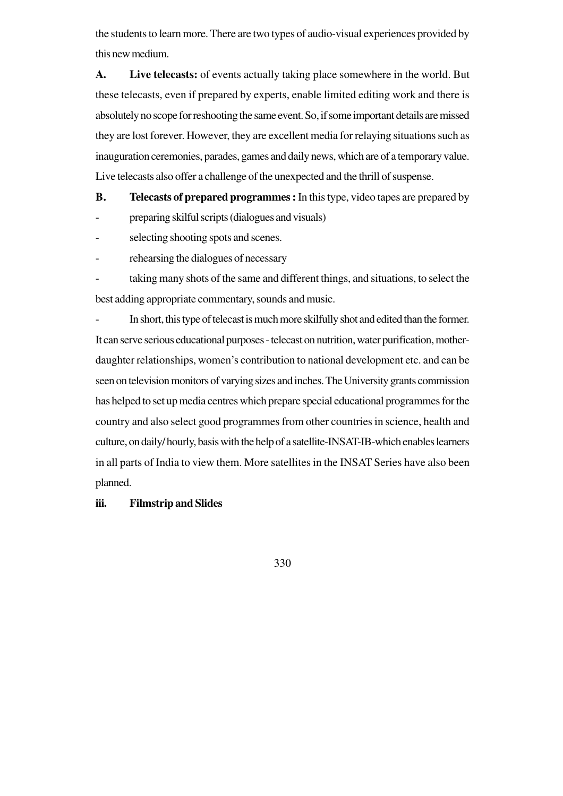the students to learn more. There are two types of audio-visual experiences provided by this new medium.

**A. Live telecasts:** of events actually taking place somewhere in the world. But these telecasts, even if prepared by experts, enable limited editing work and there is absolutely no scope for reshooting the same event. So, if some important details are missed they are lost forever. However, they are excellent media for relaying situations such as inauguration ceremonies, parades, games and daily news, which are of a temporary value. Live telecasts also offer a challenge of the unexpected and the thrill of suspense.

**B. Telecasts of prepared programmes :** In this type, video tapes are prepared by

- preparing skilful scripts (dialogues and visuals)
- selecting shooting spots and scenes.
- rehearsing the dialogues of necessary

taking many shots of the same and different things, and situations, to select the best adding appropriate commentary, sounds and music.

In short, this type of telecast is much more skilfully shot and edited than the former. It can serve serious educational purposes - telecast on nutrition, water purification, motherdaughter relationships, women's contribution to national development etc. and can be seen on television monitors of varying sizes and inches. The University grants commission has helped to set up media centres which prepare special educational programmes for the country and also select good programmes from other countries in science, health and culture, on daily/ hourly, basis with the help of a satellite-INSAT-IB-which enables learners in all parts of India to view them. More satellites in the INSAT Series have also been planned.

# **iii. Filmstrip and Slides**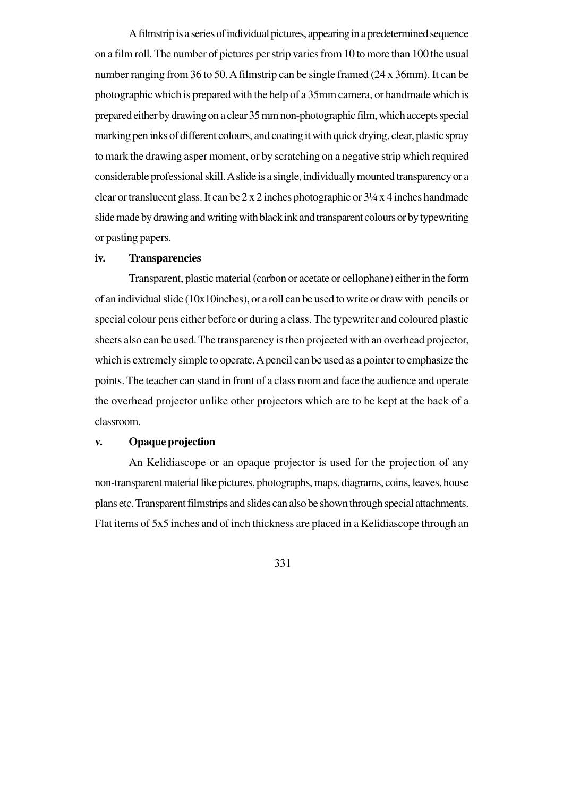A filmstrip is a series of individual pictures, appearing in a predetermined sequence on a film roll. The number of pictures per strip varies from 10 to more than 100 the usual number ranging from 36 to 50. A filmstrip can be single framed (24 x 36mm). It can be photographic which is prepared with the help of a 35mm camera, or handmade which is prepared either by drawing on a clear 35 mm non-photographic film, which accepts special marking pen inks of different colours, and coating it with quick drying, clear, plastic spray to mark the drawing asper moment, or by scratching on a negative strip which required considerable professional skill. A slide is a single, individually mounted transparency or a clear or translucent glass. It can be 2 x 2 inches photographic or 3¼ x 4 inches handmade slide made by drawing and writing with black ink and transparent colours or by typewriting or pasting papers.

#### **iv. Transparencies**

Transparent, plastic material (carbon or acetate or cellophane) either in the form of an individual slide (10x10inches), or a roll can be used to write or draw with pencils or special colour pens either before or during a class. The typewriter and coloured plastic sheets also can be used. The transparency is then projected with an overhead projector, which is extremely simple to operate. A pencil can be used as a pointer to emphasize the points. The teacher can stand in front of a class room and face the audience and operate the overhead projector unlike other projectors which are to be kept at the back of a classroom.

## **v. Opaque projection**

An Kelidiascope or an opaque projector is used for the projection of any non-transparent material like pictures, photographs, maps, diagrams, coins, leaves, house plans etc. Transparent filmstrips and slides can also be shown through special attachments. Flat items of 5x5 inches and of inch thickness are placed in a Kelidiascope through an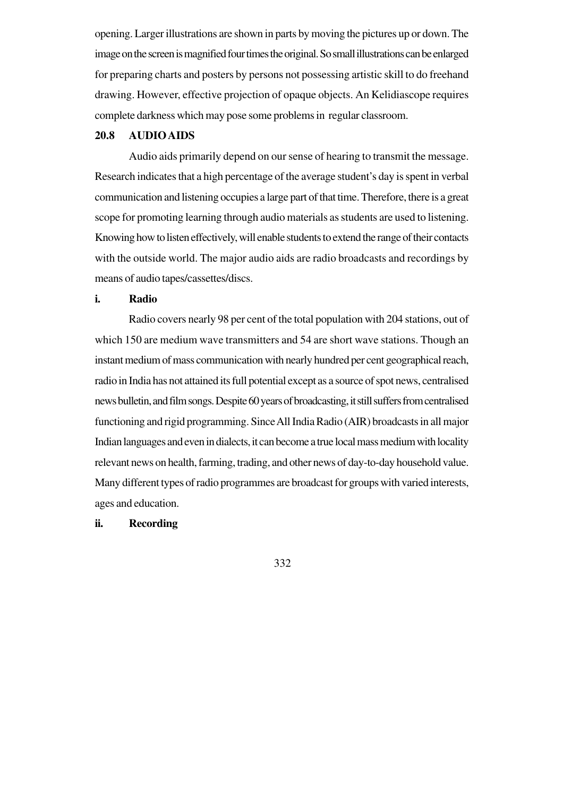opening. Larger illustrations are shown in parts by moving the pictures up or down. The image on the screen is magnified four times the original. So small illustrations can be enlarged for preparing charts and posters by persons not possessing artistic skill to do freehand drawing. However, effective projection of opaque objects. An Kelidiascope requires complete darkness which may pose some problems in regular classroom.

#### **20.8 AUDIO AIDS**

Audio aids primarily depend on our sense of hearing to transmit the message. Research indicates that a high percentage of the average student's day is spent in verbal communication and listening occupies a large part of that time. Therefore, there is a great scope for promoting learning through audio materials as students are used to listening. Knowing how to listen effectively, will enable students to extend the range of their contacts with the outside world. The major audio aids are radio broadcasts and recordings by means of audio tapes/cassettes/discs.

#### **i. Radio**

Radio covers nearly 98 per cent of the total population with 204 stations, out of which 150 are medium wave transmitters and 54 are short wave stations. Though an instant medium of mass communication with nearly hundred per cent geographical reach, radio in India has not attained its full potential except as a source of spot news, centralised news bulletin, and film songs. Despite 60 years of broadcasting, it still suffers from centralised functioning and rigid programming. Since All India Radio (AIR) broadcasts in all major Indian languages and even in dialects, it can become a true local mass medium with locality relevant news on health, farming, trading, and other news of day-to-day household value. Many different types of radio programmes are broadcast for groups with varied interests, ages and education.

#### **ii. Recording**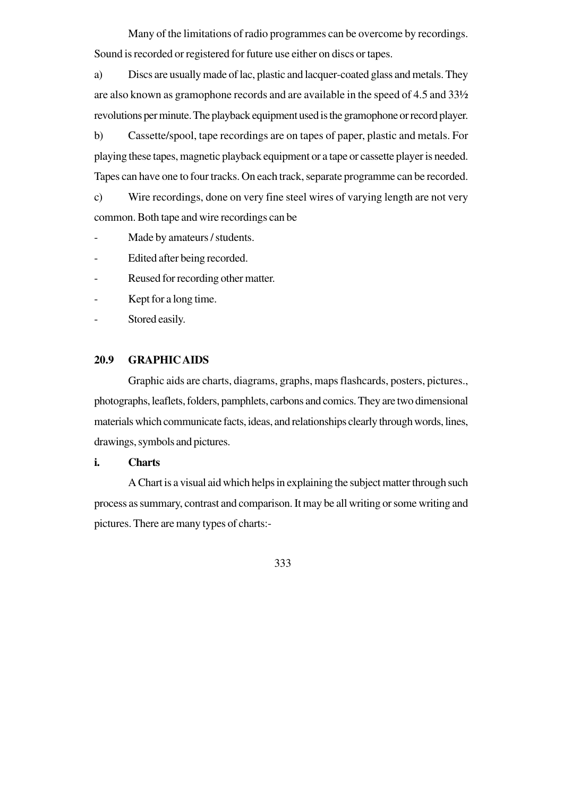Many of the limitations of radio programmes can be overcome by recordings. Sound is recorded or registered for future use either on discs or tapes.

a) Discs are usually made of lac, plastic and lacquer-coated glass and metals. They are also known as gramophone records and are available in the speed of 4.5 and 33½ revolutions per minute. The playback equipment used is the gramophone or record player.

b) Cassette/spool, tape recordings are on tapes of paper, plastic and metals. For playing these tapes, magnetic playback equipment or a tape or cassette player is needed. Tapes can have one to four tracks. On each track, separate programme can be recorded.

c) Wire recordings, done on very fine steel wires of varying length are not very common. Both tape and wire recordings can be

Made by amateurs / students.

Edited after being recorded.

- Reused for recording other matter.

- Kept for a long time.

- Stored easily.

# **20.9 GRAPHIC AIDS**

Graphic aids are charts, diagrams, graphs, maps flashcards, posters, pictures., photographs, leaflets, folders, pamphlets, carbons and comics. They are two dimensional materials which communicate facts, ideas, and relationships clearly through words, lines, drawings, symbols and pictures.

# **i. Charts**

A Chart is a visual aid which helps in explaining the subject matter through such process as summary, contrast and comparison. It may be all writing or some writing and pictures. There are many types of charts:-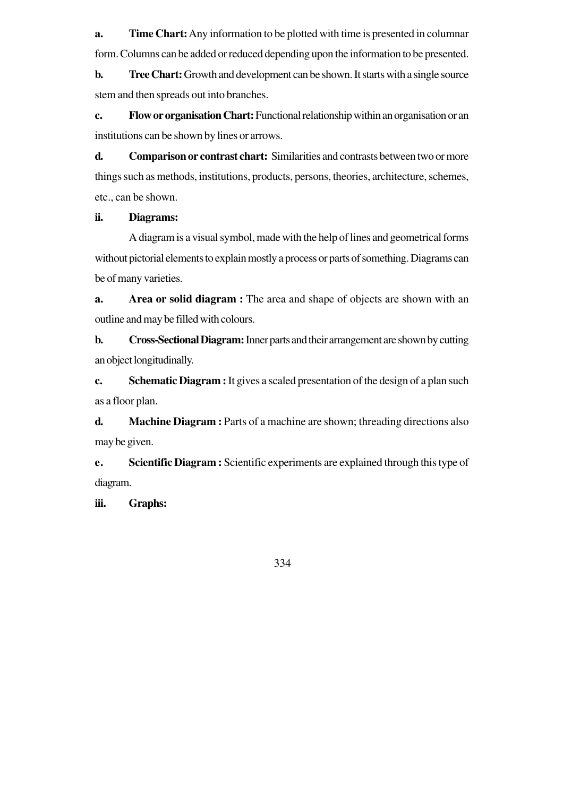**a. Time Chart:**Any information to be plotted with time is presented in columnar form. Columns can be added or reduced depending upon the information to be presented.

**b. Tree Chart:** Growth and development can be shown. It starts with a single source stem and then spreads out into branches.

**c. Flow or organisation Chart:** Functional relationship within an organisation or an institutions can be shown by lines or arrows.

**d. Comparison or contrast chart:** Similarities and contrasts between two or more things such as methods, institutions, products, persons, theories, architecture, schemes, etc., can be shown.

## **ii. Diagrams:**

A diagram is a visual symbol, made with the help of lines and geometrical forms without pictorial elements to explain mostly a process or parts of something. Diagrams can be of many varieties.

**a. Area or solid diagram :** The area and shape of objects are shown with an outline and may be filled with colours.

**b. Cross-Sectional Diagram:** Inner parts and their arrangement are shown by cutting an object longitudinally.

**c. Schematic Diagram :** It gives a scaled presentation of the design of a plan such as a floor plan.

**d. Machine Diagram :** Parts of a machine are shown; threading directions also may be given.

**e. Scientific Diagram :** Scientific experiments are explained through this type of diagram.

**iii. Graphs:**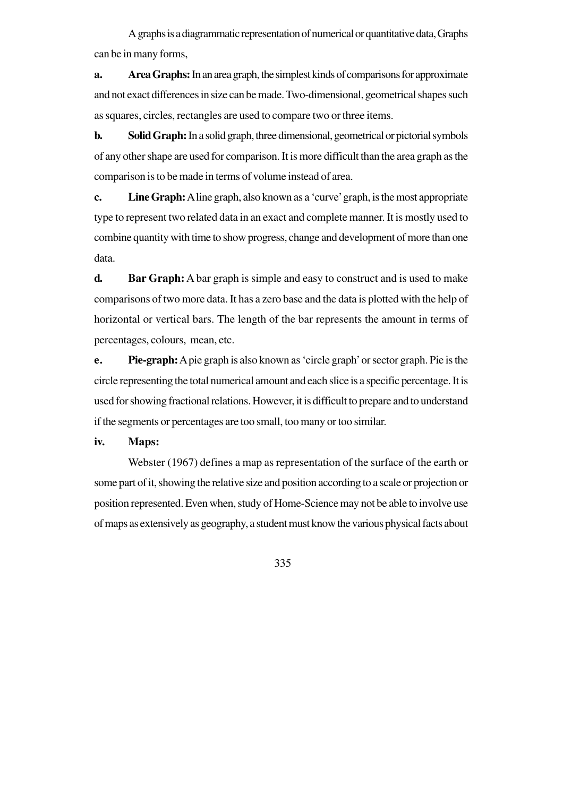A graphs is a diagrammatic representation of numerical or quantitative data, Graphs can be in many forms,

**a. Area Graphs:** In an area graph, the simplest kinds of comparisons for approximate and not exact differences in size can be made. Two-dimensional, geometrical shapes such as squares, circles, rectangles are used to compare two or three items.

**b. Solid Graph:** In a solid graph, three dimensional, geometrical or pictorial symbols of any other shape are used for comparison. It is more difficult than the area graph as the comparison is to be made in terms of volume instead of area.

**c. Line Graph:** A line graph, also known as a 'curve' graph, is the most appropriate type to represent two related data in an exact and complete manner. It is mostly used to combine quantity with time to show progress, change and development of more than one data.

**d. Bar Graph:** A bar graph is simple and easy to construct and is used to make comparisons of two more data. It has a zero base and the data is plotted with the help of horizontal or vertical bars. The length of the bar represents the amount in terms of percentages, colours, mean, etc.

**e. Pie-graph:** A pie graph is also known as 'circle graph' or sector graph. Pie is the circle representing the total numerical amount and each slice is a specific percentage. It is used for showing fractional relations. However, it is difficult to prepare and to understand if the segments or percentages are too small, too many or too similar.

**iv. Maps:**

Webster (1967) defines a map as representation of the surface of the earth or some part of it, showing the relative size and position according to a scale or projection or position represented. Even when, study of Home-Science may not be able to involve use of maps as extensively as geography, a student must know the various physical facts about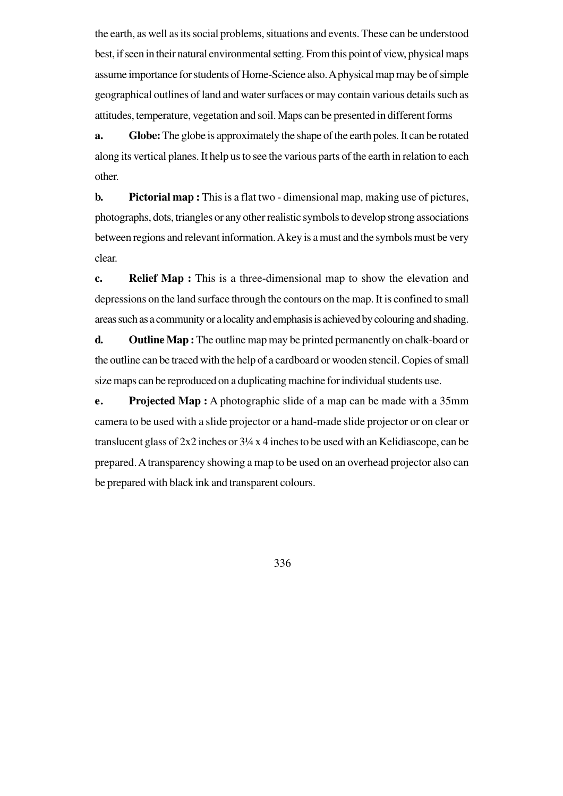the earth, as well as its social problems, situations and events. These can be understood best, if seen in their natural environmental setting. From this point of view, physical maps assume importance for students of Home-Science also. A physical map may be of simple geographical outlines of land and water surfaces or may contain various details such as attitudes, temperature, vegetation and soil. Maps can be presented in different forms

**a. Globe:** The globe is approximately the shape of the earth poles. It can be rotated along its vertical planes. It help us to see the various parts of the earth in relation to each other.

**b. Pictorial map :** This is a flat two - dimensional map, making use of pictures, photographs, dots, triangles or any other realistic symbols to develop strong associations between regions and relevant information. A key is a must and the symbols must be very clear.

**c. Relief Map :** This is a three-dimensional map to show the elevation and depressions on the land surface through the contours on the map. It is confined to small areas such as a community or a locality and emphasis is achieved by colouring and shading.

**d. Outline Map :** The outline map may be printed permanently on chalk-board or the outline can be traced with the help of a cardboard or wooden stencil. Copies of small size maps can be reproduced on a duplicating machine for individual students use.

**e. Projected Map :** A photographic slide of a map can be made with a 35mm camera to be used with a slide projector or a hand-made slide projector or on clear or translucent glass of 2x2 inches or 3¼ x 4 inches to be used with an Kelidiascope, can be prepared. A transparency showing a map to be used on an overhead projector also can be prepared with black ink and transparent colours.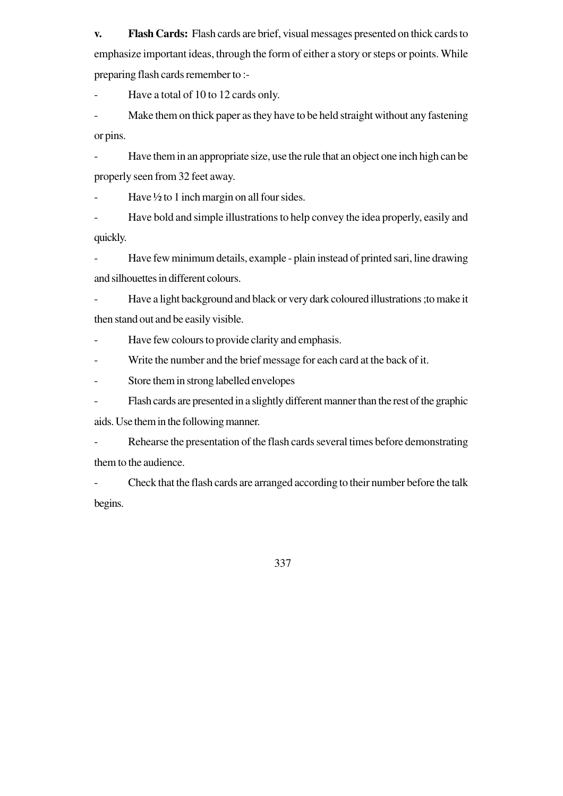**v. Flash Cards:** Flash cards are brief, visual messages presented on thick cards to emphasize important ideas, through the form of either a story or steps or points. While preparing flash cards remember to :-

Have a total of 10 to 12 cards only.

Make them on thick paper as they have to be held straight without any fastening or pins.

- Have them in an appropriate size, use the rule that an object one inch high can be properly seen from 32 feet away.

Have  $\frac{1}{2}$  to 1 inch margin on all four sides.

Have bold and simple illustrations to help convey the idea properly, easily and quickly.

- Have few minimum details, example - plain instead of printed sari, line drawing and silhouettes in different colours.

- Have a light background and black or very dark coloured illustrations ;to make it then stand out and be easily visible.

- Have few colours to provide clarity and emphasis.

- Write the number and the brief message for each card at the back of it.

- Store them in strong labelled envelopes

- Flash cards are presented in a slightly different manner than the rest of the graphic

aids. Use them in the following manner.

- Rehearse the presentation of the flash cards several times before demonstrating them to the audience.

- Check that the flash cards are arranged according to their number before the talk begins.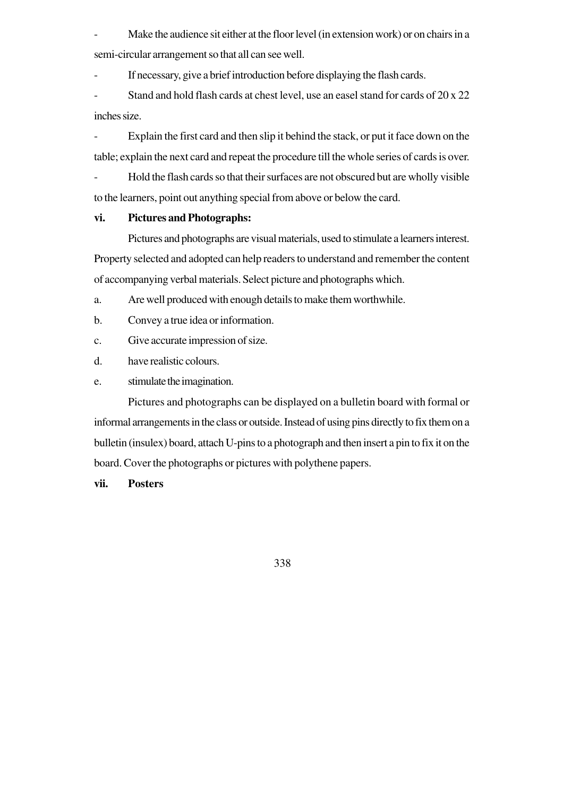Make the audience sit either at the floor level (in extension work) or on chairs in a semi-circular arrangement so that all can see well.

If necessary, give a brief introduction before displaying the flash cards.

Stand and hold flash cards at chest level, use an easel stand for cards of 20 x 22 inches size.

- Explain the first card and then slip it behind the stack, or put it face down on the table; explain the next card and repeat the procedure till the whole series of cards is over.

- Hold the flash cards so that their surfaces are not obscured but are wholly visible to the learners, point out anything special from above or below the card.

# **vi. Pictures and Photographs:**

Pictures and photographs are visual materials, used to stimulate a learners interest. Property selected and adopted can help readers to understand and remember the content of accompanying verbal materials. Select picture and photographs which.

a. Are well produced with enough details to make them worthwhile.

b. Convey a true idea or information.

c. Give accurate impression of size.

d. have realistic colours.

e. stimulate the imagination.

Pictures and photographs can be displayed on a bulletin board with formal or informal arrangements in the class or outside. Instead of using pins directly to fix them on a bulletin (insulex) board, attach U-pins to a photograph and then insert a pin to fix it on the board. Cover the photographs or pictures with polythene papers.

## **vii. Posters**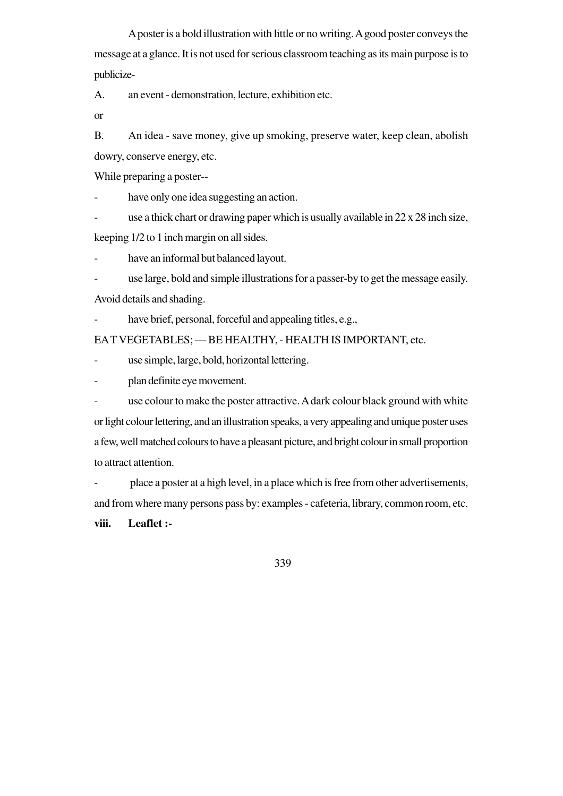A poster is a bold illustration with little or no writing. A good poster conveys the message at a glance. It is not used for serious classroom teaching as its main purpose is to publicize-

A. an event - demonstration, lecture, exhibition etc.

or

B. An idea - save money, give up smoking, preserve water, keep clean, abolish dowry, conserve energy, etc.

While preparing a poster--

have only one idea suggesting an action.

use a thick chart or drawing paper which is usually available in  $22 \times 28$  inch size,

keeping 1/2 to 1 inch margin on all sides.

have an informal but balanced layout.

use large, bold and simple illustrations for a passer-by to get the message easily.

Avoid details and shading.

have brief, personal, forceful and appealing titles, e.g.,

EA T VEGETABLES; — BE HEALTHY, - HEALTH IS IMPORTANT, etc.

- use simple, large, bold, horizontal lettering.

- plan definite eye movement.

- use colour to make the poster attractive. A dark colour black ground with white or light colour lettering, and an illustration speaks, a very appealing and unique poster uses a few, well matched colours to have a pleasant picture, and bright colour in small proportion to attract attention.

- place a poster at a high level, in a place which is free from other advertisements, and from where many persons pass by: examples - cafeteria, library, common room, etc.

**viii. Leaflet :-**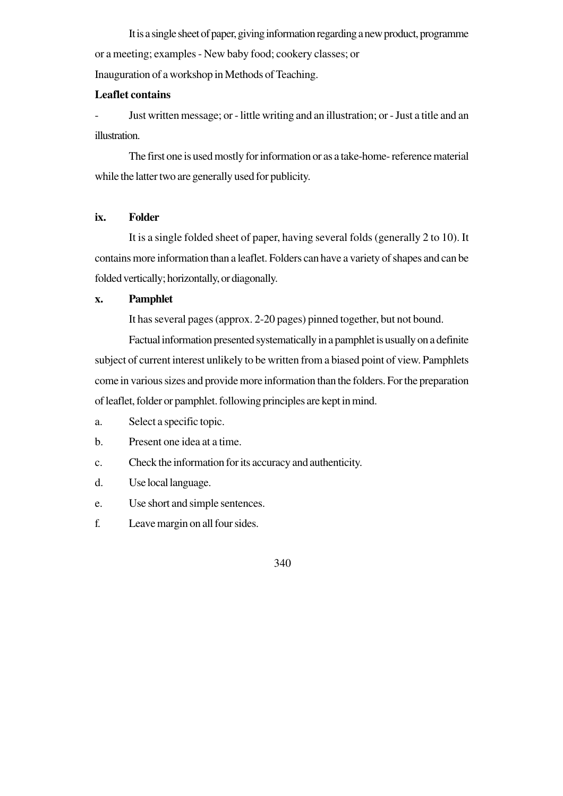It is a single sheet of paper, giving information regarding a new product, programme or a meeting; examples - New baby food; cookery classes; or Inauguration of a workshop in Methods of Teaching.

## **Leaflet contains**

- Just written message; or - little writing and an illustration; or - Just a title and an illustration.

The first one is used mostly for information or as a take-home- reference material while the latter two are generally used for publicity.

#### **ix. Folder**

It is a single folded sheet of paper, having several folds (generally 2 to 10). It contains more information than a leaflet. Folders can have a variety of shapes and can be folded vertically; horizontally, or diagonally.

## **x. Pamphlet**

It has several pages (approx. 2-20 pages) pinned together, but not bound.

Factual information presented systematically in a pamphlet is usually on a definite subject of current interest unlikely to be written from a biased point of view. Pamphlets come in various sizes and provide more information than the folders. For the preparation of leaflet, folder or pamphlet. following principles are kept in mind.

- a. Select a specific topic.
- b. Present one idea at a time.
- c. Check the information for its accuracy and authenticity.
- d. Use local language.
- e. Use short and simple sentences.
- f. Leave margin on all four sides.

<sup>340</sup>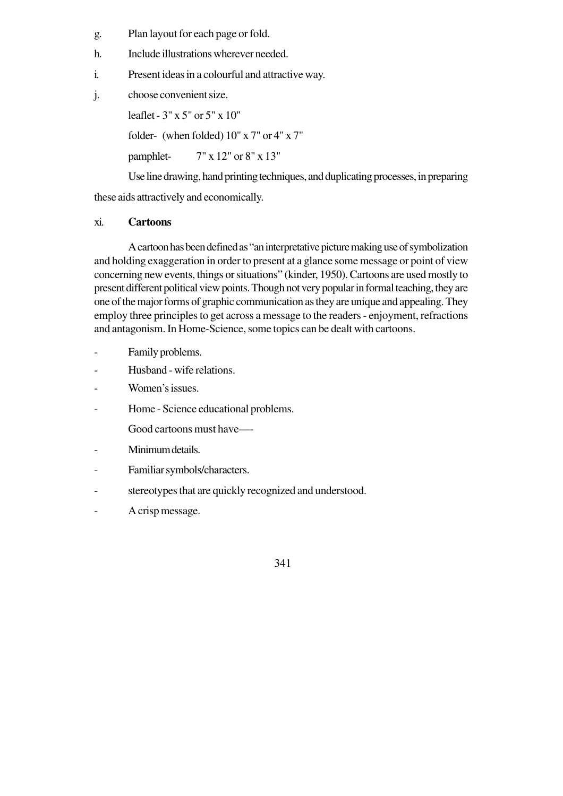- g. Plan layout for each page or fold.
- h. Include illustrations wherever needed.
- i. Present ideas in a colourful and attractive way.
- j. choose convenient size.

leaflet - 3" x 5" or 5" x 10" folder- (when folded) 10" x 7" or 4" x 7" pamphlet- 7" x 12" or 8" x 13"

Use line drawing, hand printing techniques, and duplicating processes, in preparing

these aids attractively and economically.

#### xi. **Cartoons**

A cartoon has been defined as "an interpretative picture making use of symbolization and holding exaggeration in order to present at a glance some message or point of view concerning new events, things or situations" (kinder, 1950). Cartoons are used mostly to present different political view points. Though not very popular in formal teaching, they are one of the major forms of graphic communication as they are unique and appealing. They employ three principles to get across a message to the readers - enjoyment, refractions and antagonism. In Home-Science, some topics can be dealt with cartoons.

- Family problems.
- Husband wife relations.
- Women's issues.
- Home Science educational problems.
	- Good cartoons must have—-
- Minimum details.
- Familiar symbols/characters.
- stereotypes that are quickly recognized and understood.
- A crisp message.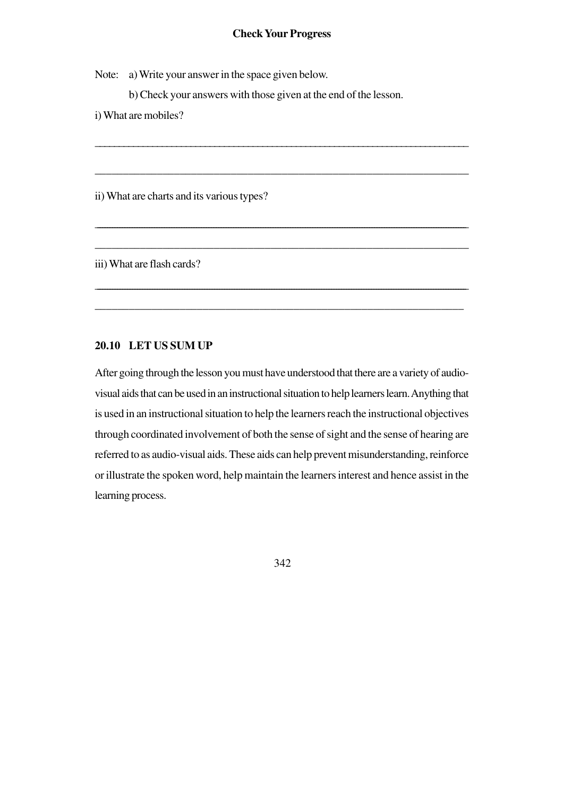#### **Check Your Progress**

\_\_\_\_\_\_\_\_\_\_\_\_\_\_\_\_\_\_\_\_\_\_\_\_\_\_\_\_\_\_\_\_\_\_\_\_\_\_\_\_\_\_\_\_\_\_\_\_\_\_\_\_\_\_\_\_\_\_\_\_\_\_\_\_\_\_\_\_\_\_\_\_\_\_\_\_\_\_

\_\_\_\_\_\_\_\_\_\_\_\_\_\_\_\_\_\_\_\_\_\_\_\_\_\_\_\_\_\_\_\_\_\_\_\_\_\_\_\_\_\_\_\_\_\_\_\_\_\_\_\_\_\_\_\_\_\_\_\_\_\_\_\_\_\_

\_\_\_\_\_\_\_\_\_\_\_\_\_\_\_\_\_\_\_\_\_\_\_\_\_\_\_\_\_\_\_\_\_\_\_\_\_\_\_\_\_\_\_\_\_\_\_\_\_\_\_\_\_\_\_\_\_\_\_\_\_\_\_\_\_\_\_\_\_\_\_\_\_\_\_\_\_\_\_\_\_\_\_\_\_\_\_\_\_\_\_\_\_\_\_\_\_\_\_\_\_\_\_\_\_\_\_\_\_\_\_\_\_\_\_\_\_\_\_\_\_\_\_\_\_\_\_\_\_\_\_\_\_\_\_\_\_\_\_\_\_\_\_\_\_\_\_\_\_\_

\_\_\_\_\_\_\_\_\_\_\_\_\_\_\_\_\_\_\_\_\_\_\_\_\_\_\_\_\_\_\_\_\_\_\_\_\_\_\_\_\_\_\_\_\_\_\_\_\_\_\_\_\_\_\_\_\_\_\_\_\_\_\_\_\_\_

\_\_\_\_\_\_\_\_\_\_\_\_\_\_\_\_\_\_\_\_\_\_\_\_\_\_\_\_\_\_\_\_\_\_\_\_\_\_\_\_\_\_\_\_\_\_\_\_\_\_\_\_\_\_\_\_\_\_\_\_\_\_\_\_\_\_\_\_\_\_\_\_\_\_\_\_\_\_\_\_\_\_\_\_\_\_\_\_\_\_\_\_\_\_\_\_\_\_\_\_\_\_\_\_\_\_\_\_\_\_\_\_\_\_\_\_\_\_\_\_\_\_\_\_\_\_\_\_\_\_\_\_\_\_\_\_\_\_\_\_\_\_\_\_\_\_\_\_\_

\_\_\_\_\_\_\_\_\_\_\_\_\_\_\_\_\_\_\_\_\_\_\_\_\_\_\_\_\_\_\_\_\_\_\_\_\_\_\_\_\_\_\_\_\_\_\_\_\_\_\_\_\_\_\_\_\_\_\_\_\_\_\_\_\_

Note: a) Write your answer in the space given below.

b) Check your answers with those given at the end of the lesson.

i) What are mobiles?

ii) What are charts and its various types?

iii) What are flash cards?

#### **20.10 LET US SUM UP**

After going through the lesson you must have understood that there are a variety of audiovisual aids that can be used in an instructional situation to help learners learn. Anything that is used in an instructional situation to help the learners reach the instructional objectives through coordinated involvement of both the sense of sight and the sense of hearing are referred to as audio-visual aids. These aids can help prevent misunderstanding, reinforce or illustrate the spoken word, help maintain the learners interest and hence assist in the learning process.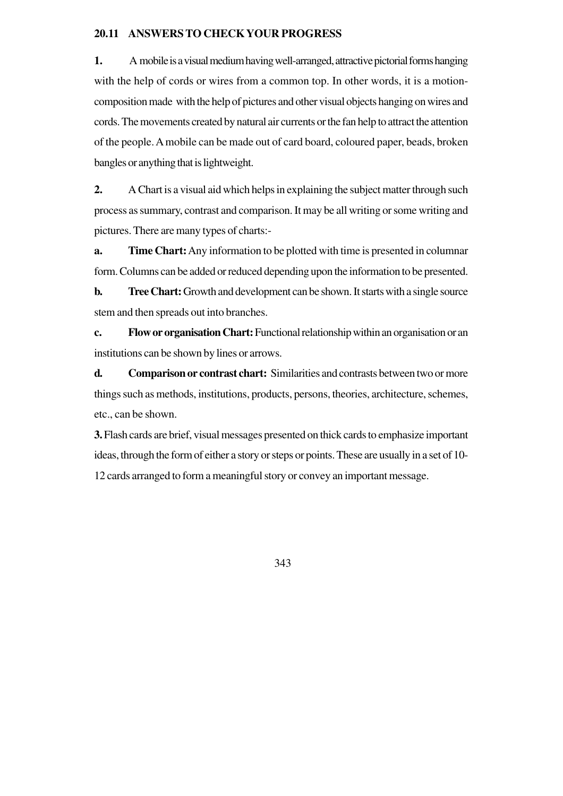#### **20.11 ANSWERS TO CHECK YOUR PROGRESS**

**1.** A mobile is a visual medium having well-arranged, attractive pictorial forms hanging with the help of cords or wires from a common top. In other words, it is a motioncomposition made with the help of pictures and other visual objects hanging on wires and cords. The movements created by natural air currents or the fan help to attract the attention of the people. A mobile can be made out of card board, coloured paper, beads, broken bangles or anything that is lightweight.

**2.** A Chart is a visual aid which helps in explaining the subject matter through such process as summary, contrast and comparison. It may be all writing or some writing and pictures. There are many types of charts:-

**a. Time Chart:**Any information to be plotted with time is presented in columnar form. Columns can be added or reduced depending upon the information to be presented.

**b. Tree Chart:** Growth and development can be shown. It starts with a single source stem and then spreads out into branches.

**c. Flow or organisation Chart:** Functional relationship within an organisation or an institutions can be shown by lines or arrows.

**d. Comparison or contrast chart:** Similarities and contrasts between two or more things such as methods, institutions, products, persons, theories, architecture, schemes, etc., can be shown.

**3.** Flash cards are brief, visual messages presented on thick cards to emphasize important ideas, through the form of either a story or steps or points. These are usually in a set of 10- 12 cards arranged to form a meaningful story or convey an important message.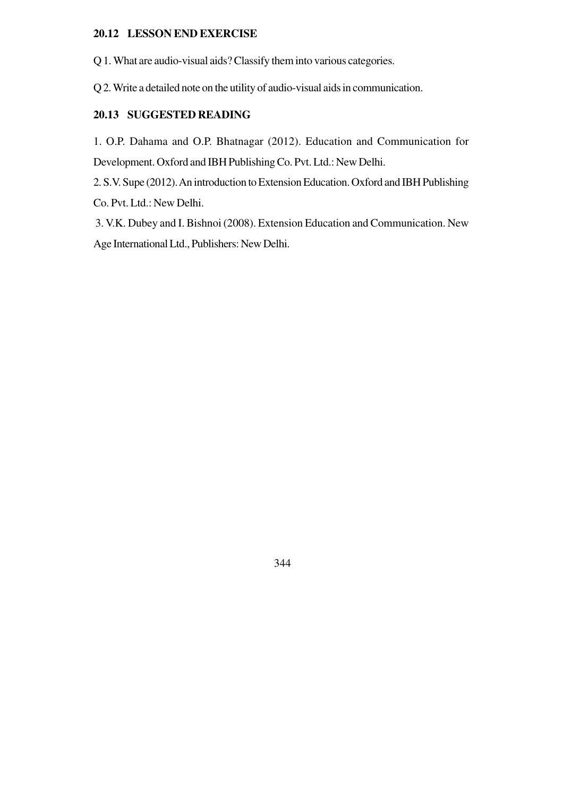## **20.12 LESSON END EXERCISE**

Q 1. What are audio-visual aids? Classify them into various categories.

Q 2. Write a detailed note on the utility of audio-visual aids in communication.

# **20.13 SUGGESTED READING**

1. O.P. Dahama and O.P. Bhatnagar (2012). Education and Communication for Development. Oxford and IBH Publishing Co. Pvt. Ltd.: New Delhi.

2. S.V. Supe (2012). An introduction to Extension Education. Oxford and IBH Publishing Co. Pvt. Ltd.: New Delhi.

 3. V.K. Dubey and I. Bishnoi (2008). Extension Education and Communication. New Age International Ltd., Publishers: New Delhi.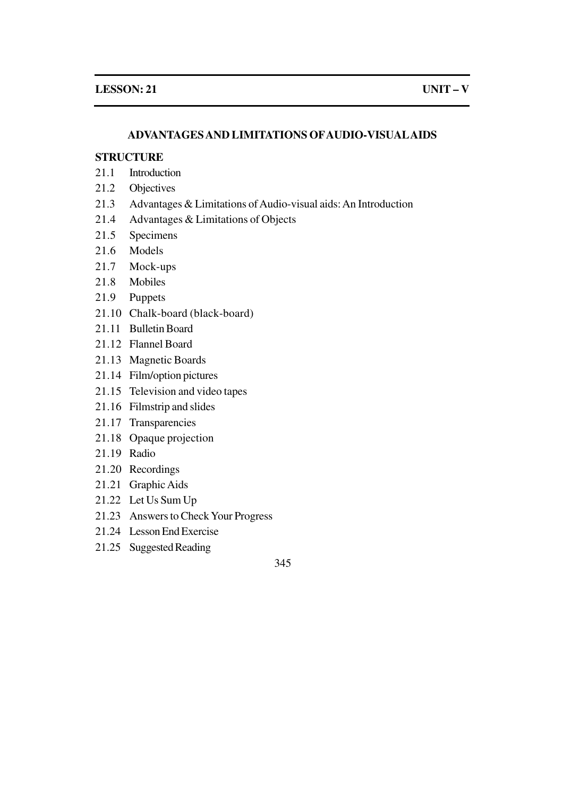## **ADVANTAGES AND LIMITATIONS OFAUDIO-VISUALAIDS**

# **STRUCTURE**

- 21.1 Introduction
- 21.2 Objectives
- 21.3 Advantages & Limitations of Audio-visual aids: An Introduction
- 21.4 Advantages & Limitations of Objects
- 21.5 Specimens
- 21.6 Models
- 21.7 Mock-ups
- 21.8 Mobiles
- 21.9 Puppets
- 21.10 Chalk-board (black-board)
- 21.11 Bulletin Board
- 21.12 Flannel Board
- 21.13 Magnetic Boards
- 21.14 Film/option pictures
- 21.15 Television and video tapes
- 21.16 Filmstrip and slides
- 21.17 Transparencies
- 21.18 Opaque projection
- 21.19 Radio
- 21.20 Recordings
- 21.21 Graphic Aids
- 21.22 Let Us Sum Up
- 21.23 Answers to Check Your Progress
- 21.24 Lesson End Exercise
- 21.25 Suggested Reading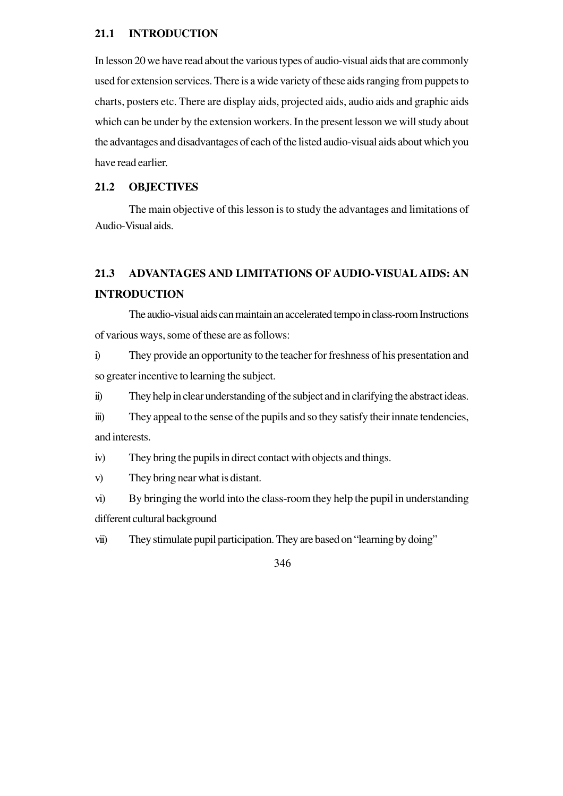#### **21.1 INTRODUCTION**

In lesson 20 we have read about the various types of audio-visual aids that are commonly used for extension services. There is a wide variety of these aids ranging from puppets to charts, posters etc. There are display aids, projected aids, audio aids and graphic aids which can be under by the extension workers. In the present lesson we will study about the advantages and disadvantages of each of the listed audio-visual aids about which you have read earlier.

# **21.2 OBJECTIVES**

The main objective of this lesson is to study the advantages and limitations of Audio-Visual aids.

# **21.3 ADVANTAGES AND LIMITATIONS OF AUDIO-VISUAL AIDS: AN INTRODUCTION**

The audio-visual aids can maintain an accelerated tempo in class-room Instructions of various ways, some of these are as follows:

i) They provide an opportunity to the teacher for freshness of his presentation and so greater incentive to learning the subject.

ii) They help in clear understanding of the subject and in clarifying the abstract ideas.

iii) They appeal to the sense of the pupils and so they satisfy their innate tendencies, and interests.

iv) They bring the pupils in direct contact with objects and things.

v) They bring near what is distant.

vi) By bringing the world into the class-room they help the pupil in understanding different cultural background

vii) They stimulate pupil participation. They are based on "learning by doing"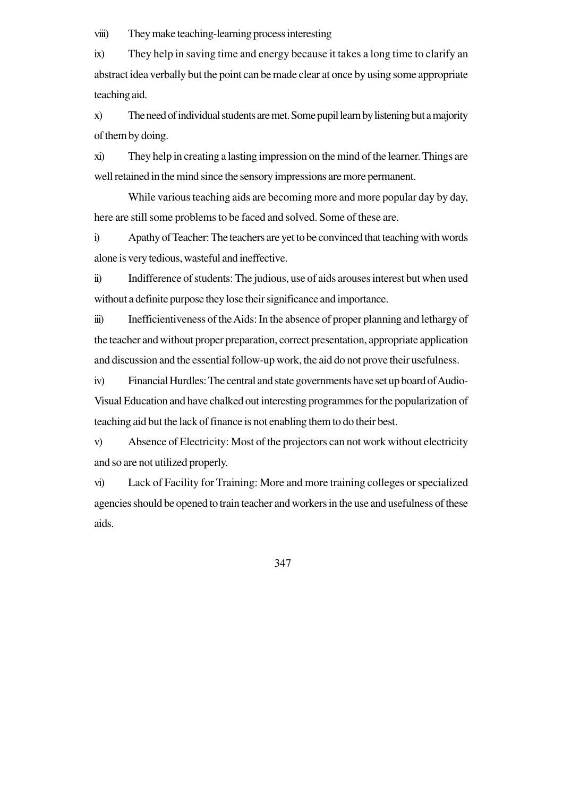viii) They make teaching-learning process interesting

ix) They help in saving time and energy because it takes a long time to clarify an abstract idea verbally but the point can be made clear at once by using some appropriate teaching aid.

x) The need of individual students are met. Some pupil learn by listening but a majority of them by doing.

xi) They help in creating a lasting impression on the mind of the learner. Things are well retained in the mind since the sensory impressions are more permanent.

While various teaching aids are becoming more and more popular day by day, here are still some problems to be faced and solved. Some of these are.

i) Apathy of Teacher: The teachers are yet to be convinced that teaching with words alone is very tedious, wasteful and ineffective.

ii) Indifference of students: The judious, use of aids arouses interest but when used without a definite purpose they lose their significance and importance.

iii) Inefficientiveness of the Aids: In the absence of proper planning and lethargy of the teacher and without proper preparation, correct presentation, appropriate application and discussion and the essential follow-up work, the aid do not prove their usefulness.

iv) Financial Hurdles: The central and state governments have set up board of Audio-Visual Education and have chalked out interesting programmes for the popularization of teaching aid but the lack of finance is not enabling them to do their best.

v) Absence of Electricity: Most of the projectors can not work without electricity and so are not utilized properly.

vi) Lack of Facility for Training: More and more training colleges or specialized agencies should be opened to train teacher and workers in the use and usefulness of these aids.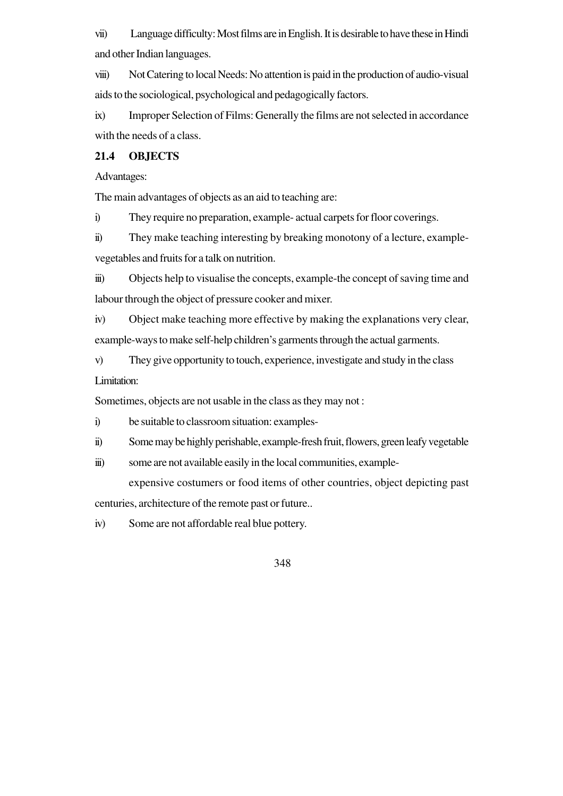vii) Language difficulty: Most films are in English. It is desirable to have these in Hindi and other Indian languages.

viii) Not Catering to local Needs: No attention is paid in the production of audio-visual aids to the sociological, psychological and pedagogically factors.

ix) Improper Selection of Films: Generally the films are not selected in accordance with the needs of a class.

# **21.4 OBJECTS**

Advantages:

The main advantages of objects as an aid to teaching are:

i) They require no preparation, example- actual carpets for floor coverings.

ii) They make teaching interesting by breaking monotony of a lecture, examplevegetables and fruits for a talk on nutrition.

iii) Objects help to visualise the concepts, example-the concept of saving time and labour through the object of pressure cooker and mixer.

iv) Object make teaching more effective by making the explanations very clear, example-ways to make self-help children's garments through the actual garments.

v) They give opportunity to touch, experience, investigate and study in the class Limitation:

Sometimes, objects are not usable in the class as they may not :

i) be suitable to classroom situation: examples-

- ii) Some may be highly perishable, example-fresh fruit, flowers, green leafy vegetable
- iii) some are not available easily in the local communities, example-

expensive costumers or food items of other countries, object depicting past centuries, architecture of the remote past or future..

iv) Some are not affordable real blue pottery.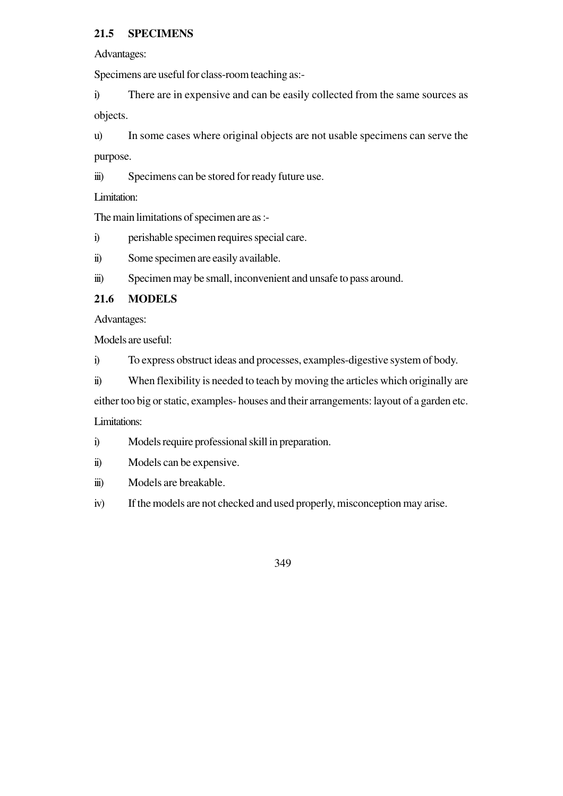# **21.5 SPECIMENS**

Advantages:

Specimens are useful for class-room teaching as:-

i) There are in expensive and can be easily collected from the same sources as objects.

u) In some cases where original objects are not usable specimens can serve the purpose.

iii) Specimens can be stored for ready future use.

Limitation:

The main limitations of specimen are as :-

i) perishable specimen requires special care.

ii) Some specimen are easily available.

iii) Specimen may be small, inconvenient and unsafe to pass around.

# **21.6 MODELS**

Advantages:

Models are useful:

i) To express obstruct ideas and processes, examples-digestive system of body.

ii) When flexibility is needed to teach by moving the articles which originally are

either too big or static, examples- houses and their arrangements: layout of a garden etc.

Limitations:

- i) Models require professional skill in preparation.
- ii) Models can be expensive.
- iii) Models are breakable.
- iv) If the models are not checked and used properly, misconception may arise.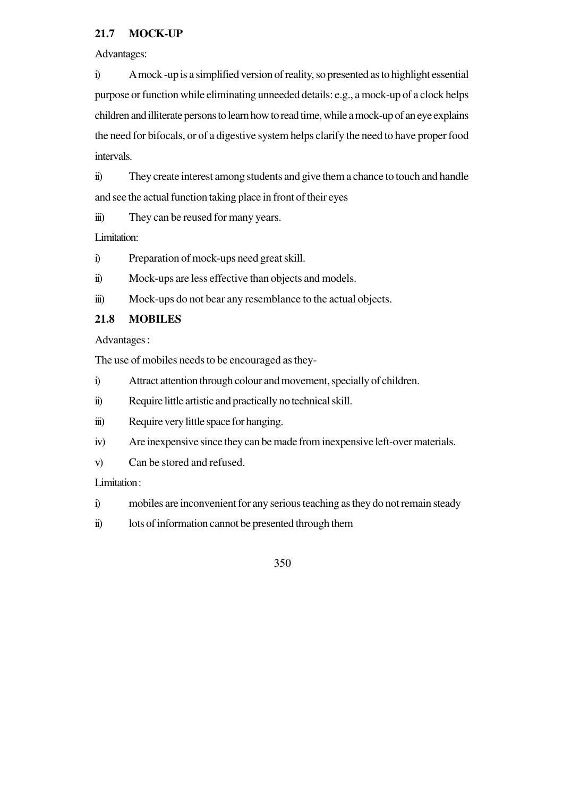# **21.7 MOCK-UP**

Advantages:

i) A mock -up is a simplified version of reality, so presented as to highlight essential purpose or function while eliminating unneeded details: e.g., a mock-up of a clock helps children and illiterate persons to learn how to read time, while a mock-up of an eye explains the need for bifocals, or of a digestive system helps clarify the need to have proper food intervals.

ii) They create interest among students and give them a chance to touch and handle and see the actual function taking place in front of their eyes

iii) They can be reused for many years.

Limitation:

- i) Preparation of mock-ups need great skill.
- ii) Mock-ups are less effective than objects and models.
- iii) Mock-ups do not bear any resemblance to the actual objects.

# **21.8 MOBILES**

Advantages :

The use of mobiles needs to be encouraged as they-

- i) Attract attention through colour and movement, specially of children.
- ii) Require little artistic and practically no technical skill.
- iii) Require very little space for hanging.
- iv) Are inexpensive since they can be made from inexpensive left-over materials.
- v) Can be stored and refused.

Limitation :

- i) mobiles are inconvenient for any serious teaching as they do not remain steady
- ii) lots of information cannot be presented through them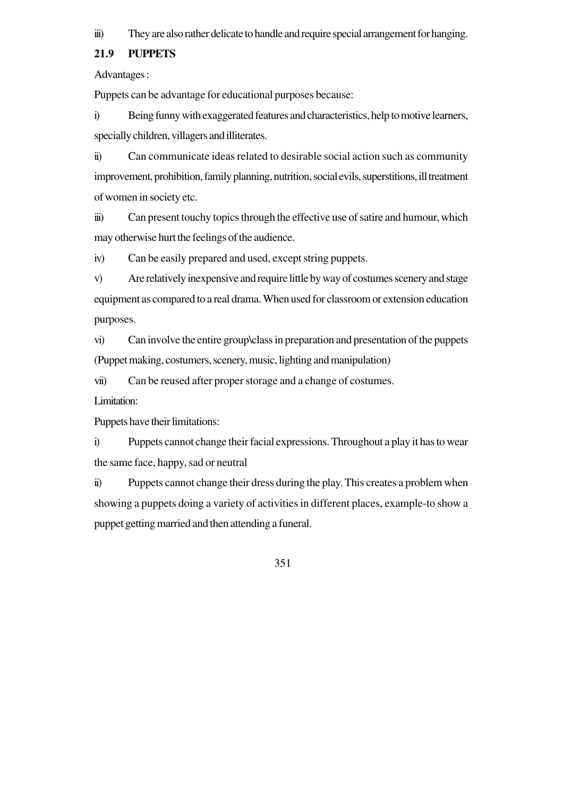iii) They are also rather delicate to handle and require special arrangement for hanging.

#### **21.9 PUPPETS**

Advantages :

Puppets can be advantage for educational purposes because:

i) Being funny with exaggerated features and characteristics, help to motive learners, specially children, villagers and illiterates.

ii) Can communicate ideas related to desirable social action such as community improvement, prohibition, family planning, nutrition, social evils, superstitions, ill treatment of women in society etc.

iii) Can present touchy topics through the effective use of satire and humour, which may otherwise hurt the feelings of the audience.

iv) Can be easily prepared and used, except string puppets.

v) Are relatively inexpensive and require little by way of costumes scenery and stage equipment as compared to a real drama. When used for classroom or extension education purposes.

vi) Can involve the entire group\class in preparation and presentation of the puppets (Puppet making, costumers, scenery, music, lighting and manipulation)

vii) Can be reused after proper storage and a change of costumes.

Limitation:

Puppets have their limitations:

i) Puppets cannot change their facial expressions. Throughout a play it has to wear the same face, happy, sad or neutral

ii) Puppets cannot change their dress during the play. This creates a problem when showing a puppets doing a variety of activities in different places, example-to show a puppet getting married and then attending a funeral.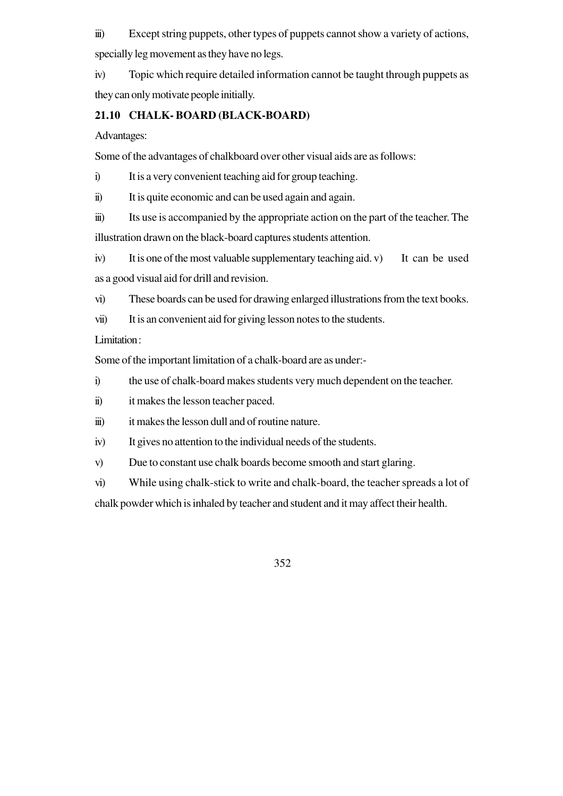iii) Except string puppets, other types of puppets cannot show a variety of actions, specially leg movement as they have no legs.

iv) Topic which require detailed information cannot be taught through puppets as they can only motivate people initially.

# **21.10 CHALK- BOARD (BLACK-BOARD)**

Advantages:

Some of the advantages of chalkboard over other visual aids are as follows:

i) It is a very convenient teaching aid for group teaching.

ii) It is quite economic and can be used again and again.

iii) Its use is accompanied by the appropriate action on the part of the teacher. The illustration drawn on the black-board captures students attention.

iv) It is one of the most valuable supplementary teaching aid. v) It can be used as a good visual aid for drill and revision.

vi) These boards can be used for drawing enlarged illustrations from the text books.

vii) It is an convenient aid for giving lesson notes to the students.

Limitation :

Some of the important limitation of a chalk-board are as under:-

i) the use of chalk-board makes students very much dependent on the teacher.

ii) it makes the lesson teacher paced.

iii) it makes the lesson dull and of routine nature.

iv) It gives no attention to the individual needs of the students.

v) Due to constant use chalk boards become smooth and start glaring.

vi) While using chalk-stick to write and chalk-board, the teacher spreads a lot of

chalk powder which is inhaled by teacher and student and it may affect their health.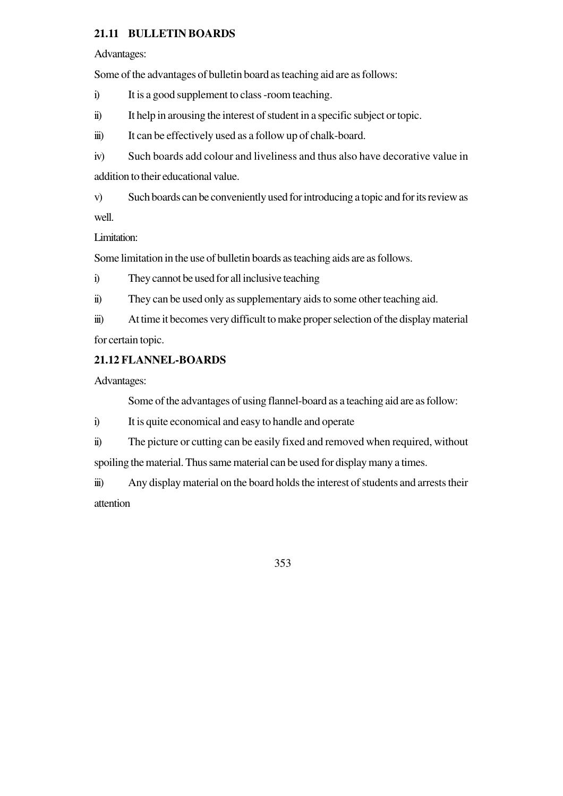# **21.11 BULLETIN BOARDS**

Advantages:

Some of the advantages of bulletin board as teaching aid are as follows:

i) It is a good supplement to class -room teaching.

ii) It help in arousing the interest of student in a specific subject or topic.

iii) It can be effectively used as a follow up of chalk-board.

iv) Such boards add colour and liveliness and thus also have decorative value in addition to their educational value.

v) Such boards can be conveniently used for introducing a topic and for its review as well.

Limitation:

Some limitation in the use of bulletin boards as teaching aids are as follows.

i) They cannot be used for all inclusive teaching

ii) They can be used only as supplementary aids to some other teaching aid.

iii) At time it becomes very difficult to make proper selection of the display material for certain topic.

# **21.12 FLANNEL-BOARDS**

Advantages:

Some of the advantages of using flannel-board as a teaching aid are as follow:

i) It is quite economical and easy to handle and operate

ii) The picture or cutting can be easily fixed and removed when required, without spoiling the material. Thus same material can be used for display many a times.

iii) Any display material on the board holds the interest of students and arrests their attention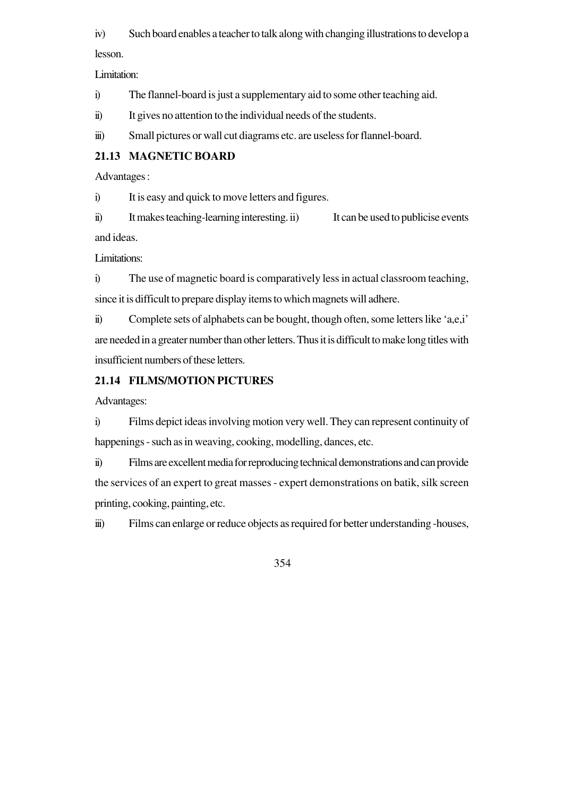iv) Such board enables a teacher to talk along with changing illustrations to develop a lesson.

Limitation:

i) The flannel-board is just a supplementary aid to some other teaching aid.

ii) It gives no attention to the individual needs of the students.

iii) Small pictures or wall cut diagrams etc. are useless for flannel-board.

## **21.13 MAGNETIC BOARD**

Advantages :

i) It is easy and quick to move letters and figures.

ii) It makes teaching-learning interesting. ii) It can be used to publicise events and ideas.

Limitations:

i) The use of magnetic board is comparatively less in actual classroom teaching, since it is difficult to prepare display items to which magnets will adhere.

ii) Complete sets of alphabets can be bought, though often, some letters like 'a,e,i' are needed in a greater number than other letters. Thus it is difficult to make long titles with insufficient numbers of these letters.

## **21.14 FILMS/MOTION PICTURES**

Advantages:

i) Films depict ideas involving motion very well. They can represent continuity of happenings - such as in weaving, cooking, modelling, dances, etc.

ii) Films are excellent media for reproducing technical demonstrations and can provide the services of an expert to great masses - expert demonstrations on batik, silk screen printing, cooking, painting, etc.

iii) Films can enlarge or reduce objects as required for better understanding -houses,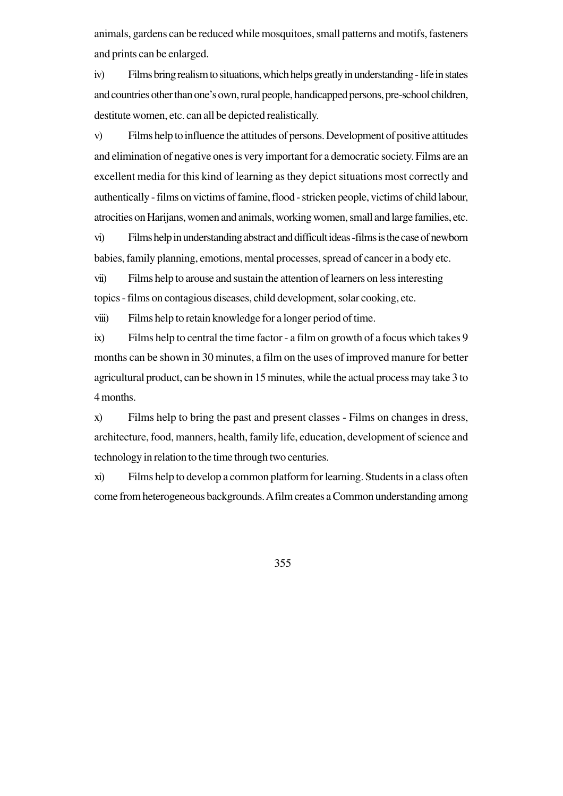animals, gardens can be reduced while mosquitoes, small patterns and motifs, fasteners and prints can be enlarged.

iv) Films bring realism to situations, which helps greatly in understanding - life in states and countries other than one's own, rural people, handicapped persons, pre-school children, destitute women, etc. can all be depicted realistically.

v) Films help to influence the attitudes of persons. Development of positive attitudes and elimination of negative ones is very important for a democratic society. Films are an excellent media for this kind of learning as they depict situations most correctly and authentically - films on victims of famine, flood - stricken people, victims of child labour, atrocities on Harijans, women and animals, working women, small and large families, etc.

vi) Films help in understanding abstract and difficult ideas -films is the case of newborn babies, family planning, emotions, mental processes, spread of cancer in a body etc.

vii) Films help to arouse and sustain the attention of learners on less interesting topics - films on contagious diseases, child development, solar cooking, etc.

viii) Films help to retain knowledge for a longer period of time.

ix) Films help to central the time factor - a film on growth of a focus which takes 9 months can be shown in 30 minutes, a film on the uses of improved manure for better agricultural product, can be shown in 15 minutes, while the actual process may take 3 to 4 months.

x) Films help to bring the past and present classes - Films on changes in dress, architecture, food, manners, health, family life, education, development of science and technology in relation to the time through two centuries.

xi) Films help to develop a common platform for learning. Students in a class often come from heterogeneous backgrounds. A film creates a Common understanding among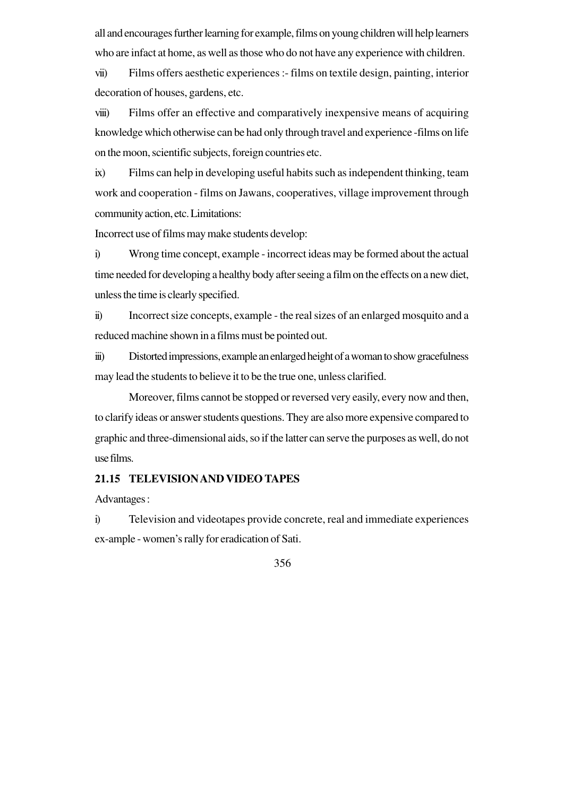all and encourages further learning for example, films on young children will help learners who are infact at home, as well as those who do not have any experience with children.

vii) Films offers aesthetic experiences :- films on textile design, painting, interior decoration of houses, gardens, etc.

viii) Films offer an effective and comparatively inexpensive means of acquiring knowledge which otherwise can be had only through travel and experience -films on life on the moon, scientific subjects, foreign countries etc.

ix) Films can help in developing useful habits such as independent thinking, team work and cooperation - films on Jawans, cooperatives, village improvement through community action, etc. Limitations:

Incorrect use of films may make students develop:

i) Wrong time concept, example - incorrect ideas may be formed about the actual time needed for developing a healthy body after seeing a film on the effects on a new diet, unless the time is clearly specified.

ii) Incorrect size concepts, example - the real sizes of an enlarged mosquito and a reduced machine shown in a films must be pointed out.

iii) Distorted impressions, example an enlarged height of a woman to show gracefulness may lead the students to believe it to be the true one, unless clarified.

Moreover, films cannot be stopped or reversed very easily, every now and then, to clarify ideas or answer students questions. They are also more expensive compared to graphic and three-dimensional aids, so if the latter can serve the purposes as well, do not use films.

#### **21.15 TELEVISION AND VIDEO TAPES**

Advantages :

i) Television and videotapes provide concrete, real and immediate experiences ex-ample - women's rally for eradication of Sati.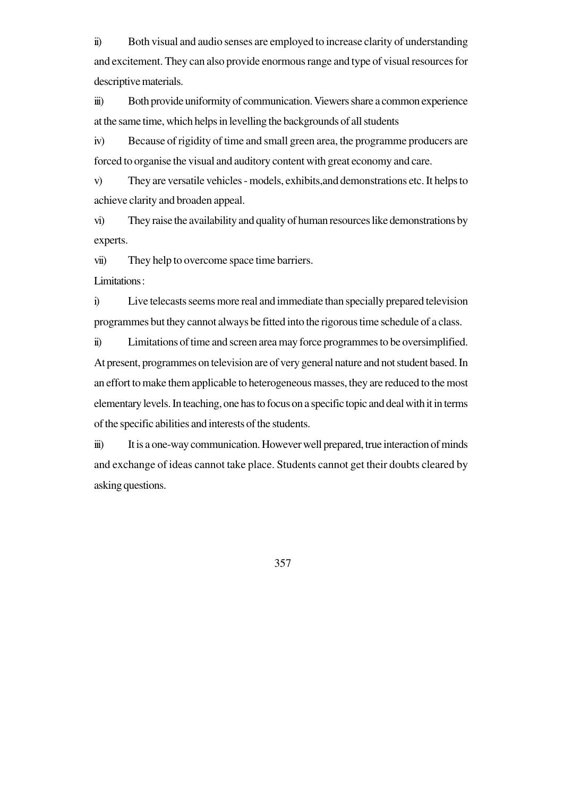ii) Both visual and audio senses are employed to increase clarity of understanding and excitement. They can also provide enormous range and type of visual resources for descriptive materials.

iii) Both provide uniformity of communication. Viewers share a common experience at the same time, which helps in levelling the backgrounds of all students

iv) Because of rigidity of time and small green area, the programme producers are forced to organise the visual and auditory content with great economy and care.

v) They are versatile vehicles - models, exhibits,and demonstrations etc. It helps to achieve clarity and broaden appeal.

vi) They raise the availability and quality of human resources like demonstrations by experts.

vii) They help to overcome space time barriers.

Limitations :

i) Live telecasts seems more real and immediate than specially prepared television programmes but they cannot always be fitted into the rigorous time schedule of a class.

ii) Limitations of time and screen area may force programmes to be oversimplified. At present, programmes on television are of very general nature and not student based. In an effort to make them applicable to heterogeneous masses, they are reduced to the most elementary levels. In teaching, one has to focus on a specific topic and deal with it in terms of the specific abilities and interests of the students.

iii) It is a one-way communication. However well prepared, true interaction of minds and exchange of ideas cannot take place. Students cannot get their doubts cleared by asking questions.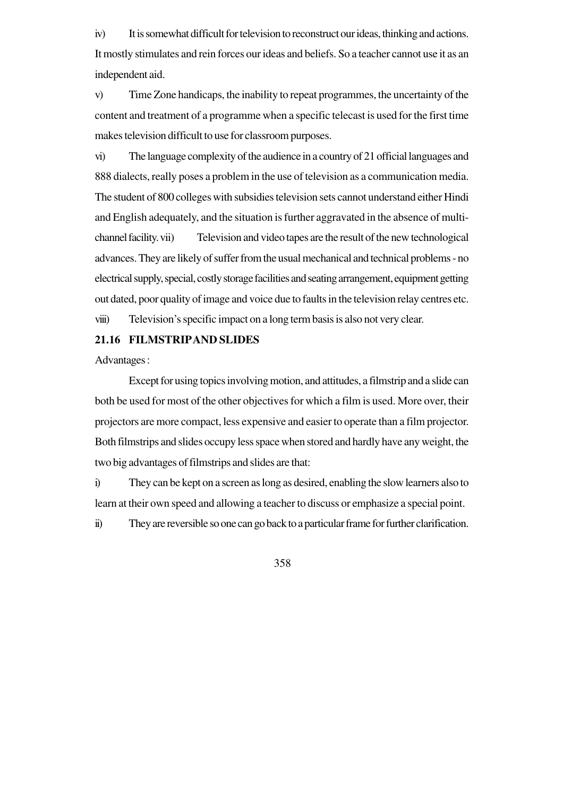iv) It is somewhat difficult for television to reconstruct our ideas, thinking and actions. It mostly stimulates and rein forces our ideas and beliefs. So a teacher cannot use it as an independent aid.

v) Time Zone handicaps, the inability to repeat programmes, the uncertainty of the content and treatment of a programme when a specific telecast is used for the first time makes television difficult to use for classroom purposes.

vi) The language complexity of the audience in a country of 21 official languages and 888 dialects, really poses a problem in the use of television as a communication media. The student of 800 colleges with subsidies television sets cannot understand either Hindi and English adequately, and the situation is further aggravated in the absence of multichannel facility. vii) Television and video tapes are the result of the new technological advances. They are likely of suffer from the usual mechanical and technical problems - no electrical supply, special, costly storage facilities and seating arrangement, equipment getting out dated, poor quality of image and voice due to faults in the television relay centres etc.

viii) Television's specific impact on a long term basis is also not very clear.

#### **21.16 FILMSTRIPAND SLIDES**

Advantages :

Except for using topics involving motion, and attitudes, a filmstrip and a slide can both be used for most of the other objectives for which a film is used. More over, their projectors are more compact, less expensive and easier to operate than a film projector. Both filmstrips and slides occupy less space when stored and hardly have any weight, the two big advantages of filmstrips and slides are that:

i) They can be kept on a screen as long as desired, enabling the slow learners also to learn at their own speed and allowing a teacher to discuss or emphasize a special point.

ii) They are reversible so one can go back to a particular frame for further clarification.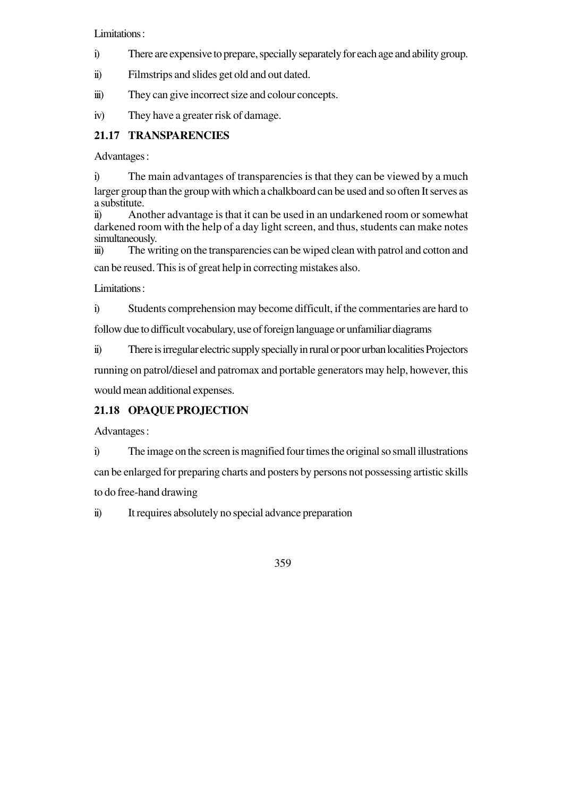Limitations :

i) There are expensive to prepare, specially separately for each age and ability group.

ii) Filmstrips and slides get old and out dated.

iii) They can give incorrect size and colour concepts.

iv) They have a greater risk of damage.

# **21.17 TRANSPARENCIES**

Advantages :

i) The main advantages of transparencies is that they can be viewed by a much larger group than the group with which a chalkboard can be used and so often It serves as a substitute.

ii) Another advantage is that it can be used in an undarkened room or somewhat darkened room with the help of a day light screen, and thus, students can make notes simultaneously.

iii) The writing on the transparencies can be wiped clean with patrol and cotton and can be reused. This is of great help in correcting mistakes also.

Limitations :

i) Students comprehension may become difficult, if the commentaries are hard to

follow due to difficult vocabulary, use of foreign language or unfamiliar diagrams

ii) There is irregular electric supply specially in rural or poor urban localities Projectors

running on patrol/diesel and patromax and portable generators may help, however, this would mean additional expenses.

## **21.18 OPAQUE PROJECTION**

Advantages :

i) The image on the screen is magnified four times the original so small illustrations can be enlarged for preparing charts and posters by persons not possessing artistic skills to do free-hand drawing

ii) It requires absolutely no special advance preparation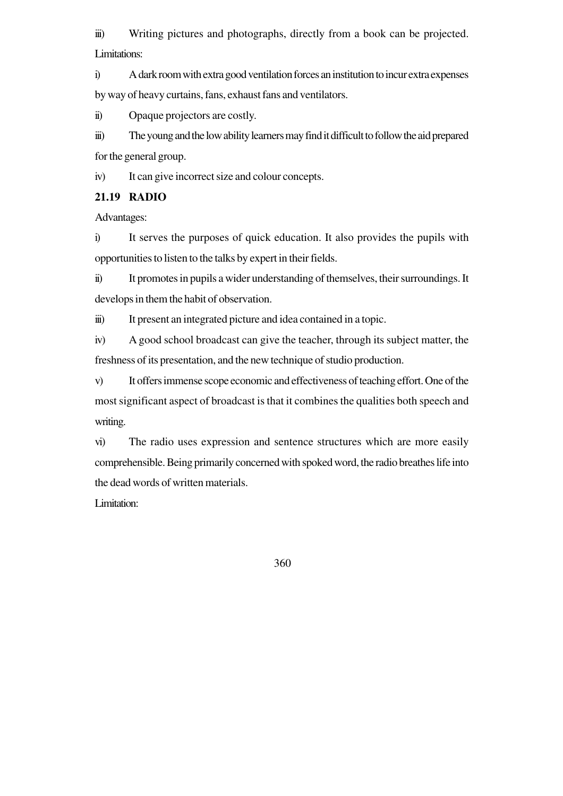iii) Writing pictures and photographs, directly from a book can be projected. Limitations:

i) A dark room with extra good ventilation forces an institution to incur extra expenses by way of heavy curtains, fans, exhaust fans and ventilators.

ii) Opaque projectors are costly.

iii) The young and the low ability learners may find it difficult to follow the aid prepared for the general group.

iv) It can give incorrect size and colour concepts.

#### **21.19 RADIO**

Advantages:

i) It serves the purposes of quick education. It also provides the pupils with opportunities to listen to the talks by expert in their fields.

ii) It promotes in pupils a wider understanding of themselves, their surroundings. It develops in them the habit of observation.

iii) It present an integrated picture and idea contained in a topic.

iv) A good school broadcast can give the teacher, through its subject matter, the freshness of its presentation, and the new technique of studio production.

v) It offers immense scope economic and effectiveness of teaching effort. One of the most significant aspect of broadcast is that it combines the qualities both speech and writing.

vi) The radio uses expression and sentence structures which are more easily comprehensible. Being primarily concerned with spoked word, the radio breathes life into the dead words of written materials.

Limitation: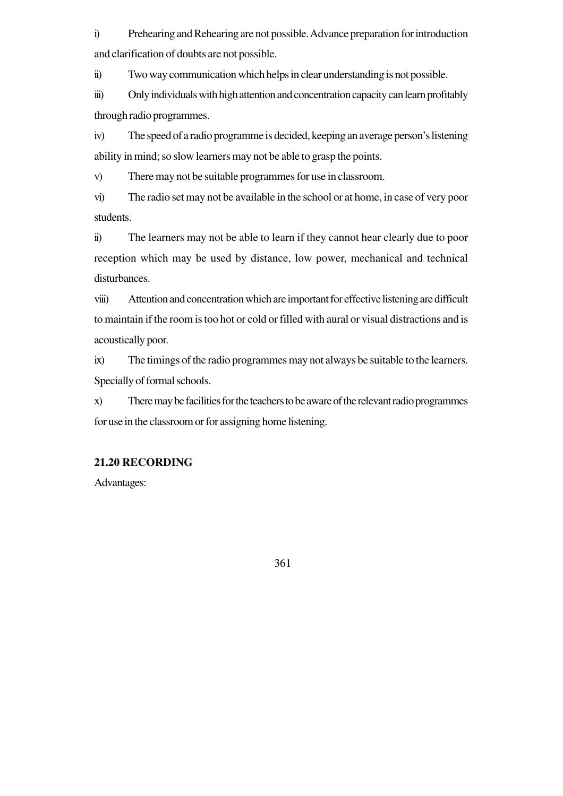i) Prehearing and Rehearing are not possible. Advance preparation for introduction and clarification of doubts are not possible.

ii) Two way communication which helps in clear understanding is not possible.

iii) Only individuals with high attention and concentration capacity can learn profitably through radio programmes.

iv) The speed of a radio programme is decided, keeping an average person's listening ability in mind; so slow learners may not be able to grasp the points.

v) There may not be suitable programmes for use in classroom.

vi) The radio set may not be available in the school or at home, in case of very poor students.

ii) The learners may not be able to learn if they cannot hear clearly due to poor reception which may be used by distance, low power, mechanical and technical disturbances.

viii) Attention and concentration which are important for effective listening are difficult to maintain if the room is too hot or cold or filled with aural or visual distractions and is acoustically poor.

ix) The timings of the radio programmes may not always be suitable to the learners. Specially of formal schools.

x) There may be facilities for the teachers to be aware of the relevant radio programmes for use in the classroom or for assigning home listening.

## **21.20 RECORDING**

Advantages: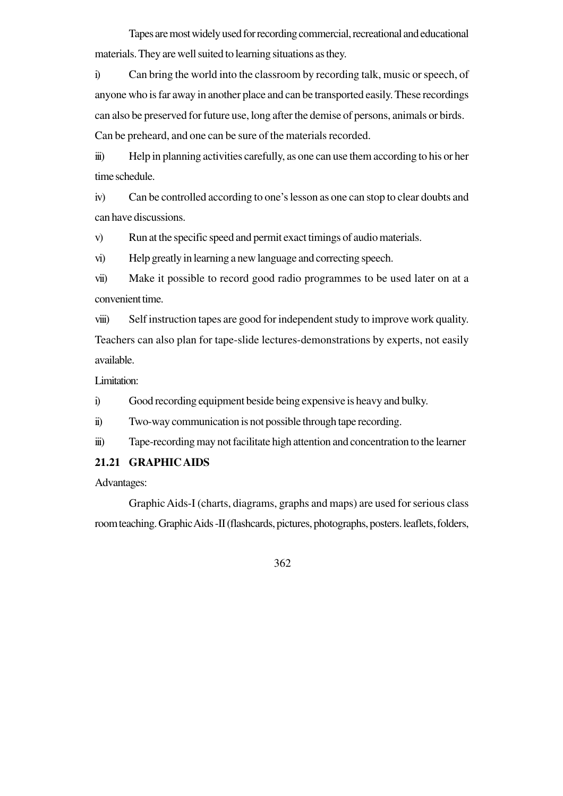Tapes are most widely used for recording commercial, recreational and educational materials. They are well suited to learning situations as they.

i) Can bring the world into the classroom by recording talk, music or speech, of anyone who is far away in another place and can be transported easily. These recordings can also be preserved for future use, long after the demise of persons, animals or birds. Can be preheard, and one can be sure of the materials recorded.

iii) Help in planning activities carefully, as one can use them according to his or her time schedule.

iv) Can be controlled according to one's lesson as one can stop to clear doubts and can have discussions.

v) Run at the specific speed and permit exact timings of audio materials.

vi) Help greatly in learning a new language and correcting speech.

vii) Make it possible to record good radio programmes to be used later on at a convenient time.

viii) Self instruction tapes are good for independent study to improve work quality. Teachers can also plan for tape-slide lectures-demonstrations by experts, not easily available.

Limitation:

i) Good recording equipment beside being expensive is heavy and bulky.

ii) Two-way communication is not possible through tape recording.

iii) Tape-recording may not facilitate high attention and concentration to the learner

#### **21.21 GRAPHIC AIDS**

Advantages:

Graphic Aids-I (charts, diagrams, graphs and maps) are used for serious class room teaching. Graphic Aids -II (flashcards, pictures, photographs, posters. leaflets, folders,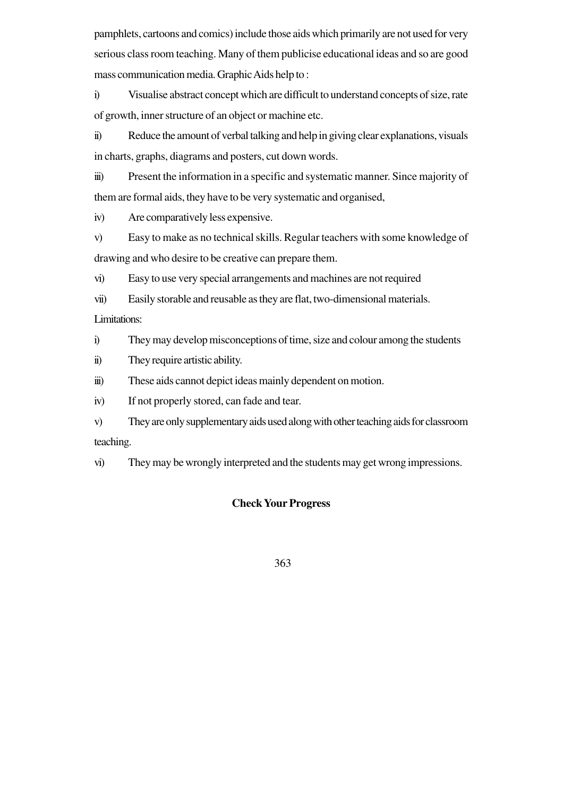pamphlets, cartoons and comics) include those aids which primarily are not used for very serious class room teaching. Many of them publicise educational ideas and so are good mass communication media. Graphic Aids help to :

i) Visualise abstract concept which are difficult to understand concepts of size, rate of growth, inner structure of an object or machine etc.

ii) Reduce the amount of verbal talking and help in giving clear explanations, visuals in charts, graphs, diagrams and posters, cut down words.

iii) Present the information in a specific and systematic manner. Since majority of them are formal aids, they have to be very systematic and organised,

iv) Are comparatively less expensive.

v) Easy to make as no technical skills. Regular teachers with some knowledge of drawing and who desire to be creative can prepare them.

vi) Easy to use very special arrangements and machines are not required

vii) Easily storable and reusable as they are flat, two-dimensional materials.

Limitations:

i) They may develop misconceptions of time, size and colour among the students

ii) They require artistic ability.

iii) These aids cannot depict ideas mainly dependent on motion.

iv) If not properly stored, can fade and tear.

v) They are only supplementary aids used along with other teaching aids for classroom teaching.

vi) They may be wrongly interpreted and the students may get wrong impressions.

#### **Check Your Progress**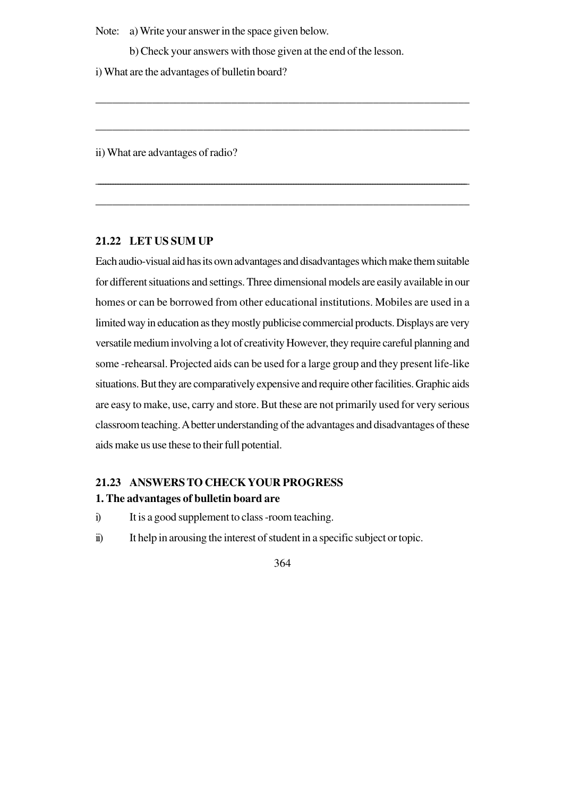Note: a) Write your answer in the space given below.

b) Check your answers with those given at the end of the lesson.

\_\_\_\_\_\_\_\_\_\_\_\_\_\_\_\_\_\_\_\_\_\_\_\_\_\_\_\_\_\_\_\_\_\_\_\_\_\_\_\_\_\_\_\_\_\_\_\_\_\_\_\_\_\_\_\_\_\_\_\_\_\_\_\_\_\_

\_\_\_\_\_\_\_\_\_\_\_\_\_\_\_\_\_\_\_\_\_\_\_\_\_\_\_\_\_\_\_\_\_\_\_\_\_\_\_\_\_\_\_\_\_\_\_\_\_\_\_\_\_\_\_\_\_\_\_\_\_\_\_\_\_\_

\_\_\_\_\_\_\_\_\_\_\_\_\_\_\_\_\_\_\_\_\_\_\_\_\_\_\_\_\_\_\_\_\_\_\_\_\_\_\_\_\_\_\_\_\_\_\_\_\_\_\_\_\_\_\_\_\_\_\_\_\_\_\_\_\_\_\_\_\_\_\_\_\_\_\_\_\_\_\_\_\_\_\_\_\_\_\_\_\_\_\_\_\_\_\_\_\_\_\_\_\_\_\_\_\_\_\_\_\_\_\_\_\_\_\_\_\_\_\_\_\_\_\_\_\_\_\_\_\_\_\_\_\_\_\_\_\_\_\_\_\_\_\_\_\_\_\_\_\_\_

\_\_\_\_\_\_\_\_\_\_\_\_\_\_\_\_\_\_\_\_\_\_\_\_\_\_\_\_\_\_\_\_\_\_\_\_\_\_\_\_\_\_\_\_\_\_\_\_\_\_\_\_\_\_\_\_\_\_\_\_\_\_\_\_\_\_

i) What are the advantages of bulletin board?

ii) What are advantages of radio?

#### **21.22 LET US SUM UP**

Each audio-visual aid has its own advantages and disadvantages which make them suitable for different situations and settings. Three dimensional models are easily available in our homes or can be borrowed from other educational institutions. Mobiles are used in a limited way in education as they mostly publicise commercial products. Displays are very versatile medium involving a lot of creativity However, they require careful planning and some -rehearsal. Projected aids can be used for a large group and they present life-like situations. But they are comparatively expensive and require other facilities. Graphic aids are easy to make, use, carry and store. But these are not primarily used for very serious classroom teaching. A better understanding of the advantages and disadvantages of these aids make us use these to their full potential.

# **21.23 ANSWERS TO CHECK YOUR PROGRESS**

## **1. The advantages of bulletin board are**

- i) It is a good supplement to class -room teaching.
- ii) It help in arousing the interest of student in a specific subject or topic.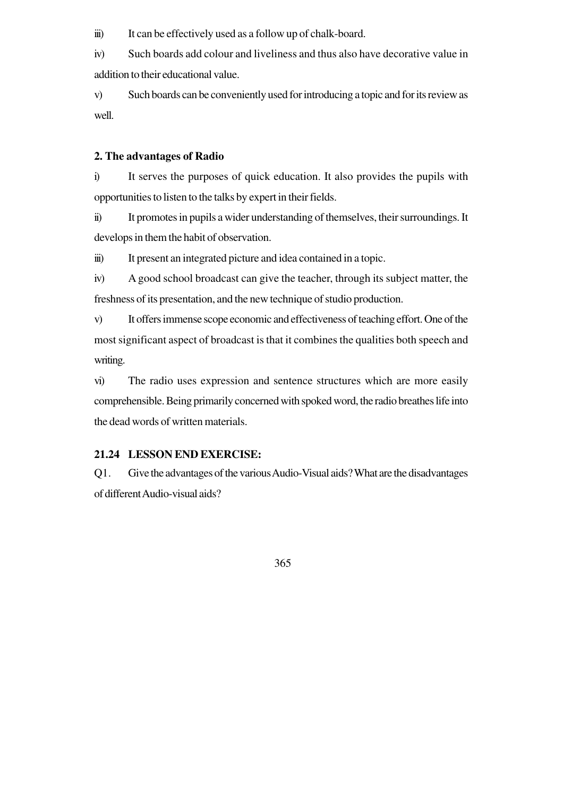iii) It can be effectively used as a follow up of chalk-board.

iv) Such boards add colour and liveliness and thus also have decorative value in addition to their educational value.

v) Such boards can be conveniently used for introducing a topic and for its review as well.

#### **2. The advantages of Radio**

i) It serves the purposes of quick education. It also provides the pupils with opportunities to listen to the talks by expert in their fields.

ii) It promotes in pupils a wider understanding of themselves, their surroundings. It develops in them the habit of observation.

iii) It present an integrated picture and idea contained in a topic.

iv) A good school broadcast can give the teacher, through its subject matter, the freshness of its presentation, and the new technique of studio production.

v) It offers immense scope economic and effectiveness of teaching effort. One of the most significant aspect of broadcast is that it combines the qualities both speech and writing.

vi) The radio uses expression and sentence structures which are more easily comprehensible. Being primarily concerned with spoked word, the radio breathes life into the dead words of written materials.

#### **21.24 LESSON END EXERCISE:**

Q1. Give the advantages of the various Audio-Visual aids? What are the disadvantages of different Audio-visual aids?